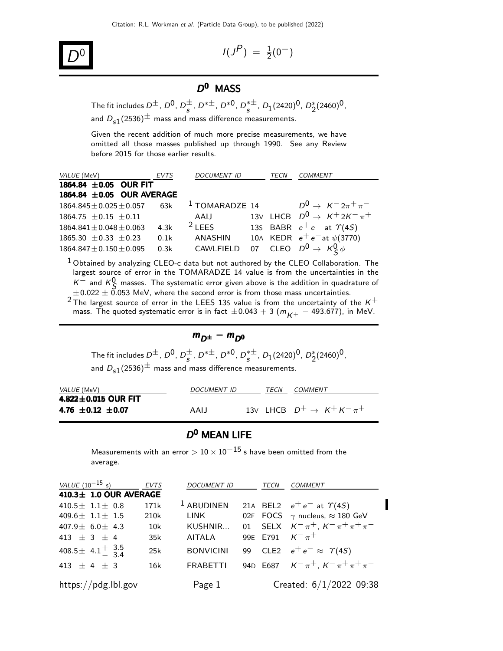

$$
I(J^P) = \frac{1}{2}(0^-)
$$

#### D<sup>0</sup> MASS

The fit includes  $D^{\pm}$ ,  $D^0$ ,  $D^{\pm}_{s}$ ,  $D^{*\pm}$ ,  $D^{*0}$ ,  $D^{*\pm}_{s}$ ,  $D_1(2420)^0$ ,  $D^{*}_2(2460)^0$ , and  $D_{s1}(2536)^{\pm}$  mass and mass difference measurements.

Given the recent addition of much more precise measurements, we have omitted all those masses published up through 1990. See any Review before 2015 for those earlier results.

| VALUE (MeV)                        | EVTS | <b>DOCUMENT ID</b> | TECN | <b>COMMENT</b>                            |
|------------------------------------|------|--------------------|------|-------------------------------------------|
| 1864.84 ± 0.05 OUR FIT             |      |                    |      |                                           |
| 1864.84 ± 0.05 OUR AVERAGE         |      |                    |      |                                           |
| $1864.845 \pm 0.025 \pm 0.057$ 63k |      | $1$ TOMARADZE 14   |      | $D^0 \to K^- 2\pi^+ \pi^-$                |
| $1864.75 + 0.15 + 0.11$            |      | AAIJ               |      | 13V LHCB $D^0 \rightarrow K^+ 2K^- \pi^+$ |
| $1864.841 \pm 0.048 \pm 0.063$     | 4.3k | $2$ LEES           |      | 135 BABR $e^+e^-$ at $\Upsilon(4S)$       |
| $1865.30 \pm 0.33 \pm 0.23$        | 0.1k | ANASHIN            |      | 10A KEDR $e^+e^-$ at $\psi(3770)$         |
| $1864.847 \pm 0.150 \pm 0.095$     | 0.3k | CAWLFIELD          |      | 07 CLEO $D^0 \rightarrow K_S^0 \phi$      |

 $1$  Obtained by analyzing CLEO-c data but not authored by the CLEO Collaboration. The largest source of error in the TOMARADZE 14 value is from the uncertainties in the  $K^-$  and  $K^0$  masses. The systematic error given above is the addition in quadrature of  $\pm 0.022 \pm 0.053$  MeV, where the second error is from those mass uncertainties.

<sup>2</sup> The largest source of error in the LEES 13S value is from the uncertainty of the  $K^+$ mass. The quoted systematic error is in fact  $\pm 0.043 + 3 (m_{K+} - 493.677)$ , in MeV.

$$
m_{D^{\pm}} - m_{D^0}
$$

The fit includes  $D^{\pm}$ ,  $D^0$ ,  $D^{\pm}_{s}$ ,  $D^{*\pm}$ ,  $D^{*0}$ ,  $D^{*\pm}_{s}$ ,  $D_1(2420)^0$ ,  $D^{*}_2(2460)^0$ , and  $D_{s1}(2536)^{\pm}$  mass and mass difference measurements.

| <i>VALUE</i> (MeV)         | <i>DOCUMENT ID</i> | TFCN | <i>COMMENT</i>                           |
|----------------------------|--------------------|------|------------------------------------------|
| 4.822 $\pm$ 0.015 OUR FIT  |                    |      |                                          |
| 4.76 $\pm$ 0.12 $\pm$ 0.07 | AAIJ               |      | 13V IHCB $D^+ \rightarrow K^+ K^- \pi^+$ |

#### $D^0$  MEAN LIFE

Measurements with an error  $> 10 \times 10^{-15}$  s have been omitted from the average.

| <i>VALUE</i> $(10^{-15} s)$ | <b>EVTS</b> | <b>DOCUMENT ID</b> | <b>TECN</b> | COMMENT                                      |
|-----------------------------|-------------|--------------------|-------------|----------------------------------------------|
| 410.3± 1.0 OUR AVERAGE      |             |                    |             |                                              |
| 410.5 $\pm$ 1.1 $\pm$ 0.8   | 171k        | $1$ ABUDINEN       |             | 21A BEL2 $e^+e^-$ at $\Upsilon(4S)$          |
| 409.6 $\pm$ 1.1 $\pm$ 1.5   | 210k        | LINK               |             | 02F FOCS $\gamma$ nucleus, $\approx$ 180 GeV |
| 407.9 $\pm$ 6.0 $\pm$ 4.3   | 10k         | KUSHNIR            |             | 01 SELX $K^-\pi^+$ , $K^-\pi^+\pi^+\pi^-$    |
| $413 + 3 + 4$               | 35k         | AITALA             |             | 99E E791 $K^{-} \pi^{+}$                     |
| 408.5 ± 4.1 $^{+}$ 3.5      | 25k         | <b>BONVICINI</b>   |             | 99 CLE2 $e^+e^- \approx \Upsilon(45)$        |
| 413 $\pm$ 4 $\pm$ 3         | 16k         | <b>FRABETTI</b>    |             | 94D E687 $K^-\pi^+$ , $K^-\pi^+\pi^+\pi^-$   |
| https://pdg.lbl.gov         |             | Page 1             |             | Created: $6/1/2022$ 09:38                    |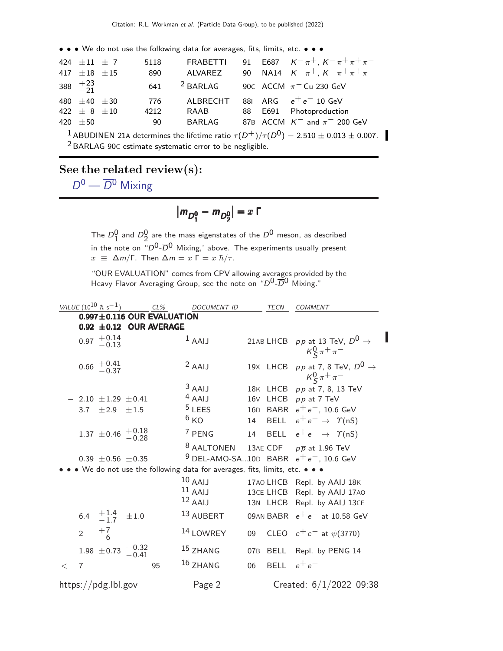• • • We do not use the following data for averages, fits, limits, etc. • • •

| 424 $\pm 11$ $\pm$ 7<br>417 $\pm 18$ $\pm 15$ | 5118<br>890 | ALVAREZ          |  | FRABETTI 91 E687 $K^{-} \pi^{+}$ , $K^{-} \pi^{+} \pi^{+} \pi^{-}$<br>90 NA14 $K^-\pi^+$ , $K^-\pi^+\pi^+\pi^-$ |
|-----------------------------------------------|-------------|------------------|--|-----------------------------------------------------------------------------------------------------------------|
| 388 $\frac{+23}{-21}$                         |             | $641$ $2$ BARLAG |  | 90C ACCM $\pi$ <sup>-</sup> Cu 230 GeV                                                                          |
| 480 $\pm 40$ $\pm 30$                         | 776         |                  |  | ALBRECHT 881 ARG $e^+e^-$ 10 GeV                                                                                |
| 422 $\pm$ 8 $\pm$ 10                          | 4212        | RAAB             |  | 88 E691 Photoproduction                                                                                         |
| 420 $\pm 50$                                  | - 90        | BARI AG          |  | 87B ACCM $K^-$ and $\pi^-$ 200 GeV                                                                              |
|                                               |             |                  |  |                                                                                                                 |

<sup>1</sup> ABUDINEN 21A determines the lifetime ratio  $\tau(D^+)/\tau(D^0) = 2.510 \pm 0.013 \pm 0.007$ . <sup>2</sup> BARLAG 90C estimate systematic error to be negligible.

See the related review(s):

 $D^0 - \overline{D}{}^0$  [Mixing](http://pdg.lbl.gov/2022/reviews/rpp2021-rev-d-dbar-mixing.pdf)

$$
|m_{D_1^0} - m_{D_2^0}| = x \; \Gamma
$$

The  $D_1^0$  and  $D_2^0$  are the mass eigenstates of the  $D^0$  meson, as described in the note on " $D^0\text{-}\overline{D}{}^0$  Mixing,' above. The experiments usually present  $x \equiv \Delta m/\Gamma$ . Then  $\Delta m = x \Gamma = x \hbar/\tau$ .

"OUR EVALUATION" comes from CPV allowing averages provided by the Heavy Flavor Averaging Group, see the note on " $D^0$ - $\overline{D}{}^0$  Mixing."

|       |                   | VALUE (10 <sup>10</sup> $\hbar$ s <sup>-1</sup> ) |            | $CL\%$                           | <b>DOCUMENT ID</b>                                                        |    | TECN          | <b>COMMENT</b>                                                                |
|-------|-------------------|---------------------------------------------------|------------|----------------------------------|---------------------------------------------------------------------------|----|---------------|-------------------------------------------------------------------------------|
|       |                   |                                                   |            | $0.997 \pm 0.116$ OUR EVALUATION |                                                                           |    |               |                                                                               |
|       |                   |                                                   |            | $0.92 \pm 0.12$ OUR AVERAGE      |                                                                           |    |               |                                                                               |
|       |                   | $0.97$ $+0.14$<br>$-0.13$                         |            |                                  | $1$ AAIJ                                                                  |    |               | 21AB LHCB pp at 13 TeV, $D^0 \rightarrow$<br>$K_S^0 \pi^+ \pi^-$              |
|       |                   | $0.66 \t + 0.41 \t - 0.37$                        |            |                                  | $2$ AAIJ                                                                  |    |               | 19X LHCB pp at 7, 8 TeV, $D^0 \rightarrow$<br>$K_{\rm S}^{0} \pi^{+} \pi^{-}$ |
|       |                   |                                                   |            |                                  | $3$ AAIJ                                                                  |    |               | 18K LHCB pp at 7, 8, 13 TeV                                                   |
|       |                   | $-$ 2.10 $\pm$ 1.29 $\pm$ 0.41                    |            |                                  | $4$ AAIJ                                                                  |    |               | 16V LHCB pp at 7 TeV                                                          |
|       | 3.7               | $\pm 2.9$                                         | ±1.5       |                                  | $5$ LEES                                                                  |    |               | 16D BABR $e^+e^-$ , 10.6 GeV                                                  |
|       |                   |                                                   |            |                                  | 6 <sub>KO</sub>                                                           | 14 |               | BELL $e^+e^- \rightarrow \Upsilon(nS)$                                        |
|       |                   | 1.37 $\pm$ 0.46 $\frac{+0.18}{-0.28}$             |            |                                  | $7$ PENG                                                                  |    |               | 14 BELL $e^+e^- \rightarrow \Upsilon(nS)$                                     |
|       |                   |                                                   |            |                                  | <sup>8</sup> AALTONEN                                                     |    |               | 13AE CDF $p\overline{p}$ at 1.96 TeV                                          |
|       |                   | $0.39 \pm 0.56 \pm 0.35$                          |            |                                  |                                                                           |    |               | <sup>9</sup> DEL-AMO-SA10D BABR $e^+e^-$ , 10.6 GeV                           |
|       |                   |                                                   |            |                                  | • We do not use the following data for averages, fits, limits, etc. • • • |    |               |                                                                               |
|       |                   |                                                   |            |                                  | $10$ AAIJ                                                                 |    |               | 17AO LHCB Repl. by AAIJ 18K                                                   |
|       |                   |                                                   |            |                                  | $11$ AAIJ                                                                 |    |               | 13CE LHCB Repl. by AAIJ 17A0                                                  |
|       |                   |                                                   |            |                                  | $12$ AAIJ                                                                 |    |               | 13N LHCB Repl. by AAIJ 13CE                                                   |
|       |                   | 6.4 $+1.4$<br>-1.7                                | $\pm\,1.0$ |                                  | 13 AUBERT                                                                 |    |               | 09AN BABR $e^+e^-$ at 10.58 GeV                                               |
|       | $-2$ $+7$<br>$-6$ |                                                   |            |                                  | <sup>14</sup> LOWREY                                                      | 09 |               | CLEO $e^+e^-$ at $\psi(3770)$                                                 |
|       |                   | 1.98 $\pm$ 0.73 $\frac{+0.32}{-0.41}$             |            |                                  | 15 ZHANG                                                                  |    |               | 07B BELL Repl. by PENG 14                                                     |
| $\lt$ | 7                 |                                                   |            | 95                               | $16$ ZHANG                                                                | 06 | BELL $e^+e^-$ |                                                                               |
|       |                   | https://pdg.lbl.gov                               |            |                                  | Page 2                                                                    |    |               | Created: $6/1/2022$ 09:38                                                     |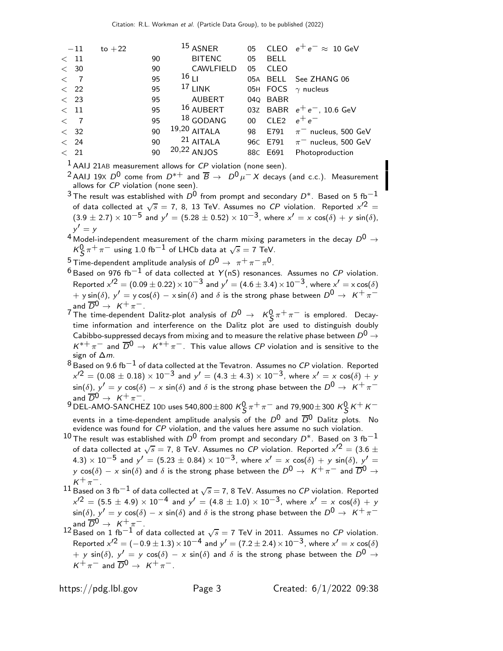| $-11$        | to $+22$ |    | $^{15}$ ASNER    | 05     | <b>CLEO</b>      | $e^+e^- \approx 10$ GeV           |
|--------------|----------|----|------------------|--------|------------------|-----------------------------------|
| $<$ 11       |          | 90 | <b>BITENC</b>    | 05     | <b>BELL</b>      |                                   |
| < 30         |          | 90 | CAWLFIELD        | 05     | <b>CLEO</b>      |                                   |
| $\lt$ 7      |          | 95 | 16 <sub>11</sub> |        |                  | 05A BELL See ZHANG 06             |
| $\langle$ 22 |          | 95 | $17$ LINK        |        |                  | 05H FOCS $\gamma$ nucleus         |
| $\langle$ 23 |          | 95 | <b>AUBERT</b>    |        | 04Q BABR         |                                   |
| $<$ 11       |          | 95 | $16$ AUBERT      |        |                  | 03Z BABR $e^+e^-$ , 10.6 GeV      |
| $\lt$ 7      |          | 95 | 18 GODANG        | $00\,$ | CLE <sub>2</sub> | $e^+e^-$                          |
| < 32         |          | 90 | $19,20$ AITALA   | 98     | E791             | $\pi^-$ nucleus, 500 GeV          |
| < 24         |          | 90 | $21$ AITALA      |        |                  | 96C E791 $\pi^-$ nucleus, 500 GeV |
| $\langle$ 21 |          | 90 | 20,22 ANJOS      |        | 88C E691         | Photoproduction                   |
|              |          |    |                  |        |                  |                                   |

 $1$  AAIJ 21AB measurement allows for CP violation (none seen).

<sup>2</sup> AAIJ 19X  $D^0$  come from  $D^{*+}$  and  $\overline{B} \to D^0 \mu^- X$  decays (and c.c.). Measurement allows for CP violation (none seen).

 $3$  The result was established with  $D^0$  from prompt and secondary  $D^*$ . Based on 5 fb<sup>-1</sup> of data collected at  $\sqrt{s} =$  7, 8, 13 TeV. Assumes no  ${\it CP}$  violation. Reported  ${\it x}'^2 =$  $(3.9 \pm 2.7) \times 10^{-5}$  and  $y' = (5.28 \pm 0.52) \times 10^{-3}$ , where  $x' = x \cos(\delta) + y \sin(\delta)$ ,  $y' = y$ 

 $^4$  Model-independent measurement of the charm mixing parameters in the decay  $D^0\rightarrow$  $\kappa_S^0 \pi^+ \pi^-$  using 1.0 fb $^{-1}$  of LHCb data at  $\sqrt{s} =$  7 TeV.

- $\frac{5}{2}$ Time-dependent amplitude analysis of  $D^{0} \rightarrow \pi^{+}\pi^{-}\pi^{0}$ .
- $6$  Based on 976 fb<sup>-1</sup> of data collected at Y(nS) resonances. Assumes no CP violation. Reported  $x^{\prime2} = (0.09 \pm 0.22) \times 10^{-3}$  and  $y^{\prime} = (4.6 \pm 3.4) \times 10^{-3}$ , where  $x^{\prime} = x \cos(\delta)$  $y = y \sin(\delta)$ ,  $y' = y \cos(\delta) - x \sin(\delta)$  and  $\delta$  is the strong phase between  $D^0 \rightarrow K^+ \pi^$ and  $\overline{D}^0 \rightarrow K^+ \pi^-$ .
- The time-dependent Dalitz-plot analysis of  $D^0 \rightarrow K^0_S \pi^+ \pi^-$  is emplored. Decaytime information and interference on the Dalitz plot are used to distinguish doubly Cabibbo-suppressed decays from mixing and to measure the relative phase between  $D^0 \rightarrow$  $K^{*+}\pi^-$  and  $\overline{D}^0 \to K^{*+}\pi^-$ . This value allows CP violation and is sensitive to the sign of  $\Delta m$ .
- $8$  Based on 9.6 fb $^{-1}$  of data collected at the Tevatron. Assumes no CP violation. Reported  $x'^2 = (0.08 \pm 0.18) \times 10^{-3}$  and  $y' = (4.3 \pm 4.3) \times 10^{-3}$ , where  $x' = x \cos(\delta) + y$  $\sin(\delta)$ ,  $y' = y \cos(\delta) - x \sin(\delta)$  and  $\delta$  is the strong phase between the  $D^0 \rightarrow K^+ \pi^$ and  $\overline{D}^0 \rightarrow K^+ \pi^-$ .

 $^{9}$  DEL-AMO-SANCHEZ 10D uses 540,800 $\pm$ 800  $\kappa$ <sup>O</sup>S  $\pi^+\pi^-$  and 79,900 $\pm$ 300  $\kappa$ <sup>O</sup>S  $\kappa^+\kappa^$ events in a time-dependent amplitude analysis of the  $D^0$  and  $\overline{D}^0$  Dalitz plots. No

- evidence was found for CP violation, and the values here assume no such violation. 10 The result was established with  $D^0$  from prompt and secondary  $D^*$ . Based on 3 fb<sup>-1</sup> of data collected at  $\sqrt{s} = 7$ , 8 TeV. Assumes no *CP* violation. Reported  $x'^2 = (3.6 \pm 1.5)$  $(4.3)\times 10^{-5}$  and  $y'=(5.23\pm 0.84)\times 10^{-3}$ , where  $x'=\frac{x}{2}\cos(\delta)+y\sin(\delta)$ ,  $y'=\frac{1}{2}\cos(\delta)$ y cos( $\delta$ ) – x sin( $\delta$ ) and  $\delta$  is the strong phase between the  $D^0 \to K^+ \pi^-$  and  $\overline{D}^0 \to$  $K^+\pi^-$ .
- $^{11}$  Based on 3 fb $^{-1}$  of data collected at  $\sqrt{s} =$  7, 8 TeV. Assumes no  ${\it CP}$  violation. Reported  $x'^2 = (5.5 \pm 4.9) \times 10^{-4}$  and  $y' = (4.8 \pm 1.0) \times 10^{-3}$ , where  $x' = x \cos(\delta) + y$  $\sin(\delta)$ ,  $y' = y \cos(\delta) - x \sin(\delta)$  and  $\delta$  is the strong phase between the  $D^0 \rightarrow K^+ \pi^$ and  $\overline{D}^0 \rightarrow \ K^+ \pi^-$ .<br>12 Based on 1 fb $^{-1}$  of data collected at  $\sqrt{s}=7$  TeV in 2011. Assumes no *CP* violation.
- Reported  $x'^2 = (-0.9 \pm 1.3) \times 10^{-4}$  and  $y' = (7.2 \pm 2.4) \times 10^{-3}$ , where  $x' = x \cos(\delta)$  $y + y \sin(\delta)$ ,  $y' = y \cos(\delta) - x \sin(\delta)$  and  $\delta$  is the strong phase between the  $D^0 \rightarrow \infty$  $K^+\pi^-$  and  $\overline{D}^0 \rightarrow K^+\pi^-$ .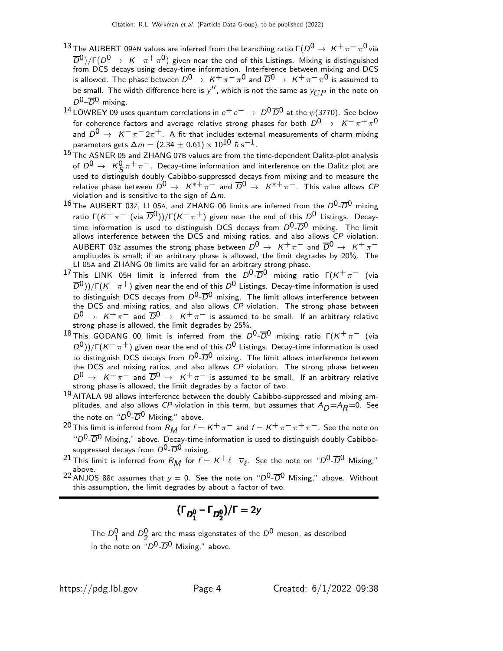- <sup>13</sup> The AUBERT 09AN values are inferred from the branching ratio Γ $(D^0 \rightarrow K^+ \pi^- \pi^0$  via  $\overline{D}^{0}/\Gamma(D^{0} \rightarrow K^{-} \pi^{+} \pi^{0})$  given near the end of this Listings. Mixing is distinguished from DCS decays using decay-time information. Interference between mixing and DCS is allowed. The phase between  $D^0\to~$  K $^+\pi^-\pi^0$  and  $\overline{D}{}^0\to~$  K $^+\pi^-\pi^0$  is assumed to be small. The width difference here is  $y''$ , which is not the same as  $y_{CP}$  in the note on  $D^0$ – $\overline{D}{}^0$  mixing.
- 14 LOWREY 09 uses quantum correlations in  $e^+e^- \rightarrow D^0\overline{D}^0$  at the  $\psi$ (3770). See below for coherence factors and average relative strong phases for both  $D^0\,\rightarrow\,\,\,$  K $^{-}\,\pi^{+}\,\pi^{0}$ and  $D^0 \rightarrow K^-\pi^- 2\pi^+$ . A fit that includes external measurements of charm mixing parameters gets  $\Delta m = (2.34 \pm 0.61) \times 10^{10}$   $\hbar$  s $^{-1}$ .
- 15 The ASNER 05 and ZHANG 07B values are from the time-dependent Dalitz-plot analysis of  $D^0 \to K^0_S \pi^+ \pi^-$ . Decay-time information and interference on the Dalitz plot are used to distinguish doubly Cabibbo-suppressed decays from mixing and to measure the relative phase between  $D^0 \rightarrow K^{*+} \pi^-$  and  $\overline{D}^0 \rightarrow K^{*+} \pi^-$ . This value allows CP violation and is sensitive to the sign of  $\Delta m$ .
- $^{16}$  The AUBERT 03Z, LI 05A, and ZHANG 06 limits are inferred from the  $D^0$ - $\overline{D}{}^0$  mixing ratio Γ $(K^+\pi^-$  (via  $\overline{D}^0$ ))/Γ $(K^-\pi^+)$  given near the end of this  $D^0$  Listings. Decaytime information is used to distinguish DCS decays from  $D^0$ - $\overline{D}^0$  mixing. The limit allows interference between the DCS and mixing ratios, and also allows CP violation. <code>AUBERT</code> <code>03Z</code> assumes the strong phase between  $D^0 \rightarrow~K^+ \pi^-$  and  $\overline{D}{}^0 \rightarrow~K^+ \pi^-$ <br>amplitudes is small; if an arbitrary phase is allowed, the limit degrades by 20%. The LI 05A and ZHANG 06 limits are valid for an arbitrary strong phase.
- <sup>17</sup> This LINK 05H limit is inferred from the  $D^0$ - $\overline{D}^0$  mixing ratio  $\Gamma(K^+\pi^-$  (via  $\overline{D}^0$ ))/Γ(K $^-\pi^+$ ) given near the end of this  $D^0$  Listings. Decay-time information is used to distinguish DCS decays from  $D^0$ - $\overline{D}^0$  mixing. The limit allows interference between the DCS and mixing ratios, and also allows  $\overrightarrow{CP}$  violation. The strong phase between  $D^0 \rightarrow K^+ \pi^-$  and  $\overline{D}^0 \rightarrow K^+ \pi^-$  is assumed to be small. If an arbitrary relative strong phase is allowed, the limit degrades by 25%.
- <sup>18</sup> This GODANG 00 limit is inferred from the  $D^0$ - $\overline{D}^0$  mixing ratio  $\Gamma(K^+\pi^-$  (via  $\overline{D}^0$ ))/Γ(K $^-\pi^+$ ) given near the end of this  $D^0$  Listings. Decay-time information is used to distinguish DCS decays from  $D^0\text{-}\overline{D}{}^0$  mixing. The limit allows interference between the DCS and mixing ratios, and also allows  $CP$  violation. The strong phase between  $D^0 \rightarrow K^+ \pi^-$  and  $\overline{D}{}^0 \rightarrow K^+ \pi^-$  is assumed to be small. If an arbitrary relative strong phase is allowed, the limit degrades by a factor of two.
- <sup>19</sup> AITALA 98 allows interference between the doubly Cabibbo-suppressed and mixing amplitudes, and also allows CP violation in this term, but assumes that  $A_D=A_R=0$ . See the note on " $D^0$ - $\overline{D}^0$  Mixing," above.
- 20 This limit is inferred from  $R_M$  for  $f = K^+ \pi^-$  and  $f = K^+ \pi^- \pi^+ \pi^-$ . See the note on " $D^0$ - $\overline{D}^0$  Mixing," above. Decay-time information is used to distinguish doubly Cabibbosuppressed decays from  $D^0$ - $\overline{D}^0$  mixing.
- $^{21}$  This limit is inferred from  $R_M$  for  $f = K^+ \ell^- \overline{\nu}_\ell$ . See the note on " $D^0\text{-}\overline{D}{}^0$  Mixing," above.
- <sup>22</sup> ANJOS 88C assumes that  $y = 0$ . See the note on " $D^0$ - $\overline{D}^0$  Mixing," above. Without this assumption, the limit degrades by about a factor of two.

$$
(\Gamma_{D_1^0} - \Gamma_{D_2^0})/\Gamma = 2y
$$

The  $D_1^0$  and  $D_2^0$  are the mass eigenstates of the  $D^0$  meson, as described in the note on  $\overline{D}^{0}$ - $\overline{D}^{0}$  Mixing," above.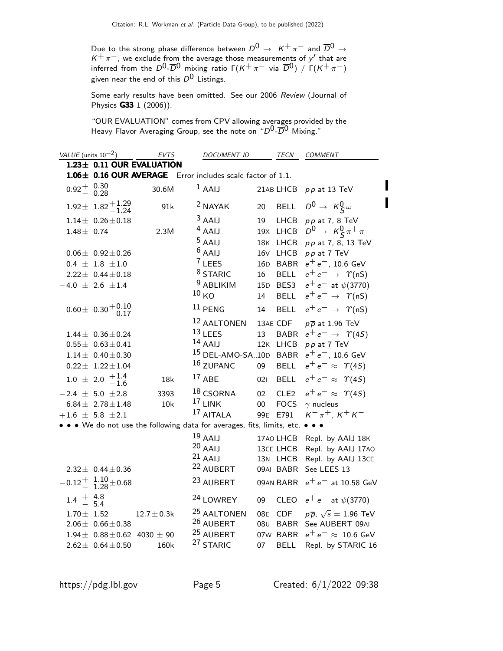Due to the strong phase difference between  $D^0\,\rightarrow\,\,\,{\sf K}^+\,\pi^-$  and  $\overline{D}{}^0\,\rightarrow\,$  $K^+\pi^-$ , we exclude from the average those measurements of y' that are inferred from the  $D^0$ - $\overline{D}{}^0$  mixing ratio Γ( $K^+\,\pi^-$  via  $\overline{D}{}^0)$  /  $\Gamma(K^+\,\pi^-)$ given near the end of this  $D^0$  Listings.

Some early results have been omitted. See our 2006 Review (Journal of Physics G33 1 (2006)).

"OUR EVALUATION" comes from CPV allowing averages provided by the Heavy Flavor Averaging Group, see the note on " $D^0$ - $\overline{D}{}^0$  Mixing."

| VALUE (units $10^{-2}$ ) |                                                               | EVTS                      | DOCUMENT ID                                                             |                 | <b>TECN</b>                                     | <i>COMMENT</i>                                                               |
|--------------------------|---------------------------------------------------------------|---------------------------|-------------------------------------------------------------------------|-----------------|-------------------------------------------------|------------------------------------------------------------------------------|
|                          |                                                               | 1.23± 0.11 OUR EVALUATION |                                                                         |                 |                                                 |                                                                              |
|                          |                                                               |                           | 1.06± 0.16 OUR AVERAGE Error includes scale factor of 1.1.              |                 |                                                 |                                                                              |
| $0.92^{+0.30}_{-0.28}$   |                                                               | 30.6M                     | $1$ AAIJ                                                                |                 | 21AB LHCB                                       | $pp$ at 13 TeV                                                               |
|                          | $1.92 \pm 1.82 + 1.29$<br>$-1.24$                             | 91k                       | <sup>2</sup> NAYAK                                                      | 20              | <b>BELL</b>                                     | $D^0 \rightarrow K^0_S \omega$                                               |
|                          | $1.14\pm$ 0.26 $\pm$ 0.18                                     |                           | $3$ AAIJ                                                                | 19              | LHCB                                            | $pp$ at 7, 8 TeV                                                             |
| $1.48 \pm 0.74$          |                                                               | 2.3M                      | $4$ AAIJ                                                                |                 | 19X LHCB                                        | $D^0 \to K^0_S \pi^+ \pi^-$                                                  |
|                          |                                                               |                           | $5$ AAIJ                                                                |                 | 18K LHCB                                        | pp at 7, 8, 13 TeV                                                           |
|                          | $0.06 \pm 0.92 \pm 0.26$                                      |                           | $6$ AAIJ                                                                | 16V             | LHCB                                            | $pp$ at 7 TeV                                                                |
|                          | $0.4 \pm 1.8 \pm 1.0$                                         |                           | <sup>7</sup> LEES                                                       |                 | 16D BABR                                        | $e^+e^-$ , 10.6 GeV                                                          |
|                          | $2.22 \pm 0.44 \pm 0.18$                                      |                           | <sup>8</sup> STARIC                                                     | 16              | <b>BELL</b>                                     | $e^+e^- \rightarrow \Upsilon(nS)$                                            |
|                          | $-4.0 \pm 2.6 \pm 1.4$                                        |                           | <sup>9</sup> ABLIKIM                                                    |                 | 15D BES3                                        | $e^+e^-$ at $\psi(3770)$                                                     |
|                          |                                                               |                           | 10 <sub>KO</sub>                                                        | 14              | <b>BELL</b>                                     | $e^+e^- \rightarrow \Upsilon(nS)$                                            |
|                          | $0.60 \pm 0.30 \pm 0.10$                                      |                           | $11$ PENG                                                               | 14              | <b>BELL</b>                                     | $e^+e^- \rightarrow \Upsilon(nS)$                                            |
|                          |                                                               |                           | 12 AALTONEN                                                             |                 | 13AE CDF                                        | $p\overline{p}$ at 1.96 TeV                                                  |
|                          | $1.44 \pm 0.36 \pm 0.24$                                      |                           | $13$ LEES                                                               | 13              | <b>BABR</b>                                     | $e^+e^- \rightarrow \gamma(4S)$                                              |
|                          | $0.55 \pm 0.63 \pm 0.41$                                      |                           | $14$ AAIJ                                                               |                 | 12K LHCB                                        | $pp$ at $7$ TeV                                                              |
|                          | $1.14 \pm 0.40 \pm 0.30$                                      |                           | <sup>15</sup> DEL-AMO-SA10D                                             |                 | <b>BABR</b>                                     | $e^+e^-$ , 10.6 GeV                                                          |
|                          | $0.22 \pm 1.22 \pm 1.04$                                      |                           | 16 ZUPANC                                                               | 09              | <b>BELL</b>                                     | $e^+e^- \approx \Upsilon(4S)$                                                |
|                          | $-1.0 \pm 2.0 + 1.4$<br>-1.6                                  | 18k                       | $17$ ABE                                                                | 021             | <b>BELL</b>                                     | $e^+e^- \approx \Upsilon(4S)$                                                |
|                          | $-2.4 \pm 5.0 \pm 2.8$                                        | 3393                      | $18$ CSORNA                                                             | 02              | CLE <sub>2</sub>                                | $e^+e^- \approx \Upsilon(4S)$                                                |
|                          | $6.84 \pm 2.78 \pm 1.48$                                      | 10k                       | $17$ LINK                                                               | $00\,$          | <b>FOCS</b>                                     | $\gamma$ nucleus                                                             |
|                          | $+1.6 \pm 5.8 \pm 2.1$                                        |                           | 17 AITALA                                                               |                 | 99E E791                                        | $K^{-} \pi^{+}$ , $K^{+} K^{-}$                                              |
|                          |                                                               |                           | • • We do not use the following data for averages, fits, limits, etc. • |                 |                                                 |                                                                              |
|                          | $2.32 \pm 0.44 \pm 0.36$                                      |                           | $19$ AAIJ<br>$20$ AAIJ<br>$21$ AAIJ<br><sup>22</sup> AUBERT             |                 | 17A0 LHCB<br>13CE LHCB<br>13N LHCB<br>09AI BABR | Repl. by AAIJ 18K<br>Repl. by AAIJ 17A0<br>Repl. by AAIJ 13CE<br>See LEES 13 |
|                          | $\begin{matrix} -0.12 + 1.10 \\ - 1.28 \end{matrix} \pm 0.68$ |                           | 23 AUBERT                                                               |                 | 09AN BABR                                       | $e^+e^-$ at 10.58 GeV                                                        |
| $1.4^{+4.8}_{-5.4}$      |                                                               |                           | <sup>24</sup> LOWREY                                                    | 09              | CLEO                                            | $e^+e^-$ at $\psi$ (3770)                                                    |
| $1.70 \pm 1.52$          | $2.06 \pm 0.66 \pm 0.38$                                      | $12.7 \pm 0.3k$           | <sup>25</sup> AALTONEN<br>26 AUBERT                                     | 08 <sub>U</sub> | 08E CDF<br><b>BABR</b>                          | $p\overline{p}$ , $\sqrt{s} = 1.96$ TeV<br>See AUBERT 09AI                   |
|                          | $1.94 \pm 0.88 \pm 0.62$ 4030 $\pm$ 90                        |                           | <sup>25</sup> AUBERT                                                    |                 | 07W BABR                                        | $e^+e^- \approx 10.6$ GeV                                                    |
|                          | $2.62 \pm 0.64 \pm 0.50$                                      | 160k                      | <sup>27</sup> STARIC                                                    | 07              | <b>BELL</b>                                     | Repl. by STARIC 16                                                           |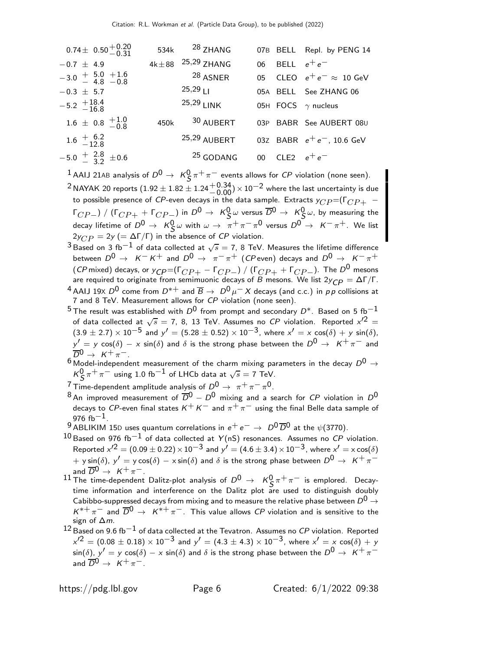| $0.74 \pm 0.50 \begin{array}{c} +0.20 \\ -0.31 \end{array}$ |      | 534k 28 ZHANG                |                  | 07B BELL Repl. by PENG 14       |
|-------------------------------------------------------------|------|------------------------------|------------------|---------------------------------|
| $-0.7 \pm 4.9$                                              |      | $4k \pm 88$ $^{25,29}$ ZHANG | 06 BELL $e^+e^-$ |                                 |
| $-3.0 + 5.0 + 1.6$<br>4.8 $-0.8$                            |      | <sup>28</sup> ASNER          |                  | 05 CLEO $e^+e^- \approx 10$ GeV |
| $-0.3 \pm 5.7$                                              |      | $25,29$                      |                  | 05A BELL See ZHANG 06           |
| $-5.2$ $+18.4$<br>-16.8                                     |      | $25,29$ LINK                 |                  | 05H FOCS $\gamma$ nucleus       |
| $1.6 \pm 0.8 \begin{array}{c} +1.0 \\ -0.8 \end{array}$     | 450k | 30 AUBERT                    |                  | 03P BABR See AUBERT 08U         |
| $1.6^{+6.2}_{-12.8}$                                        |      | 25,29 AUBERT                 |                  | 03Z BABR $e^+e^-$ , 10.6 GeV    |
| $-5.0 \frac{+}{-} \frac{2.8}{3.2} \pm 0.6$                  |      | <sup>25</sup> GODANG         | 00 CLE2 $e^+e^-$ |                                 |
|                                                             |      |                              |                  |                                 |

 $1$  AAIJ 21AB analysis of  $D^0 \rightarrow K_S^0 \pi^+ \pi^-$  events allows for  ${\it CP}$  violation (none seen).

<sup>2</sup> NAYAK 20 reports  $(1.92 \pm 1.82 \pm 1.24 \pm 0.34) \times 10^{-2}$  where the last uncertainty is due to possible presence of CP-even decays in the data sample. Extracts  $y_{CP} = (F_{CP +} \Gamma_{CP-})$  /  $(\Gamma_{CP+} + \Gamma_{CP-})$  in  $D^0 \rightarrow K^0_S \omega$  versus  $\overline{D}^0 \rightarrow K^0_S \omega$ , by measuring the decay lifetime of  $D^0 \to K^0_S \omega$  with  $\omega \to \pi^+ \pi^- \pi^0$  versus  $D^0 \to K^- \pi^+$ . We list  $2y_{CP} = 2y$  (= ΔΓ/Γ) in the absence of *CP* violation.

- $^3$ Based on 3 fb $^{-1}$  of data collected at  $\sqrt{s} = 7$ , 8 TeV. Measures the lifetime difference between  $D^0 \rightarrow K^- K^+$  and  $D^0 \rightarrow \pi^- \pi^+$  (CP even) decays and  $D^0 \rightarrow K^- \pi^+$ (CP mixed) decays, or  $y_{CP} = (\Gamma_{CP+} - \Gamma_{CP-}) / (\Gamma_{CP+} + \Gamma_{CP-})$ . The  $D^0$  mesons are required to originate from semimuonic decays of B mesons. We list  $2y_{\text{CP}} = \Delta \Gamma / \Gamma$ .
- 4 AAIJ 19X  $D^0$  come from  $D^{*+}$  and  $\overline{B} \to D^0 \mu^- X$  decays (and c.c.) in pp collisions at 7 and 8 TeV. Measurement allows for CP violation (none seen).
- $^5$ The result was established with  $D^0$  from prompt and secondary  $D^*$ . Based on 5 fb $^{-1}$ of data collected at  $\sqrt{s} =$  7, 8, 13 TeV. Assumes no CP violation. Reported  $x'^2 =$  $(3.9 \pm 2.7) \times 10^{-5}$  and  $y' = (5.28 \pm 0.52) \times 10^{-3}$ , where  $x' = x \cos(\delta) + y \sin(\delta)$ ,  $y' = y \cos(\delta) - x \sin(\delta)$  and  $\delta$  is the strong phase between the  $D^0 \rightarrow K^+ \pi^-$  and  $\overline{D}^0 \rightarrow K^+ \pi^-$ .
- $6 \text{ Model-independent measurement of the charm mixing parameters in the decay } D^0 \rightarrow 0$  $K^0_S \pi^+ \pi^-$  using 1.0 fb $^{-1}$  of LHCb data at  $\sqrt{s} = 7$  TeV.

<sup>7</sup> Time-dependent amplitude analysis of  $D^0 \rightarrow \pi^+ \pi^- \pi^0$ .

- 8 An improved measurement of  $\overline{D}^0 D^0$  mixing and a search for CP violation in  $D^0$ decays to CP-even final states  $K^+ K^-$  and  $\pi^+ \pi^-$  using the final Belle data sample of 976 fb $-1$ .
- 9 ABLIKIM 15D uses quantum correlations in  $e^+e^- \rightarrow D^0\overline{D}^0$  at the  $\psi$ (3770).
- $10$  Based on 976 fb<sup>-1</sup> of data collected at Y(nS) resonances. Assumes no CP violation. Reported  $x^{\prime2}=(0.09\pm0.22)\times10^{-3}$  and  $y^{\prime}=(4.6\pm3.4)\times10^{-3}$ , where  $x^{\prime}=\times\cos(\delta)$  $+$  y sin( $\delta$ ),  $y' = y \cos(\delta) - x \sin(\delta)$  and  $\delta$  is the strong phase between  $D^0 \rightarrow K^+ \pi^$ and  $\overline{D}^0 \rightarrow K^+ \pi^-$ .
- $^{11}$  The time-dependent Dalitz-plot analysis of  $D^0 \rightarrow \ \ \mathcal{K}^0_S \ \pi^+ \ \pi^-$  is emplored. Decaytime information and interference on the Dalitz plot are used to distinguish doubly Cabibbo-suppressed decays from mixing and to measure the relative phase between  $D^0\rightarrow$  $K^{*+}\pi^-$  and  $\overline{D}^0\to K^{*+}\pi^-$ . This value allows CP violation and is sensitive to the sign of ∆m.
- $^{12}$  Based on 9.6 fb $^{-1}$  of data collected at the Tevatron. Assumes no CP violation. Reported  $x'^2 = (0.08 \pm 0.18) \times 10^{-3}$  and  $y' = (4.3 \pm 4.3) \times 10^{-3}$ , where  $x' = x \cos(\delta) + y$  $\sin(\delta)$ ,  $y' = y \cos(\delta) - x \sin(\delta)$  and  $\delta$  is the strong phase between the  $D^0 \rightarrow K^+ \pi^$ and  $\overline{D}^0 \rightarrow K^+ \pi^-$ .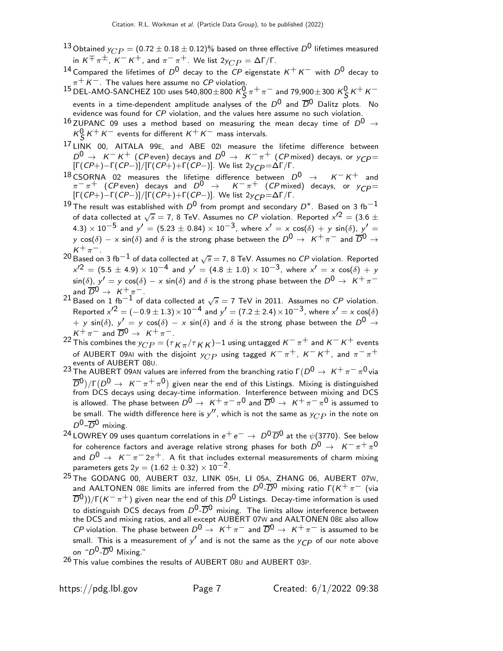- <sup>13</sup> Obtained  $y_{CP} = (0.72 \pm 0.18 \pm 0.12)\%$  based on three effective  $D^0$  lifetimes measured in  $K^{\pm} \pi^{\pm}$ ,  $K^{-} K^{+}$ , and  $\pi^{-} \pi^{+}$ . We list  $2y_{CP} = \Delta \Gamma / \Gamma$ .
- $^{14}$  Compared the lifetimes of  $D^0$  decay to the  ${\it CP}$  eigenstate  ${\it K}^+{\it K}^-$  with  $D^0$  decay to  $\pi^+$  K $^-$ . The values here assume no  ${\it CP}$  violation.
- $^{15}$  DEL-AMO-SANCHEZ 10D uses 540,800 $\pm$ 800  $K^0_S \pi^+ \pi^-$  and 79,900 $\pm$ 300  $K^0_S K^+ K^$ events in a time-dependent amplitude analyses of the  $D^0$  and  $\overline{D}^0$  Dalitz plots. No evidence was found for CP violation, and the values here assume no such violation.
- $^{16}$  ZUPANC 09 uses a method based on measuring the mean decay time of  $D^0$   $\rightarrow$  $K_S^0 K^+ K^-$  events for different  $K^+ K^-$  mass intervals.
- <sup>17</sup> LINK 00, AITALA 99E, and ABE 02I measure the lifetime difference between  $D^0 \rightarrow K^- K^+$  (CP even) decays and  $D^0 \rightarrow K^- \pi^+$  (CP mixed) decays, or  $y_{CD} =$  $[\Gamma(CP+) - \Gamma(CP-)]/[\Gamma(CP+) + \Gamma(CP-)].$  We list 2y<sub>CP</sub> = ΔΓ/Γ.
- <sup>18</sup> CSORNA 02 measures the lifetime difference between  $D^0 \rightarrow K^- K^+$  and  $\pi^-\pi^+$  (CP even) decays and  $D^0 \rightarrow K^-\pi^+$  (CP mixed) decays, or  $y_{\text{CP}} =$  $[\Gamma(CP+) - \Gamma(CP-)]/[\Gamma(CP+) + \Gamma(CP-)].$  We list 2y<sub>CP</sub> = ΔΓ/Γ.
- 19 The result was established with  $D^0$  from prompt and secondary  $D^*$ . Based on 3 fb<sup>-1</sup> of data collected at  $\sqrt{s} = 7$ , 8 TeV. Assumes no *CP* violation. Reported  $x'^2 = (3.6 \pm 1.5)$  $(4.3)\times 10^{-5}$  and  $y'=(5.23\pm 0.84)\times 10^{-3}$ , where  $x'=\times\cos(\delta)+y\,\sin(\delta)$ ,  $y'=\sin(\delta)$ y cos( $\delta$ ) – x sin( $\delta$ ) and  $\delta$  is the strong phase between the  $D^0 \to K^+ \pi^-$  and  $\overline{D}^0 \to$  $K^+\pi^-$ .
- $^{20}$ Based on 3 fb $^{-1}$  of data collected at  $\sqrt{s}$   $=$  7, 8 TeV. Assumes no  ${\it CP}$  violation. Reported  $x'^2 = (5.5 \pm 4.9) \times 10^{-4}$  and  $y' = (4.8 \pm 1.0) \times 10^{-3}$ , where  $x' = x \cos(\delta) + y$  $\sin(\delta)$ ,  $y' = y \cos(\delta) - x \sin(\delta)$  and  $\delta$  is the strong phase between the  $D^0 \rightarrow K^+ \pi^$ and  $\overline{D}^0 \rightarrow \ K^+ \pi^-$ .<br>21 Based on 1 fb $^{-1}$  of data collected at  $\sqrt{s}=7$  TeV in 2011. Assumes no *CP* violation.
- Reported  $x'^2 = (-0.9 \pm 1.3) \times 10^{-4}$  and  $y' = (7.2 \pm 2.4) \times 10^{-3}$ , where  $x' = x \cos(\delta)$  $+$  y sin( $\delta$ ),  $y' = y \cos(\delta) - x \sin(\delta)$  and  $\delta$  is the strong phase between the  $D^0 \rightarrow$  $K^+\pi^-$  and  $\overline{D}^0 \rightarrow K^+\pi^-$ .
- $^{22}$  This combines the  $y_{CP}^{}=$  ( $\tau_{K\pi}/\tau_{K\bar K}$ ) $-1$  using untagged  $K^-\pi^+$  and  $K^-\bar K^+$  events of AUBERT 09AI with the disjoint  $y_{CP}$  using tagged  $K^-\pi^+$ ,  $K^-K^+$ , and  $\pi^-\pi^+$ events of AUBERT 08U.
- <sup>23</sup> The AUBERT 09AN values are inferred from the branching ratio  $\Gamma(D^0 \rightarrow K^+ \pi^- \pi^0)$  via  $\overline{D}^{0}/\Gamma(D^{0} \rightarrow K^{-} \pi^{+} \pi^{0})$  given near the end of this Listings. Mixing is distinguished from DCS decays using decay-time information. Interference between mixing and DCS is allowed. The phase between  $D^0\to~$  K $^+\pi^-\pi^0$  and  $\overline{D}{}^0\to~$  K $^+\pi^-\pi^0$  is assumed to be small. The width difference here is  $y''$ , which is not the same as  $y_{CP}$  in the note on  $D^0$ – $\overline{D}^0$  mixing.
- <sup>24</sup> LOWREY 09 uses quantum correlations in  $e^+e^-$  →  $D^0\overline{D}^0$  at the  $\psi$ (3770). See below for coherence factors and average relative strong phases for both  $D^0\,\rightarrow\,\,\,$  K $^{-}\,\pi^{+}\,\pi^{0}$ and  $D^0 \rightarrow K^-\pi^- 2\pi^+$ . A fit that includes external measurements of charm mixing parameters gets  $2y = (1.62 \pm 0.32) \times 10^{-2}$ .
- <sup>25</sup> The GODANG 00, AUBERT 03Z, LINK 05H, LI 05A, ZHANG 06, AUBERT 07W, and AALTONEN 08E limits are inferred from the  $D^0$ - $\overline{D}^0$  mixing ratio  $\Gamma(K^+\pi^-)$  (via  $\overline{D}^0$ ))/Γ(K<sup>-</sup>π<sup>+</sup>) given near the end of this  $D^0$  Listings. Decay-time information is used to distinguish DCS decays from  $D^0$ - $\overline{D}^0$  mixing. The limits allow interference between the DCS and mixing ratios, and all except AUBERT 07W and AALTONEN 08E also allow CP violation. The phase between  $D^0 \rightarrow K^+ \pi^-$  and  $\overline{D}^0 \rightarrow K^+ \pi^-$  is assumed to be small. This is a measurement of  $y'$  and is not the same as the  $y_{\textit{CP}}$  of our note above on " $D^0$ - $\overline{D}{}^0$  Mixing."

 $26$  This value combines the results of AUBERT 080 and AUBERT 03P.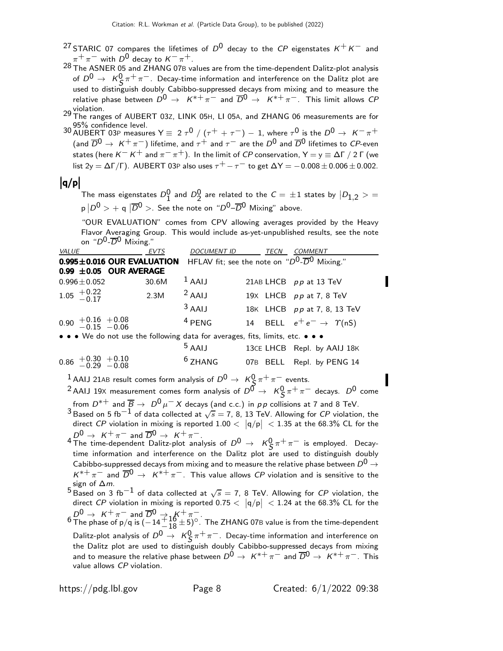- <sup>27</sup> STARIC 07 compares the lifetimes of  $D^0$  decay to the CP eigenstates  $K^+ K^-$  and  $\pi^+ \pi^-$  with  $D^0$  decay to  $K^- \pi^+$ .
- $28 \text{ m}^2$   $\text{m}^2$  ASNER 05 and ZHANG 07B values are from the time-dependent Dalitz-plot analysis of  $D^0 \to K^0_S \pi^+ \pi^-$ . Decay-time information and interference on the Dalitz plot are used to distinguish doubly Cabibbo-suppressed decays from mixing and to measure the relative phase between  $D^0 \rightarrow K^{*+} \pi^-$  and  $\overline{D}^0 \rightarrow K^{*+} \pi^-$ . This limit allows  $CP$

29 Violation.<br>29 The ranges of AUBERT 03Z, LINK 05H, LI 05A, and ZHANG 06 measurements are for<br>29 S% confidence level.

30 AUBERT 03P measures Y  $\equiv 2 \tau^0 / (\tau^+ + \tau^-) - 1$ , where  $\tau^0$  is the  $D^0 \rightarrow K^- \pi^+$ (and  $\overline{D}^0 \to K^+ \pi^-$ ) lifetime, and  $\tau^+$  and  $\tau^-$  are the  $D^0$  and  $\overline{D}^0$  lifetimes to CP-even states (here  $K^- K^+$  and  $\pi^- \pi^+$ ). In the limit of CP conservation,  $Y = y \equiv \Delta \Gamma / 2 \Gamma$  (we list 2y =  $\Delta \Gamma / \Gamma$ ). AUBERT 03P also uses  $\tau^+ - \tau^-$  to get  $\Delta Y = -0.008 \pm 0.006 \pm 0.002$ .

# $|q/p|$

The mass eigenstates  $D_1^0$  and  $D_2^0$  are related to the  $C=\,\pm 1$  states by  $\ket{D_{1,2}}>=0$  $p | D^0 > +$  q  $|\overline{D}^0 >$ . See the note on " $D^0$ – $\overline{D}{}^0$  Mixing" above.

"OUR EVALUATION" comes from CPV allowing averages provided by the Heavy Flavor Averaging Group. This would include as-yet-unpublished results, see the note on " $D^0$ - $\overline{D}^0$  Mixing."

value allows CP violation.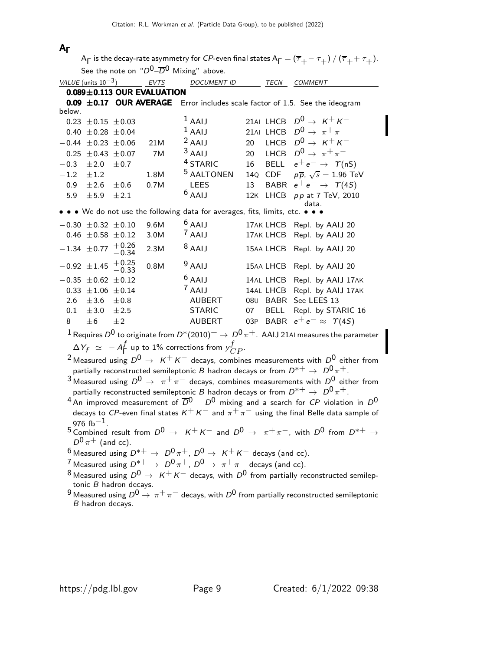#### AΓ

 ${\sf A}_{\sf \Gamma}$  is the decay-rate asymmetry for  $C P$ -even final states  ${\sf A}_{\sf \Gamma}=(\overline{\tau}_+-\tau_+)$  /  $(\overline{\tau}_++\tau_+).$ 

See the note on " $D^0$ - $\overline{D}^0$  Mixing" above.

|                  | VALUE (units $10^{-3}$ )  |                             | EVTS                             | <b>DOCUMENT ID</b>                                                        |    | TECN        | <b>COMMENT</b>                                                                                       |
|------------------|---------------------------|-----------------------------|----------------------------------|---------------------------------------------------------------------------|----|-------------|------------------------------------------------------------------------------------------------------|
|                  |                           |                             | $0.089 \pm 0.113$ OUR EVALUATION |                                                                           |    |             |                                                                                                      |
|                  |                           | $0.09 \pm 0.17$ OUR AVERAGE |                                  |                                                                           |    |             | Error includes scale factor of 1.5. See the ideogram                                                 |
| below.           |                           |                             |                                  |                                                                           |    |             |                                                                                                      |
|                  | $0.23 \pm 0.15 \pm 0.03$  |                             |                                  | $1$ AAIJ                                                                  |    |             | 21AI LHCB $D^0 \rightarrow K^+ K^-$                                                                  |
|                  | $0.40 \pm 0.28 \pm 0.04$  |                             |                                  | $1$ AAIJ                                                                  |    |             | 21AI LHCB $D^0 \rightarrow \pi^+\pi^-$                                                               |
|                  | $-0.44 \pm 0.23 \pm 0.06$ |                             | 21M                              | $2$ AAIJ                                                                  | 20 |             | LHCB $D^0 \rightarrow K^+ K^-$                                                                       |
|                  | $0.25 \pm 0.43 \pm 0.07$  |                             | 7M                               | $3$ AAIJ                                                                  | 20 |             | LHCB $D^0 \rightarrow \pi^+\pi^-$                                                                    |
| $-0.3$           | ±2.0                      | $\pm 0.7$                   |                                  | <sup>4</sup> STARIC                                                       | 16 |             | BELL $e^+e^- \rightarrow \Upsilon(nS)$                                                               |
| $-1.2$           | $\pm 1.2$                 |                             | 1.8M                             | <sup>5</sup> AALTONEN                                                     |    |             | 14Q CDF $p\overline{p}$ , $\sqrt{s} = 1.96$ TeV                                                      |
| 0.9 <sub>0</sub> | ±2.6                      | $\pm 0.6$                   | 0.7M                             | <b>LEES</b>                                                               | 13 |             | BABR $e^+e^- \rightarrow \Upsilon(4S)$                                                               |
| $-5.9$           | ± 5.9                     | $\pm 2.1$                   |                                  | $6$ AAIJ                                                                  |    | 12K LHCB    | pp at 7 TeV, 2010                                                                                    |
|                  |                           |                             |                                  | • • • We do not use the following data for averages, fits, limits, etc. • |    |             | data.                                                                                                |
|                  |                           |                             |                                  |                                                                           |    |             |                                                                                                      |
|                  | $-0.30 \pm 0.32 \pm 0.10$ |                             | 9.6M                             | $6$ AAIJ                                                                  |    |             | 17AK LHCB Repl. by AAIJ 20                                                                           |
|                  | $0.46 \pm 0.58 \pm 0.12$  |                             | 3.0M                             | $7$ AAIJ                                                                  |    | 17AK LHCB   | Repl. by AAIJ 20                                                                                     |
|                  | $-1.34 \pm 0.77$          | $+0.26$<br>-0.34            | 2.3M                             | $8$ AAIJ                                                                  |    |             | 15AA LHCB Repl. by AAIJ 20                                                                           |
|                  | $-0.92 \pm 1.45$          | $+0.25$<br>-0.33            | 0.8M                             | $9$ AAIJ                                                                  |    |             | 15AA LHCB Repl. by AAIJ 20                                                                           |
|                  | $-0.35 \pm 0.62 \pm 0.12$ |                             |                                  | $6$ AAIJ                                                                  |    |             | 14AL LHCB Repl. by AAIJ 17AK                                                                         |
|                  | $0.33 \pm 1.06 \pm 0.14$  |                             |                                  | $7$ AAIJ                                                                  |    | 14AL LHCB   | Repl. by AAIJ 17AK                                                                                   |
| 2.6              | ±3.6                      | $\pm 0.8$                   |                                  | <b>AUBERT</b>                                                             |    |             | 080 BABR See LEES 13                                                                                 |
| 0.1              | ± 3.0                     | ±2.5                        |                                  | <b>STARIC</b>                                                             | 07 | <b>BELL</b> | Repl. by STARIC 16                                                                                   |
| 8                | ±6                        | ±2                          |                                  | <b>AUBERT</b>                                                             |    | 03P BABR    | $e^+e^- \approx \Upsilon(4S)$                                                                        |
|                  |                           |                             |                                  |                                                                           |    |             | $^1$ Requires $D^0$ to originate from $D^*(2010)^+\to D^0\,\pi^+$ . AAIJ 21AI measures the parameter |
|                  |                           |                             |                                  | $\Delta Y_f \simeq -A_\Gamma^f$ up to 1% corrections from $y_{CP}^f$ .    |    |             |                                                                                                      |
|                  |                           |                             |                                  |                                                                           |    |             |                                                                                                      |

<sup>2</sup> Measured using  $D^0 \rightarrow K^+ K^-$  decays, combines measurements with  $D^0$  either from partially reconstructed semileptonic B hadron decays or from  $D^{*+} \rightarrow D^0 \pi^+$ .

3 Measured using  $D^0 \rightarrow \pi^+ \pi^-$  decays, combines measurements with  $D^0$  either from partially reconstructed semileptonic B hadron decays or from  $D^{*+} \rightarrow D^0 \pi^+$ .

- 4 An improved measurement of  $\overline{D}^0 D^0$  mixing and a search for CP violation in  $D^0$ decays to CP-even final states  $K^+ K^-$  and  $\pi^+ \pi^-$  using the final Belle data sample of 976  $fb^{-1}$ .
- $5$  Combined result from  $D^0 \rightarrow K^+ K^-$  and  $D^0 \rightarrow \pi^+ \pi^-$ , with  $D^0$  from  $D^{*+} \rightarrow$  $D^0\pi^+$  (and cc).

6 Measured using  $D^{*+} \rightarrow D^0 \pi^+$ ,  $D^0 \rightarrow K^+ K^-$  decays (and cc).

- 7 Measured using  $D^{*+} \rightarrow D^0 \pi^+$ ,  $D^0 \rightarrow \pi^+ \pi^-$  decays (and cc).
- 8 Measured using  $D^0 \rightarrow K^+ K^-$  decays, with  $D^0$  from partially reconstructed semileptonic B hadron decays.
- 9 Measured using  $D^0 \rightarrow \pi^+\pi^-$  decays, with  $D^0$  from partially reconstructed semileptonic B hadron decays.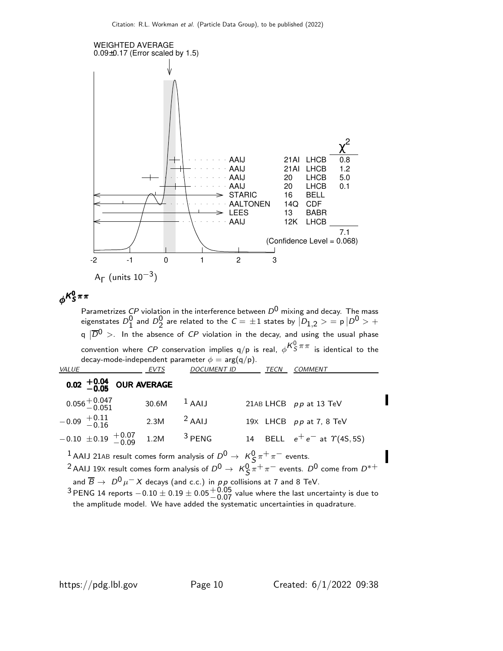

$$
\phi^{K^0_S \pi \pi}
$$

Parametrizes  ${\it CP}$  violation in the interference between  ${\it D}^0$  mixing and decay. The mass eigenstates  $D_1^0$  and  $D_2^0$  are related to the  ${\cal C}=\pm 1$  states by  $|\bar D_{1,2}>$   $=$  p  $|D^0>$   $+$ q  $|\overline{D}{}^0>$  . In the absence of  $CP$  violation in the decay, and using the usual phase convention where  $C P$  conservation implies q/p is real,  $\phi^{ {\cal K}^0_S \, \pi \, \pi }$  is identical to the decay-mode-independent parameter  $\phi = \arg(q/p)$ .

| <i>VALUE</i>                                                                                     | <b>EVTS</b> | <i>DOCUMENT ID</i>          | TECN | <b>COMMENT</b>                                                                                                           |
|--------------------------------------------------------------------------------------------------|-------------|-----------------------------|------|--------------------------------------------------------------------------------------------------------------------------|
| 0.02 $+0.04$ OUR AVERAGE                                                                         |             |                             |      |                                                                                                                          |
| $0.056^{+0.047}_{-0.051}$                                                                        | 30.6M       | $1$ AAIJ                    |      | 21AB LHCB pp at 13 TeV                                                                                                   |
| $-0.09$ $+0.11$<br>$-0.16$                                                                       | 2.3M        | $2$ AAIJ                    |      | 19X LHCB pp at 7, 8 TeV                                                                                                  |
| $-0.10 \pm 0.19 + 0.07 \over -0.09$ 1.2M                                                         |             | $3$ PENG                    |      | 14 BELL $e^+e^-$ at $\Upsilon(45, 55)$                                                                                   |
| <sup>1</sup> AAIJ 21AB result comes form analysis of $D^0 \rightarrow K^0_S \pi^+ \pi^-$ events. |             |                             |      |                                                                                                                          |
|                                                                                                  |             |                             |      | <sup>2</sup> AAIJ 19X result comes form analysis of $D^0 \rightarrow K^0_S \pi^+ \pi^-$ events. $D^0$ come from $D^{*+}$ |
| and $\overline{B} \to D^0 \mu^- X$ decays (and c.c.) in pp collisions at 7 and 8 TeV.            |             | $\sim$ $\sim$ $\sim$ $\sim$ |      |                                                                                                                          |

<sup>3</sup> PENG 14 reports  $-0.10 \pm 0.19 \pm 0.05 {+0.05 \atop -0.07}$  value where the last uncertainty is due to the amplitude model. We have added the systematic uncertainties in quadrature.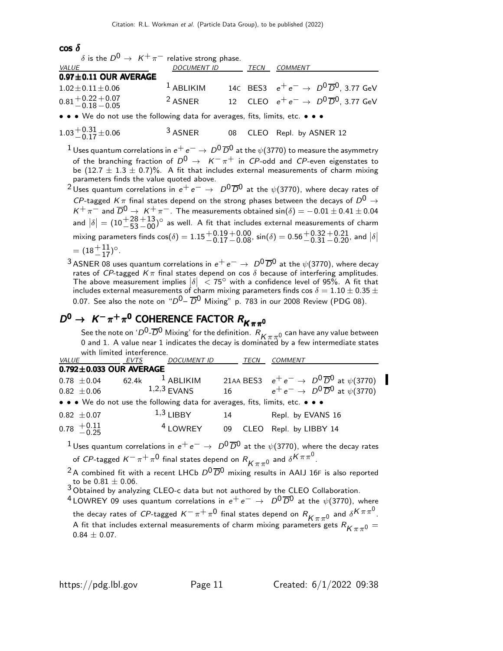#### cos δ

| $\delta$ is the $D^0 \rightarrow K^+ \pi^-$ relative strong phase.            |                    |      |                                                           |
|-------------------------------------------------------------------------------|--------------------|------|-----------------------------------------------------------|
| VALUE                                                                         | <b>DOCUMENT ID</b> | TECN | COMMENT                                                   |
| $0.97 \pm 0.11$ OUR AVERAGE                                                   |                    |      |                                                           |
| $1.02 \pm 0.11 \pm 0.06$                                                      | $1$ ABLIKIM        |      | 14C BES3 $e^+e^- \to D^0\overline{D}^0$ , 3.77 GeV        |
| $0.81 + 0.22 + 0.07$<br>$-0.18 - 0.05$                                        | $2$ ASNER          |      | 12 CLEO $e^+e^- \rightarrow D^0\overline{D}^0$ , 3.77 GeV |
| • • • We do not use the following data for averages, fits, limits, etc. • • • |                    |      |                                                           |
|                                                                               |                    |      |                                                           |

$$
1.03^{+0.31}_{-0.17} \pm 0.06
$$
 <sup>3</sup> ASNER 08 CLEO Repl. by ASNER 12

<sup>1</sup> Uses quantum correlations in  $e^+e^-\rightarrow D^0\overline{D}^0$  at the  $\psi$ (3770) to measure the asymmetry of the branching fraction of  $D^0 \rightarrow K^-\pi^+$  in CP-odd and CP-even eigenstates to be  $(12.7 \pm 1.3 \pm 0.7)\%$ . A fit that includes external measurements of charm mixing parameters finds the value quoted above.

<sup>2</sup> Uses quantum correlations in  $e^+e^- \rightarrow D^0\overline{D}^0$  at the  $\psi$ (3770), where decay rates of  ${\it CP}$ -tagged  ${\it K}\,\pi$  final states depend on the strong phases between the decays of  ${\it D}^{0}\rightarrow$  $K^+\pi^-$  and  $\overline{D}^0 \rightarrow K^+\pi^-$ . The measurements obtained sin( $\delta$ ) = -0.01  $\pm$  0.41  $\pm$  0.04 and  $|\delta| = (10 + \frac{28}{53})$  $^{+13}_{-00}$ <sup>o</sup> as well. A fit that includes external measurements of charm mixing parameters finds  $\cos(\delta) = 1.15 {+0.19 \atop -0.17}$  $+0.00$  sin( $\delta$ ) = 0.56 $+0.32$ <br>-0.08, sin( $\delta$ ) = 0.56 $+0.31$  $\begin{array}{c} +0.21 \\ -0.20 \end{array}$ , and  $\begin{array}{c} \left| \delta \right| \end{array}$  $=(18+11/2)$ °.

<sup>3</sup> ASNER 08 uses quantum correlations in  $e^+e^-\rightarrow D^0\overline{D}^0$  at the  $\psi$ (3770), where decay rates of *CP*-tagged  $K\pi$  final states depend on cos  $\delta$  because of interfering amplitudes. The above measurement implies  $|\delta| < 75^\circ$  with a confidence level of 95%. A fit that includes external measurements of charm mixing parameters finds cos  $\delta = 1.10 \pm 0.35 \pm 0.35$ 0.07. See also the note on " $D^0$ –  $\overline{D}^0$  Mixing" p. 783 in our 2008 Review (PDG 08).

## $D^0 \rightarrow K^- \pi^+ \pi^0$  COHERENCE FACTOR  $R_{K \pi \pi^0}$

See the note on ' $D^0$ - $\overline{D}^0$  Mixing' for the definition.  $R_{K\pi\pi^0}$  can have any value between 0 and 1. A value near 1 indicates the decay is dominated by a few intermediate states with limited interference.

| <i>VALUE</i>                  | EVTS  | <b>DOCUMENT ID</b>                                                            |    | TECN | <b>COMMENT</b>                                           |
|-------------------------------|-------|-------------------------------------------------------------------------------|----|------|----------------------------------------------------------|
| $0.792 \pm 0.033$ OUR AVERAGE |       |                                                                               |    |      |                                                          |
| $0.78 \pm 0.04$               | 62.4k | $^1$ ABLIKIM                                                                  |    |      | 21AA BES3 $e^+e^- \to D^0\overline{D}^0$ at $\psi(3770)$ |
| $0.82 \pm 0.06$               |       | $1,2,3$ FVANS                                                                 | 16 |      | $e^+e^- \rightarrow D^0\overline{D}^0$ at $\psi$ (3770)  |
|                               |       | • • • We do not use the following data for averages, fits, limits, etc. • • • |    |      |                                                          |
| $0.82 \pm 0.07$               |       | $1,3$ LIBBY                                                                   | 14 |      | Repl. by EVANS 16                                        |
| $0.78 \t + 0.11 \t - 0.25$    |       | <sup>4</sup> LOWREY                                                           | 09 | CLEO | Repl. by LIBBY 14                                        |

<sup>1</sup> Uses quantum correlations in  $e^+e^- \rightarrow D^0\overline{D}^0$  at the  $\psi(3770)$ , where the decay rates

of CP-tagged  $K^-\pi^+\pi^0$  final states depend on  $R^{}_{K\pi\pi^0}$  and  $\delta^{K\pi\pi^0}.$ 

<sup>2</sup> A combined fit with a recent LHCb  $D^0\overline{D}^0$  mixing results in AAIJ 16F is also reported to be 0.81  $\pm$  0.06. to be 0.81  $\pm$  0.06.<br><sup>3</sup> Obtained by analyzing CLEO-c data but not authored by the CLEO Collaboration.

<sup>4</sup> LOWREY 09 uses quantum correlations in  $e^+e^- \rightarrow D^0\overline{D}^0$  at the  $\psi$ (3770), where the decay rates of CP-tagged  $K^-\pi^+\pi^0$  final states depend on  $R_{K\pi\pi^0}$  and  $\delta^{K\pi\pi^0}$ . A fit that includes external measurements of charm mixing parameters gets  $R_{K\pi\pi^0} =$  $0.84 \pm 0.07$ .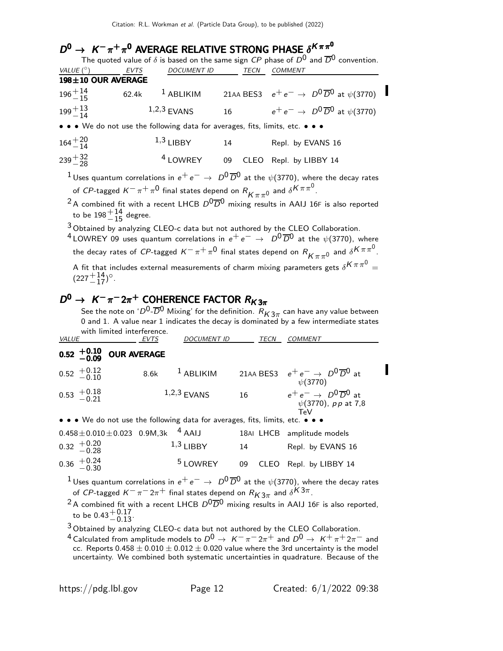## $D^0 \rightarrow K^- \pi^+ \pi^0$  AVERAGE RELATIVE STRONG PHASE  $\delta^{K \pi \pi^0}$

| The quoted value of $\delta$ is based on the same sign CP phase of $D^0$ and $\overline{D}{}^0$ convention. |             |                                                                                               |      |                                                                                                                              |  |  |  |
|-------------------------------------------------------------------------------------------------------------|-------------|-----------------------------------------------------------------------------------------------|------|------------------------------------------------------------------------------------------------------------------------------|--|--|--|
| VALUE $(^\circ)$                                                                                            | <b>EVTS</b> | <b>DOCUMENT ID</b>                                                                            | TECN | <b>COMMENT</b>                                                                                                               |  |  |  |
| 198±10 OUR AVERAGE                                                                                          |             |                                                                                               |      |                                                                                                                              |  |  |  |
| $196 + 14$                                                                                                  |             | 62.4k $1$ ABLIKIM                                                                             |      | 21AA BES3 $e^+e^- \to D^0\overline{D}^0$ at $\psi$ (3770)                                                                    |  |  |  |
| $199 + 13$                                                                                                  |             | $1,2,3$ EVANS                                                                                 |      | $e^+e^- \rightarrow D^0\overline{D}^0$ at $\psi$ (3770)                                                                      |  |  |  |
|                                                                                                             |             | • • • We do not use the following data for averages, fits, limits, etc. • • •                 |      |                                                                                                                              |  |  |  |
| $164^{+20}_{-14}$                                                                                           |             | $1,3$ LIBBY                                                                                   | 14   | Repl. by EVANS 16                                                                                                            |  |  |  |
| $239 + \frac{32}{28}$                                                                                       |             | <sup>4</sup> LOWREY                                                                           | 09   | CLEO Repl. by LIBBY 14                                                                                                       |  |  |  |
|                                                                                                             |             |                                                                                               |      | <sup>1</sup> Uses quantum correlations in $e^+e^-\rightarrow\ D^0\overline{D}^0$ at the $\psi(3770)$ , where the decay rates |  |  |  |
|                                                                                                             |             | of CP-tagged $K^-\pi^+\pi^0$ final states depend on $R_{K^-\pi^0}$ and $\delta^{K\pi\pi^0}$ . |      |                                                                                                                              |  |  |  |
|                                                                                                             |             |                                                                                               |      | <sup>2</sup> A combined fit with a recent LHCB $D^0\overline{D}^0$ mixing results in AAIJ 16F is also reported               |  |  |  |
| to be $198^{+14}_{-15}$ degree.                                                                             |             |                                                                                               |      |                                                                                                                              |  |  |  |
|                                                                                                             |             |                                                                                               |      | $3$ Obtained by analyzing CLEO-c data but not authored by the CLEO Collaboration.                                            |  |  |  |

 $^4$ LOWREY 09 uses quantum correlations in  $e^+ \, e^- \, \rightarrow \; \, D^0 \, \overline{D}{}^0$  at the  $\psi(3770)$ , where the decay rates of  $C$ P-tagged  $K^-\pi^+\pi^0$  final states depend on  $R^{}_{K\pi\pi^0}$  and  $\delta^{K\pi\pi^0}.$ A fit that includes external measurements of charm mixing parameters gets  $\delta^{K\,\pi\,\pi^0}=$  $(227 + 14)^\circ$ .

## $D^0 \rightarrow K^- \pi^- 2\pi^+$  COHERENCE FACTOR  $R_{K3\pi}$

See the note on ' $D^0\hbox{-}\overline{D}{}^0$  Mixing' for the definition.  $R_{\mathcal{K} 3\pi}$  can have any value between 0 and 1. A value near 1 indicates the decay is dominated by a few intermediate states with limited interference.

| <i>VALUE</i>                                       | <b>EVTS</b>                                                                   | <b>DOCUMENT ID</b>      | TECN | <i>COMMENT</i>                                                                               |  |
|----------------------------------------------------|-------------------------------------------------------------------------------|-------------------------|------|----------------------------------------------------------------------------------------------|--|
| $0.52 \begin{array}{c} +0.10 \\ -0.09 \end{array}$ | <b>OUR AVERAGE</b>                                                            |                         |      |                                                                                              |  |
| $0.52 \begin{array}{c} +0.12 \\ -0.10 \end{array}$ | 8.6k                                                                          | $1$ ABLIKIM             |      | 21AA BES3 $e^+e^- \rightarrow D^0\overline{D}^0$ at<br>$\psi(3770)$                          |  |
| $0.53 \begin{array}{c} +0.18 \\ -0.21 \end{array}$ |                                                                               | $1,2,3$ FVANS           | 16   | $e^+e^- \rightarrow D^0\overline{D}{}^0$ at<br>$\psi(3770)$ , pp at 7,8<br>$T_{\mathsf{P}}V$ |  |
|                                                    | • • • We do not use the following data for averages, fits, limits, etc. • • • |                         |      |                                                                                              |  |
| $0.32 \begin{array}{c} +0.20 \\ -0.28 \end{array}$ | $0.458 \pm 0.010 \pm 0.023$ 0.9M,3k                                           | $4$ AAIJ<br>$1,3$ LIBBY | 14   | 18AI LHCB amplitude models<br>Repl. by EVANS 16                                              |  |

$$
0.36 \, \begin{array}{l} +0.24 \\ -0.30 \end{array} \qquad \qquad 5 \, \text{LOWREV} \qquad \text{09} \quad \text{CLEO} \quad \text{Repl. by LIBBY 14}
$$

<sup>1</sup>Uses quantum correlations in  $e^+e^-$  →  $D^0\overline{D}^0$  at the  $\psi$ (3770), where the decay rates of CP-tagged  $K^-\pi^-2\pi^+$  final states depend on  $R_{K3\pi}$  and  $\delta^{K3\pi}.$ 

<sup>2</sup> A combined fit with a recent LHCB  $D^0\overline{D}^0$  mixing results in AAIJ 16F is also reported, to be  $0.43^{+0.17}_{-0.13}$ .

3 Obtained by analyzing CLEO-c data but not authored by the CLEO Collaboration.

<sup>4</sup> Calculated from amplitude models to  $D^0 \rightarrow K^-\pi^- 2\pi^+$  and  $D^0 \rightarrow K^+\pi^+ 2\pi^-$  and cc. Reports  $0.458 \pm 0.010 \pm 0.012 \pm 0.020$  value where the 3rd uncertainty is the model uncertainty. We combined both systematic uncertainties in quadrature. Because of the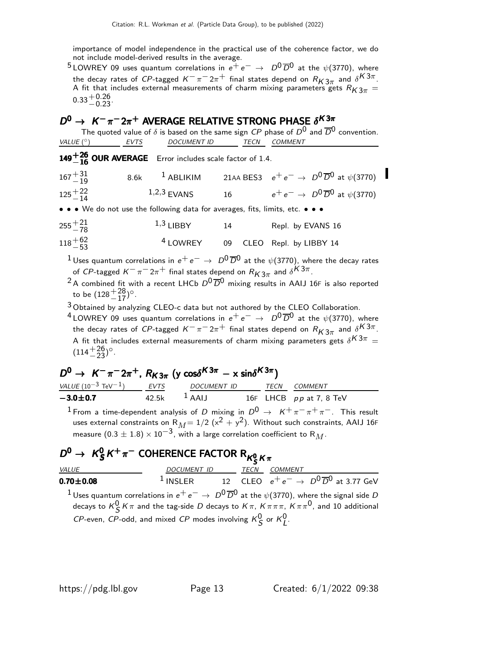importance of model independence in the practical use of the coherence factor, we do not include model-derived results in the average.

<sup>5</sup> LOWREY 09 uses quantum correlations in  $e^+e^- \rightarrow D^0\overline{D}^0$  at the  $\psi$ (3770), where the decay rates of CP-tagged  $K^-\pi^-2\pi^+$  final states depend on  $R_{K3\pi}$  and  $\delta^{K3\pi}.$ A fit that includes external measurements of charm mixing parameters gets  $R_{K3\pi} =$  $0.33 + 0.26$ <br>-0.23

### $D^0 \rightarrow K^- \pi^- 2\pi^+$  AVERAGE RELATIVE STRONG PHASE  $\delta^{K3\pi}$

| The quoted value of $\delta$ is based on the same sign CP phase of $D^0$ and $\overline{D}^0$ convention. |      |                                                                               |    |                      |                                                                  |  |  |
|-----------------------------------------------------------------------------------------------------------|------|-------------------------------------------------------------------------------|----|----------------------|------------------------------------------------------------------|--|--|
| VALUE $(^\circ)$                                                                                          | EVTS | <i>DOCUMENT ID</i>                                                            |    | TECN                 | <i>COMMENT</i>                                                   |  |  |
|                                                                                                           |      | 149 $^{+26}_{-16}$ OUR AVERAGE Error includes scale factor of 1.4.            |    |                      |                                                                  |  |  |
| $167 + 31$                                                                                                |      | 8.6k $1$ ABLIKIM                                                              |    |                      | 21AA BES3 $e^+e^- \rightarrow D^0\overline{D}^0$ at $\psi(3770)$ |  |  |
| $125 + 22$                                                                                                |      | $1,2,3$ EVANS                                                                 |    | $16 \quad \text{or}$ | $e^+e^- \rightarrow D^0\overline{D}^0$ at $\psi$ (3770)          |  |  |
|                                                                                                           |      | • • • We do not use the following data for averages, fits, limits, etc. • • • |    |                      |                                                                  |  |  |
| $255 + \frac{21}{78}$                                                                                     |      | $1,3$ LIBBY                                                                   | 14 |                      | Repl. by EVANS 16                                                |  |  |
| $118 + 62$                                                                                                |      | <sup>4</sup> LOWREY 09                                                        |    |                      | CLEO Repl. by LIBBY 14                                           |  |  |
|                                                                                                           |      |                                                                               |    |                      |                                                                  |  |  |

<sup>1</sup>Uses quantum correlations in  $e^+e^-$  →  $D^0\overline{D}^0$  at the  $\psi$ (3770), where the decay rates of CP-tagged  $K^-\pi^-2\pi^+$  final states depend on  $R_{K3\pi}$  and  $\delta^{K3\pi}.$ 

- <sup>2</sup> A combined fit with a recent LHCb  $D^0\overline{D}^0$  mixing results in AAIJ 16F is also reported to be  $(128 + \frac{28}{17})^{\circ}$ .
- $3$  Obtained by analyzing CLEO-c data but not authored by the CLEO Collaboration.
- <sup>4</sup> LOWREY 09 uses quantum correlations in  $e^+e^- \rightarrow D^0\overline{D}^0$  at the  $\psi$ (3770), where the decay rates of CP-tagged  $K^-\pi^-2\pi^+$  final states depend on  $R_{K3\pi}$  and  $\delta^{K3\pi}.$ A fit that includes external measurements of charm mixing parameters gets  $\delta^{K3\pi} =$  $(114 + \frac{26}{23})^{\circ}$ .

## $D^0 \rightarrow K^-\pi^- 2\pi^+$ ,  $R_{K3\pi}$  (y cos $\delta^{K3\pi}$  – x sin $\delta^{K3\pi}$ )

| <i>VALUE</i> (10 <sup>-3</sup> TeV <sup>-1</sup> ) | EVTS  | <i>DOCUMENT ID</i>  | <b>TFCN</b> | <i>COMMENT</i>            |
|----------------------------------------------------|-------|---------------------|-------------|---------------------------|
| $-3.0 \pm 0.7$                                     | 42.5k | $\overline{A}$ AAIJ |             | 16F LHCB $pp$ at 7, 8 TeV |

 $1$  From a time-dependent analysis of D mixing in  $D^{0} \rightarrow$   $K^{+}\pi^{-}\pi^{+}\pi^{-}$ . This result uses external constraints on  $R_M = 1/2$  ( $x^2 + y^2$ ). Without such constraints, AAIJ 16F measure  $(0.3 \pm 1.8) \times 10^{-3}$ , with a large correlation coefficient to R<sub>M</sub>.

#### $D^0 \rightarrow K^0_S$  $\mathcal{D}^0\rightarrow\;\mathcal{K}^0_S\mathcal{K}^+\pi^-$  COHERENCE FACTOR  $\mathsf{R}_{\mathcal{K}^0_S\mathcal{K}\pi}$  $\mathcal{D}^0\rightarrow\ \mathcal{K}^0_{\mathcal{S}}\mathcal{K}^+\pi^-$  COHERENCE FACTOR  $\mathsf{R}_{\mathcal{K}^0_{\mathcal{S}}\mathcal{K}\pi}$

| <i>VALUE</i>                                                                                                                  | DOCUMENT ID                                                                    | TECN | COMMENT |  |
|-------------------------------------------------------------------------------------------------------------------------------|--------------------------------------------------------------------------------|------|---------|--|
| $0.70 \pm 0.08$                                                                                                               | <sup>1</sup> INSLER 12 CLEO $e^+e^- \rightarrow D^0\overline{D}^0$ at 3.77 GeV |      |         |  |
| <sup>1</sup> Uses quantum correlations in $e^+e^-\rightarrow D^0\overline{D}^0$ at the $\psi$ (3770), where the signal side D |                                                                                |      |         |  |
| decays to $K^0_S K \pi$ and the tag-side D decays to $K \pi$ , $K \pi \pi \pi$ , $K \pi \pi^0$ , and 10 additional            |                                                                                |      |         |  |
| CP-even, CP-odd, and mixed CP modes involving $K_S^0$ or $K_I^0$ .                                                            |                                                                                |      |         |  |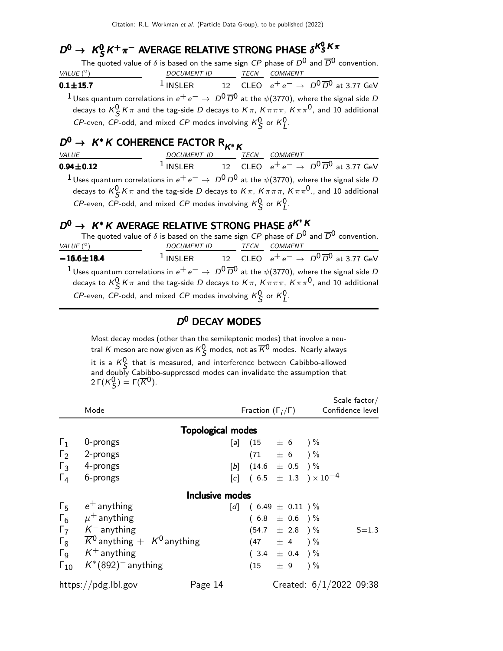## $D^0 \rightarrow K_S^0 K^+ \pi^-$  AVERAGE RELATIVE STRONG PHASE  $\delta^{K_S^0 K \pi}$

S S S S The quoted value of δ is based on the same sign CP phase of D0 and D0 convention. VALUE  $(^\circ)$ ◦) DOCUMENT ID TECN COMMENT  $0.1 + 15.7$ 1 INSLER 12 CLEO  $e^+e^- \rightarrow D^0\overline{D}^0$  at 3.77 GeV  $1$  Uses quantum correlations in  $e^+e^-\rightarrow\ D^0\overline{D}{}^0$  at the  $\psi(3770)$ , where the signal side  $D$ decays to  $\kappa_S^0\, \kappa\, \pi$  and the tag-side  $D$  decays to  $\kappa\, \pi,\, \kappa\, \pi\, \pi,\, \kappa\, \pi\, \pi^0,$  and 10 additional

CP-even, CP-odd, and mixed CP modes involving  $K_S^0$  or  $K_L^0$ .

## $D^0 \rightarrow K^*K$  COHERENCE FACTOR  $R_{K^*K}$

| <i>VALUE</i>                                                                                                                                                                                                                                         | DOCUMENT ID | <b>TECN</b> | <i>COMMENT</i> |                                                                                |  |
|------------------------------------------------------------------------------------------------------------------------------------------------------------------------------------------------------------------------------------------------------|-------------|-------------|----------------|--------------------------------------------------------------------------------|--|
| $0.94 \pm 0.12$                                                                                                                                                                                                                                      |             |             |                | <sup>1</sup> INSLER 12 CLEO $e^+e^- \rightarrow D^0\overline{D}^0$ at 3.77 GeV |  |
| <sup>1</sup> Uses quantum correlations in $e^+e^-\rightarrow D^0\overline{D}^0$ at the $\psi$ (3770), where the signal side D<br>decays to $K^0_S K \pi$ and the tag-side D decays to $K \pi$ , $K \pi \pi \pi$ , $K \pi \pi^0$ ., and 10 additional |             |             |                |                                                                                |  |
| CP-even, CP-odd, and mixed CP modes involving $K_S^0$ or $K_I^0$ .                                                                                                                                                                                   |             |             |                |                                                                                |  |

# $D^0 \rightarrow K^*K$  AVERAGE RELATIVE STRONG PHASE  $\delta^{K^*K}$

|                                                                |             |             | The quoted value of $\delta$ is based on the same sign CP phase of $D^0$ and $\overline{D}^0$ convention.                   |
|----------------------------------------------------------------|-------------|-------------|-----------------------------------------------------------------------------------------------------------------------------|
| VALUE $(^\circ)$                                               | DOCUMENT ID | <b>TECN</b> | COMMENT                                                                                                                     |
| $-16.6 \pm 18.4$                                               |             |             | <sup>1</sup> INSLER 12 CLEO $e^+e^- \rightarrow D^0\overline{D}^0$ at 3.77 GeV                                              |
|                                                                |             |             | $^{-1}$ Uses quantum correlations in $e^+e^-\rightarrow\,D^0\overline{D}{}^0$ at the $\psi(3770)$ , where the signal side D |
| CP-even, CP-odd, and mixed CP modes involving $K0S$ or $K0I$ . |             |             | decays to $K^0_S K \pi$ and the tag-side D decays to $K \pi$ , $K \pi \pi \pi$ , $K \pi \pi^0$ , and 10 additional          |

### D<sup>0</sup> DECAY MODES

Most decay modes (other than the semileptonic modes) that involve a neutral  $K$  meson are now given as  $K^0_{\mathcal{S}}$  modes, not as  $\overline{K}{}^0$  modes. Nearly always it is a  $K^0$  that is measured, and interference between Cabibbo-allowed and doubly Cabibbo-suppressed modes can invalidate the assumption that 2 Γ $(K_S^0)$  = Γ $(\overline{K}^0)$ .

|                       | Mode                                                    |                          |  | Fraction $(\Gamma_i/\Gamma)$        | Confidence level                                 | Scale $factor/$ |
|-----------------------|---------------------------------------------------------|--------------------------|--|-------------------------------------|--------------------------------------------------|-----------------|
|                       |                                                         | <b>Topological modes</b> |  |                                     |                                                  |                 |
| $\Gamma_1$            | 0-prongs                                                |                          |  | $[a]$ (15 $\pm$ 6 ) %               |                                                  |                 |
| $\Gamma_2$            | 2-prongs                                                |                          |  | $(71 \pm 6) \%$                     |                                                  |                 |
| $\Gamma_3$            | 4-prongs                                                |                          |  | [b] $(14.6 \pm 0.5)$ %              |                                                  |                 |
| $\Gamma_4$            | 6-prongs                                                |                          |  |                                     | $[c]$ (6.5 $\pm$ 1.3 ) $\times$ 10 <sup>-4</sup> |                 |
|                       |                                                         | <b>Inclusive modes</b>   |  |                                     |                                                  |                 |
| $\Gamma_5$            | $e^+$ anything                                          |                          |  | [d] $(6.49 \pm 0.11)^{\frac{6}{6}}$ |                                                  |                 |
|                       | $\Gamma_6$ $\mu^+$ anything                             |                          |  | $(6.8 \pm 0.6)$ %                   |                                                  |                 |
| $\Gamma$              | $\mathcal{K}^-$ anything                                |                          |  | $(54.7 \pm 2.8) \%$                 |                                                  | $S = 1.3$       |
| $\Gamma_8$            | $\overline{K}{}^0$ anything $+$ K <sup>0</sup> anything |                          |  | $(47 \pm 4) \%$                     |                                                  |                 |
| $\Gamma$ <sub>9</sub> | $K^+$ anything                                          |                          |  | $(3.4 \pm 0.4)$ %                   |                                                  |                 |
| $\Gamma_{10}$         | $K^*(892)$ <sup>-</sup> anything                        |                          |  | $(15 \pm 9) \%$                     |                                                  |                 |
|                       | https://pdg.lbl.gov                                     | Page 14                  |  |                                     | Created: $6/1/2022$ 09:38                        |                 |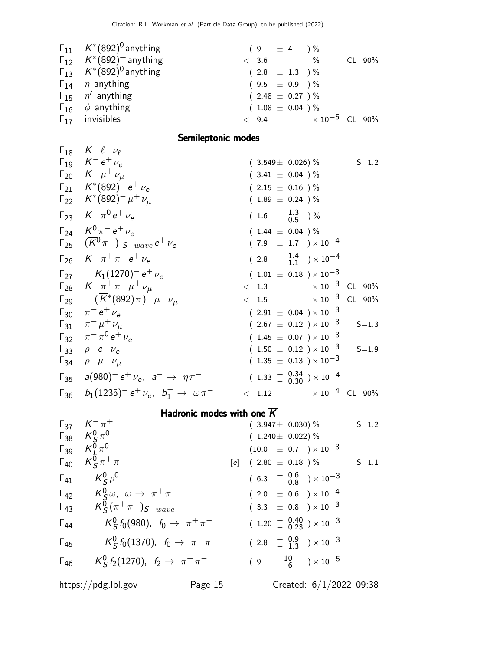| $\Gamma_{11}$ $\overline{K}$ <sup>*</sup> (892) <sup>0</sup> anything | $(9 \pm 4) \%$                  |                     |
|-----------------------------------------------------------------------|---------------------------------|---------------------|
| $\Gamma_{12}$ $K^*(892)^+$ anything                                   | < 3.6                           | $\%$<br>$CL = 90\%$ |
| $\Gamma_{13}$ $K^*(892)^0$ anything                                   | $(2.8 \pm 1.3)$ %               |                     |
| $\Gamma_{14}$ $\eta$ anything                                         | $(9.5 \pm 0.9)$ %               |                     |
| $\Gamma_{15}$ $\eta'$ anything                                        | $(2.48 \pm 0.27)$ %             |                     |
| $\Gamma_{16}$ $\phi$ anything                                         | $(1.08 \pm 0.04) \%$            |                     |
| $\Gamma_{17}$ invisibles                                              | $< 9.4$ $\times 10^{-5}$ CL=90% |                     |
|                                                                       |                                 |                     |

### Semileptonic modes

| $\Gamma_{18}$ $K^- \ell^+ \nu_\ell$                                                                |                              |                                            |           |
|----------------------------------------------------------------------------------------------------|------------------------------|--------------------------------------------|-----------|
| $\Gamma_{19}$ $K^-e^+\nu_e$                                                                        |                              | $(3.549 \pm 0.026)$ % S=1.2                |           |
| $\Gamma_{20}$ $K^- \mu^+ \nu_\mu$                                                                  | $(3.41 \pm 0.04) \%$         |                                            |           |
| $\Gamma_{21}$ $K^*(892)^- e^+ \nu_e$                                                               | $(2.15 \pm 0.16) \%$         |                                            |           |
| $\Gamma_{22}$ $K^*(892)^- \mu^+ \nu_\mu$                                                           | $(1.89 \pm 0.24)$ %          |                                            |           |
| $\Gamma_{23}$ $K^- \pi^0 e^+ \nu_e$                                                                | $(1.6 \tfrac{+1.3}{-0.5})\%$ |                                            |           |
| $\Gamma_{24}$ $\overline{K}^{0} \pi^{-} e^{+} \nu_{e}$                                             | $(1.44 \pm 0.04) \%$         |                                            |           |
| $\sqrt{125}$ $(\overline{K}^{0}\pi^{-})$ $S-wave$ $e^{+}$ $\nu_{e}$                                |                              | $(7.9 \pm 1.7) \times 10^{-4}$             |           |
| $\Gamma_{26}$ $K^- \pi^+ \pi^- e^+ \nu_{\rm c}$                                                    |                              | $(2.8 + \frac{1.4}{1.1}) \times 10^{-4}$   |           |
| $\Gamma_{27}$ $K_1(1270)^- e^+ \nu_e$                                                              |                              | $(1.01 \pm 0.18) \times 10^{-3}$           |           |
| $\Gamma_{28}$ $K^- \pi^+ \pi^- \mu^+ \nu_\mu$                                                      |                              | $< 1.3$ $\times 10^{-3}$ CL=90%            |           |
| $\Gamma_{29}$ $(\overline{K}^*(892)\pi)^{-} \mu^{+} \nu_{\mu}$                                     |                              | $< 1.5$ $\times 10^{-3}$ CL=90%            |           |
| $\Gamma_{30}$ $\pi^- e^+ \nu_e$                                                                    |                              | $(2.91 \pm 0.04) \times 10^{-3}$           |           |
| $\Gamma_{31}$ $\pi^{-} \mu^{+} \nu_{\mu}$                                                          |                              | $(2.67 \pm 0.12) \times 10^{-3}$           | $S = 1.3$ |
| $\Gamma_{32}$ $\pi^{-} \pi^{0} e^{+} \nu_{e}$                                                      |                              | $(1.45 \pm 0.07) \times 10^{-3}$           |           |
| $\Gamma_{33}$ $\rho^- e^+ \nu_e$                                                                   |                              | $(1.50 \pm 0.12) \times 10^{-3}$ S=1.9     |           |
| $\Gamma_{34}$ $\rho^- \mu^+ \nu_\mu$                                                               |                              | $(1.35 \pm 0.13) \times 10^{-3}$           |           |
| $\Gamma_{35}$ a(980) <sup>-</sup> e <sup>+</sup> $\nu_e$ , a <sup>-</sup> $\rightarrow \eta \pi^-$ |                              | $(1.33 + 0.34 \over 0.30}) \times 10^{-4}$ |           |
| $\Gamma_{36}$ $b_1(1235)^- e^+ \nu_e$ , $b_1^- \rightarrow \omega \pi^-$                           |                              | $< 1.12$ $\times 10^{-4}$ CL=90%           |           |

## Hadronic modes with one  $\overline{K}$

|               | $\Gamma_{37}$ $K^- \pi^+$                                                 | $(3.947 \pm 0.030)\%$                                              | $S = 1.2$ |
|---------------|---------------------------------------------------------------------------|--------------------------------------------------------------------|-----------|
|               |                                                                           | $(1.240 \pm 0.022)\%$                                              |           |
|               | $\begin{matrix} F_{38} & K_S^0 \pi^0 \ F_{39} & K_L^0 \pi^0 \end{matrix}$ | $(10.0 \pm 0.7) \times 10^{-3}$                                    |           |
|               | $\Gamma_{40}$ $K_S^0 \pi^+ \pi^-$                                         | $[e]$ (2.80 $\pm$ 0.18 )%                                          | $S = 1.1$ |
|               | $\Gamma_{41}$ $K_S^0 \rho^0$                                              | $(6.3 + \begin{array}{cc} 0.6 \\ -0.8 \end{array}) \times 10^{-3}$ |           |
|               | $\Gamma_{42}$ $K_S^0 \omega$ , $\omega \rightarrow \pi^+ \pi^-$           | $(2.0 \pm 0.6) \times 10^{-4}$                                     |           |
|               | $\Gamma_{43}$ $K_S^0(\pi^+\pi^-)$ <sub>S-wave</sub>                       | $(3.3 \pm 0.8) \times 10^{-3}$                                     |           |
| $\Gamma_{44}$ | $K^0_S f_0(980)$ , $f_0 \to \pi^+ \pi^-$                                  | $(1.20 + 0.40) \times 10^{-3}$                                     |           |
| $\Gamma_{45}$ | $K_S^0$ $f_0$ (1370), $f_0 \to \pi^+ \pi^-$                               | $(2.8 + \frac{0.9}{1.3}) \times 10^{-3}$                           |           |
| $\Gamma_{46}$ | $K_S^0 f_2(1270)$ , $f_2 \to \pi^+ \pi^-$                                 | $(9 + 10 \over - 6) \times 10^{-5}$                                |           |
|               |                                                                           |                                                                    |           |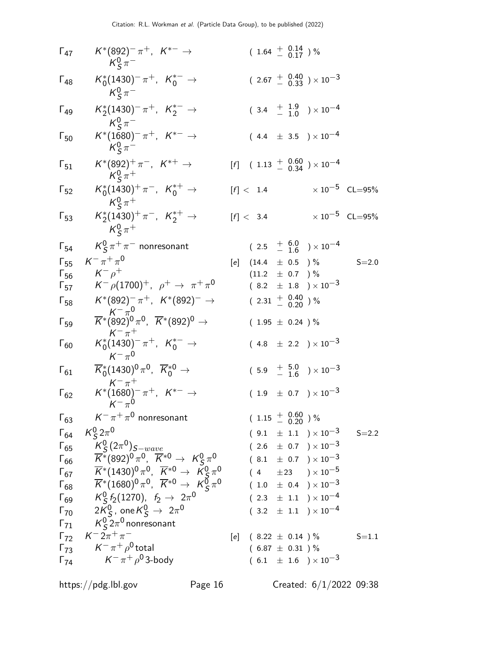| $\Gamma_{47}$ | $K^*(892)^- \pi^+, K^{*-} \to$<br>$K^0_S \pi^-$                                                                                                                                                                                                                                                                                                                                                  |     | $(1.64 \frac{+}{0.17})\%$                                |  |                                                     |                         |
|---------------|--------------------------------------------------------------------------------------------------------------------------------------------------------------------------------------------------------------------------------------------------------------------------------------------------------------------------------------------------------------------------------------------------|-----|----------------------------------------------------------|--|-----------------------------------------------------|-------------------------|
| $\Gamma_{48}$ | $K_0^*(1430)^-\pi^+$ , $K_0^{*-} \to$<br>$K^0_s \pi^-$                                                                                                                                                                                                                                                                                                                                           |     |                                                          |  | $(2.67 + 0.40 / 0.33) \times 10^{-3}$               |                         |
| $\Gamma_{49}$ | $K_2^*(1430)^-\pi^+$ , $K_2^{*-} \to$<br>$K^0_s \pi^-$                                                                                                                                                                                                                                                                                                                                           |     |                                                          |  | $(3.4 + 1.9 + 1.0) \times 10^{-4}$                  |                         |
| $\Gamma_{50}$ | $K^*(1680)^{-} \pi^+$ , $K^{*-} \to$<br>$K^0_S \pi^-$                                                                                                                                                                                                                                                                                                                                            |     |                                                          |  | $(4.4 \pm 3.5) \times 10^{-4}$                      |                         |
| $\Gamma_{51}$ | $K^*(892)^+\pi^-$ , $K^{*+}\to$<br>$K^0_s \pi^+$                                                                                                                                                                                                                                                                                                                                                 |     |                                                          |  | $[f]$ (1.13 $\frac{+}{-}$ 0.60 ) × 10 <sup>-4</sup> |                         |
| $\Gamma_{52}$ | $K_0^*(1430)^+\pi^-$ , $K_0^{*+}\to$<br>$K^0_s \pi^+$                                                                                                                                                                                                                                                                                                                                            |     | [f] < 1.4                                                |  |                                                     | $\times 10^{-5}$ CL=95% |
| $\Gamma_{53}$ | $K_2^*(1430)^+\pi^-$ , $K_2^{*+}\to$<br>$K^0_s \pi^+$                                                                                                                                                                                                                                                                                                                                            |     | [f] < 3.4                                                |  |                                                     | $\times 10^{-5}$ CL=95% |
| $\Gamma_{54}$ | $K^0_s \pi^+ \pi^-$ nonresonant                                                                                                                                                                                                                                                                                                                                                                  |     |                                                          |  | $(2.5 + 6.0 + 1.6) \times 10^{-4}$                  |                         |
| $\Gamma_{55}$ | $K^{-} \pi^{+} \pi^{0}$                                                                                                                                                                                                                                                                                                                                                                          | [e] | $(14.4 \pm 0.5)$ %                                       |  |                                                     | $S = 2.0$               |
| $\Gamma_{56}$ | $K^ \rho^+$                                                                                                                                                                                                                                                                                                                                                                                      |     | $(11.2 \pm 0.7)$ %                                       |  |                                                     |                         |
| $\Gamma_{57}$ | $K^- \rho (1700)^+$ , $\rho^+ \to \pi^+ \pi^0$                                                                                                                                                                                                                                                                                                                                                   |     |                                                          |  | $(8.2 \pm 1.8) \times 10^{-3}$                      |                         |
| $\Gamma_{58}$ | $K^*(892)^- \pi^+$ , $K^*(892)^ \rightarrow$                                                                                                                                                                                                                                                                                                                                                     |     | $(2.31 + \begin{array}{c} 0.40 \\ - 0.20 \end{array})$ % |  |                                                     |                         |
| $\Gamma_{59}$ | $\overline{K^*}^{K^-\pi^0}_{(892)^0\pi^0}$ , $\overline{K^*}^{(892)^0}$ $\rightarrow$<br>$K^{-}$ $\pi^{+}$                                                                                                                                                                                                                                                                                       |     | $(1.95 \pm 0.24) \%$                                     |  |                                                     |                         |
| $\Gamma_{60}$ | $K_0^*(1430)^-\pi^+$ , $K_0^{*-} \to$<br>$K^{-} \pi^{0}$                                                                                                                                                                                                                                                                                                                                         |     |                                                          |  | $(4.8 \pm 2.2) \times 10^{-3}$                      |                         |
| $\Gamma_{61}$ | $\overline{K}^*_0(1430)^0 \pi^0$ , $\overline{K}^{*0}_0 \to$<br>$K^{-} \pi^{+}$                                                                                                                                                                                                                                                                                                                  |     |                                                          |  | $(5.9 + \frac{5.0}{-1.6}) \times 10^{-3}$           |                         |
| $\Gamma_{62}$ | $K^*(1680)^{-} \pi^+, K^{*-} \to$<br>$K^{-} \pi^{0}$                                                                                                                                                                                                                                                                                                                                             |     |                                                          |  | $(1.9 \pm 0.7) \times 10^{-3}$                      |                         |
| $\Gamma_{63}$ | $\mathsf{K}^-\pi^+\pi^0$ nonresonant                                                                                                                                                                                                                                                                                                                                                             |     | $(1.15 \frac{+}{0.20})\%$                                |  |                                                     |                         |
| $\Gamma_{64}$ | $K_S^0 2\pi^0$                                                                                                                                                                                                                                                                                                                                                                                   |     |                                                          |  | $(9.1 \pm 1.1) \times 10^{-3}$                      | $S = 2.2$               |
|               |                                                                                                                                                                                                                                                                                                                                                                                                  |     |                                                          |  | $(2.6 \pm 0.7) \times 10^{-3}$                      |                         |
|               |                                                                                                                                                                                                                                                                                                                                                                                                  |     |                                                          |  | $(8.1 \pm 0.7) \times 10^{-3}$                      |                         |
|               | $\begin{array}{lll} \n\Gamma_{65} & K^0_S (2\pi^0)_{S-wave} & \n\Gamma_{66} & \overline{K}^*(892)^0 \pi^0, \ \overline{K}^{*0} \rightarrow K^0_S \pi^0 & \n\Gamma_{67} & \overline{K}^*(1430)^0 \pi^0, \ \overline{K}^{*0} \rightarrow K^0_S \pi^0 & \n\Gamma_{68} & \overline{K}^*(1680)^0 \pi^0, \ \overline{K}^{*0} \rightarrow K^0_S \pi^0 & \n\Gamma_{68} & K^0_S (1273)^0 & \n\end{array}$ |     |                                                          |  | $(4 \pm 23) \times 10^{-5}$                         |                         |
|               |                                                                                                                                                                                                                                                                                                                                                                                                  |     |                                                          |  | $(1.0 \pm 0.4) \times 10^{-3}$                      |                         |
|               |                                                                                                                                                                                                                                                                                                                                                                                                  |     |                                                          |  |                                                     |                         |
|               | $\Gamma_{69}$ $K_S^0 f_2(1270), f_2 \to 2\pi^0$                                                                                                                                                                                                                                                                                                                                                  |     |                                                          |  | $(2.3 \pm 1.1) \times 10^{-4}$                      |                         |
|               | $\overline{170}$ $2\overline{K}_5^0$ , one $\overline{K}_5^0$ $\rightarrow$ $2\pi^0$                                                                                                                                                                                                                                                                                                             |     |                                                          |  | $(3.2 \pm 1.1) \times 10^{-4}$                      |                         |
|               | $\Gamma_{71}$ $K_S^0 2\pi^0$ nonresonant                                                                                                                                                                                                                                                                                                                                                         |     |                                                          |  |                                                     |                         |
|               | $\Gamma_{72}$ $K^-2\pi^+\pi^-$                                                                                                                                                                                                                                                                                                                                                                   |     | [e] $(8.22 \pm 0.14)$ %                                  |  |                                                     | $S = 1.1$               |
| $\Gamma_{73}$ | $\mathsf{K}^-\pi^+\rho^0$ total                                                                                                                                                                                                                                                                                                                                                                  |     | $(6.87 \pm 0.31)$ %                                      |  |                                                     |                         |
| $\Gamma_{74}$ | $K^-\pi^+\rho^0$ 3-body                                                                                                                                                                                                                                                                                                                                                                          |     |                                                          |  | $(6.1 \pm 1.6) \times 10^{-3}$                      |                         |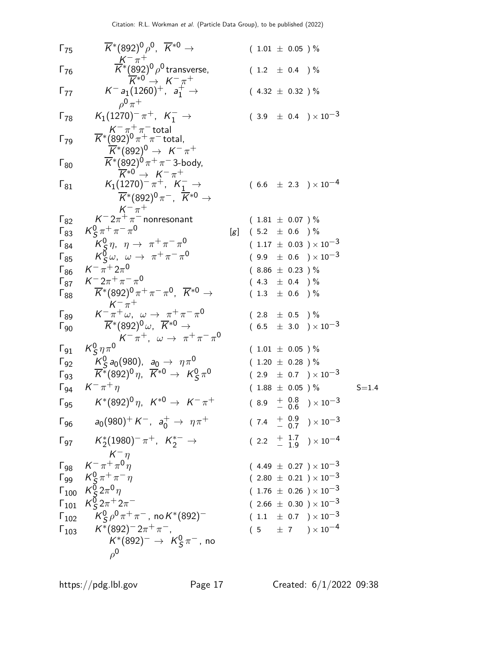$$
F_{75} = \frac{1}{K^*}(892)^0\rho^0, R^{*0} \rightarrow (1.01 \pm 0.05)^{6/2}
$$
\n
$$
K^{*0}(892)^0\rho^{0} \text{ transverse},
$$
\n
$$
F_{76} = \frac{1}{K^*}(1260)^1, a_1^+ \rightarrow (4.32 \pm 0.32)^{6/2}
$$
\n
$$
F_{77} = K^{-1}(1260)^1, a_1^+ \rightarrow (4.32 \pm 0.32)^{6/2}
$$
\n
$$
F_{78} = K_1(1270)^- \pi^+, K_1^- \rightarrow (3.9 \pm 0.4) \times 10^{-3}
$$
\n
$$
K^*(892)^0 \pi^+ \pi^- \text{total},
$$
\n
$$
K^*(892)^0 \pi^+ \pi^- \text{total},
$$
\n
$$
K^*(892)^0 \pi^+ \pi^- \text{total},
$$
\n
$$
F_{88} = \frac{1}{K^*}(892)^0 \pi^+ \pi^+ \pi^- \rightarrow (6.6 \pm 2.3) \times 10^{-4}
$$
\n
$$
K_1(1270)^- \pi^+, K_1^- \rightarrow (6.6 \pm 2.3) \times 10^{-4}
$$
\n
$$
K_2^*(892)^0 \pi^-, R^{*0} \rightarrow
$$
\n
$$
F_{78} = \frac{1}{K^*}(892)^0 \pi^-, R^{*0} \rightarrow
$$
\n
$$
F_{78} = \frac{1}{K^*}(892)^0 \pi^+, R^{*0} \rightarrow (1.81 \pm 0.07)^{6/2}
$$
\n
$$
F_{78} = \frac{1}{K^*}(892)^0 \pi^+, \pi^0 \rightarrow (1.17 \pm 0.03) \times 10^{-3}
$$
\n
$$
F_{78} = \frac{1}{K^*}(892)^0 \pi^+ \pi^- \pi^0, R^{*0} \rightarrow (1.13 \pm 0.6)^{6/2}
$$
\n
$$
F_{78} = \frac{1}{K^*}(892)^0 \pi, R^{*0} \rightarrow \pi^+ \pi^- \pi^0, (8.86 \pm 0.
$$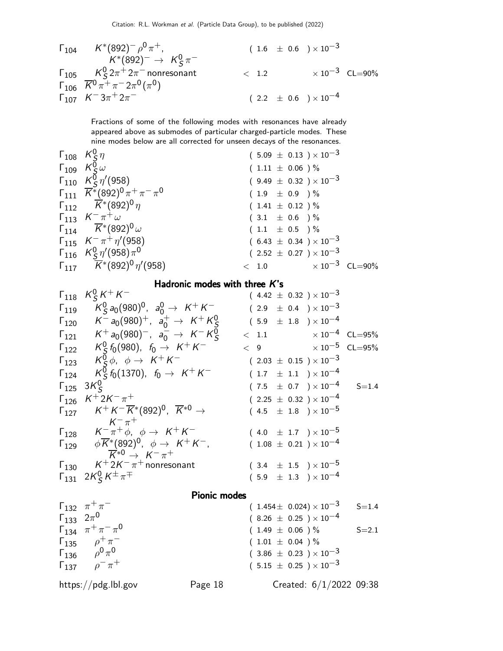$$
\begin{array}{llll}\n\Gamma_{104} & K^*(892)^-\rho^0\pi^+, & (1.6 \pm 0.6) \times 10^{-3} \\
& K^*(892)^-\to K_S^0\pi^-\n\end{array}
$$
\n
$$
\begin{array}{llll}\n\Gamma_{105} & K_S^0 2\pi^+ 2\pi^- \text{nonresonant} \\
\Gamma_{106} & \overline{K}^0 \pi^+ \pi^- 2\pi^0 (\pi^0) \\
\Gamma_{107} & K^- 3\pi^+ 2\pi^-\n\end{array}
$$
\n
$$
(2.2 \pm 0.6) \times 10^{-4}
$$

Fractions of some of the following modes with resonances have already appeared above as submodes of particular charged-particle modes. These nine modes below are all corrected for unseen decays of the resonances.

 $\sim$ 

| $\Gamma_{109}$ $K^0_S\omega$<br>$(1.11 \pm 0.06) \%$                                                                       |  |
|----------------------------------------------------------------------------------------------------------------------------|--|
|                                                                                                                            |  |
| $\Gamma_{110}$ $K_S^0 \eta' (958)$<br>$(9.49 \pm 0.32) \times 10^{-3}$                                                     |  |
| $\Gamma_{111} \quad \overline{K}^*(892)^0 \pi^+ \pi^- \pi^0$<br>$(1.9 \pm 0.9)$ %                                          |  |
| $\Gamma_{112}$ $\overline{K}$ (892) <sup>0</sup> $\eta$<br>$(1.41 \pm 0.12) \%$                                            |  |
| $\Gamma_{113}$ $K^{-} \pi^{+} \omega$<br>$(3.1 \pm 0.6)$ %                                                                 |  |
| $\Gamma_{114}$ $\overline{K}$ <sup>*</sup> (892) <sup>0</sup> $\omega$<br>$(1.1 \pm 0.5)$ %                                |  |
| $\Gamma_{115}$ $K^- \pi^+ \eta' (958)$<br>$(6.43 \pm 0.34) \times 10^{-3}$                                                 |  |
| $\Gamma_{116}$ $K_S^0 \eta' (958) \pi^0$<br>$(2.52 \pm 0.27) \times 10^{-3}$                                               |  |
| $\Gamma_{117}$ $\overline{K}$ <sup>*</sup> (892) <sup>0</sup> $\eta$ <sup>'</sup> (958)<br>$< 1.0$ $\times 10^{-3}$ CL=90% |  |

#### Hadronic modes with three K's

|                                             | $\Gamma_{118}$ $K_S^0 K^+ K^-$                                                                                                                           | $(4.42 \pm 0.32) \times 10^{-3}$                           |           |  |  |  |
|---------------------------------------------|----------------------------------------------------------------------------------------------------------------------------------------------------------|------------------------------------------------------------|-----------|--|--|--|
| $\Gamma_{119}$                              | $K^0$ a <sub>0</sub> $(980)^0$ , a <sub>0</sub> $\rightarrow$ K <sup>+</sup> K <sup>-</sup>                                                              | $(2.9 \pm 0.4) \times 10^{-3}$                             |           |  |  |  |
| $\Gamma_{120}$                              | $K^-$ a <sub>0</sub> (980) <sup>+</sup> , a <sub>0</sub> <sup>+</sup> $\rightarrow$ $K^+K^0_S$                                                           | $(5.9 \pm 1.8) \times 10^{-4}$                             |           |  |  |  |
|                                             | $\Gamma_{121}$ $K^+ a_0(980)^-, a_0^- \rightarrow K^- K^0_S$                                                                                             | $\times$ 10 $^{-4}$ CL=95%<br>< 1.1                        |           |  |  |  |
|                                             | $\Gamma_{122}$ $K^0_S f_0(980)$ , $f_0 \rightarrow K^+ K^-$                                                                                              | $\times$ 10 $^{-5}$ $\,$ CL $=$ 95%<br>$\langle 9 \rangle$ |           |  |  |  |
|                                             | $\Gamma_{123}$ $K^0_S \phi$ , $\phi \rightarrow K^+ K^-$                                                                                                 | $(2.03 \pm 0.15) \times 10^{-3}$                           |           |  |  |  |
|                                             | $\Gamma_{124}$ $K_S^0 f_0(1370)$ , $f_0 \rightarrow K^+ K^-$                                                                                             | $(1.7 \pm 1.1) \times 10^{-4}$                             |           |  |  |  |
| $\Gamma_{125}$ 3K <sup>0</sup> <sub>5</sub> |                                                                                                                                                          | $(7.5 \pm 0.7) \times 10^{-4}$                             | $S = 1.4$ |  |  |  |
| $\Gamma_{126}$                              | $K^+ 2K^- \pi^+$                                                                                                                                         | $(2.25 \pm 0.32) \times 10^{-4}$                           |           |  |  |  |
|                                             | $\Gamma_{127}$ $K^+ K^- \overline{K}^* (892)^0$ , $\overline{K}^{*0}$ $\rightarrow$                                                                      | $(4.5 \pm 1.8) \times 10^{-5}$                             |           |  |  |  |
|                                             | $K^{-}$ $\pi^{+}$                                                                                                                                        |                                                            |           |  |  |  |
|                                             | $\Gamma_{128}$ $K^- \pi^+ \phi$ , $\phi \rightarrow K^+ K^-$                                                                                             | $(4.0 \pm 1.7) \times 10^{-5}$                             |           |  |  |  |
|                                             | $\Gamma_{129}$ $\phi \overline{K}$ <sup>*</sup> (892) <sup>0</sup> , $\phi \rightarrow K^+ K^-$ ,<br>$\overrightarrow{K}^{*0} \rightarrow K^{-} \pi^{+}$ | $(1.08 \pm 0.21) \times 10^{-4}$                           |           |  |  |  |
|                                             | $\Gamma_{130}$ $K^+ 2K^- \pi^+$ nonresonant                                                                                                              | $(3.4 \pm 1.5) \times 10^{-5}$                             |           |  |  |  |
|                                             | $\Gamma_{131}$ $2K_S^0 K^{\pm} \pi^{\mp}$                                                                                                                | $(5.9 \pm 1.3) \times 10^{-4}$                             |           |  |  |  |
|                                             | <b>Pionic modes</b>                                                                                                                                      |                                                            |           |  |  |  |

 $Γ_{132}$   $π + π$  $(1.454 \pm 0.024) \times 10^{-3}$  S=1.4  $\Gamma_{133}$  2π<sup>0</sup>  $(8.26 \pm 0.25) \times 10^{-4}$  $\Gamma_{134}$   $\pi^+ \pi^- \pi^0$  $(1.49 \pm 0.06) \%$  S=2.1  $\Gamma_{135}$   $\rho^+_{\alpha} \pi$  $(1.01 \pm 0.04)$  %  $\Gamma_{136}$   $\rho^0 \pi^0$  $(3.86 \pm 0.23) \times 10^{-3}$  $Γ_{137}$   $ρ<sup>-</sup> π$  $(5.15 \pm 0.25) \times 10^{-3}$ https://pdg.lbl.gov Page 18 Created: 6/1/2022 09:38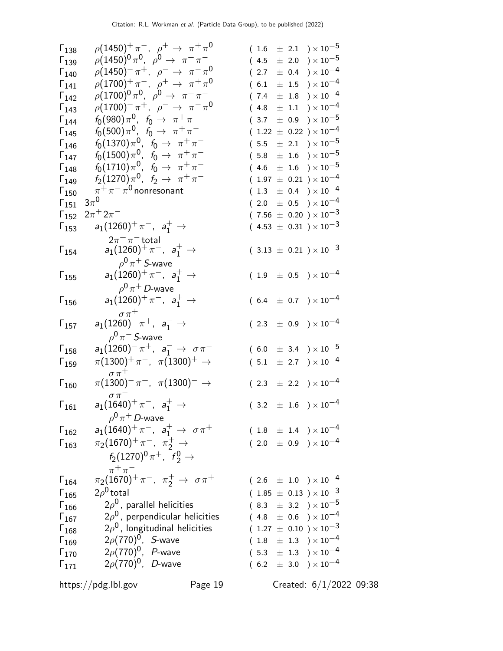| $\Gamma_{138}$ | $\rho(1450)^{+}\pi^{-}$ , $\rho^{+} \to \pi^{+}\pi^{0}$   | $(1.6 \pm 2.1) \times 10^{-5}$                             |
|----------------|-----------------------------------------------------------|------------------------------------------------------------|
| $\Gamma_{139}$ | $\rho (1450)^0 \pi^0$ , $\rho^0 \to \pi^+ \pi^-$          | $(4.5 \pm 2.0) \times 10^{-5}$                             |
| $\Gamma_{140}$ | $\rho(1450)^{-} \pi^{+}$ , $\rho^{-} \to \pi^{-} \pi^{0}$ | $(2.7 \pm 0.4) \times 10^{-4}$                             |
| $\Gamma_{141}$ | $\rho(1700)^{+}\pi^{-}$ , $\rho^{+} \to \pi^{+}\pi^{0}$   | $(6.1 \pm 1.5) \times 10^{-4}$                             |
| $\Gamma_{142}$ | $\rho(1700)^0 \pi^0$ , $\rho^0 \to \pi^+ \pi^-$           | $(7.4 \pm 1.8) \times 10^{-4}$                             |
| $\Gamma_{143}$ | $\rho(1700)^{-} \pi^{+}$ , $\rho^{-} \to \pi^{-} \pi^{0}$ | $\pm$ 1.1 $\rightarrow$ $\times$ 10 <sup>-4</sup><br>(4.8) |
| $\Gamma_{144}$ | $f_0(980)\pi^0$ , $f_0 \to \pi^+\pi^-$                    | $(3.7 \pm 0.9) \times 10^{-5}$                             |
| $\Gamma_{145}$ | $f_0(500)\pi^0$ , $f_0 \to \pi^+\pi^-$                    | $(1.22 \pm 0.22) \times 10^{-4}$                           |
| $\Gamma_{146}$ | $f_0(1370)\pi^0$ , $f_0 \to \pi^+\pi^-$                   | $(5.5 \pm 2.1) \times 10^{-5}$                             |
| $\Gamma_{147}$ | $f_0(1500)\pi^0$ , $f_0 \to \pi^+\pi^-$                   | $(5.8 \pm 1.6) \times 10^{-5}$                             |
| $\Gamma_{148}$ | $f_0(1710)\pi^0$ , $f_0 \to \pi^+\pi^-$                   | $(4.6 \pm 1.6) \times 10^{-5}$                             |
| $\Gamma_{149}$ | $f_2(1270)\pi^0$ , $f_2 \to \pi^+\pi^-$                   | $(1.97 \pm 0.21) \times 10^{-4}$                           |
| $\Gamma_{150}$ | $\pi^+\pi^-\pi^0$ nonresonant                             | $(1.3 \pm 0.4) \times 10^{-4}$                             |
| $\Gamma_{151}$ | $3\pi^0$                                                  | $(2.0 \pm 0.5) \times 10^{-4}$                             |
| $\Gamma_{152}$ | $2\pi^{+} 2\pi^{-}$                                       | $(7.56 \pm 0.20) \times 10^{-3}$                           |
| $\Gamma_{153}$ | $a_1(1260)^+ \pi^-$ , $a_1^+ \to$                         | $(4.53 \pm 0.31) \times 10^{-3}$                           |
|                | $2\pi^+\pi^-$ total                                       |                                                            |
| $\Gamma_{154}$ | $a_1(1260)^+ \pi^-$ , $a_1^+ \to$                         | $(3.13 \pm 0.21) \times 10^{-3}$                           |
|                | $\rho^0 \pi^+$ S-wave                                     |                                                            |
| $\Gamma_{155}$ | $a_1(1260)^+ \pi^-$ , $a_1^+ \to$                         | $(1.9 \pm 0.5) \times 10^{-4}$                             |
|                | $\rho^0 \pi^+$ D-wave                                     |                                                            |
| $\Gamma_{156}$ | $a_1(1260)^+ \pi^-$ , $a_1^+ \to$                         | $(6.4 \pm 0.7) \times 10^{-4}$                             |
|                | $\sigma \pi^+$                                            |                                                            |
| $\Gamma_{157}$ | $a_1(1260)^{-} \pi^{+}$ , $a_1^{-} \to$                   | $(2.3 \pm 0.9) \times 10^{-4}$                             |
|                | $\rho^0 \pi^-$ S-wave                                     |                                                            |
| $\Gamma_{158}$ | $a_1(1260)^{-} \pi^{+}$ , $a_1^{-} \to \sigma \pi^{-}$    | $(6.0 \pm 3.4) \times 10^{-5}$                             |
| $\Gamma_{159}$ | $\pi(1300)^{+}\pi^{-}$ , $\pi(1300)^{+} \rightarrow$      | $(5.1 \pm 2.7) \times 10^{-4}$                             |
|                | $\sigma \pi^+$                                            |                                                            |
| $\Gamma_{160}$ | $\pi(1300)^{-} \pi^{+}$ , $\pi(1300)^{-} \rightarrow$     | $(2.3 \pm 2.2) \times 10^{-4}$                             |
|                | $\sigma \pi^-$                                            |                                                            |
| $\Gamma_{161}$ | $a_1(1640)^+ \pi^-$ , $a_1^+$ $\rightarrow$               | $(3.2 \pm 1.6) \times 10^{-4}$                             |
|                | $\rho^0 \pi^+$ D-wave                                     |                                                            |
| $\Gamma_{162}$ | $a_1(1640)^+ \pi^-$ , $a_1^+ \to \sigma \pi^+$            | $(1.8 \pm 1.4) \times 10^{-4}$                             |
| $\Gamma_{163}$ | $\pi_2(1670)^+ \pi^-$ , $\pi_2^+ \to$                     | $(2.0 \pm 0.9) \times 10^{-4}$                             |
|                | $f_2(1270)^0 \pi^+$ , $f_2^0 \rightarrow$                 |                                                            |
|                | $\pi^+\pi^-$                                              |                                                            |
| $\Gamma_{164}$ | $\pi_2(1670)^+ \pi^-$ , $\pi_2^+ \to \sigma \pi^+$        | $(2.6 \pm 1.0) \times 10^{-4}$                             |
| $\Gamma_{165}$ | $2\rho^0$ total                                           | $(1.85 \pm 0.13) \times 10^{-3}$                           |
| $\Gamma_{166}$ | $2\rho^0$ , parallel helicities                           | $(8.3 \pm 3.2) \times 10^{-5}$                             |
| $\Gamma_{167}$ | $2\rho^0$ , perpendicular helicities                      | $(4.8 \pm 0.6) \times 10^{-4}$                             |
| $\Gamma_{168}$ | $2\rho^0$ , longitudinal helicities                       | $(1.27 \pm 0.10) \times 10^{-3}$                           |
| $\Gamma_{169}$ | $2\rho(770)^{0}$ , <i>S</i> -wave                         | $(1.8 \pm 1.3) \times 10^{-4}$                             |
| $\Gamma_{170}$ | $2\rho(770)^{0}$ , <i>P</i> -wave                         | $(5.3 \pm 1.3) \times 10^{-4}$                             |
| $\Gamma_{171}$ | $2\rho(770)^{0}$ , <i>D</i> -wave                         | $(6.2 \pm 3.0) \times 10^{-4}$                             |
|                |                                                           |                                                            |
|                | https://pdg.lbl.gov<br>Page 19                            | Created: $6/1/2022$ 09:38                                  |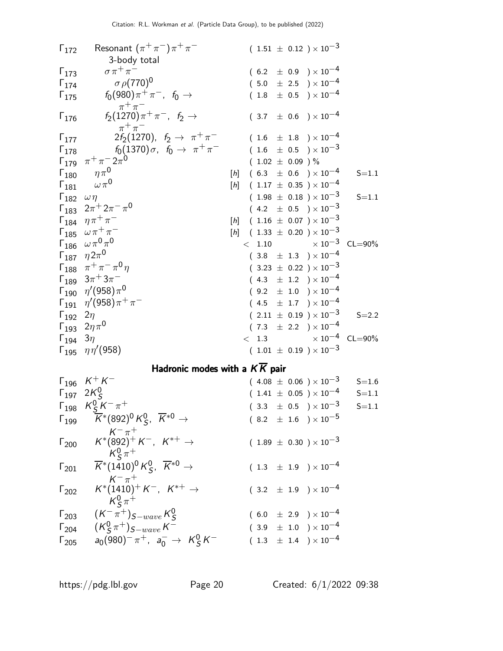| $\Gamma_{172}$               | Resonant $(\pi^+\pi^-)\pi^+\pi^-$<br>3-body total                                                                                      |                  |                      |  | $(1.51 \pm 0.12) \times 10^{-3}$                   |                                 |
|------------------------------|----------------------------------------------------------------------------------------------------------------------------------------|------------------|----------------------|--|----------------------------------------------------|---------------------------------|
| $\Gamma_{173}$               | $\sigma \pi^+ \pi^-$                                                                                                                   |                  |                      |  | $(6.2 \pm 0.9) \times 10^{-4}$                     |                                 |
|                              | $\sigma$ $\rho$ (770) <sup>0</sup>                                                                                                     |                  |                      |  |                                                    |                                 |
| $\Gamma_{174}$               |                                                                                                                                        |                  |                      |  | $(5.0 \pm 2.5) \times 10^{-4}$                     |                                 |
| $\Gamma_{175}$               | $f_0(980)\pi^+\pi^-$ , $f_0 \to$                                                                                                       |                  |                      |  | $(1.8 \pm 0.5) \times 10^{-4}$                     |                                 |
| $\Gamma_{176}$               | $\pi^+\pi^-$<br>$f_2(1270)\pi^+\pi^-$ , $f_2 \to$<br>$\pi^+\pi^-$                                                                      |                  |                      |  | $(3.7 \pm 0.6) \times 10^{-4}$                     |                                 |
| $\Gamma_{177}$               | $2f_2(1270)$ , $f_2 \to \pi^+\pi^-$                                                                                                    |                  |                      |  | $(1.6 \pm 1.8) \times 10^{-4}$                     |                                 |
| $\mathsf{\Gamma}_{178}$      | $f_0(1370)\sigma$ , $f_0 \rightarrow \pi^+\pi^-$                                                                                       |                  |                      |  | $(1.6 \pm 0.5) \times 10^{-3}$                     |                                 |
|                              | $\Gamma_{179}$ $\pi^{+}\pi^{-}2\pi^{0}$                                                                                                |                  | $(1.02 \pm 0.09) \%$ |  |                                                    |                                 |
|                              | $\Gamma_{180}$ $\eta \pi^0$                                                                                                            | $[h] \centering$ |                      |  | $(6.3 \pm 0.6) \times 10^{-4}$                     | $S = 1.1$                       |
|                              | $\Gamma_{181}$ $\omega \pi^0$                                                                                                          |                  |                      |  | $[h]$ (1.17 $\pm$ 0.35 ) × 10 <sup>-4</sup>        |                                 |
|                              |                                                                                                                                        |                  |                      |  |                                                    |                                 |
| $\Gamma_{182}$ $\omega \eta$ |                                                                                                                                        |                  |                      |  | $(1.98 \pm 0.18) \times 10^{-3}$                   | $S = 1.1$                       |
|                              | $\Gamma_{183}$ $2\pi$ <sup>+</sup> $2\pi$ <sup>-</sup> $\pi$ <sup>0</sup>                                                              |                  |                      |  | $(4.2 \pm 0.5) \times 10^{-3}$                     |                                 |
|                              | $\Gamma_{184}$ $\eta \pi^+ \pi^-$                                                                                                      |                  |                      |  | $[h]$ (1.16 $\pm$ 0.07 ) $\times$ 10 <sup>-3</sup> |                                 |
|                              | $\Gamma_{185}$ $\omega \pi^{+} \pi^{-}$                                                                                                |                  |                      |  | $[h]$ (1.33 $\pm$ 0.20 ) $\times$ 10 <sup>-3</sup> |                                 |
|                              | $\Gamma_{186}$ $\omega\pi^{0}\pi^{0}$                                                                                                  |                  |                      |  | $< 1.10 \times 10^{-3} \text{ CL} = 90\%$          |                                 |
|                              | $\Gamma_{187}$ $\eta 2\pi^0$                                                                                                           |                  |                      |  | $(3.8 \pm 1.3) \times 10^{-4}$                     |                                 |
|                              | $\Gamma_{188}$ $~\pi^+\pi^-\pi^0\eta$                                                                                                  |                  |                      |  | $(3.23 \pm 0.22) \times 10^{-3}$                   |                                 |
|                              | $\Gamma_{189}~~3\pi^+3\pi^-$                                                                                                           |                  |                      |  | $(4.3 \pm 1.2) \times 10^{-4}$                     |                                 |
|                              | $\Gamma_{190}$ $\eta'(958)\pi^0$                                                                                                       |                  |                      |  | $(9.2 \pm 1.0) \times 10^{-4}$                     |                                 |
|                              | $\Gamma_{191}$ $\eta'(958)\pi^{+}\pi^{-}$                                                                                              |                  |                      |  | $(4.5 \pm 1.7) \times 10^{-4}$                     |                                 |
| $\Gamma_{192}$ 2 $\eta$      |                                                                                                                                        |                  |                      |  | $(2.11 \pm 0.19) \times 10^{-3}$                   | $S = 2.2$                       |
|                              | $\Gamma_{193}$ $2\eta \pi^0$                                                                                                           |                  |                      |  | $(7.3 \pm 2.2) \times 10^{-4}$                     |                                 |
| $\Gamma_{194}$ 3 $\eta$      |                                                                                                                                        |                  |                      |  |                                                    | $< 1.3$ $\times 10^{-4}$ CL=90% |
|                              | $\Gamma_{195}$ $\eta\eta'(958)$                                                                                                        |                  |                      |  | $(1.01 \pm 0.19) \times 10^{-3}$                   |                                 |
|                              | Hadronic modes with a $K\overline{K}$ pair                                                                                             |                  |                      |  |                                                    |                                 |
|                              | $\Gamma_{196}$ $K^{+}K^{-}$                                                                                                            |                  |                      |  | $(4.08 \pm 0.06) \times 10^{-3}$                   | $S = 1.6$                       |
|                              | $\Gamma_{197}$ 2K <sup>0</sup> <sub>S</sub>                                                                                            |                  |                      |  | $(1.41 \pm 0.05) \times 10^{-4}$                   | $S = 1.1$                       |
|                              | $\Gamma_{198}$ $K^0_S K^- \pi^+$                                                                                                       |                  |                      |  | $(3.3 \pm 0.5) \times 10^{-3}$                     | $S = 1.1$                       |
|                              | $\overline{\overline{K}}{}^*(892)^0 K^0_S, \ \overline{K}{}^{*0} \rightarrow$                                                          |                  |                      |  |                                                    |                                 |
| $\Gamma_{199}$               |                                                                                                                                        |                  |                      |  | $(8.2 \pm 1.6) \times 10^{-5}$                     |                                 |
| $\Gamma_{200}$               | $\begin{array}{c} {\cal K}^-\,\pi^+\\ {\cal K}^*(892)^+ \,{\cal K}^-\, ,\  \  {\cal K}^{*+}\,\rightarrow \end{array}$<br>$K_S^0 \pi^+$ |                  |                      |  | $(1.89 \pm 0.30) \times 10^{-3}$                   |                                 |
| $\Gamma_{201}$               | $\overline{K}^*(1410)^0 K^0_S$ , $\overline{K}^{*0}$ $\rightarrow$                                                                     |                  |                      |  | $(1.3 \pm 1.9) \times 10^{-4}$                     |                                 |
| $\Gamma_{202}$               | $K^{-} \pi^{+}$<br>$K^{*}(1410)^{+} K^{-}$ , $K^{*+} \rightarrow$<br>$K^0_s \pi^+$                                                     |                  |                      |  | $(3.2 \pm 1.9) \times 10^{-4}$                     |                                 |
| $\Gamma_{203}$               | $(\mathcal{K}^-\pi^+)_{\mathcal{S}-wave}\,\mathcal{K}^0_{\mathcal{S}}$                                                                 |                  |                      |  | $(6.0 \pm 2.9) \times 10^{-4}$                     |                                 |
|                              | $({\sf K}^0_S\pi^+)_{S-wave}\,{\sf K}^-$                                                                                               |                  |                      |  | $(3.9 \pm 1.0) \times 10^{-4}$                     |                                 |
| $\Gamma_{204}$               |                                                                                                                                        |                  |                      |  |                                                    |                                 |
| $\Gamma_{205}$               | $a_0(980)^{-} \pi^{+}$ , $a_0^{-} \to K_S^0 K^{-}$                                                                                     |                  |                      |  | $(1.3 \pm 1.4) \times 10^{-4}$                     |                                 |

 $\Gamma_{205}$   $a_0(980)^-\pi^+$ ,  $a_0^-\to K_S^0$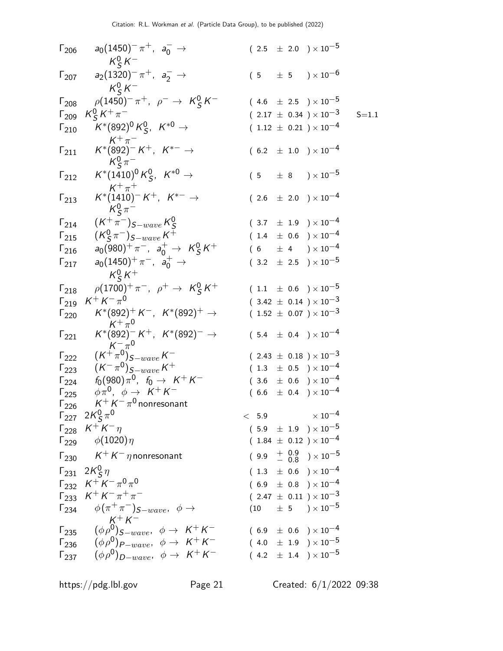| $\Gamma_{206}$ | $a_0(1450)^- \pi^+$ , $a_0^ \rightarrow$<br>$K_S^0 K^-$                                                                             |         |  | $(2.5 \pm 2.0) \times 10^{-5}$                                      |           |
|----------------|-------------------------------------------------------------------------------------------------------------------------------------|---------|--|---------------------------------------------------------------------|-----------|
| $\Gamma_{207}$ | $a_2(1320)^-\pi^+$ , $a_2^-\to$                                                                                                     |         |  | $(5 \pm 5) \times 10^{-6}$                                          |           |
| $\Gamma_{208}$ | $K^0_s K^-$<br>$\rho(1450)^{-} \pi^{+}$ , $\rho^{-} \to K^{0}_{S} K^{-}$                                                            |         |  | $(4.6 \pm 2.5) \times 10^{-5}$                                      |           |
|                | $K_S^0 K^+\pi^-$                                                                                                                    |         |  | $(2.17 \pm 0.34) \times 10^{-3}$                                    | $S = 1.1$ |
| $\Gamma_{209}$ | $K^*(892)^0 K^0_S$ , $K^{*0}$ $\rightarrow$                                                                                         |         |  |                                                                     |           |
| $\Gamma_{210}$ |                                                                                                                                     |         |  | $(1.12 \pm 0.21) \times 10^{-4}$                                    |           |
| $\Gamma_{211}$ | $\begin{array}{c} \mathsf{K}^+\pi^-\\ \mathsf{K}^*(892)^- \mathsf{K}^+,\;\;\mathsf{K}^{*-}\rightarrow \end{array}$<br>$K_S^0 \pi^-$ |         |  | $(6.2 \pm 1.0) \times 10^{-4}$                                      |           |
| $\Gamma_{212}$ | $K^*(1410)^0 K^0_S$ , $K^{*0} \rightarrow$                                                                                          |         |  | $(5 \pm 8) \times 10^{-5}$                                          |           |
| $\Gamma_{213}$ | $K^+\pi^+$<br>$K^*(1410)^- K^+$ , $K^{*-} \to$<br>$K^0_S \pi^-$                                                                     |         |  | $(2.6 \pm 2.0) \times 10^{-4}$                                      |           |
| $\Gamma_{214}$ | $(K^{+}\pi^{-})_{S-wave}K_{S}^{0}$                                                                                                  |         |  | $(3.7 \pm 1.9) \times 10^{-4}$                                      |           |
| $\Gamma_{215}$ | $({\sf K}^0_\mathsf{S} \pi^-)_{\mathsf{S-wave}}$ ${\sf K}^+$                                                                        |         |  | $(1.4 \pm 0.6) \times 10^{-4}$                                      |           |
| $\Gamma_{216}$ | $a_0(980)^+ \pi^-$ , $a_0^+ \to K_S^0 K^+$                                                                                          |         |  | $(6 \pm 4) \times 10^{-4}$                                          |           |
| $\Gamma_{217}$ | $a_0(1450)^+ \pi^-$ , $a_0^+ \to$                                                                                                   |         |  | $(3.2 \pm 2.5) \times 10^{-5}$                                      |           |
|                | $K^0_s K^+$                                                                                                                         |         |  |                                                                     |           |
| $\Gamma_{218}$ | $\rho(1700)^{+}\pi^{-}$ , $\rho^{+} \to K_{S}^{0}K^{+}$                                                                             |         |  | $(1.1 \pm 0.6) \times 10^{-5}$                                      |           |
| $\Gamma_{219}$ | $K^+ K^- \pi^0$                                                                                                                     |         |  | $(3.42 \pm 0.14) \times 10^{-3}$                                    |           |
| $\Gamma_{220}$ | $K^*(892)^+ K^-$ , $K^*(892)^+$ $\rightarrow$<br>$K^+\pi^0$                                                                         |         |  | $(1.52 \pm 0.07) \times 10^{-3}$                                    |           |
| $\Gamma_{221}$ | $K^*(892)^-K^+$ , $K^*(892)^-\to$                                                                                                   |         |  | $(5.4 \pm 0.4) \times 10^{-4}$                                      |           |
| $\Gamma_{222}$ | $(K^{+\pi^0}_{\pi^0})_{S-wave} K^{-}$                                                                                               |         |  | $(2.43 \pm 0.18) \times 10^{-3}$                                    |           |
| $\Gamma_{223}$ | $(K^{-} \pi^{0})_{S-wave} K^{+}$                                                                                                    |         |  | $(1.3 \pm 0.5) \times 10^{-4}$                                      |           |
| $\Gamma_{224}$ | $f_0(980)\pi^0$ , $f_0 \to K^+K^-$                                                                                                  |         |  | $(3.6 \pm 0.6) \times 10^{-4}$                                      |           |
| $\Gamma_{225}$ | $\phi \pi^0$ , $\phi \rightarrow K^+ K^-$                                                                                           |         |  | $(6.6 \pm 0.4) \times 10^{-4}$                                      |           |
| $\Gamma_{226}$ | $K^+ K^- \pi^0$ nonresonant                                                                                                         |         |  |                                                                     |           |
|                | $\Gamma_{227}$ $2K_S^0 \pi^0$                                                                                                       | $< 5.9$ |  | $\times$ 10 <sup>-4</sup>                                           |           |
|                | $\Gamma_{228}$ $K^+ K^- \eta$                                                                                                       |         |  | $(5.9 \pm 1.9) \times 10^{-5}$                                      |           |
|                | $\Gamma_{229}$ $\phi(1020)\eta$                                                                                                     |         |  | $(1.84 \pm 0.12) \times 10^{-4}$                                    |           |
|                | $\Gamma_{230}$ $K^+ K^- \eta$ nonresonant                                                                                           |         |  | $(9.9 + \begin{array}{cc} 0.9 \\ - 0.8 \end{array}) \times 10^{-5}$ |           |
|                | $\Gamma_{231}$ 2K $\frac{0}{5}$ $\eta$                                                                                              |         |  | $(1.3 \pm 0.6) \times 10^{-4}$                                      |           |
|                | $\Gamma_{232}$ $K^+ K^- \pi^0 \pi^0$                                                                                                |         |  | $(6.9 \pm 0.8) \times 10^{-4}$                                      |           |
|                | $\Gamma_{233}$ $K^+ K^- \pi^+ \pi^-$                                                                                                |         |  | $(2.47 \pm 0.11) \times 10^{-3}$                                    |           |
|                | $\Gamma_{234}$ $\phi(\pi^+\pi^-)$ <sub>S-wave</sub> , $\phi \rightarrow$<br>$K^+ K^-$                                               |         |  | $(10 \t\pm 5 \t)\times 10^{-5}$                                     |           |
|                | $\Gamma_{235} \quad (\phi \rho^0)_{S-wave}, \phi \rightarrow K^+K^-$                                                                |         |  | $(6.9 \pm 0.6) \times 10^{-4}$                                      |           |
|                | $\Gamma_{236}$ $(\phi \rho^0)_{P-wave}$ , $\phi \rightarrow K^+ K^-$                                                                |         |  | $(4.0 \pm 1.9) \times 10^{-5}$                                      |           |
|                | $\Gamma_{237}$ $(\phi \rho^0)_{D-wave}, \phi \rightarrow K^+ K^-$                                                                   |         |  | $(4.2 \pm 1.4) \times 10^{-5}$                                      |           |
|                |                                                                                                                                     |         |  |                                                                     |           |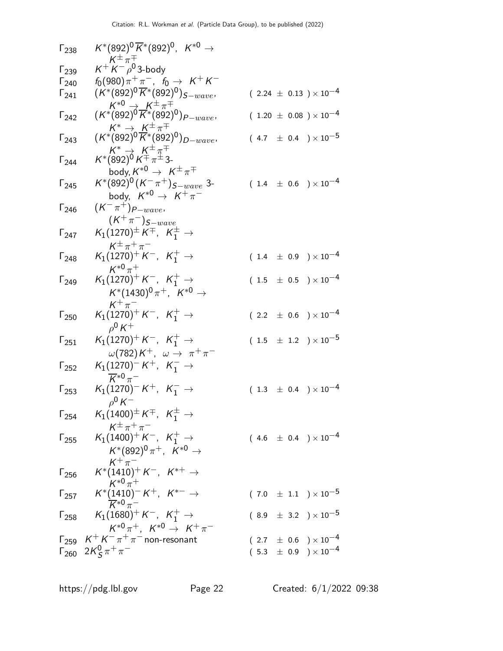| $\Gamma_{238}$ | $K^*(892)^0 \, \overline{K}{}^*(892)^0, \; \; K^{*0} \rightarrow$<br>$K^{\pm} \pi^{\mp}$                                 |                                                                                                  |
|----------------|--------------------------------------------------------------------------------------------------------------------------|--------------------------------------------------------------------------------------------------|
| $\Gamma_{239}$ | $K^+ K^- \rho^0$ 3-body                                                                                                  |                                                                                                  |
| $\Gamma_{240}$ | $f_0(980)\pi^+\pi^-$ , $f_0 \to K^+K^-$                                                                                  |                                                                                                  |
| $1_{241}$      | $(K^*(892)^0\overline{K}^*(892)^0)_{S-wave},$<br>$K^{*0} \rightarrow K^{\pm} \pi^{\mp}$                                  | $(2.24 \pm 0.13) \times 10^{-4}$                                                                 |
| $\Gamma_{242}$ | $(\mathcal{K}^*(892)^0\overline{\mathcal{K}}^*(892)^0)_{P-wave},$                                                        | $(1.20 \pm 0.08) \times 10^{-4}$                                                                 |
| $\Gamma_{243}$ | $K^* \to K^{\pm} \pi^{\mp}$<br>(K*(892) <sup>0</sup> K*(892) <sup>0</sup> ) <sub>D-wave</sub> ,                          | $(4.7 \pm 0.4) \times 10^{-5}$                                                                   |
| $\Gamma_{244}$ | $K^* \rightarrow K^{\pm} \pi^{\mp}$<br>$K^*(892)^0 K^{\mp} \pi^{\pm}$ 3-<br>body, $K^{*0} \rightarrow K^{\pm} \pi^{\mp}$ |                                                                                                  |
| $\Gamma_{245}$ | $K^*(892)^0(K^-\pi^+)_{S-wave}$ 3-<br>body, $K^{*0} \rightarrow K^+\pi^-$                                                | $(1.4 \pm 0.6) \times 10^{-4}$                                                                   |
| $\Gamma_{246}$ | $(K^{-}\pi^{+})_{P-wave}$                                                                                                |                                                                                                  |
| $\Gamma_{247}$ | $(\mathsf{K}^+\pi^-)_{S-wave} \ \mathsf{K}_1(1270)^\pm\,\mathsf{K}^\mp,\ \ \mathsf{K}_1^\pm\rightarrow$                  |                                                                                                  |
| $\Gamma_{248}$ | $K^{\pm} \pi^+ \pi^-$<br>$K_1(1270)^+ K^-$ , $K_1^+ \rightarrow$<br>$K^{*0}\pi^+$                                        | $(1.4 \pm 0.9) \times 10^{-4}$                                                                   |
| $\Gamma_{249}$ | $K_1(1270)^+$ K <sup>-</sup> , K <sup>+</sup> <sub>1</sub> $\rightarrow$<br>$K^*(1430)^0 \pi^+$ , $K^{*0}$ $\rightarrow$ | $(1.5 \pm 0.5) \times 10^{-4}$                                                                   |
|                |                                                                                                                          |                                                                                                  |
| $\Gamma_{250}$ | $K^+\pi^-$<br>$K_1(1270)^+ K^-$ , $K_1^+ \rightarrow$<br>$\rho^0 K^+$                                                    | $(2.2 \pm 0.6) \times 10^{-4}$                                                                   |
| $\Gamma_{251}$ | $K_1(1270)^+ K^-$ , $K_1^+ \rightarrow$                                                                                  | $(1.5 \pm 1.2) \times 10^{-5}$                                                                   |
| $\Gamma_{252}$ | $\omega(782)K^+$ , $\omega \rightarrow \pi^+\pi^-$<br>$K_1(1270)^- K^+$ , $K_1^ \rightarrow$                             |                                                                                                  |
| $\Gamma_{253}$ | $\overline{K}^{*0}\pi^-$<br>$K_1(1270)^- K^+$ , $K_1^ \rightarrow$<br>$\rho^0 K^-$                                       | $(1.3 \pm 0.4) \times 10^{-4}$                                                                   |
| $\Gamma_{254}$ | $K_1(1400)^{\pm} K^{\mp}$ , $K_1^{\pm}$ $\rightarrow$                                                                    |                                                                                                  |
| $\Gamma_{255}$ | $K^{\pm} \pi^+ \pi^-$<br>$K_1(1400)^+ K^-$ , $K_1^+ \rightarrow$<br>$K^*(892)^0 \pi^+, K^{*0} \to$                       | $(4.6 \pm 0.4) \times 10^{-4}$                                                                   |
| $\Gamma_{256}$ | $K^+\pi^-$<br>$\mathcal{K}^*(1410)^+\, \mathcal{K}^-$ , $\mathcal{K}^{*+}\rightarrow$<br>$K^{*0} \pi^+$                  |                                                                                                  |
| $\Gamma_{257}$ | $K^{*}(\underbrace{1410}_{K^{*0}\pi^{-}})^{-}K^{+}, K^{*-} \rightarrow$                                                  | $(7.0 \pm 1.1) \times 10^{-5}$                                                                   |
| $\Gamma_{258}$ | $K_1(1680)^+ K^-$ , $K_1^+ \rightarrow$<br>$K^{*0}\pi^+$ . $K^{*0} \to K^+\pi^-$                                         | $(8.9 \pm 3.2) \times 10^{-5}$                                                                   |
|                |                                                                                                                          |                                                                                                  |
| $\Gamma_{259}$ | $K^+ K^- \pi^+ \pi^-$ non-resonant<br>$\Gamma_{260}$ $2K_S^0 \pi^+ \pi^-$                                                | $(2.7 \pm 0.6) \times 10^{-4}$<br>$(\begin{array}{cc} 5.3 & \pm \end{array} 0.9) \times 10^{-4}$ |
|                |                                                                                                                          |                                                                                                  |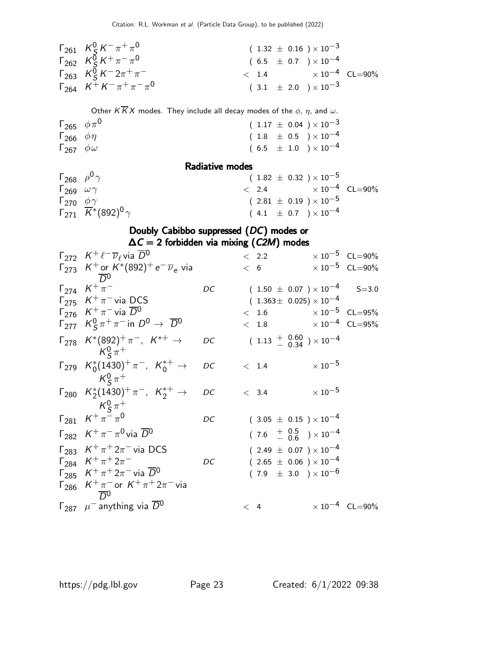| $\Gamma_{261}$ $K_S^0 K^- \pi^+ \pi^0$          | $(1.32 \pm 0.16) \times 10^{-3}$       |  |
|-------------------------------------------------|----------------------------------------|--|
| $\Gamma_{262}$ $K_S^{\vec{0}} K^+ \pi^- \pi^0$  | $(6.5 \pm 0.7) \times 10^{-4}$         |  |
| $\Gamma_{263}$ $K_S^{\bar{0}} K^- 2\pi^+ \pi^-$ | $\epsilon$ 1.4 $\times 10^{-4}$ CL=90% |  |
| $\Gamma_{264}$ $K^+ K^- \pi^+ \pi^- \pi^0$      | $(3.1 \pm 2.0) \times 10^{-3}$         |  |

Other  $K \overline{K} X$  modes. They include all decay modes of the  $\phi$ ,  $\eta$ , and  $\omega$ .

| $\Gamma_{265}$ $\phi \pi^0$ |  |  | $(1.17 \pm 0.04) \times 10^{-3}$                                                        |
|-----------------------------|--|--|-----------------------------------------------------------------------------------------|
| $\Gamma_{266}$ $\phi \eta$  |  |  | $( \hspace{.1cm} 1.8 \hspace{.1cm} \pm \hspace{.1cm} 0.5 \hspace{.1cm} )\times 10^{-4}$ |
| $\Gamma_{267}$ $\phi\omega$ |  |  | $(\begin{array}{cc} 6.5 \end{array} \pm 1.0 \end{array} )\times 10^{-4}$                |

Radiative modes

| $\Gamma_{268}$ $\rho^0 \gamma$ |                                                              | $(1.82 \pm 0.32) \times 10^{-5}$       |  |
|--------------------------------|--------------------------------------------------------------|----------------------------------------|--|
| $\Gamma_{269}$ $\omega \gamma$ |                                                              | $\epsilon$ 2.4 $\times 10^{-4}$ CL=90% |  |
| $\Gamma_{270}$ $\phi\gamma$    |                                                              | $(2.81 \pm 0.19) \times 10^{-5}$       |  |
|                                | $\sqrt{F_{271}} \ \overline{K}$ *(892) <sup>0</sup> $\gamma$ | $(4.1 \pm 0.7) \times 10^{-4}$         |  |

#### Doubly Cabibbo suppressed (DC) modes or  $\Delta C = 2$  forbidden via mixing (C2M) modes

| $\Gamma_{272}$ $K^+ \ell^- \overline{\nu}_\ell$ via $\overline{D}{}^0$                                                                           |    | < 2.2 |                                                                        | $\times 10^{-5}$ CL=90%          |
|--------------------------------------------------------------------------------------------------------------------------------------------------|----|-------|------------------------------------------------------------------------|----------------------------------|
| $\Gamma_{273}$ K <sup>+</sup> or K <sup>*</sup> (892) <sup>+</sup> e <sup>-</sup> $\overline{\nu}_e$ via<br>$\overline{D}{}^0$                   |    | < 6   |                                                                        | $\times$ 10 <sup>-5</sup> CL=90% |
| $\Gamma_{274}$ $K^{+}$ $\pi^{-}$<br>$\Gamma_{275}$ K <sup>+</sup> $\pi$ <sup>-</sup> via DCS<br>$\Gamma_{276}$ $K^+\pi^-$ via $\overline{D}{}^0$ | DC |       | $(1.50 \pm 0.07) \times 10^{-4}$<br>$(1.363 \pm 0.025) \times 10^{-4}$ | $S = 3.0$                        |
| $\Gamma_{277}$ $K_S^0 \pi^+ \pi^-$ in $D^0 \rightarrow \overline{D}^0$                                                                           |    |       | $< 1.6$ $\times 10^{-5}$ CL=95%<br>$< 1.8$ $\times 10^{-4}$ CL=95%     |                                  |
| $\Gamma_{278}$ $K^*(892)^+\pi^-$ , $K^{*+}\to$<br>$K^0_s \pi^+$                                                                                  | DC |       | $(1.13 \frac{+}{0.34}) \times 10^{-4}$                                 |                                  |
| $\Gamma_{279}$ $K_0^*(1430)^+\pi^-$ , $K_0^{*+}\to$<br>$K^0_s \pi^+$                                                                             | DC | < 1.4 | $\times\,10^{-5}$                                                      |                                  |
| $\Gamma_{280}$ $K_2^*(1430)^+\pi^-$ , $K_2^{*+}$ $\rightarrow$<br>$K^0_s\pi^+$                                                                   | DC | < 3.4 | $\times\,10^{-5}$                                                      |                                  |
| $\Gamma_{281}$ $K^+ \pi^- \pi^0$                                                                                                                 | DC |       | $(3.05 \pm 0.15) \times 10^{-4}$                                       |                                  |
| $\Gamma_{282}$ $K^+\pi^-\pi^0$ via $\overline{D}{}^0$                                                                                            |    |       | $(7.6 \tfrac{+0.5}{-0.6}) \times 10^{-4}$                              |                                  |
| $\Gamma_{283}$ $K^+\pi^+2\pi^-$ via DCS                                                                                                          |    |       | $(2.49 \pm 0.07) \times 10^{-4}$                                       |                                  |
| $\Gamma_{284}$ $K^+\pi^+2\pi^-$                                                                                                                  | DC |       | $(2.65 \pm 0.06) \times 10^{-4}$                                       |                                  |
| $\Gamma_{285}$ $K^+\pi^+2\pi^-$ via $\overline{D}^0$                                                                                             |    |       | $(7.9 \pm 3.0) \times 10^{-6}$                                         |                                  |
| $\Gamma_{286}$ $K^{+}\pi^{-}$ or $K^{+}\pi^{+}2\pi^{-}$ via<br>$\overline{D}^0$                                                                  |    |       |                                                                        |                                  |
| $\Gamma_{287}$ $\mu^-$ anything via $\overline{D}{}^0$                                                                                           |    | < 4   |                                                                        | $\times 10^{-4}$ CL=90%          |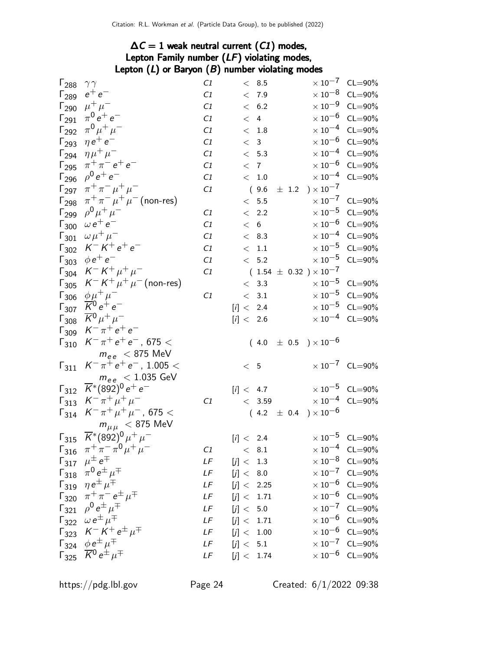## $\Delta C = 1$  weak neutral current (C1) modes, Lepton Family number (LF) violating modes, Lepton (L) or Baryon (B) number violating modes<br> $C_1$

| $\Gamma_{288}$          | $\gamma\gamma$                                                                                                     | C1 | < 8.5                            |                                    | $\times 10^{-7}$ CL=90%          |
|-------------------------|--------------------------------------------------------------------------------------------------------------------|----|----------------------------------|------------------------------------|----------------------------------|
| $\Gamma_{289}$          | $e^+e^-$                                                                                                           | C1 | < 7.9                            |                                    | $\times$ 10 <sup>-8</sup> CL=90% |
|                         | $\Gamma_{290}$ $\mu^+ \mu^-$                                                                                       | C1 | < 6.2                            |                                    | $\times$ 10 <sup>-9</sup> CL=90% |
|                         | $\Gamma_{291}$ $\pi^0 e^+ e^-$                                                                                     | C1 | < 4                              |                                    | $\times$ 10 <sup>-6</sup> CL=90% |
| $\Gamma_{292}$          | $\pi^{0} \mu^{+} \mu^{-}$                                                                                          | C1 | $< 1.8$                          |                                    | $\times 10^{-4}$ CL=90%          |
| $\Gamma_{293}$          | $\eta e^+ e^-$                                                                                                     | C1 | < 3                              |                                    | $\times$ 10 <sup>-6</sup> CL=90% |
|                         | $\Gamma_{294}$ $\eta\mu^{+}\mu^{-}$                                                                                | C1 | < 5.3                            |                                    | $\times 10^{-4}$ CL=90%          |
|                         | $\Gamma_{295}$ $\pi^{+}\pi^{-}e^{+}e^{-}$                                                                          | C1 | < 7                              |                                    | $\times$ 10 <sup>-6</sup> CL=90% |
|                         | $\Gamma_{296}$ $\rho^0 e^+ e^-$                                                                                    | C1 | $\rm <~1.0$                      |                                    | $\times$ $10^{-4}$ $\,$ CL=90%   |
| $\Gamma_{297}$          | $\pi^+ \pi^- \mu^+ \mu^-$                                                                                          | C1 | (9.6)                            | $\pm$ 1.2 $\right) \times 10^{-7}$ |                                  |
| $\Gamma_{298}$          | $\pi^+\pi^-\mu^+\mu^-$ (non-res)                                                                                   |    | $< 5.5$                          |                                    | $\times 10^{-7}$ CL=90%          |
| $\Gamma_{299}$          | $\rho^{0} \mu^{+} \mu^{-}$                                                                                         | C1 | < 2.2                            |                                    | $\times$ 10 <sup>-5</sup> CL=90% |
|                         | $\Gamma_{300}$ $\omega e^+ e^-$                                                                                    | C1 | < 6                              |                                    | $\times$ 10 <sup>-6</sup> CL=90% |
| $\Gamma_{301}$          | $\omega \mu^+ \mu^-$                                                                                               | C1 | < 8.3                            |                                    | $\times$ 10 <sup>-4</sup> CL=90% |
| $\Gamma_{302}$          | $K^- K^+ e^+ e^-$                                                                                                  | C1 | < 1.1                            |                                    | $\times$ 10 <sup>-5</sup> CL=90% |
| $\Gamma_{303}$          | $\phi e^+ e^-$                                                                                                     | C1 | $< 5.2$                          |                                    | $\times$ $10^{-5}$ $\,$ CL=90%   |
| $\Gamma_{304}$          | $K^- K^+ \mu^+ \mu^-$                                                                                              | C1 | $(1.54 \pm 0.32) \times 10^{-7}$ |                                    |                                  |
|                         | $\Gamma_{305}$ $K^- K^+ \mu^+ \mu^-$ (non-res)                                                                     |    | < 3.3                            |                                    | $\times 10^{-5}$ CL=90%          |
|                         | $\Gamma_{306}$ $\phi \mu^+ \mu^-$                                                                                  | C1 | < 3.1                            |                                    | $\times 10^{-5}$ CL=90%          |
| $\Gamma_{307}$          | $\overline{K}^0 e^+ e^-$                                                                                           |    | [i] < 2.4                        |                                    | $\times 10^{-5}$ CL=90%          |
| $\mathsf{\Gamma}_{308}$ | $\overline{K}{}^0 \mu^+ \mu^-$                                                                                     |    | [i] < 2.6                        |                                    | $\times 10^{-4}$ CL=90%          |
|                         | $\Gamma_{309}$ $K^- \pi^+ e^+ e^-$                                                                                 |    |                                  |                                    |                                  |
|                         | $\Gamma_{310}$ $K^{-} \pi^{+} e^{+} e^{-}$ , 675 <                                                                 |    | $(4.0 \pm 0.5) \times 10^{-6}$   |                                    |                                  |
|                         | $m_{ee}$ < 875 MeV                                                                                                 |    |                                  |                                    |                                  |
|                         | $\Gamma_{311}$ $K^- \pi^+ e^+ e^-$ , 1.005 <                                                                       |    | < 5                              |                                    | $\times 10^{-7}$ CL=90%          |
|                         | $m_{ee}$ < 1.035 GeV                                                                                               |    |                                  |                                    |                                  |
|                         | $\Gamma_{312}$ $\overline{K}$ <sup>*</sup> (892) <sup>0</sup> e <sup>+</sup> e <sup>-</sup>                        |    | [i] < 4.7                        |                                    | $\times 10^{-5}$ CL=90%          |
|                         | $\Gamma_{313}$ $K^- \pi^+ \mu^+ \mu^-$                                                                             | C1 | < 3.59                           | $\times$ 10 <sup>-4</sup> CL=90%   |                                  |
|                         | $\Gamma_{314}$ $K^- \pi^+ \mu^+ \mu^-$ , 675 <                                                                     |    | $(4.2 \pm 0.4) \times 10^{-6}$   |                                    |                                  |
|                         | $m_{\mu\mu}$ < 875 MeV                                                                                             |    |                                  |                                    |                                  |
|                         | $\Gamma_{315} \ \overline{K}^*(892)^0 \mu^+ \mu^-$                                                                 |    | [i] < 2.4                        |                                    | $\times 10^{-5}$ CL=90%          |
| 1316                    | $\pi^{+}\pi^{-}\pi^{0}\mu^{+}\mu^{+}$                                                                              | C1 | $\rm <~8.1$                      |                                    | $\times 10^{-4}$ CL=90%          |
|                         | $\Gamma_{317}$ $\mu^{\pm}\,e^{\mp}$                                                                                | LF | [j] < 1.3                        |                                    | $\times$ 10 <sup>-8</sup> CL=90% |
|                         | $\Gamma_{318}$ $\pi^0 e^{\pm} \mu^{\mp}$                                                                           | LF | [j] < 8.0                        |                                    | $\times$ $10^{-7}$ $\,$ CL=90%   |
|                         | $\begin{bmatrix} 1 & \eta e^{\pm} & \mu^{\mp} \\ 1 & 1 & 0 \\ 0 & \pi^+ \pi^- & e^{\pm} & \mu^{\mp} \end{bmatrix}$ | LF | [j] < 2.25                       |                                    | $\times 10^{-6}$ CL=90%          |
|                         |                                                                                                                    | LF | [j] < 1.71                       |                                    | $\times$ 10 <sup>-6</sup> CL=90% |
|                         | $\overline{\Gamma_{321}}^{\  \  \, 22}$ $\rho^0 e^{\pm} \mu^{\mp}$                                                 | LF | [j] < 5.0                        |                                    | $\times 10^{-7}$ CL=90%          |
|                         | $\overline{\Gamma_{322}}^{\prime\prime}$ $\omega e^{\pm} \mu^{\mp}$                                                | LF | [j] < 1.71                       |                                    | $\times 10^{-6}$ CL=90%          |
|                         | $\Gamma_{323}$ $K^- K^+ e^{\pm} \mu^{\mp}$                                                                         | LF | [j] < 1.00                       |                                    | $\times$ 10 <sup>-6</sup> CL=90% |
|                         | $\Gamma_{324}$ $\phi e^{\pm} \mu^{\mp}$                                                                            | LF | [j] < 5.1                        |                                    | $\times 10^{-7}$ CL=90%          |
|                         | $\Gamma_{325}$ $\overline{K}^0 e^{\frac{1}{2}} \mu^{\mp}$                                                          | LF | [j] < 1.74                       |                                    | $\times$ $10^{-6}$ $\,$ CL=90%   |
|                         |                                                                                                                    |    |                                  |                                    |                                  |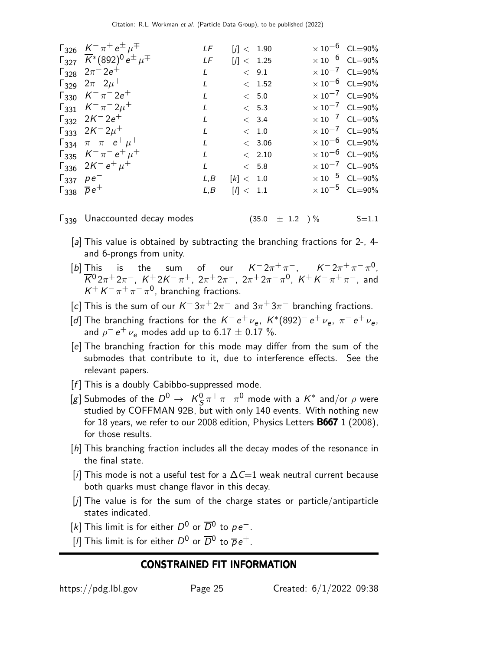| $\Gamma_{326}$ $K^- \pi^+ e^{\pm} \mu^{\mp}$                                                                    | LF           | [i] < 1.90 |             | $\times 10^{-6}$ CL=90% |
|-----------------------------------------------------------------------------------------------------------------|--------------|------------|-------------|-------------------------|
| $\Gamma_{327}$ $\overline{K}$ *(892) <sup>0</sup> e <sup><math>\pm \mu</math></sup> <sup><math>\mp</math></sup> | LF           | [j] < 1.25 |             | $\times 10^{-6}$ CL=90% |
| $\Gamma_{328}$ $2\pi^- 2e^+$                                                                                    | L            | < 9.1      |             | $\times 10^{-7}$ CL=90% |
| $\Gamma_{329}$ $2\pi^{-}2\mu^{+}$                                                                               | L            |            | < 1.52      | $\times 10^{-6}$ CL=90% |
| $\Gamma_{330}$ $K^{-} \pi^{-} 2e^{+}$                                                                           | $\mathbf{I}$ |            | < 5.0       | $\times 10^{-7}$ CL=90% |
| $\Gamma_{331}$ $K^{-} \pi^{-} 2 \mu^{+}$                                                                        | L            |            | < 5.3       | $\times 10^{-7}$ CL=90% |
| $\Gamma_{332}$ 2K <sup>-</sup> 2e <sup>+</sup>                                                                  | L            |            | < 3.4       | $\times 10^{-7}$ CL=90% |
| $\Gamma_{333}$ 2K <sup>-2</sup> $\mu^+$                                                                         | L            |            | $\rm <~1.0$ | $\times 10^{-7}$ CL=90% |
| $\Gamma_{334}$ $\pi^{-}\pi^{-}e^{+}\mu^{+}$                                                                     | $\mathbf{I}$ |            | < 3.06      | $\times 10^{-6}$ CL=90% |
| $\Gamma_{335}$ $K^- \pi^- e^+ \mu^+$                                                                            | L            | < 2.10     |             | $\times 10^{-6}$ CL=90% |
| $\Gamma_{336}$ 2K <sup>-</sup> $e^+ \mu^+$                                                                      | L            | < 5.8      |             | $\times 10^{-7}$ CL=90% |
| $\Gamma_{337}$ $\rho e^{-}$                                                                                     | L, B         | [k] < 1.0  |             | $\times 10^{-5}$ CL=90% |
| $\Gamma_{338}$ $\overline{\rho}e^+$                                                                             | L, B         | l  < 1.1   |             | $\times 10^{-5}$ CL=90% |
|                                                                                                                 |              |            |             |                         |

 $\Gamma_{339}$  Unaccounted decay modes  $(35.0 \pm 1.2)$  % S=1.1

- [a] This value is obtained by subtracting the branching fractions for 2-, 4and 6-prongs from unity.
- [b] This is the sum of our  $K^- 2\pi^+\pi^-, \quad K^- 2\pi^+\pi^-\pi^0,$  $\overline{K}{}^0 2\pi^+ 2\pi^-, \,\, K^+ 2K^- \pi^+, \,\, 2\pi^+ 2\pi^-, \,\, 2\pi^+ 2\pi^- \pi^0, \,\, K^+ \,K^- \pi^+ \pi^-, \,\, \text{and}$  $K^+ K^- \pi^+ \pi^- \pi^0$ , branching fractions.
- [c] This is the sum of our  $K^-3\pi^+2\pi^-$  and  $3\pi^+3\pi^-$  branching fractions.
- [d] The branching fractions for the  $K^-e^+\nu_e$ ,  $K^*(892)^-e^+\nu_e$ ,  $\pi^-e^+\nu_e$ , and  $\rho^- \, e^+ \, \nu_e$  modes add up to  $6.17 \pm 0.17$  %.
- [e] The branching fraction for this mode may differ from the sum of the submodes that contribute to it, due to interference effects. See the relevant papers.
- $[f]$  This is a doubly Cabibbo-suppressed mode.
- [g] Submodes of the  $D^0\,\rightarrow\,\,$  K $^0_\text{S}$  $\frac{0}{5} \pi^+ \pi^- \pi^0$  mode with a  $\mathcal{K}^*$  and/or  $\rho$  were studied by COFFMAN 92B, but with only 140 events. With nothing new for 18 years, we refer to our 2008 edition, Physics Letters  $\bf{B667}$  1 (2008), for those results.
- [h] This branching fraction includes all the decay modes of the resonance in the final state.
- [i] This mode is not a useful test for a  $\Delta C=1$  weak neutral current because both quarks must change flavor in this decay.
- [j] The value is for the sum of the charge states or particle/antiparticle states indicated.
- [k] This limit is for either  $D^0$  or  $\overline{D}{}^0$  to  $\rho e^-$ .
- [1] This limit is for either  $D^0$  or  $\overline{D}{}^0$  to  $\overline{\rho}e^+$ .

#### CONSTRAINED FIT INFORMATION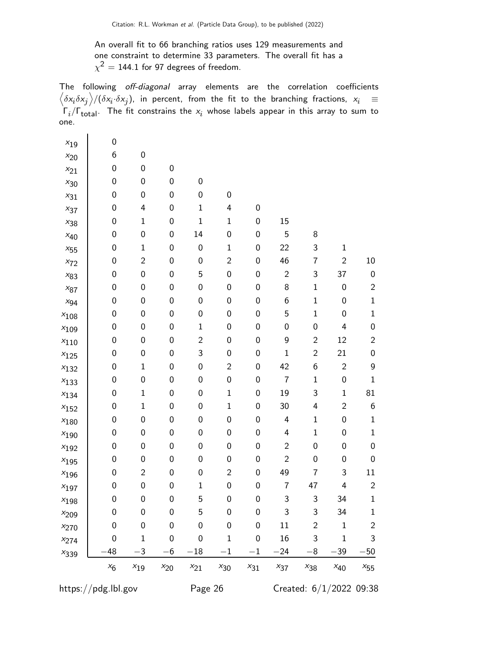An overall fit to 66 branching ratios uses 129 measurements and one constraint to determine 33 parameters. The overall fit has a  $\chi^2=$  144.1 for 97 degrees of freedom.

The following off-diagonal array elements are the correlation coefficients  $\left<\delta x_i\delta x_j\right>$ / $(\delta x_i\cdot\delta x_j)$ , in percent, from the fit to the branching fractions,  $x_i$   $\;\equiv$  $\mathsf{\Gamma}_i/\mathsf{\Gamma}_{\mathsf{total}}$ . The fit constrains the  $\mathsf{x}_i$  whose labels appear in this array to sum to one.

| $x_{19}$     | 0                |                  |                  |                  |                  |                  |                  |                           |                  |                         |
|--------------|------------------|------------------|------------------|------------------|------------------|------------------|------------------|---------------------------|------------------|-------------------------|
| $x_{20}$     | 6                | $\boldsymbol{0}$ |                  |                  |                  |                  |                  |                           |                  |                         |
| $x_{21}$     | $\boldsymbol{0}$ | $\pmb{0}$        | $\pmb{0}$        |                  |                  |                  |                  |                           |                  |                         |
| $x_{30}$     | $\boldsymbol{0}$ | $\boldsymbol{0}$ | $\pmb{0}$        | $\boldsymbol{0}$ |                  |                  |                  |                           |                  |                         |
| $x_{31}$     | $\boldsymbol{0}$ | $\boldsymbol{0}$ | $\pmb{0}$        | $\boldsymbol{0}$ | $\pmb{0}$        |                  |                  |                           |                  |                         |
| $x_{37}$     | $\pmb{0}$        | 4                | $\pmb{0}$        | $\mathbf 1$      | 4                | 0                |                  |                           |                  |                         |
| $x_{38}$     | $\boldsymbol{0}$ | $\mathbf 1$      | $\pmb{0}$        | $\mathbf{1}$     | $\mathbf{1}$     | $\boldsymbol{0}$ | 15               |                           |                  |                         |
| $x_{40}$     | $\pmb{0}$        | 0                | $\pmb{0}$        | 14               | $\pmb{0}$        | $\boldsymbol{0}$ | 5                | 8                         |                  |                         |
| $x_{55}$     | $\pmb{0}$        | $\mathbf 1$      | $\pmb{0}$        | 0                | $\mathbf{1}$     | 0                | 22               | 3                         | $\mathbf 1$      |                         |
| $x_{\rm 72}$ | $\pmb{0}$        | $\overline{c}$   | $\pmb{0}$        | $\boldsymbol{0}$ | $\overline{c}$   | $\boldsymbol{0}$ | 46               | $\overline{\mathfrak{c}}$ | $\overline{c}$   | 10                      |
| $x_{83}$     | $\boldsymbol{0}$ | $\boldsymbol{0}$ | $\pmb{0}$        | 5                | $\pmb{0}$        | $\boldsymbol{0}$ | $\sqrt{2}$       | 3                         | 37               | $\mathbf 0$             |
| $x_{87}$     | $\boldsymbol{0}$ | 0                | $\pmb{0}$        | 0                | $\pmb{0}$        | 0                | 8                | $\mathbf 1$               | 0                | $\overline{\mathbf{c}}$ |
| $x_{94}$     | $\pmb{0}$        | $\boldsymbol{0}$ | $\pmb{0}$        | $\boldsymbol{0}$ | $\pmb{0}$        | $\boldsymbol{0}$ | $\boldsymbol{6}$ | $\mathbf 1$               | 0                | $\mathbf{1}$            |
| $x_{108}$    | $\pmb{0}$        | $\pmb{0}$        | $\pmb{0}$        | 0                | $\pmb{0}$        | $\boldsymbol{0}$ | 5                | $\mathbf 1$               | 0                | $\mathbf{1}$            |
| $x_{109}$    | $\boldsymbol{0}$ | 0                | $\pmb{0}$        | $\mathbf{1}$     | $\pmb{0}$        | $\boldsymbol{0}$ | $\boldsymbol{0}$ | $\boldsymbol{0}$          | 4                | $\mathbf 0$             |
| $x_{110}$    | $\boldsymbol{0}$ | $\boldsymbol{0}$ | $\pmb{0}$        | $\overline{c}$   | $\pmb{0}$        | $\boldsymbol{0}$ | 9                | $\overline{c}$            | 12               | $\overline{\mathbf{c}}$ |
| $x_{125}$    | $\pmb{0}$        | 0                | $\pmb{0}$        | 3                | $\pmb{0}$        | $\boldsymbol{0}$ | $\mathbf 1$      | $\overline{c}$            | 21               | $\mathbf 0$             |
| $x_{132}$    | $\boldsymbol{0}$ | $\mathbf 1$      | $\pmb{0}$        | $\boldsymbol{0}$ | $\overline{c}$   | $\boldsymbol{0}$ | 42               | $\boldsymbol{6}$          | $\sqrt{2}$       | 9                       |
| $x_{133}$    | $\boldsymbol{0}$ | 0                | $\pmb{0}$        | $\boldsymbol{0}$ | $\pmb{0}$        | $\boldsymbol{0}$ | $\boldsymbol{7}$ | $\mathbf 1$               | $\boldsymbol{0}$ | $\mathbf{1}$            |
| $x_{134}$    | $\pmb{0}$        | $\mathbf 1$      | $\pmb{0}$        | 0                | $\mathbf{1}$     | $\boldsymbol{0}$ | 19               | 3                         | $\mathbf 1$      | 81                      |
| $x_{152}$    | $\boldsymbol{0}$ | $\mathbf 1$      | $\pmb{0}$        | 0                | $\mathbf{1}$     | $\boldsymbol{0}$ | 30               | 4                         | $\overline{c}$   | 6                       |
| $x_{180}$    | $\boldsymbol{0}$ | $\pmb{0}$        | $\pmb{0}$        | $\boldsymbol{0}$ | $\pmb{0}$        | $\boldsymbol{0}$ | 4                | $\mathbf{1}$              | $\boldsymbol{0}$ | $\mathbf{1}$            |
| $x_{190}$    | $\pmb{0}$        | 0                | $\pmb{0}$        | 0                | $\pmb{0}$        | $\boldsymbol{0}$ | 4                | $\mathbf{1}$              | $\boldsymbol{0}$ | $\mathbf{1}$            |
| $x_{192}$    | $\pmb{0}$        | $\boldsymbol{0}$ | $\pmb{0}$        | $\boldsymbol{0}$ | $\pmb{0}$        | $\boldsymbol{0}$ | $\overline{c}$   | $\boldsymbol{0}$          | 0                | $\mathbf 0$             |
| $x_{195}$    | $\pmb{0}$        | $\pmb{0}$        | $\pmb{0}$        | 0                | $\pmb{0}$        | $\boldsymbol{0}$ | $\overline{c}$   | $\boldsymbol{0}$          | 0                | $\mathbf 0$             |
| $x_{196}$    | $\pmb{0}$        | $\mathbf{2}$     | $\pmb{0}$        | $\boldsymbol{0}$ | $\overline{c}$   | $\boldsymbol{0}$ | 49               | $\overline{\mathcal{I}}$  | 3                | 11                      |
| $x_{197}$    | $\pmb{0}$        | $\boldsymbol{0}$ | $\pmb{0}$        | $\mathbf 1$      | $\pmb{0}$        | $\boldsymbol{0}$ | $\boldsymbol{7}$ | 47                        | 4                | $\overline{c}$          |
| $x_{198}$    | $\mathbf 0$      | 0                | $\mathbf 0$      | 5                | $\mathbf 0$      | $\boldsymbol{0}$ | 3                | 3                         | 34               | $\mathbf{1}$            |
| $x_{209}$    | 0                | $\boldsymbol{0}$ | 0                | 5                | $\boldsymbol{0}$ | 0                | 3                | 3                         | 34               | $\mathbf{1}$            |
| $x_{270}$    | 0                | $\boldsymbol{0}$ | $\boldsymbol{0}$ | $\mathbf 0$      | 0                | 0                | 11               | $\overline{2}$            | $\mathbf 1$      | $\overline{c}$          |
| $x_{274}$    | 0                | $\mathbf 1$      | 0                | 0                | 1                | 0                | 16               | 3                         | $\mathbf 1$      | 3                       |
| $x_{339}$    | 48               | $-3$             | $-6$             | $\!-18$          | $-1$             | $-1$             | $-24$            | $-8$                      | $-39$            | $-50$                   |
|              | $x_6$            | $x_{19}$         | $x_{20}$         | $x_{21}$         | $x_{30}$         | $x_{31}$         | $x_{37}$         | $x_{38}$                  | $x_{40}$         | $x_{55}$                |
|              |                  |                  |                  |                  |                  |                  |                  |                           |                  |                         |

https://pdg.lbl.gov Page 26 Created: 6/1/2022 09:38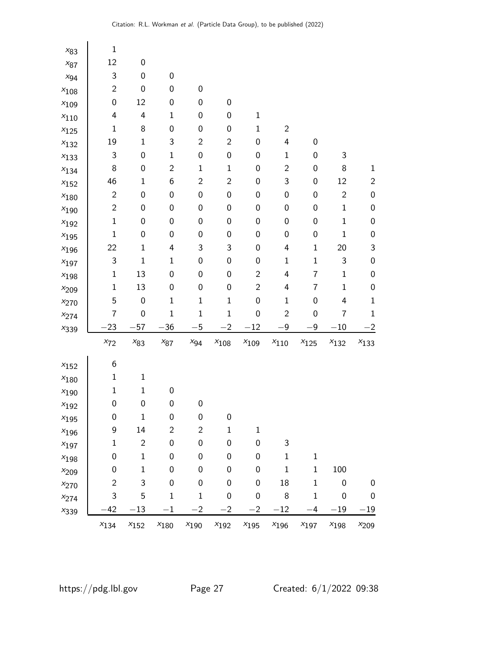| $x_{83}$  | $\mathbf 1$    |                  |                  |                  |                  |                  |                  |                  |                  |                  |
|-----------|----------------|------------------|------------------|------------------|------------------|------------------|------------------|------------------|------------------|------------------|
| $x_{87}$  | 12             | $\pmb{0}$        |                  |                  |                  |                  |                  |                  |                  |                  |
| $x_{94}$  | 3              | $\pmb{0}$        | $\boldsymbol{0}$ |                  |                  |                  |                  |                  |                  |                  |
| $x_{108}$ | $\overline{c}$ | $\boldsymbol{0}$ | $\boldsymbol{0}$ | 0                |                  |                  |                  |                  |                  |                  |
| $x_{109}$ | 0              | 12               | $\pmb{0}$        | 0                | $\pmb{0}$        |                  |                  |                  |                  |                  |
| $x_{110}$ | 4              | 4                | $\mathbf 1$      | 0                | $\boldsymbol{0}$ | $\mathbf 1$      |                  |                  |                  |                  |
| $x_{125}$ | $\mathbf 1$    | $\,8\,$          | $\pmb{0}$        | $\boldsymbol{0}$ | $\pmb{0}$        | $\mathbf 1$      | $\overline{c}$   |                  |                  |                  |
| $x_{132}$ | 19             | $\mathbf 1$      | 3                | $\overline{c}$   | $\overline{c}$   | $\boldsymbol{0}$ | 4                | 0                |                  |                  |
| $x_{133}$ | 3              | $\boldsymbol{0}$ | $\mathbf 1$      | 0                | $\boldsymbol{0}$ | 0                | $\mathbf{1}$     | 0                | $\mathsf 3$      |                  |
| $x_{134}$ | 8              | $\boldsymbol{0}$ | $\overline{c}$   | $\mathbf{1}$     | $\mathbf 1$      | $\boldsymbol{0}$ | $\overline{c}$   | 0                | $\,8\,$          | $\mathbf{1}$     |
| $x_{152}$ | 46             | $\mathbf 1$      | $\boldsymbol{6}$ | $\overline{c}$   | $\overline{c}$   | 0                | 3                | 0                | 12               | $\overline{c}$   |
| $x_{180}$ | $\overline{c}$ | $\pmb{0}$        | $\pmb{0}$        | 0                | $\boldsymbol{0}$ | 0                | 0                | 0                | $\overline{2}$   | $\pmb{0}$        |
| $x_{190}$ | $\overline{c}$ | $\boldsymbol{0}$ | $\pmb{0}$        | $\boldsymbol{0}$ | $\pmb{0}$        | $\boldsymbol{0}$ | $\boldsymbol{0}$ | 0                | $\mathbf 1$      | $\boldsymbol{0}$ |
| $x_{192}$ | $\mathbf 1$    | $\boldsymbol{0}$ | $\pmb{0}$        | 0                | $\pmb{0}$        | $\boldsymbol{0}$ | 0                | 0                | $\mathbf 1$      | $\pmb{0}$        |
| $x_{195}$ | $\mathbf 1$    | $\pmb{0}$        | $\boldsymbol{0}$ | 0                | $\pmb{0}$        | 0                | $\boldsymbol{0}$ | 0                | $\mathbf 1$      | $\mathbf 0$      |
| $x_{196}$ | 22             | $\mathbf{1}$     | 4                | 3                | 3                | 0                | 4                | $\mathbf{1}$     | 20               | $\mathsf 3$      |
| $x_{197}$ | 3              | $\mathbf 1$      | $\mathbf 1$      | 0                | $\pmb{0}$        | $\boldsymbol{0}$ | $\mathbf{1}$     | $\mathbf 1$      | 3                | $\pmb{0}$        |
| $x_{198}$ | $\mathbf 1$    | 13               | $\boldsymbol{0}$ | $\mathbf 0$      | $\boldsymbol{0}$ | $\overline{c}$   | 4                | 7                | $\mathbf 1$      | $\mathbf 0$      |
| $x_{209}$ | $\mathbf 1$    | 13               | $\pmb{0}$        | 0                | $\pmb{0}$        | $\overline{c}$   | 4                | 7                | $\mathbf{1}$     | $\pmb{0}$        |
| $x_{270}$ | 5              | $\boldsymbol{0}$ | $\mathbf{1}$     | $\mathbf 1$      | $\mathbf 1$      | $\boldsymbol{0}$ | $\mathbf{1}$     | 0                | 4                | $\mathbf 1$      |
| $x_{274}$ | 7              | $\boldsymbol{0}$ | $\mathbf 1$      | $\mathbf{1}$     | $\mathbf 1$      | $\boldsymbol{0}$ | $\overline{c}$   | $\boldsymbol{0}$ | 7                | $\mathbf{1}$     |
| $x_{339}$ | $-23$          | $-57$            | $-36$            | $-5$             | $-2$             | $-12$            | $-9$             | $-9$             | $-10$            | $^{-2}$          |
|           | $x_{72}$       | $x_{83}$         | $x_{87}$         | $x_{94}$         | $x_{108}$        | $x_{109}$        | $x_{110}$        | $x_{125}$        | $x_{132}$        | $x_{133}$        |
| $x_{152}$ | 6              |                  |                  |                  |                  |                  |                  |                  |                  |                  |
| $x_{180}$ | $\mathbf 1$    | $\mathbf{1}$     |                  |                  |                  |                  |                  |                  |                  |                  |
| $x_{190}$ | $\mathbf 1$    | $\mathbf{1}$     | $\boldsymbol{0}$ |                  |                  |                  |                  |                  |                  |                  |
| $x_{192}$ | $\pmb{0}$      | $\boldsymbol{0}$ | $\pmb{0}$        | $\boldsymbol{0}$ |                  |                  |                  |                  |                  |                  |
| $x_{195}$ | 0              | 1                | 0                | 0                | 0                |                  |                  |                  |                  |                  |
| $x_{196}$ | 9              | 14               | $\overline{c}$   | $\overline{c}$   | $\mathbf 1$      | $\mathbf 1$      |                  |                  |                  |                  |
| $x_{197}$ | $\mathbf 1$    | $\overline{2}$   | $\boldsymbol{0}$ | $\mathbf 0$      | $\boldsymbol{0}$ | $\boldsymbol{0}$ | 3                |                  |                  |                  |
| $x_{198}$ | 0              | $\mathbf{1}$     | $\boldsymbol{0}$ | $\mathbf 0$      | $\mathbf 0$      | 0                | $\mathbf{1}$     | $1\,$            |                  |                  |
| $x_{209}$ | 0              | $\mathbf{1}$     | $\boldsymbol{0}$ | $\mathbf 0$      | $\boldsymbol{0}$ | 0                | $\mathbf{1}$     | $\mathbf{1}$     | 100              |                  |
| $x_{270}$ | $\overline{2}$ | 3                | $\boldsymbol{0}$ | $\mathbf 0$      | $\boldsymbol{0}$ | $\boldsymbol{0}$ | 18               | $1\,$            | $\boldsymbol{0}$ | 0                |
| $x_{274}$ | 3              | 5                | $\mathbf{1}$     | $\mathbf{1}$     | $\boldsymbol{0}$ | $\boldsymbol{0}$ | 8                | $1\,$            | 0                | $\boldsymbol{0}$ |
| $x_{339}$ | $-42$          | $-13$            | $-1$             | $^{-2}$          | $-2$             | $-2$             | $-12$            | $-4$             | $-19\,$          | $-19$            |
|           | $x_{134}$      | $x_{152}$        | $x_{\rm 180}$    | $x_{190}$        | $x_{192}$        | $x_{195}$        | $x_{196}$        | $x_{197}$        | $x_{198}$        | $x_{209}$        |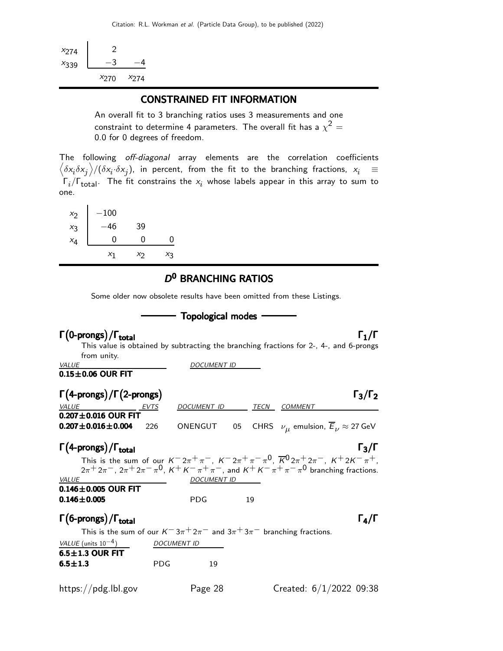| X274      | ')        |           |
|-----------|-----------|-----------|
| $x_{339}$ |           |           |
|           | $x_{270}$ | $x_{274}$ |

#### CONSTRAINED FIT INFORMATION

An overall fit to 3 branching ratios uses 3 measurements and one constraint to determine 4 parameters. The overall fit has a  $\chi^2 =$ 0.0 for 0 degrees of freedom.

The following off-diagonal array elements are the correlation coefficients  $\left<\delta x_i\delta x_j\right>$ / $(\delta x_i\cdot\delta x_j)$ , in percent, from the fit to the branching fractions,  $x_i$   $\;\equiv$  $\mathsf{\Gamma}_i/\mathsf{\Gamma}_{\mathsf{total}}$ . The fit constrains the  $\mathsf{x}_i$  whose labels appear in this array to sum to one.

| $x_2$ | $-100$ |    |    |
|-------|--------|----|----|
| $x_3$ | 46     | 39 |    |
| $x_4$ | 0      | 0  | 0  |
|       | $X_1$  | Χŋ | Χą |

#### D<sup>0</sup> BRANCHING RATIOS

Some older now obsolete results have been omitted from these Listings.

|                                                                                     |            | <b>Topological modes</b> |    |                                                                                                                                                                                                                                                                        |
|-------------------------------------------------------------------------------------|------------|--------------------------|----|------------------------------------------------------------------------------------------------------------------------------------------------------------------------------------------------------------------------------------------------------------------------|
| $\Gamma$ (0-prongs)/ $\Gamma_{total}$                                               |            |                          |    | $\Gamma_1/\Gamma$<br>This value is obtained by subtracting the branching fractions for 2-, 4-, and 6-prongs                                                                                                                                                            |
| from unity.                                                                         |            | <b>DOCUMENT ID</b>       |    |                                                                                                                                                                                                                                                                        |
| <b>VALUE</b><br>$0.15\pm0.06$ OUR FIT                                               |            |                          |    |                                                                                                                                                                                                                                                                        |
| $\Gamma(4\text{-prongs})/\Gamma(2\text{-prongs})$                                   |            |                          |    | $\Gamma_3/\Gamma_2$                                                                                                                                                                                                                                                    |
| VALUE EVTS                                                                          |            | DOCUMENT ID TECN COMMENT |    |                                                                                                                                                                                                                                                                        |
| $0.207 \pm 0.016$ OUR FIT<br>$0.207 \pm 0.016 \pm 0.004$                            | 226        |                          |    | ONENGUT 05 CHRS $\nu_{\mu}$ emulsion, $\overline{E}_{\nu} \approx 27$ GeV                                                                                                                                                                                              |
| $\Gamma(4$ -prongs)/ $\Gamma_{total}$                                               |            |                          |    | $\Gamma_3/\Gamma$                                                                                                                                                                                                                                                      |
|                                                                                     |            |                          |    | This is the sum of our $K^- 2\pi^+ \pi^-$ , $K^- 2\pi^+ \pi^- \pi^0$ , $\overline{K}^0 2\pi^+ 2\pi^-$ , $K^+ 2K^- \pi^+$ ,<br>$2\pi + 2\pi$ , $2\pi + 2\pi - \pi$ <sup>0</sup> , $K + K - \pi + \pi$ , and $K + K - \pi + \pi - \pi$ <sup>0</sup> branching fractions. |
| VALUE<br>$0.146 \pm 0.005$ OUR FIT                                                  |            | <b>DOCUMENT ID</b>       |    |                                                                                                                                                                                                                                                                        |
| $0.146 \pm 0.005$                                                                   |            | <b>PDG</b>               | 19 |                                                                                                                                                                                                                                                                        |
| $\Gamma(6$ -prongs) / $\Gamma_{total}$                                              |            |                          |    | $\Gamma_4/\Gamma$                                                                                                                                                                                                                                                      |
| This is the sum of our $K^- 3\pi^+ 2\pi^-$ and $3\pi^+ 3\pi^-$ branching fractions. |            |                          |    |                                                                                                                                                                                                                                                                        |
| VALUE (units $10^{-4}$ )                                                            |            | <b>DOCUMENT ID</b>       |    |                                                                                                                                                                                                                                                                        |
| $6.5 \pm 1.3$ OUR FIT                                                               |            |                          |    |                                                                                                                                                                                                                                                                        |
| $6.5 \pm 1.3$                                                                       | <b>PDG</b> | 19                       |    |                                                                                                                                                                                                                                                                        |
| https://pdg.lbl.gov                                                                 |            | Page 28                  |    | Created: $6/1/2022$ 09:38                                                                                                                                                                                                                                              |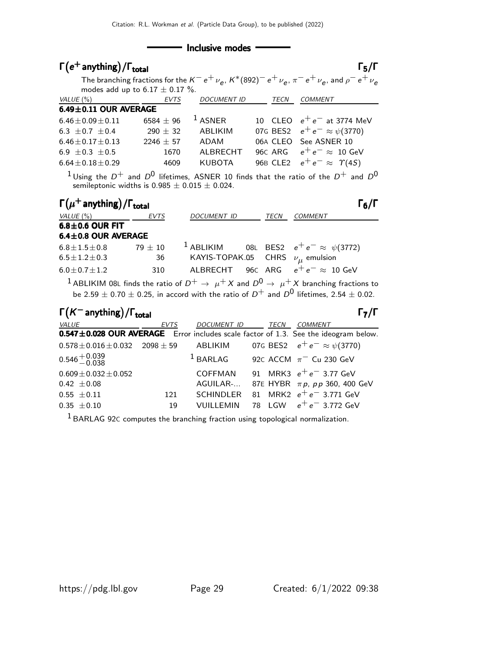#### - Inclusive modes

| $\Gamma(e^+$ anything)/ $\Gamma_{\rm total}$         |               |                    |                                | $\Gamma_5/\Gamma$                                                                                                                                                                                                                |
|------------------------------------------------------|---------------|--------------------|--------------------------------|----------------------------------------------------------------------------------------------------------------------------------------------------------------------------------------------------------------------------------|
|                                                      |               |                    |                                | The branching fractions for the $K^-e^+\nu_e$ , $K^*(892)^-e^+\nu_e$ , $\pi^-e^+\nu_e$ , and $\rho^-e^+\nu_e$                                                                                                                    |
| modes add up to $6.17 \pm 0.17$ %.                   |               |                    |                                |                                                                                                                                                                                                                                  |
| VALUE (%)                                            | EVTS          | <b>DOCUMENT ID</b> | TECN                           | <b>COMMENT</b>                                                                                                                                                                                                                   |
| 6.49±0.11 OUR AVERAGE                                |               |                    |                                |                                                                                                                                                                                                                                  |
| $6.46 \pm 0.09 \pm 0.11$                             | 6584 $\pm$ 96 | <sup>1</sup> ASNER | 10 <sup>1</sup><br><b>CLEO</b> | $e^+e^-$ at 3774 MeV                                                                                                                                                                                                             |
| 6.3 $\pm$ 0.7 $\pm$ 0.4                              | $290 \pm 32$  | <b>ABLIKIM</b>     | 07G BES2                       | $e^+e^- \approx \psi(3770)$                                                                                                                                                                                                      |
| $6.46 \pm 0.17 \pm 0.13$                             | $2246 \pm 57$ | ADAM               | 06A CLEO                       | See ASNER 10                                                                                                                                                                                                                     |
| 6.9 $\pm$ 0.3 $\pm$ 0.5                              | 1670          | ALBRECHT           | 96C ARG                        | $e^+e^- \approx 10 \text{ GeV}$                                                                                                                                                                                                  |
| $6.64 \pm 0.18 \pm 0.29$                             | 4609          | <b>KUBOTA</b>      | <b>96B CLE2</b>                | $e^+e^- \approx \Upsilon(4S)$                                                                                                                                                                                                    |
| semileptonic widths is $0.985 \pm 0.015 \pm 0.024$ . |               |                    |                                | $1$ Using the $D^+$ and $D^0$ lifetimes, ASNER 10 finds that the ratio of the $D^+$ and $D^0$                                                                                                                                    |
| $\Gamma(\mu^+$ anything) / $\Gamma_{\rm total}$      |               |                    |                                | $\Gamma_6/\Gamma$                                                                                                                                                                                                                |
| VALUE (%)                                            | <b>EVTS</b>   | <b>DOCUMENT ID</b> | TECN                           | COMMENT                                                                                                                                                                                                                          |
| $6.8 \pm 0.6$ OUR FIT                                |               |                    |                                |                                                                                                                                                                                                                                  |
| 6.4±0.8 OUR AVERAGE                                  |               |                    |                                |                                                                                                                                                                                                                                  |
| $6.8 \pm 1.5 \pm 0.8$                                | $79 + 10$     | $^1$ ABLIKIM       |                                | 08L BES2 $e^+e^- \approx \psi(3772)$                                                                                                                                                                                             |
| $6.5 \pm 1.2 \pm 0.3$                                | 36            | KAYIS-TOPAK.05     |                                | CHRS $\nu_{\mu}$ emulsion                                                                                                                                                                                                        |
| $6.0 + 0.7 + 1.2$                                    | 310           | <b>ALBRECHT</b>    | 96C ARG                        | $e^+e^- \approx 10 \text{ GeV}$                                                                                                                                                                                                  |
|                                                      |               |                    |                                | $^1$ ABLIKIM 08L finds the ratio of $D^+ \rightarrow \ \mu^+ X$ and $D^0 \rightarrow \ \mu^+ X$ branching fractions to<br>be 2.59 $\pm$ 0.70 $\pm$ 0.25, in accord with the ratio of $D^+$ and $D^0$ lifetimes, 2.54 $\pm$ 0.02. |
| $\Gamma(K^-$ anything) / $\Gamma_{\text{total}}$     |               |                    |                                | $\Gamma_7/\Gamma$                                                                                                                                                                                                                |
| VALUE                                                | <b>EVTS</b>   | DOCUMENT ID        | TECN                           | <b>COMMENT</b>                                                                                                                                                                                                                   |
| $0.547 \pm 0.028$ OUR AVERAGE                        |               |                    |                                | Error includes scale factor of 1.3. See the ideogram below.                                                                                                                                                                      |
| $0.578 \pm 0.016 \pm 0.032$                          | $2098 + 59$   | ABLIKIM            |                                | 07G BES2 $e^+e^- \approx \psi(3770)$                                                                                                                                                                                             |
| $0.546 + 0.039$<br>-0.038                            |               | $1$ BARLAG         |                                | 92c ACCM $\pi$ <sup>-</sup> Cu 230 GeV                                                                                                                                                                                           |
| $0.609 \pm 0.032 \pm 0.052$                          |               | <b>COFFMAN</b>     | 91                             | MRK3 $e^+e^-$ 3.77 GeV                                                                                                                                                                                                           |
| $0.42 \pm 0.08$                                      |               | AGUILAR-           | 87E HYBR                       | $\pi p$ , pp 360, 400 GeV                                                                                                                                                                                                        |
| $0.55 \pm 0.11$                                      | 121           | <b>SCHINDLER</b>   | MRK2<br>81                     | $e^+e^-$ 3.771 GeV                                                                                                                                                                                                               |
| $0.35 \pm 0.10$                                      | 19            | <b>VUILLEMIN</b>   | 78 LGW                         | $e^+e^-$ 3.772 GeV                                                                                                                                                                                                               |

 $^{\rm 1}$  BARLAG 92C computes the branching fraction using topological normalization.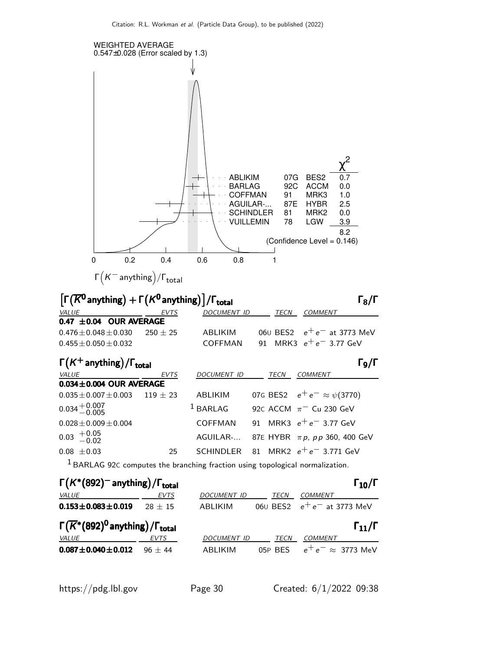

| $\left  \cdot \right $ (1) $\left  \cdot \right $ (1) $\left  \cdot \right $ (1) $\left  \cdot \right $ (1) $\left  \cdot \right $ (1) $\left  \cdot \right $ (1) $\left  \cdot \right $ |           |                    |         | <u>, 101 i</u>                    |
|------------------------------------------------------------------------------------------------------------------------------------------------------------------------------------------|-----------|--------------------|---------|-----------------------------------|
| <i>VALUE</i>                                                                                                                                                                             | EVTS      | <b>DOCUMENT ID</b> | TECN    | <b>COMMENT</b>                    |
| $0.153 \pm 0.083 \pm 0.019$                                                                                                                                                              | $28 + 15$ | ABLIKIM            |         | 060 BES2 $e^+e^-$ at 3773 MeV     |
| $\Gamma(\overline{K}^*(892)^0)$ anything) / $\Gamma_{\text{total}}$                                                                                                                      |           |                    |         | $\Gamma_{11}/\Gamma$              |
| <i>VALUE</i>                                                                                                                                                                             | EVTS      | <b>DOCUMENT ID</b> | TECN    | <b>COMMENT</b>                    |
| $0.087 \pm 0.040 \pm 0.012$                                                                                                                                                              | $96 + 44$ | ABI IKIM           | 05P BES | $e^+e^- \approx 3773 \text{ MeV}$ |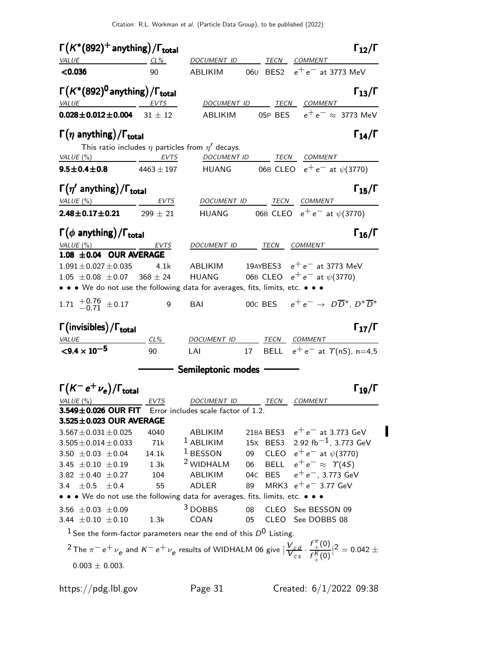| $\Gamma(K^*(892)^+$ anything)/ $\Gamma_{\text{total}}$                                                                                                                                                                              | $\Gamma_{12}/\Gamma$              |
|-------------------------------------------------------------------------------------------------------------------------------------------------------------------------------------------------------------------------------------|-----------------------------------|
| VALUE<br><b>DOCUMENT ID</b><br>TECN COMMENT<br>$CL\%$                                                                                                                                                                               |                                   |
| 060 BES2<br>< 0.036<br>90<br>ABLIKIM                                                                                                                                                                                                | $e^+e^-$ at 3773 MeV              |
| $\Gamma(K^*(892)^0)$ anything) / $\Gamma_{\text{total}}$                                                                                                                                                                            | $\Gamma_{13}/\Gamma$              |
| <b>VALUE</b><br><b>EVTS</b><br>DOCUMENT ID<br>TECN COMMENT                                                                                                                                                                          |                                   |
| $0.028 \pm 0.012 \pm 0.004$ 31 $\pm$ 12<br>ABLIKIM                                                                                                                                                                                  | 05P BES $e^+e^- \approx 3773$ MeV |
| $\Gamma(\eta \text{ anything})/\Gamma_{\text{total}}$<br>This ratio includes $\eta$ particles from $\eta'$ decays.                                                                                                                  | $\Gamma_{14}/\Gamma$              |
| VALUE $(\%)$<br><b>EVTS</b><br><b>DOCUMENT ID</b>                                                                                                                                                                                   | TECN COMMENT                      |
| 06B CLEO $e^+e^-$ at $\psi$ (3770)<br>$9.5 \pm 0.4 \pm 0.8$<br><b>HUANG</b><br>$4463 \pm 197$                                                                                                                                       |                                   |
| $\Gamma(\eta'$ anything)/ $\Gamma_{\text{total}}$                                                                                                                                                                                   | $\Gamma_{15}/\Gamma$              |
| VALUE(%)<br>DOCUMENT ID TECN COMMENT<br>EVTS                                                                                                                                                                                        |                                   |
| 06B CLEO $e^+e^-$ at $\psi$ (3770)<br>$2.48 \pm 0.17 \pm 0.21$ 299 $\pm$ 21<br><b>HUANG</b>                                                                                                                                         |                                   |
| $\Gamma(\phi \text{ anything})/\Gamma_{\text{total}}$                                                                                                                                                                               | $\Gamma_{16}/\Gamma$              |
| VALUE(%)<br>DOCUMENT ID TECN COMMENT<br>EVTS                                                                                                                                                                                        |                                   |
| 1.08 ±0.04 OUR AVERAGE                                                                                                                                                                                                              |                                   |
| 19AYBES3 $e^+e^-$ at 3773 MeV<br>$1.091 \pm 0.027 \pm 0.035$<br>ABLIKIM<br>4.1k                                                                                                                                                     |                                   |
| HUANG 06B CLEO $e^+e^-$ at $\psi(3770)$<br>$1.05 \pm 0.08 \pm 0.07$<br>$368 \pm 24$                                                                                                                                                 |                                   |
| • • • We do not use the following data for averages, fits, limits, etc. • • •                                                                                                                                                       |                                   |
| 1.71 $^{+0.76}_{-0.71}$ $\pm$ 0.17<br>00c BES $e^+e^- \rightarrow D\overline{D}^*, D^*\overline{D}^*$<br>$\overline{9}$<br>BAI                                                                                                      |                                   |
| $\Gamma(\text{invisibles})/\Gamma_\text{total}$                                                                                                                                                                                     | $\Gamma_{17}/\Gamma$              |
| $CL\%$<br>DOCUMENT ID TECN COMMENT<br><b>VALUE</b>                                                                                                                                                                                  |                                   |
| $< 9.4 \times 10^{-5}$<br>17 BELL $e^+e^-$ at $\gamma$ (nS), n=4,5<br>90<br>LAI                                                                                                                                                     |                                   |
| <del>________</del> Semileptonic modes -                                                                                                                                                                                            |                                   |
| $\Gamma(K^-e^+\nu_e)/\Gamma_{\rm total}$                                                                                                                                                                                            | $\Gamma_{19}/\Gamma$              |
| EVTS<br>DOCUMENT ID<br>TECN COMMENT<br>VALUE (%)                                                                                                                                                                                    |                                   |
| 3.549±0.026 OUR FIT<br>Error includes scale factor of 1.2.                                                                                                                                                                          |                                   |
| $3.525 \pm 0.023$ OUR AVERAGE                                                                                                                                                                                                       |                                   |
| 21BA BES3 $e^+e^-$ at 3.773 GeV<br>$3.567 \pm 0.031 \pm 0.025$<br>4040<br>ABLIKIM                                                                                                                                                   |                                   |
| 15X BES3 2.92 fb <sup>-1</sup> , 3.773 GeV<br>$1$ ABLIKIM<br>71k<br>$3.505 \pm 0.014 \pm 0.033$                                                                                                                                     |                                   |
| 09 CLEO $e^+e^-$ at $\psi(3770)$<br><sup>1</sup> BESSON<br>$3.50 \pm 0.03 \pm 0.04$<br>14.1k                                                                                                                                        |                                   |
| <sup>2</sup> WIDHALM<br>06 BELL $e^+e^- \approx \Upsilon(4S)$<br>$3.45 \pm 0.10 \pm 0.19$ 1.3k                                                                                                                                      |                                   |
| 04c BES $e^+e^-$ , 3.773 GeV<br>$3.82 \pm 0.40 \pm 0.27$ 104<br>ABLIKIM                                                                                                                                                             |                                   |
| MRK3 $e^+e^-$ 3.77 GeV<br>89<br>3.4 $\pm 0.5$ $\pm 0.4$<br>55<br>ADLER                                                                                                                                                              |                                   |
| • • • We do not use the following data for averages, fits, limits, etc. • • •                                                                                                                                                       |                                   |
| $3$ DOBBS<br>08<br>CLEO See BESSON 09<br>3.56 $\pm$ 0.03 $\pm$ 0.09                                                                                                                                                                 |                                   |
|                                                                                                                                                                                                                                     |                                   |
| COAN<br>05<br>CLEO See DOBBS 08<br>3.44 $\pm$ 0.10 $\pm$ 0.10<br>1.3k                                                                                                                                                               |                                   |
| <sup>1</sup> See the form-factor parameters near the end of this $D^0$ Listing.                                                                                                                                                     |                                   |
|                                                                                                                                                                                                                                     |                                   |
| <sup>2</sup> The $\pi^-$ e <sup>+</sup> $\nu_e$ and $K^-$ e <sup>+</sup> $\nu_e$ results of WIDHALM 06 give $\left  \frac{V_{cd}}{V_{cs}} \cdot \frac{f_{+}^{\pi}(0)}{f_{+}^{\pi}(0)} \right ^2 = 0.042 \pm$<br>$0.003 \pm 0.003$ . |                                   |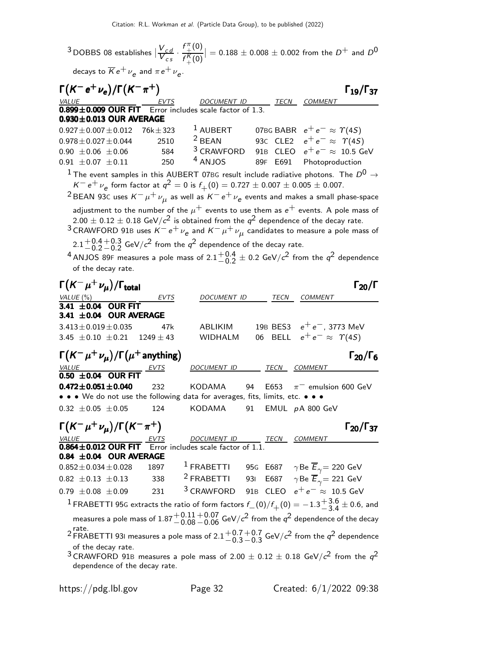$^3$ DOBBS 08 establishes  $|\frac{V_{cd}}{V_{cs}}|$  $\overline{V_{cs}}^{\epsilon s}$ .  $f^{\pi}$  $^\pi_+(0)$  $f_+^K(0)$  $\vert = 0.188 \pm 0.008 \pm 0.002$  from the  $D^+$  and  $D^0$ 

decays to  $\overline{\cal K} e^+ \nu_{\bm e}$  and  $\pi e^+ \nu_{\bm e}$ .

| $\Gamma(K^-e^+\nu_e)/\Gamma(K^-\pi^+)$                                                       |                  |                           |    |          | $\Gamma_{19}/\Gamma_{37}$                                                                                                                                    |
|----------------------------------------------------------------------------------------------|------------------|---------------------------|----|----------|--------------------------------------------------------------------------------------------------------------------------------------------------------------|
| VALUE<br><b>0.899±0.009 OUR FIT</b> Error includes scale factor of 1.3.                      |                  |                           |    |          | TECN COMMENT                                                                                                                                                 |
|                                                                                              |                  |                           |    |          |                                                                                                                                                              |
| $0.930 \pm 0.013$ OUR AVERAGE                                                                |                  |                           |    |          |                                                                                                                                                              |
| $0.927 \pm 0.007 \pm 0.012$                                                                  | $76$ k $\pm$ 323 | $2$ BEAN                  |    |          | <sup>1</sup> AUBERT 07BG BABR $e^+e^- \approx \Upsilon(4S)$                                                                                                  |
| $0.978 \pm 0.027 \pm 0.044$                                                                  | 2510             |                           |    |          | 930 CLE2 $e^+e^- \approx \Upsilon(4S)$                                                                                                                       |
| $0.90 \pm 0.06 \pm 0.06$                                                                     | 584              | $3$ CRAWFORD<br>$4$ ANJOS |    |          | 91B CLEO $e^+e^- \approx 10.5$ GeV                                                                                                                           |
| $0.91 \pm 0.07 \pm 0.11$                                                                     | 250              |                           |    | 89F E691 | Photoproduction                                                                                                                                              |
|                                                                                              |                  |                           |    |          | $^1$ The event samples in this AUBERT 07BG result include radiative photons. The $D^0\rightarrow$                                                            |
| $K^- e^+ \nu_e$ form factor at $q^2 = 0$ is $f_+(0) = 0.727 \pm 0.007 \pm 0.005 \pm 0.007$ . |                  |                           |    |          |                                                                                                                                                              |
|                                                                                              |                  |                           |    |          | <sup>2</sup> BEAN 93C uses $K^- \mu^+ \nu_{\mu}$ as well as $K^- e^+ \nu_{e}$ events and makes a small phase-space                                           |
|                                                                                              |                  |                           |    |          | adjustment to the number of the $\mu^+$ events to use them as $e^+$ events. A pole mass of                                                                   |
|                                                                                              |                  |                           |    |          | $2.00\pm0.12\pm0.18$ GeV/ $c^2$ is obtained from the $q^2$ dependence of the decay rate.                                                                     |
|                                                                                              |                  |                           |    |          | <sup>3</sup> CRAWFORD 91B uses $K^-e^+\nu_e$ and $K^-\mu^+\nu_\mu$ candidates to measure a pole mass of                                                      |
| $2.1^{+0.4}_{-0.2}$ $-0.2$ GeV/ $c^2$ from the $q^2$ dependence of the decay rate.           |                  |                           |    |          |                                                                                                                                                              |
|                                                                                              |                  |                           |    |          | <sup>4</sup> ANJOS 89F measures a pole mass of 2.1 $^{+0.4}_{-0.2}$ ± 0.2 GeV/ $c^2$ from the $q^2$ dependence                                               |
| of the decay rate.                                                                           |                  |                           |    |          |                                                                                                                                                              |
|                                                                                              |                  |                           |    |          |                                                                                                                                                              |
| $\Gamma(K^-\mu^+\nu_{\mu})/\Gamma_{\rm total}$                                               |                  |                           |    |          | $\Gamma_{20}/\Gamma$                                                                                                                                         |
| VALUE (%)<br>3.41 ±0.04 OUR FIT                                                              | EVTS             | DOCUMENT ID               |    | TECN     | COMMENT                                                                                                                                                      |
| 3.41 $\pm$ 0.04 OUR AVERAGE                                                                  |                  |                           |    |          |                                                                                                                                                              |
| $3.413 \pm 0.019 \pm 0.035$                                                                  | 47k              | ABLIKIM                   |    | 19B BES3 | $e^+e^-$ , 3773 MeV                                                                                                                                          |
| 3.45 $\pm$ 0.10 $\pm$ 0.21 1249 $\pm$ 43                                                     |                  | <b>WIDHALM</b>            |    | 06 BELL  | $e^+e^- \approx \Upsilon(4S)$                                                                                                                                |
|                                                                                              |                  |                           |    |          |                                                                                                                                                              |
| $\Gamma(K^-\mu^+\nu_{\mu})/\Gamma(\mu^+$ anything)                                           |                  |                           |    |          | $\Gamma_{20}/\Gamma_6$                                                                                                                                       |
| $\frac{VALUE}{0.50 \pm 0.04}$ OUR FIT                                                        |                  | DOCUMENT ID               |    |          | TECN COMMENT                                                                                                                                                 |
| $0.472 \pm 0.051 \pm 0.040$                                                                  | 232              | <b>KODAMA</b>             | 94 | E653     | $\pi^-$ emulsion 600 GeV                                                                                                                                     |
| • • • We do not use the following data for averages, fits, limits, etc. • • •                |                  |                           |    |          |                                                                                                                                                              |
| $0.32 \pm 0.05 \pm 0.05$                                                                     | 124              | KODAMA                    | 91 |          | EMUL $pA 800$ GeV                                                                                                                                            |
|                                                                                              |                  |                           |    |          |                                                                                                                                                              |
| $\Gamma(K^-\mu^+\nu_{\mu})/\Gamma(K^-\pi^+)$                                                 |                  |                           |    |          | $\Gamma_{20}/\Gamma_{37}$                                                                                                                                    |
| VALUE<br><b>0.864±0.012 OUR FIT</b> Error includes scale factor of 1.1.                      |                  |                           |    |          | TECN COMMENT                                                                                                                                                 |
| $0.84 \pm 0.04$ OUR AVERAGE                                                                  |                  |                           |    |          |                                                                                                                                                              |
| $0.852 \pm 0.034 \pm 0.028$                                                                  | 1897             |                           |    |          |                                                                                                                                                              |
| $0.82 \pm 0.13 \pm 0.13$                                                                     | 338              | <sup>2</sup> FRABETTI     |    |          | <sup>1</sup> FRABETTI 95G E687 $\gamma$ Be $\overline{E}_{\gamma}$ = 220 GeV<br><sup>2</sup> FRABETTI 93I E687 $\gamma$ Be $\overline{E}_{\gamma}$ = 221 GeV |
| $0.79 \pm 0.08 \pm 0.09$                                                                     | 231              |                           |    |          | <sup>3</sup> CRAWFORD 91B CLEO $e^+e^- \approx 10.5$ GeV                                                                                                     |
|                                                                                              |                  |                           |    |          |                                                                                                                                                              |
|                                                                                              |                  |                           |    |          | $^1$ FRABETTI 95G extracts the ratio of form factors $f_{\perp}(0)/f_{\perp}(0)=-1.3 {+3.6 \atop -3.4} \pm 0.6$ , and                                        |
|                                                                                              |                  |                           |    |          | measures a pole mass of $1.87^{+0.11}_{-0.08}$ $-0.06$ GeV/ $c^{2}$ from the $q^{2}$ dependence of the decay                                                 |
| rate.                                                                                        |                  |                           |    |          | <sup>2</sup> FRABETTI 931 measures a pole mass of $2.1^{+0.7}_{-0.3}$ $-0.3$ GeV/ $c^2$ from the $q^2$ dependence                                            |
| of the decay rate.                                                                           |                  |                           |    |          |                                                                                                                                                              |
|                                                                                              |                  |                           |    |          | <sup>3</sup> CRAWFORD 91B measures a pole mass of 2.00 $\pm$ 0.12 $\pm$ 0.18 GeV/ $c^2$ from the $q^2$                                                       |
| dependence of the decay rate.                                                                |                  |                           |    |          |                                                                                                                                                              |
|                                                                                              |                  |                           |    |          |                                                                                                                                                              |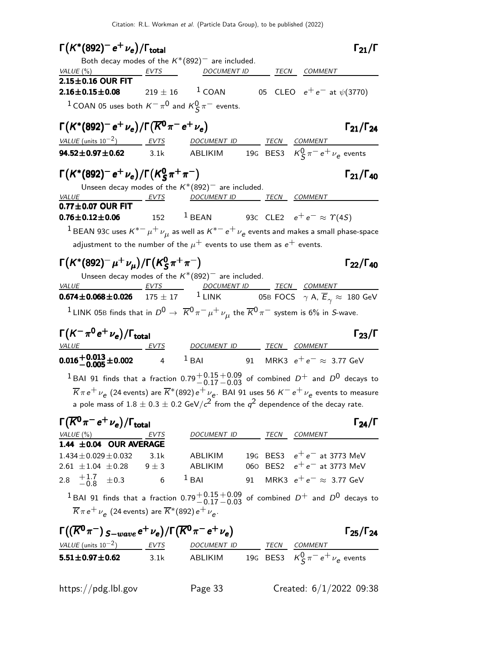$\Gamma(K^*(892)^- e^+ \nu_e)/\Gamma_{\rm total}$  Γ<sub>21</sub>/Γ  $\Gamma_{21}/\Gamma$ Both decay modes of the  $K^*(892)^-$  are included. VALUE (%) **EVTS** DOCUMENT ID TECN COMMENT  $2.15 \pm 0.16$  OUR FIT<br> $2.16 \pm 0.15 \pm 0.08$  $219 \pm 16$  <sup>1</sup> COAN 05 CLEO  $e^+e^-$  at  $\psi(3770)$  $1$  COAN 05 uses both  $K^-\pi^0$  and  $K^0_S\pi^-$  events. Γ $(K^{*}(892)^{-} e^{+} \nu_{e})/\Gamma(\overline{K}^{0} \pi^{-} e^{+} \nu_{e})$  Γ<sub>21</sub>/Γ<sub>24</sub>  $\Gamma_{21}/\Gamma_{24}$ VALUE (units  $10^{-2}$ ) EVTS DOCUMENT ID TECN COMMENT **94.52** $\pm$ **0.97** $\pm$ **0.62** 3.1k ABLIKIM 19G BES3  $K^0_S \pi^- e^+ \nu_e$  events Γ $(\mathcal{K}^*(892)^-$ e $^+\nu _{\bm e})$ /Γ $(\mathcal{K}^0_S$  $\Gamma(K^*(892)^- e^+ \nu_e)/\Gamma(K_S^0 \pi^+ \pi^-)$  Γ<sub>21</sub>/Γ<sub>40</sub>  $\Gamma_{21}/\Gamma_{40}$ Unseen decay modes of the  $K^*(892)^-$  are included. VALUE EVTS DOCUMENT ID TECN COMMENT  $\overline{0.77 \pm 0.07}$  OUR FIT  $0.76 \pm 0.12 \pm 0.06$ 152  $1.52$  1 BEAN 93C CLE2  $e^+e^- \approx \gamma(4S)$  $^1$ BEAN 93C uses  $\kappa^{*-}\mu^+\nu_\mu^{}$  as well as  $\kappa^{*-}\,$ e $^+\nu_e^{}$  events and makes a small phase-space adjustment to the number of the  $\mu^+$  events to use them as  $e^+$  events. Γ $\left(K^{*}(892)^-\mu^+\nu_{\mu}\right)$ /Γ $\left(K^{0}_{\mathcal{S}}\right)$  $\Gamma(K^*(892)^-\mu^+\nu_\mu)/\Gamma(K_S^0\pi^+\pi^-)$  Γ<sub>22</sub>/Γ<sub>40</sub> Γ<sub>22</sub>/Γ<sub>40</sub> Unseen decay modes of the  $K^*(892)^-$  are included. VALUE EVTS DOCUMENT ID TECN COMMENT  ${\bf 0.674 \pm 0.068 \pm 0.026} \hspace{0.2in} 175 \pm 17 \hspace{0.2in} 1 \hspace{0.2in}$  LINK  $\hspace{0.2in}$  05B FOCS  $\hspace{0.2in} \gamma$  A,  $\overline{E}_{\gamma} \approx \hspace{0.2in} 180 \hspace{0.1in}$  GeV  $^1$ LINK 05B finds that in  $D^0\to\;\overline{K}{}^0\pi^-\mu^+\nu_\mu^{}$  the  $\overline{K}{}^0\pi^-$  system is 6% in *S*-wave.  $\Gamma(K^-\pi^0e^+\nu_e)/\Gamma_{\rm total}$  Γ<sub>23</sub>/Γ <u>EVTS DOCUMENT ID TECN COMMENT</u>  $0.016 + 0.013 + 0.002$  4  $1$  BAI 91 MRK3  $e^+e^- \approx 3.77$  GeV <sup>1</sup> BAI 91 finds that a fraction  $0.79^{+0.15}_{-0.17}$  $^{\rm +0.09}_{\rm -0.03}$  of combined  $D^{\rm +}$  and  $D^{\rm 0}$  decays to  $\overline{K}\pi$  e $^+\nu_{\bm{e}}$  (24 events) are  $\overline{K}^*(892)$  e $^+\nu_{\bm{e}}.$  BAI 91 uses 56  $K^-$  e $^+\nu_{\bm{e}}$  events to measure a pole mass of  $1.8 \pm 0.3 \pm 0.2$  GeV/ $c^2$  from the  $q^2$  dependence of the decay rate.  $\Gamma(\overline{K^0}\pi^-e^+\nu_e)/\Gamma_{\rm total}$ VALUE (%) **EVTS** DOCUMENT ID TECN COMMENT **1.44**  $\pm$ **0.04 OUR AVERAGE**<br>1.434  $\pm$ 0.029  $\pm$ 0.032 3.1k  $1.434 \pm 0.029 \pm 0.032$  3.1k ABLIKIM 19G BES3  $e^+ e^-$  at 3773 MeV<br>2.61  $\pm$ 1.04  $\pm$ 0.28 9  $\pm$  3 ABLIKIM 060 BES2  $e^+ e^-$  at 3773 MeV 060 BES2  $e^+e^-$  at 3773 MeV 2.8  $\pm 1.7$  $-0.8$  $\pm 0.3$  6  $^1$  BAI 91 MRK3  $e^+$   $e^ \approx$  3.77 GeV <sup>1</sup> BAI 91 finds that a fraction  $0.79 \frac{+0.15}{-0.17}$  $+0.09$  of combined  $D^+$  and  $D^0$  decays to  $\overline{K}\pi\,e^+\,\nu_{\bm{e}}^{}$  (24 events) are  $\overline{K}{}^*(892)\,e^+\,\nu_{\bm{e}}^{} .$  $\Gamma((\overline{K}^0 \pi^-)_{S-wave} e^+ \nu_e)/\Gamma(\overline{K}^0 \pi^- e^+ \nu_e)$  Γ<sub>25</sub>/Γ<sub>24</sub>  $VALUE$  (units 10<sup>-2</sup>) EVTS DOCUMENT ID TECN COMMENT **5.51** $\pm$ **0.97** $\pm$ **0.62** 3.1k ABLIKIM 19G BES3  $K^0_S \pi^- e^+ \nu_e$  events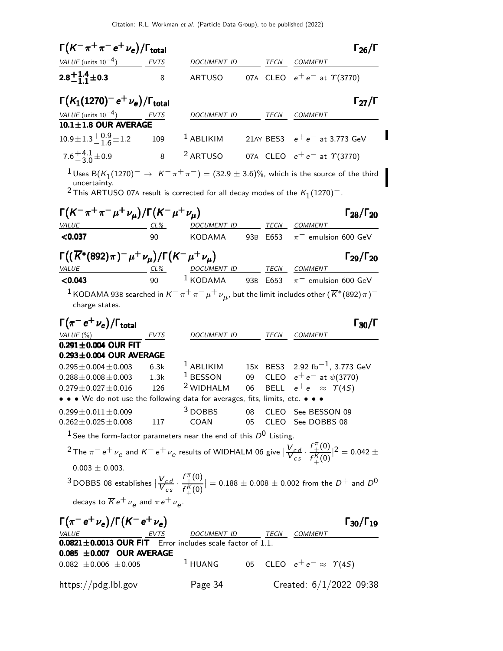| $\Gamma(K^-\pi^+\pi^-e^+\nu_e)/\Gamma_{\rm total}$                                                           |      |                          |          |             | $\Gamma_{26}/\Gamma$                                                                                                                                      |
|--------------------------------------------------------------------------------------------------------------|------|--------------------------|----------|-------------|-----------------------------------------------------------------------------------------------------------------------------------------------------------|
| VALUE (units $10^{-4}$ )                                                                                     | EVTS | DOCUMENT ID              |          | <b>TECN</b> | COMMENT                                                                                                                                                   |
| $2.8^{+1.4}_{-1.1}$ ± 0.3                                                                                    | 8    | <b>ARTUSO</b>            |          |             | 07A CLEO $e^+e^-$ at $\Upsilon(3770)$                                                                                                                     |
| $\Gamma(K_1(1270)^- e^+ \nu_e)/\Gamma_{\rm total}$                                                           |      |                          |          |             | $\Gamma_{27}/\Gamma$                                                                                                                                      |
| $VALUE$ (units $10^{-4}$ ) EVTS                                                                              |      | DOCUMENT ID              |          | TECN        | COMMENT                                                                                                                                                   |
| $10.1 \pm 1.8$ OUR AVERAGE                                                                                   |      |                          |          |             |                                                                                                                                                           |
| $10.9 \pm 1.3 \frac{+0.9}{-1.6} \pm 1.2$                                                                     | 109  | $1$ ABLIKIM              |          |             | 21AY BES3 $e^+e^-$ at 3.773 GeV                                                                                                                           |
| $7.6 + 4.1 + 0.9$                                                                                            | 8    | <sup>2</sup> ARTUSO      |          |             | 07A CLEO $e^+e^-$ at $\gamma$ (3770)                                                                                                                      |
| uncertainty.<br><sup>2</sup> This ARTUSO 07A result is corrected for all decay modes of the $K_1(1270)^-$ .  |      |                          |          |             | $^1$ Uses B $(\mathcal{K}_1(1270)^-\rightarrow~\mathcal{K}^-\pi^+\pi^-)=(32.9\pm3.6)\%$ , which is the source of the third                                |
| $\Gamma(K^-\pi^+\pi^-\mu^+\nu_{\mu})/\Gamma(K^-\mu^+\nu_{\mu})$                                              |      |                          |          |             | $\Gamma_{28}/\Gamma_{20}$                                                                                                                                 |
| VALUE<br>< 0.037                                                                                             | 90   | DOCUMENT ID<br>KODAMA    |          | 93B E653    | TECN COMMENT<br>$\pi^-$ emulsion 600 GeV                                                                                                                  |
|                                                                                                              |      |                          |          |             |                                                                                                                                                           |
| $\Gamma((\overline{K}^*(892)\pi)^-\mu^+\nu_\mu)/\Gamma(K^-\mu^+\nu_\mu)$                                     |      |                          |          |             | $\Gamma_{29}/\Gamma_{20}$                                                                                                                                 |
| VALUE<br>$CL\%$                                                                                              |      | DOCUMENT ID              |          |             | TECN COMMENT                                                                                                                                              |
| < 0.043                                                                                                      | 90   | $1$ KODAMA               | 93B E653 |             | $\pi^-$ emulsion 600 GeV                                                                                                                                  |
| charge states.                                                                                               |      |                          |          |             | $^1$ KODAMA 93B searched in $K^-\pi^+\pi^-\mu^+\nu_{\mu}$ , but the limit includes other $(\overline{K}{}^*(892)\pi)^-$                                   |
|                                                                                                              |      |                          |          |             |                                                                                                                                                           |
| $\Gamma(\pi^- \, e^+ \, \nu_e)/\Gamma_{\rm total}$                                                           |      |                          |          |             | $\Gamma_{30}/\Gamma$                                                                                                                                      |
| VALUE(%)                                                                                                     | EVTS | DOCUMENT ID              |          | TECN        | COMMENT                                                                                                                                                   |
| $0.291 \pm 0.004$ OUR FIT<br>$0.293 \pm 0.004$ OUR AVERAGE                                                   |      |                          |          |             |                                                                                                                                                           |
| $0.295 \pm 0.004 \pm 0.003$                                                                                  | 6.3k | <sup>1</sup> ABLIKIM     |          |             | 15X BES3 2.92 fb <sup>-1</sup> , 3.773 GeV                                                                                                                |
| $0.288 \pm 0.008 \pm 0.003$                                                                                  | 1.3k | $1$ BESSON               |          |             | 09 CLEO $e^+e^-$ at $\psi(3770)$                                                                                                                          |
| $0.279 \pm 0.027 \pm 0.016$                                                                                  | 126  | <sup>2</sup> WIDHALM     | 06       |             | BELL $e^+e^- \approx \Upsilon(4S)$                                                                                                                        |
| • • • We do not use the following data for averages, fits, limits, etc. • • •                                |      |                          |          |             |                                                                                                                                                           |
| $0.299 \pm 0.011 \pm 0.009$<br>$0.262 \pm 0.025 \pm 0.008$                                                   | 117  | COAN                     | 05       |             | 3 DOBBS 08 CLEO See BESSON 09<br>CLEO See DOBBS 08                                                                                                        |
| $^1$ See the form-factor parameters near the end of this $D^0$ Listing.                                      |      |                          |          |             |                                                                                                                                                           |
|                                                                                                              |      |                          |          |             | <sup>2</sup> The $\pi^- e^+ \nu_e$ and $K^- e^+ \nu_e$ results of WIDHALM 06 give $ \frac{V_{cd}}{V_{cs}} \cdot \frac{f''_+(0)}{f''_+(0)} ^2 = 0.042 \pm$ |
| $0.003 \pm 0.003$ .                                                                                          |      |                          |          |             |                                                                                                                                                           |
|                                                                                                              |      |                          |          |             | $^3$ DOBBS 08 establishes $ \frac{V_{Cd}}{V_{cs}} \cdot \frac{f_+^{\pi}(0)}{f_+^{\kappa}(0)}  = 0.188 \pm 0.008 \pm 0.002$ from the $D^+$ and $D^0$       |
| decays to $\overline{K}e^+\nu_e$ and $\pi e^+\nu_e$ .                                                        |      |                          |          |             |                                                                                                                                                           |
| $\Gamma(\pi^- e^+ \nu_e)/\Gamma(K^- e^+ \nu_e)$                                                              |      |                          |          |             | $\Gamma_{30}/\Gamma_{19}$                                                                                                                                 |
| $\underbrace{VALUE}$ EVTS DOCUMENT ID TE<br><b>0.0821±0.0013 OUR FIT</b> Error includes scale factor of 1.1. |      | DOCUMENT ID TECN COMMENT |          |             |                                                                                                                                                           |
| $0.085 \pm 0.007$ OUR AVERAGE                                                                                |      |                          |          |             |                                                                                                                                                           |
| $0.082 \pm 0.006 \pm 0.005$                                                                                  |      | $1$ HUANG                |          |             | 05 CLEO $e^+e^- \approx \Upsilon(4S)$                                                                                                                     |
| https://pdg.lbl.gov                                                                                          |      | Page 34                  |          |             | Created: $6/1/2022$ 09:38                                                                                                                                 |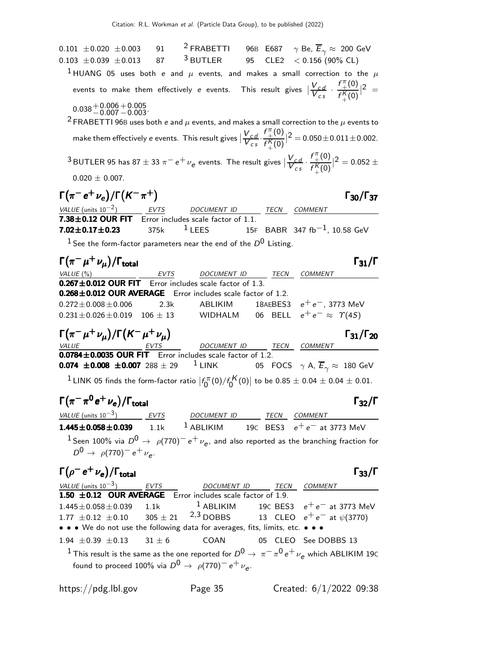0.101  $\pm$ 0.020  $\pm$ 0.003 91 <sup>2</sup> FRABETTI 96B E687  $\gamma$  Be,  $\overline{E}_{\gamma} \approx$  200 GeV<br>0.103  $\pm$ 0.039  $\pm$ 0.013 87 <sup>3</sup> BUTLER 95 CLE2 < 0.156 (90% CL) 87  $3$  BUTLER 95 CLE2  $< 0.156$  (90% CL) <sup>1</sup> HUANG 05 uses both e and  $\mu$  events, and makes a small correction to the  $\mu$ events to make them effectively  $e$  events. This result gives  $|\frac{V_{cd}}{V_{cs}}|$  $\overline{V_{cs}}^{\alpha}$ .  $f_{\perp}^{\pi}$  $^{\pi}_{+}(0)$  $f_{\perp}^{K}(0)$ +  $|^{2}$  =  $0.038 + 0.006$ <br> $-0.007$  $+0.005$ <br> $-0.003$ . <sup>2</sup> FRABETTI 96B uses both e and  $\mu$  events, and makes a small correction to the  $\mu$  events to make them effectively  $e$  events. This result gives  $\sqrt{\frac{V_{cd}}{V_{CS}}}$  $V_{cs}^{\bullet\bullet}$ .  $f^{\pi}$  $^{\pi}_{+}(0)$  $f_+^{\pmb{K}}(0)$  $|^{2} = 0.050 \pm 0.011 \pm 0.002.$  $^3$ BUTLER 95 has 87  $\pm$  33  $\pi^ e^+$   $\nu_e$  events. The result gives  $|\frac{V_{cd}}{V_{CS}}|$  $V_{cs}^{\mu}$ .  $f^{\pi}$  $^{\pi}_{+}(0)$  $f_+^{\mathcal{K}}(0)$  $\vert^2 = 0.052 \pm 1.000$  $0.020 \pm 0.007$ .  $\Gamma(\pi^- e^+ \nu_e)/\Gamma(K^-\pi^+)$  Γ<sub>30</sub>/Γ<sub>37</sub>  $\Gamma_{30}/\Gamma_{37}$ VALUE (units  $10^{-2}$ ) EVTS DOCUMENT ID TECN COMMENT **7.38±0.12 OUR FIT** Error includes scale factor of 1.1.<br>**7.02±0.17±0.23** 375k  $1$  LEES 15F  $15$ F BABR 347 fb $^{-1}$ , 10.58 GeV  $1$  See the form-factor parameters near the end of the  $D^0$  Listing.  $\Gamma(\pi^-\mu^+\nu_{\mu})/\Gamma_{\rm total}$  Γ31/Γ VALUE (%) **EVTS** DOCUMENT ID TECN COMMENT  $0.267 \pm 0.012$  OUR FIT Error includes scale factor of 1.3. **0.268** $\pm$ **0.012 OUR AVERAGE** Error includes scale factor of 1.2.<br>0.272 $\pm$ 0.008 $\pm$ 0.006 2.3k ABLIKIM 18AEBES3  $ABLIKIM$  18AEBES3  $e^+e^-, 3773 MeV$ <br>WIDHALM 06 BELL  $e^+e^- \approx \Upsilon(45)$  $0.231 \pm 0.026 \pm 0.019$  106  $\pm$  13  $\Gamma(\pi^{-}\mu^{+}\nu_{\mu})/\Gamma(K^{-}\mu^{+}\nu_{\mu})$  Γ<sub>31</sub>/Γ<sub>20</sub>  $\Gamma_{31}/\Gamma_{20}$ VALUE \_\_\_\_\_\_\_\_\_\_\_\_\_\_\_\_\_\_\_\_\_EVTS \_\_\_\_\_\_\_\_\_\_\_\_\_DOCUMENT ID \_\_\_\_\_\_\_TECN \_\_\_COMMENT  $0.0784 \pm 0.0035$  OUR FIT Error includes scale factor of 1.2. **0.074 ±0.008 ±0.007** 288 ± 29 <sup>1</sup> LINK 05 FOCS  $\gamma$  A,  $\overline{E}_{\gamma} \approx 180$  GeV  $^1$  LINK 05 finds the form-factor ratio  $\vert f_0^{\pi} \rangle$  $\int_0^{\tau\pi}(0)/f_\mathrm{0}^{K}(0)\big|$  to be  $0.85\pm0.04\pm0.04\pm0.01$ .  $\Gamma(\pi^-\pi^0 e^+ \nu_e)/\Gamma_{\rm total}$  Γ<sub>32</sub>/Γ  $\Gamma_{\rm total}$   $\Gamma_{\rm 32}/\Gamma$ VALUE (units 10<sup>-3</sup>) EVTS DOCUMENT ID TECN COMMENT **1.445±0.058±0.039** 1.1k <sup>1</sup> ABLIKIM 19C BES3  $e^+e^-$  at 3773 MeV  $^1$  Seen 100% via  $D^0\rightarrow\rho(770)^ \mathrm{e^+}\,\nu_e$ , and also reported as the branching fraction for  $D^0 \to \rho (770)^- e^+ \nu_e$ .  $\Gamma(\rho^- e^+ \nu_e)/\Gamma_{\rm total}$  Γ<sub>33</sub>/Γ  $\Gamma$ <sub>total</sub> Γ<sub>33</sub>/Γ VALUE (units  $10^{-3}$ ) ) EVTS DOCUMENT ID TECN COMMENT **1.50**  $\pm$ **0.12 OUR AVERAGE** Error includes scale factor of 1.9.<br>1.445 $\pm$ 0.058 $\pm$ 0.039 1.1k <sup>1</sup> ABLIKIM 19C BES 1.445±0.058±0.039 1.1k <sup>1</sup> ABLIKIM 19c BES3 e<sup>+</sup> e<sup>−</sup> at 3773 MeV<br>1.77 ±0.12 ±0.10 305 ± 21 <sup>2</sup>.<sup>3</sup> DOBBS 13 CLEO e<sup>+</sup> e<sup>−</sup> at  $\psi$ (3770) 13 CLEO  $e^+e^-$  at  $\psi(3770)$ • • • We do not use the following data for averages, fits, limits, etc. • • •  $1.94 \pm 0.39 \pm 0.13$   $31 \pm 6$  COAN 05 CLEO See DOBBS 13  $^1$  This result is the same as the one reported for  $D^0\to\ \pi^-\pi^0\,e^+\,\nu_e$  which ABLIKIM 19C found to proceed 100% via  $D^0\,\rightarrow\,\, \rho(770)^-\,e^+\,\nu_e^{}$ .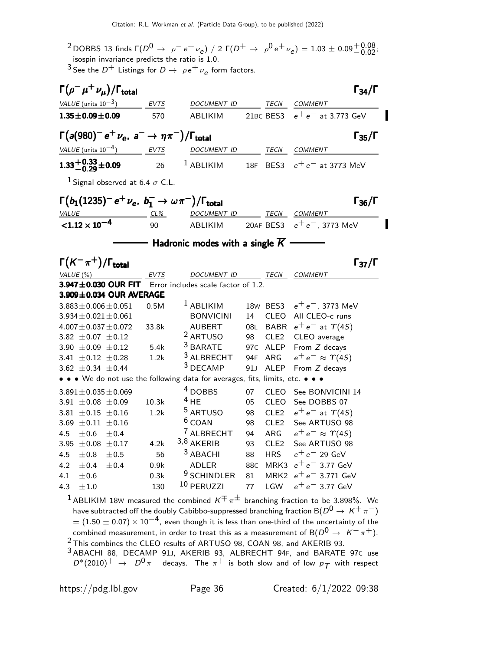<sup>2</sup> DOBBS 13 finds  $\Gamma(D^0 \rightarrow \rho^- e^+ \nu_e)$  / 2  $\Gamma(D^+ \rightarrow \rho^0 e^+ \nu_e) = 1.03 \pm 0.09^{+0.08}_{-0.02}$ ; isospin invariance predicts the ratio is 1.0.

<sup>3</sup> See the  $D^+$  Listings for  $D \rightarrow \ \rho e^+ \nu_e$  form factors.

| $\Gamma(\rho^- \mu^+ \nu_\mu)/\Gamma_{\rm total}$                             |             |                                             |                 |                  | $\Gamma_{34}/\Gamma$                                                                                   |
|-------------------------------------------------------------------------------|-------------|---------------------------------------------|-----------------|------------------|--------------------------------------------------------------------------------------------------------|
| VALUE (units $10^{-3}$ )                                                      | <b>EVTS</b> | DOCUMENT ID                                 |                 | TECN             | COMMENT                                                                                                |
| $1.35 \pm 0.09 \pm 0.09$                                                      | 570         | ABLIKIM                                     |                 | 21BC BES3        | $e^+e^-$ at 3.773 GeV                                                                                  |
| $\Gamma(a(980)^-e^+\nu_e, a^-\rightarrow \eta\pi^-)/\Gamma_{\rm total}$       |             |                                             |                 |                  | $\Gamma_{35}/\Gamma$                                                                                   |
| <i>VALUE</i> (units $10^{-4}$ )                                               | EVTS        | DOCUMENT ID                                 |                 | TECN             | <b>COMMENT</b>                                                                                         |
| $1.33 + 0.33 + 0.09$                                                          | 26          | $1$ ABLIKIM                                 | <b>18F</b>      | BES3             | $e^+e^-$ at 3773 MeV                                                                                   |
| <sup>1</sup> Signal observed at 6.4 $\sigma$ C.L.                             |             |                                             |                 |                  |                                                                                                        |
| $\Gamma(b_1(1235)^- e^+ \nu_e, b_1^- \to \omega \pi^-)/\Gamma_{\text{total}}$ |             |                                             |                 |                  | $\Gamma_{36}/\Gamma$                                                                                   |
| VALUE                                                                         | CL%         | <b>DOCUMENT ID</b>                          |                 | TECN             | COMMENT                                                                                                |
| $< 1.12 \times 10^{-4}$                                                       | 90          | ABLIKIM                                     |                 | 20AF BES3        | $e^+e^-$ , 3773 MeV                                                                                    |
|                                                                               |             | Hadronic modes with a single $\overline{K}$ |                 |                  |                                                                                                        |
| $\Gamma(K^-\pi^+) / \Gamma_{\text{total}}$                                    |             |                                             |                 |                  | $\Gamma_{37}/\Gamma$                                                                                   |
| VALUE (%)                                                                     | <b>EVTS</b> | DOCUMENT ID                                 |                 | TECN             | <b>COMMENT</b>                                                                                         |
| 3.947±0.030 OUR FIT                                                           |             | Error includes scale factor of 1.2.         |                 |                  |                                                                                                        |
| 3.909±0.034 OUR AVERAGE                                                       |             |                                             |                 |                  |                                                                                                        |
| $3.883 \pm 0.006 \pm 0.051$                                                   | 0.5M        | <sup>1</sup> ABLIKIM                        |                 | 18w BES3         | $e^+e^-$ , 3773 MeV                                                                                    |
| $3.934 \pm 0.021 \pm 0.061$                                                   |             | <b>BONVICINI</b>                            | 14              | <b>CLEO</b>      | All CLEO-c runs                                                                                        |
| $4.007 \pm 0.037 \pm 0.072$                                                   | 33.8k       | <b>AUBERT</b>                               | 08L             | <b>BABR</b>      | $e^+e^-$ at $\Upsilon(4S)$                                                                             |
| 3.82 $\pm$ 0.07 $\pm$ 0.12                                                    |             | <sup>2</sup> ARTUSO                         | 98              | CLE <sub>2</sub> | CLEO average                                                                                           |
| 3.90 $\pm 0.09 \pm 0.12$                                                      | 5.4k        | <sup>3</sup> BARATE                         | 97 <sub>C</sub> | ALEP             | From Z decays                                                                                          |
| 3.41 $\pm$ 0.12 $\pm$ 0.28                                                    | 1.2k        | <sup>3</sup> ALBRECHT                       | 94F             | ARG              | $e^+e^- \approx \Upsilon(4S)$                                                                          |
| 3.62 $\pm$ 0.34 $\pm$ 0.44                                                    |             | <sup>3</sup> DECAMP                         | 91 J            | ALEP             | From Z decays                                                                                          |
| • • • We do not use the following data for averages, fits, limits, etc. • • • |             |                                             |                 |                  |                                                                                                        |
| $3.891 \pm 0.035 \pm 0.069$                                                   |             | <sup>4</sup> DOBBS                          | 07              | CLEO             | See BONVICINI 14                                                                                       |
| 3.91 $\pm$ 0.08 $\pm$ 0.09                                                    | 10.3k       | $^4$ HE                                     | 05              | CLEO             | See DOBBS 07                                                                                           |
| 3.81 $\pm$ 0.15 $\pm$ 0.16                                                    | 1.2k        | <sup>5</sup> ARTUSO                         | 98              | CLE <sub>2</sub> | $e^+e^-$ at $\Upsilon(4S)$                                                                             |
| 3.69 $\pm$ 0.11 $\pm$ 0.16                                                    |             | <sup>6</sup> COAN                           | 98              | CLE <sub>2</sub> | See ARTUSO 98                                                                                          |
| 4.5<br>$\pm 0.6$<br>±0.4                                                      |             | <sup>7</sup> ALBRECHT                       | 94              | ARG              | $e^+e^- \approx \Upsilon(4S)$                                                                          |
| 3.95 $\pm$ 0.08 $\pm$ 0.17                                                    | 4.2k        | $3,8$ AKERIB                                | 93              | CLE <sub>2</sub> | See ARTUSO 98                                                                                          |
| 4.5<br>$\pm\,0.8$<br>±0.5                                                     | 56          | <sup>3</sup> ABACHI                         | 88              | <b>HRS</b>       | $e^+e^-$ 29 GeV                                                                                        |
| 4.2<br>± 0.4<br>± 0.4                                                         | 0.9k        | <b>ADLER</b>                                | 88C             | MRK3             | $e^+e^-$ 3.77 GeV                                                                                      |
| 4.1<br>$\pm 0.6$                                                              | 0.3k        | <sup>9</sup> SCHINDLER                      | 81              | MRK <sub>2</sub> | $e^+e^-$ 3.771 GeV                                                                                     |
| 4.3<br>$\pm 1.0$                                                              | 130         | $10$ PERUZZI                                | 77              | LGW              | $e^+e^-$ 3.77 GeV                                                                                      |
|                                                                               |             |                                             |                 |                  | <sup>1</sup> ABLIKIM 18W measured the combined $K^{\pm} \pi^{\pm}$ branching fraction to be 3.898%. We |

have subtracted off the doubly Cabibbo-suppressed branching fraction B $(D^0\rightarrow\ K^+\ \pi^-)$  $= (1.50 \pm 0.07) \times 10^{-4}$ , even though it is less than one-third of the uncertainty of the combined measurement, in order to treat this as a measurement of B( $D^0 \rightarrow K^-\pi^+$ ).  $2$  This combines the CLEO results of ARTUSO 98, COAN 98, and AKERIB 93.

3 ABACHI 88, DECAMP 91J, AKERIB 93, ALBRECHT 94F, and BARATE 97C use  $D^*(2010)^+\ \rightarrow\ D^0\,\pi^+$  decays. The  $\pi^+$  is both slow and of low  $\overline{\rho}_{\cal T}$  with respect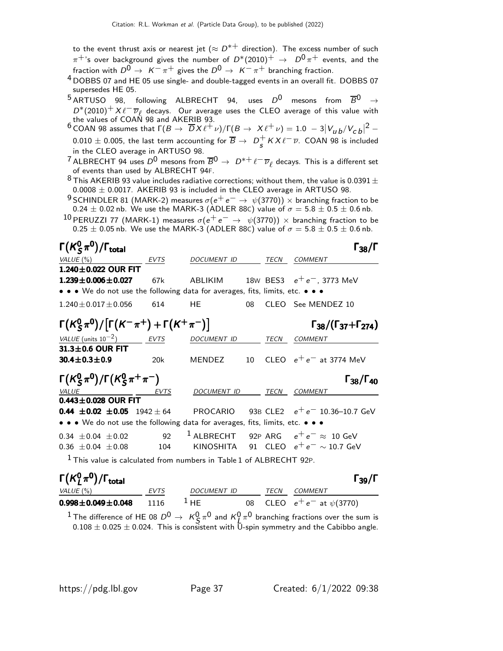to the event thrust axis or nearest jet ( $\approx D^{*+}$  direction). The excess number of such  $\pi^+$ 's over background gives the number of  $D^*(2010)^+$   $\rightarrow$   $D^0\pi^+$  events, and the fraction with  $D^0 \rightarrow K^-\pi^+$  gives the  $D^0 \rightarrow K^-\pi^+$  branching fraction.

- 4 DOBBS 07 and HE 05 use single- and double-tagged events in an overall fit. DOBBS 07 supersedes HE 05.
- $5$  ARTUSO 98, following ALBRECHT 94, uses  $D^0$  mesons from  $\overline{B}^0 \rightarrow$  $D^*(2010)^+ X \ell^- \overline{\nu}_{\ell}$  decays. Our average uses the CLEO average of this value with the values of COAN 98 and AKERIB 93.

<sup>6</sup> COAN 98 assumes that  $\Gamma(B\to \overline D X\ell^+\nu)/\Gamma(B\to X\ell^+\nu)=1.0\,-3|V_{\mu\,b}/V_{\text{\scriptsize C}\,b}|^2 0.010\pm0.005$ , the last term accounting for  $\overline{B}\rightarrow\ D^+_S$  $\frac{1}{s}$  K X  $\ell^ \overline{\nu}$ . COAN 98 is included in the CLEO average in ARTUSO 98.

- <sup>7</sup> ALBRECHT 94 uses  $D^0$  mesons from  $\overline{B}^0 \to D^{*+} \ell^- \overline{\nu}_{\ell}$  decays. This is a different set of events than used by ALBRECHT 94F.
- <sup>8</sup> This AKERIB 93 value includes radiative corrections; without them, the value is 0.0391  $\pm$  $0.0008 \pm 0.0017$ . AKERIB 93 is included in the CLEO average in ARTUSO 98.
- <sup>9</sup> SCHINDLER 81 (MARK-2) measures  $\sigma(e^+e^- \rightarrow \psi(3770)) \times$  branching fraction to be  $0.24 \pm 0.02$  nb. We use the MARK-3 (ADLER 88C) value of  $\sigma = 5.8 \pm 0.5 \pm 0.6$  nb.
- $^{10}$  PERUZZI 77 (MARK-1) measures  $\sigma(\mathrm{e^+ e^-} \rightarrow \psi(3770)) \times$  branching fraction to be  $0.25 \pm 0.05$  nb. We use the MARK-3 (ADLER 88C) value of  $\sigma = 5.8 \pm 0.5 \pm 0.6$  nb.

| $\Gamma(K_S^0\pi^0)/\Gamma_{\rm total}$                                        |      |                  |    |      | $\Gamma_{38}/\Gamma$                                                        |
|--------------------------------------------------------------------------------|------|------------------|----|------|-----------------------------------------------------------------------------|
| VALUE (%)                                                                      | EVTS | DOCUMENT ID TECN |    |      | COMMENT                                                                     |
| 1.240±0.022 OUR FIT                                                            |      |                  |    |      |                                                                             |
| $1.239 \pm 0.006 \pm 0.027$                                                    | 67k  |                  |    |      | ABLIKIM 18W BES3 $e^+e^-$ , 3773 MeV                                        |
| • • • We do not use the following data for averages, fits, limits, etc. • • •  |      |                  |    |      |                                                                             |
| $1.240 \pm 0.017 \pm 0.056$                                                    | 614  | HE.              | 08 |      | CLEO See MENDEZ 10                                                          |
| $\Gamma(K_S^0 \pi^0)/[\Gamma(K^-\pi^+) + \Gamma(K^+\pi^-)]$                    |      |                  |    |      | $\Gamma_{38}/(\Gamma_{37}+\Gamma_{274})$                                    |
| VALUE (units $10^{-2}$ ) EVTS                                                  |      | DOCUMENT ID      |    | TECN | COMMENT                                                                     |
| $31.3 \pm 0.6$ OUR FIT                                                         |      |                  |    |      |                                                                             |
| $30.4 \pm 0.3 \pm 0.9$                                                         | 20k  |                  |    |      | MENDEZ $10$ CLEO $e^+e^-$ at 3774 MeV                                       |
| $\Gamma(K_S^0 \pi^0)/\Gamma(K_S^0 \pi^+ \pi^-)$                                |      |                  |    |      | $\Gamma_{38}/\Gamma_{40}$                                                   |
| $VALU E$ EVTS                                                                  |      | DOCUMENT ID TECN |    |      | COMMENT                                                                     |
| $0.443 \pm 0.028$ OUR FIT                                                      |      |                  |    |      |                                                                             |
|                                                                                |      |                  |    |      | <b>0.44 ±0.02 ±0.05</b> 1942 ± 64 PROCARIO 93B CLE2 $e^+e^-$ 10.36-10.7 GeV |
| • • • We do not use the following data for averages, fits, limits, etc. • • •  |      |                  |    |      |                                                                             |
| $0.34 + 0.04 + 0.02$                                                           | 92   |                  |    |      | <sup>1</sup> ALBRECHT 92P ARG $e^+e^- \approx 10$ GeV                       |
| $0.36 \pm 0.04 \pm 0.08$ 104                                                   |      |                  |    |      | KINOSHITA 91 CLEO $e^+e^- \sim 10.7$ GeV                                    |
| <sup>1</sup> This value is calculated from numbers in Table 1 of ALBRECHT 92P. |      |                  |    |      |                                                                             |
| $\Gamma(K^0, \pi^0)/\Gamma_{\rm total}$                                        |      |                  |    |      | $\Gamma_{39}/\Gamma$                                                        |

| $\Gamma(K_L^0\pi^0)/\Gamma_{\rm total}$ |             |                    |      | $\Gamma_{39}/\Gamma$             |
|-----------------------------------------|-------------|--------------------|------|----------------------------------|
| VALUE (%)                               | <b>EVTS</b> | <i>DOCUMENT ID</i> | TECN | COMMENT                          |
| $0.998 \pm 0.049 \pm 0.048$ 1116        |             | $\perp$ HF         |      | 08 CLEO $e^+e^-$ at $\psi(3770)$ |
|                                         |             |                    |      |                                  |

<sup>1</sup> The difference of HE 08  $D^0 \rightarrow K_S^0 \pi^0$  and  $K_L^0 \pi^0$  branching fractions over the sum is  $0.108 \pm 0.025 \pm 0.024$ . This is consistent with U-spin symmetry and the Cabibbo angle.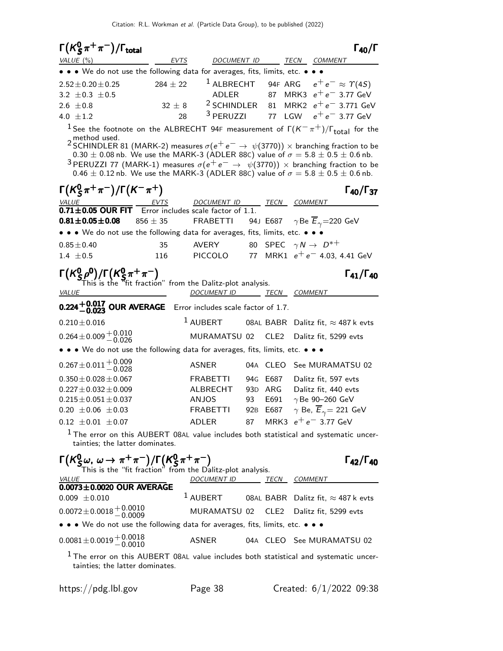| $\Gamma(K_S^0\pi^+\pi^-)/\Gamma_{\rm total}$                                                                                                                                                                                                                                                                                                                                                                                                                                                                                                                                 |              |                                                                  |                 |                                       |     |                                            | $\Gamma_{40}/\Gamma$      |
|------------------------------------------------------------------------------------------------------------------------------------------------------------------------------------------------------------------------------------------------------------------------------------------------------------------------------------------------------------------------------------------------------------------------------------------------------------------------------------------------------------------------------------------------------------------------------|--------------|------------------------------------------------------------------|-----------------|---------------------------------------|-----|--------------------------------------------|---------------------------|
| VALUE (%)                                                                                                                                                                                                                                                                                                                                                                                                                                                                                                                                                                    | EVTS         | <b>DOCUMENT ID</b>                                               |                 |                                       |     | TECN COMMENT                               |                           |
| • • • We do not use the following data for averages, fits, limits, etc. • •                                                                                                                                                                                                                                                                                                                                                                                                                                                                                                  |              |                                                                  |                 |                                       |     |                                            |                           |
| $2.52 \pm 0.20 \pm 0.25$                                                                                                                                                                                                                                                                                                                                                                                                                                                                                                                                                     | $284 \pm 22$ | <sup>1</sup> ALBRECHT 94F ARG $e^+e^- \approx \Upsilon(4S)$      |                 |                                       |     |                                            |                           |
| 3.2 $\pm$ 0.3 $\pm$ 0.5                                                                                                                                                                                                                                                                                                                                                                                                                                                                                                                                                      |              | ADLER                                                            |                 |                                       |     | 87 MRK3 $e^+e^-$ 3.77 GeV                  |                           |
| 2.6 $\pm 0.8$                                                                                                                                                                                                                                                                                                                                                                                                                                                                                                                                                                | $32 \pm 8$   | <sup>2</sup> SCHINDLER 81 MRK2 $e^+e^-$ 3.771 GeV                |                 |                                       |     |                                            |                           |
| 4.0 $\pm 1.2$                                                                                                                                                                                                                                                                                                                                                                                                                                                                                                                                                                | 28           | <sup>3</sup> PERUZZI                                             |                 | 77                                    | LGW | $e^+e^-$ 3.77 GeV                          |                           |
| <sup>1</sup> See the footnote on the ALBRECHT 94F measurement of $\Gamma(K^-\pi^+)/\Gamma_{\text{total}}$ for the<br>method used.<br><sup>2</sup> SCHINDLER 81 (MARK-2) measures $\sigma(e^+e^-\rightarrow \psi(3770)) \times$ branching fraction to be<br>$0.30 \pm 0.08$ nb. We use the MARK-3 (ADLER 88C) value of $\sigma = 5.8 \pm 0.5 \pm 0.6$ nb.<br><sup>3</sup> PERUZZI 77 (MARK-1) measures $\sigma(e^+e^-\rightarrow \psi(3770))\times$ branching fraction to be<br>$0.46 \pm 0.12$ nb. We use the MARK-3 (ADLER 88C) value of $\sigma = 5.8 \pm 0.5 \pm 0.6$ nb. |              |                                                                  |                 |                                       |     |                                            |                           |
| $\Gamma(K_S^0 \pi^+ \pi^-)/\Gamma(K^- \pi^+)$                                                                                                                                                                                                                                                                                                                                                                                                                                                                                                                                |              |                                                                  |                 |                                       |     |                                            | $\Gamma_{40}/\Gamma_{37}$ |
| $\underbrace{VALU E}_{\textbf{0.71} \pm \textbf{0.05}}$ OUR FIT $\underbrace{EVTS}_{\textbf{EVTS}}$ DOCUMENT ID TECN COMMENT $\underbrace{\text{TECN}}$ COMMENT                                                                                                                                                                                                                                                                                                                                                                                                              |              |                                                                  |                 |                                       |     |                                            |                           |
| $0.81 \pm 0.05 \pm 0.08$                                                                                                                                                                                                                                                                                                                                                                                                                                                                                                                                                     | $856 \pm 35$ | <b>FRABETTI</b>                                                  |                 |                                       |     | 94J E687 $\gamma$ Be $E_{\gamma}$ =220 GeV |                           |
| • • • We do not use the following data for averages, fits, limits, etc. • •                                                                                                                                                                                                                                                                                                                                                                                                                                                                                                  |              |                                                                  |                 |                                       |     |                                            |                           |
| $0.85 \pm 0.40$                                                                                                                                                                                                                                                                                                                                                                                                                                                                                                                                                              | 35           | AVERY                                                            |                 | 80 SPEC $\gamma N \rightarrow D^{*+}$ |     |                                            |                           |
| $1.4 \pm 0.5$                                                                                                                                                                                                                                                                                                                                                                                                                                                                                                                                                                | 116          | PICCOLO 77 MRK1 $e^+e^-$ 4.03, 4.41 GeV                          |                 |                                       |     |                                            |                           |
|                                                                                                                                                                                                                                                                                                                                                                                                                                                                                                                                                                              |              |                                                                  |                 |                                       |     |                                            | $\Gamma_{41}/\Gamma_{40}$ |
| $\Gamma(K_S^0\rho^0)/\Gamma(K_S^0\pi^+\pi^-)$<br>This is the "fit fraction" from the Dalitz-plot analysis.                                                                                                                                                                                                                                                                                                                                                                                                                                                                   |              |                                                                  |                 |                                       |     |                                            |                           |
| <i>VALUE</i>                                                                                                                                                                                                                                                                                                                                                                                                                                                                                                                                                                 |              | DOCUMENT ID TECN COMMENT                                         |                 |                                       |     |                                            |                           |
| $0.224 + 0.017$ OUR AVERAGE Error includes scale factor of 1.7.                                                                                                                                                                                                                                                                                                                                                                                                                                                                                                              |              |                                                                  |                 |                                       |     |                                            |                           |
| $0.210 \pm 0.016$                                                                                                                                                                                                                                                                                                                                                                                                                                                                                                                                                            |              | <sup>1</sup> AUBERT                                              |                 |                                       |     | 08AL BABR Dalitz fit, $\approx$ 487 k evts |                           |
| $0.264 \pm 0.009 \begin{array}{l} +0.010 \\ -0.026 \end{array}$                                                                                                                                                                                                                                                                                                                                                                                                                                                                                                              |              | MURAMATSU 02                                                     |                 |                                       |     | CLE2 Dalitz fit, 5299 evts                 |                           |
| • • • We do not use the following data for averages, fits, limits, etc. • • •                                                                                                                                                                                                                                                                                                                                                                                                                                                                                                |              |                                                                  |                 |                                       |     |                                            |                           |
| $0.267 \pm 0.011 \begin{array}{c} +0.009 \\ -0.028 \end{array}$                                                                                                                                                                                                                                                                                                                                                                                                                                                                                                              |              | ASNER                                                            |                 | 04A CLEO                              |     | See MURAMATSU 02                           |                           |
| $0.350 \pm 0.028 \pm 0.067$                                                                                                                                                                                                                                                                                                                                                                                                                                                                                                                                                  |              | FRABETTI                                                         | 94G             | E687                                  |     | Dalitz fit, 597 evts                       |                           |
| $0.227 \pm 0.032 \pm 0.009$                                                                                                                                                                                                                                                                                                                                                                                                                                                                                                                                                  |              | ALBRECHT                                                         | 93 <sub>D</sub> | ARG                                   |     | Dalitz fit, 440 evts                       |                           |
| $0.215 \pm 0.051 \pm 0.037$                                                                                                                                                                                                                                                                                                                                                                                                                                                                                                                                                  |              | <b>ANJOS</b>                                                     | 93              | E691                                  |     | $\gamma$ Be 90-260 GeV                     |                           |
| $0.20 \pm 0.06 \pm 0.03$                                                                                                                                                                                                                                                                                                                                                                                                                                                                                                                                                     |              | FRABETTI 92B E687 $\gamma$ Be, $\overline{E}_{\gamma}$ = 221 GeV |                 |                                       |     |                                            |                           |
| $0.12 \pm 0.01 \pm 0.07$                                                                                                                                                                                                                                                                                                                                                                                                                                                                                                                                                     |              | ADLER                                                            |                 |                                       |     | 87 MRK3 $e^+e^-$ 3.77 GeV                  |                           |
| <sup>1</sup> The error on this AUBERT 08AL value includes both statistical and systematic uncer-<br>tainties; the latter dominates.                                                                                                                                                                                                                                                                                                                                                                                                                                          |              |                                                                  |                 |                                       |     |                                            |                           |
| $\Gamma(K^0_S\omega, \omega \to \pi^+\pi^-)/\Gamma(K^0_S\pi^+\pi^-)$<br>This is the "fit fraction" from the Dalitz-plot analysis.                                                                                                                                                                                                                                                                                                                                                                                                                                            |              |                                                                  |                 |                                       |     |                                            | $\Gamma_{42}/\Gamma_{40}$ |
| <u>VALUE</u>                                                                                                                                                                                                                                                                                                                                                                                                                                                                                                                                                                 |              | DOCUMENT ID TECN COMMENT                                         |                 |                                       |     |                                            |                           |
| 0.0073±0.0020 OUR AVERAGE                                                                                                                                                                                                                                                                                                                                                                                                                                                                                                                                                    |              |                                                                  |                 |                                       |     |                                            |                           |
| $0.009 \pm 0.010$                                                                                                                                                                                                                                                                                                                                                                                                                                                                                                                                                            |              | $1$ AUBERT                                                       |                 |                                       |     | 08AL BABR Dalitz fit, $\approx$ 487 k evts |                           |
| $0.0072 \pm 0.0018 \pm 0.0010$                                                                                                                                                                                                                                                                                                                                                                                                                                                                                                                                               |              | MURAMATSU 02                                                     |                 |                                       |     | CLE2 Dalitz fit, 5299 evts                 |                           |
| • • • We do not use the following data for averages, fits, limits, etc. • • •                                                                                                                                                                                                                                                                                                                                                                                                                                                                                                |              |                                                                  |                 |                                       |     |                                            |                           |
| $0.0081 \pm 0.0019 \pm 0.0018$                                                                                                                                                                                                                                                                                                                                                                                                                                                                                                                                               |              | ASNER                                                            |                 |                                       |     | 04A CLEO See MURAMATSU 02                  |                           |
| <sup>1</sup> The error on this AUBERT 08AL value includes both statistical and systematic uncer-<br>tainties; the latter dominates.                                                                                                                                                                                                                                                                                                                                                                                                                                          |              |                                                                  |                 |                                       |     |                                            |                           |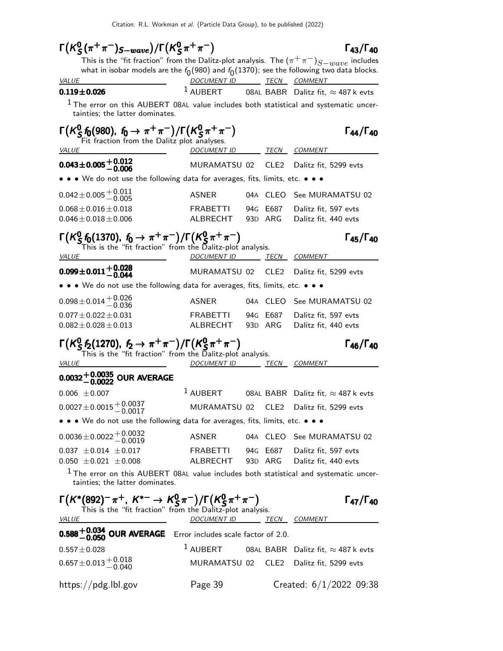| $\Gamma(K_S^0(\pi^+\pi^-)_{S-wave})/\Gamma(K_S^0\pi^+\pi^-)$                                                                          |                          |                  | $\Gamma_{43}/\Gamma_{40}$                                      |
|---------------------------------------------------------------------------------------------------------------------------------------|--------------------------|------------------|----------------------------------------------------------------|
| This is the "fit fraction" from the Dalitz-plot analysis. The $(\pi^+\pi^-)_{S-wave}$ includes                                        |                          |                  |                                                                |
| what in isobar models are the $f_0(980)$ and $f_0(1370)$ ; see the following two data blocks.<br><u>VALUE</u>                         | DOCUMENT ID TECN COMMENT |                  |                                                                |
| $0.119 \pm 0.026$                                                                                                                     |                          |                  | <sup>1</sup> AUBERT 08AL BABR Dalitz fit, $\approx$ 487 k evts |
| $1$ The error on this AUBERT 08AL value includes both statistical and systematic uncer-<br>tainties; the latter dominates.            |                          |                  |                                                                |
| $\Gamma(K_S^0 f_0(980), f_0 \to \pi^+\pi^-)/\Gamma(K_S^0 \pi^+\pi^-)$<br>Fit fraction from the Dalitz plot analyses.                  |                          |                  | $\Gamma_{44}/\Gamma_{40}$                                      |
| <i>VALUE</i>                                                                                                                          | <i>DOCUMENT ID</i>       |                  | <i>TECN COMMENT</i>                                            |
| $0.043 \pm 0.005 \pm 0.012$                                                                                                           | MURAMATSU 02             | CLE <sub>2</sub> | Dalitz fit, 5299 evts                                          |
| $\bullet\,\bullet\,\bullet\,$ We do not use the following data for averages, fits, limits, etc. $\bullet\,\bullet\,\bullet\,\bullet$  |                          |                  |                                                                |
| $0.042 \pm 0.005 \begin{array}{l} +0.011 \\ -0.005 \end{array}$                                                                       | ASNER                    | 04A CLEO         | See MURAMATSU 02                                               |
| $0.068 \pm 0.016 \pm 0.018$                                                                                                           | <b>FRABETTI</b>          | 94G E687         | Dalitz fit, 597 evts                                           |
| $0.046 \pm 0.018 \pm 0.006$                                                                                                           | ALBRECHT                 | 93D ARG          | Dalitz fit, 440 evts                                           |
| $\Gamma(K^0_S f_0(1370), f_0 \to \pi^+\pi^-)/\Gamma(K^0_S \pi^+\pi^-)$<br>This is the "fit fraction" from the Dalitz-plot analysis.   |                          |                  | $\Gamma_{45}/\Gamma_{40}$                                      |
| <i>VALUE</i>                                                                                                                          | <b>DOCUMENT ID</b>       | TECN             | <b>COMMENT</b>                                                 |
| $0.099 \pm 0.011 + 0.028$<br>-0.044                                                                                                   | MURAMATSU 02             | CLE <sub>2</sub> | Dalitz fit, 5299 evts                                          |
| $\bullet\,\bullet\,\bullet\,$ We do not use the following data for averages, fits, limits, etc. $\bullet\,\bullet\,\bullet\,\bullet$  |                          |                  |                                                                |
| $0.098 \pm 0.014 + 0.026$<br>-0.036                                                                                                   | ASNER                    | 04A CLEO         | See MURAMATSU 02                                               |
| $0.077 \pm 0.022 \pm 0.031$                                                                                                           | FRABETTI                 | 94G E687         | Dalitz fit, 597 evts                                           |
| $0.082 \pm 0.028 \pm 0.013$                                                                                                           | ALBRECHT                 | 93D ARG          | Dalitz fit, 440 evts                                           |
| $\Gamma(K_S^0 f_2(1270), f_2 \to \pi^+\pi^-)/\Gamma(K_S^0 \pi^+\pi^-)$<br>This is the "fit fraction" from the Dalitz-plot analysis.   |                          |                  | $\Gamma_{46}/\Gamma_{40}$                                      |
| <i>VALUE</i>                                                                                                                          | DOCUMENT ID TECN         |                  | COMMENT                                                        |
| 0032 $^{\mathrm {+0.0035}}_{\mathrm {-0.0022}}$ OUR AVERAGE                                                                           |                          |                  |                                                                |
| $0.006 \pm 0.007$                                                                                                                     | $^1$ AUBERT              |                  | 08AL BABR Dalitz fit, $\approx$ 487 k evts                     |
| $0.0027 \pm 0.0015 \begin{array}{c} +0.0037 \\ -0.0017 \end{array}$                                                                   | MURAMATSU 02             | CLE <sub>2</sub> | Dalitz fit, 5299 evts                                          |
| • • • We do not use the following data for averages, fits, limits, etc. • • •                                                         |                          |                  |                                                                |
| $0.0036 \pm 0.0022 \begin{array}{l} +0.0032 \\ -0.0019 \end{array}$                                                                   | ASNER                    |                  | 04A CLEO See MURAMATSU 02                                      |
| $0.037 \pm 0.014 \pm 0.017$                                                                                                           |                          |                  | FRABETTI 94G E687 Dalitz fit, 597 evts                         |
| $0.050 \pm 0.021 \pm 0.008$                                                                                                           |                          |                  | ALBRECHT 93D ARG Dalitz fit, 440 evts                          |
| <sup>1</sup> The error on this AUBERT 08AL value includes both statistical and systematic uncer-<br>tainties; the latter dominates.   |                          |                  |                                                                |
| $\Gamma(K^*(892)^-\pi^+, K^{*-} \to K^0_S\pi^-)/\Gamma(K^0_S\pi^+\pi^-)$<br>This is the "fit fraction" from the Dalitz-plot analysis. |                          |                  | $\Gamma_{47}/\Gamma_{40}$                                      |
| <u>VALUE</u>                                                                                                                          | DOCUMENT ID TECN COMMENT |                  |                                                                |
| <b>0.588</b> $+0.034$ OUR AVERAGE Error includes scale factor of 2.0.                                                                 |                          |                  |                                                                |
| $0.557 \pm 0.028$                                                                                                                     | $^1$ AUBERT              |                  | 08AL BABR Dalitz fit, $\approx$ 487 k evts                     |
| $0.657 \pm 0.013 \begin{array}{l} +0.018 \\ -0.040 \end{array}$                                                                       |                          |                  | MURAMATSU 02 CLE2 Dalitz fit, 5299 evts                        |
| https://pdg.lbl.gov                                                                                                                   | Page 39                  |                  | Created: $6/1/2022$ 09:38                                      |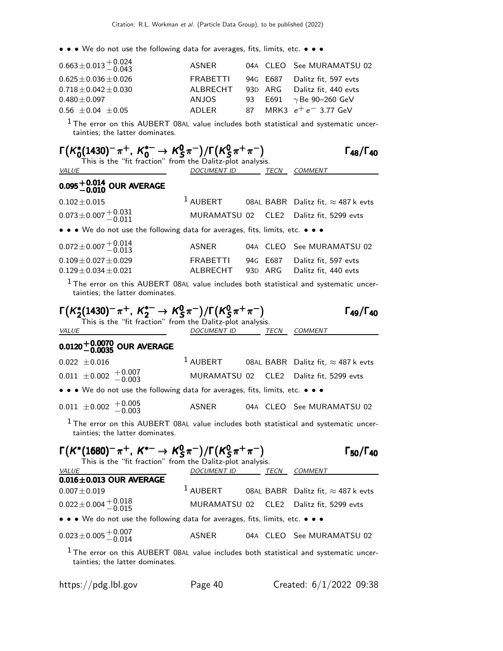• • • We do not use the following data for averages, fits, limits, etc. • • •

| $0.663 \pm 0.013 \pm 0.024$<br>0.43 | ASNER    |  | 04A CLEO See MURAMATSU 02      |
|-------------------------------------|----------|--|--------------------------------|
| $0.625 \pm 0.036 \pm 0.026$         | FRABETTI |  | 94G E687 Dalitz fit, 597 evts  |
| $0.718 \pm 0.042 \pm 0.030$         | ALBRECHT |  | 93D ARG Dalitz fit. 440 evts   |
| $0.480\pm0.097$                     | ANJOS    |  | 93 E691 $\gamma$ Be 90-260 GeV |
| $0.56 \pm 0.04 \pm 0.05$            | ADLER    |  | 87 MRK3 $e^+e^-$ 3.77 GeV      |
|                                     |          |  |                                |

 $1$  The error on this AUBERT 08AL value includes both statistical and systematic uncertainties; the latter dominates.

| $\Gamma(K_0^*(1430)^-\pi^+, K_0^{*-} \to K_S^0\pi^-)/\Gamma(K_S^0\pi^+\pi^-)$<br>This is the "fit fraction" from the Dalitz-plot analysis. |                          |                  | $\Gamma_{48}/\Gamma_{40}$                                      |
|--------------------------------------------------------------------------------------------------------------------------------------------|--------------------------|------------------|----------------------------------------------------------------|
| VALUE                                                                                                                                      | DOCUMENT ID TECN COMMENT |                  |                                                                |
| $0.095 {+0.014 \atop -0.010}$ OUR AVERAGE                                                                                                  |                          |                  |                                                                |
| $0.102 \pm 0.015$                                                                                                                          |                          |                  | <sup>1</sup> AUBERT 08AL BABR Dalitz fit, $\approx$ 487 k evts |
| $0.073 \pm 0.007 \, {}^{+0.031}_{-0.011}$                                                                                                  | MURAMATSU 02             | CLE <sub>2</sub> | Dalitz fit, 5299 evts                                          |
| • • We do not use the following data for averages, fits, limits, etc. • • •                                                                |                          |                  |                                                                |
| $0.072 \pm 0.007 \, {+ \, 0.014 \atop - \, 0.013}$                                                                                         | ASNER                    | 04A CLEO         | See MURAMATSU 02                                               |
| $0.109 \pm 0.027 \pm 0.029$                                                                                                                | FRABETTI                 | 94G E687         | Dalitz fit, 597 evts                                           |
| $0.129$ $\pm$ $0.034$ $\pm$ $0.021$                                                                                                        | ALBRECHT                 | 93D ARG          | Dalitz fit, 440 evts                                           |
| <sup>1</sup> The error on this AUBERT 08AL value includes both statistical and systematic uncer-<br>tainties; the latter dominates.        |                          |                  |                                                                |
| $\Gamma(K_2^*(1430)^-\pi^+, K_2^{*-} \to K_S^0\pi^-)/\Gamma(K_S^0\pi^+\pi^-)$<br>This is the "fit fraction" from the Dalitz-plot analysis. |                          |                  | $\Gamma_{49}/\Gamma_{40}$                                      |
| <i>VALUE</i>                                                                                                                               | DOCUMENT ID TECN COMMENT |                  |                                                                |
| $0.0120^{+0.0070}_{-0.0035}$ OUR AVERAGE                                                                                                   |                          |                  |                                                                |
| $0.022 \pm 0.016$                                                                                                                          | $^1$ AUBERT              |                  | 08AL BABR Dalitz fit, $\approx$ 487 k evts                     |
| $0.011 \pm 0.002 \begin{array}{c} +0.007 \\ -0.003 \end{array}$                                                                            | MURAMATSU 02             |                  | CLE2 Dalitz fit, 5299 evts                                     |
| • • • We do not use the following data for averages, fits, limits, etc. • • •                                                              |                          |                  |                                                                |
| $0.011 \pm 0.002 \pm 0.005$                                                                                                                | ASNER                    |                  | 04A CLEO See MURAMATSU 02                                      |
| <sup>1</sup> The error on this AUBERT 08AL value includes both statistical and systematic uncer-<br>tainties; the latter dominates.        |                          |                  |                                                                |
| $\Gamma(K^*(1680)^- \pi^+, K^{*-} \to K^0_S \pi^-)/\Gamma(K^0_S \pi^+ \pi^-)$<br>This is the "fit fraction" from the Dalitz-plot analysis. |                          |                  | $\Gamma_{50}/\Gamma_{40}$                                      |
| <i>VALUE</i>                                                                                                                               | DOCUMENT ID TECN COMMENT |                  |                                                                |
| $0.016 \pm 0.013$ OUR AVERAGE<br>$0.007 \pm 0.019$                                                                                         | $1$ AUBERT               |                  | 08AL BABR Dalitz fit, $\approx$ 487 k evts                     |
| $0.022 \pm 0.004 \begin{array}{l} +0.018 \\ -0.015 \end{array}$                                                                            | MURAMATSU 02             | CLE <sub>2</sub> | Dalitz fit, 5299 evts                                          |
| • • We do not use the following data for averages, fits, limits, etc. • • •                                                                |                          |                  |                                                                |
| $0.023 \pm 0.005 \pm 0.007$                                                                                                                | <b>ASNER</b>             |                  | 04A CLEO See MURAMATSU 02                                      |
| $1$ The error on this AUBERT 08AL value includes both statistical and systematic uncer-<br>tainties; the latter dominates.                 |                          |                  |                                                                |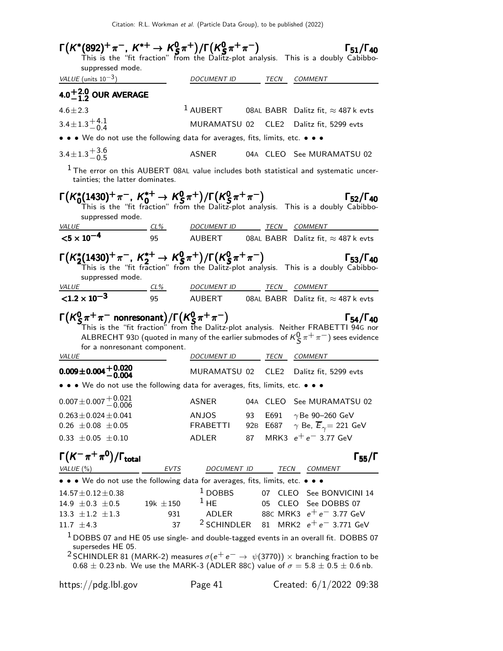| suppressed mode.                                                                                                                     |                |                                     |                 |                  | $\Gamma(K^*(892)^+\pi^-, K^{*+}\to K^0_S\pi^+)/\Gamma(K^0_S\pi^+\pi^-)$ $\Gamma_{51}/\Gamma_{40}$<br>This is the "fit fraction" from the Dalitz-plot analysis. This is a doubly Cabibbo-                                                                                                                |
|--------------------------------------------------------------------------------------------------------------------------------------|----------------|-------------------------------------|-----------------|------------------|---------------------------------------------------------------------------------------------------------------------------------------------------------------------------------------------------------------------------------------------------------------------------------------------------------|
| VALUE (units $10^{-3}$ )                                                                                                             |                | <i>DOCUMENT ID</i>                  |                 | TECN             | <i>COMMENT</i>                                                                                                                                                                                                                                                                                          |
| 4.0 <sup>+2.0</sup> OUR AVERAGE                                                                                                      |                |                                     |                 |                  |                                                                                                                                                                                                                                                                                                         |
| $4.6 \pm 2.3$                                                                                                                        |                | $1$ AUBERT                          |                 |                  | 08AL BABR Dalitz fit, $\approx$ 487 k evts                                                                                                                                                                                                                                                              |
| $3.4 \pm 1.3 \pm 4.1$                                                                                                                |                | MURAMATSU 02                        |                 | CLE <sub>2</sub> | Dalitz fit, 5299 evts                                                                                                                                                                                                                                                                                   |
| • • • We do not use the following data for averages, fits, limits, etc. • • •                                                        |                |                                     |                 |                  |                                                                                                                                                                                                                                                                                                         |
| $3.4 \pm 1.3 \frac{+3.6}{-0.5}$                                                                                                      |                | <b>ASNER</b>                        |                 |                  | 04A CLEO See MURAMATSU 02                                                                                                                                                                                                                                                                               |
| tainties; the latter dominates.                                                                                                      |                |                                     |                 |                  | $1$ The error on this AUBERT 08AL value includes both statistical and systematic uncer-                                                                                                                                                                                                                 |
| $\Gamma(K_0^*(1430)^+\pi^-, K_0^{*+} \to K_S^0\pi^+)/\Gamma(K_S^0\pi^+\pi^-)$<br>suppressed mode.                                    |                |                                     |                 |                  | $\Gamma_{52}/\Gamma_{40}$<br>This is the "fit fraction" from the Dalitz-plot analysis. This is a doubly Cabibbo-                                                                                                                                                                                        |
| <i>VALUE</i><br>$< 5 \times 10^{-4}$                                                                                                 |                | <u>CL% DOCUMENT ID TECN COMMENT</u> |                 |                  | 95 AUBERT 08AL BABR Dalitz fit, $\approx$ 487 k evts                                                                                                                                                                                                                                                    |
|                                                                                                                                      |                |                                     |                 |                  |                                                                                                                                                                                                                                                                                                         |
| $\Gamma(K_2^*(1430)^+\pi^-$ , $K_2^{*+}$ $\rightarrow$ $K_S^0\pi^+)/\Gamma(K_S^0\pi^+\pi^-)$<br>suppressed mode.                     |                |                                     |                 |                  | $\Gamma_{53}/\Gamma_{40}$<br>This is the "fit fraction" from the Dalitz-plot analysis. This is a doubly Cabibbo-                                                                                                                                                                                        |
| <u>VALUE</u>                                                                                                                         |                | <u>CL% DOCUMENT ID TECN COMMENT</u> |                 |                  |                                                                                                                                                                                                                                                                                                         |
| $< 1.2 \times 10^{-3}$                                                                                                               |                |                                     |                 |                  | -<br>95 AUBERT 08AL BABR Dalitz fit, $\approx$ 487 k evts                                                                                                                                                                                                                                               |
| $\Gamma(K_S^0 \pi^+ \pi^-$ nonresonant)/ $\Gamma(K_S^0 \pi^+ \pi^-)$<br>for a nonresonant component.                                 |                |                                     |                 |                  | $\Gamma_{54}/\Gamma_{40}$<br>This is the "fit fraction" from the Dalitz-plot analysis. Neither FRABETTI 94G nor<br>ALBRECHT 93D (quoted in many of the earlier submodes of $K^0_S \pi^+ \pi^-$ ) sees evidence                                                                                          |
| <i>VALUE</i>                                                                                                                         |                | DOCUMENT ID TECN COMMENT            |                 |                  |                                                                                                                                                                                                                                                                                                         |
| $0.009 \pm 0.004 \begin{array}{c} +0.020 \\ -0.004 \end{array}$                                                                      |                | MURAMATSU 02                        |                 |                  | CLE2 Dalitz fit, 5299 evts                                                                                                                                                                                                                                                                              |
| $\bullet\,\bullet\,\bullet\,$ We do not use the following data for averages, fits, limits, etc. $\bullet\,\bullet\,\bullet\,\bullet$ |                |                                     |                 |                  |                                                                                                                                                                                                                                                                                                         |
| $0.007 \pm 0.007 \pm 0.0021$<br>-0.006                                                                                               |                | ASNER                               |                 |                  | 04A CLEO See MURAMATSU 02                                                                                                                                                                                                                                                                               |
| $0.263 \pm 0.024 \pm 0.041$                                                                                                          |                | ANJOS                               | 93              | E691             | $\gamma$ Be 90-260 GeV                                                                                                                                                                                                                                                                                  |
| $0.26 \pm 0.08 \pm 0.05$                                                                                                             |                | <b>FRABETTI</b>                     | 92 <sub>B</sub> |                  | E687 $\gamma$ Be, $\overline{E}_{\gamma}$ = 221 GeV                                                                                                                                                                                                                                                     |
| $0.33 \pm 0.05 \pm 0.10$                                                                                                             |                | ADLER                               | 87              |                  | MRK3 $e^+e^-$ 3.77 GeV                                                                                                                                                                                                                                                                                  |
| $\Gamma(K^-\pi^+\pi^0)/\Gamma_{\rm total}$                                                                                           |                |                                     |                 |                  | $\Gamma_{55}/\Gamma$                                                                                                                                                                                                                                                                                    |
| VALUE(%)<br>• • • We do not use the following data for averages, fits, limits, etc. • • •                                            | <b>EVTS</b>    | DOCUMENT ID                         |                 |                  | TECN<br>COMMENT                                                                                                                                                                                                                                                                                         |
| $14.57 \pm 0.12 \pm 0.38$                                                                                                            |                | $1$ DOBBS                           |                 |                  | 07 CLEO See BONVICINI 14                                                                                                                                                                                                                                                                                |
| 14.9 $\pm$ 0.3 $\pm$ 0.5                                                                                                             | 19 $k \pm 150$ | $1$ HE                              |                 |                  | 05 CLEO See DOBBS 07                                                                                                                                                                                                                                                                                    |
| 13.3 $\pm 1.2$ $\pm 1.3$                                                                                                             | 931            | ADLER                               |                 |                  | 88C MRK3 $e^+e^-$ 3.77 GeV                                                                                                                                                                                                                                                                              |
| 11.7 $\pm 4.3$                                                                                                                       | 37             |                                     |                 |                  | <sup>2</sup> SCHINDLER 81 MRK2 $e^+e^-$ 3.771 GeV                                                                                                                                                                                                                                                       |
| supersedes HE 05.                                                                                                                    |                |                                     |                 |                  | $1$ DOBBS 07 and HE 05 use single- and double-tagged events in an overall fit. DOBBS 07<br>$^2$ SCHINDLER 81 (MARK-2) measures $\sigma(e^+e^-\rightarrow\, \psi(3770))\times$ branching fraction to be<br>$0.68 \pm 0.23$ nb. We use the MARK-3 (ADLER 88C) value of $\sigma = 5.8 \pm 0.5 \pm 0.6$ nb. |
| https://pdg.lbl.gov                                                                                                                  |                | Page 41                             |                 |                  | Created: $6/1/2022$ 09:38                                                                                                                                                                                                                                                                               |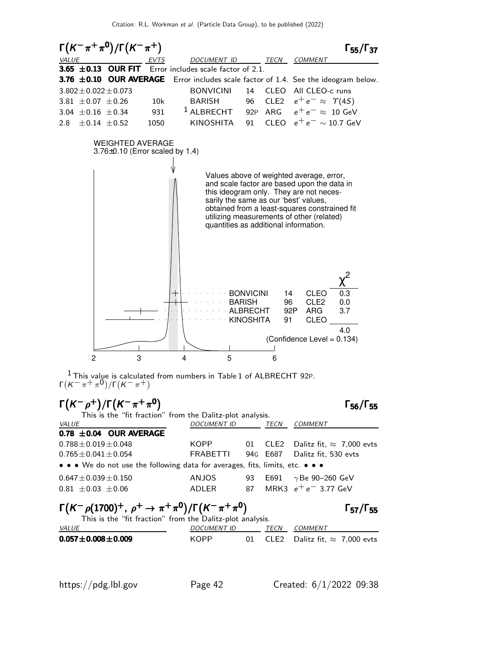

 $1$  This value is calculated from numbers in Table 1 of ALBRECHT 92P. Γ $(K^-\pi^+\pi^0)/\Gamma(K^-\pi^+)$ 

| $\Gamma(K^-\rho^+)/\Gamma(K^-\pi^+\pi^0)$                                                                                              |                    |    |                  | $\Gamma_{56}/\Gamma_{55}$        |
|----------------------------------------------------------------------------------------------------------------------------------------|--------------------|----|------------------|----------------------------------|
| This is the "fit fraction" from the Dalitz-plot analysis.                                                                              |                    |    |                  |                                  |
| VALUE                                                                                                                                  | <b>DOCUMENT ID</b> |    | TECN             | <b>COMMENT</b>                   |
| 0.78 $\pm$ 0.04 OUR AVERAGE                                                                                                            |                    |    |                  |                                  |
| $0.788 + 0.019 + 0.048$                                                                                                                | KOPP               |    | 01 CLE2          | Dalitz fit, $\approx 7,000$ evts |
| $0.765 \pm 0.041 \pm 0.054$                                                                                                            | FRABETTI           |    | 94G E687         | Dalitz fit, 530 evts             |
| • • • We do not use the following data for averages, fits, limits, etc. • • •                                                          |                    |    |                  |                                  |
| $0.647 \pm 0.039 \pm 0.150$                                                                                                            | <b>ANJOS</b>       | 93 | E691             | $\gamma$ Be 90–260 GeV           |
| $0.81 \pm 0.03 \pm 0.06$                                                                                                               | ADLER              | 87 |                  | MRK3 $e^+e^-$ 3.77 GeV           |
| $\Gamma(K^-\rho(1700)^+$ , $\rho^+ \to \pi^+\pi^0)/\Gamma(K^-\pi^+\pi^0)$<br>This is the "fit fraction" from the Dalitz-plot analysis. |                    |    |                  | $\Gamma_{57}/\Gamma_{55}$        |
| VALUE                                                                                                                                  | <b>DOCUMENT ID</b> |    | TECN             | <b>COMMENT</b>                   |
| $0.057 \pm 0.008 \pm 0.009$                                                                                                            | KOPP               | 01 | CLE <sub>2</sub> | Dalitz fit, $\approx 7,000$ evts |

 $\overline{\phantom{a}}$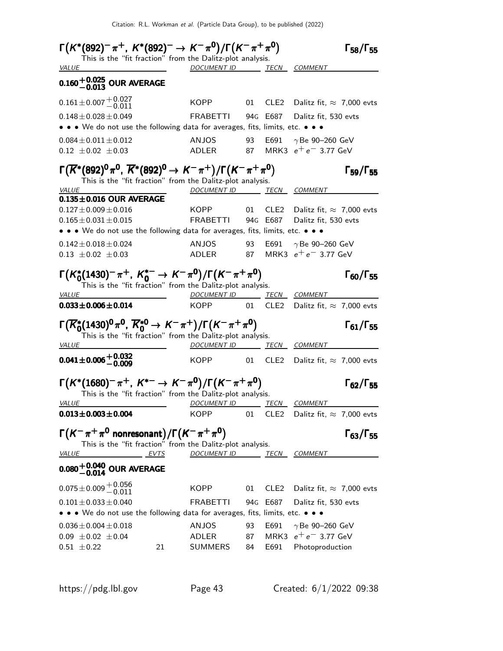| $\Gamma(K^*(892)^-\pi^+, K^*(892)^-\to K^-\pi^0)/\Gamma(K^-\pi^+\pi^0)$                                                                          |                          |    |      | $\Gamma_{58}/\Gamma_{55}$                                              |
|--------------------------------------------------------------------------------------------------------------------------------------------------|--------------------------|----|------|------------------------------------------------------------------------|
| This is the "fit fraction" from the Dalitz-plot analysis.                                                                                        | DOCUMENT ID TECN COMMENT |    |      |                                                                        |
| <b>VALUE</b>                                                                                                                                     |                          |    |      |                                                                        |
| $0.160 + 0.025$ OUR AVERAGE                                                                                                                      |                          |    |      |                                                                        |
| $0.161 \pm 0.007 \begin{array}{l} +0.027 \\ -0.011 \end{array}$                                                                                  | KOPP                     |    |      | 01 CLE2 Dalitz fit, $\approx 7,000$ evts                               |
| $0.148 \pm 0.028 \pm 0.049$                                                                                                                      | FRABETTI                 |    |      | 94G E687 Dalitz fit, 530 evts                                          |
| • • • We do not use the following data for averages, fits, limits, etc. • • •                                                                    |                          |    |      |                                                                        |
| $0.084 \pm 0.011 \pm 0.012$                                                                                                                      | ANJOS                    | 93 |      | E691 $\gamma$ Be 90-260 GeV                                            |
| $0.12 \pm 0.02 \pm 0.03$                                                                                                                         | ADLER                    | 87 |      | MRK3 $e^+e^-$ 3.77 GeV                                                 |
| $\Gamma(\overline{K}^*(892)^0 \pi^0, \overline{K}^*(892)^0 \to K^- \pi^+) / \Gamma(K^- \pi^+ \pi^0)$                                             |                          |    |      | $\Gamma_{59}/\Gamma_{55}$                                              |
| This is the "fit fraction" from the Dalitz-plot analysis.                                                                                        |                          |    |      |                                                                        |
| VALUE                                                                                                                                            | DOCUMENT ID TECN COMMENT |    |      |                                                                        |
| $0.135 \pm 0.016$ OUR AVERAGE                                                                                                                    |                          |    |      |                                                                        |
| $0.127 \pm 0.009 \pm 0.016$<br>$0.165 \pm 0.031 \pm 0.015$                                                                                       | KOPP<br>FRABETTI         | 01 |      | CLE2 Dalitz fit, $\approx 7,000$ evts<br>94G E687 Dalitz fit, 530 evts |
| • • • We do not use the following data for averages, fits, limits, etc. • • •                                                                    |                          |    |      |                                                                        |
| $0.142 \pm 0.018 \pm 0.024$                                                                                                                      | ANJOS                    | 93 |      | E691 $\gamma$ Be 90-260 GeV                                            |
| $0.13 \pm 0.02 \pm 0.03$                                                                                                                         |                          |    |      | ADLER 87 MRK3 $e^+e^-$ 3.77 GeV                                        |
|                                                                                                                                                  |                          |    |      |                                                                        |
| $\Gamma(K_0^*(1430)^-\pi^+, K_0^{*-} \to K^-\pi^0)/\Gamma(K^-\pi^+\pi^0)$                                                                        |                          |    |      | $\Gamma_{60}/\Gamma_{55}$                                              |
| This is the "fit fraction" from the Dalitz-plot analysis.<br><b>VALUE</b>                                                                        | DOCUMENT ID TECN COMMENT |    |      |                                                                        |
| $0.033 \pm 0.006 \pm 0.014$                                                                                                                      | KOPPNET                  | 01 | CLE2 | Dalitz fit, $\approx 7,000$ evts                                       |
|                                                                                                                                                  |                          |    |      |                                                                        |
| $\Gamma(\overline{K}_0^*(1430)^0 \pi^0, \overline{K}_0^{*0} \to K^- \pi^+) / \Gamma(K^- \pi^+ \pi^0)$                                            |                          |    |      | $\Gamma_{61}/\Gamma_{55}$                                              |
| This is the "fit fraction" from the Dalitz-plot analysis.<br><b>VALUE</b>                                                                        | DOCUMENT ID TECN COMMENT |    |      |                                                                        |
| $0.041 \pm 0.006 \pm 0.032$                                                                                                                      |                          |    |      | KOPP 01 CLE2 Dalitz fit, $\approx 7,000$ evts                          |
|                                                                                                                                                  |                          |    |      |                                                                        |
| $\Gamma(K^*(1680)^{-}\pi^{+}, K^{*-} \to K^{-}\pi^{0})/\Gamma(K^{-}\pi^{+}\pi^{0})$<br>This is the "fit fraction" from the Dalitz-plot analysis. |                          |    |      | $\Gamma_{62}/\Gamma_{55}$                                              |
| <b>VALUE</b>                                                                                                                                     | DOCUMENT ID TECN COMMENT |    |      |                                                                        |
| $0.013 \pm 0.003 \pm 0.004$                                                                                                                      | KOPP                     | 01 |      | CLE2 Dalitz fit, $\approx 7,000$ evts                                  |
|                                                                                                                                                  |                          |    |      |                                                                        |
| $\Gamma(K^-\pi^+\pi^0$ nonresonant)/ $\Gamma(K^-\pi^+\pi^0)$<br>This is the "fit fraction" from the Dalitz-plot analysis.                        |                          |    |      | $\Gamma_{63}/\Gamma_{55}$                                              |
| <b>VALUE</b><br>EVTS                                                                                                                             | DOCUMENT ID TECN COMMENT |    |      |                                                                        |
| $0.080^{+0.040}_{-0.014}$ OUR AVERAGE                                                                                                            |                          |    |      |                                                                        |
| $0.075 \pm 0.009 \begin{array}{l} +0.056 \\ -0.011 \end{array}$                                                                                  | KOPPNET                  | 01 |      | CLE2 Dalitz fit, $\approx 7,000$ evts                                  |
| $0.101 \pm 0.033 \pm 0.040$                                                                                                                      | FRABETTI                 |    |      | 94G E687 Dalitz fit, 530 evts                                          |
| • • • We do not use the following data for averages, fits, limits, etc. • • •                                                                    |                          |    |      |                                                                        |
| $0.036 \pm 0.004 \pm 0.018$                                                                                                                      | ANJOS                    | 93 |      | E691 $\gamma$ Be 90-260 GeV                                            |
| $0.09 \pm 0.02 \pm 0.04$                                                                                                                         | ADLER                    | 87 |      | MRK3 $e^+e^-$ 3.77 GeV                                                 |
| 21<br>$0.51 \pm 0.22$                                                                                                                            | SUMMERS                  | 84 | E691 | Photoproduction                                                        |
|                                                                                                                                                  |                          |    |      |                                                                        |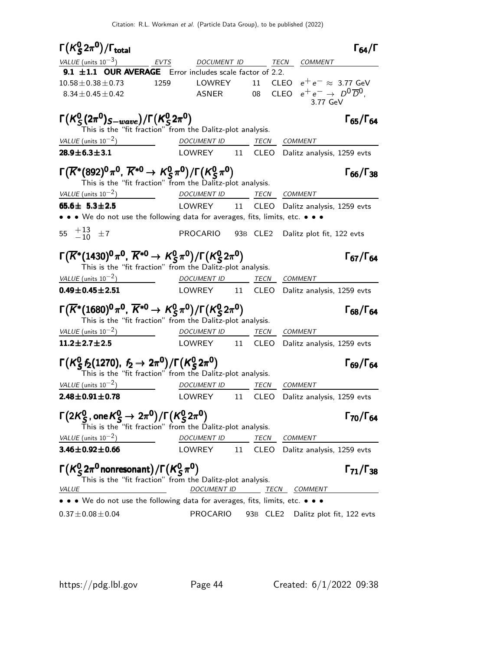| $\Gamma(K_S^0 2\pi^0)/\Gamma_{\rm total}$                                                                                                                    |                          |         | $\Gamma_{64}/\Gamma$                                 |
|--------------------------------------------------------------------------------------------------------------------------------------------------------------|--------------------------|---------|------------------------------------------------------|
| VALUE (units $10^{-3}$ )                                                                                                                                     | EVTS DOCUMENT ID         |         | TECN COMMENT                                         |
| 9.1 $\pm$ 1.1 OUR AVERAGE Error includes scale factor of 2.2.                                                                                                |                          |         |                                                      |
| $10.58 \pm 0.38 \pm 0.73$<br>1259                                                                                                                            | LOWREY                   | 11 CLEO | $e^+e^- \approx 3.77 \text{ GeV}$                    |
| $8.34 \pm 0.45 \pm 0.42$                                                                                                                                     | ASNER 08 CLEO            |         | $e^+e^- \rightarrow D^0\overline{D}^0$ ,<br>3.77 GeV |
| $\Gamma(K_S^0(2\pi^0)_{S-wave})/\Gamma(K_S^02\pi^0)$<br>This is the "fit fraction" from the Dalitz-plot analysis.                                            |                          |         | $\Gamma_{65}/\Gamma_{64}$                            |
| VALUE (units $10^{-2}$ )                                                                                                                                     | DOCUMENT ID TECN COMMENT |         |                                                      |
| $28.9 \pm 6.3 \pm 3.1$                                                                                                                                       |                          |         | LOWREY 11 CLEO Dalitz analysis, 1259 evts            |
| $\Gamma(\overline{K}^*(892)^0 \pi^0, \overline{K}^{*0} \to K_S^0 \pi^0)/\Gamma(K_S^0 \pi^0)$<br>This is the "fit fraction" from the Dalitz-plot analysis.    |                          |         | $\Gamma_{66}/\Gamma_{38}$                            |
| VALUE (units $10^{-2}$ )                                                                                                                                     | DOCUMENT ID TECN COMMENT |         |                                                      |
| 65.6 $\pm$ 5.3 $\pm$ 2.5                                                                                                                                     | LOWREY 11                |         | CLEO Dalitz analysis, 1259 evts                      |
| $\bullet \bullet \bullet$ We do not use the following data for averages, fits, limits, etc. $\bullet \bullet \bullet$                                        |                          |         |                                                      |
| 55 $^{+13}_{-10}$ ±7                                                                                                                                         |                          |         | PROCARIO 93B CLE2 Dalitz plot fit, 122 evts          |
| $\Gamma(\overline{K}^*(1430)^0 \pi^0, \overline{K}^{*0} \to K_S^0 \pi^0)/\Gamma(K_S^0 2\pi^0)$<br>This is the "fit fraction" from the Dalitz-plot analysis.  |                          |         | $\Gamma_{67}/\Gamma_{64}$                            |
| VALUE (units $10^{-2}$ )                                                                                                                                     | DOCUMENT ID TECN COMMENT |         |                                                      |
| $0.49 \pm 0.45 \pm 2.51$                                                                                                                                     |                          |         | LOWREY 11 CLEO Dalitz analysis, 1259 evts            |
| $\Gamma(\overline{K}^*(1680)^0\pi^0,\,\overline{K}^{*0}\to K^0_S\pi^0)/\Gamma(K^0_S$ 2 $\pi^0)$<br>This is the "fit fraction" from the Dalitz-plot analysis. |                          |         | $\Gamma_{68}/\Gamma_{64}$                            |
| VALUE (units $10^{-2}$ )                                                                                                                                     | DOCUMENT ID TECN         |         | <i>COMMENT</i>                                       |
| $11.2 \pm 2.7 \pm 2.5$                                                                                                                                       | LOWREY 11 CLEO           |         | Dalitz analysis, 1259 evts                           |
| $\Gamma(K_S^0 f_2(1270), f_2 \to 2\pi^0)/\Gamma(K_S^0 2\pi^0)$<br>This is the "fit fraction" from the Dalitz-plot analysis.                                  |                          |         | $\Gamma_{69}/\Gamma_{64}$                            |
| VALUE (units $10^{-2}$ )                                                                                                                                     | DOCUMENT ID TECN COMMENT |         |                                                      |
| $2.48 \pm 0.91 \pm 0.78$                                                                                                                                     | LOWREY 11 CLEO           |         | Dalitz analysis, 1259 evts                           |
| $\Gamma(2K^0_S$ , one $K^0_S \rightarrow 2\pi^0)/\Gamma(K^0_S 2\pi^0)$<br>This is the "fit fraction" from the Dalitz-plot analysis.                          |                          |         | Г <sub>70</sub> /Г <sub>64</sub>                     |
| VALUE (units $10^{-2}$ )                                                                                                                                     | <b>DOCUMENT ID</b>       | TECN    | <b>COMMENT</b>                                       |
| $3.46 \pm 0.92 \pm 0.66$                                                                                                                                     | LOWREY<br>11             | CLEO    | Dalitz analysis, 1259 evts                           |
| $\Gamma(K_S^0 2\pi^0$ nonresonant) / $\Gamma(K_S^0 \pi^0)$<br>This is the "fit fraction" from the Dalitz-plot analysis.<br><b>VALUE</b>                      |                          |         | $\Gamma_{71}/\Gamma_{38}$                            |
| • We do not use the following data for averages, fits, limits, etc. • • •                                                                                    | DOCUMENT ID              |         | <u>TECN COMMENT</u>                                  |
| $0.37 \pm 0.08 \pm 0.04$                                                                                                                                     | <b>PROCARIO</b>          |         | 93B CLE2 Dalitz plot fit, 122 evts                   |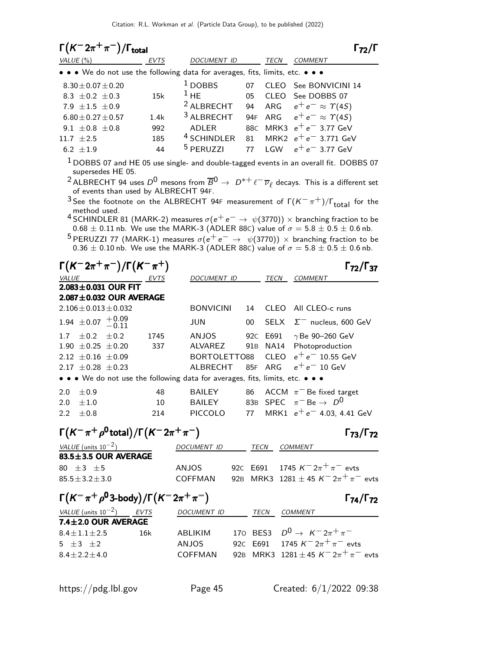| $\Gamma(K^-2\pi^+\pi^-)/\Gamma_{\rm total}$ |                                                                |                                                                                                  |          |             | $\Gamma_{72}/\Gamma$                                                                                                                     |
|---------------------------------------------|----------------------------------------------------------------|--------------------------------------------------------------------------------------------------|----------|-------------|------------------------------------------------------------------------------------------------------------------------------------------|
| VALUE (%)                                   | <b>EVTS</b>                                                    | DOCUMENT ID                                                                                      |          | TECN        | COMMENT                                                                                                                                  |
|                                             |                                                                | • • • We do not use the following data for averages, fits, limits, etc. • • •                    |          |             |                                                                                                                                          |
| $8.30 \pm 0.07 \pm 0.20$                    |                                                                | $1$ DOBBS                                                                                        | 07       |             | CLEO See BONVICINI 14                                                                                                                    |
| 8.3 $\pm$ 0.2 $\pm$ 0.3                     | 15k                                                            | $1$ HE                                                                                           | 05       | CLEO        | See DOBBS 07                                                                                                                             |
| 7.9 $\pm 1.5$ $\pm 0.9$                     |                                                                | <sup>2</sup> ALBRECHT                                                                            | 94       | ARG         | $e^+e^- \approx \Upsilon(4S)$                                                                                                            |
| $6.80 \pm 0.27 \pm 0.57$                    | 1.4k                                                           | <sup>3</sup> ALBRECHT                                                                            | 94F      | ARG         | $e^+e^- \approx \Upsilon(4S)$                                                                                                            |
| $9.1 \pm 0.8 \pm 0.8$                       | 992                                                            | <b>ADLER</b>                                                                                     | 88C      | MRK3        | $e^+e^-$ 3.77 GeV                                                                                                                        |
| 11.7 $\pm 2.5$<br>6.2 $\pm 1.9$             | 185<br>44                                                      | <sup>4</sup> SCHINDLER<br><sup>5</sup> PERUZZI                                                   | 81<br>77 | LGW         | MRK2 $e^+e^-$ 3.771 GeV<br>$e^+e^-$ 3.77 GeV                                                                                             |
|                                             |                                                                |                                                                                                  |          |             |                                                                                                                                          |
| supersedes HE 05.                           |                                                                |                                                                                                  |          |             | $^1$ DOBBS 07 and HE 05 use single- and double-tagged events in an overall fit. DOBBS 07                                                 |
|                                             |                                                                |                                                                                                  |          |             | <sup>2</sup> ALBRECHT 94 uses $D^0$ mesons from $\overline{B}^0 \to D^{*+} \ell^- \overline{\nu}_{\ell}$ decays. This is a different set |
|                                             | of events than used by ALBRECHT 94F.                           |                                                                                                  |          |             |                                                                                                                                          |
|                                             |                                                                |                                                                                                  |          |             | <sup>3</sup> See the footnote on the ALBRECHT 94F measurement of $\Gamma(K^-\pi^+)/\Gamma_{\text{total}}$ for the                        |
| method used.                                |                                                                |                                                                                                  |          |             | <sup>4</sup> SCHINDLER 81 (MARK-2) measures $\sigma(e^+e^-\rightarrow \psi(3770))\times$ branching fraction to be                        |
|                                             |                                                                |                                                                                                  |          |             | $0.68 \pm 0.11$ nb. We use the MARK-3 (ADLER 88C) value of $\sigma = 5.8 \pm 0.5 \pm 0.6$ nb.                                            |
|                                             |                                                                |                                                                                                  |          |             | <sup>5</sup> PERUZZI 77 (MARK-1) measures $\sigma(e^+e^-\rightarrow \psi(3770))\times$ branching fraction to be                          |
|                                             |                                                                |                                                                                                  |          |             | $0.36 \pm 0.10$ nb. We use the MARK-3 (ADLER 88C) value of $\sigma = 5.8 \pm 0.5 \pm 0.6$ nb.                                            |
|                                             | $\Gamma(K^-2\pi^+\pi^-)/\Gamma(K^-\pi^+)$                      |                                                                                                  |          |             | $\Gamma_{72}/\Gamma_{37}$                                                                                                                |
| VALUE                                       | <u>EVTS</u>                                                    | DOCUMENT ID                                                                                      |          | TECN        | COMMENT                                                                                                                                  |
| $2.083 \pm 0.031$ OUR FIT                   |                                                                |                                                                                                  |          |             |                                                                                                                                          |
|                                             | 2.087±0.032 OUR AVERAGE                                        |                                                                                                  |          |             |                                                                                                                                          |
| $2.106 \pm 0.013 \pm 0.032$                 |                                                                | <b>BONVICINI</b>                                                                                 | 14       | <b>CLEO</b> | All CLEO-c runs                                                                                                                          |
| 1.94 $\pm$ 0.07 $+$ 0.09                    | $-0.11$                                                        | <b>JUN</b>                                                                                       | 00       | <b>SELX</b> | $\Sigma^-$ nucleus, 600 GeV                                                                                                              |
| $\pm 0.2$<br>1.7 <sub>2</sub>               | $\pm 0.2$<br>1745                                              | ANJOS                                                                                            | 92C E691 |             | $\gamma$ Be 90-260 GeV                                                                                                                   |
| 1.90 $\pm$ 0.25 $\pm$ 0.20                  | 337                                                            | <b>ALVAREZ</b>                                                                                   | 91B      | <b>NA14</b> | Photoproduction                                                                                                                          |
| 2.12 $\pm$ 0.16 $\pm$ 0.09                  |                                                                | BORTOLETTO88                                                                                     |          | <b>CLEO</b> | $e^+e^-$ 10.55 GeV<br>$e^+e^-$ 10 GeV                                                                                                    |
| 2.17 $\pm$ 0.28 $\pm$ 0.23                  |                                                                | <b>ALBRECHT</b><br>• • • We do not use the following data for averages, fits, limits, etc. • • • | 85F      | ARG         |                                                                                                                                          |
|                                             |                                                                |                                                                                                  |          |             |                                                                                                                                          |
| 2.0<br>$\pm 0.9$                            | 48                                                             | BAILEY                                                                                           | 86       |             | ACCM $\pi^-$ Be fixed target<br>$\pi^-$ Be $\rightarrow$ $D^0$                                                                           |
| 2.0<br>$\pm 1.0$<br>2.2 $\pm 0.8$           | 10<br>214                                                      | <b>BAILEY</b><br>PICCOLO                                                                         |          | 83B SPEC    | 77 MRK1 $e^+e^-$ 4.03, 4.41 GeV                                                                                                          |
|                                             |                                                                |                                                                                                  |          |             |                                                                                                                                          |
|                                             | $\Gamma(K^-\pi^+\rho^0\text{total})/\Gamma(K^-\,2\pi^+\pi^-)$  |                                                                                                  |          |             | $\Gamma_{73}/\Gamma_{72}$                                                                                                                |
| VALUE (units $10^{-2}$ )                    |                                                                | DOCUMENT ID TECN COMMENT                                                                         |          |             |                                                                                                                                          |
| 83.5±3.5 OUR AVERAGE                        |                                                                |                                                                                                  |          |             |                                                                                                                                          |
| 80 $\pm 3$ $\pm 5$                          |                                                                |                                                                                                  |          |             | ANJOS 92C E691 1745 $K^- 2\pi^+ \pi^-$ evts                                                                                              |
| $85.5 \pm 3.2 \pm 3.0$                      |                                                                |                                                                                                  |          |             | COFFMAN 92B MRK3 1281 $\pm$ 45 K <sup>-</sup> 2 $\pi^{+}$ $\pi^{-}$ evts                                                                 |
|                                             | $\Gamma(K^-\pi^+\rho^03\text{-body})/\Gamma(K^-\,2\pi^+\pi^-)$ |                                                                                                  |          |             | $\Gamma_{74}/\Gamma_{72}$                                                                                                                |
| <u>VALUE</u> (units $10^{-2}$ ) EVTS        |                                                                | DOCUMENT ID TECN COMMENT                                                                         |          |             |                                                                                                                                          |
| 7.4±2.0 OUR AVERAGE                         |                                                                |                                                                                                  |          |             |                                                                                                                                          |
| $8.4 \pm 1.1 \pm 2.5$                       | 16k                                                            | ABLIKIM                                                                                          |          |             | 170 BES3 $D^0 \to K^- 2\pi^+ \pi^-$                                                                                                      |
| 5 $\pm 3$ $\pm 2$                           |                                                                | ANJOS                                                                                            |          |             | 92C E691 1745 $K^- 2\pi^+ \pi^-$ evts<br>COFFMAN 92B MRK3 1281 ± 45 $K = 2\pi^+ \pi^-$ evts                                              |
| $8.4 \pm 2.2 \pm 4.0$                       |                                                                |                                                                                                  |          |             |                                                                                                                                          |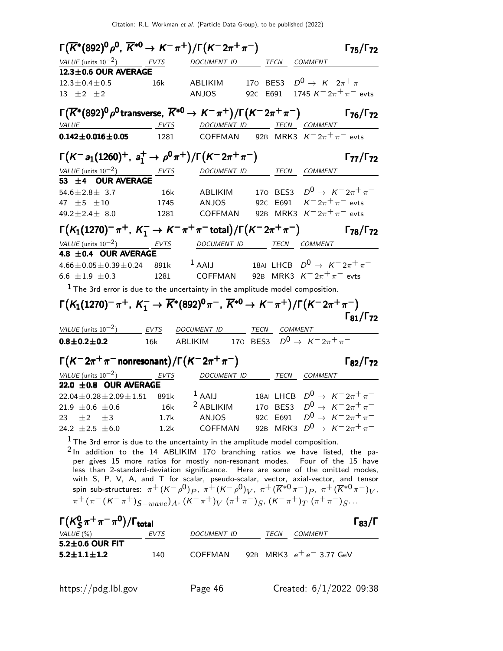| $\Gamma(\overline{K}^*(892)^0\rho^0, \, \overline{K}^{*0} \rightarrow K^-\pi^+) / \Gamma(K^-2\pi^+\pi^-)$                                                       |             |                                                     |              |                                              | $\Gamma_{75}/\Gamma_{72}$ |
|-----------------------------------------------------------------------------------------------------------------------------------------------------------------|-------------|-----------------------------------------------------|--------------|----------------------------------------------|---------------------------|
| VALUE (units $10^{-2}$ ) EVTS                                                                                                                                   |             | DOCUMENT ID                                         |              | TECN COMMENT                                 |                           |
| 12.3±0.6 OUR AVERAGE                                                                                                                                            |             |                                                     |              |                                              |                           |
| $12.3 \pm 0.4 \pm 0.5$                                                                                                                                          | 16k         | ABLIKIM                                             | 170 BES3     | $D^0 \to K^- 2\pi^+ \pi^-$                   |                           |
| 13 $\pm 2$ $\pm 2$                                                                                                                                              |             | <b>ANJOS</b>                                        | 92C E691     | 1745 $K^{-}2\pi^{+}\pi^{-}$ evts             |                           |
| $\Gamma(\overline{K}^*(892)^0\rho^0$ transverse, $\overline{K}^{*0}\to K^-\pi^+)/\Gamma(K^-2\pi^+\pi^-)$ $\Gamma_{76}/\Gamma_{72}$                              |             |                                                     |              |                                              |                           |
| <u>VALUE EVTS</u>                                                                                                                                               |             | DOCUMENT ID ______ TECN ___ COMMENT                 |              |                                              |                           |
| $0.142 \pm 0.016 \pm 0.05$                                                                                                                                      | 1281        | COFFMAN 92B MRK3 $K^-2\pi^+\pi^-$ evts              |              |                                              |                           |
| $\Gamma(K^-a_1(1260)^+, a_1^+\to \rho^0\pi^+)/\Gamma(K^-2\pi^+\pi^-)$                                                                                           |             |                                                     |              |                                              | $\Gamma_{77}/\Gamma_{72}$ |
| VALUE (units $10^{-2}$ ) EVTS                                                                                                                                   |             |                                                     |              | DOCUMENT ID TECN COMMENT                     |                           |
| 53 ±4 OUR AVERAGE                                                                                                                                               |             |                                                     |              |                                              |                           |
| $54.6 \pm 2.8 \pm 3.7$                                                                                                                                          | <b>16k</b>  | ABLIKIM                                             |              | 170 BES3 $D^0 \to K^- 2\pi^+ \pi^-$          |                           |
| 47 $\pm$ 5 $\pm$ 10                                                                                                                                             | 1745        | ANJOS                                               |              | 92C E691 $K = 2\pi + \pi$ evts               |                           |
| $49.2 \pm 2.4 \pm 8.0$                                                                                                                                          | 1281        | COFFMAN                                             |              | 92B MRK3 $K = 2\pi^+ \pi^-$ evts             |                           |
| $\Gamma(K_1(1270)^{-}\pi^{+}, K_1^{-} \to K^{-}\pi^{+}\pi^{-}$ total)/ $\Gamma(K^{-}2\pi^{+}\pi^{-})$                                                           |             |                                                     |              |                                              | $\Gamma_{78}/\Gamma_{72}$ |
| VALUE (units $10^{-2}$ )<br>4.8 ±0.4 OUR AVERAGE                                                                                                                | <b>EVTS</b> | DOCUMENT ID TECN COMMENT                            |              |                                              |                           |
| $4.66 \pm 0.05 \pm 0.39 \pm 0.24$ 891k                                                                                                                          |             | $1$ AAIJ                                            |              | 18AI LHCB $D^0 \rightarrow K^- 2\pi^+ \pi^-$ |                           |
| 6.6 $\pm 1.9$ $\pm 0.3$                                                                                                                                         | 1281        | COFFMAN                                             |              | 92B MRK3 $K = 2\pi^+ \pi^-$ evts             |                           |
| $1$ The 3rd error is due to the uncertainty in the amplitude model composition.                                                                                 |             |                                                     |              |                                              |                           |
|                                                                                                                                                                 |             |                                                     |              |                                              |                           |
|                                                                                                                                                                 |             |                                                     |              |                                              |                           |
| $\Gamma(K_1(1270)^{-}\pi^{+}$ , $K_1^{-} \to \overline{K}^*(892)^{0}\pi^{-}$ , $\overline{K}^{*0} \to K^{-}\pi^{+})/\Gamma(K^{-}2\pi^{+}\pi^{-})$               |             |                                                     |              |                                              |                           |
|                                                                                                                                                                 |             |                                                     |              |                                              | $\Gamma_{81}/\Gamma_{72}$ |
| VALUE (units $10^{-2}$ )                                                                                                                                        | <b>EVTS</b> | DOCUMENT ID                                         | TECN COMMENT |                                              |                           |
| $0.8 \pm 0.2 \pm 0.2$                                                                                                                                           | 16k         | ABLIKIM 170 BES3 $D^0 \rightarrow K^- 2\pi^+ \pi^-$ |              |                                              |                           |
| $\Gamma(K^-2\pi^+\pi^-$ nonresonant) / $\Gamma(K^-2\pi^+\pi^-)$                                                                                                 |             |                                                     |              |                                              | $\Gamma_{82}/\Gamma_{72}$ |
| VALUE (units $10^{-2}$ ) EVTS                                                                                                                                   |             |                                                     |              | DOCUMENT ID TECN COMMENT                     |                           |
| 22.0 $\pm$ 0.8 OUR AVERAGE                                                                                                                                      |             |                                                     |              |                                              |                           |
| $22.04 \pm 0.28 \pm 2.09 \pm 1.51$ 891k                                                                                                                         |             | $1$ AAIJ                                            |              | 18AI LHCB $D^0 \rightarrow K^- 2\pi^+ \pi^-$ |                           |
| 21.9 $\pm 0.6 \pm 0.6$                                                                                                                                          | 16k         | <sup>2</sup> ABLIKIM                                | 170 BES3     | $D^0 \to K^- 2\pi^+ \pi^-$                   |                           |
| $\pm 2$ $\pm 3$<br>23.                                                                                                                                          | 1.7k        | ANJOS                                               |              | 92c E691 $D^0 \rightarrow K^- 2\pi^+ \pi^-$  |                           |
| 24.2 $\pm 2.5$ $\pm 6.0$                                                                                                                                        | 1.2k        | COFFMAN                                             |              | 92B MRK3 $D^0 \to K^- 2\pi^+ \pi^-$          |                           |
| $1$ The 3rd error is due to the uncertainty in the amplitude model composition.                                                                                 |             |                                                     |              |                                              |                           |
| $2$ In addition to the 14 ABLIKIM 170 branching ratios we have listed, the pa-                                                                                  |             |                                                     |              |                                              |                           |
| per gives 15 more ratios for mostly non-resonant modes. Four of the 15 have<br>less than 2-standard-deviation significance. Here are some of the omitted modes, |             |                                                     |              |                                              |                           |
| with S, P, V, A, and T for scalar, pseudo-scalar, vector, axial-vector, and tensor                                                                              |             |                                                     |              |                                              |                           |
| spin sub-structures: $\pi^+ (K^- \rho^0)_P$ , $\pi^+ (K^- \rho^0)_V$ , $\pi^+ (\overline{K}^{*0} \pi^-)_P$ , $\pi^+ (\overline{K}^{*0} \pi^-)_V$ ,              |             |                                                     |              |                                              |                           |
| $\pi^+(\pi^-(K^-\pi^+)_{S-wave})_A$ , $(K^-\pi^+)_{V}$ $(\pi^+\pi^-)_{S}$ , $(K^-\pi^+)_{T}$ $(\pi^+\pi^-)_{S}$                                                 |             |                                                     |              |                                              |                           |
| $\Gamma(K_S^0\pi^+\pi^-\pi^0)/\Gamma_{\rm total}$                                                                                                               |             |                                                     |              |                                              | $\Gamma_{83}/\Gamma$      |
| VALUE $(\%)$                                                                                                                                                    | <u>EVTS</u> | DOCUMENT ID TECN COMMENT                            |              |                                              |                           |
| 5.2±0.6 OUR FIT<br>$5.2 \pm 1.1 \pm 1.2$                                                                                                                        |             | COFFMAN 92B MRK3 $e^+e^-$ 3.77 GeV                  |              |                                              |                           |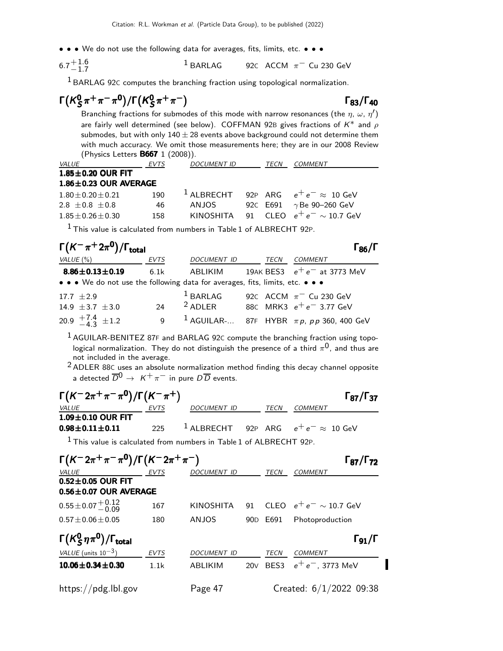• • • We do not use the following data for averages, fits, limits, etc. • • •

$$
6.7^{+1.6}_{-1.7}
$$
 <sup>1</sup> BARLAG 92C ACCM  $\pi$ <sup>-</sup> Cu 230 GeV

1 BARLAG 92<sup>C</sup> computes the branching fraction using topological normalization.

$$
\Gamma(K_S^0\pi^+\pi^-\pi^0)/\Gamma(K_S^0\pi^+\pi^-)
$$

Γ<sub>83</sub>/Γ<sub>40</sub>

П

Branching fractions for submodes of this mode with narrow resonances (the  $\eta$ ,  $\omega$ ,  $\eta^\prime)$ are fairly well determined (see below). COFFMAN 92B gives fractions of  $K^*$  and  $\rho$ submodes, but with only  $140 \pm 28$  events above background could not determine them with much accuracy. We omit those measurements here; they are in our 2008 Review (Physics Letters B667 1 (2008)).

| <i>VALUE</i>                | EVTS | <b>DOCUMENT ID</b> | <i>TECN</i> | COMMENT                                         |
|-----------------------------|------|--------------------|-------------|-------------------------------------------------|
| $1.85 \pm 0.20$ OUR FIT     |      |                    |             |                                                 |
| $1.86 \pm 0.23$ OUR AVERAGE |      |                    |             |                                                 |
| $1.80 + 0.20 + 0.21$        | 190  |                    |             | $^{1}$ ALBRECHT 92P ARG $e^+e^- \approx 10$ GeV |
| $2.8 + 0.8 + 0.8$           | 46   | ANJOS              | 92C E691    | $\gamma$ Be 90–260 GeV                          |
| $1.85 + 0.26 + 0.30$        | 158  |                    |             | KINOSHITA 91 CLEO $e^+e^- \sim 10.7$ GeV        |

 $1$  This value is calculated from numbers in Table 1 of ALBRECHT 92P.

| $\Gamma(K^-\pi^+2\pi^0)/\Gamma_{\rm total}$                                   |      |                    |      | $\Gamma_{86}/\Gamma$                                     |
|-------------------------------------------------------------------------------|------|--------------------|------|----------------------------------------------------------|
| VALUE (%)                                                                     | EVTS | <b>DOCUMENT ID</b> | TECN | <b>COMMENT</b>                                           |
| $8.86 \pm 0.13 \pm 0.19$                                                      | 6.1k | ABLIKIM            |      | 19AK BES3 $e^+e^-$ at 3773 MeV                           |
| • • • We do not use the following data for averages, fits, limits, etc. • • • |      |                    |      |                                                          |
| $17.7 + 2.9$                                                                  |      | $1$ BARLAG         |      | 92C ACCM $\pi$ <sup>-</sup> Cu 230 GeV                   |
| 14.9 $\pm$ 3.7 $\pm$ 3.0                                                      | 24   | $2$ ADLER          |      | 88C MRK3 $e^+e^-$ 3.77 GeV                               |
| 20.9 $\frac{+7.4}{-4.3}$ ± 1.2                                                | 9    |                    |      | <sup>1</sup> AGUILAR- 87F HYBR $\pi p$ , pp 360, 400 GeV |

 $1$  AGUILAR-BENITEZ 87F and BARLAG 92C compute the branching fraction using topological normalization. They do not distinguish the presence of a third  $\pi^{0}$ , and thus are not included in the average.

2 ADLER 88<sup>C</sup> uses an absolute normalization method finding this decay channel opposite a detected  $\overline{D}^0 \rightarrow K^+ \pi^-$  in pure  $D\overline{D}$  events.

| $\Gamma(K^- 2\pi^+\pi^-\pi^0)/\Gamma(K^-\pi^+)$                       |      |             |             | $\Gamma_{87}/\Gamma_{37}$                             |
|-----------------------------------------------------------------------|------|-------------|-------------|-------------------------------------------------------|
| VALUE                                                                 | EVTS | DOCUMENT ID | TECN        | <b>COMMENT</b>                                        |
| $1.09\pm0.10$ OUR FIT                                                 |      |             |             |                                                       |
| $0.98 \pm 0.11 \pm 0.11$                                              | 225  |             |             | <sup>1</sup> ALBRECHT 92P ARG $e^+e^- \approx 10$ GeV |
| $1$ This value is calculated from numbers in Table 1 of ALBRECHT 92P. |      |             |             |                                                       |
| $\Gamma(K^- 2\pi^+\pi^-\pi^0)/\Gamma(K^- 2\pi^+\pi^-)$                |      |             |             | $\Gamma_{87}/\Gamma_{72}$                             |
| <b>VALUE</b>                                                          | EVTS | DOCUMENT ID | <b>TECN</b> | <b>COMMENT</b>                                        |
| $0.52 \pm 0.05$ OUR FIT                                               |      |             |             |                                                       |
| $0.56 \pm 0.07$ OUR AVERAGE                                           |      |             |             |                                                       |
| $0.55 \pm 0.07 \begin{array}{c} +0.12 \\ -0.09 \end{array}$           | 167  |             |             | KINOSHITA 91 CLEO $e^+e^- \sim 10.7$ GeV              |
| $0.57 \pm 0.06 \pm 0.05$                                              | 180  | ANJOS       |             | 90D E691 Photoproduction                              |
| $\Gamma(K_S^0 \eta \pi^0)/\Gamma_{\text{total}}$                      |      |             |             | $\Gamma_{91}/\Gamma$                                  |
| <i>VALUE</i> (units $10^{-3}$ )                                       | EVTS | DOCUMENT ID | TECN        | <b>COMMENT</b>                                        |
| $10.06 \pm 0.34 \pm 0.30$                                             | 1.1k | ABLIKIM     |             | 20V BES3 $e^+e^-$ , 3773 MeV                          |
| https://pdg.lbl.gov                                                   |      | Page 47     |             | Created: 6/1/2022 09:38                               |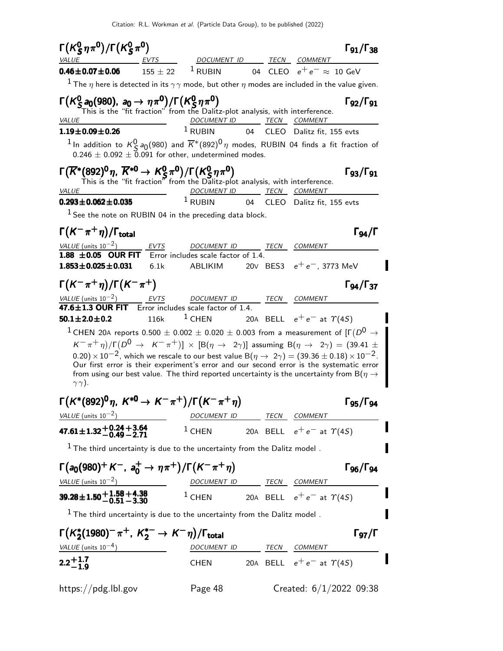| $\Gamma(K_S^0 \eta \pi^0)/\Gamma(K_S^0 \pi^0)$                                                                                                                                                                                                                                                                                                                                                                                                                                                                                                                                                                                                                  |              |                                                                              |    |      |                                                  | $\Gamma_{91}/\Gamma_{38}$ |
|-----------------------------------------------------------------------------------------------------------------------------------------------------------------------------------------------------------------------------------------------------------------------------------------------------------------------------------------------------------------------------------------------------------------------------------------------------------------------------------------------------------------------------------------------------------------------------------------------------------------------------------------------------------------|--------------|------------------------------------------------------------------------------|----|------|--------------------------------------------------|---------------------------|
| VALUE                                                                                                                                                                                                                                                                                                                                                                                                                                                                                                                                                                                                                                                           | EVTS_____    | DOCUMENT ID                                                                  |    | TECN | <b>COMMENT</b>                                   |                           |
| $0.46 \pm 0.07 \pm 0.06$                                                                                                                                                                                                                                                                                                                                                                                                                                                                                                                                                                                                                                        | $155 \pm 22$ | $1$ RUBIN                                                                    | 04 |      | CLEO $e^+e^- \approx 10$ GeV                     |                           |
| $^1$ The $\eta$ here is detected in its $\gamma\gamma$ mode, but other $\eta$ modes are included in the value given.                                                                                                                                                                                                                                                                                                                                                                                                                                                                                                                                            |              |                                                                              |    |      |                                                  |                           |
| $\Gamma(K_S^0 a_0(980), a_0 \to \eta \pi^0)/\Gamma(K_S^0 \eta \pi^0)$                                                                                                                                                                                                                                                                                                                                                                                                                                                                                                                                                                                           |              | This is the "fit fraction" from the Dalitz-plot analysis, with interference. |    |      |                                                  | $\Gamma_{92}/\Gamma_{91}$ |
| <i>VALUE</i><br>$1.19 \pm 0.09 \pm 0.26$                                                                                                                                                                                                                                                                                                                                                                                                                                                                                                                                                                                                                        |              | <b>DOCUMENT ID</b><br>$1$ RUBIN                                              | 04 |      | <u>TECN COMMENT</u><br>CLEO Dalitz fit, 155 evts |                           |
| <sup>1</sup> In addition to $K^0_S$ a <sub>0</sub> (980) and $\overline{K}^*(892)^0 \, \eta$ modes, RUBIN 04 finds a fit fraction of<br>$0.246 \pm 0.092 \pm 0.091$ for other, undetermined modes.                                                                                                                                                                                                                                                                                                                                                                                                                                                              |              |                                                                              |    |      |                                                  |                           |
| $\Gamma(\overline{K}^*(892)^0 \eta, \overline{K}^{*0} \to K_S^0 \pi^0)/\Gamma(K_S^0 \eta \pi^0)$<br>This is the "fit fraction" from the Dalitz-plot analysis, with interference.<br>VALUE                                                                                                                                                                                                                                                                                                                                                                                                                                                                       |              | DOCUMENT ID TECN COMMENT                                                     |    |      |                                                  | $\Gamma_{93}/\Gamma_{91}$ |
| $0.293 \pm 0.062 \pm 0.035$                                                                                                                                                                                                                                                                                                                                                                                                                                                                                                                                                                                                                                     |              | $1$ RUBIN                                                                    | 04 |      | CLEO Dalitz fit, 155 evts                        |                           |
| $1$ See the note on RUBIN 04 in the preceding data block.                                                                                                                                                                                                                                                                                                                                                                                                                                                                                                                                                                                                       |              |                                                                              |    |      |                                                  |                           |
| $\Gamma(K^-\pi^+\eta)/\Gamma_{\rm total}$                                                                                                                                                                                                                                                                                                                                                                                                                                                                                                                                                                                                                       |              |                                                                              |    |      |                                                  | $\Gamma_{94}/\Gamma$      |
| VALUE (units $10^{-2}$ )                                                                                                                                                                                                                                                                                                                                                                                                                                                                                                                                                                                                                                        | EVTS         | DOCUMENT ID                                                                  |    |      | TECN COMMENT                                     |                           |
| $1.88 \pm 0.05$ OUR FIT                                                                                                                                                                                                                                                                                                                                                                                                                                                                                                                                                                                                                                         |              | Error includes scale factor of 1.4.                                          |    |      |                                                  |                           |
| $1.853 \pm 0.025 \pm 0.031$                                                                                                                                                                                                                                                                                                                                                                                                                                                                                                                                                                                                                                     | 6.1k         | ABLIKIM                                                                      |    |      | 20V BES3 $e^+e^-$ , 3773 MeV                     |                           |
| $\Gamma(K^-\pi^+\eta)/\Gamma(K^-\pi^+)$                                                                                                                                                                                                                                                                                                                                                                                                                                                                                                                                                                                                                         |              |                                                                              |    |      |                                                  | $\Gamma_{94}/\Gamma_{37}$ |
| VALUE (units $10^{-2}$ ) EVTS<br>$47.6 \pm 1.3$ OUR FIT                                                                                                                                                                                                                                                                                                                                                                                                                                                                                                                                                                                                         |              | DOCUMENT ID<br>$\overline{Error}$ includes scale factor of 1.4.              |    |      | TECN COMMENT                                     |                           |
| $50.1 \pm 2.0 \pm 0.2$                                                                                                                                                                                                                                                                                                                                                                                                                                                                                                                                                                                                                                          | 116k         | $1$ CHEN                                                                     |    |      | 20A BELL $e^+e^-$ at $\Upsilon(4S)$              |                           |
| $^1$ CHEN 20A reports 0.500 $\pm$ 0.002 $\pm$ 0.020 $\pm$ 0.003 from a measurement of [Г $(D^{\mathsf{U}}\to$<br>$(K^-\pi^+\eta)/\Gamma(D^0\to~K^-\pi^+)]\,\times\,[\mathrm{B}(\eta\to~2\gamma)]$ assuming $\mathrm{B}(\eta\to~2\gamma)=(39.41\pm0.1)\,\times\,10^{-4}\,$<br>0.20) $\times$ 10 <sup>-2</sup> , which we rescale to our best value B( $\eta \rightarrow 2\gamma$ ) = (39.36 $\pm$ 0.18) $\times$ 10 <sup>-2</sup> .<br>Our first error is their experiment's error and our second error is the systematic error<br>from using our best value. The third reported uncertainty is the uncertainty from B( $\eta \rightarrow$<br>$\gamma \gamma$ ). |              |                                                                              |    |      |                                                  |                           |
| $\Gamma(K^*(892)^0 \eta, K^{*0} \to K^-\pi^+)/\Gamma(K^-\pi^+\eta)$                                                                                                                                                                                                                                                                                                                                                                                                                                                                                                                                                                                             |              |                                                                              |    |      |                                                  | $\Gamma$ 95/ $\Gamma$ 94  |
| VALUE (units $10^{-2}$ )                                                                                                                                                                                                                                                                                                                                                                                                                                                                                                                                                                                                                                        |              | DOCUMENT ID                                                                  |    |      | TECN COMMENT                                     |                           |
| $47.61 \pm 1.32 \begin{array}{c} +0.24 + 3.64 \\ -0.49 - 2.71 \end{array}$                                                                                                                                                                                                                                                                                                                                                                                                                                                                                                                                                                                      |              | $1$ CHEN                                                                     |    |      | 20A BELL $e^+e^-$ at $\gamma$ (4 <i>S</i> )      |                           |
| $^{\rm 1}$ The third uncertainty is due to the uncertainty from the Dalitz model .                                                                                                                                                                                                                                                                                                                                                                                                                                                                                                                                                                              |              |                                                                              |    |      |                                                  |                           |
| $\Gamma(a_0(980)^+ K^-$ , $a_0^+ \to \eta \pi^+)/\Gamma(K^- \pi^+ \eta)$                                                                                                                                                                                                                                                                                                                                                                                                                                                                                                                                                                                        |              |                                                                              |    |      |                                                  | $\Gamma$ 96/ $\Gamma$ 94  |
| VALUE (units $10^{-2}$ )                                                                                                                                                                                                                                                                                                                                                                                                                                                                                                                                                                                                                                        |              | DOCUMENT ID TECN COMMENT                                                     |    |      |                                                  |                           |
| $39.28 \pm 1.50 + 1.58 + 4.38$ $1$ CHEN                                                                                                                                                                                                                                                                                                                                                                                                                                                                                                                                                                                                                         |              |                                                                              |    |      | 20A BELL $e^+e^-$ at $\gamma(4S)$                |                           |
| $1$ The third uncertainty is due to the uncertainty from the Dalitz model.                                                                                                                                                                                                                                                                                                                                                                                                                                                                                                                                                                                      |              |                                                                              |    |      |                                                  |                           |
| $\Gamma(K_2^*(1980)^-\pi^+, K_2^{*-} \to K^-\eta)/\Gamma_{\text{total}}$                                                                                                                                                                                                                                                                                                                                                                                                                                                                                                                                                                                        |              |                                                                              |    |      |                                                  | $\Gamma_{97}/\Gamma$      |
| VALUE (units $10^{-4}$ )                                                                                                                                                                                                                                                                                                                                                                                                                                                                                                                                                                                                                                        |              | DOCUMENT ID                                                                  |    |      | TECN COMMENT                                     |                           |
| $2.2 + 1.7$                                                                                                                                                                                                                                                                                                                                                                                                                                                                                                                                                                                                                                                     |              | <b>CHEN</b>                                                                  |    |      | 20A BELL $e^+e^-$ at $\Upsilon(4S)$              |                           |
| https://pdg.lbl.gov                                                                                                                                                                                                                                                                                                                                                                                                                                                                                                                                                                                                                                             |              | Page 48                                                                      |    |      | Created: $6/1/2022$ 09:38                        |                           |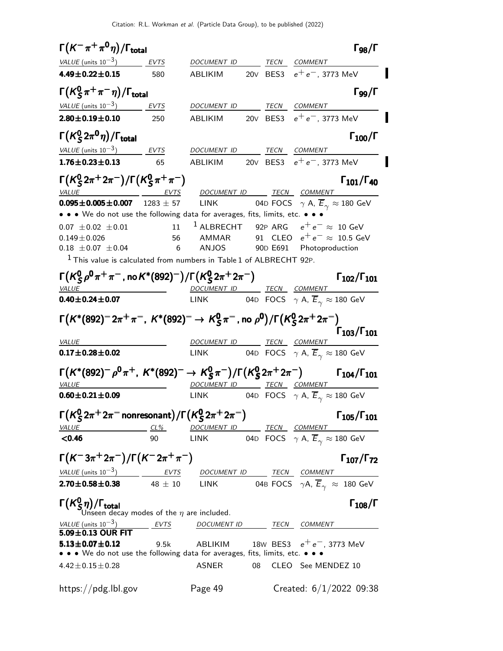$\Gamma(K^-\pi^+\pi^0\eta)/\Gamma_{\rm total}$  Γg<sub>8</sub>/Γ  $\Gamma_{98}/\Gamma$ VALUE (units 10<sup>-3</sup>) EVTS DOCUMENT ID TECN COMMENT 4.49±0.22±0.15 580 ABLIKIM 20∨ BES3  $e^+e^-$ , 3773 MeV Γ $(\mathcal{K}^{0}_{S}% )^{L}=\mathcal{K}^{0}_{S}$  $\Gamma(K_S^0 \pi^+ \pi^- \eta)/\Gamma_{\text{total}}$  Γgg/Γ VALUE (units 10<sup>-3</sup>) EVTS DOCUMENT ID TECN COMMENT **2.80±0.19±0.10** 250 ABLIKIM 20v BES3  $e^+e^-$ , 3773 MeV Γ $(\mathcal{K}^{0}_{S}% )^{L}=\mathcal{K}^{0}_{S}$ Γ $(K^0_S 2\pi^0 \eta)/\Gamma_{\text{total}}$  Γ<sub>100</sub>/Γ )/Γ $_{\rm total}$ Γ $_{100}$ /Γ  $VALU E$  (units 10<sup>-3</sup>) EVTS DOCUMENT ID TECN COMMENT **1.76±0.23±0.13** 65 ABLIKIM 20V BES3  $e^+e^-$ , 3773 MeV Γ $(\kappa_s^0)$  $_5^0$ 2π $^+$ 2π $^-)/$ Γ $(\mathcal{K}_5^0$  $(K_S^0 2\pi^+ 2\pi^-)/\Gamma(K_S^0 \pi^+ \pi^-)$  Γ<sub>101</sub>/Γ<sub>40</sub>  $_5^0$ 2 $\pi^+$ 2 $\pi^-)/\Gamma$ (K $_5^0$  $\Gamma(K_S^0 2\pi^+ 2\pi^-)/\Gamma(K_S^0 \pi^+ \pi^-)$  Γ<sub>101</sub>/Γ<sub>40</sub>  $\Gamma_{101}/\Gamma_{40}$ VALUE  $\begin{array}{ccc} \text{VALU E} & \text{EVTS} & \text{DOCUMENT ID} & \text{TECN} & \text{COMMENT} \end{array}$ **0.095±0.005±0.007** 1283 ± 57 LINK 04D FOCS  $\gamma$  A,  $\overline{E}_{\gamma} \approx 180$  GeV • • • We do not use the following data for averages, fits, limits, etc. • • • •  $0.07 \pm 0.02 \pm 0.01$  11 <sup>1</sup> ALBRECHT 92P ARG  $e^+e^ \begin{array}{cccc} 0.07 \ \pm 0.02 \ \pm 0.01 \end{array}$  11  $\footnotesize{^1}$  ALBRECHT 92P ARG  $\begin{array}{cccc} e^+e^- \approx 10 \text{ GeV} \ 0.149 \pm 0.026 \end{array}$  56 AMMAR 91 CLEO  $\begin{array}{cccc} e^+e^- \approx 10.5 \text{ GeV} \end{array}$  $0.149 \pm 0.026$ <br>  $0.18 \pm 0.07 \pm 0.04$ <br>
56 ANJOS 90D E691 Photoproduction 90D E691 Photoproduction  $1$  This value is calculated from numbers in Table 1 of ALBRECHT 92P. Γ $(\mathcal{K}^{0}_{S}% )^{L}=\mathcal{K}^{0}_{S}$  $\frac{0}{\mathcal{S}}\rho^{\mathbf{0}}\pi^+\pi^-$  , no  $\mathcal{K}^{*}(892)^- \big)/\mathsf{\Gamma}\big(\mathcal{K}^{\mathbf{0}}_{\mathcal{S}}$ Γ( $\kappa_S^0$ ρ<sup>0</sup>π<sup>+</sup>π<sup>-</sup>, no K\*(892)<sup>-</sup>)/Γ( $\kappa_S^0$ 2π<sup>+</sup>2π<sup>-</sup>) Γ<sub>102</sub>/Γ<sub>101</sub> Γ102/Γ<sup>101</sup> VALUE DOCUMENT ID TECN COMMENT **0.40** $\pm$ **0.24** $\pm$ **0.07** LINK 04D FOCS  $\gamma$  A,  $E_\gamma \approx 180$  GeV  $Γ(K*(892)^=2π^+π^-, K*(892)^= → K_S^0$  $\frac{0}{\mathsf{S}}\pi^-$  , no  $\rho^{\mathsf{0}})/\mathsf{\Gamma} \bigl( \mathsf{K}^{\mathsf{0}}_{\mathsf{S}}$  $(K^{*}(892)^{-} 2\pi^{+}\pi^{-}, K^{*}(892)^{-} \rightarrow K^{0}_{S} \pi^{-}, \text{no } \rho^{0})/\Gamma(K^{0}_{S} 2\pi^{+} 2\pi^{-})$ Γ103/Γ101 Γ103/Γ101 Γ103/Γ101 $\Gamma\bigl(\mathcal{K}^*(892)^-2\pi^+\pi^-, \; \mathcal{K}^*(892)^- \rightarrow \; \mathcal{K}^0_S\pi^-\,$ , no  $\rho^{\mathbf{0}}\bigr)/\Gamma\bigl(\mathcal{K}^{\mathbf{0}}_S2\pi^+2\pi^-\bigr)$  Γ103/Γ101 VALUE DOCUMENT ID TECN COMMENT **0.17±0.28±0.02** LINK 04D FOCS  $\gamma$  A,  $\overline{E}_{\gamma} \approx 180$  GeV  $\Gamma\bigl(\mathsf{K}^*(892)^-\rho^0\pi^+,\;\mathsf{K}^*(892)^-\rightarrow\mathsf{K}^0_S$  $_{\mathsf{S}}^{0}\pi^{-})/\mathsf{\Gamma}(\mathsf{K}_{\mathsf{S}}^{0}% (\mathsf{S})\pi^{-})=\mathsf{\Gamma}(\mathsf{K}_{\mathsf{S}}^{0}(\mathsf{S})\pi^{-})$  $(K^*(892)^-\rho^0\pi^+, K^*(892)^-\to K_S^0\pi^-)/\Gamma(K_S^02\pi^+2\pi^-)$   $\Gamma_{104}/\Gamma_{101}$  $Γ(K*(892)^-ρ<sup>0</sup>π<sup>+</sup>, K*(892)^- → K<sup>0</sup><sub>S</sub>π<sup>-</sup>)/Γ(K<sup>0</sup><sub>S</sub>2π<sup>+</sup>2π<sup>-</sup>)$  Γ<sub>104</sub>/Γ<sub>101</sub>  $\underline{\begin{array}{ccc}\n\text{VALUE} \\
\text{OA} & \text{DOCUMENT ID}\n\end{array}}$  TECN COMMENT<br>  $\underline{\begin{array}{ccc}\n\text{OD} & \text{NAD} \\
\text{DOCUMENT ID}\n\end{array}}$  TECN COMMENT **0.60±0.21±0.09** LINK 04D FOCS  $\gamma$  A,  $\overline{E}_{\gamma} \approx 180$  GeV Γ $(\mathcal{K}^{0}_{S}% )^{L}=\mathcal{K}^{0}_{S}$  $\frac{0}{\mathcal{S}} 2\pi^+ 2\pi^-$ nonresonant $\big)/ \mathsf{\Gamma} \big( \mathcal{K}^0_{\mathcal{S}}$  $\Gamma(K^0_{\cal S}2\pi^+2\pi^-$ nonresonant $)/\Gamma(K^0_{\cal S}2\pi^+2\pi^-)$  Γ $_{105}/\Gamma_{101}$  $\Gamma_{105}/\Gamma_{101}$ VALUE CL% DOCUMENT ID TECN COMMENT **<0.46** 90 LINK 04D FOCS  $\gamma$  A,  $\overline{E}_{\gamma} \approx 180$  GeV  $\Gamma(K^-3\pi^+2\pi^-)/\Gamma(K^-2\pi^+\pi^-)$  Γ107/Γ72  $\Gamma_{107}/\Gamma_{72}$  $VALUE$  (units 10<sup>-3</sup>) EVTS DOCUMENT ID TECN COMMENT **2.70±0.58±0.38** 48 ± 10 LINK 04B FOCS  $\gamma A$ ,  $\overline{E}_{\gamma} \approx 180$  GeV Γ $(\mathcal{K}^{0}_{\mathcal{S}}% )$ Γ( $\kappa_S^0$ η)/Γ<sub>total</sub> Γ<sub>108</sub>/Γ Γ<sub>108</sub>/Γ Unseen decay modes of the  $\eta$  are included. VALUE (units  $10^{-3}$ ) EVTS DOCUMENT ID TECN COMMENT  $5.09\pm0.13$  OUR FIT **5.13±0.07±0.12** 9.5k ABLIKIM 18w BES3  $e^+e^-$ , 3773 MeV • • • We do not use the following data for averages, fits, limits, etc. • • •  $4.42\pm0.15\pm0.28$  ASNER 08 CLEO See MENDEZ 10 https://pdg.lbl.gov Page 49 Created: 6/1/2022 09:38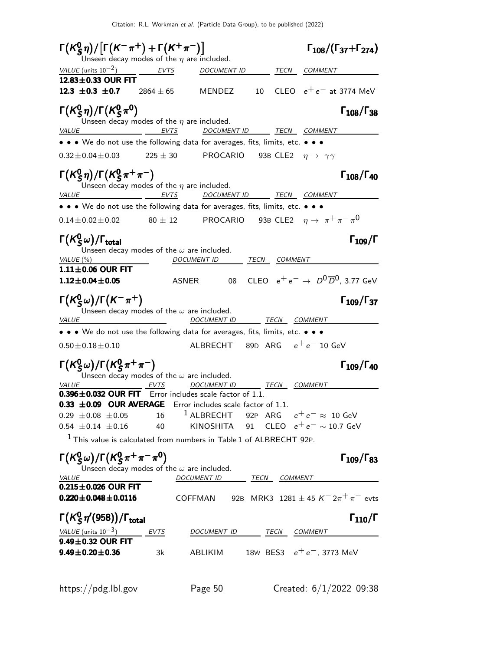$\mathsf{\Gamma}(\mathsf{K}^0_\mathsf{S})$  $\Gamma(K^0_S \eta)/[\Gamma(K^-\pi^+) + \Gamma(K^+\pi^-)]$   $\Gamma_{108}/(\Gamma_{37} + \Gamma_{274})$  $\Gamma_{108}/(\Gamma_{37}+\Gamma_{274})$ Unseen decay modes of the  $\eta$  are included. VALUE (units  $10^{-2}$ ) EVTS DOCUMENT ID TECN COMMENT 12.83 $\pm$ 0.33 OUR FIT<br>12.3  $\pm$ 0.3  $\pm$ 0.7 2864  $\pm$  65 MENDEZ  $10$  CLEO  $e^+e^-$  at 3774 MeV Γ $(\kappa_S^0)$  $\binom{0}{5}\eta$ /Γ $\binom{K_S^0}{5}$ Γ(K<sup>0</sup>S η)/Γ(K<sup>0</sup>S π<sup>0</sup>) Γ<sub>108</sub>/Γ<sub>38</sub> Κ  $_5^0$ η)/Γ $(\mathcal{K}_5^0$ Γ(K<sup>0</sup>S η)/Γ(K<sup>0</sup>S π<sup>0</sup>) Γ<sub>108</sub>/Γ<sub>38</sub> Γ108/Γ Unseen decay modes of the  $\eta$  are included.<br>VALUE EVTS DOCUME <u>EVTS DOCUMENT ID TECN COMMENT</u> • • • We do not use the following data for averages, fits, limits, etc. • • •  $0.32 \pm 0.04 \pm 0.03$  225  $\pm$  30 PROCARIO 93B CLE2  $\eta \to \gamma \gamma$ Γ $(\kappa_S^0)$  $\binom{0}{5}\eta$ /Γ $\binom{K_S^0}{5}$  $\Gamma(K^0_S \eta)/\Gamma(K^0_S \pi^+ \pi^-)$  Γ108/Γ40  $_5^0$ η)/Γ $(\mathcal{K}_5^0$  $\Gamma(K^0_S η)/\Gamma(K^0_S π^+ π^-)$  Γ108/Γ40 Γ108/Γ Unseen decay modes of the  $\eta$  are included. VALUE EVTS DOCUMENT ID TECN COMMENT • • • We do not use the following data for averages, fits, limits, etc. • • •  $0.14 \pm 0.02 \pm 0.02$   $80 \pm 12$  PROCARIO 93B CLE2  $\eta \to \pi^+ \pi^- \pi^0$  $\mathsf{\Gamma}(\mathsf{K}^0_\mathsf{S})$ Γ $(K^0_S\omega)/\Gamma_{\text{total}}$  Γ $_{109}/\Gamma$  $\Gamma_{109}/\Gamma$ Unseen decay modes of the  $\omega$  are included. VALUE (%) DOCUMENT ID TECN COMMENT  $1.11\pm0.06$  OUR FIT<br> $1.12\pm0.04\pm0.05$ ASNER 08 CLEO  $e^+e^- \rightarrow D^0\overline{D}^0$ , 3.77 GeV Γ $(\mathcal{K}^{0}_{\varsigma}% )^{2\gamma}$ Γ $(\mathcal{K}^{0}_{\varsigma}% )^{2\gamma}$ Γ $(\mathcal{K}^{0}_{\varsigma}% )^{2\gamma}$ Γ $(\mathcal{K}^{0}_{\varsigma}% )^{2\gamma}$  $(K_S^0\omega)/\Gamma(K^-\pi^+)$  Γ<sub>109</sub>/Γ<sub>37</sub>  $\Gamma(K_S^0\omega)/\Gamma(K^-\pi^+)$  Γ<sub>109</sub>/Γ<sub>37</sub>  $\Gamma_{109}/\Gamma_{37}$ Unseen decay modes of the  $\omega$  are included. VALUE DOCUMENT ID TECN COMMENT • • • We do not use the following data for averages, fits, limits, etc. • • •  $0.50 \pm 0.18 \pm 0.10$  ALBRECHT 89D ARG  $e^+e^-$  10 GeV Γ $(\mathcal{K}^{0}_{S}% )^{L}=\mathcal{K}^{0}_{S}$  $^0_S$ ω)/Γ $(\mathcal{K}^0_S$  $\Gamma(K^0_{\cal S} \omega)/\Gamma(K^0_{\cal S} \pi^+ \pi^-)$  Γ<sub>109</sub>/Γ<sub>40</sub> Γ109/Γ Unseen decay modes of the  $\omega$  are included. VALUE EVTS DOCUMENT ID TECN COMMENT  $0.396 \pm 0.032$  OUR FIT Error includes scale factor of 1.1. **0.33**  $\pm$ **0.09 OUR AVERAGE** Error includes scale factor of 1.1.<br>0.29  $\pm$  0.08  $\pm$  0.05 16 <sup>1</sup> ALBRECHT 92P ARG 0.29 ±0.08 ±0.05 16 <sup>1</sup> ALBRECHT 92P ARG  $e^+e^- \approx 10$  GeV<br>0.54 ±0.14 ±0.16 40 KINOSHITA 91 CLEO  $e^+e^- \sim 10.7$  GeV 0.54 91 CLEO  $e^+e^- \sim 10.7$  GeV  $1$  This value is calculated from numbers in Table 1 of ALBRECHT 92P. Γ $(\mathcal{K}^{0}_{S}% )^{L}=\mathcal{K}^{0}_{S}$  $_{S}^{0}$ ω)/Γ(Κ $_{S}^{0}$  $\Gamma(K_S^0\omega)/\Gamma(K_S^0\pi^+\pi^-\pi^0)$  Γ<sub>109</sub>/Γ<sub>83</sub> Unseen decay modes of the  $\omega$  are included. VALUE DOCUMENT ID TECN COMMENT  $0.215 \pm 0.026$  OUR FIT<br> $0.220 \pm 0.048 \pm 0.0116$ COFFMAN 92B MRK3 1281 ± 45 K<sup>-</sup> 2 $\pi^{+}$   $\pi^{-}$  evts Γ $(\mathcal{K}^{0}_{S}% )^{L}=\mathcal{K}^{0}_{S}$ Γ $(K^0_S \eta' (958))$ /Γ<sub>total</sub>Γ VALUE (units  $10^{-3}$ ) EVTS DOCUMENT ID TECN COMMENT  $9.49\pm0.32$  OUR FIT<br> $9.49\pm0.20\pm0.36$ 3k ABLIKIM 18W BES3  $e^+e^-$ , 3773 MeV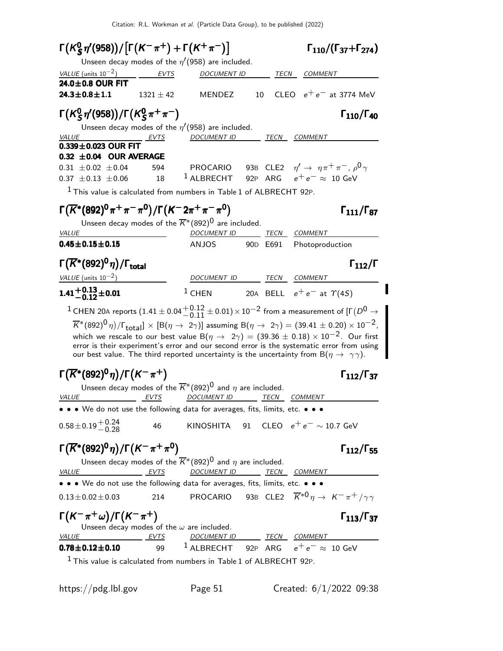| $\Gamma(K_S^0 \eta'(958))/[\Gamma(K^-\pi^+) + \Gamma(K^+\pi^-)]$                                        |               |                                                                                                        |                      | $\Gamma_{110}/(\Gamma_{37}+\Gamma_{274})$                                                                                                                                                                                                                                                                                                                                                                                                                                   |  |
|---------------------------------------------------------------------------------------------------------|---------------|--------------------------------------------------------------------------------------------------------|----------------------|-----------------------------------------------------------------------------------------------------------------------------------------------------------------------------------------------------------------------------------------------------------------------------------------------------------------------------------------------------------------------------------------------------------------------------------------------------------------------------|--|
|                                                                                                         |               | Unseen decay modes of the $\eta'(958)$ are included.                                                   |                      |                                                                                                                                                                                                                                                                                                                                                                                                                                                                             |  |
| VALUE (units $10^{-2}$ )<br>24.0±0.8 OUR FIT                                                            | EVTS          | <i>DOCUMENT ID</i>                                                                                     | TECN                 | <i>COMMENT</i>                                                                                                                                                                                                                                                                                                                                                                                                                                                              |  |
| $24.3 \pm 0.8 \pm 1.1$                                                                                  | $1321 \pm 42$ | <b>MENDEZ</b>                                                                                          | 10                   | CLEO $e^+e^-$ at 3774 MeV                                                                                                                                                                                                                                                                                                                                                                                                                                                   |  |
| $\Gamma(K_S^0 \eta'(958))/\Gamma(K_S^0 \pi^+ \pi^-)$                                                    |               |                                                                                                        |                      | $\Gamma_{110}/\Gamma_{40}$                                                                                                                                                                                                                                                                                                                                                                                                                                                  |  |
|                                                                                                         |               | Unseen decay modes of the $\eta'(958)$ are included.                                                   |                      |                                                                                                                                                                                                                                                                                                                                                                                                                                                                             |  |
| VALUE<br>$0.339 \pm 0.023$ OUR FIT                                                                      | <b>EVTS</b>   | DOCUMENT ID TECN COMMENT                                                                               |                      |                                                                                                                                                                                                                                                                                                                                                                                                                                                                             |  |
| 0.32 $\pm$ 0.04 OUR AVERAGE                                                                             |               |                                                                                                        |                      |                                                                                                                                                                                                                                                                                                                                                                                                                                                                             |  |
| $0.31 \pm 0.02 \pm 0.04$                                                                                | 594           |                                                                                                        |                      | PROCARIO 93B CLE2 $\eta' \rightarrow \eta \pi^+ \pi^-$ , $\rho^0 \gamma$                                                                                                                                                                                                                                                                                                                                                                                                    |  |
| $0.37 \pm 0.13 \pm 0.06$                                                                                | 18            | $^1$ ALBRECHT                                                                                          |                      | 92P ARG $e^+e^- \approx 10$ GeV                                                                                                                                                                                                                                                                                                                                                                                                                                             |  |
| <sup>1</sup> This value is calculated from numbers in Table 1 of ALBRECHT 92P.                          |               |                                                                                                        |                      |                                                                                                                                                                                                                                                                                                                                                                                                                                                                             |  |
| $\Gamma(\overline{K}^*(892)^0\pi^+\pi^-\pi^0)/\Gamma(K^-2\pi^+\pi^-\pi^0)$                              |               |                                                                                                        |                      | $\Gamma_{111}/\Gamma_{87}$                                                                                                                                                                                                                                                                                                                                                                                                                                                  |  |
| VALUE                                                                                                   |               | Unseen decay modes of the $\overline{K}^*(892)^0$ are included.<br><b>DOCUMENT ID</b>                  |                      | TECN COMMENT                                                                                                                                                                                                                                                                                                                                                                                                                                                                |  |
| $0.45 \pm 0.15 \pm 0.15$                                                                                |               | ANJOS                                                                                                  | 90 <sub>D</sub> E691 | Photoproduction                                                                                                                                                                                                                                                                                                                                                                                                                                                             |  |
|                                                                                                         |               |                                                                                                        |                      |                                                                                                                                                                                                                                                                                                                                                                                                                                                                             |  |
| $\Gamma(\overline{K}^*(892)^0\eta)/\Gamma_{\rm total}$                                                  |               |                                                                                                        |                      | $\Gamma_{112}/\Gamma$                                                                                                                                                                                                                                                                                                                                                                                                                                                       |  |
|                                                                                                         |               |                                                                                                        |                      |                                                                                                                                                                                                                                                                                                                                                                                                                                                                             |  |
|                                                                                                         |               | DOCUMENT ID TECN COMMENT                                                                               |                      |                                                                                                                                                                                                                                                                                                                                                                                                                                                                             |  |
| VALUE (units $10^{-2}$ )<br>$1.41 + 0.13 + 0.01$                                                        |               |                                                                                                        |                      | <sup>1</sup> CHEN 20A BELL $e^+e^-$ at $\gamma(4S)$<br>$^1$ CHEN 20A reports (1.41 $\pm$ 0.04 $^{+0.12}_{-0.11}$ $\pm$ 0.01) $\times$ 10 $^{-2}$ from a measurement of [Г $(D^0\rightarrow$                                                                                                                                                                                                                                                                                 |  |
|                                                                                                         |               |                                                                                                        |                      | $\overline{K}^*(892)^0\eta)/\Gamma_{\text{total}}] \times [B(\eta \to 2\gamma)]$ assuming $B(\eta \to 2\gamma) = (39.41 \pm 0.20) \times 10^{-2}$ ,<br>which we rescale to our best value B $(\eta \rightarrow 2\gamma) = (39.36 \pm 0.18) \times 10^{-2}$ . Our first<br>error is their experiment's error and our second error is the systematic error from using<br>our best value. The third reported uncertainty is the uncertainty from $B(\eta \to \gamma \gamma)$ . |  |
|                                                                                                         |               |                                                                                                        |                      |                                                                                                                                                                                                                                                                                                                                                                                                                                                                             |  |
| $\Gamma(\overline{K}^*(892)^0\eta)/\Gamma(K^-\pi^+)$                                                    |               |                                                                                                        |                      | $\Gamma_{112}/\Gamma_{37}$                                                                                                                                                                                                                                                                                                                                                                                                                                                  |  |
| <i>VALUE</i><br>EVTS                                                                                    |               | Unseen decay modes of the $\overline{K}^*(892)^0$ and $\eta$ are included.<br>DOCUMENT ID TECN COMMENT |                      |                                                                                                                                                                                                                                                                                                                                                                                                                                                                             |  |
| $\bullet \bullet \bullet$ We do not use the following data for averages, fits, limits, etc.             |               |                                                                                                        |                      |                                                                                                                                                                                                                                                                                                                                                                                                                                                                             |  |
| $0.58 \pm 0.19 + 0.24$<br>-0.28                                                                         | 46            |                                                                                                        |                      | KINOSHITA 91 CLEO $e^+e^- \sim 10.7$ GeV                                                                                                                                                                                                                                                                                                                                                                                                                                    |  |
| $\Gamma(\overline{K}^*(892)^0\eta)/\Gamma(K^-\pi^+\pi^0)$                                               |               |                                                                                                        |                      | $\Gamma_{112}/\Gamma_{55}$                                                                                                                                                                                                                                                                                                                                                                                                                                                  |  |
|                                                                                                         |               | Unseen decay modes of the $\overline{K}^*(892)^0$ and $\eta$ are included.                             |                      |                                                                                                                                                                                                                                                                                                                                                                                                                                                                             |  |
| EVTS<br><b>VALUE</b>                                                                                    |               |                                                                                                        |                      | DOCUMENT ID TECN COMMENT                                                                                                                                                                                                                                                                                                                                                                                                                                                    |  |
| • • • We do not use the following data for averages, fits, limits, etc. • •<br>$0.13 \pm 0.02 \pm 0.03$ |               |                                                                                                        |                      | 214 PROCARIO 93B CLE2 $\overline{K}^{*0}\eta \rightarrow K^{-}\pi^{+}/\gamma\gamma$                                                                                                                                                                                                                                                                                                                                                                                         |  |
| $\Gamma(K^-\pi^+\omega)/\Gamma(K^-\pi^+)$                                                               |               |                                                                                                        |                      | $\Gamma_{113}/\Gamma_{37}$                                                                                                                                                                                                                                                                                                                                                                                                                                                  |  |
|                                                                                                         |               | Unseen decay modes of the $\omega$ are included.                                                       |                      |                                                                                                                                                                                                                                                                                                                                                                                                                                                                             |  |
| <b>VALUE</b><br>EVTS<br>$0.78 \pm 0.12 \pm 0.10$                                                        | 99            |                                                                                                        |                      | $\begin{array}{ccc}\n\text{DOCUMENT ID} & \text{TECN} & \text{COMMENT} \\ 1 & \text{ALBRECHT} & 92P & \text{ARG} & e^+e^- \approx 10 \text{ GeV}\n\end{array}$                                                                                                                                                                                                                                                                                                              |  |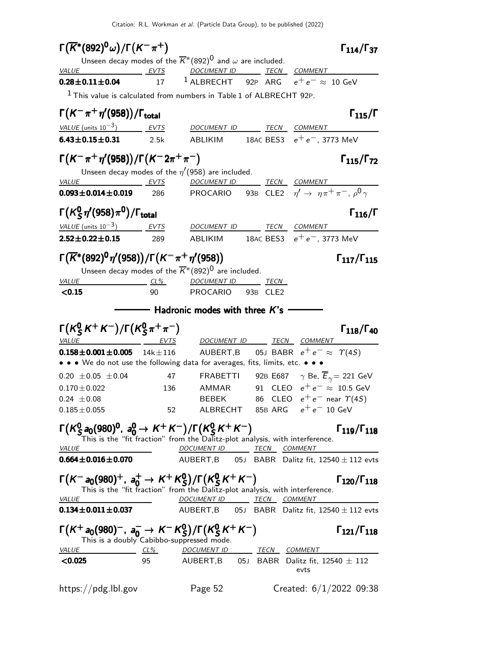| $\Gamma(\overline{K}^*(892)^0\omega)/\Gamma(K^-\pi^+)$                                                                                                                                                                                |               |                                        |                                                                                 | $\Gamma_{114}/\Gamma_{37}$  |
|---------------------------------------------------------------------------------------------------------------------------------------------------------------------------------------------------------------------------------------|---------------|----------------------------------------|---------------------------------------------------------------------------------|-----------------------------|
| Unseen decay modes of the $\overline{K}^*(892)^0$ and $\omega$ are included.<br><b>VALUE</b>                                                                                                                                          | EVTS          | DOCUMENT ID _______ TECN ___ COMMENT   |                                                                                 |                             |
| $0.28 \pm 0.11 \pm 0.04$                                                                                                                                                                                                              | 17            |                                        | <sup>1</sup> ALBRECHT 92P ARG $e^+e^- \approx 10$ GeV                           |                             |
| $1$ This value is calculated from numbers in Table 1 of ALBRECHT 92P.                                                                                                                                                                 |               |                                        |                                                                                 |                             |
| $\Gamma(K^-\pi^+\eta'(958))/\Gamma_{\rm total}$                                                                                                                                                                                       |               |                                        |                                                                                 | $\Gamma_{115}/\Gamma$       |
| <i>VALUE</i> (units $10^{-3}$ )                                                                                                                                                                                                       | <b>EVTS</b>   | DOCUMENT ID                            | TECN COMMENT                                                                    |                             |
| $6.43 \pm 0.15 \pm 0.31$                                                                                                                                                                                                              | 2.5k          |                                        | ABLIKIM 18AC BES3 $e^+e^-$ , 3773 MeV                                           |                             |
| $\Gamma(K^-\pi^+\eta'(958))/\Gamma(K^-2\pi^+\pi^-)$                                                                                                                                                                                   |               |                                        |                                                                                 | $\Gamma_{115}/\Gamma_{72}$  |
| Unseen decay modes of the $\eta'(958)$ are included.                                                                                                                                                                                  |               |                                        |                                                                                 |                             |
| <i>VALUE</i><br>EVTS<br>$0.093 \pm 0.014 \pm 0.019$                                                                                                                                                                                   | 286           | DOCUMENT ID TECN COMMENT               | <b>PROCARIO</b> 93B CLE2 $\eta' \rightarrow \eta \pi^+ \pi^-$ , $\rho^0 \gamma$ |                             |
| $\Gamma(K_S^0 \eta' (958) \pi^0)/\Gamma_{\rm total}$                                                                                                                                                                                  |               |                                        |                                                                                 | $\Gamma_{116}/\Gamma$       |
| VALUE (units $10^{-3}$ ) EVTS                                                                                                                                                                                                         |               | DOCUMENT ID TECN COMMENT               |                                                                                 |                             |
| $2.52 \pm 0.22 \pm 0.15$                                                                                                                                                                                                              | 289           |                                        | ABLIKIM 18AC BES3 $e^+e^-$ , 3773 MeV                                           |                             |
| $\Gamma(\overline{K}^*(892)^0\eta'(958))/\Gamma(K^-\pi^+\eta'(958))$                                                                                                                                                                  |               |                                        |                                                                                 | $\Gamma_{117}/\Gamma_{115}$ |
| Unseen decay modes of the $\overline{K}^*(892)^0$ are included.                                                                                                                                                                       |               |                                        |                                                                                 |                             |
| VALUE                                                                                                                                                                                                                                 | $CL\%$        | <u>DOCUMENT ID TECN</u>                |                                                                                 |                             |
| < 0.15                                                                                                                                                                                                                                | 90            | PROCARIO 93B CLE2                      |                                                                                 |                             |
|                                                                                                                                                                                                                                       |               | $\equiv$ Hadronic modes with three K's |                                                                                 |                             |
| $\Gamma(K_S^0 K^+ K^-)/\Gamma(K_S^0 \pi^+ \pi^-)$                                                                                                                                                                                     |               |                                        |                                                                                 | $\Gamma_{118}/\Gamma_{40}$  |
| <i>VALUE</i><br><u>EVTS</u>                                                                                                                                                                                                           |               |                                        | DOCUMENT ID TECN COMMENT                                                        |                             |
| $0.158 \pm 0.001 \pm 0.005$<br>• • • We do not use the following data for averages, fits, limits, etc. • • •                                                                                                                          | $14k \pm 116$ |                                        | AUBERT,B 05J BABR $e^+e^- \approx \Upsilon(4S)$                                 |                             |
| $0.20 \pm 0.05 \pm 0.04$                                                                                                                                                                                                              | 47            | FRABETTI                               | 92B E687 $\quad$ $\gamma$ Be, $\overline{E}_{\gamma}$ = 221 GeV                 |                             |
| $0.170 \pm 0.022$                                                                                                                                                                                                                     | 136           | AMMAR                                  | 91 CLEO $e^+e^- \approx 10.5$ GeV                                               |                             |
| $0.24 \pm 0.08$                                                                                                                                                                                                                       |               | <b>BEBEK</b>                           | 86 CLEO $e^+e^-$ near $\Upsilon(4S)$                                            |                             |
| $0.185 \pm 0.055$                                                                                                                                                                                                                     | 52            |                                        | ALBRECHT $\,$ 85B ARG $\,$ $\,$ e $^{+}$ e $^{-}$ 10 GeV                        |                             |
| $\Gamma(K_S^0 a_0(980)^0, a_0^0 \to K^+ K^-)/\Gamma(K_S^0 K^+ K^-)$<br>This is the "fit fraction" from the Dalitz-plot analysis, with interference.<br><b>VALUE</b>                                                                   |               | DOCUMENT ID TECN COMMENT               |                                                                                 | $\Gamma_{119}/\Gamma_{118}$ |
| $0.664 \pm 0.016 \pm 0.070$                                                                                                                                                                                                           |               |                                        | AUBERT, B 05J BABR Dalitz fit, $12540 \pm 112$ evts                             |                             |
| $\Gamma(K^-a_0(980)^+, a_0^+ \to K^+K^0_S)/\Gamma(K^0_S K^+K^-)$<br>This is the "fit fraction" from the Dalitz-plot analysis, with interference.<br><b>VALUE</b>                                                                      |               | DOCUMENT ID TECN COMMENT               |                                                                                 | $\Gamma_{120}/\Gamma_{118}$ |
| $0.134 \pm 0.011 \pm 0.037$                                                                                                                                                                                                           |               |                                        | AUBERT, B 05J BABR Dalitz fit, $12540 \pm 112$ evts                             |                             |
| $\Gamma(K^+_{-20}(980)^-, a_0^- \rightarrow K^-K^0_S)/\Gamma(K^0_S K^+ K^-)$<br>This is a doubly Cabibbo-suppressed mode.<br>$VALUE CL% DOCUMENTID TECN COMMENT 19 20 20 20 20 20 20 20 20 20 20 20 20 20 20 20 20 20 20 20 20 20 20$ |               |                                        |                                                                                 | $\Gamma_{121}/\Gamma_{118}$ |
| < 0.025                                                                                                                                                                                                                               |               |                                        | 95 AUBERT, B 05J BABR Dalitz fit, $12540 \pm 112$<br>evts                       |                             |
| https://pdg.lbl.gov                                                                                                                                                                                                                   |               | Page 52                                | Created: $6/1/2022$ 09:38                                                       |                             |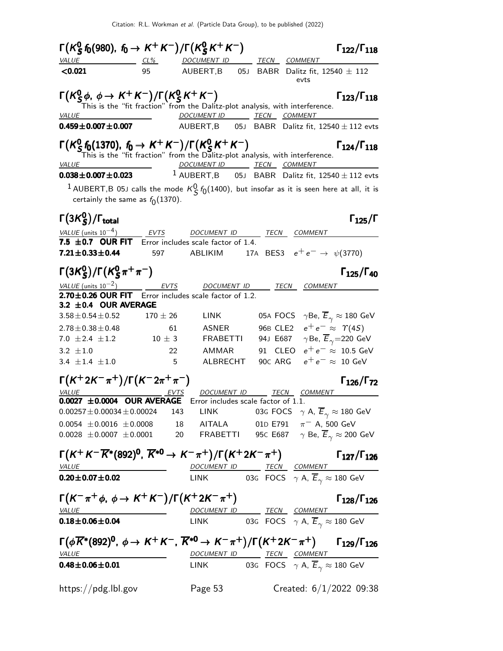| $\Gamma(K_S^0 f_0(980), f_0 \to K^+ K^-)/\Gamma(K_S^0 K^+ K^-)$                  |              |                    |                                                                                                                                              | $\Gamma_{122}/\Gamma_{118}$                   |
|----------------------------------------------------------------------------------|--------------|--------------------|----------------------------------------------------------------------------------------------------------------------------------------------|-----------------------------------------------|
| <i>VALUE</i>                                                                     | $CL\%$       |                    | DOCUMENT ID TECN COMMENT                                                                                                                     |                                               |
| < 0.021                                                                          | 95           | AUBERT,B           | 05J BABR Dalitz fit, $12540 \pm 112$<br>evts                                                                                                 |                                               |
|                                                                                  |              |                    | $\Gamma(K_S^0 \phi, \phi \to K^+ K^-)/\Gamma(K_S^0 K^+ K^-)$<br>This is the "fit fraction" from the Dalitz-plot analysis, with interference. | $\Gamma_{123}/\Gamma_{118}$                   |
| <b>VALUE</b>                                                                     |              |                    | DOCUMENT ID TECN COMMENT                                                                                                                     |                                               |
| $0.459 \pm 0.007 \pm 0.007$                                                      |              |                    | AUBERT, B 05J BABR Dalitz fit, $12540 \pm 112$ evts                                                                                          |                                               |
| $\Gamma(K_S^0 f_0(1370), f_0 \to K^+ K^-)/\Gamma(K_S^0 K^+ K^-)$<br><b>VALUE</b> |              |                    | This is the "fit fraction" from the Dalitz-plot analysis, with interference.<br>DOCUMENT ID TECN COMMENT                                     | $\Gamma_{124}/\Gamma_{118}$                   |
| $0.038 \pm 0.007 \pm 0.023$                                                      |              |                    | $1$ AUBERT, B 05J BABR Dalitz fit, 12540 $\pm$ 112 evts                                                                                      |                                               |
|                                                                                  |              |                    | $^1$ AUBERT,B 05J calls the mode $K^0_S f_0(1400)$ , but insofar as it is seen here at all, it is                                            |                                               |
| certainly the same as $f_0(1370)$ .                                              |              |                    |                                                                                                                                              |                                               |
| $\Gamma(3K^0_S)/\Gamma_{\rm total}$                                              |              |                    |                                                                                                                                              | $\Gamma_{125}/\Gamma$                         |
| $VALUE$ (units $10^{-4}$ )                                                       |              | EVTS DOCUMENT ID   | TECN COMMENT                                                                                                                                 |                                               |
| 7.5 $\pm$ 0.7 OUR FIT Error includes scale factor of 1.4.                        |              |                    |                                                                                                                                              |                                               |
| $7.21 \pm 0.33 \pm 0.44$                                                         | 597          | ABLIKIM            | 17A BES3 $e^+e^- \rightarrow \psi(3770)$                                                                                                     |                                               |
| $\Gamma(3K_S^0)/\Gamma(K_S^0\pi^+\pi^-)$                                         |              |                    |                                                                                                                                              | $\Gamma_{125}/\Gamma_{40}$                    |
| VALUE (units $10^{-2}$ )                                                         |              | <u>DOCUMENT ID</u> | TECN<br><b>COMMENT</b>                                                                                                                       |                                               |
| 2.70±0.26 OUR FIT Error includes scale factor of 1.2.                            |              |                    |                                                                                                                                              |                                               |
| $3.2 \pm 0.4$ OUR AVERAGE<br>$3.58 \pm 0.54 \pm 0.52$                            | $170 \pm 26$ | <b>LINK</b>        | 05A FOCS $\gamma$ Be, $\overline{E}_{\gamma} \approx 180$ GeV                                                                                |                                               |
| $2.78 \pm 0.38 \pm 0.48$                                                         |              | 61<br>ASNER        | 96B CLE2                                                                                                                                     | $e^+e^- \approx \Upsilon(4S)$                 |
| 7.0 $\pm 2.4 \pm 1.2$                                                            | $10\,\pm\,3$ | FRABETTI           | 94J E687                                                                                                                                     | $\gamma$ Be, $\overline{E}_{\gamma}$ =220 GeV |
| 3.2 $\pm 1.0$                                                                    |              | 22<br>AMMAR        | 91 CLEO                                                                                                                                      | $e^+e^- \approx 10.5$ GeV                     |
| 3.4 $\pm$ 1.4 $\pm$ 1.0                                                          |              | 5 ALBRECHT         | 90C ARG                                                                                                                                      | $e^+e^- \approx 10 \text{ GeV}$               |
| $\Gamma(K^+ 2K^- \pi^+)/\Gamma(K^- 2\pi^+ \pi^-)$                                |              |                    |                                                                                                                                              | $\Gamma_{126}/\Gamma_{72}$                    |
| <b>VALUE</b>                                                                     |              | <i>DOCUMENT ID</i> | TECN COMMENT                                                                                                                                 |                                               |
| $0.0027 \pm 0.0004$ OUR AVERAGE                                                  |              |                    | Error includes scale factor of 1.1.                                                                                                          |                                               |
| $0.00257 \pm 0.00034 \pm 0.00024$                                                |              | 143<br>LINK        | 03G FOCS $\gamma$ A, $\overline{E}_{\gamma} \approx 180$ GeV                                                                                 |                                               |
|                                                                                  |              |                    | 0.0054 $\pm$ 0.0016 $\pm$ 0.0008 18 AITALA 01D E791 $\pi$ <sup>-</sup> A, 500 GeV                                                            |                                               |
|                                                                                  |              |                    | 0.0028 $\pm$ 0.0007 $\pm$ 0.0001 20 FRABETTI 95c E687 $\gamma$ Be, $\overline{E}_{\gamma} \approx$ 200 GeV                                   |                                               |
|                                                                                  |              |                    | $\Gamma(K^+K^-\overline{K}^*(892)^0, \overline{K}^{*0} \to K^-\pi^+)/\Gamma(K^+2K^-\pi^+)$ $\Gamma_{127}/\Gamma_{126}$                       |                                               |
| $VALUE$<br>$0.20 \pm 0.07 \pm 0.02$                                              |              |                    | <u>DOCUMENT ID TECN</u> COMMENT<br>LINK 03G FOCS $\gamma$ A, $\overline{E}_{\gamma} \approx 180$ GeV                                         |                                               |
| $\Gamma(K^-\pi^+\phi, \phi \to K^+K^-)/\Gamma(K^+2K^-\pi^+)$                     |              |                    |                                                                                                                                              |                                               |
| <b>VALUE</b>                                                                     |              |                    |                                                                                                                                              | $\Gamma_{128}/\Gamma_{126}$                   |
| $0.18 \pm 0.06 \pm 0.04$                                                         |              |                    | <u>DOCUMENT ID TECN</u> COMMENT<br>LINK 03G FOCS $\gamma$ A, $\overline{E}_{\gamma} \approx 180$ GeV                                         |                                               |
|                                                                                  |              |                    | $\Gamma(\phi\overline{K}^*(892)^0, \phi \to K^+K^-, \overline{K}^{*0} \to K^-\pi^+)/\Gamma(K^+2K^-\pi^+)$ $\Gamma_{129}/\Gamma_{126}$        |                                               |
| <b>VALUE</b>                                                                     |              |                    | DOCUMENT ID TECN COMMENT                                                                                                                     |                                               |
| $0.48 \pm 0.06 \pm 0.01$                                                         |              |                    | LINK 03G FOCS $\gamma$ A, $\overline{E}_{\gamma} \approx 180$ GeV                                                                            |                                               |
| https://pdg.lbl.gov                                                              |              | Page 53            |                                                                                                                                              | Created: $6/1/2022$ 09:38                     |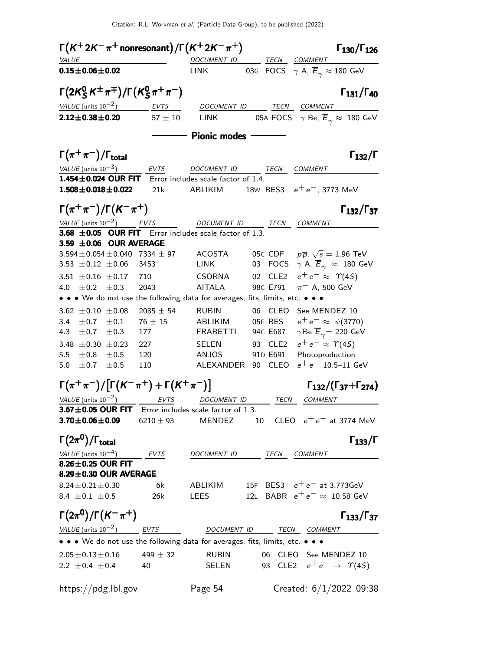| $\Gamma(K^+ 2K^-\pi^+$ nonresonant $)/\Gamma(K^+ 2K^-\pi^+)$                                                |               |                                           |                                                               | $\Gamma_{130}/\Gamma_{126}$                   |
|-------------------------------------------------------------------------------------------------------------|---------------|-------------------------------------------|---------------------------------------------------------------|-----------------------------------------------|
| <i>VALUE</i>                                                                                                |               |                                           | DOCUMENT ID TECN COMMENT                                      |                                               |
| $0.15 \pm 0.06 \pm 0.02$                                                                                    |               | <b>LINK</b>                               | 03G FOCS $\gamma$ A, $\overline{E}_{\gamma} \approx 180$ GeV  |                                               |
| $\Gamma(2K_S^0 K^{\pm} \pi^{\mp})/\Gamma(K_S^0 \pi^+ \pi^-)$                                                |               |                                           |                                                               | $\Gamma_{131}/\Gamma_{40}$                    |
| VALUE (units $10^{-2}$ ) EVTS                                                                               |               |                                           | DOCUMENT ID TECN COMMENT                                      |                                               |
| $2.12 \pm 0.38 \pm 0.20$                                                                                    | $57 \pm 10$   | LINK                                      | 05A FOCS $\gamma$ Be, $\overline{E}_{\gamma} \approx 180$ GeV |                                               |
|                                                                                                             |               | $-$ Pionic modes $\overline{\phantom{a}}$ |                                                               |                                               |
| $\Gamma(\pi^+\pi^-)/\Gamma_{\rm total}$                                                                     |               |                                           |                                                               | $\Gamma_{132}/\Gamma$                         |
| $VALUE$ (units $10^{-3}$ ) EVTS                                                                             |               |                                           | DOCUMENT ID TECN COMMENT                                      |                                               |
| 1.454±0.024 OUR FIT Error includes scale factor of 1.4.                                                     |               |                                           |                                                               |                                               |
| $1.508 \pm 0.018 \pm 0.022$                                                                                 | 21k           | ABLIKIM                                   | $18$ W BES3 $e^+e^-$ , 3773 MeV                               |                                               |
| $\Gamma(\pi^+\pi^-)/\Gamma(K^-\pi^+)$                                                                       |               |                                           |                                                               | $\Gamma_{132}/\Gamma_{37}$                    |
| VALUE (units $10^{-2}$ ) EVTS DOCUMENT ID TECN COMMENT                                                      |               |                                           |                                                               |                                               |
| <b>3.68 <math>\pm</math>0.05 OUR FIT</b> Error includes scale factor of 1.3.<br>3.59 $\pm$ 0.06 OUR AVERAGE |               |                                           |                                                               |                                               |
| $3.594 \pm 0.054 \pm 0.040$ 7334 $\pm$ 97                                                                   |               |                                           | 05c CDF $p\overline{p}$ , $\sqrt{s} = 1.96$ TeV               |                                               |
| 3.53 $\pm$ 0.12 $\pm$ 0.06                                                                                  | 3453          | <b>ACOSTA</b><br>LINK                     | 03 FOCS $\gamma$ A, $\overline{E}_{\gamma} \approx 180$ GeV   |                                               |
|                                                                                                             |               |                                           |                                                               |                                               |
| 3.51 $\pm$ 0.16 $\pm$ 0.17                                                                                  | 710           | CSORNA                                    | 02 CLE2                                                       | $e^+e^- \approx \Upsilon(4S)$                 |
| 4.0 $\pm$ 0.2<br>$\pm 0.3$                                                                                  | 2043          | <b>AITALA</b>                             | 98C E791                                                      | $\pi^-$ A, 500 GeV                            |
| • • • We do not use the following data for averages, fits, limits, etc. • • •                               |               |                                           |                                                               |                                               |
| 3.62 $\pm$ 0.10 $\pm$ 0.08                                                                                  | $2085 \pm 54$ | <b>RUBIN</b>                              | 06 CLEO                                                       | See MENDEZ 10                                 |
| 3.4 $\pm$ 0.7 $\pm$ 0.1                                                                                     | $76 \pm 15$   |                                           | ABLIKIM 05F BES $e^+e^- \approx \psi(3770)$                   |                                               |
| 4.3 $\pm$ 0.7 $\pm$ 0.3                                                                                     | 177           |                                           | FRABETTI 94C E687                                             | $\gamma$ Be $\overline{E}_{\gamma}$ = 220 GeV |
| 3.48 $\pm$ 0.30 $\pm$ 0.23                                                                                  | 227           |                                           | SELEN 93 CLE2                                                 | $e^+e^- \approx \Upsilon(4S)$                 |
| 5.5<br>$\pm$ 0.8<br>±0.5                                                                                    | 120           | ANJOS                                     | 91D E691                                                      | Photoproduction                               |
| $\pm 0.7 \pm 0.5$<br>5.0                                                                                    | 110           | ALEXANDER 90                              | CLEO                                                          | $e^+e^-$ 10.5-11 GeV                          |
| $\Gamma(\pi^+\pi^-)/[\Gamma(K^-\pi^+)+\Gamma(K^+\pi^-)]$                                                    |               |                                           |                                                               | $\Gamma_{132}/(\Gamma_{37}+\Gamma_{274})$     |
| VALUE (units $10^{-2}$ )                                                                                    | EVTS          |                                           | DOCUMENT ID TECN COMMENT                                      |                                               |
| 3.67±0.05 OUR FIT Error includes scale factor of 1.3.                                                       |               |                                           |                                                               |                                               |
| $3.70 \pm 0.06 \pm 0.09$                                                                                    | $6210 \pm 93$ | <b>MENDEZ</b>                             | 10 CLEO $e^+e^-$ at 3774 MeV                                  |                                               |
| $\Gamma(2\pi^0)/\Gamma_{\rm total}$                                                                         |               |                                           |                                                               | $\Gamma_{133}/\Gamma$                         |
| VALUE (units $10^{-4}$ )                                                                                    | EVTS          |                                           | DOCUMENT ID TECN COMMENT                                      |                                               |
| 8.26±0.25 OUR FIT<br>8.29±0.30 OUR AVERAGE                                                                  |               |                                           |                                                               |                                               |
| $8.24 \pm 0.21 \pm 0.30$                                                                                    | 6k            | ABLIKIM                                   | 15F BES3 $e^+e^-$ at 3.773GeV                                 |                                               |
| 8.4 $\pm$ 0.1 $\pm$ 0.5                                                                                     | 26k           | LEES                                      | 12L BABR $e^+e^- \approx 10.58$ GeV                           |                                               |
| $\Gamma(2\pi^0)/\Gamma(K^-\pi^+)$                                                                           |               |                                           |                                                               | $\Gamma_{133}/\Gamma_{37}$                    |
| VALUE (units $10^{-2}$ ) EVTS                                                                               |               |                                           | DOCUMENT ID TECN COMMENT                                      |                                               |
| • • • We do not use the following data for averages, fits, limits, etc. • • •                               |               |                                           |                                                               |                                               |
|                                                                                                             | 499 $\pm$ 32  |                                           | 06 CLEO See MENDEZ 10                                         |                                               |
| $2.05 \pm 0.13 \pm 0.16$                                                                                    |               | <b>RUBIN</b>                              | 93 CLE2 $e^+e^- \rightarrow \gamma(45)$                       |                                               |
| $2.2 \pm 0.4 \pm 0.4$                                                                                       | 40            | SELEN                                     |                                                               |                                               |
| https://pdg.lbl.gov                                                                                         |               | Page 54                                   |                                                               | Created: $6/1/2022$ 09:38                     |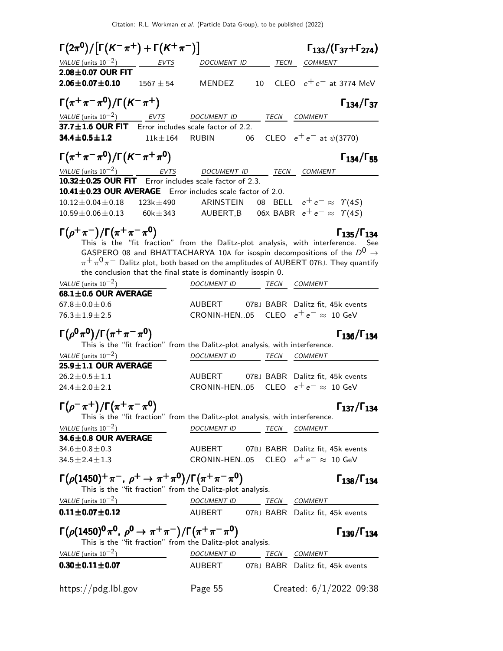|                                                                                                   | $\Gamma(2\pi^0)/\big[\Gamma(K^-\pi^+)+\Gamma(K^+\pi^-)\big]$ |                                                                                           |    |      |                                        | $\Gamma_{133}/(\Gamma_{37}+\Gamma_{274})$ |
|---------------------------------------------------------------------------------------------------|--------------------------------------------------------------|-------------------------------------------------------------------------------------------|----|------|----------------------------------------|-------------------------------------------|
| VALUE (units $10^{-2}$ ) EVTS                                                                     |                                                              | DOCUMENT ID                                                                               |    | TECN | <b>COMMENT</b>                         |                                           |
| $2.08\pm0.07$ OUR FIT                                                                             |                                                              |                                                                                           |    |      |                                        |                                           |
| $2.06 \pm 0.07 \pm 0.10$                                                                          | $1567 \pm 54$                                                | <b>MENDEZ</b>                                                                             |    | 10   |                                        | CLEO $e^+e^-$ at 3774 MeV                 |
| $\Gamma(\pi^+\pi^-\pi^0)/\Gamma(\mathcal{K}^-\pi^+)$                                              |                                                              |                                                                                           |    |      |                                        | $\Gamma_{134}/\Gamma_{37}$                |
| VALUE (units $10^{-2}$ ) EVTS                                                                     |                                                              | DOCUMENT ID                                                                               |    |      | TECN COMMENT                           |                                           |
| 37.7±1.6 OUR FIT Error includes scale factor of 2.2.                                              |                                                              |                                                                                           |    |      |                                        |                                           |
| 34.4±0.5±1.2                                                                                      | $11k + 164$                                                  | <b>RUBIN</b>                                                                              | 06 |      | CLEO $e^+e^-$ at $\psi(3770)$          |                                           |
| $\Gamma(\pi^+\pi^-\pi^0)/\Gamma(K^-\pi^+\pi^0)$                                                   |                                                              |                                                                                           |    |      |                                        | $\Gamma_{134}/\Gamma_{55}$                |
| VALUE (units $10^{-2}$ ) EVTS                                                                     |                                                              | DOCUMENT ID                                                                               |    |      | <i>TECN COMMENT</i>                    |                                           |
| 10.32±0.25 OUR FIT Error includes scale factor of 2.3.                                            |                                                              |                                                                                           |    |      |                                        |                                           |
| 10.41±0.23 OUR AVERAGE Error includes scale factor of 2.0.                                        |                                                              |                                                                                           |    |      |                                        |                                           |
| $10.12 \pm 0.04 \pm 0.18$                                                                         | $123k \pm 490$                                               | ARINSTEIN                                                                                 |    |      | 08 BELL $e^+e^- \approx \Upsilon(4S)$  |                                           |
| $10.59 \pm 0.06 \pm 0.13$                                                                         |                                                              | $60k \pm 343$ AUBERT,B                                                                    |    |      | 06X BABR $e^+e^- \approx \Upsilon(4S)$ |                                           |
| $\Gamma(\rho^+\pi^-)/\Gamma(\pi^+\pi^-\pi^0)$                                                     |                                                              |                                                                                           |    |      |                                        | $\Gamma_{135}/\Gamma_{134}$               |
|                                                                                                   |                                                              | This is the "fit fraction" from the Dalitz-plot analysis, with interference. See          |    |      |                                        |                                           |
|                                                                                                   |                                                              | GASPERO 08 and BHATTACHARYA 10A for isospin decompositions of the $D^0 \rightarrow$       |    |      |                                        |                                           |
|                                                                                                   |                                                              | $\pi^+\pi^0\pi^-$ Dalitz plot, both based on the amplitudes of AUBERT 07BJ. They quantify |    |      |                                        |                                           |
|                                                                                                   |                                                              | the conclusion that the final state is dominantly isospin 0.                              |    |      |                                        |                                           |
| VALUE (units $10^{-2}$ )                                                                          |                                                              | DOCUMENT ID TECN COMMENT                                                                  |    |      |                                        |                                           |
| $68.1 \pm 0.6$ OUR AVERAGE                                                                        |                                                              |                                                                                           |    |      |                                        |                                           |
| $67.8 \pm 0.0 \pm 0.6$                                                                            |                                                              | AUBERT 07BJ BABR Dalitz fit, 45k events                                                   |    |      |                                        |                                           |
| $76.3 \pm 1.9 \pm 2.5$                                                                            |                                                              | CRONIN-HEN05 CLEO $e^+e^- \approx 10$ GeV                                                 |    |      |                                        |                                           |
|                                                                                                   |                                                              |                                                                                           |    |      |                                        |                                           |
| $\Gamma(\rho^{\bm{0}}\pi^{\bm{0}})/\Gamma(\pi^+\pi^-\pi^{\bm{0}})$                                |                                                              |                                                                                           |    |      |                                        | $\Gamma_{136}/\Gamma_{134}$               |
|                                                                                                   |                                                              | This is the "fit fraction" from the Dalitz-plot analysis, with interference.              |    |      |                                        |                                           |
| VALUE (units $10^{-2}$ )                                                                          |                                                              | DOCUMENT ID TECN COMMENT                                                                  |    |      |                                        |                                           |
| 25.9 $\pm$ 1.1 OUR AVERAGE                                                                        |                                                              |                                                                                           |    |      |                                        |                                           |
| $26.2 \pm 0.5 \pm 1.1$                                                                            |                                                              | AUBERT                                                                                    |    |      |                                        | 07BJ BABR Dalitz fit, 45k events          |
| $24.4 \pm 2.0 \pm 2.1$                                                                            |                                                              | CRONIN-HEN05                                                                              |    |      | CLEO $e^+e^- \approx 10$ GeV           |                                           |
| $\Gamma(\rho^-\pi^+)/\Gamma(\pi^+\pi^-\pi^0)$                                                     |                                                              |                                                                                           |    |      |                                        | $\Gamma_{137}/\Gamma_{134}$               |
|                                                                                                   |                                                              | This is the "fit fraction" from the Dalitz-plot analysis, with interference.              |    |      |                                        |                                           |
| VALUE (units $10^{-2}$ )                                                                          |                                                              | <b>DOCUMENT ID</b>                                                                        |    | TECN | <b>COMMENT</b>                         |                                           |
| $34.6 \pm 0.8$ OUR AVERAGE                                                                        |                                                              |                                                                                           |    |      |                                        |                                           |
| $34.6\!\pm\!0.8\!\pm\!0.3$                                                                        |                                                              | AUBERT                                                                                    |    |      |                                        | 07BJ BABR Dalitz fit, 45k events          |
| 34.5 $\pm$ 2.4 $\pm$ 1.3                                                                          |                                                              | CRONIN-HEN05 CLEO $e^+e^- \approx 10$ GeV                                                 |    |      |                                        |                                           |
| $\Gamma\big(\rho(1450)^+\pi^-$ , $\rho^+\to\pi^+\pi^0\big)/\Gamma\big(\pi^+\pi^-\pi^0\big)$       |                                                              |                                                                                           |    |      |                                        | $\Gamma_{138}/\Gamma_{134}$               |
|                                                                                                   |                                                              | This is the "fit fraction" from the Dalitz-plot analysis.                                 |    |      |                                        |                                           |
| VALUE (units $10^{-2}$ )                                                                          |                                                              | DOCUMENT ID TECN COMMENT                                                                  |    |      |                                        |                                           |
| $0.11 \pm 0.07 \pm 0.12$                                                                          |                                                              | AUBERT 07BJ BABR Dalitz fit, 45k events                                                   |    |      |                                        |                                           |
| Г $(\rho(1450)^{0}\pi^{0}$ , $\rho^{0} \rightarrow \pi^{+}\pi^{-})/\Gamma(\pi^{+}\pi^{-}\pi^{0})$ |                                                              |                                                                                           |    |      |                                        | $\Gamma_{139}/\Gamma_{134}$               |
|                                                                                                   |                                                              | This is the "fit fraction" from the Dalitz-plot analysis.                                 |    |      |                                        |                                           |
| VALUE (units $10^{-2}$ )<br>$0.30 \pm 0.11 \pm 0.07$                                              |                                                              | DOCUMENT ID TECN COMMENT<br>AUBERT 07BJ BABR Dalitz fit, 45k events                       |    |      |                                        |                                           |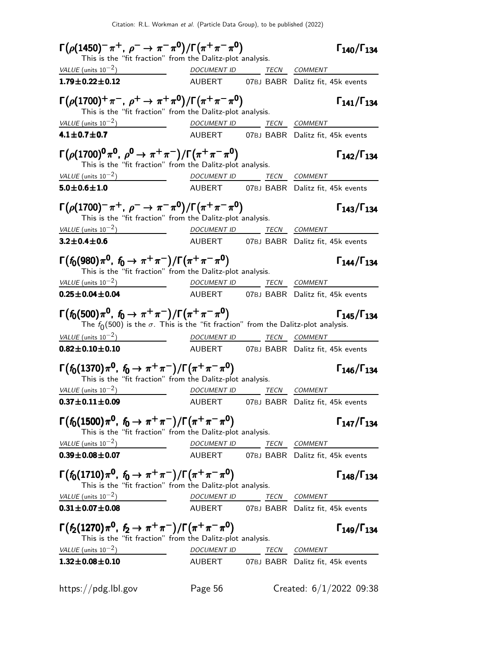| $\Gamma(\rho(1450)^{-}\pi^{+}, \rho^{-} \to \pi^{-}\pi^{0})/\Gamma(\pi^{+}\pi^{-}\pi^{0})$                                                                                                                                                                       |                                  |                          | $\Gamma_{140}/\Gamma_{134}$             |
|------------------------------------------------------------------------------------------------------------------------------------------------------------------------------------------------------------------------------------------------------------------|----------------------------------|--------------------------|-----------------------------------------|
| This is the "fit fraction" from the Dalitz-plot analysis.<br>VALUE (units $10^{-2}$ )                                                                                                                                                                            |                                  |                          |                                         |
| $1.79 \pm 0.22 \pm 0.12$                                                                                                                                                                                                                                         | DOCUMENT ID _______ TECN COMMENT |                          | AUBERT 07BJ BABR Dalitz fit, 45k events |
|                                                                                                                                                                                                                                                                  |                                  |                          |                                         |
| $\Gamma(\rho(1700)^+\pi^-$ , $\rho^+ \to \pi^+\pi^0)/\Gamma(\pi^+\pi^-\pi^0)$<br>This is the "fit fraction" from the Dalitz-plot analysis.                                                                                                                       |                                  |                          | $\Gamma_{141}/\Gamma_{134}$             |
| VALUE (units $10^{-2}$ )<br><u>DOCUMENT ID TECN COMMENT</u>                                                                                                                                                                                                      |                                  |                          |                                         |
| $4.1 \pm 0.7 \pm 0.7$                                                                                                                                                                                                                                            |                                  |                          | AUBERT 07BJ BABR Dalitz fit, 45k events |
| $\Gamma(\rho(1700)^{0}\pi^{0}, \rho^{0} \to \pi^{+}\pi^{-})/\Gamma(\pi^{+}\pi^{-}\pi^{0})$<br>This is the "fit fraction" from the Dalitz-plot analysis.                                                                                                          |                                  |                          | $\Gamma_{142}/\Gamma_{134}$             |
| VALUE (units $10^{-2}$ )                                                                                                                                                                                                                                         |                                  | DOCUMENT ID TECN COMMENT |                                         |
| $5.0 \pm 0.6 \pm 1.0$                                                                                                                                                                                                                                            |                                  |                          | AUBERT 07BJ BABR Dalitz fit, 45k events |
| $\Gamma(\rho(1700)^{-}\pi^{+}, \rho^{-} \to \pi^{-}\pi^{0})/\Gamma(\pi^{+}\pi^{-}\pi^{0})$<br>This is the "fit fraction" from the Dalitz-plot analysis.                                                                                                          |                                  |                          | $\Gamma_{143}/\Gamma_{134}$             |
| $VALUE$ (units $10^{-2}$ ) DOCUMENT ID TECN COMMENT                                                                                                                                                                                                              |                                  |                          |                                         |
| $3.2 \pm 0.4 \pm 0.6$                                                                                                                                                                                                                                            |                                  |                          | AUBERT 07BJ BABR Dalitz fit, 45k events |
| $\Gamma(f_0(980)\pi^0, f_0 \to \pi^+\pi^-)/\Gamma(\pi^+\pi^-\pi^0)$<br>This is the "fit fraction" from the Dalitz-plot analysis.                                                                                                                                 |                                  |                          | $\Gamma_{144}/\Gamma_{134}$             |
| VALUE $(\text{units } 10^{-2})$                                                                                                                                                                                                                                  |                                  |                          | DOCUMENT ID TECN COMMENT                |
| $0.25 \pm 0.04 \pm 0.04$                                                                                                                                                                                                                                         |                                  |                          | AUBERT 07BJ BABR Dalitz fit, 45k events |
| $\Gamma(f_0(500)\pi^0, f_0 \to \pi^+\pi^-)/\Gamma(\pi^+\pi^-\pi^0)$<br>The $f_0(500)$ is the $\sigma$ . This is the "fit fraction" from the Dalitz-plot analysis.                                                                                                |                                  |                          | $\Gamma_{145}/\Gamma_{134}$             |
| VALUE $(\text{units } 10^{-2})$                                                                                                                                                                                                                                  |                                  | DOCUMENT ID TECN COMMENT |                                         |
| $0.82 \pm 0.10 \pm 0.10$                                                                                                                                                                                                                                         |                                  |                          | AUBERT 07BJ BABR Dalitz fit, 45k events |
| $\Gamma(f_0(1370)\pi^0, f_0 \to \pi^+\pi^-)/\Gamma(\pi^+\pi^-\pi^0)$<br>This is the "fit fraction" from the Dalitz-plot analysis.                                                                                                                                |                                  |                          | $\Gamma_{146}/\Gamma_{134}$             |
| VALUE (units $10^{-2}$ )                                                                                                                                                                                                                                         |                                  | DOCUMENT ID TECN COMMENT |                                         |
| $0.37 \pm 0.11 \pm 0.09$                                                                                                                                                                                                                                         |                                  |                          | AUBERT 07BJ BABR Dalitz fit, 45k events |
| $\Gamma(f_0(1500)\pi^0, f_0 \to \pi^+\pi^-)/\Gamma(\pi^+\pi^-\pi^0)$<br>This is the "fit fraction" from the Dalitz-plot analysis.                                                                                                                                |                                  |                          | $\Gamma_{147}/\Gamma_{134}$             |
| VALUE (units $10^{-2}$ )<br><u>and the state of the state of the state of the state of the state of the state of the state of the state of the state of the state of the state of the state of the state of the state of the state of the state of the state</u> |                                  | DOCUMENT ID TECN COMMENT |                                         |
| $0.39 \pm 0.08 \pm 0.07$                                                                                                                                                                                                                                         |                                  |                          | AUBERT 07BJ BABR Dalitz fit, 45k events |
| $\Gamma(f_0(1710)\pi^0, f_0 \to \pi^+\pi^-)/\Gamma(\pi^+\pi^-\pi^0)$<br>This is the "fit fraction" from the Dalitz-plot analysis.                                                                                                                                |                                  |                          | $\Gamma_{148}/\Gamma_{134}$             |
| VALUE (units $10^{-2}$ )                                                                                                                                                                                                                                         |                                  | DOCUMENT ID TECN COMMENT |                                         |
| $0.31 \pm 0.07 \pm 0.08$                                                                                                                                                                                                                                         |                                  |                          | AUBERT 07BJ BABR Dalitz fit, 45k events |
| $\Gamma(f_2(1270)\pi^0, f_2 \to \pi^+\pi^-)/\Gamma(\pi^+\pi^-\pi^0)$<br>This is the "fit fraction" from the Dalitz-plot analysis.                                                                                                                                |                                  |                          | $\Gamma_{149}/\Gamma_{134}$             |
| VALUE (units $10^{-2}$ )                                                                                                                                                                                                                                         |                                  | DOCUMENT ID TECN COMMENT |                                         |
| $1.32 \pm 0.08 \pm 0.10$                                                                                                                                                                                                                                         |                                  |                          | AUBERT 07BJ BABR Dalitz fit, 45k events |
| https://pdg.lbl.gov                                                                                                                                                                                                                                              | Page 56                          |                          | Created: $6/1/2022$ 09:38               |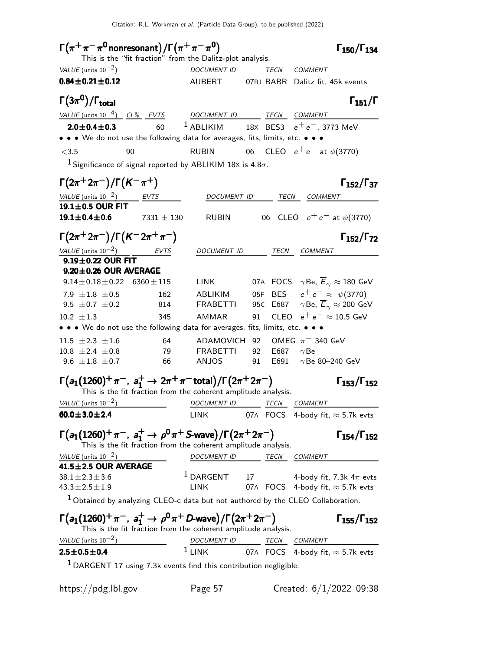| $\Gamma(\pi^+\pi^-\pi^0$ nonresonant) / $\Gamma(\pi^+\pi^-\pi^0)$                                             |                                                                                   |                                                                                                    |    |                     |                                                               | $\Gamma_{150}/\Gamma_{134}$              |
|---------------------------------------------------------------------------------------------------------------|-----------------------------------------------------------------------------------|----------------------------------------------------------------------------------------------------|----|---------------------|---------------------------------------------------------------|------------------------------------------|
|                                                                                                               | This is the "fit fraction" from the Dalitz-plot analysis.                         |                                                                                                    |    |                     |                                                               |                                          |
| VALUE (units $10^{-2}$ )                                                                                      |                                                                                   | DOCUMENT ID TECN COMMENT                                                                           |    |                     |                                                               |                                          |
| $0.84 \pm 0.21 \pm 0.12$                                                                                      |                                                                                   | <b>AUBERT</b>                                                                                      |    |                     | 07BJ BABR Dalitz fit, 45k events                              |                                          |
| $\Gamma(3\pi^0)/\Gamma_{\rm total}$                                                                           |                                                                                   |                                                                                                    |    |                     |                                                               | $\Gamma_{151}/\Gamma$                    |
| VALUE (units $10^{-4}$ ) CL% EVTS                                                                             |                                                                                   | DOCUMENT ID TECN COMMENT                                                                           |    |                     |                                                               |                                          |
| $2.0 \pm 0.4 \pm 0.3$                                                                                         | 60                                                                                | <sup>1</sup> ABLIKIM 18X BES3 $e^+e^-$ , 3773 MeV                                                  |    |                     |                                                               |                                          |
| • • • We do not use the following data for averages, fits, limits, etc. • • •                                 |                                                                                   |                                                                                                    |    |                     |                                                               |                                          |
| $<$ 3.5                                                                                                       | 90                                                                                | <b>RUBIN</b>                                                                                       |    |                     | 06 CLEO $e^+e^-$ at $\psi(3770)$                              |                                          |
|                                                                                                               | <sup>1</sup> Significance of signal reported by ABLIKIM 18X is 4.8 $\sigma$ .     |                                                                                                    |    |                     |                                                               |                                          |
| $\Gamma(2\pi^+ 2\pi^-)/\Gamma(K^-\pi^+)$                                                                      |                                                                                   |                                                                                                    |    |                     |                                                               | $\Gamma_{152}/\Gamma_{37}$               |
| VALUE (units $10^{-2}$ ) EVTS                                                                                 |                                                                                   | DOCUMENT ID                                                                                        |    |                     | TECN COMMENT                                                  |                                          |
| 19.1±0.5 OUR FIT<br>$19.1 \pm 0.4 \pm 0.6$                                                                    | $7331\pm130$                                                                      | RUBIN                                                                                              |    |                     | 06 CLEO $e^+e^-$ at $\psi(3770)$                              |                                          |
| $\Gamma(2\pi^+2\pi^-)/\Gamma(K^-2\pi^+\pi^-)$                                                                 |                                                                                   |                                                                                                    |    |                     |                                                               | $\Gamma_{152}/\Gamma_{72}$               |
| VALUE (units $10^{-2}$ )                                                                                      | <i>EVTS</i>                                                                       | DOCUMENT ID TECN COMMENT                                                                           |    |                     |                                                               |                                          |
| $9.19 \pm 0.22$ OUR FIT                                                                                       |                                                                                   |                                                                                                    |    |                     |                                                               |                                          |
| $9.20 \pm 0.26$ OUR AVERAGE                                                                                   |                                                                                   |                                                                                                    |    |                     |                                                               |                                          |
| $9.14 \pm 0.18 \pm 0.22$ 6360 $\pm$ 115                                                                       |                                                                                   | LINK                                                                                               |    |                     | 07A FOCS $\gamma$ Be, $\overline{E}_{\gamma} \approx 180$ GeV |                                          |
| 7.9 $\pm 1.8 \pm 0.5$                                                                                         | 162                                                                               | ABLIKIM                                                                                            |    |                     | 05F BES $e^+e^- \approx \psi(3770)$                           |                                          |
| 9.5 $\pm$ 0.7 $\pm$ 0.2                                                                                       | 814                                                                               | <b>FRABETTI</b>                                                                                    |    |                     | 95C E687 $\gamma$ Be, $\overline{E}_{\gamma} \approx 200$ GeV |                                          |
| $10.2 \pm 1.3$<br>• • • We do not use the following data for averages, fits, limits, etc. • • •               | 345                                                                               | AMMAR                                                                                              | 91 |                     | CLEO $e^+e^- \approx 10.5$ GeV                                |                                          |
|                                                                                                               |                                                                                   |                                                                                                    |    |                     |                                                               |                                          |
| $11.5 \pm 2.3 \pm 1.6$<br>$10.8 \pm 2.4 \pm 0.8$                                                              | 64<br>79                                                                          | ADAMOVICH 92<br><b>FRABETTI</b>                                                                    |    | 92 E687 $\gamma$ Be | OMEG $\pi$ <sup>-</sup> 340 GeV                               |                                          |
| 9.6 $\pm 1.8 \pm 0.7$                                                                                         | 66                                                                                | ANJOS 91                                                                                           |    | E691                | $\gamma$ Be 80-240 GeV                                        |                                          |
|                                                                                                               |                                                                                   |                                                                                                    |    |                     |                                                               |                                          |
| $\Gamma(a_1(1260)^+\pi^-$ , $a_1^+\to 2\pi^+\pi^-$ total)/ $\Gamma(2\pi^+2\pi^-)$                             | This is the fit fraction from the coherent amplitude analysis.                    |                                                                                                    |    |                     |                                                               | $\Gamma_{153}/\Gamma_{152}$              |
| VALUE (units $10^{-2}$ )                                                                                      |                                                                                   | <b>DOCUMENT ID</b>                                                                                 |    | <b>TECN</b>         | <b>COMMENT</b>                                                |                                          |
| $60.0 \pm 3.0 \pm 2.4$                                                                                        |                                                                                   | <b>LINK</b>                                                                                        |    |                     |                                                               | 07A FOCS 4-body fit, $\approx$ 5.7k evts |
| $\Gamma(a_1(1260)^+\pi^-$ , $a_1^+\to\rho^0\pi^+$ S-wave)/ $\Gamma(2\pi^+2\pi^-)$<br>VALUE (units $10^{-2}$ ) | This is the fit fraction from the coherent amplitude analysis.                    | DOCUMENT ID                                                                                        |    | TECN                | <b>COMMENT</b>                                                | $\Gamma_{154}/\Gamma_{152}$              |
| 41.5±2.5 OUR AVERAGE                                                                                          |                                                                                   |                                                                                                    |    |                     |                                                               |                                          |
| $38.1 \pm 2.3 \pm 3.6$                                                                                        |                                                                                   | $1$ DARGENT 17 4-body fit, 7.3k $4\pi$ evts                                                        |    |                     |                                                               |                                          |
| $43.3 \pm 2.5 \pm 1.9$                                                                                        |                                                                                   | <b>LINK</b>                                                                                        |    |                     |                                                               | 07A FOCS 4-body fit, $\approx$ 5.7k evts |
|                                                                                                               | $1$ Obtained by analyzing CLEO-c data but not authored by the CLEO Collaboration. |                                                                                                    |    |                     |                                                               |                                          |
| $\Gamma(a_1(1260)^+\pi^-, a_1^+ \to \rho^0\pi^+ D$ -wave)/ $\Gamma(2\pi^+ 2\pi^-)$                            | This is the fit fraction from the coherent amplitude analysis.                    |                                                                                                    |    |                     |                                                               | $\Gamma_{155}/\Gamma_{152}$              |
| VALUE (units $10^{-2}$ )                                                                                      |                                                                                   |                                                                                                    |    |                     |                                                               |                                          |
| $2.5 \pm 0.5 \pm 0.4$                                                                                         |                                                                                   | $\frac{DOCUMENT ID}{LINK} \frac{TECN}{TDCS} \frac{COMMENT}{4-body fit, \approx 5.7k \text{ evts}}$ |    |                     |                                                               |                                          |
|                                                                                                               | <sup>1</sup> DARGENT 17 using 7.3k events find this contribution negligible.      |                                                                                                    |    |                     |                                                               |                                          |
|                                                                                                               |                                                                                   |                                                                                                    |    |                     |                                                               |                                          |
| https://pdg.lbl.gov                                                                                           |                                                                                   | Page 57                                                                                            |    |                     |                                                               | Created: $6/1/2022$ 09:38                |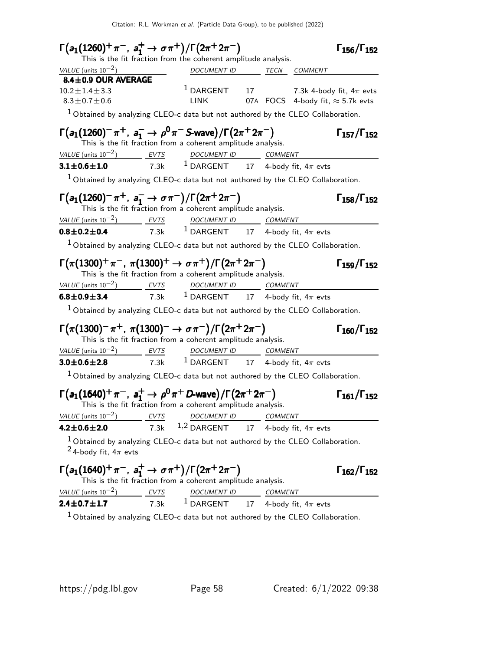| $\Gamma(a_1(1260)^+\pi^-, a_1^+\to\sigma\pi^+)/\Gamma(2\pi^+2\pi^-)$                                                                                                                                                      |             | This is the fit fraction from the coherent amplitude analysis.                                               |    |                            | $\Gamma_{156}/\Gamma_{152}$                   |
|---------------------------------------------------------------------------------------------------------------------------------------------------------------------------------------------------------------------------|-------------|--------------------------------------------------------------------------------------------------------------|----|----------------------------|-----------------------------------------------|
| VALUE (units $10^{-2}$ )                                                                                                                                                                                                  |             | DOCUMENT ID TECN COMMENT                                                                                     |    |                            |                                               |
| 8.4±0.9 OUR AVERAGE                                                                                                                                                                                                       |             |                                                                                                              |    |                            |                                               |
| $10.2 \pm 1.4 \pm 3.3$                                                                                                                                                                                                    |             | $1$ DARGENT 17 7.3k 4-body fit, $4\pi$ evts                                                                  |    |                            |                                               |
| $8.3 \pm 0.7 \pm 0.6$                                                                                                                                                                                                     |             | <b>LINK</b>                                                                                                  |    |                            | 07A $\,$ FOCS 4-body fit, $\approx$ 5.7k evts |
| $1$ Obtained by analyzing CLEO-c data but not authored by the CLEO Collaboration.                                                                                                                                         |             |                                                                                                              |    |                            |                                               |
| $\Gamma(a_1(1260)^{-}\pi^{+}, a_1^{-} \to \rho^{0}\pi^{-}$ S-wave) / $\Gamma(2\pi^{+}2\pi^{-})$                                                                                                                           |             | This is the fit fraction from a coherent amplitude analysis.                                                 |    |                            | $\Gamma_{157}/\Gamma_{152}$                   |
| VALUE (units $10^{-2}$ ) EVTS                                                                                                                                                                                             |             | DOCUMENT ID COMMENT                                                                                          |    |                            |                                               |
| $3.1 \pm 0.6 \pm 1.0$                                                                                                                                                                                                     |             | 7.3k $1$ DARGENT 17 4-body fit, $4\pi$ evts                                                                  |    |                            |                                               |
| $1$ Obtained by analyzing CLEO-c data but not authored by the CLEO Collaboration.                                                                                                                                         |             |                                                                                                              |    |                            |                                               |
| $\Gamma(a_1(1260)^{-}\pi^{+}, a_1^{-} \to \sigma\pi^{-})/\Gamma(2\pi^{+}2\pi^{-})$                                                                                                                                        |             | This is the fit fraction from a coherent amplitude analysis.                                                 |    |                            | $\Gamma_{158}/\Gamma_{152}$                   |
| $\frac{VALUE \text{ (units 10}^{-2})}{0.8 \pm 0.2 \pm 0.4}$ $\frac{EVTS}{7.3k}$ $\frac{DOCUMENT \text{ } ID}{1 \text{ } DARGENT}$ $\frac{COMMENT}{17}$ $\frac{COMMENT}{4 \text{ } body \text{ } fit, 4\pi \text{ } evts}$ |             |                                                                                                              |    |                            |                                               |
|                                                                                                                                                                                                                           |             |                                                                                                              |    |                            |                                               |
| $1$ Obtained by analyzing CLEO-c data but not authored by the CLEO Collaboration.                                                                                                                                         |             |                                                                                                              |    |                            |                                               |
| $\Gamma(\pi(1300)^+\pi^-$ , $\pi(1300)^+\to \sigma\pi^+)/\Gamma(2\pi^+2\pi^-)$                                                                                                                                            |             | This is the fit fraction from a coherent amplitude analysis.                                                 |    |                            | $\Gamma_{159}/\Gamma_{152}$                   |
| VALUE (units $10^{-2}$ ) EVTS                                                                                                                                                                                             |             | $\frac{P(2)}{P(2)}$ $\frac{EVTS}{T.3k}$ $\frac{DOCUMENTID}{DARGENT}$ $\frac{COMMENT}{4-body fit, 4\pi evts}$ |    |                            |                                               |
| $6.8 \pm 0.9 \pm 3.4$                                                                                                                                                                                                     |             |                                                                                                              |    |                            |                                               |
| $^1$ Obtained by analyzing CLEO-c data but not authored by the CLEO Collaboration.                                                                                                                                        |             |                                                                                                              |    |                            |                                               |
| $\Gamma(\pi(1300)^-\pi^+, \ \pi(1300)^- \to \sigma\pi^-)/\Gamma(2\pi^+2\pi^-)$                                                                                                                                            |             | This is the fit fraction from a coherent amplitude analysis.                                                 |    |                            | $\Gamma_{160}/\Gamma_{152}$                   |
| VALUE (units $10^{-2}$ ) EVTS                                                                                                                                                                                             |             | DOCUMENT ID COMMENT                                                                                          |    |                            |                                               |
| $3.0 \pm 0.6 \pm 2.8$                                                                                                                                                                                                     |             | 7.3k $^1$ DARGENT $^1$ 17 $^4$ -body fit, 4 $\pi$ evts                                                       |    |                            |                                               |
| $1$ Obtained by analyzing CLEO-c data but not authored by the CLEO Collaboration.                                                                                                                                         |             |                                                                                                              |    |                            |                                               |
| $\Gamma(a_1(1640)^+\pi^-, a_1^+\to \rho^0\pi^+D$ -wave)/ $\Gamma(2\pi^+2\pi^-)$                                                                                                                                           |             | This is the fit fraction from a coherent amplitude analysis. $\,$                                            |    |                            | $\Gamma_{161}/\Gamma_{152}$                   |
| VALUE (units $10^{-2}$ )                                                                                                                                                                                                  | <b>EVTS</b> | DOCUMENT ID COMMENT                                                                                          |    |                            |                                               |
| $4.2 \pm 0.6 \pm 2.0$                                                                                                                                                                                                     | 7.3k        | $1,2$ DARGENT                                                                                                |    | 17 4-body fit, $4\pi$ evts |                                               |
| $1$ Obtained by analyzing CLEO-c data but not authored by the CLEO Collaboration.<br><sup>2</sup> 4-body fit, $4\pi$ evts                                                                                                 |             |                                                                                                              |    |                            |                                               |
| $\Gamma(a_1(1640)^+\pi^-$ , $a_1^+\to\sigma\pi^+)/\Gamma(2\pi^+2\pi^-)$                                                                                                                                                   |             | This is the fit fraction from a coherent amplitude analysis.                                                 |    |                            | $\Gamma_{162}/\Gamma_{152}$                   |
| $VALUE$ (units $10^{-2}$ ) EVTS                                                                                                                                                                                           |             | DOCUMENT ID COMMENT                                                                                          |    |                            |                                               |
| $2.4 \pm 0.7 \pm 1.7$                                                                                                                                                                                                     | 7.3k        | $^1$ DARGENT                                                                                                 | 17 | 4-body fit, $4\pi$ evts    |                                               |

 $^1$ Obtained by analyzing CLEO-c data but not authored by the CLEO Collaboration.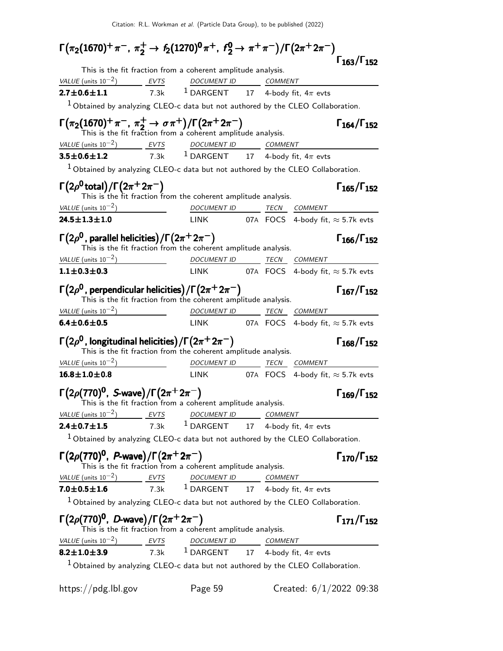| $\Gamma(\pi_2(1670)^+ \pi^-$ , $\pi_2^+ \to f_2(1270)^0 \pi^+$ , $f_2^0 \to \pi^+ \pi^-)/\Gamma(2\pi^+ 2\pi^-)$                                                          |                                                                                                             |  |                             |
|--------------------------------------------------------------------------------------------------------------------------------------------------------------------------|-------------------------------------------------------------------------------------------------------------|--|-----------------------------|
| This is the fit fraction from a coherent amplitude analysis.                                                                                                             |                                                                                                             |  | $\Gamma_{163}/\Gamma_{152}$ |
| $VALU E$ (units $10^{-2}$ ) EVTS DOCUMENT ID COMMENT                                                                                                                     |                                                                                                             |  |                             |
| $2.7 \pm 0.6 \pm 1.1$                                                                                                                                                    | 7.3k $^1$ DARGENT $^1$ 17 $^4$ -body fit, 4 $\pi$ evts                                                      |  |                             |
| $1$ Obtained by analyzing CLEO-c data but not authored by the CLEO Collaboration.                                                                                        |                                                                                                             |  |                             |
| $\Gamma(\pi_2(1670)^+ \pi^-$ , $\pi_2^+ \to \sigma \pi^+) / \Gamma(2\pi^+ 2\pi^-)$<br>This is the fit fraction from a coherent amplitude analysis.                       |                                                                                                             |  | $\Gamma_{164}/\Gamma_{152}$ |
| $VALUE$ (units $10^{-2}$ ) EVTS DOCUMENT ID COMMENT                                                                                                                      |                                                                                                             |  |                             |
| $3.5 \pm 0.6 \pm 1.2$                                                                                                                                                    | 7.3k $^1$ DARGENT $^1$ 17 $^4$ -body fit, 4 $\pi$ evts                                                      |  |                             |
| $1$ Obtained by analyzing CLEO-c data but not authored by the CLEO Collaboration.                                                                                        |                                                                                                             |  |                             |
| $\Gamma(2\rho^0$ total)/ $\Gamma(2\pi^+2\pi^-)$<br>This is the fit fraction from the coherent amplitude analysis.                                                        |                                                                                                             |  | $\Gamma_{165}/\Gamma_{152}$ |
| $VALU E (units 10^{-2})$                                                                                                                                                 | DOCUMENT ID TECN COMMENT                                                                                    |  |                             |
| $24.5 \pm 1.3 \pm 1.0$                                                                                                                                                   | LINK 07A FOCS 4-body fit, $\approx$ 5.7k evts                                                               |  |                             |
| $\Gamma(2\rho^{\mathsf{0}}$ , parallel helicities)/ $\Gamma(2\pi^+2\pi^-)$<br>This is the fit fraction from the coherent amplitude analysis.                             |                                                                                                             |  | $\Gamma_{166}/\Gamma_{152}$ |
| $VALUE$ (units $10^{-2}$ ) DOCUMENT ID TECN COMMENT                                                                                                                      |                                                                                                             |  |                             |
| $1.1 \pm 0.3 \pm 0.3$                                                                                                                                                    | LINK 07A FOCS 4-body fit, $\approx$ 5.7k evts                                                               |  |                             |
| $\Gamma(2\rho^0$ , perpendicular helicities) / $\Gamma(2\pi^+2\pi^-)$<br>This is the fit fraction from the coherent amplitude analysis.                                  |                                                                                                             |  | $\Gamma_{167}/\Gamma_{152}$ |
| $VALUE$ (units $10^{-2}$ ) DOCUMENT ID TECN COMMENT                                                                                                                      |                                                                                                             |  |                             |
| $6.4 \pm 0.6 \pm 0.5$                                                                                                                                                    | LINK 07A FOCS 4-body fit, $\approx$ 5.7k evts                                                               |  |                             |
| $\Gamma(2\rho^{\mathsf{0}}$ , longitudinal helicities) / $\Gamma(2\pi^+2\pi^-)$<br>This is the fit fraction from the coherent amplitude analysis.                        |                                                                                                             |  | $\Gamma_{168}/\Gamma_{152}$ |
| VALUE (units $10^{-2}$ )                                                                                                                                                 | DOCUMENT ID TECN COMMENT                                                                                    |  |                             |
| $16.8 \pm 1.0 \pm 0.8$                                                                                                                                                   | LINK 07A FOCS 4-body fit, $\approx$ 5.7k evts                                                               |  |                             |
| $\Gamma(2\rho(770)^{0}$ , S-wave)/ $\Gamma(2\pi^{+}2\pi^{-})$<br>This is the fit fraction from a coherent amplitude analysis.                                            |                                                                                                             |  | $\Gamma_{169}/\Gamma_{152}$ |
| $\frac{VALUE \text{ (units 10}^{-2})}{2.4 \pm 0.7 \pm 1.5}$ $\frac{EVTS}{7.3k}$ $\frac{DOCUMENT ID}{1 DARGENT}$ $\frac{COMMENT}{4-body \text{ fit, } 4\pi \text{ evts}}$ |                                                                                                             |  |                             |
|                                                                                                                                                                          |                                                                                                             |  |                             |
| $1$ Obtained by analyzing CLEO-c data but not authored by the CLEO Collaboration.                                                                                        |                                                                                                             |  |                             |
| $\Gamma(2\rho(770)^0$ , P-wave)/ $\Gamma(2\pi^+2\pi^-)$<br>This is the fit fraction from a coherent amplitude analysis.                                                  |                                                                                                             |  | $\Gamma_{170}/\Gamma_{152}$ |
| VALUE (units $10^{-2}$ )                                                                                                                                                 |                                                                                                             |  |                             |
| $7.0 + 0.5 + 1.6$                                                                                                                                                        | $\frac{P_2}{P_1}$ $\frac{EVTS}{T.3k}$ $\frac{DOCUMENT ID}{DARGENT}$ $\frac{COMMENT}{4-body fit, 4\pi evts}$ |  |                             |
| $1$ Obtained by analyzing CLEO-c data but not authored by the CLEO Collaboration.                                                                                        |                                                                                                             |  |                             |
| $\Gamma(2\rho(770)^0$ , <i>D</i> -wave)/ $\Gamma(2\pi^+2\pi^-)$<br>This is the fit fraction from a coherent amplitude analysis.                                          |                                                                                                             |  | $\Gamma_{171}/\Gamma_{152}$ |
| $VALUE$ (units $10^{-2}$ ) EVTS DOCUMENT ID COMMENT                                                                                                                      |                                                                                                             |  |                             |
| $8.2 \pm 1.0 \pm 3.9$                                                                                                                                                    | $\frac{1}{7.3k}$ 1 DARGENT 17 4-body fit, 4 $\pi$ evts                                                      |  |                             |
| $1$ Obtained by analyzing CLEO-c data but not authored by the CLEO Collaboration.                                                                                        |                                                                                                             |  |                             |
| https://pdg.lbl.gov                                                                                                                                                      | Page 59                                                                                                     |  | Created: $6/1/2022$ 09:38   |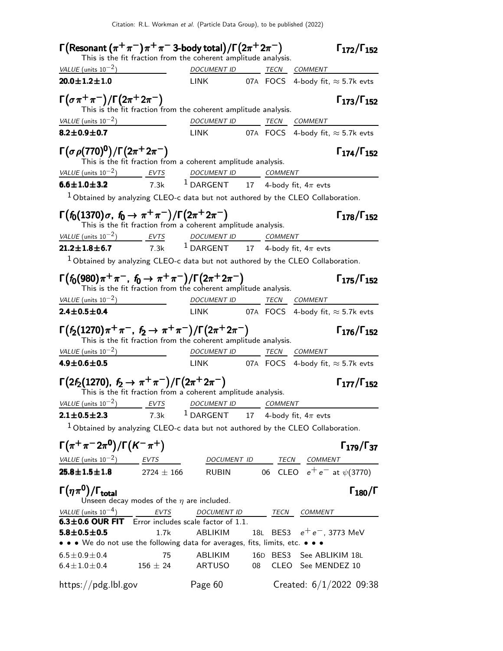| $\Gamma(\mathsf{Resonant}\,(\pi^+\pi^-)\pi^+\pi^-$ 3-body total)/ $\Gamma(2\pi^+2\pi^-)$                                      |              | This is the fit fraction from the coherent amplitude analysis. |    |                              | $\Gamma_{172}/\Gamma_{152}$      |
|-------------------------------------------------------------------------------------------------------------------------------|--------------|----------------------------------------------------------------|----|------------------------------|----------------------------------|
| VALUE (units $10^{-2}$ )                                                                                                      |              | DOCUMENT ID TECN COMMENT                                       |    |                              |                                  |
| $20.0 \pm 1.2 \pm 1.0$                                                                                                        |              | LINK 07A FOCS 4-body fit, $\approx$ 5.7k evts                  |    |                              |                                  |
| $\Gamma(\sigma \pi^+ \pi^-)/\Gamma(2\pi^+ 2\pi^-)$                                                                            |              | This is the fit fraction from the coherent amplitude analysis. |    |                              | $\Gamma_{173}/\Gamma_{152}$      |
| VALUE $(\text{units } 10^{-2})$                                                                                               |              | DOCUMENT ID TECN COMMENT                                       |    |                              |                                  |
| $8.2 \pm 0.9 \pm 0.7$                                                                                                         |              | LINK 07A FOCS 4-body fit, $\approx$ 5.7k evts                  |    |                              |                                  |
| $\Gamma(\sigma\rho(770)^{0})/\Gamma(2\pi^{+}2\pi^{-})$<br>This is the fit fraction from a coherent amplitude analysis.        |              |                                                                |    |                              | $\Gamma_{174}/\Gamma_{152}$      |
| $VALUE$ (units $10^{-2}$ ) EVTS DOCUMENT ID COMMENT                                                                           |              |                                                                |    |                              |                                  |
| <b>6.6±1.0±3.2</b> 7.3k <sup>1</sup> DARGENT 17 4-body fit, $4\pi$ evts                                                       |              |                                                                |    |                              |                                  |
| $1$ Obtained by analyzing CLEO-c data but not authored by the CLEO Collaboration.                                             |              |                                                                |    |                              |                                  |
| $\Gamma(f_0(1370)\sigma, f_0 \to \pi^+\pi^-)/\Gamma(2\pi^+2\pi^-)$                                                            |              | This is the fit fraction from a coherent amplitude analysis.   |    |                              | $\Gamma_{178}/\Gamma_{152}$      |
| $VALUE$ (units $10^{-2}$ ) EVTS DOCUMENT ID COMMENT                                                                           |              |                                                                |    |                              |                                  |
| <b>21.2±1.8±6.7</b> 7.3k <sup>1</sup> DARGENT 17 4-body fit, 4 $\pi$ evts                                                     |              |                                                                |    |                              |                                  |
| $1$ Obtained by analyzing CLEO-c data but not authored by the CLEO Collaboration.                                             |              |                                                                |    |                              |                                  |
| $\Gamma(f_0(980)\pi^+\pi^-, f_0 \to \pi^+\pi^-)/\Gamma(2\pi^+2\pi^-)$                                                         |              | This is the fit fraction from the coherent amplitude analysis. |    |                              | $\Gamma_{175}/\Gamma_{152}$      |
| $VALUE$ (units $10^{-2}$ ) $DOCUMENT$ ID TECN COMMENT                                                                         |              |                                                                |    |                              |                                  |
| $2.4 \pm 0.5 \pm 0.4$                                                                                                         |              | LINK 07A FOCS 4-body fit, $\approx$ 5.7k evts                  |    |                              |                                  |
| $\Gamma(f_2(1270)\pi^+\pi^-, f_2 \to \pi^+\pi^-)/\Gamma(2\pi^+2\pi^-)$                                                        |              | This is the fit fraction from the coherent amplitude analysis. |    |                              | $\Gamma_{176}/\Gamma_{152}$      |
| VALUE (units $10^{-2}$ )                                                                                                      |              | DOCUMENT ID TECN COMMENT                                       |    |                              |                                  |
| $4.9 \pm 0.6 \pm 0.5$                                                                                                         |              | LINK 07A FOCS 4-body fit, $\approx$ 5.7k evts                  |    |                              |                                  |
| $\Gamma(2f_2(1270), f_2 \to \pi^+\pi^-)/\Gamma(2\pi^+2\pi^-)$<br>This is the fit fraction from a coherent amplitude analysis. |              |                                                                |    |                              | $\Gamma_{177}/\Gamma_{152}$      |
| VALUE (units $10^{-2}$ ) EVTS                                                                                                 |              | DOCUMENT ID COMMENT                                            |    |                              |                                  |
| $2.1 \pm 0.5 \pm 2.3$                                                                                                         | 7.3k         | <sup>1</sup> DARGENT 17 4-body fit, $4\pi$ evts                |    |                              |                                  |
| $1$ Obtained by analyzing CLEO-c data but not authored by the CLEO Collaboration.                                             |              |                                                                |    |                              |                                  |
| $\Gamma(\pi^+\pi^-2\pi^0)/\Gamma(K^-\pi^+)$                                                                                   |              |                                                                |    |                              | $\Gamma_{179}/\Gamma_{37}$       |
| VALUE (units $10^{-2}$ ) EVTS                                                                                                 |              |                                                                |    | DOCUMENT ID TECN COMMENT     |                                  |
| $25.8 \pm 1.5 \pm 1.8$ 2724 $\pm$ 166                                                                                         |              | RUBIN                                                          |    |                              | 06 CLEO $e^+e^-$ at $\psi(3770)$ |
| $\Gamma(\eta\pi^0)/\Gamma_{\rm total}$<br>Unseen decay modes of the $\eta$ are included.                                      |              |                                                                |    |                              | $\Gamma_{180}/\Gamma$            |
| VALUE (units $10^{-4}$ )                                                                                                      | <b>EVTS</b>  | DOCUMENT ID TECN                                               |    | <b>COMMENT</b>               |                                  |
| 6.3±0.6 OUR FIT Error includes scale factor of 1.1.                                                                           |              |                                                                |    | 18L BES3 $e^+e^-$ , 3773 MeV |                                  |
| $5.8 \pm 0.5 \pm 0.5$<br>• • • We do not use the following data for averages, fits, limits, etc. •                            | 1.7k         | ABLIKIM                                                        |    |                              |                                  |
| $6.5 \pm 0.9 \pm 0.4$                                                                                                         | 75           | ABLIKIM                                                        |    | 16D BES3 See ABLIKIM 18L     |                                  |
| $6.4 \pm 1.0 \pm 0.4$                                                                                                         | $156 \pm 24$ | ARTUSO                                                         | 08 | CLEO See MENDEZ 10           |                                  |
| https://pdg.lbl.gov                                                                                                           |              | Page 60                                                        |    |                              | Created: $6/1/2022$ 09:38        |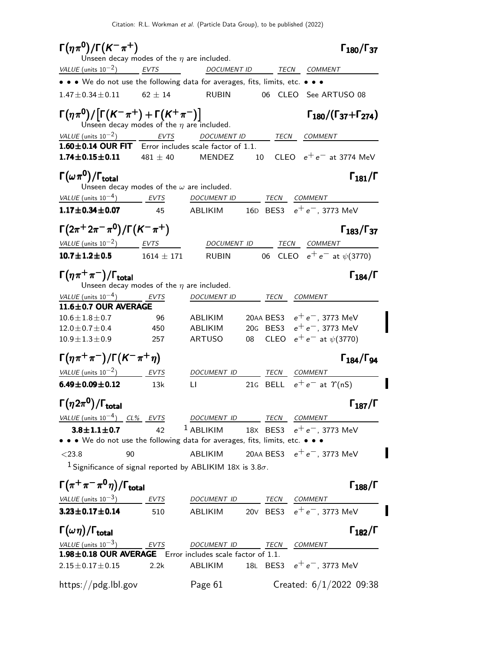| $\Gamma(\eta\pi^{0})/\Gamma(K^{-}\pi^{+})$                                                             | Unseen decay modes of the $\eta$ are included.   |                                                   |      |                     | $\Gamma_{180}/\Gamma_{37}$                                    |                       |
|--------------------------------------------------------------------------------------------------------|--------------------------------------------------|---------------------------------------------------|------|---------------------|---------------------------------------------------------------|-----------------------|
| VALUE (units $10^{-2}$ ) EVTS                                                                          |                                                  | DOCUMENT ID TECN COMMENT                          |      |                     |                                                               |                       |
| • • We do not use the following data for averages, fits, limits, etc. • • •                            |                                                  |                                                   |      |                     |                                                               |                       |
| $1.47 \pm 0.34 \pm 0.11$ 62 $\pm$ 14                                                                   |                                                  | <b>RUBIN</b>                                      |      |                     | 06 CLEO See ARTUSO 08                                         |                       |
| $\Gamma(\eta\pi^0)/[\Gamma(K^-\pi^+)+\Gamma(K^+\pi^-)]$                                                | Unseen decay modes of the $\eta$ are included.   |                                                   |      |                     | $\Gamma_{180}/(\Gamma_{37}+\Gamma_{274})$                     |                       |
| VALUE (units $10^{-2}$ )<br>$1.60 \pm 0.14$ OUR FIT Error includes scale factor of 1.1.                | $\frac{1}{2}$ EVTS                               | <i>DOCUMENT ID</i>                                |      | <i>TECN COMMENT</i> |                                                               |                       |
| $1.74 \pm 0.15 \pm 0.11$                                                                               | $481 + 40$                                       | MENDEZ                                            | 10   |                     | CLEO $e^+e^-$ at 3774 MeV                                     |                       |
| $\Gamma(\omega\pi^0)/\Gamma_{\rm total}$                                                               | Unseen decay modes of the $\omega$ are included. |                                                   |      |                     |                                                               | $\Gamma_{181}/\Gamma$ |
| VALUE (units $10^{-4}$ ) EVTS                                                                          |                                                  | DOCUMENT ID                                       |      | TECN COMMENT        |                                                               |                       |
| $1.17 \pm 0.34 \pm 0.07$                                                                               | 45                                               | ABLIKIM                                           |      |                     | 16D BES3 $e^+e^-$ , 3773 MeV                                  |                       |
| $\Gamma(2\pi^+ 2\pi^- \pi^0)/\Gamma(K^-\pi^+)$                                                         |                                                  |                                                   |      |                     | $\Gamma_{183}/\Gamma_{37}$                                    |                       |
| VALUE (units $10^{-2}$ ) EVTS                                                                          |                                                  | DOCUMENT ID                                       |      | TECN                | COMMENT                                                       |                       |
| $10.7 \pm 1.2 \pm 0.5$                                                                                 | $1614~{\pm}~171$                                 | <b>RUBIN</b>                                      |      |                     | 06 CLEO $e^+e^-$ at $\psi(3770)$                              |                       |
| $\Gamma(\eta \pi^+\pi^-)/\Gamma_{\rm total}$                                                           | Unseen decay modes of the $\eta$ are included.   |                                                   |      |                     |                                                               | $\Gamma_{184}/\Gamma$ |
| VALUE (units $10^{-4}$ )                                                                               | <b>EVTS</b>                                      | DOCUMENT ID                                       |      | TECN                | COMMENT                                                       |                       |
| $11.6 \pm 0.7$ OUR AVERAGE                                                                             |                                                  |                                                   |      |                     |                                                               |                       |
| $10.6 \pm 1.8 \pm 0.7$                                                                                 | 96                                               | ABLIKIM                                           |      |                     | 20AA BES3 $e^+e^-$ , 3773 MeV                                 |                       |
| $12.0 \pm 0.7 \pm 0.4$<br>$10.9 \pm 1.3 \pm 0.9$                                                       | 450<br>257                                       | ABLIKIM<br><b>ARTUSO</b>                          | 08   |                     | 20G BES3 $e^+e^-$ , 3773 MeV<br>CLEO $e^+e^-$ at $\psi(3770)$ |                       |
|                                                                                                        |                                                  |                                                   |      |                     |                                                               |                       |
| $\Gamma(\eta \pi^+ \pi^-)/\Gamma(K^-\pi^+ \eta)$                                                       |                                                  |                                                   |      |                     | $\Gamma_{184}/\Gamma_{94}$                                    |                       |
| VALUE $(\text{units } 10^{-2})$                                                                        | EVTS                                             | DOCUMENT ID                                       | TECN |                     | <b>COMMENT</b>                                                |                       |
| $6.49 \pm 0.09 \pm 0.12$                                                                               | 13k                                              | LI.                                               |      |                     | 21G BELL $e^+e^-$ at $\gamma$ (nS)                            |                       |
| $\Gamma\big(\eta 2\pi^0\big)/\Gamma_{\rm total}$                                                       |                                                  |                                                   |      |                     |                                                               | $\Gamma_{187}/\Gamma$ |
| $VALU E$ (units $10^{-4}$ ) CL% EVTS DOCUMENT ID TECN COMMENT                                          |                                                  |                                                   |      |                     |                                                               |                       |
| $3.8 \pm 1.1 \pm 0.7$<br>• • • We do not use the following data for averages, fits, limits, etc. • • • | 42                                               | <sup>1</sup> ABLIKIM 18X BES3 $e^+e^-$ , 3773 MeV |      |                     |                                                               |                       |
|                                                                                                        |                                                  |                                                   |      |                     |                                                               |                       |
| $<$ 23.8<br><sup>1</sup> Significance of signal reported by ABLIKIM 18X is 3.8 $\sigma$ .              | 90                                               | ABLIKIM 20AA BES3 $e^+e^-$ , 3773 MeV             |      |                     |                                                               |                       |
| $\Gamma(\pi^+\pi^-\pi^0\eta)/\Gamma_{\rm total}$                                                       |                                                  |                                                   |      |                     |                                                               | $\Gamma_{188}/\Gamma$ |
| VALUE (units $10^{-3}$ ) EVTS                                                                          |                                                  | DOCUMENT ID TECN COMMENT                          |      |                     |                                                               |                       |
| $3.23 \pm 0.17 \pm 0.14$ 510                                                                           |                                                  | ABLIKIM                                           |      |                     | 20V BES3 $e^+e^-$ , 3773 MeV                                  |                       |
| $\Gamma(\omega\eta)/\Gamma_{\rm total}$                                                                |                                                  |                                                   |      |                     |                                                               | $\Gamma_{182}/\Gamma$ |
| VALUE (units $10^{-3}$ )                                                                               | $\frac{EVTS}{EVTS}$                              | DOCUMENT ID TECN                                  |      |                     | COMMENT                                                       |                       |
| 1.98±0.18 OUR AVERAGE Error includes scale factor of 1.1.                                              |                                                  |                                                   |      |                     |                                                               |                       |
| $2.15 \pm 0.17 \pm 0.15$                                                                               | 2.2k                                             | ABLIKIM                                           |      |                     | 18L BES3 $e^+e^-$ , 3773 MeV                                  |                       |
| https://pdg.lbl.gov                                                                                    |                                                  | Page 61                                           |      |                     | Created: $6/1/2022$ 09:38                                     |                       |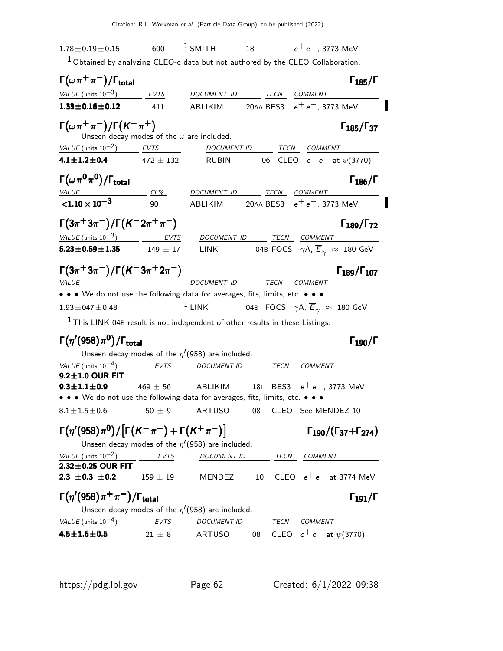$1.78 \pm 0.19 \pm 0.15$  600  $^1$  SMITH 18  $e^+e^-$ , 3773 MeV  $1$  Obtained by analyzing CLEO-c data but not authored by the CLEO Collaboration.  $\Gamma(\omega \, \pi^+ \, \pi^-)/\Gamma_{\rm total}$  Γ<sub>185</sub>/Γ /Γ $_{\rm total}$ Γ $_{185}/$ Γ VALUE (units  $10^{-3}$ ) EVTS DOCUMENT ID TECN COMMENT **1.33±0.16±0.12** 411 ABLIKIM 20AA BES3  $e^+e^-$ , 3773 MeV  $\Gamma(\omega \pi^+ \pi^-)/\Gamma(K^-\pi^+)$  Γ<sub>185</sub>/Γ<sub>37</sub>  $\Gamma_{185}/\Gamma_{37}$ Unseen decay modes of the  $\omega$  are included.  $VALUE$  (units 10<sup>-2</sup>) EVTS DOCUMENT ID TECN COMMENT **4.1±1.2±0.4** 472 ± 132 RUBIN 06 CLEO  $e^+e^-$  at  $\psi(3770)$  $\Gamma(\omega \, \pi^{\bm{0}} \, \pi^{\bm{0}})/\Gamma_{\bm{\text{total}}}$  Γ<sub>186</sub>/Γ VALUE CL<sup>%</sup> DOCUMENT ID TECN COMMENT  $<$ 1.10  $\times$  10<sup>-3</sup> 90 ABLIKIM 20AA BES3  $e^+e^-$ , 3773 MeV Γ $(3\pi^+3\pi^-)/\Gamma(K^-2\pi^+\pi^-)$  Γ $_{189}/\Gamma_{72}$ Γ189/Γ VALUE (units  $10^{-3}$ ) EVTS DOCUMENT ID TECN COMMENT **5.23±0.59±1.35** 149 ± 17 LINK 04B FOCS  $\gamma A$ ,  $\overline{E}_{\gamma} \approx 180$  GeV Γ $(3\pi^+3\pi^-)/\Gamma\bigl(\mathcal{K}^-3\pi^+2\pi^-\bigr)$  Γ $_{189}/\Gamma_{107}$  $\Gamma_{189}/\Gamma_{107}$ VALUE  $\overline{V}$  DOCUMENT ID TECN COMMENT • • • We do not use the following data for averages, fits, limits, etc. • • •  $1.93\pm047\pm0.48$  1 LINK 04B FOCS  $\gamma$ A,  $\overline{E}_{\gamma} \approx 180$  GeV  $<sup>1</sup>$  This LINK 04B result is not independent of other results in these Listings.</sup> Γ $(\eta'$ (958)π<sup>0</sup>)/Γ<sub>total</sub>Γ Γιατρικής Γιατρικής Γιατρικής Γιατρικής Γιατρικής Γιατρικής Γιατρικής Γιατρικής Γιατρικής /Γ $_{\rm total}$ Γ $_{190}$ /Γ Unseen decay modes of the  $\eta'(958)$  are included. VALUE (units  $10^{-4}$ ) EVTS DOCUMENT ID TECN COMMENT  $9.2 \pm 1.0$  OUR FIT<br> $9.3 \pm 1.1 \pm 0.9$  $469 \pm 56$  ABLIKIM 18L BES3  $e^+e^-$ , 3773 MeV • • • We do not use the following data for averages, fits, limits, etc. • • •  $8.1 \pm 1.5 \pm 0.6$  50  $\pm$  9 ARTUSO 08 CLEO See MENDEZ 10  $\Gamma(\eta' (958)\pi^0)/\big[\Gamma(K^-\pi^+)+\Gamma(K^+\pi^-)\big] \qquad\qquad\qquad\qquad \Gamma_{190}/(\Gamma_{37}+\Gamma_{274})$  $\Gamma_{190}/(\Gamma_{37}+\Gamma_{274})$ 19037Unseen decay modes of the <sup>η</sup> ′ (958) are included.  $VALUE$  (units 10<sup>-2</sup>) EVTS DOCUMENT ID TECN COMMENT  $2.32 \pm 0.25$  OUR FIT<br>2.3  $\pm 0.3$   $\pm 0.2$  $2.159 \pm 19$  MENDEZ 10 CLEO  $e^+e^-$  at 3774 MeV  $\Gamma(\eta^\prime(958)\pi^+\pi^-)/\Gamma_{\rm total}$  Γ<sub>191</sub>/Γ  $\Gamma_{191}/\Gamma$ Unseen decay modes of the  $\eta'(958)$  are included. VALUE (units  $10^{-4}$ ) ) EVTS DOCUMENT ID TECN COMMENT **4.5±1.6±0.5** 21 ± 8 ARTUSO 08 CLEO  $e^+e^-$  at  $\psi(3770)$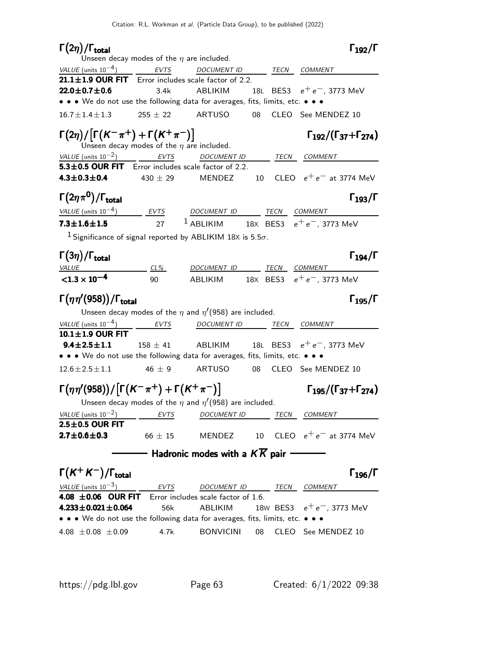| $\Gamma(2\eta)/\Gamma_{\rm total}$                                                                          | Unseen decay modes of the $\eta$ are included. |                                                                              |    |                              | $\Gamma_{192}/\Gamma$                     |
|-------------------------------------------------------------------------------------------------------------|------------------------------------------------|------------------------------------------------------------------------------|----|------------------------------|-------------------------------------------|
| VALUE (units $10^{-4}$ )                                                                                    | <b>EVTS</b>                                    | DOCUMENT ID _____ TECN COMMENT                                               |    |                              |                                           |
| $21.1 \pm 1.9$ OUR FIT Error includes scale factor of 2.2.                                                  |                                                |                                                                              |    |                              |                                           |
| $22.0 \pm 0.7 \pm 0.6$                                                                                      | 3.4k                                           | ABLIKIM                                                                      |    | 18L BES3 $e^+e^-$ , 3773 MeV |                                           |
| • • • We do not use the following data for averages, fits, limits, etc. • • •                               |                                                |                                                                              |    |                              |                                           |
| $16.7 \pm 1.4 \pm 1.3$                                                                                      |                                                | $255 \pm 22$ ARTUSO 08                                                       |    | CLEO See MENDEZ 10           |                                           |
| $\Gamma(2\eta)/\big[\Gamma(K^-\pi^+)+\Gamma(K^+\pi^-)\big]$                                                 | Unseen decay modes of the $\eta$ are included. |                                                                              |    |                              | $\Gamma_{192}/(\Gamma_{37}+\Gamma_{274})$ |
| VALUE (units $10^{-2}$ )                                                                                    | <b>EVTS</b>                                    | <b>DOCUMENT ID</b>                                                           |    | TECN COMMENT                 |                                           |
| 5.3±0.5 OUR FIT Error includes scale factor of 2.2.                                                         |                                                |                                                                              |    |                              |                                           |
| $4.3 \pm 0.3 \pm 0.4$                                                                                       | 430 $\pm$ 29                                   | MENDEZ                                                                       | 10 |                              | CLEO $e^+e^-$ at 3774 MeV                 |
| $\Gamma(2\eta\pi^0)/\Gamma_{\rm total}$                                                                     |                                                |                                                                              |    |                              | $\Gamma_{193}/\Gamma$                     |
| $VALUE$ (units $10^{-4}$ ) EVTS DOCUMENT ID TECN COMMENT                                                    |                                                |                                                                              |    |                              |                                           |
| $7.3 \pm 1.6 \pm 1.5$                                                                                       | 27                                             | $1$ ABLIKIM $18x$ BES3 $e^+e^-$ , 3773 MeV                                   |    |                              |                                           |
| <sup>1</sup> Significance of signal reported by ABLIKIM 18X is 5.5 $\sigma$ .                               |                                                |                                                                              |    |                              |                                           |
| $\Gamma(3\eta)/\Gamma_{\rm total}$                                                                          |                                                |                                                                              |    |                              | $\Gamma_{194}/\Gamma$                     |
| VALUE                                                                                                       | $CL\%$                                         | DOCUMENT ID TECN COMMENT                                                     |    |                              |                                           |
| $< 1.3 \times 10^{-4}$                                                                                      | 90                                             | ABLIKIM 18X BES3 $e^+e^-$ , 3773 MeV                                         |    |                              |                                           |
|                                                                                                             |                                                |                                                                              |    |                              |                                           |
| $\Gamma(\eta\eta'(958))/\Gamma_{\rm total}$                                                                 |                                                |                                                                              |    |                              | $\Gamma_{195}/\Gamma$                     |
|                                                                                                             |                                                | Unseen decay modes of the $\eta$ and $\eta$ <sup>'</sup> (958) are included. |    |                              |                                           |
| VALUE (units $10^{-4}$ )<br>10.1±1.9 OUR FIT                                                                | <b>EVTS</b>                                    | DOCUMENT ID TECN                                                             |    | COMMENT                      |                                           |
| $9.4 \pm 2.5 \pm 1.1$                                                                                       | $158 \pm 41$                                   | ABLIKIM                                                                      |    | 18L BES3 $e^+e^-$ , 3773 MeV |                                           |
| • • • We do not use the following data for averages, fits, limits, etc. • • •                               |                                                |                                                                              |    |                              |                                           |
| $12.6 \pm 2.5 \pm 1.1$                                                                                      | $46 \pm 9$                                     | ARTUSO 08 CLEO See MENDEZ 10                                                 |    |                              |                                           |
| $\Gamma(\eta\eta'(958))/[\Gamma(K^-\pi^+)+\Gamma(K^+\pi^-)]$                                                |                                                |                                                                              |    |                              | $\Gamma_{195}/(\Gamma_{37}+\Gamma_{274})$ |
|                                                                                                             |                                                | Unseen decay modes of the $\eta$ and $\eta$ <sup>'</sup> (958) are included. |    |                              |                                           |
| VALUE (units $10^{-2}$ )                                                                                    | <b>EVTS</b>                                    | DOCUMENT ID                                                                  |    | TECN<br><b>COMMENT</b>       |                                           |
| $2.5 \pm 0.5$ OUR FIT<br>$2.7 \pm 0.6 \pm 0.3$                                                              | $66 \pm 15$                                    | MENDEZ                                                                       | 10 |                              | CLEO $e^+e^-$ at 3774 MeV                 |
|                                                                                                             |                                                | Hadronic modes with a $K\overline{K}$ pair                                   |    |                              |                                           |
|                                                                                                             |                                                |                                                                              |    |                              |                                           |
| $\Gamma(K^+K^-)/\Gamma_{\rm total}$                                                                         |                                                |                                                                              |    |                              | $\Gamma_{196}/\Gamma$                     |
| VALUE (units $10^{-3}$ )                                                                                    | EVTS                                           | DOCUMENT ID                                                                  |    | TECN<br><b>COMMENT</b>       |                                           |
| 4.08 ±0.06 OUR FIT                                                                                          |                                                | Error includes scale factor of 1.6.                                          |    |                              |                                           |
| $4.233 \pm 0.021 \pm 0.064$                                                                                 | 56k                                            | ABLIKIM                                                                      |    | 18w BES3 $e^+e^-$ , 3773 MeV |                                           |
| • • • We do not use the following data for averages, fits, limits, etc. • • •<br>4.08 $\pm$ 0.08 $\pm$ 0.09 | 4.7k                                           | <b>BONVICINI</b>                                                             | 08 | CLEO See MENDEZ 10           |                                           |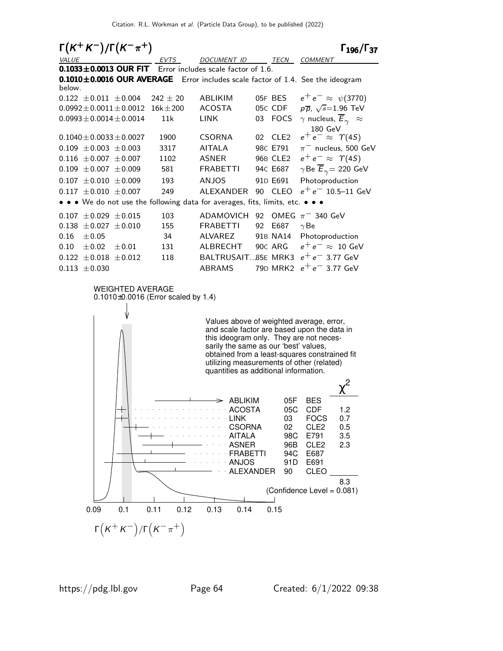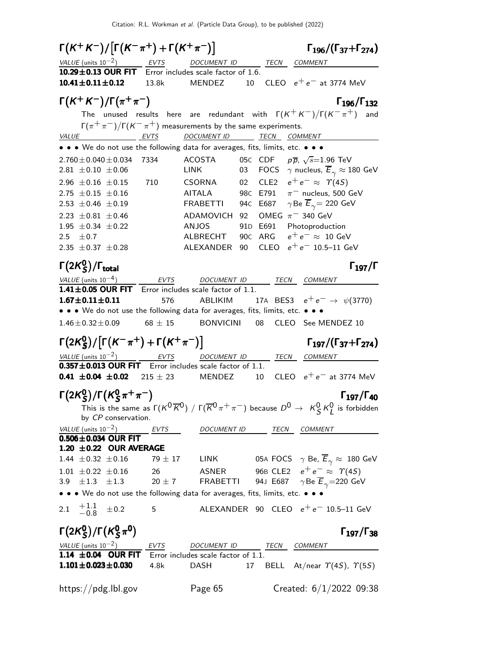$\Gamma(K^+K^-)/[\Gamma(K^-\pi^+)+\Gamma(K^+\pi^-)]$   $\Gamma_{196}/(\Gamma_{37}+\Gamma_{274})$  $\Gamma_{196}/(\Gamma_{37}+\Gamma_{274})$ VALUE (units  $10^{-2}$ ) EVTS DOCUMENT ID TECN COMMENT **10.29** $\pm$ **0.13 OUR FIT** Error includes scale factor of 1.6.<br>**10.41** $\pm$ 0.11 $\pm$ 0.12 13.8k MENDEZ 10 13.8k MENDEZ 10 CLEO  $e^+e^-$  at 3774 MeV  $\Gamma(K^+ K^-)/\Gamma(\pi^+ \pi^-)$  Γ<sub>196</sub>/Γ<sub>132</sub> Γ196/Γ132 The unused results here are redundant with  $\Gamma(K^+K^-)/\Gamma(K^-\pi^+)$  and Γ $(\pi^+\pi^-)/$ Γ $(K^-\pi^+)$  measurements by the same experiments. VALUE EVTS DOCUMENT ID TECN COMMENT • • • We do not use the following data for averages, fits, limits, etc. • • •  $2.760 \pm 0.040 \pm 0.034$  7334 ACOSTA<br>2.81  $\pm$ 0.10  $\pm$ 0.06 LINK  $\sqrt{s}$ =1.96 TeV 03  $\cdot$  FOCS  $\gamma$  nucleus,  $\overline{E}_{\gamma} \approx 180 \text{ GeV}$ 2.96 ±0.16 ±0.15 710 CSORNA 02 CLE2  $e^+e^- \approx \gamma(4S)$ <br>2.75 ±0.15 ±0.16 AITALA 98C E791  $\pi^-$  nucleus, 500  $2.75 \pm 0.15 \pm 0.16$  AITALA 98C E791  $\pi^-$  nucleus, 500 GeV<br>  $2.53 \pm 0.46 \pm 0.19$  FRABETTI 94C E687  $\gamma$ Be  $\overline{E}_{\gamma} = 220$  GeV 94C E687  $\gamma$ Be  $\overline{E}_{\gamma}$  = 220 GeV  $2.23 \pm 0.81 \pm 0.46$  ADAMOVICH 92 OMEG π<sup>-</sup> 340 GeV<br>1.95 ± 0.34 ± 0.22 ANJOS 91D E691 Photoproduc 1.95  $\pm$  0.34  $\pm$  0.22 ANJOS 91D E691 Photoproduction<br>2.5 + 0.7 ALBRECHT 90C ARG  $e^+e^- \approx 10$  Ge  $2.5 \pm 0.7$   $\pm 0.37 \pm 0.28$   $\hbox{ALEXANDER}$  90 $\hbox{CLEO}$   $e^+e^- \approx 10 \hbox{ GeV}$ <br> $2.35 \pm 0.37 \pm 0.28$   $\hbox{ALEXANDER}$  90  $\hbox{CLEO}$   $e^+e^ 10.5-11 \hbox{ GeV}$ ALEXANDER 90 CLEO  $e^+e^-$  10.5–11 GeV Γ $(2K^0_S$ Γ(2 $\mathcal{K}_{\mathcal{S}}^{0}$ )/Γ<sub>total</sub> Γ<sub>197</sub>/Γ /Γ $_{\rm total}$  Γ $_{197}$ /Γ VALUE (units 10−4) EVTS DOCUMENT ID TECN COMMENT  $1.41\pm0.05$  OUR FIT Error includes scale factor of 1.1. **1.67±0.11±0.11** 576 ABLIKIM 17A BES3  $e^+e^- \rightarrow \psi(3770)$ • • • We do not use the following data for averages, fits, limits, etc. • • •  $1.46\pm0.32\pm0.09$  68  $\pm$  15 BONVICINI 08 CLEO See MENDEZ 10 Γ $(2{\sf K}_{\sf S}^0$  $(S/K^0)(\Gamma(K^-\pi^+) + \Gamma(K^+\pi^-))$  Γ<sub>197</sub>/(Γ<sub>37</sub>+Γ<sub>274</sub>)  $\Gamma(2K^0_S)/[\Gamma(K^-\pi^+)+\Gamma(K^+\pi^-)]$   $\qquad \qquad \Gamma_{197}/(\Gamma_{37}+\Gamma_{274})$ Γ $_{197}/$ (Γ $_{37}$ +Γ $_{274}$ )  $VALU E$  (units 10<sup>-2</sup>) EVTS DOCUMENT ID TECN COMMENT **0.357** $\pm$ **0.013 OUR FIT** Error includes scale factor of 1.1.<br>**0.41**  $\pm$ **0.04**  $\pm$ **0.02** 215  $\pm$  23 MENDEZ 10 10  $\,$  CLEO  $\,$   $\mathrm{e^+e^-}$  at 3774 MeV Γ $(2{\sf K}_{\sf S}^0$  $_{\textsf{S}}^{0})$ /Γ $(\mathcal{K}_{\textsf{S}}^{0}$ Γ(2 $\kappa_S^0$ )/Γ( $\kappa_S^0 \pi^+ \pi^-$ ) (197/Γ40)  $\Gamma_{197}/\Gamma_{40}$ This is the same as  $\Gamma(\mathcal{K}^0\overline{\mathcal{K}}^0)$  /  $\Gamma(\overline{\mathcal{K}}^0\pi^+\pi^-)$  because  $D^0\to~\mathcal{K}^0_S\,\mathcal{K}^0_L$  is forbidden by CP conservation.  $VALU E$  (units 10<sup>-2</sup>) EVTS DOCUMENT ID TECN COMMENT  $0.506 \pm 0.034$  OUR FIT **1.20**  $\pm$ **0.22 OUR AVERAGE**<br>1.44  $\pm$ 0.32  $\pm$ 0.16 79  $\pm$  17 LINK  $0.5A \text{ FOCS} \quad \gamma \text{ Be, } \overline{E}_{\gamma} \approx 180 \text{ GeV}$ 1.01 ± 0.22 ± 0.16 26 ASNER 96B CLE2  $e^+e^-$  ≈  $\gamma$ (4*S*)<br>3.9 ± 1.3 ± 1.3 20 ± 7 FRABETTI 94J E687  $\gamma$  Be  $\overline{E}_e$  = 220 GeV 94J E687  $\gamma$ Be  $\overline{E}_{\gamma}$ =220 GeV • • • We do not use the following data for averages, fits, limits, etc. • • • 2.1  $\pm 1.1$ <br> $-0.8$  $-0.8$  $5$  ALEXANDER 90 CLEO  $e^+e^-$  10.5–11 GeV Γ $(2K^0_S$  $_S^0$ )/Γ(Κ $_S^0$ Γ(2K<sup>0</sup>S)/Γ(K<sup>0</sup>Sπ<sup>0</sup>) Γ<sub>197</sub>/Γ<sub>38</sub>  $\Gamma_{197}/\Gamma_{38}$  $VALUE$  (units 10<sup>-2</sup>) EVTS DOCUMENT ID TECN COMMENT 1.14  $\pm$  0.04 OUR FIT Error includes scale factor of 1.1.<br>1.101 $\pm$ 0.023 $\pm$ 0.030 4.8k DASH 17 17 BELL At/near  $\Upsilon(4S)$ ,  $\Upsilon(5S)$ https://pdg.lbl.gov Page 65 Created: 6/1/2022 09:38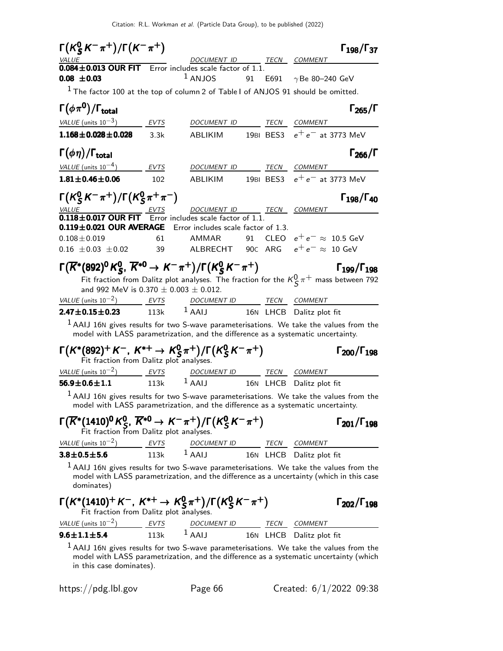| $\Gamma(K_S^0 K^- \pi^+)/\Gamma(K^- \pi^+)$                                                                                                                                                                                                                                                                                            |             |                                                             |    | $\Gamma_{198}/\Gamma_{37}$                                                                                                                                                           |
|----------------------------------------------------------------------------------------------------------------------------------------------------------------------------------------------------------------------------------------------------------------------------------------------------------------------------------------|-------------|-------------------------------------------------------------|----|--------------------------------------------------------------------------------------------------------------------------------------------------------------------------------------|
| VALUE<br>$\frac{6.662}{0.084 \pm 0.013}$ OUR FIT Error includes scale factor of 1.1.                                                                                                                                                                                                                                                   |             | DOCUMENT ID TECN COMMENT                                    |    |                                                                                                                                                                                      |
| $0.08 \pm 0.03$                                                                                                                                                                                                                                                                                                                        |             | $1$ ANJOS                                                   | 91 | E691 $\gamma$ Be 80-240 GeV                                                                                                                                                          |
| $1$ The factor 100 at the top of column 2 of Table I of ANJOS 91 should be omitted.                                                                                                                                                                                                                                                    |             |                                                             |    |                                                                                                                                                                                      |
| $\Gamma(\phi\pi^0)/\Gamma_{\rm total}$                                                                                                                                                                                                                                                                                                 |             |                                                             |    | $\Gamma_{265}/\Gamma$                                                                                                                                                                |
| VALUE (units $10^{-3}$ )                                                                                                                                                                                                                                                                                                               | <b>EVTS</b> | DOCUMENT ID                                                 |    | TECN COMMENT                                                                                                                                                                         |
| $1.168 \pm 0.028 \pm 0.028$                                                                                                                                                                                                                                                                                                            | 3.3k        | <b>ABLIKIM</b>                                              |    | 19BI BES3 $e^+e^-$ at 3773 MeV                                                                                                                                                       |
| $\Gamma(\phi \eta)/\Gamma_{\rm total}$                                                                                                                                                                                                                                                                                                 |             |                                                             |    | $\Gamma_{266}/\Gamma$                                                                                                                                                                |
| VALUE (units $10^{-4}$ )                                                                                                                                                                                                                                                                                                               | EVTS        | DOCUMENT ID                                                 |    | TECN COMMENT                                                                                                                                                                         |
| $1.81 \pm 0.46 \pm 0.06$                                                                                                                                                                                                                                                                                                               | 102         | ABLIKIM                                                     |    | 19BI BES3 $e^+e^-$ at 3773 MeV                                                                                                                                                       |
| $\Gamma(K_S^0 K^- \pi^+) / \Gamma(K_S^0 \pi^+ \pi^-)$<br><b>VALUE</b>                                                                                                                                                                                                                                                                  |             | DOCUMENT ID TECN COMMENT                                    |    | $\Gamma_{198}/\Gamma_{40}$                                                                                                                                                           |
| $\underbrace{VALU E}$<br><b>0.118±0.017 OUR FIT</b> Error includes scale factor of 1.1.                                                                                                                                                                                                                                                |             |                                                             |    |                                                                                                                                                                                      |
| 0.119±0.021 OUR AVERAGE Error includes scale factor of 1.3.                                                                                                                                                                                                                                                                            |             |                                                             |    |                                                                                                                                                                                      |
| $0.108 \pm 0.019$                                                                                                                                                                                                                                                                                                                      | 61          | AMMAR                                                       |    | 91 CLEO $e^+e^- \approx 10.5$ GeV                                                                                                                                                    |
| $0.16 \pm 0.03 \pm 0.02$                                                                                                                                                                                                                                                                                                               | 39          |                                                             |    | ALBRECHT $\,$ 90c $\,$ ARG $\,$ $\,$ $e^+$ $e^- \approx \,$ 10 GeV                                                                                                                   |
| $\Gamma(\overline{K}^*(892)^0 K^0_S, \overline{K}^{*0} \to K^-\pi^+)/\Gamma(K^0_S K^-\pi^+)$                                                                                                                                                                                                                                           |             |                                                             |    | $\Gamma_{199}/\Gamma_{198}$<br>Fit fraction from Dalitz plot analyses. The fraction for the $K^0_S \pi^+$ mass between 792                                                           |
| and 992 MeV is 0.370 $\pm$ 0.003 $\pm$ 0.012.<br>VALUE (units $10^{-2}$ ) EVTS                                                                                                                                                                                                                                                         |             |                                                             |    |                                                                                                                                                                                      |
| $2.47 \pm 0.15 \pm 0.23$                                                                                                                                                                                                                                                                                                               | <b>113k</b> | DOCUMENT ID TECN COMMENT<br>$1$ AAIJ                        |    | 16N LHCB Dalitz plot fit                                                                                                                                                             |
|                                                                                                                                                                                                                                                                                                                                        |             |                                                             |    | $1$ AAIJ 16N gives results for two S-wave parameterisations. We take the values from the                                                                                             |
|                                                                                                                                                                                                                                                                                                                                        |             |                                                             |    | model with LASS parametrization, and the difference as a systematic uncertainty.                                                                                                     |
| $\Gamma(K^*(892)^+ K^-, K^{*+} \to K^0_S \pi^+)/\Gamma(K^0_S K^- \pi^+)$<br>Fit fraction from Dalitz plot analyses.                                                                                                                                                                                                                    |             |                                                             |    | $\Gamma_{200}/\Gamma_{198}$                                                                                                                                                          |
| VALUE (units $10^{-2}$ ) EVTS                                                                                                                                                                                                                                                                                                          |             | DOCUMENT ID TECN COMMENT                                    |    |                                                                                                                                                                                      |
| $56.9 \pm 0.6 \pm 1.1$                                                                                                                                                                                                                                                                                                                 | 113k        | $1$ AAIJ                                                    |    | 16N LHCB Dalitz plot fit                                                                                                                                                             |
|                                                                                                                                                                                                                                                                                                                                        |             |                                                             |    | $1$ AAIJ 16N gives results for two S-wave parameterisations. We take the values from the<br>model with LASS parametrization, and the difference as a systematic uncertainty.         |
| $\Gamma(\overline{K}^*(1410)^0 K^0_S, \overline{K}^{*0} \to K^-\pi^+)/\Gamma(K^0_S K^-\pi^+)$<br>Fit fraction from Dalitz plot analyses.                                                                                                                                                                                               |             |                                                             |    | $\Gamma_{201}/\Gamma_{198}$                                                                                                                                                          |
| VALUE (units $10^{-2}$ )                                                                                                                                                                                                                                                                                                               | EVTS        | DOCUMENT ID TECN COMMENT<br>1 AAIJ 16N LHCB Dalitz plot fit |    |                                                                                                                                                                                      |
| $3.8 \pm 0.5 \pm 5.6$                                                                                                                                                                                                                                                                                                                  | 113k        |                                                             |    |                                                                                                                                                                                      |
| dominates)                                                                                                                                                                                                                                                                                                                             |             |                                                             |    | $1$ AAIJ 16N gives results for two S-wave parameterisations. We take the values from the<br>model with LASS parametrization, and the difference as a uncertainty (which in this case |
| $\Gamma(K^*(1410)^+K^-, K^{*+} \to K_S^0 \pi^+)/\Gamma(K_S^0 K^- \pi^+)$<br>Fit fraction from Dalitz plot analyses.                                                                                                                                                                                                                    |             |                                                             |    | $\Gamma_{202}/\Gamma_{198}$                                                                                                                                                          |
|                                                                                                                                                                                                                                                                                                                                        |             |                                                             |    |                                                                                                                                                                                      |
| $\frac{VALUE \text{ (units 10}^{-2})}{113k}$ $\frac{EVTS}{1}$ $\frac{DOCUMENT ID}{16N}$ $\frac{TECN}{LHCB}$ $\frac{COMMENT}{Dalitz}$ for $\frac{1}{12}$ $\frac{1}{12}$ $\frac{1}{12}$ $\frac{1}{12}$ $\frac{1}{12}$ $\frac{1}{12}$ $\frac{1}{12}$ $\frac{1}{12}$ $\frac{1}{12}$ $\frac{1}{12}$ $\frac{1}{12}$ $\frac{1}{12}$ $\frac{1$ |             |                                                             |    |                                                                                                                                                                                      |
|                                                                                                                                                                                                                                                                                                                                        |             |                                                             |    | $1$ AAIJ 16N gives results for two S-wave parameterisations. We take the values from the                                                                                             |

model with LASS parametrization, and the difference as a systematic uncertainty (which in this case dominates).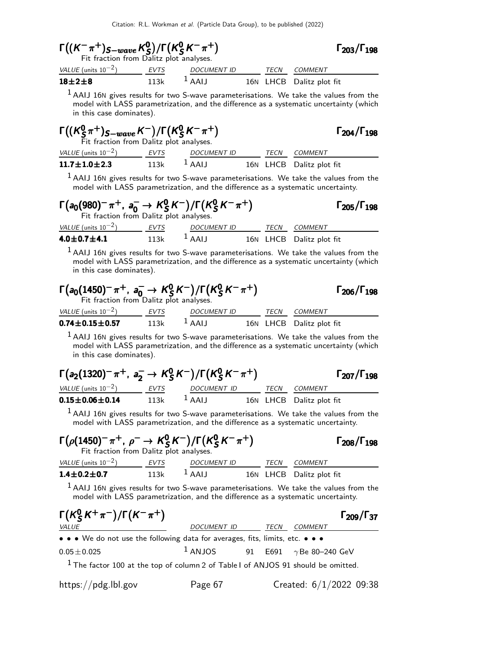| $\Gamma((K^-\pi^+)_{S-wave}K^0_S)/\Gamma(K^0_SK^-\pi^+)$<br>Fit fraction from Dalitz plot analyses.                                                                                              |             |                                 |     |      | $\Gamma_{203}/\Gamma_{198}$                                                                                                                                                                                       |
|--------------------------------------------------------------------------------------------------------------------------------------------------------------------------------------------------|-------------|---------------------------------|-----|------|-------------------------------------------------------------------------------------------------------------------------------------------------------------------------------------------------------------------|
| <u>VALUE</u> (units $10^{-2}$ ) EVTS                                                                                                                                                             |             | DOCUMENT ID TECN COMMENT        |     |      |                                                                                                                                                                                                                   |
| $18 + 2 + 8$                                                                                                                                                                                     | 113k        | $1$ AAIJ                        |     |      | 16N LHCB Dalitz plot fit                                                                                                                                                                                          |
| in this case dominates).                                                                                                                                                                         |             |                                 |     |      | $1$ AAIJ 16N gives results for two S-wave parameterisations. We take the values from the<br>model with LASS parametrization, and the difference as a systematic uncertainty (which                                |
| $\Gamma((K_S^0 \pi^+)_{S-wave} K^-)/\Gamma(K_S^0 K^- \pi^+)$<br>Fit fraction from Dalitz plot analyses.                                                                                          |             |                                 |     |      | $\Gamma_{204}/\Gamma_{198}$                                                                                                                                                                                       |
| VALUE (units $10^{-2}$ ) EVTS                                                                                                                                                                    |             | DOCUMENT ID TECN COMMENT        |     |      |                                                                                                                                                                                                                   |
| $11.7 \pm 1.0 \pm 2.3$                                                                                                                                                                           | 113k        | $1$ AAIJ                        |     |      | 16N LHCB Dalitz plot fit                                                                                                                                                                                          |
|                                                                                                                                                                                                  |             |                                 |     |      | $1$ AAIJ 16N gives results for two S-wave parameterisations. We take the values from the<br>model with LASS parametrization, and the difference as a systematic uncertainty.                                      |
| $\Gamma(a_0(980)^-\pi^+, a_0^- \to K_S^0 K^-)/\Gamma(K_S^0 K^-\pi^+)$<br>Fit fraction from Dalitz plot analyses.                                                                                 |             |                                 |     |      | $\Gamma$ <sub>205</sub> / $\Gamma$ <sub>198</sub>                                                                                                                                                                 |
| VALUE (units $10^{-2}$ ) EVTS<br>$\frac{VALUE \text{ (units 10}^{-2})}{4.0 \pm 0.7 \pm 4.1}$ $\frac{EVTS}{113k}$ $\frac{DOCUMENT ID}{16N \text{ LHCB}}$ $\frac{TECN}{16N}$ $\frac{COMMENT}{16N}$ |             |                                 |     |      |                                                                                                                                                                                                                   |
|                                                                                                                                                                                                  |             |                                 |     |      |                                                                                                                                                                                                                   |
| in this case dominates).<br>$\Gamma(a_0(1450)^{-}\pi^{+}$ , $a_0^{-} \to K_S^0 K^{-})/\Gamma(K_S^0 K^{-}\pi^{+})$<br>Fit fraction from Dalitz plot analyses.                                     |             |                                 |     |      | $1$ AAIJ 16N gives results for two S-wave parameterisations. We take the values from the<br>model with LASS parametrization, and the difference as a systematic uncertainty (which<br>$\Gamma_{206}/\Gamma_{198}$ |
| VALUE (units $10^{-2}$ ) EVTS                                                                                                                                                                    |             | DOCUMENT ID TECN COMMENT        |     |      |                                                                                                                                                                                                                   |
| $0.74 \pm 0.15 \pm 0.57$                                                                                                                                                                         | 113k        | 1 AAIJ 16N LHCB Dalitz plot fit |     |      |                                                                                                                                                                                                                   |
| in this case dominates).                                                                                                                                                                         |             |                                 |     |      | $1$ AAIJ 16N gives results for two S-wave parameterisations. We take the values from the<br>model with LASS parametrization, and the difference as a systematic uncertainty (which                                |
| $\Gamma(a_2(1320)^-\pi^+, a_2^- \to K_S^0 K^-)/\Gamma(K_S^0 K^-\pi^+)$                                                                                                                           |             |                                 |     |      | $\Gamma_{207}/\Gamma_{198}$                                                                                                                                                                                       |
| VALUE (units $10^{-2}$ ) EVTS                                                                                                                                                                    |             | DOCUMENT ID                     |     |      | TECN COMMENT                                                                                                                                                                                                      |
| $0.15 \pm 0.06 \pm 0.14$                                                                                                                                                                         | 113k        | $1$ AAIJ                        |     |      | 16N LHCB Dalitz plot fit                                                                                                                                                                                          |
|                                                                                                                                                                                                  |             |                                 |     |      | $1$ AAIJ 16N gives results for two S-wave parameterisations. We take the values from the<br>model with LASS parametrization, and the difference as a systematic uncertainty.                                      |
| $\Gamma(\rho(1450)^{-}\pi^{+}, \rho^{-} \to K^{0}_{S}K^{-})/\Gamma(K^{0}_{S}K^{-}\pi^{+})$<br>Fit fraction from Dalitz plot analyses.                                                            |             |                                 |     |      | $\Gamma_{208}/\Gamma_{198}$                                                                                                                                                                                       |
| $VALUE$ (units $10^{-2}$ )                                                                                                                                                                       | <b>EVTS</b> | <b>DOCUMENT ID</b>              |     | TECN | COMMENT                                                                                                                                                                                                           |
| $1.4 \pm 0.2 \pm 0.7$                                                                                                                                                                            | 113k        | $1$ AAIJ                        | 16N | LHCB | Dalitz plot fit                                                                                                                                                                                                   |

 $^1$  AAIJ 16N gives results for two S-wave parameterisations. We take the values from the model with LASS parametrization, and the difference as a systematic uncertainty.

 $\mathsf{\Gamma}(\mathsf{K}^0_\mathsf{S})$  $\Gamma(K_S^0 K^+ \pi^-)/\Gamma(K^- \pi^+)$  Γ<sub>209</sub>/Γ<sub>37</sub> Γ209/Γ VALUE DOCUMENT ID TECN COMMENT • • • We do not use the following data for averages, fits, limits, etc. • • •  $0.05 \pm 0.025$ <br> $1$  ANJOS 91 E691  $\gamma$ Be 80- $0.05 \pm 0.025$  1 ANJOS 91 E691  $\gamma$ Be 80–240 GeV 1 The factor 100 at the top of column 2 of Table I of ANJOS 91 should be omitted.

https://pdg.lbl.gov Page 67 Created: 6/1/2022 09:38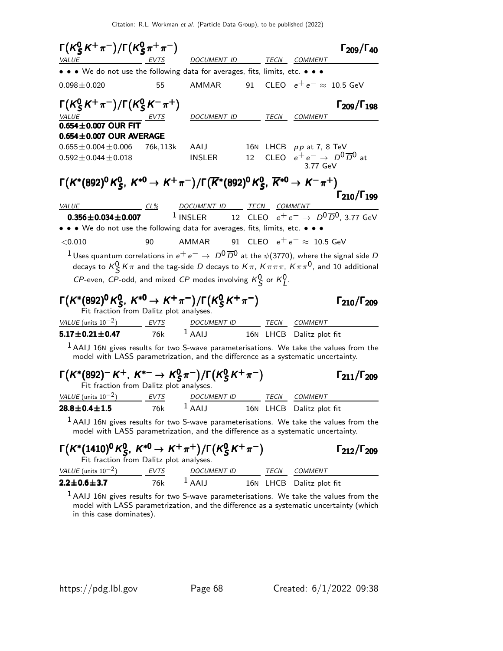| $\Gamma(K_S^0 K^+\pi^-)/\Gamma(K_S^0 \pi^+\pi^-)$<br><i>VALUE</i><br>EVTS                                                                                                                                                                                                                                                      |             | DOCUMENT ID TECN COMMENT                                                      |                 |      |                                   | $\Gamma_{209}/\Gamma_{40}$                     |
|--------------------------------------------------------------------------------------------------------------------------------------------------------------------------------------------------------------------------------------------------------------------------------------------------------------------------------|-------------|-------------------------------------------------------------------------------|-----------------|------|-----------------------------------|------------------------------------------------|
| • • • We do not use the following data for averages, fits, limits, etc. • • •                                                                                                                                                                                                                                                  |             |                                                                               |                 |      |                                   |                                                |
| $0.098 \pm 0.020$                                                                                                                                                                                                                                                                                                              | 55          | AMMAR                                                                         |                 |      | 91 CLEO $e^+e^- \approx 10.5$ GeV |                                                |
| $\Gamma(K_S^0 K^+\pi^-)/\Gamma(K_S^0 K^-\pi^+)$                                                                                                                                                                                                                                                                                |             | DOCUMENT ID                                                                   |                 |      | TECN COMMENT                      | $\Gamma_{209}/\Gamma_{198}$                    |
| $\frac{\text{VALUE}}{\text{0.654} \pm \text{0.007}} \frac{\text{EVTS}}{\text{D0.654}}$                                                                                                                                                                                                                                         |             |                                                                               |                 |      |                                   |                                                |
| $0.654 \pm 0.007$ OUR AVERAGE                                                                                                                                                                                                                                                                                                  |             |                                                                               |                 |      |                                   |                                                |
| $0.655 \pm 0.004 \pm 0.006$                                                                                                                                                                                                                                                                                                    | 76k,113k    | AAIJ                                                                          |                 |      | 16N LHCB $pp$ at 7, 8 TeV         |                                                |
| $0.592 \pm 0.044 \pm 0.018$                                                                                                                                                                                                                                                                                                    |             | INSLER                                                                        | 12              |      | 3.77 GeV                          | CLEO $e^+e^- \rightarrow D^0\overline{D}^0$ at |
| $\Gamma(K^*(892)^0 K^0_S, K^{*0} \to K^+\pi^-)/\Gamma(\overline{K}^*(892)^0 K^0_S, \overline{K}^{*0} \to K^-\pi^+)$                                                                                                                                                                                                            |             |                                                                               |                 |      |                                   |                                                |
|                                                                                                                                                                                                                                                                                                                                |             |                                                                               |                 |      |                                   | $\Gamma_{210}/\Gamma_{199}$                    |
| VALUE CL% DOCUMENT ID TECN COMMENT<br>$0.356 \pm 0.034 \pm 0.007$                                                                                                                                                                                                                                                              |             | <sup>1</sup> INSLER 12 CLEO $e^+e^- \rightarrow D^0\overline{D}^0$ , 3.77 GeV |                 |      |                                   |                                                |
| • • • We do not use the following data for averages, fits, limits, etc. • • •                                                                                                                                                                                                                                                  |             |                                                                               |                 |      |                                   |                                                |
| < 0.010                                                                                                                                                                                                                                                                                                                        | 90          | AMMAR 91 CLEO $e^+e^- \approx 10.5$ GeV                                       |                 |      |                                   |                                                |
| $^1$ Uses quantum correlations in $e^+ \, e^- \rightarrow \, D^0 \overline{D}{}^0$ at the $\psi(3770)$ , where the signal side $D$<br>decays to $K^0_S K \pi$ and the tag-side D decays to $K \pi$ , $K \pi \pi \pi$ , $K \pi \pi^0$ , and 10 additional<br>CP-even, CP-odd, and mixed CP modes involving $K^0_S$ or $K^0_I$ . |             |                                                                               |                 |      |                                   |                                                |
| $\Gamma(K^*(892)^0 K^0_{S}, K^{*0} \to K^+\pi^-)/\Gamma(K^0_{S} K^+\pi^-)$<br>Fit fraction from Dalitz plot analyses.                                                                                                                                                                                                          |             |                                                                               |                 |      |                                   | $\Gamma_{210}/\Gamma_{209}$                    |
|                                                                                                                                                                                                                                                                                                                                |             | DOCUMENT ID TECN COMMENT<br>$^{1}$ AAIJ                                       |                 |      |                                   |                                                |
| $5.17 \pm 0.21 \pm 0.47$                                                                                                                                                                                                                                                                                                       | 76k         |                                                                               |                 |      | 16N LHCB Dalitz plot fit          |                                                |
| $1$ AAIJ 16N gives results for two S-wave parameterisations. We take the values from the<br>model with LASS parametrization, and the difference as a systematic uncertainty.                                                                                                                                                   |             |                                                                               |                 |      |                                   |                                                |
| $\Gamma(K^*(892)^-K^+, K^{*-} \to K^0_S \pi^-)/\Gamma(K^0_S K^+\pi^-)$<br>Fit fraction from Dalitz plot analyses.                                                                                                                                                                                                              |             |                                                                               |                 |      |                                   | $\Gamma_{211}/\Gamma_{209}$                    |
| $VALUE$ (units $10^{-2}$ ) EVTS                                                                                                                                                                                                                                                                                                |             | DOCUMENT ID TECN COMMENT                                                      |                 |      |                                   |                                                |
| $28.8 \pm 0.4 \pm 1.5$                                                                                                                                                                                                                                                                                                         | 76k         | $1$ AAIJ                                                                      |                 |      | 16N LHCB Dalitz plot fit          |                                                |
| $1$ AAIJ 16N gives results for two S-wave parameterisations. We take the values from the<br>model with LASS parametrization, and the difference as a systematic uncertainty.                                                                                                                                                   |             |                                                                               |                 |      |                                   |                                                |
| $\Gamma(K^*(1410)^0 K^0_S, K^{*0} \to K^+\pi^+)/\Gamma(K^0_S K^+\pi^-)$<br>Fit fraction from Dalitz plot analyses.                                                                                                                                                                                                             |             |                                                                               |                 |      |                                   | $\Gamma_{212}/\Gamma_{209}$                    |
| VALUE (units $10^{-2}$ )                                                                                                                                                                                                                                                                                                       | <b>EVTS</b> | <i>DOCUMENT ID</i>                                                            |                 | TECN | <b>COMMENT</b>                    |                                                |
| $2.2 \pm 0.6 \pm 3.7$                                                                                                                                                                                                                                                                                                          | 76k         | $1$ AAIJ                                                                      | 16 <sub>N</sub> | LHCB | Dalitz plot fit                   |                                                |

 $^1$  AAIJ 16N gives results for two S-wave parameterisations. We take the values from the model with LASS parametrization, and the difference as a systematic uncertainty (which in this case dominates).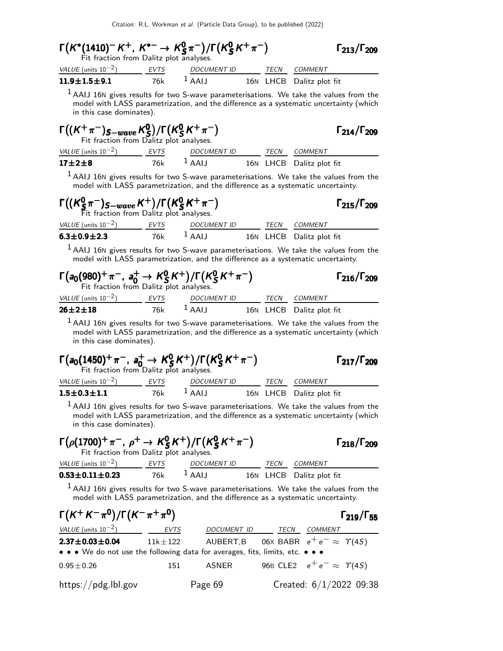| <sup>1</sup> AAIJ 16N gives results for two S-wave parameterisations. We take the values from the<br>model with LASS parametrization, and the difference as a systematic uncertainty (which<br>$\Gamma_{214}/\Gamma_{209}$ |
|----------------------------------------------------------------------------------------------------------------------------------------------------------------------------------------------------------------------------|
|                                                                                                                                                                                                                            |
|                                                                                                                                                                                                                            |
|                                                                                                                                                                                                                            |
|                                                                                                                                                                                                                            |
|                                                                                                                                                                                                                            |
| $1$ AAIJ 16N gives results for two S-wave parameterisations. We take the values from the<br>model with LASS parametrization, and the difference as a systematic uncertainty.<br>$\Gamma_{215}/\Gamma_{209}$                |
|                                                                                                                                                                                                                            |
|                                                                                                                                                                                                                            |
| $1$ AAIJ 16N gives results for two S-wave parameterisations. We take the values from the<br>model with LASS parametrization, and the difference as a systematic uncertainty.                                               |
| $\Gamma_{216}/\Gamma_{209}$                                                                                                                                                                                                |
|                                                                                                                                                                                                                            |
|                                                                                                                                                                                                                            |
| <sup>1</sup> AAIJ 16N gives results for two S-wave parameterisations. We take the values from the<br>model with LASS parametrization, and the difference as a systematic uncertainty (which                                |

| $\Gamma(a_0(1450)^+\pi^-$ , $a_0^+\rightarrow K_S^0 K^+)/\Gamma(K_S^0 K^+\pi^-)$<br>Fit fraction from Dalitz plot analyses. |      |                    |      |                          | $\Gamma_{217}/\Gamma_{209}$ |
|-----------------------------------------------------------------------------------------------------------------------------|------|--------------------|------|--------------------------|-----------------------------|
| VALUE (units $10^{-2}$ )                                                                                                    | EVTS | <b>DOCUMENT ID</b> | TECN | COMMENT                  |                             |
| $1.5 \pm 0.3 \pm 1.1$                                                                                                       | 76k  | $L$ AAIJ           |      | 16N LHCB Dalitz plot fit |                             |

 $^1$  AAIJ 16N gives results for two S-wave parameterisations. We take the values from the model with LASS parametrization, and the difference as a systematic uncertainty (which in this case dominates).

| $\Gamma(\rho(1700)^+\pi^-$ , $\rho^+ \to K_S^0 K^+)/\Gamma(K_S^0 K^+\pi^-)$<br>Fit fraction from Dalitz plot analyses. |      |                    |      |                          | $\Gamma_{218}/\Gamma_{209}$ |
|------------------------------------------------------------------------------------------------------------------------|------|--------------------|------|--------------------------|-----------------------------|
| VALUE (units $10^{-2}$ )                                                                                               | EVTS | <b>DOCUMENT ID</b> | TECN | <i>COMMENT</i>           |                             |
| $0.53 \pm 0.11 \pm 0.23$                                                                                               | 76k  | $L$ AAIJ           |      | 16N LHCB Dalitz plot fit |                             |

 $^1$  AAIJ 16N gives results for two S-wave parameterisations. We take the values from the model with LASS parametrization, and the difference as a systematic uncertainty.

| $\Gamma(K^+ K^- \pi^0)/\Gamma(K^- \pi^+ \pi^0)$                               |             |                  | $\Gamma_{219}/\Gamma_{55}$                      |
|-------------------------------------------------------------------------------|-------------|------------------|-------------------------------------------------|
| <i>VALUE</i> (units $10^{-2}$ )                                               | EVTS        | DOCUMENT ID TECN | COMMENT                                         |
| $2.37 \pm 0.03 \pm 0.04$                                                      | $11k\pm122$ |                  | AUBERT,B 06X BABR $e^+e^- \approx \Upsilon(4S)$ |
| • • • We do not use the following data for averages, fits, limits, etc. • • • |             |                  |                                                 |
| $0.95 \pm 0.26$                                                               | 151         | ASNER            | 96B CLE2 $e^+e^- \approx \Upsilon(4S)$          |
| https://pdg.lbl.gov                                                           |             | Page 69          | Created: $6/1/2022$ 09:38                       |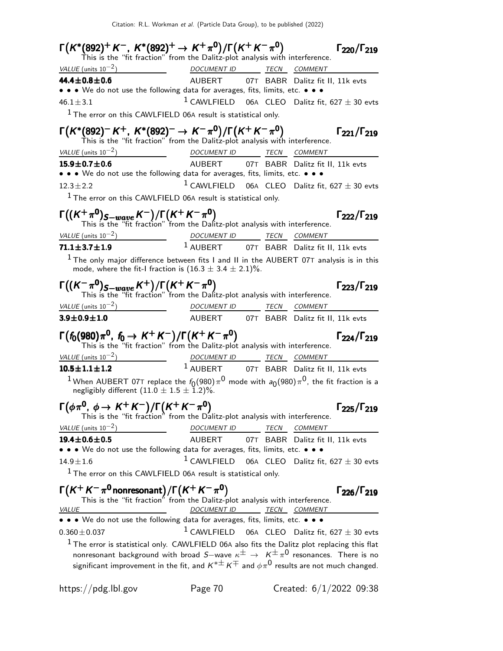| $\Gamma(K^*(892)^+K^-, K^*(892)^+\to K^+\pi^0)/\Gamma(K^+K^-\pi^0)$<br>This is the "fit fraction" from the Dalitz-plot analysis with interference.                                                                                                                                                                                                                                                                                                           |                                                               |      |         | $\Gamma_{220}/\Gamma_{219}$ |
|--------------------------------------------------------------------------------------------------------------------------------------------------------------------------------------------------------------------------------------------------------------------------------------------------------------------------------------------------------------------------------------------------------------------------------------------------------------|---------------------------------------------------------------|------|---------|-----------------------------|
| VALUE (units $10^{-2}$ )<br>DOCUMENT ID TECN COMMENT                                                                                                                                                                                                                                                                                                                                                                                                         |                                                               |      |         |                             |
| 44.4 $\pm$ 0.8 $\pm$ 0.6                                                                                                                                                                                                                                                                                                                                                                                                                                     | AUBERT 07T BABR Dalitz fit II, 11k evts                       |      |         |                             |
| • • • We do not use the following data for averages, fits, limits, etc. • • •                                                                                                                                                                                                                                                                                                                                                                                |                                                               |      |         |                             |
| $46.1 \pm 3.1$                                                                                                                                                                                                                                                                                                                                                                                                                                               | <sup>1</sup> CAWLFIELD 06A CLEO Dalitz fit, 627 $\pm$ 30 evts |      |         |                             |
| <sup>1</sup> The error on this CAWLFIELD 06A result is statistical only.                                                                                                                                                                                                                                                                                                                                                                                     |                                                               |      |         |                             |
| $\Gamma(K^*(892)^- K^+, K^*(892)^- \rightarrow K^-\pi^0)/\Gamma(K^+K^-\pi^0)$<br>This is the "fit fraction" from the Dalitz-plot analysis with interference.                                                                                                                                                                                                                                                                                                 |                                                               |      |         | $\Gamma_{221}/\Gamma_{219}$ |
| VALUE (units $10^{-2}$ )<br><u>DOCUMENT ID TECN COMMENT</u>                                                                                                                                                                                                                                                                                                                                                                                                  |                                                               |      |         |                             |
| $15.9 \pm 0.7 \pm 0.6$<br>• • • We do not use the following data for averages, fits, limits, etc. • • •                                                                                                                                                                                                                                                                                                                                                      | AUBERT 07T BABR Dalitz fit II, 11k evts                       |      |         |                             |
| $12.3 \pm 2.2$                                                                                                                                                                                                                                                                                                                                                                                                                                               | <sup>1</sup> CAWLFIELD 06A CLEO Dalitz fit, 627 $\pm$ 30 evts |      |         |                             |
| $1$ The error on this CAWLFIELD 06A result is statistical only.                                                                                                                                                                                                                                                                                                                                                                                              |                                                               |      |         |                             |
| $\Gamma((K^+\pi^0)_{S-wave} K^-)/\Gamma(K^+K^-\pi^0)$<br>This is the "fit fraction" from the Dalitz-plot analysis with interference.                                                                                                                                                                                                                                                                                                                         |                                                               |      |         | $\Gamma_{222}/\Gamma_{219}$ |
| $\frac{VALUE \text{ (units 10}^{-2})}{71.1 \pm 3.7 \pm 1.9}$ $\frac{DOCUMENT \text{ ID}}{4 \text{ AUBERT}}$ $\frac{TECN}{07T}$ $\frac{COMMENT}{BABR}$ Dalitz fit I                                                                                                                                                                                                                                                                                           |                                                               |      |         |                             |
| 71.1 $\pm$ 3.7 $\pm$ 1.9                                                                                                                                                                                                                                                                                                                                                                                                                                     | <sup>1</sup> AUBERT 07T BABR Dalitz fit II, 11k evts          |      |         |                             |
| $1$ The only major difference between fits I and II in the AUBERT 07T analysis is in this<br>mode, where the fit-I fraction is $(16.3 \pm 3.4 \pm 2.1)\%$ .                                                                                                                                                                                                                                                                                                  |                                                               |      |         |                             |
| $\Gamma((K^{-}\pi^{0})_{S-wave}K^{+})/\Gamma(K^{+}K^{-}\pi^{0})$<br>This is the "fit fraction" from the Dalitz-plot analysis with interference.                                                                                                                                                                                                                                                                                                              |                                                               |      |         | $\Gamma_{223}/\Gamma_{219}$ |
| VALUE (units $10^{-2}$ )<br>$\overline{\phantom{a}}$ . The contract of $\overline{\phantom{a}}$ , $\overline{\phantom{a}}$ , $\overline{\phantom{a}}$ , $\overline{\phantom{a}}$ , $\overline{\phantom{a}}$ , $\overline{\phantom{a}}$ , $\overline{\phantom{a}}$ , $\overline{\phantom{a}}$ , $\overline{\phantom{a}}$ , $\overline{\phantom{a}}$ , $\overline{\phantom{a}}$ , $\overline{\phantom{a}}$ , $\overline{\phantom{a}}$ , $\overline{\phantom{a$ | DOCUMENT ID TECN COMMENT                                      |      |         |                             |
| $3.9 \pm 0.9 \pm 1.0$                                                                                                                                                                                                                                                                                                                                                                                                                                        | AUBERT 07T BABR Dalitz fit II, 11k evts                       |      |         |                             |
| $\Gamma(f_0(980)\pi^0, f_0 \to K^+K^-)/\Gamma(K^+K^-\pi^0)$<br>This is the "fit fraction" from the Dalitz-plot analysis with interference.                                                                                                                                                                                                                                                                                                                   |                                                               |      |         | $\Gamma_{224}/\Gamma_{219}$ |
| VALUE (units $10^{-2}$ )                                                                                                                                                                                                                                                                                                                                                                                                                                     | DOCUMENT ID TECN COMMENT                                      |      |         |                             |
| $10.5 \pm 1.1 \pm 1.2$                                                                                                                                                                                                                                                                                                                                                                                                                                       | 1 AUBERT 07T BABR Dalitz fit II, 11k evts                     |      |         |                             |
| <sup>1</sup> When AUBERT 07T replace the $f_0(980)\pi^0$ mode with $a_0(980)\pi^0$ , the fit fraction is a<br>negligibly different $(11.0 \pm 1.5 \pm 1.2)\%$ .                                                                                                                                                                                                                                                                                              |                                                               |      |         |                             |
| $\Gamma(\phi \pi^0, \phi \to K^+ K^-)/\Gamma(K^+ K^- \pi^0)$<br>This is the "fit fraction" from the Dalitz-plot analysis with interference.                                                                                                                                                                                                                                                                                                                  |                                                               |      |         | $\Gamma_{225}/\Gamma_{219}$ |
| VALUE (units $10^{-2}$ )                                                                                                                                                                                                                                                                                                                                                                                                                                     | DOCUMENT ID                                                   | TECN | COMMENT |                             |
| $19.4 \pm 0.6 \pm 0.5$                                                                                                                                                                                                                                                                                                                                                                                                                                       | AUBERT 07T BABR Dalitz fit II, 11k evts                       |      |         |                             |
| • • • We do not use the following data for averages, fits, limits, etc. • • •                                                                                                                                                                                                                                                                                                                                                                                |                                                               |      |         |                             |
| $14.9 \pm 1.6$                                                                                                                                                                                                                                                                                                                                                                                                                                               | <sup>1</sup> CAWLFIELD 06A CLEO Dalitz fit, 627 $\pm$ 30 evts |      |         |                             |
| <sup>1</sup> The error on this CAWLFIELD 06A result is statistical only.                                                                                                                                                                                                                                                                                                                                                                                     |                                                               |      |         |                             |
| $\Gamma(K^+ K^- \pi^0$ nonresonant) / $\Gamma(K^+ K^- \pi^0)$<br>This is the "fit fraction" from the Dalitz-plot analysis with interference.<br>VALUE                                                                                                                                                                                                                                                                                                        | DOCUMENT ID TECN COMMENT                                      |      |         | $\Gamma_{226}/\Gamma_{219}$ |
| • • • We do not use the following data for averages, fits, limits, etc. • • •                                                                                                                                                                                                                                                                                                                                                                                |                                                               |      |         |                             |
| $0.360 \pm 0.037$                                                                                                                                                                                                                                                                                                                                                                                                                                            | <sup>1</sup> CAWLFIELD 06A CLEO Dalitz fit, 627 $\pm$ 30 evts |      |         |                             |
| $1$ The error is statistical only. CAWLFIELD 06A also fits the Dalitz plot replacing this flat<br>nonresonant background with broad S-wave $\kappa^{\pm} \rightarrow K^{\pm} \pi^{0}$ resonances. There is no<br>significant improvement in the fit, and $\mathsf{K}^{*\pm}\mathsf{K}^{\mp}$ and $\phi\pi^0$ results are not much changed.                                                                                                                   |                                                               |      |         |                             |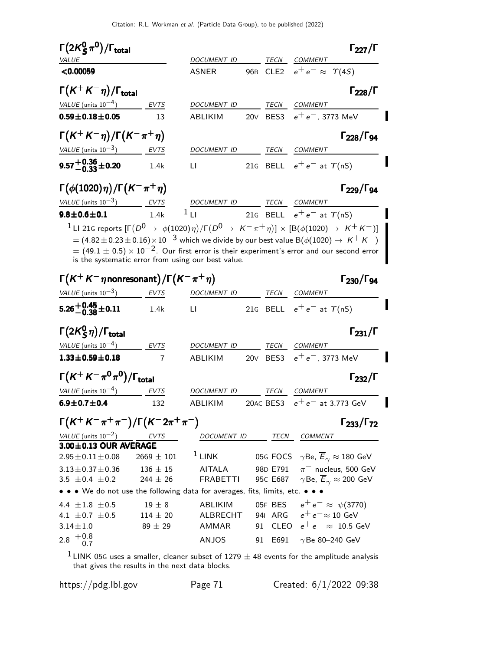| $\Gamma(2K^0_S\pi^0)/\Gamma_{\rm total}$                                                                                                                                                                                                                                                                          |                |                                          |                  |                                                               | $\Gamma_{227}/\Gamma$                                |
|-------------------------------------------------------------------------------------------------------------------------------------------------------------------------------------------------------------------------------------------------------------------------------------------------------------------|----------------|------------------------------------------|------------------|---------------------------------------------------------------|------------------------------------------------------|
| <b>VALUE</b><br>< 0.00059                                                                                                                                                                                                                                                                                         |                | <i>DOCUMENT ID</i><br><b>ASNER</b>       | TECN<br>96B CLE2 | COMMENT<br>$e^+e^- \approx \Upsilon(4S)$                      |                                                      |
|                                                                                                                                                                                                                                                                                                                   |                |                                          |                  |                                                               |                                                      |
| $\Gamma(K^+K^-\eta)/\Gamma_{\rm total}$                                                                                                                                                                                                                                                                           |                |                                          |                  |                                                               | $\Gamma_{228}/\Gamma$                                |
| VALUE (units $10^{-4}$ )                                                                                                                                                                                                                                                                                          | EVTS           | DOCUMENT ID                              | TECN             | <b>COMMENT</b>                                                |                                                      |
| $0.59 \pm 0.18 \pm 0.05$                                                                                                                                                                                                                                                                                          | 13             | ABLIKIM                                  | 20V BES3         | $e^+e^-,$ 3773 MeV                                            |                                                      |
| $\Gamma(K^+K^-\eta)/\Gamma(K^-\pi^+\eta)$                                                                                                                                                                                                                                                                         |                |                                          |                  |                                                               | $\Gamma_{228}/\Gamma_{94}$                           |
| VALUE (units $10^{-3}$ )                                                                                                                                                                                                                                                                                          | EVTS           | DOCUMENT ID                              | TECN             | COMMENT                                                       |                                                      |
| $9.57^{+0.36}_{-0.33}$ ±0.20                                                                                                                                                                                                                                                                                      | 1.4k           | $\mathsf{L}\mathsf{I}$                   |                  | 21G BELL $e^+e^-$ at $\gamma$ (nS)                            |                                                      |
| $\Gamma(\phi(1020)\eta)/\Gamma(\mathsf{K}^-\pi^+\eta)$                                                                                                                                                                                                                                                            |                |                                          |                  |                                                               | $\Gamma_{229}/\Gamma_{94}$                           |
| VALUE (units $10^{-3}$ ) EVTS                                                                                                                                                                                                                                                                                     |                | DOCUMENT ID                              |                  | TECN COMMENT                                                  |                                                      |
| $9.8 \pm 0.6 \pm 0.1$                                                                                                                                                                                                                                                                                             | 1.4k           | $1_{\text{L}1}$                          |                  | 21G BELL $e^+e^-$ at $\Upsilon(nS)$                           |                                                      |
| $=$ (4.82 $\pm$ 0.23 $\pm$ 0.16) $\times$ 10 $^{-3}$ which we divide by our best value B( $\phi(1020)\rightarrow\,$ K $^{+}$ K $^{-})$<br>$=$ (49.1 $\pm$ 0.5) $\times$ 10 <sup>-2</sup> . Our first error is their experiment's error and our second error<br>is the systematic error from using our best value. |                |                                          |                  |                                                               |                                                      |
| $\Gamma\bigl(K^+K^-\eta$ nonresonant $\bigr)/\Gamma\bigl(K^-\pi^+\eta\bigr)$                                                                                                                                                                                                                                      |                |                                          |                  |                                                               | $\Gamma_{230}/\Gamma_{94}$                           |
| VALUE (units $10^{-3}$ ) EVTS                                                                                                                                                                                                                                                                                     |                | DOCUMENT ID                              | TECN             | COMMENT                                                       |                                                      |
| $5.26^{+0.45}_{-0.38}$ ±0.11                                                                                                                                                                                                                                                                                      | 1.4k           | $\mathsf{L}$                             |                  | 21G BELL $e^+e^-$ at $\gamma$ (nS)                            |                                                      |
| $\Gamma\big(2{\sf K}^0_{\sf S}\eta\big)/\Gamma_{\sf total}$                                                                                                                                                                                                                                                       |                |                                          |                  |                                                               | $\Gamma_{231}/\Gamma$                                |
| VALUE (units $10^{-4}$ )                                                                                                                                                                                                                                                                                          | EVTS           | DOCUMENT ID                              | TECN             | <b>COMMENT</b>                                                |                                                      |
| $1.33 \pm 0.59 \pm 0.18$                                                                                                                                                                                                                                                                                          | 7              | ABLIKIM                                  | 20V BES3         | $e^+e^-$ , 3773 MeV                                           |                                                      |
| $\Gamma(\mathcal{K}^+\mathcal{K}^-\pi^0\pi^0)/\Gamma_{\rm total}$                                                                                                                                                                                                                                                 |                |                                          |                  |                                                               | $\Gamma_{232}/\Gamma$                                |
| VALUE (units $10^{-4}$ )                                                                                                                                                                                                                                                                                          | EVTS           | DOCUMENT ID                              | TECN             | <b>COMMENT</b>                                                |                                                      |
| $6.9 \pm 0.7 \pm 0.4$                                                                                                                                                                                                                                                                                             | 132            | ABLIKIM                                  |                  | 20AC BES3 $e^+e^-$ at 3.773 GeV                               |                                                      |
| $\Gamma(K^+K^-\pi^+\pi^-)/\Gamma(K^-2\pi^+\pi^-)$                                                                                                                                                                                                                                                                 |                |                                          |                  |                                                               | $\Gamma_{233}/\Gamma_{72}$                           |
| $\frac{VALUE \text{(units 10}^{-2})}{2.00 \pm 0.13}$ OUR AVERAGE                                                                                                                                                                                                                                                  |                | DOCUMENT ID TECN COMMENT                 |                  |                                                               |                                                      |
| $2.95 \pm 0.11 \pm 0.08$                                                                                                                                                                                                                                                                                          | $2669 \pm 101$ | $1$ LINK                                 |                  | 05G FOCS $\gamma$ Be, $\overline{E}_{\gamma} \approx 180$ GeV |                                                      |
| $3.13 \pm 0.37 \pm 0.36$                                                                                                                                                                                                                                                                                          | $136\pm15$     | AITALA                                   | 98D E791         |                                                               | $\pi^-$ nucleus, 500 GeV                             |
| 3.5 $\pm$ 0.4 $\pm$ 0.2                                                                                                                                                                                                                                                                                           | $244 \pm 26$   | <b>FRABETTI</b>                          | 95C E687         |                                                               | $\gamma$ Be, $\overline{E}_{\gamma} \approx 200$ GeV |
| • • • We do not use the following data for averages, fits, limits, etc. •                                                                                                                                                                                                                                         |                |                                          |                  |                                                               |                                                      |
| 4.4 $\pm 1.8$ $\pm 0.5$                                                                                                                                                                                                                                                                                           | $19\pm8$       | ABLIKIM                                  |                  | 05F BES $e^+e^- \approx \psi(3770)$                           |                                                      |
| 4.1 $\pm$ 0.7 $\pm$ 0.5                                                                                                                                                                                                                                                                                           | $114 \pm 20$   | ALBRECHT 941 ARG $e^+e^- \approx 10$ GeV |                  |                                                               |                                                      |
| $3.14 \pm 1.0$                                                                                                                                                                                                                                                                                                    | $89\pm29$      | AMMAR                                    |                  | 91 CLEO $e^+e^- \approx 10.5$ GeV                             |                                                      |
| $2.8 \begin{array}{c} +0.8 \\ -0.7 \end{array}$                                                                                                                                                                                                                                                                   |                | ANJOS                                    | 91 E691          | $\gamma$ Be 80-240 GeV                                        |                                                      |
|                                                                                                                                                                                                                                                                                                                   |                |                                          |                  |                                                               |                                                      |

 $1$  LINK 05G uses a smaller, cleaner subset of 1279  $\pm$  48 events for the amplitude analysis that gives the results in the next data blocks.

https://pdg.lbl.gov Page 71 Created: 6/1/2022 09:38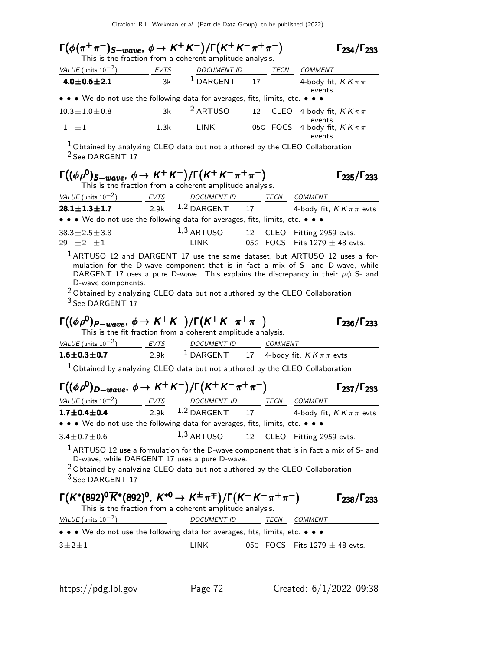| $\Gamma(\phi(\pi^+\pi^-)_{S-wave}, \phi \to K^+K^-)/\Gamma(K^+K^-\pi^+\pi^-)$                                                                                                                                                                                                                                                                                                                                                                                                                                                                                                                                                                                                             |      | This is the fraction from a coherent amplitude analysis.                       |    |      |                                                     | $\Gamma_{234}/\Gamma_{233}$ |
|-------------------------------------------------------------------------------------------------------------------------------------------------------------------------------------------------------------------------------------------------------------------------------------------------------------------------------------------------------------------------------------------------------------------------------------------------------------------------------------------------------------------------------------------------------------------------------------------------------------------------------------------------------------------------------------------|------|--------------------------------------------------------------------------------|----|------|-----------------------------------------------------|-----------------------------|
| VALUE (units $10^{-2}$ ) EVTS                                                                                                                                                                                                                                                                                                                                                                                                                                                                                                                                                                                                                                                             |      |                                                                                |    |      |                                                     |                             |
| $4.0 \pm 0.6 \pm 2.1$                                                                                                                                                                                                                                                                                                                                                                                                                                                                                                                                                                                                                                                                     | 3k   | $\frac{DOCUMENT ID}{DARGENT} \quad \frac{TECN}{4-body fit, KK\pi\pi}$          |    |      | events                                              |                             |
| • • • We do not use the following data for averages, fits, limits, etc. • • •                                                                                                                                                                                                                                                                                                                                                                                                                                                                                                                                                                                                             |      |                                                                                |    |      |                                                     |                             |
| $10.3 \pm 1.0 \pm 0.8$                                                                                                                                                                                                                                                                                                                                                                                                                                                                                                                                                                                                                                                                    | 3k   | <sup>2</sup> ARTUSO                                                            |    |      | 12 CLEO 4-body fit, $KK\pi\pi$                      |                             |
| $1 \pm 1$                                                                                                                                                                                                                                                                                                                                                                                                                                                                                                                                                                                                                                                                                 | 1.3k | <b>LINK</b>                                                                    |    |      | events<br>05G FOCS 4-body fit, $KK\pi\pi$<br>events |                             |
| $1$ Obtained by analyzing CLEO data but not authored by the CLEO Collaboration.<br><sup>2</sup> See DARGENT 17                                                                                                                                                                                                                                                                                                                                                                                                                                                                                                                                                                            |      |                                                                                |    |      |                                                     |                             |
| $\Gamma((\phi \rho^0)_{S-wave}, \phi \to K^+ K^-)/\Gamma(K^+ K^- \pi^+ \pi^-)$                                                                                                                                                                                                                                                                                                                                                                                                                                                                                                                                                                                                            |      | This is the fraction from a coherent amplitude analysis.                       |    |      |                                                     | $\Gamma_{235}/\Gamma_{233}$ |
| VALUE (units $10^{-2}$ ) EVTS                                                                                                                                                                                                                                                                                                                                                                                                                                                                                                                                                                                                                                                             |      | DOCUMENT ID TECN COMMENT                                                       |    |      |                                                     |                             |
| $28.1 \pm 1.3 \pm 1.7$                                                                                                                                                                                                                                                                                                                                                                                                                                                                                                                                                                                                                                                                    |      | 2.9k $1,2$ DARGENT 17 4-body fit, $KK\pi\pi$ evts                              |    |      |                                                     |                             |
| $\bullet \bullet \bullet$ We do not use the following data for averages, fits, limits, etc. $\bullet \bullet \bullet$                                                                                                                                                                                                                                                                                                                                                                                                                                                                                                                                                                     |      |                                                                                |    |      |                                                     |                             |
| $38.3 \pm 2.5 \pm 3.8$<br>29 $\pm 2$ $\pm 1$                                                                                                                                                                                                                                                                                                                                                                                                                                                                                                                                                                                                                                              |      | 1,3 ARTUSO 12 CLEO Fitting 2959 evts.<br>LINK                                  |    |      | 05G FOCS Fits $1279 \pm 48$ evts.                   |                             |
|                                                                                                                                                                                                                                                                                                                                                                                                                                                                                                                                                                                                                                                                                           |      |                                                                                |    |      |                                                     |                             |
| DARGENT 17 uses a pure D-wave. This explains the discrepancy in their $\rho \phi$ S- and<br>D-wave components.<br>$2$ Obtained by analyzing CLEO data but not authored by the CLEO Collaboration.<br>$3$ See DARGENT 17                                                                                                                                                                                                                                                                                                                                                                                                                                                                   |      | This is the fit fraction from a coherent amplitude analysis.                   |    |      |                                                     | $\Gamma_{236}/\Gamma_{233}$ |
|                                                                                                                                                                                                                                                                                                                                                                                                                                                                                                                                                                                                                                                                                           |      | DOCUMENT ID COMMENT                                                            |    |      |                                                     |                             |
|                                                                                                                                                                                                                                                                                                                                                                                                                                                                                                                                                                                                                                                                                           |      |                                                                                |    |      |                                                     |                             |
| $1$ Obtained by analyzing CLEO data but not authored by the CLEO Collaboration.                                                                                                                                                                                                                                                                                                                                                                                                                                                                                                                                                                                                           |      |                                                                                |    |      |                                                     |                             |
|                                                                                                                                                                                                                                                                                                                                                                                                                                                                                                                                                                                                                                                                                           |      |                                                                                |    |      |                                                     | $\Gamma_{237}/\Gamma_{233}$ |
|                                                                                                                                                                                                                                                                                                                                                                                                                                                                                                                                                                                                                                                                                           |      | DOCUMENT ID TECN                                                               |    |      | <b>COMMENT</b>                                      |                             |
|                                                                                                                                                                                                                                                                                                                                                                                                                                                                                                                                                                                                                                                                                           | 2.9k | $1,2$ DARGENT                                                                  | 17 |      | 4-body fit, $KK\pi\pi$ evts                         |                             |
|                                                                                                                                                                                                                                                                                                                                                                                                                                                                                                                                                                                                                                                                                           |      |                                                                                |    |      |                                                     |                             |
|                                                                                                                                                                                                                                                                                                                                                                                                                                                                                                                                                                                                                                                                                           |      | $1,3$ ARTUSO                                                                   | 12 |      | CLEO Fitting 2959 evts.                             |                             |
| $^{\rm 1}$ ARTUSO 12 use a formulation for the D-wave component that is in fact a mix of S- and<br>$2$ Obtained by analyzing CLEO data but not authored by the CLEO Collaboration.<br>$3$ See DARGENT 17                                                                                                                                                                                                                                                                                                                                                                                                                                                                                  |      | D-wave, while DARGENT 17 uses a pure D-wave.                                   |    |      |                                                     |                             |
|                                                                                                                                                                                                                                                                                                                                                                                                                                                                                                                                                                                                                                                                                           |      |                                                                                |    |      |                                                     | $\Gamma_{238}/\Gamma_{233}$ |
|                                                                                                                                                                                                                                                                                                                                                                                                                                                                                                                                                                                                                                                                                           |      | This is the fraction from a coherent amplitude analysis.<br><b>DOCUMENT ID</b> |    | TECN | COMMENT                                             |                             |
|                                                                                                                                                                                                                                                                                                                                                                                                                                                                                                                                                                                                                                                                                           |      |                                                                                |    |      |                                                     |                             |
| $\Gamma((\phi \rho^0)_{P-wave}, \phi \rightarrow K^+K^-)/\Gamma(K^+K^-\pi^+\pi^-)$<br>VALUE (units $10^{-2}$ ) EVTS<br><b>1.6±0.3±0.7</b> 2.9k <sup>1</sup> DARGENT 17 4-body fit, $KK\pi\pi$ evts<br>$\Gamma((\phi \rho^0)_{D-wave}, \phi \to K^+ K^-)/\Gamma(K^+ K^- \pi^+ \pi^-)$<br>VALUE (units $10^{-2}$ ) EVTS<br>$1.7 \pm 0.4 \pm 0.4$<br>• • • We do not use the following data for averages, fits, limits, etc. • • •<br>$3.4 \pm 0.7 \pm 0.6$<br>$\Gamma(K^*(892)^0\overline{K}^*(892)^0, K^{*0} \to K^{\pm}\pi^{\mp})/\Gamma(K^+K^-\pi^+\pi^-)$<br>VALUE (units $10^{-2}$ )<br>• • • We do not use the following data for averages, fits, limits, etc. • • •<br>$3\pm 2\pm 1$ |      | LINK                                                                           |    |      | 05G FOCS Fits 1279 $\pm$ 48 evts.                   |                             |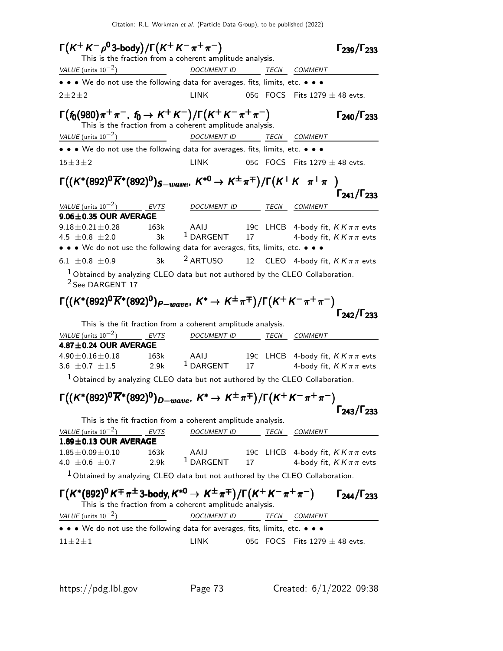| $\Gamma(K^+K^-\rho^03\text{-body})/\Gamma(K^+K^-\pi^+\pi^-)$                                                              |             | This is the fraction from a coherent amplitude analysis.     |    |      | $\Gamma_{239}/\Gamma_{233}$                                            |
|---------------------------------------------------------------------------------------------------------------------------|-------------|--------------------------------------------------------------|----|------|------------------------------------------------------------------------|
| VALUE (units $10^{-2}$ )                                                                                                  |             | <u>DOCUMENT ID TECN COMMENT</u>                              |    |      |                                                                        |
| • • • We do not use the following data for averages, fits, limits, etc. • • •                                             |             |                                                              |    |      |                                                                        |
| $2 + 2 + 2$                                                                                                               |             | <b>LINK</b>                                                  |    |      | 05G FOCS Fits $1279 \pm 48$ evts.                                      |
| $\Gamma(f_0(980)\pi^+\pi^-, f_0 \to K^+K^-)/\Gamma(K^+K^-\pi^+\pi^-)$                                                     |             | This is the fraction from a coherent amplitude analysis.     |    |      | $\Gamma_{240}/\Gamma_{233}$                                            |
| VALUE (units $10^{-2}$ )                                                                                                  |             | DOCUMENT ID TECN COMMENT                                     |    |      |                                                                        |
| • • • We do not use the following data for averages, fits, limits, etc. • • •                                             |             |                                                              |    |      |                                                                        |
| $15 \pm 3 \pm 2$                                                                                                          |             | LINK                                                         |    |      | 05G $\,$ FOCS $\,$ Fits 1279 $\pm$ 48 evts.                            |
| $\Gamma((K^*(892)^0\overline{K}^*(892)^0)_{S-wave}$ , $K^{*0} \rightarrow K^{\pm}\pi^{\mp})/\Gamma(K^+K^-\pi^+\pi^-)$     |             |                                                              |    |      | $\Gamma_{241}/\Gamma_{233}$                                            |
| VALUE (units $10^{-2}$ ) EVTS                                                                                             |             | DOCUMENT ID TECN COMMENT                                     |    |      |                                                                        |
| $9.06 \pm 0.35$ OUR AVERAGE                                                                                               |             |                                                              |    |      |                                                                        |
| $9.18 \pm 0.21 \pm 0.28$<br>4.5 $\pm 0.8 \pm 2.0$                                                                         | 163k<br>3k  | AAIJ<br>$1$ DARGENT                                          | 17 |      | 19C LHCB 4-body fit, $KK\pi\pi$ evts<br>4-body fit, $KK\pi\pi$ evts    |
| • • • We do not use the following data for averages, fits, limits, etc. • • •                                             |             |                                                              |    |      |                                                                        |
| 6.1 $\pm$ 0.8 $\pm$ 0.9<br>$1$ Obtained by analyzing CLEO data but not authored by the CLEO Collaboration.                | 3k          | <sup>2</sup> ARTUSO                                          |    |      | 12 CLEO 4-body fit, $KK\pi\pi$ evts                                    |
| $\Gamma((K^*(892)^0\overline{K}^*(892)^0)_{P-wave}, K^*\to K^{\pm}\pi^{\mp})/\Gamma(K^+K^-\pi^+\pi^-)$                    |             | This is the fit fraction from a coherent amplitude analysis. |    |      | $\Gamma_{242}/\Gamma_{233}$                                            |
| VALUE (units $10^{-2}$ )                                                                                                  | <b>EVTS</b> | DOCUMENT ID TECN COMMENT                                     |    |      |                                                                        |
| 4.87±0.24 OUR AVERAGE<br>$4.90 \pm 0.16 \pm 0.18$<br>$3.6 \pm 0.7 \pm 1.5$ 2.9k                                           | 163k        | AAIJ<br>$1$ DARGENT                                          |    |      | 19C LHCB 4-body fit, $KK\pi\pi$ evts<br>17 4-body fit, $KK\pi\pi$ evts |
| $1$ Obtained by analyzing CLEO data but not authored by the CLEO Collaboration.                                           |             |                                                              |    |      |                                                                        |
| $\Gamma\bigl((K^*(892)^0\overline{K}{}^*(892)^0)_{D-wave},\ K^*\to K^\pm\pi^\mp\bigr)/\Gamma\bigl(K^+K^-\pi^+\pi^-\bigr)$ |             |                                                              |    |      | $\Gamma_{243}/\Gamma_{233}$                                            |
|                                                                                                                           |             | This is the fit fraction from a coherent amplitude analysis. |    |      |                                                                        |
| VALUE (units $10^{-2}$ )<br>$1.89 \pm 0.13$ OUR AVERAGE                                                                   | EVTS        | <b>DOCUMENT ID</b>                                           |    | TECN | COMMENT                                                                |
| $1.85 \pm 0.09 \pm 0.10$                                                                                                  | 163k        | AAIJ                                                         |    |      | 19C LHCB 4-body fit, $KK\pi\pi$ evts                                   |
| 4.0 $\pm$ 0.6 $\pm$ 0.7                                                                                                   | 2.9k        | $1$ DARGENT                                                  | 17 |      | 4-body fit, $KK\pi\pi$ evts                                            |
| $1$ Obtained by analyzing CLEO data but not authored by the CLEO Collaboration.                                           |             |                                                              |    |      |                                                                        |
| $\Gamma(K^*(892)^0 K^\mp \pi^\pm$ 3-body, $K^{*0} \rightarrow K^\pm \pi^\mp)/\Gamma(K^+ K^- \pi^+ \pi^-)$                 |             | This is the fraction from a coherent amplitude analysis.     |    |      |                                                                        |
| $VALUE$ (units $10^{-2}$ )                                                                                                |             | <b>DOCUMENT ID</b>                                           |    | TECN | $\Gamma_{244}/\Gamma_{233}$<br><b>COMMENT</b>                          |
| • • • We do not use the following data for averages, fits, limits, etc. • • •                                             |             |                                                              |    |      |                                                                        |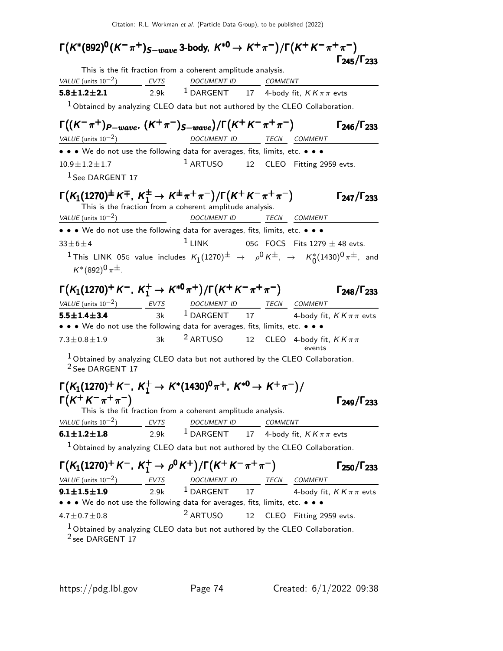| $\Gamma\bigl(\mathcal{K}^*(892)^{\mathsf{0}}(\mathcal{K}^-\pi^+)_{S-wave}$ 3-body, $\mathcal{K}^{*0}\to\mathcal{K}^+\pi^-)/\Gamma\bigl(\mathcal{K}^+\mathcal{K}^-\pi^+\pi^-\bigr)$                         |             |                                                                                      |    |                                   |                             |
|------------------------------------------------------------------------------------------------------------------------------------------------------------------------------------------------------------|-------------|--------------------------------------------------------------------------------------|----|-----------------------------------|-----------------------------|
|                                                                                                                                                                                                            |             |                                                                                      |    |                                   | $\Gamma_{245}/\Gamma_{233}$ |
| VALUE (units $10^{-2}$ ) EVTS                                                                                                                                                                              |             | This is the fit fraction from a coherent amplitude analysis.                         |    |                                   |                             |
| $5.8 \pm 1.2 \pm 2.1$                                                                                                                                                                                      |             | DOCUMENT ID COMMENT<br>2.9k $^{\,1}$ DARGENT $^{\,17}$ 4-body fit, KK $\pi\pi$ evts  |    |                                   |                             |
|                                                                                                                                                                                                            |             |                                                                                      |    |                                   |                             |
| $1$ Obtained by analyzing CLEO data but not authored by the CLEO Collaboration.                                                                                                                            |             |                                                                                      |    |                                   |                             |
| $\Gamma((\mathsf{K}^-\pi^+)_{P-wave},\, (\mathsf{K}^+\pi^-)_{S-wave})/\Gamma(\mathsf{K}^+\mathsf{K}^-\pi^+\pi^-)$                                                                                          |             |                                                                                      |    |                                   | $\Gamma_{246}/\Gamma_{233}$ |
| VALUE (units $10^{-2}$ )                                                                                                                                                                                   |             | DOCUMENT ID TECN COMMENT                                                             |    |                                   |                             |
| • • • We do not use the following data for averages, fits, limits, etc. • • •                                                                                                                              |             |                                                                                      |    |                                   |                             |
| $10.9 \pm 1.2 \pm 1.7$                                                                                                                                                                                     |             | $1$ ARTUSO 12 CLEO Fitting 2959 evts.                                                |    |                                   |                             |
| <sup>1</sup> See DARGENT 17                                                                                                                                                                                |             |                                                                                      |    |                                   |                             |
|                                                                                                                                                                                                            |             |                                                                                      |    |                                   |                             |
| $\Gamma(K_1(1270)^{\pm}\,K^{\mp},\ K_1^{\pm}\rightarrow\ K^{\pm}\,\pi^+\,\pi^-)/\Gamma(K^+\,K^-\,\pi^+\,\pi^-)$                                                                                            |             | This is the fraction from a coherent amplitude analysis.                             |    |                                   | $\Gamma_{247}/\Gamma_{233}$ |
| VALUE (units $10^{-2}$ )                                                                                                                                                                                   |             | DOCUMENT ID TECN COMMENT                                                             |    |                                   |                             |
| • • • We do not use the following data for averages, fits, limits, etc. • • •                                                                                                                              |             |                                                                                      |    |                                   |                             |
| $33 \pm 6 \pm 4$                                                                                                                                                                                           |             | $1$ LINK                                                                             |    | 05G FOCS Fits $1279 \pm 48$ evts. |                             |
| <sup>1</sup> This LINK 05G value includes $K_1(1270)^{\pm}$ $\rightarrow$ $\rho^0 K^{\pm}$ , $\rightarrow$ $K_0^*(1430)^0 \pi^{\pm}$ , and                                                                 |             |                                                                                      |    |                                   |                             |
| $K^*(892)^0 \pi^{\pm}$ .                                                                                                                                                                                   |             |                                                                                      |    |                                   |                             |
| $\Gamma(K_1(1270)^+ K^-$ , $K_1^+ \to K^{*0}\pi^+) / \Gamma(K^+ K^- \pi^+ \pi^-)$                                                                                                                          |             |                                                                                      |    |                                   | $\Gamma_{248}/\Gamma_{233}$ |
|                                                                                                                                                                                                            |             |                                                                                      |    |                                   |                             |
| $\frac{VALUE \text{ (units 10}^{-2})}{5.5 \pm 1.4 \pm 3.4}$ $\frac{EVTS}{3k}$ $\frac{DOCUMENT \text{ ID}}{1 \text{ DARGENT}}$ $\frac{TECN}{17}$ $\frac{COMMENT}{4\text{-body fit}, KK\pi\pi \text{ evts}}$ |             |                                                                                      |    |                                   |                             |
| • • • We do not use the following data for averages, fits, limits, etc. • • •                                                                                                                              |             |                                                                                      |    |                                   |                             |
| $7.3 \pm 0.8 \pm 1.9$                                                                                                                                                                                      | 3k          | <sup>2</sup> ARTUSO 12 CLEO 4-body fit, $KK\pi\pi$                                   |    | events                            |                             |
| $1$ Obtained by analyzing CLEO data but not authored by the CLEO Collaboration.<br><sup>2</sup> See DARGENT 17                                                                                             |             |                                                                                      |    |                                   |                             |
| $\Gamma(K_1(1270)^+ K^-$ , $K_1^+ \to K^*(1430)^0 \pi^+$ , $K^{*0} \to K^+ \pi^-)/$                                                                                                                        |             |                                                                                      |    |                                   |                             |
|                                                                                                                                                                                                            |             |                                                                                      |    |                                   |                             |
| $\Gamma(K^+ K^- \pi^+ \pi^-)$                                                                                                                                                                              |             | This is the fit fraction from a coherent amplitude analysis.                         |    |                                   | $\Gamma_{249}/\Gamma_{233}$ |
| VALUE (units $10^{-2}$ )                                                                                                                                                                                   | <b>EVTS</b> |                                                                                      |    |                                   |                             |
| $6.1 \pm 1.2 \pm 1.8$                                                                                                                                                                                      | 2.9k        | $\frac{DOCUMENT ID}{DARGENT} \quad \frac{COMMENT}{4-body fit, KK\pi\pi\text{ evts}}$ |    |                                   |                             |
|                                                                                                                                                                                                            |             |                                                                                      |    |                                   |                             |
| $1$ Obtained by analyzing CLEO data but not authored by the CLEO Collaboration.                                                                                                                            |             |                                                                                      |    |                                   |                             |
| $\Gamma(K_1(1270)^+K^-, K_1^+ \to \rho^0 K^+)/\Gamma(K^+K^-\pi^+\pi^-)$                                                                                                                                    |             |                                                                                      |    |                                   | $\Gamma_{250}/\Gamma_{233}$ |
|                                                                                                                                                                                                            |             |                                                                                      |    |                                   |                             |
| $\frac{VALUE \text{ (units 10}^{-2})}{100}$ $\frac{EVTS}{2.9k}$ $\frac{DOCUMENT \text{ ID}}{1 \text{ DARGENT}}$ $\frac{TECN}{100}$ $\frac{COMMENT}{4 \text{ body fit}}$                                    |             |                                                                                      |    |                                   | 4-body fit, $KK\pi\pi$ evts |
| • • • We do not use the following data for averages, fits, limits, etc. • • •                                                                                                                              |             |                                                                                      |    |                                   |                             |
| $4.7 \pm 0.7 \pm 0.8$                                                                                                                                                                                      |             | <sup>2</sup> ARTUSO                                                                  | 12 | CLEO Fitting 2959 evts.           |                             |
| $1$ Obtained by analyzing CLEO data but not authored by the CLEO Collaboration.                                                                                                                            |             |                                                                                      |    |                                   |                             |

<sup>2</sup> see DARGENT 17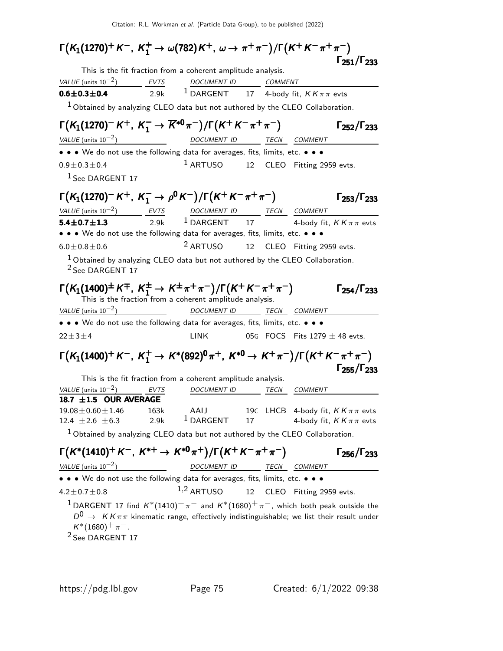| $\Gamma(K_1(1270)^+ K^-, K_1^+ \to \omega(782)K^+, \omega \to \pi^+ \pi^-)/\Gamma(K^+ K^- \pi^+ \pi^-)$                                                                                                                                                                 |      |                                                          |    |                                   |                                      |
|-------------------------------------------------------------------------------------------------------------------------------------------------------------------------------------------------------------------------------------------------------------------------|------|----------------------------------------------------------|----|-----------------------------------|--------------------------------------|
| This is the fit fraction from a coherent amplitude analysis.                                                                                                                                                                                                            |      |                                                          |    |                                   | $\Gamma_{251}/\Gamma_{233}$          |
| $VALUE$ (units $10^{-2}$ ) EVTS DOCUMENT ID COMMENT                                                                                                                                                                                                                     |      |                                                          |    |                                   |                                      |
| $0.6 \pm 0.3 \pm 0.4$                                                                                                                                                                                                                                                   |      | 2.9k <sup>1</sup> DARGENT 17 4-body fit, $KK\pi\pi$ evts |    |                                   |                                      |
| $1$ Obtained by analyzing CLEO data but not authored by the CLEO Collaboration.                                                                                                                                                                                         |      |                                                          |    |                                   |                                      |
| $\Gamma(K_1(1270)^{-}K^{+}, K_1^{-} \to \overline{K}^{*0}\pi^{-})/\Gamma(K^{+}K^{-}\pi^{+}\pi^{-})$                                                                                                                                                                     |      |                                                          |    |                                   | $\Gamma_{252}/\Gamma_{233}$          |
| VALUE (units $10^{-2}$ )                                                                                                                                                                                                                                                |      | <u>DOCUMENT ID TECN COMMENT</u>                          |    |                                   |                                      |
| $\bullet \bullet \bullet$ We do not use the following data for averages, fits, limits, etc. $\bullet \bullet \bullet$                                                                                                                                                   |      |                                                          |    |                                   |                                      |
| $0.9 \pm 0.3 \pm 0.4$                                                                                                                                                                                                                                                   |      | $1$ ARTUSO 12 CLEO Fitting 2959 evts.                    |    |                                   |                                      |
| <sup>1</sup> See DARGENT 17                                                                                                                                                                                                                                             |      |                                                          |    |                                   |                                      |
| $\Gamma(K_1(1270)^{-}K^{+}, K_1^{-} \to \rho^0 K^{-})/\Gamma(K^{+}K^{-}\pi^{+}\pi^{-})$                                                                                                                                                                                 |      |                                                          |    |                                   | $\Gamma_{253}/\Gamma_{233}$          |
| $VALUE$ (units $10^{-2}$ ) EVTS DOCUMENT ID TECN COMMENT                                                                                                                                                                                                                |      |                                                          |    |                                   |                                      |
| $5.4 \pm 0.7 \pm 1.3$<br>• • • We do not use the following data for averages, fits, limits, etc. • • •                                                                                                                                                                  |      | 2.9k $^1$ DARGENT 17 4-body fit, $KK\pi\pi$ evts         |    |                                   |                                      |
| $6.0 + 0.8 + 0.6$                                                                                                                                                                                                                                                       |      | $2$ ARTUSO 12                                            |    | CLEO Fitting 2959 evts.           |                                      |
| $1$ Obtained by analyzing CLEO data but not authored by the CLEO Collaboration.                                                                                                                                                                                         |      |                                                          |    |                                   |                                      |
| <sup>2</sup> See DARGENT 17                                                                                                                                                                                                                                             |      |                                                          |    |                                   |                                      |
| $\Gamma(K_1(1400)^{\pm}K^{\mp}$ , $K_1^{\pm} \to K^{\pm}\pi^+\pi^-)/\Gamma(K^+K^-\pi^+\pi^-)$<br>This is the fraction from a coherent amplitude analysis.                                                                                                               |      |                                                          |    |                                   | $\Gamma_{254}/\Gamma_{233}$          |
| VALUE (units $10^{-2}$ )                                                                                                                                                                                                                                                |      | DOCUMENT ID TECN COMMENT                                 |    |                                   |                                      |
| • • • We do not use the following data for averages, fits, limits, etc. • • •                                                                                                                                                                                           |      |                                                          |    |                                   |                                      |
| $22 \pm 3 \pm 4$                                                                                                                                                                                                                                                        |      | <b>LINK</b>                                              |    | 05G FOCS Fits $1279 \pm 48$ evts. |                                      |
| $\Gamma(K_1(1400)^+ K^-$ , $K_1^+ \to K^*(892)^0 \pi^+$ , $K^{*0} \to K^+ \pi^-)/\Gamma(K^+ K^- \pi^+ \pi^-)$<br>This is the fit fraction from a coherent amplitude analysis.                                                                                           |      |                                                          |    |                                   | $\Gamma_{255}/\Gamma_{233}$          |
| VALUE (units $10^{-2}$ )                                                                                                                                                                                                                                                | EVTS | DOCUMENT ID TECN COMMENT                                 |    |                                   |                                      |
| 18.7 $\pm$ 1.5 OUR AVERAGE                                                                                                                                                                                                                                              |      |                                                          |    |                                   |                                      |
| $19.08 \pm 0.60 \pm 1.46$                                                                                                                                                                                                                                               | 163k | AAIJ                                                     |    |                                   | 19C LHCB 4-body fit, $KK\pi\pi$ evts |
| 12.4 $\pm 2.6 \pm 6.3$                                                                                                                                                                                                                                                  | 2.9k | $1$ DARGENT                                              | 17 |                                   | 4-body fit, $KK\pi\pi$ evts          |
| $1$ Obtained by analyzing CLEO data but not authored by the CLEO Collaboration.                                                                                                                                                                                         |      |                                                          |    |                                   |                                      |
| $\Gamma(K^*(1410)^+K^-, K^{*+} \to K^{*0}\pi^+)/\Gamma(K^+K^-\pi^+\pi^-)$                                                                                                                                                                                               |      |                                                          |    |                                   | $\Gamma_{256}/\Gamma_{233}$          |
| VALUE (units $10^{-2}$ )                                                                                                                                                                                                                                                |      | DOCUMENT ID TECN COMMENT                                 |    |                                   |                                      |
| • • • We do not use the following data for averages, fits, limits, etc. • • •                                                                                                                                                                                           |      |                                                          |    |                                   |                                      |
| $4.2 \pm 0.7 \pm 0.8$                                                                                                                                                                                                                                                   |      | $1,2$ ARTUSO                                             |    | 12 CLEO Fitting 2959 evts.        |                                      |
| $^1$ DARGENT 17 find $K^*(1410)^+\pi^-$ and $K^*(1680)^+\pi^-$ , which both peak outside the<br>$D^0\,\rightarrow\,\,K\,K\,\pi\,\pi$ kinematic range, effectively indistinguishable; we list their result under<br>$K^*(1680)^+ \pi^-$ .<br><sup>2</sup> See DARGENT 17 |      |                                                          |    |                                   |                                      |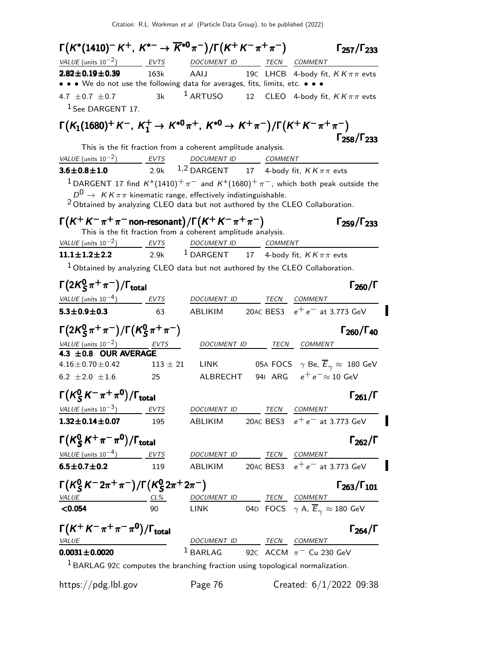| $\Gamma(K^*(1410)^-K^+, K^{*-} \to \overline{K}^{*0}\pi^-)/\Gamma(K^+K^-\pi^+\pi^-)$                      |            |                                                                                      |             | $\Gamma_{257}/\Gamma_{233}$                                                                          |
|-----------------------------------------------------------------------------------------------------------|------------|--------------------------------------------------------------------------------------|-------------|------------------------------------------------------------------------------------------------------|
| VALUE (units $10^{-2}$ ) EVTS                                                                             |            | DOCUMENT ID TECN COMMENT                                                             |             |                                                                                                      |
| $2.82 \pm 0.19 \pm 0.39$<br>• • • We do not use the following data for averages, fits, limits, etc. • • • | 163k       | AAIJ                                                                                 |             | 19C LHCB 4-body fit, $KK\pi\pi$ evts                                                                 |
| 4.7 $\pm$ 0.7 $\pm$ 0.7                                                                                   | 3k         |                                                                                      |             | <sup>1</sup> ARTUSO 12 CLEO 4-body fit, $KK\pi\pi$ evts                                              |
| <sup>1</sup> See DARGENT 17.                                                                              |            |                                                                                      |             |                                                                                                      |
| $\Gamma(K_1(1680)^+ K^-, K_1^+ \to K^{*0}\pi^+, K^{*0} \to K^+\pi^-)/\Gamma(K^+ K^-\pi^+\pi^-)$           |            |                                                                                      |             |                                                                                                      |
|                                                                                                           |            |                                                                                      |             | $\Gamma_{258}/\Gamma_{233}$                                                                          |
|                                                                                                           |            | This is the fit fraction from a coherent amplitude analysis.                         |             |                                                                                                      |
| VALUE (units $10^{-2}$ )<br>$3.6 \pm 0.8 \pm 1.0$                                                         |            | <u>EVTS DOCUMENT ID COMMENT</u><br>2.9k $1,2$ DARGENT 17 4-body fit, $KK\pi\pi$ evts |             |                                                                                                      |
|                                                                                                           |            |                                                                                      |             |                                                                                                      |
| $D^0 \rightarrow K K \pi \pi$ kinematic range, effectively indistinguishable.                             |            |                                                                                      |             | <sup>1</sup> DARGENT 17 find $K^*(1410)^+\pi^-$ and $K^*(1680)^+\pi^-$ , which both peak outside the |
| $2$ Obtained by analyzing CLEO data but not authored by the CLEO Collaboration.                           |            |                                                                                      |             |                                                                                                      |
|                                                                                                           |            |                                                                                      |             |                                                                                                      |
| $\Gamma(K^+K^-\pi^+\pi^-$ non-resonant) / $\Gamma(K^+K^-\pi^+\pi^-)$                                      |            | This is the fit fraction from a coherent amplitude analysis.                         |             | $\Gamma_{259}/\Gamma_{233}$                                                                          |
| $VALU E$ (units $10^{-2}$ ) EVTS DOCUMENT ID COMMENT                                                      |            |                                                                                      |             |                                                                                                      |
| $11.1 \pm 1.2 \pm 2.2$                                                                                    | 2.9k       | <sup>1</sup> DARGENT 17 4-body fit, $KK\pi\pi$ evts                                  |             |                                                                                                      |
| $1$ Obtained by analyzing CLEO data but not authored by the CLEO Collaboration.                           |            |                                                                                      |             |                                                                                                      |
| $\Gamma(2K_S^0\pi^+\pi^-)/\Gamma_{\rm total}$                                                             |            |                                                                                      |             | $\Gamma_{260}/\Gamma$                                                                                |
| $VALUE$ (units $10^{-4}$ ) EVTS                                                                           |            | DOCUMENT ID                                                                          |             | TECN COMMENT                                                                                         |
| $5.3 \pm 0.9 \pm 0.3$                                                                                     | 63         |                                                                                      |             | ABLIKIM 20AC BES3 $e^+e^-$ at 3.773 GeV                                                              |
|                                                                                                           |            |                                                                                      |             |                                                                                                      |
| $\Gamma(2K_{\rm S}^0\pi^+\pi^-)/\Gamma(K_{\rm S}^0\pi^+\pi^-)$                                            |            |                                                                                      |             | $\Gamma_{260}/\Gamma_{40}$                                                                           |
| VALUE (units $10^{-2}$ )<br>VALUE (units $10^{-2}$ ) EVTS<br>4.3 ±0.8 OUR AVERAGE                         |            | DOCUMENT ID                                                                          | TECN        | COMMENT                                                                                              |
| $4.16 \pm 0.70 \pm 0.42$                                                                                  | $113\pm21$ | <b>LINK</b>                                                                          |             | 05A FOCS $\gamma$ Be, $\overline{E}_{\gamma} \approx 180$ GeV                                        |
| 6.2 $\pm 2.0 \pm 1.6$                                                                                     | 25         | ALBRECHT                                                                             |             | 941 ARG $e^+e^- \approx 10$ GeV                                                                      |
|                                                                                                           |            |                                                                                      |             |                                                                                                      |
| $\Gamma(K^0_S K^- \pi^+ \pi^0)/\Gamma_{\rm total}$                                                        |            |                                                                                      |             | $\Gamma_{261}/\Gamma$                                                                                |
| VALUE (units $10^{-3}$ )                                                                                  | EVTS       | <b>DOCUMENT ID</b>                                                                   | <b>TECN</b> | <b>COMMENT</b>                                                                                       |
| $1.32 \pm 0.14 \pm 0.07$                                                                                  | 195        | ABLIKIM                                                                              |             | 20AC BES3 $e^+e^-$ at 3.773 GeV                                                                      |
| $\Gamma(K^0_S K^+\pi^-\pi^0)/\Gamma_{\rm total}$                                                          |            |                                                                                      |             | $\Gamma_{262}/\Gamma$                                                                                |
| $VALUE$ (units $10^{-4}$ ) EVTS                                                                           |            | DOCUMENT ID TECN COMMENT                                                             |             |                                                                                                      |
| $6.5 \pm 0.7 \pm 0.2$                                                                                     | 119        | ABLIKIM                                                                              |             | 20AC BES3 $e^+e^-$ at 3.773 GeV                                                                      |
| $\Gamma(K_S^0 K^- 2\pi^+\pi^-)/\Gamma(K_S^0 2\pi^+ 2\pi^-)$                                               |            |                                                                                      |             | $\Gamma_{263}/\Gamma_{101}$                                                                          |
| $VALU E$ CL%                                                                                              |            | DOCUMENT ID _______ TECN COMMENT                                                     |             |                                                                                                      |
| < 0.054                                                                                                   | 90         | LINK                                                                                 |             | 04D FOCS $\gamma$ A, $\overline{E}_{\gamma} \approx 180$ GeV                                         |
| $\Gamma(K^+K^-\pi^+\pi^-\pi^0)/\Gamma_{\rm total}$                                                        |            |                                                                                      |             | $\Gamma_{264}/\Gamma$                                                                                |
|                                                                                                           |            | DOCUMENT ID TECN COMMENT                                                             |             |                                                                                                      |
|                                                                                                           |            |                                                                                      |             |                                                                                                      |
| <b>VALUE</b><br>$0.0031 \pm 0.0020$                                                                       |            | $1$ BARLAG                                                                           |             | 92 $\epsilon$ ACCM $\pi$ <sup>-</sup> Cu 230 GeV                                                     |

https://pdg.lbl.gov Page 76 Created: 6/1/2022 09:38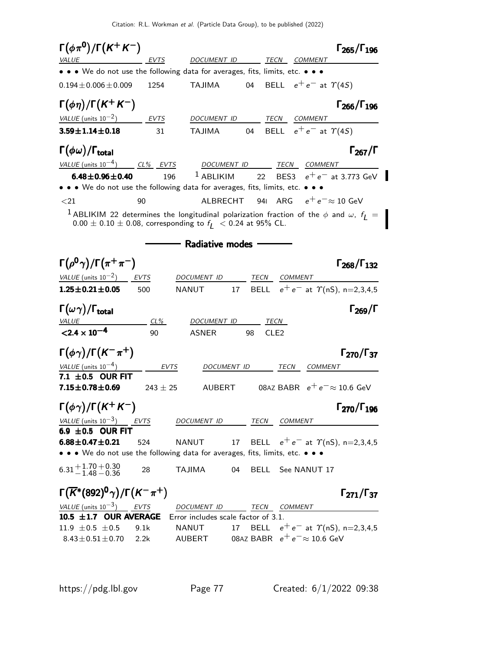$\Gamma(\phi \pi^0)/\Gamma(K^+ K^-)$  Γ<sub>265</sub>/Γ<sub>196</sub>  $\Gamma_{265}/\Gamma_{196}$ EVTS DOCUMENT ID TECN COMMENT • • • We do not use the following data for averages, fits, limits, etc. • • •  $0.194 \pm 0.006 \pm 0.009$  1254 TAJIMA 04 BELL  $e^+e^-$  at  $\Upsilon(4S)$  $\Gamma(\phi \eta)/\Gamma(K^+K^-)$  Γ<sub>266</sub>/Γ<sub>196</sub>  $\Gamma$ <sub>266</sub>/ $\Gamma$ <sub>196</sub> VALUE (units  $10^{-2}$ ) EVTS DOCUMENT ID TECN COMMENT **3.59±1.14±0.18** 31 TAJIMA 04 BELL  $e^+e^-$  at  $\Upsilon(4S)$ Γ $(\phi \omega)$ /Γ<sub>total</sub> Γ<sub>267</sub>/Γ VALUE (units 10<sup>-4</sup>) CL% EVTS DOCUMENT ID TECN COMMENT **6.48±0.96±0.40** 196 <sup>1</sup> ABLIKIM 22 BES3  $e^+e^-$  at 3.773 GeV • • • We do not use the following data for averages, fits, limits, etc. •  $\langle 21$  90 ALBRECHT 94I ARG  $e^+e^-\approx 10$  GeV <sup>1</sup> ABLIKIM 22 determines the longitudinal polarization fraction of the  $\phi$  and  $\omega$ ,  $f_L =$  $0.00 \pm 0.10 \pm 0.08$ , corresponding to  $f_L < 0.24$  at 95% CL. - Radiative modes -Γ $(\rho^{0}\gamma)/\Gamma(\pi^{+}\pi^{-})$  Γ $_{268}/\Gamma_{132}$  $\Gamma_{268}/\Gamma_{132}$ VALUE (units  $10^{-2}$ ) EVTS DOCUMENT ID TECN COMMENT **1.25±0.21±0.05** 500 NANUT 17 BELL  $e^+e^-$  at  $\gamma$ (nS), n=2,3,4,5 Γ $(\omega \gamma)/\Gamma_{\rm total}$  Γ<sub>269</sub>/Γ VALUE CL% DOCUMENT ID TECN  $<$ 2.4  $\times$  10<sup>-4</sup> 90 ASNER 98 CLE2 Γ $(\phi \gamma)$ /Γ $(K^-\pi^+)$  Γ<sub>270</sub>/Γ<sub>37</sub> Γ270/Γ VALUE (units  $10^{-4}$ ) EVTS DOCUMENT ID TECN COMMENT  $7.1 \pm 0.5$  OUR FIT<br> $7.15 \pm 0.78 \pm 0.69$  $243 \pm 25$  AUBERT 08AZ BABR  $e^+e^- \approx 10.6$  GeV  $\Gamma(\phi\gamma)/\Gamma(K^+K^-)$  Γ<sub>270</sub>/Γ<sub>196</sub>  $\Gamma_{270}/\Gamma_{196}$ VALUE (units  $10^{-3}$ ) EVTS DOCUMENT ID TECN COMMENT 6.9  $\pm$  0.5 OUR FIT 6.88 $\pm$  0.47 $\pm$  0.21 524 NANUT 17 BELL  $e^+e^-$  at  $\Upsilon$ (nS), n=2,3,4,5 • • • We do not use the following data for averages, fits, limits, etc. • • •  $6.31 + 1.70$ <br> $-1.48$  $+0.30$ 28 TAJIMA 04 BELL See NANUT 17 Γ $(\overline{K}^*(892)^0\gamma)/\Gamma(K^-\pi^+)$  Γ<sub>271</sub>/Γ<sub>37</sub>  $Γ_{271}/Γ_{37}$ VALUE (units  $10^{-3}$ ) EVTS DOCUMENT ID TECN COMMENT **10.5**  $\pm$ **1.7 OUR AVERAGE** Error includes scale factor of 3.1.<br>11.9  $\pm$  0.5  $\pm$  0.5 9.1k NANUT 17 BELL e<sup>7</sup> 11.9 ±0.5 ±0.5 9.1k NANUT 17 BELL  $e^+e^-$  at  $\Upsilon$ (nS), n=2,3,4,5<br>8.43±0.51±0.70 2.2k AUBERT 08Az BABR  $e^+e^- \approx 10.6$  GeV 08AZ BABR  $e^+e^- \approx 10.6$  GeV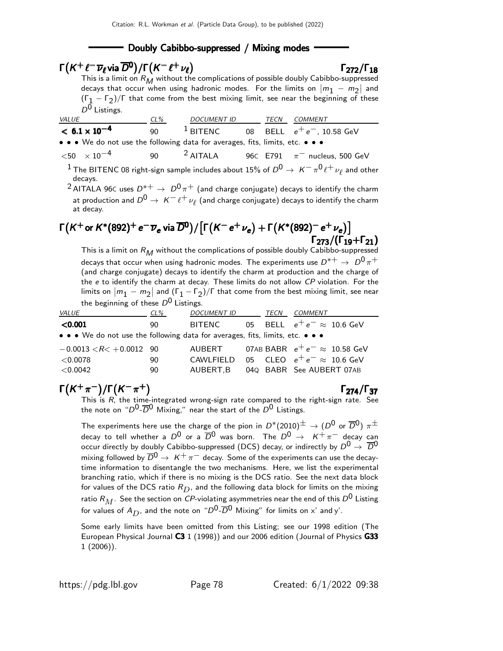#### Doubly Cabibbo-suppressed / Mixing modes

## $\Gamma(K^+ \ell^- \overline{\nu}_{\ell}$ via  $\overline{D}^0)/\Gamma(K^- \ell^+ \nu_{\ell})$  Γ<sub>272</sub>/Γ<sub>18</sub>

#### $\Gamma_{272}/\Gamma_{18}$

This is a limit on  $R_M$  without the complications of possible doubly Cabibbo-suppressed decays that occur when using hadronic modes. For the limits on  $|m_1 - m_2|$  and  $(\Gamma_1 - \Gamma_2)/\Gamma$  that come from the best mixing limit, see near the beginning of these  $D^0$  Listings.

| <i>VALUE</i>                                                                  | $CL\%$ | <i>DOCUMENT ID</i> | TECN | COMMENT                        |
|-------------------------------------------------------------------------------|--------|--------------------|------|--------------------------------|
| $< 6.1 \times 10^{-4}$                                                        | 90.    | $^1$ BITENC        |      | 08 $BELL$ $e^+e^-$ , 10.58 GeV |
| • • • We do not use the following data for averages, fits, limits, etc. • • • |        |                    |      |                                |

 $<$ 50  $\times$  10 $^{-4}$  90  $^{-2}$  AITALA 96 $\text{C E791}$  π $^{-1}$  nucleus, 500 GeV  $^1$  The BITENC 08 right-sign sample includes about 15% of  $D^0\to\ K^-\pi^0\ell^+\nu_\ell$  and other decays.

<sup>2</sup> AITALA 96C uses  $D^{*+} \rightarrow D^0 \pi^+$  (and charge conjugate) decays to identify the charm at production and  $D^0 \rightarrow \ K^- \ell^+ \nu_\ell$  (and charge conjugate) decays to identify the charm at decay.

# $\Gamma\bigl(K^+$ or  $K^*(892)^+$   $e^-\overline{\nu}_e$  via  $\overline{D}{}^0\bigr)/\bigl[\Gamma\bigl(K^- e^+\nu_e\bigr)+\Gamma\bigl(K^*(892)^ e^+\nu_e\bigr)\bigr]$ Γ<sub>273</sub>/(Γ<sub>19</sub>+Γ<sub>21</sub>)

This is a limit on  $R_M$  without the complications of possible doubly Cabibbo-suppressed decays that occur when using hadronic modes. The experiments use  $D^{*+} \rightarrow D^0 \pi^+$ (and charge conjugate) decays to identify the charm at production and the charge of the e to identify the charm at decay. These limits do not allow CP violation. For the limits on  $|m_1 - m_2|$  and  $(\Gamma_1 - \Gamma_2)/\Gamma$  that come from the best mixing limit, see near the beginning of these  $D^0$  Listings.

| <i>VALUE</i>                                                                  | CL% | <i>DOCUMENT ID</i> |    | TECN | COMMENT                                     |
|-------------------------------------------------------------------------------|-----|--------------------|----|------|---------------------------------------------|
| $<$ 0.001                                                                     | 90  | BITENC             | 05 |      | BELL $e^+e^- \approx 10.6$ GeV              |
| • • • We do not use the following data for averages, fits, limits, etc. • • • |     |                    |    |      |                                             |
| $-0.0013 < R < +0.0012$ 90                                                    |     |                    |    |      | AUBERT 07AB BABR $e^+e^- \approx 10.58$ GeV |
| $<$ 0.0078                                                                    | 90  |                    |    |      | CAWLFIELD 05 CLEO $e^+e^- \approx 10.6$ GeV |
| < 0.0042                                                                      | 90  | AUBERT.B           |    |      | 040 BABR See AUBERT 07AB                    |

# $\Gamma(K^{+}\pi^{-})/\Gamma(K^{-}\pi^{+})$  Γ<sub>274</sub>/Γ<sub>37</sub>

 $\Gamma_{274}/\Gamma_{37}$ This is  $R$ , the time-integrated wrong-sign rate compared to the right-sign rate. See the note on " $D^0$ - $\overline{D}^0$  Mixing," near the start of the  $D^0$  Listings.

The experiments here use the charge of the pion in  $D^*(2010)^\pm \to (D^0$  or  $\overline{D}{}^0)$   $\pi^\pm$ decay to tell whether a  $D^0$  or a  $\overline{D}{}^0$  was born. The  $D^0 \rightarrow K^+ \pi^-$  decay can occur directly by doubly Cabibbo-suppressed (DCS) decay, or indirectly by  $D^0 \rightarrow \overline{D}^0$ mixing followed by  $\overline{D}^0 \to K^+ \pi^-$  decay. Some of the experiments can use the decaytime information to disentangle the two mechanisms. Here, we list the experimental branching ratio, which if there is no mixing is the DCS ratio. See the next data block for values of the DCS ratio  $R_D$ , and the following data block for limits on the mixing ratio  $R_M$ . See the section on  ${\it CP}$ -violating asymmetries near the end of this  $D^0$  Listing for values of  $A_D$ , and the note on " $D^0$ - $\overline{D}^0$  Mixing" for limits on x' and y'.

Some early limits have been omitted from this Listing; see our 1998 edition (The European Physical Journal C3 1 (1998)) and our 2006 edition (Journal of Physics G33 1 (2006)).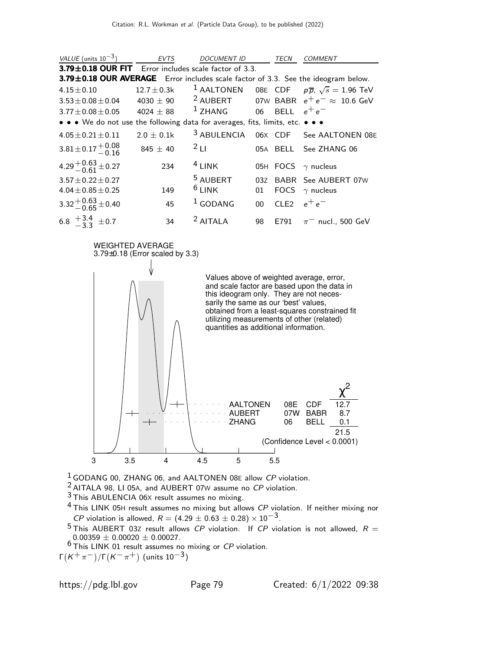| VALUE (units $10^{-3}$ )                                                          | <b>EVTS</b>    | <b>DOCUMENT ID</b>         |        | TECN          | COMMENT                                                |
|-----------------------------------------------------------------------------------|----------------|----------------------------|--------|---------------|--------------------------------------------------------|
| 3.79±0.18 OUR FIT Error includes scale factor of 3.3.                             |                |                            |        |               |                                                        |
| 3.79±0.18 OUR AVERAGE Error includes scale factor of 3.3. See the ideogram below. |                |                            |        |               |                                                        |
| $4.15 \pm 0.10$                                                                   | $12.7\pm0.3$ k | $1$ AALTONEN               |        |               | 08E CDF $p\overline{p}$ , $\sqrt{s} = 1.96$ TeV        |
| $3.53 \pm 0.08 \pm 0.04$                                                          | 4030 $\pm$ 90  |                            |        |               | <sup>2</sup> AUBERT 07W BABR $e^+e^- \approx 10.6$ GeV |
| $3.77 \pm 0.08 \pm 0.05$ 4024 $\pm$ 88                                            |                | $1$ ZHANG 06 BELL $e^+e^-$ |        |               |                                                        |
| • • • We do not use the following data for averages, fits, limits, etc. • • •     |                |                            |        |               |                                                        |
| $4.05 \pm 0.21 \pm 0.11$                                                          | $2.0 + 0.1k$   | <sup>3</sup> ABULENCIA     |        |               | 06X CDF See AALTONEN 08E                               |
| $3.81 \pm 0.17 \begin{array}{c} +0.08 \\ -0.16 \end{array}$                       | $845 \pm 40$   | 2L1                        |        |               | 05A BELL See ZHANG 06                                  |
| 4.29 $^{+0.63}_{-0.61}$ ± 0.27                                                    | 234            | $4$ LINK                   |        |               | 05H FOCS $\gamma$ nucleus                              |
| $3.57 \pm 0.22 \pm 0.27$                                                          |                | <sup>5</sup> AUBERT        | 03Z    |               | BABR See AUBERT 07W                                    |
| $4.04 \pm 0.85 \pm 0.25$                                                          | 149            | $6$ LINK                   | 01     |               | FOCS $\gamma$ nucleus                                  |
| $3.32^{+0.63}_{-0.65}$ ± 0.40                                                     | 45             | $1$ GODANG                 | $00 -$ | CLE2 $e^+e^-$ |                                                        |
| 6.8 $\frac{+3.4}{3.3}$ ± 0.7                                                      | 34             | $2$ AITALA                 | 98     | E791          | $\pi^-$ nucl., 500 GeV                                 |



<sup>1</sup> GODANG 00, ZHANG 06, and AALTONEN 08E allow CP violation.

2 AITALA 98, LI 05A, and AUBERT 07<sup>W</sup> assume no CP violation.

3 This ABULENCIA 06<sup>X</sup> result assumes no mixing.

 $4$  This LINK 05H result assumes no mixing but allows CP violation. If neither mixing nor *CP* violation is allowed,  $R = (4.29 \pm 0.63 \pm 0.28) \times 10^{-3}$ .

 $^5$ This AUBERT 03Z result allows CP violation. If CP violation is not allowed,  $R =$  $0.00359 \pm 0.00020 \pm 0.00027$ .

 $67600000 + 01000000 + 01000000$  mixing or CP violation.

Γ $(\kappa^+\pi^-)/$ Γ $(\kappa^-\pi^+)$  (units 10 $^{-3})$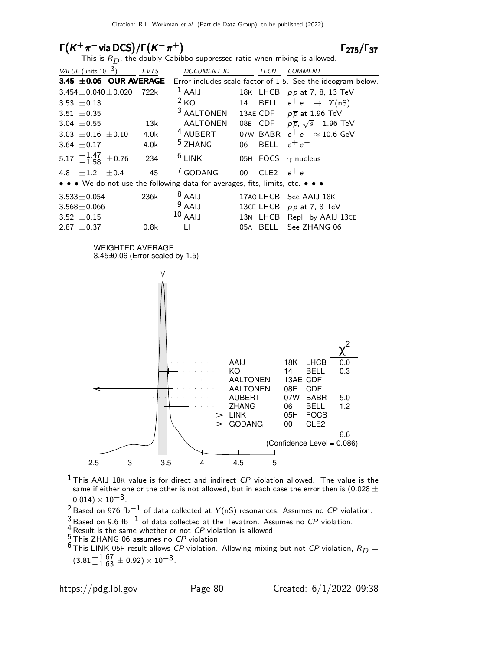### $\Gamma(K^+\pi^-)$ via DCS $)/\Gamma(K^-\pi^+)$  Γ<sub>275</sub>/Γ<sub>37</sub>

#### $\Gamma$ <sub>275</sub>/ $\Gamma$ <sub>37</sub>

|  | This is $R_D$ , the doubly Cabibbo-suppressed ratio when mixing is allowed. |  |
|--|-----------------------------------------------------------------------------|--|
|  |                                                                             |  |

| VALUE (units $10^{-3}$ )                                                      | <b>EVTS</b> | <b>DOCUMENT ID</b>    |        | TECN          | <b>COMMENT</b>                                              |
|-------------------------------------------------------------------------------|-------------|-----------------------|--------|---------------|-------------------------------------------------------------|
| 3.45 $\pm$ 0.06 OUR AVERAGE                                                   |             |                       |        |               | Error includes scale factor of 1.5. See the ideogram below. |
| $3.454 \pm 0.040 \pm 0.020$                                                   | 722k        | $1$ AAIJ              |        | 18K LHCB      | pp at 7, 8, 13 TeV                                          |
| 3.53 $\pm$ 0.13                                                               |             | 2 <sub>KO</sub>       | 14     |               | BELL $e^+e^- \rightarrow \Upsilon(nS)$                      |
| $3.51 + 0.35$                                                                 |             | <sup>3</sup> AALTONEN |        |               | 13AE CDF $p\overline{p}$ at 1.96 TeV                        |
| 3.04 $\pm$ 0.55                                                               | 13k         | <b>AALTONEN</b>       |        |               | 08E CDF $p\overline{p}$ , $\sqrt{s}$ = 1.96 TeV             |
| 3.03 $\pm$ 0.16 $\pm$ 0.10                                                    | 4.0k        | <sup>4</sup> AUBERT   |        |               | 07W BABR $e^+e^- \approx 10.6$ GeV                          |
| 3.64 $\pm$ 0.17                                                               | 4.0k        | <sup>5</sup> ZHANG    | 06     | <b>BELL</b>   | $e^+e^-$                                                    |
| 5.17 $^{+1.47}_{-1.58}$ ±0.76                                                 | 234         | $6$ LINK              |        |               | 05H FOCS $\gamma$ nucleus                                   |
| 4.8 $\pm 1.2$<br>$+0.4$                                                       | 45          | <sup>7</sup> GODANG   | $00\,$ | CLE2 $e^+e^-$ |                                                             |
| • • • We do not use the following data for averages, fits, limits, etc. • • • |             |                       |        |               |                                                             |
| $3.533 \pm 0.054$                                                             | 236k        | $8$ AAIJ              |        |               | 17AO LHCB See AAIJ 18K                                      |
| $3.568 \pm 0.066$                                                             |             | $9$ AAIJ              |        |               | 13CE LHCB pp at 7, 8 TeV                                    |
| 3.52 $\pm$ 0.15                                                               |             | $10$ AAIJ             |        |               | 13N LHCB Repl. by AAIJ 13CE                                 |
| 2.87 $\pm$ 0.37                                                               | 0.8k        | П                     | 05A    | BELL          | See ZHANG 06                                                |



- $<sup>1</sup>$  This AAIJ 18K value is for direct and indirect  $CP$  violation allowed. The value is the</sup> same if either one or the other is not allowed, but in each case the error then is (0.028  $\pm$  $0.014) \times 10^{-3}$ .
- $2$  Based on 976 fb<sup>-1</sup> of data collected at Y(nS) resonances. Assumes no CP violation.
- $^3$ Based on 9.6 fb $^{-1}$  of data collected at the Tevatron. Assumes no  ${\it CP}$  violation.
- $\frac{4}{5}$  Result is the same whether or not CP violation is allowed.
- 5 This ZHANG 06 assumes no CP violation.

 $^6$ This LINK 05H result allows CP violation. Allowing mixing but not CP violation,  $R_D =$  $(3.81 + {}^{+1.67}_{-1.63} \pm 0.92) \times 10^{-3}.$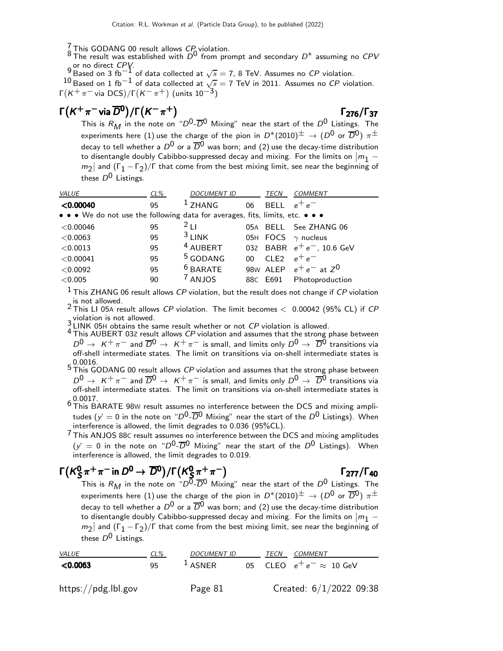This GODANG 00 result allows CP violation.<br>8 The result was established with  $D^0$  from prompt and secondary  $D^*$  assuming no CPV 9 or no direct CPV.<br>9 Based on 3 fb<sup>−1</sup> of data collected at  $\sqrt{s} = 7$ , 8 TeV. Assumes no CP violation.

 $^{10}$  Based on 1 fb $^{-1}$  of data collected at  $\sqrt{s} =$  7 TeV in 2011. Assumes no  ${\it CP}$  violation. Γ $(\mathcal{K}^+\pi^-$ via DCS)/Γ $(\mathcal{K}^-\pi^+)$  (units 10 $^{-3})$ 

# $\Gamma(K^+\pi^-$  via  $\overline{D}^0)/\Gamma(K^-\pi^+)$  Γ  $_{276}/\Gamma_{37}$

#### $\Gamma_{276}/\Gamma_{37}$

This is  $R_M$  in the note on " $D^0$ - $\overline{D}{}^0$  Mixing" near the start of the  $D^0$  Listings. The experiments here (1) use the charge of the pion in  $D^*(2010)^{\pm} \rightarrow (D^0 \text{ or } \overline{D}{}^0) \pi^{\pm}$ decay to tell whether a  $D^0$  or a  $\overline{D}{}^0$  was born; and (2) use the decay-time distribution to disentangle doubly Cabibbo-suppressed decay and mixing. For the limits on  $|m_1 - |$  $m_2$  and (Γ<sub>1</sub> – Γ<sub>2</sub>)/Γ that come from the best mixing limit, see near the beginning of these  $D^0$  Listings.

| VALUE                                                                         | $CL\%$ | <b>DOCUMENT ID</b>  |                 | <b>TECN</b> | <b>COMMENT</b>               |
|-------------------------------------------------------------------------------|--------|---------------------|-----------------|-------------|------------------------------|
| < 0.00040                                                                     | 95     | $1$ ZHANG           | 06              | <b>BELL</b> | $e^+e^-$                     |
| • • • We do not use the following data for averages, fits, limits, etc. • • • |        |                     |                 |             |                              |
| $<$ 0.00046                                                                   | 95     | $^{2}$ 1 1          |                 |             | 05A BELL See ZHANG 06        |
| < 0.0063                                                                      | 95     | $3$ LINK            |                 |             | 05H FOCS $\gamma$ nucleus    |
| < 0.0013                                                                      | 95     | <sup>4</sup> AUBERT |                 |             | 03Z BABR $e^+e^-$ , 10.6 GeV |
| < 0.00041                                                                     | 95     | <sup>5</sup> GODANG | 00 <sup>1</sup> | CI F2       | $e^+e^-$                     |
| < 0.0092                                                                      | 95     | $6$ BARATE          |                 |             | 98W ALEP $e^+e^-$ at $Z^0$   |
| ${<}0.005$                                                                    | 90     | <sup>7</sup> ANJOS  |                 | 88C E691    | Photoproduction              |
| $\mathbf{1}$                                                                  |        |                     |                 |             |                              |

 $<sup>1</sup>$  This ZHANG 06 result allows CP violation, but the result does not change if CP violation</sup>

2 This LI 05A result allows CP violation. The limit becomes  $\langle$  0.00042 (95% CL) if CP violation is not allowed.

 $\frac{3}{4}$  LINK 05H obtains the same result whether or not *CP* violation is allowed.<br> $\frac{4}{4}$  This AUBERT 03Z result allows *CP* violation and assumes that the strong phase between  $D^0 \to K^+ \pi^-$  and  $\overline{D}{}^0 \to K^+ \pi^-$  is small, and limits only  $D^0 \to \overline{D}{}^0$  transitions via off-shell intermediate states. The limit on transitions via on-shell intermediate states is

0.0016.<br>5 This GODANG 00 result allows *CP* violation and assumes that the strong phase between  $D^0 \rightarrow K^+ \pi^-$  and  $\overline{D}^0 \rightarrow K^+ \pi^-$  is small, and limits only  $D^0 \rightarrow \overline{D}^0$  transitions via off-shell intermediate states. The limit on transitions via on-shell intermediate states is  $60.0017$ .<br> $6$  This BARATE 98W result assumes no interference between the DCS and mixing ampli-

tudes ( $y' = 0$  in the note on " $D^0$ - $\overline{D}^0$  Mixing" near the start of the  $D^0$  Listings). When interference is allowed, the limit degrades to 0.036 (95%CL).

7 This ANJOS 88<sup>C</sup> result assumes no interference between the DCS and mixing amplitudes  $(y' = 0$  in the note on " $D^0$ - $\overline{D}^0$  Mixing" near the start of the  $D^0$  Listings). When interference is allowed, the limit degrades to 0.019.

#### $\Gamma$ (K $^0$ ς  $\frac{0}{\mathsf{S}}\pi^+\pi^-$  in  $D^0\to \overline{D}{}^0)/\mathsf{\Gamma} \bigl(\mathsf{K}^0_{\mathsf{S}}$  $\Gamma(K^0_S \pi^+ \pi^-$  in  $D^0 \to \overline{D}^0) / \Gamma(K^0_S \pi^+ \pi^-)$  [277/ $\Gamma_{40}$

This is  $R_M$  in the note on " $D^{\overline{0}}$ - $\overline{D}{}^0$  Mixing" near the start of the  $D^0$  Listings. The experiments here (1) use the charge of the pion in  $D^*(2010)^{\pm} \to (D^0$  or  $\overline{D}{}^0)$   $\pi^{\pm}$ decay to tell whether a  $D^0$  or a  $\overline{D}^0$  was born; and (2) use the decay-time distribution to disentangle doubly Cabibbo-suppressed decay and mixing. For the limits on  $|m_1$  $m_2$  and (Γ<sub>1</sub> – Γ<sub>2</sub>)/Γ that come from the best mixing limit, see near the beginning of these  $D^0$  Listings.

| <i>VALUE</i>        | $CL\%$ | <i>DOCUMENT ID</i>  | TECN | <i>COMMENT</i>                  |
|---------------------|--------|---------------------|------|---------------------------------|
| < 0.0063            | 95     | $\frac{1}{2}$ ASNER |      | 05 CLEO $e^+e^- \approx 10$ GeV |
| https://pdg.lbl.gov |        | Page 81             |      | Created: $6/1/2022$ 09:38       |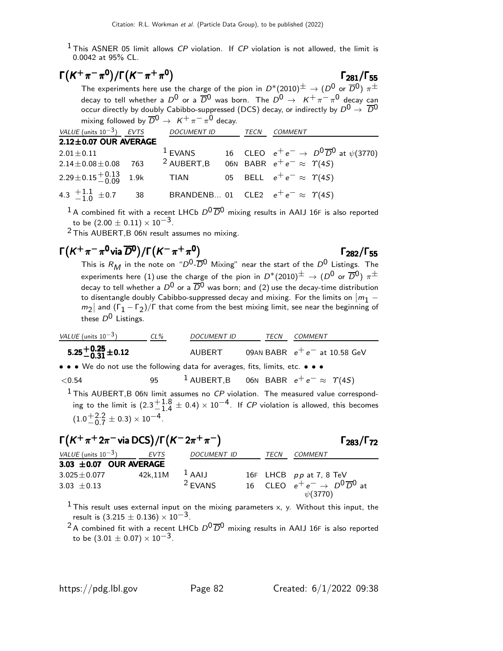<sup>1</sup> This ASNER 05 limit allows CP violation. If CP violation is not allowed, the limit is 0.0042 at 95% CL.

$$
\Gamma(K^+\pi^-\pi^0)/\Gamma(K^-\pi^+\pi^0)
$$

The experiments here use the charge of the pion in  $D^*(2010)^{\pm} \to (D^0 \text{ or } \overline{D}{}^0) \pi^{\pm}$ decay to tell whether a  $D^0$  or a  $\overline{D}{}^0$  was born. The  $D^0 \rightarrow$   $K^+ \pi^- \pi^0$  decay can occur directly by doubly Cabibbo-suppressed (DCS) decay, or indirectly by  $D^0 \rightarrow \overline{D}^0$ mixing followed by  $\overline{D}^0 \rightarrow K^+ \pi^- \pi^0$  decay.

 $\Gamma_{281}/\Gamma_{55}$ 

Γ282/Γ

| <b>COMMENT</b>                                         |
|--------------------------------------------------------|
|                                                        |
| 16 CLEO $e^+e^- \to D^0\overline{D}^0$ at $\psi(3770)$ |
| 06N BABR $e^+e^- \approx \Upsilon(45)$                 |
| 05 BELL $e^+e^- \approx \Upsilon(4S)$                  |
| BRANDENB 01 CLE2 $e^+e^- \approx \Upsilon(4S)$         |
|                                                        |

<sup>1</sup> A combined fit with a recent LHCb  $D^0\overline{D}^0$  mixing results in AAIJ 16F is also reported to be  $(2.00 \pm 0.11) \times 10^{-3}$ .

 $2$  This AUBERT, B 06N result assumes no mixing.

# $\Gamma(K^+\pi^-\pi^0$ via  $\overline{D}^0$ )/Γ $(K^-\pi^+\pi^0)$  Γ<sub>282</sub>/Γ<sub>55</sub>

This is  $R_M$  in the note on "D<sup>0</sup>-D<sup>0</sup> Mixing" near the start of the D<sup>0</sup> Listings. The experiments here (1) use the charge of the pion in  $D^*(2010)^{\pm} \to (D^0$  or  $\overline{D}{}^0)$   $\pi^{\pm}$ decay to tell whether a  $D^0$  or a  $\overline{D}^0$  was born; and (2) use the decay-time distribution to disentangle doubly Cabibbo-suppressed decay and mixing. For the limits on  $|m_1$  $m_2$  and (Γ<sub>1</sub> – Γ<sub>2</sub>)/Γ that come from the best mixing limit, see near the beginning of these  $D^0$  Listings.

| VALUE (units 10 <sup>-3</sup> )                                           | CL%    | DOCUMENT ID | TECN                  | COMMENT |
|---------------------------------------------------------------------------|--------|-------------|-----------------------|---------|
| <b>5.25<sup>+0.25</sup> <math display="block">-0.31 \pm 0.12</math></b>   | AUBERT | 09AN BABR   | $e^+e^-$ at 10.58 GeV |         |
| • • We do not use the following data for averages, fits, limits, etc. • • |        |             |                       |         |

 $<$ 0.54 95 <sup>1</sup> AUBERT,B 06N BABR  $e^+e^-$  ≈  $\gamma(4S)$ 

 $1$  This AUBERT, B 06N limit assumes no CP violation. The measured value corresponding to the limit is  $(2.3<sup>+1.8</sup>_{1.4})$  $^{+1.8}_{-1.4}\pm$  0.4)  $\times$  10 $^{-4}$ . If *CP* violation is allowed, this becomes<br>- <sup>4</sup>  $(1.0 + 2.2)$  $^{+2.2}_{-0.7} \pm 0.3$ ) × 10<sup>-4</sup>.

| $\Gamma(K^+\pi^+2\pi^-$ via DCS) / $\Gamma(K^-2\pi^+\pi^-)$ | $\Gamma_{283}/\Gamma_{72}$ |                    |      |                                                                   |
|-------------------------------------------------------------|----------------------------|--------------------|------|-------------------------------------------------------------------|
| VALUE (units $10^{-3}$ )                                    | EVTS                       | <b>DOCUMENT ID</b> | TECN | COMMENT                                                           |
| 3.03 $\pm$ 0.07 OUR AVERAGE                                 |                            |                    |      |                                                                   |
| $3.025 \pm 0.077$                                           | 42k,11M                    | $1$ AAIJ           |      | 16F LHCB pp at 7, 8 TeV                                           |
| 3.03 $\pm$ 0.13                                             |                            | <sup>2</sup> EVANS |      | 16 CLEO $e^+e^- \rightarrow D^0\overline{D}^0$ at<br>$\psi(3770)$ |

<sup>1</sup> This result uses external input on the mixing parameters x, y. Without this input, the result is  $(3.215 \pm 0.136) \times 10^{-3}$ .

<sup>2</sup> A combined fit with a recent LHCb  $D^0\overline{D}^0$  mixing results in AAIJ 16F is also reported to be  $(3.01 \pm 0.07) \times 10^{-3}$ .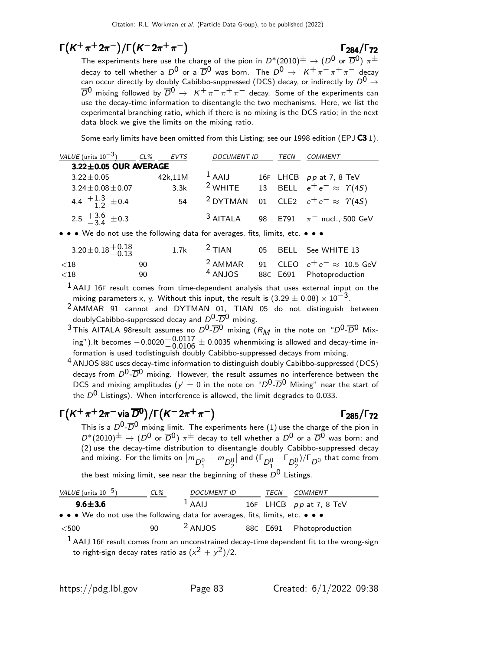# $\Gamma(K^{+}\pi^{+}2\pi^{-})/\Gamma(K^{-}2\pi^{+}\pi^{-})$   $\Gamma_{284}/\Gamma_{72}$

### $\Gamma_{284}/\Gamma_{72}$

The experiments here use the charge of the pion in  $D^*(2010)^{\pm} \to (D^0$  or  $\overline{D}{}^0)$   $\pi^{\pm}$ decay to tell whether a  $D^0$  or a  $\overline{D}^0$  was born. The  $D^0 \rightarrow K^+ \pi^- \pi^+ \pi^-$  decay can occur directly by doubly Cabibbo-suppressed (DCS) decay, or indirectly by  $D^0 \rightarrow$  $\overline{D}^0$  mixing followed by  $\overline{D}^0 \to K^+ \pi^- \pi^+ \pi^-$  decay. Some of the experiments can use the decay-time information to disentangle the two mechanisms. Here, we list the experimental branching ratio, which if there is no mixing is the DCS ratio; in the next data block we give the limits on the mixing ratio.

Some early limits have been omitted from this Listing; see our 1998 edition (EPJ  $C3$  1).

| VALUE (units $10^{-3}$ )      | CL%                         | EVTS    | <b>DOCUMENT ID</b>  | TECN | <i>COMMENT</i>                                           |
|-------------------------------|-----------------------------|---------|---------------------|------|----------------------------------------------------------|
|                               | $3.22 \pm 0.05$ OUR AVERAGE |         |                     |      |                                                          |
| $3.22 \pm 0.05$               |                             | 42k,11M | $1$ AAIJ            |      | 16F LHCB pp at 7, 8 TeV                                  |
|                               | $3.24 \pm 0.08 \pm 0.07$    | 3.3k    |                     |      | <sup>2</sup> WHITE 13 BELL $e^+e^- \approx \Upsilon(45)$ |
| 4.4 $\frac{+1.3}{-1.2}$ ± 0.4 |                             | 54      | <sup>2</sup> DYTMAN |      | 01 CLE2 $e^+e^- \approx \Upsilon(4S)$                    |
| 2.5 $\frac{+3.6}{-3.4}$ ± 0.3 |                             |         | $3$ AITALA          |      | 98 E791 $\pi^-$ nucl., 500 GeV                           |

• • • We do not use the following data for averages, fits, limits, etc. • • •

| $3.20 \pm 0.18 \begin{array}{c} +0.18 \\ -0.13 \end{array}$ |           | 1.7k $^2$ TIAN |  | 05 BELL See WHITE 13                                                    |
|-------------------------------------------------------------|-----------|----------------|--|-------------------------------------------------------------------------|
| ${<}18$<br>${<}18$                                          | 90<br>90. | $4$ ANJOS      |  | $2$ AMMAR 91 CLEO $e^+e^- \approx 10.5$ GeV<br>88C E691 Photoproduction |

 $1$  AAIJ 16F result comes from time-dependent analysis that uses external input on the mixing parameters x, y. Without this input, the result is  $(3.29 \pm 0.08) \times 10^{-3}$ .

2 AMMAR 91 cannot and DYTMAN 01, TIAN 05 do not distinguish between doublyCabibbo-suppressed decay and  $D^0$ - $\overline{D}^0$  mixing.

<sup>3</sup> This AITALA 98 result assumes no  $D^0$ - $\overline{D}^0$  mixing  $(R_M)$  in the note on " $D^0$ - $\overline{D}^0$  Mixing").It becomes  $-0.0020 + 0.0117 \pm 0.0035$  whenmixing is allowed and decay-time in-<br>formation is used to distinguish doubly Cabibbe suppressed desays from mixing formation is used todistinguish doubly Cabibbo-suppressed decays from mixing.

4 ANJOS 88<sup>C</sup> uses decay-time information to distinguish doubly Cabibbo-suppressed (DCS) decays from  $D^0$ - $\overline{D}^0$  mixing. However, the result assumes no interference between the DCS and mixing amplitudes ( $y' = 0$  in the note on " $D^0$ - $\overline{D}^0$  Mixing" near the start of the  $D^0$  Listings). When interference is allowed, the limit degrades to 0.033.

# $\Gamma(K^+\pi^+2\pi^-\text{via }\overline{D}^0)/\Gamma(K^-2\pi^+\pi^-)$  Γ<sub>285</sub>/Γ<sub>72</sub>

This is a  $D^0$ - $\overline{D}^0$  mixing limit. The experiments here (1) use the charge of the pion in  $D^*(2010)^{\pm} \rightarrow (D^0$  or  $\overline{D}{}^0)$   $\pi^{\pm}$  decay to tell whether a  $D^0$  or a  $\overline{D}{}^0$  was born; and (2) use the decay-time distribution to disentangle doubly Cabibbo-suppressed decay and mixing. For the limits on  $|m_{D_1^0} - m_{D_2^0}|$ | and  $(\Gamma_{D_1^0} - \Gamma_{D_2^0})/\Gamma_{D^0}$  that come from

the best mixing limit, see near the beginning of these  $D^0$  Listings.

| VALUE (units $10^{-5}$ )                                                      | $CL\%$ | <b>DOCUMENT ID</b> | TECN | COMMENT                   |
|-------------------------------------------------------------------------------|--------|--------------------|------|---------------------------|
| $9.6 \pm 3.6$                                                                 |        | $1$ AAIJ           |      | 16F LHCB $pp$ at 7, 8 TeV |
| • • • We do not use the following data for averages, fits, limits, etc. • • • |        |                    |      |                           |
| $<$ 500                                                                       | 90     | $2$ ANJOS          |      | 88C E691 Photoproduction  |

 $<sup>1</sup>$  AAIJ 16F result comes from an unconstrained decay-time dependent fit to the wrong-sign</sup> to right-sign decay rates ratio as  $(x^2+y^2)/2.$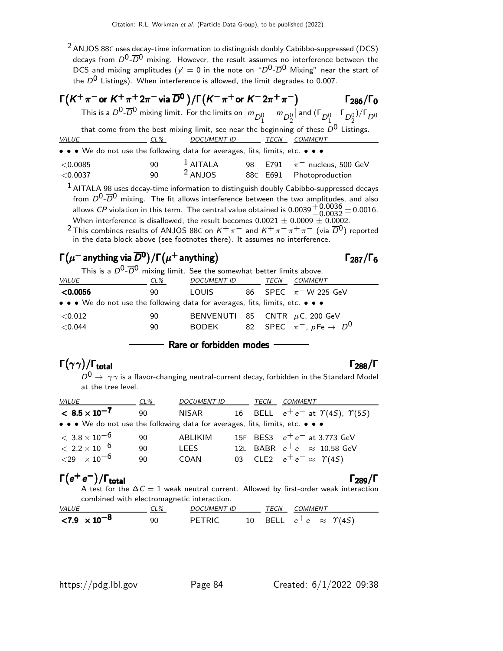$2$  ANJOS 88C uses decay-time information to distinguish doubly Cabibbo-suppressed (DCS) decays from  $D^0$ - $\overline{D}^0$  mixing. However, the result assumes no interference between the DCS and mixing amplitudes ( $y' = 0$  in the note on " $D^0$ - $\overline{D}^0$  Mixing" near the start of the  $D^0$  Listings). When interference is allowed, the limit degrades to 0.007.

| $\Gamma(K^+\pi^-$ or $K^+\pi^+2\pi^-$ via $\overline{D}{}^0$ )/ $\Gamma(K^-\pi^+$ or $K^-2\pi^+\pi^-)$ |        |                  |  |          | $\Gamma_{286}/\Gamma_0$                                                                                                                           |  |
|--------------------------------------------------------------------------------------------------------|--------|------------------|--|----------|---------------------------------------------------------------------------------------------------------------------------------------------------|--|
|                                                                                                        |        |                  |  |          | This is a $D^0$ - $\overline{D}^0$ mixing limit. For the limits on $ m_{D_1^0} - m_{D_2^0} $ and $(\Gamma_{D_1^0} - \Gamma_{D_2^0})/\Gamma_{D^0}$ |  |
|                                                                                                        |        |                  |  |          | that come from the best mixing limit, see near the beginning of these $D^0$ Listings.                                                             |  |
| <b>VALUE</b>                                                                                           | $CL\%$ | DOCUMENT ID TECN |  |          | COMMENT                                                                                                                                           |  |
| • • • We do not use the following data for averages, fits, limits, etc. • • •                          |        |                  |  |          |                                                                                                                                                   |  |
| < 0.0085                                                                                               | 90     | $1$ AITALA       |  |          | 98 E791 $\pi^-$ nucleus, 500 GeV                                                                                                                  |  |
| < 0.0037                                                                                               | 90     | $2$ ANJOS        |  | 88C E691 | Photoproduction                                                                                                                                   |  |
| <sup>1</sup> AITALA 98 uses decay-time information to distinguish doubly Cabibbo-suppressed decays     |        |                  |  |          |                                                                                                                                                   |  |

from  $D^0$ - $\overline{D}{}^0$  mixing. The fit allows interference between the two amplitudes, and also allows CP violation in this term. The central value obtained is  $0.0039 + 0.0036 \pm 0.0016$ .<br>When interference is discllowed, the result becomes 0,0031  $\pm$  0,0000  $\pm$  0,0002 When interference is disallowed, the result becomes  $0.0021 \pm 0.0009 \pm 0.0002$ .

<sup>2</sup> This combines results of ANJOS 88C on  $K^+\pi^-$  and  $K^+\pi^-\pi^+\pi^-$  (via  $\overline{D}^0$ ) reported in the data block above (see footnotes there). It assumes no interference.

### Γ $(\mu^-$  anything via  $\overline{D}{}^0)/\Gamma(\mu^+$  anything)  $\qquad \qquad \qquad$  Γ $_{287}/\Gamma_6$

| This is a $D^0$ - $\overline{D}^0$ mixing limit. See the somewhat better limits above. |     |                    |  |                                           |  |  |  |
|----------------------------------------------------------------------------------------|-----|--------------------|--|-------------------------------------------|--|--|--|
| <i>VALUE</i>                                                                           | CL% | <i>DOCUMENT ID</i> |  | <b>TECN</b><br><i>COMMENT</i>             |  |  |  |
| < 0.0056                                                                               | 90  | LOUIS              |  | 86 SPEC $\pi$ <sup>-</sup> W 225 GeV      |  |  |  |
| • • • We do not use the following data for averages, fits, limits, etc. • • •          |     |                    |  |                                           |  |  |  |
| ${<}0.012$                                                                             | 90  |                    |  | BENVENUTI 85 CNTR $\mu$ C, 200 GeV        |  |  |  |
| < 0.044                                                                                | 90  | BODEK              |  | 82 SPEC $\pi^-$ , pFe $\rightarrow$ $D^0$ |  |  |  |
|                                                                                        |     |                    |  |                                           |  |  |  |

Rare or forbidden modes

## Γ $(\gamma \gamma)/\Gamma_{\sf total}$  Γ $_{288}/\Gamma$

 $D^0 \rightarrow \gamma \gamma$  is a flavor-changing neutral-current decay, forbidden in the Standard Model at the tree level.

| <i>VALUE</i>                                                                  | CL% | <i>DOCUMENT ID</i> | TECN | COMMENT                                             |
|-------------------------------------------------------------------------------|-----|--------------------|------|-----------------------------------------------------|
| $< 8.5 \times 10^{-7}$                                                        | 90  | NISAR              |      | 16 BELL $e^+e^-$ at $\Upsilon(4S)$ , $\Upsilon(5S)$ |
| • • • We do not use the following data for averages, fits, limits, etc. • • • |     |                    |      |                                                     |
| $< 3.8 \times 10^{-6}$                                                        | 90  | ABI IKIM           |      | 15F BES3 $e^+e^-$ at 3.773 GeV                      |
| $< 2.2 \times 10^{-6}$                                                        | 90  | <b>LEES</b>        |      | 12L BABR $e^+e^- \approx 10.58$ GeV                 |
| ${29 \times 10^{-6}}$                                                         | 90  | COAN               |      | 03 CLE2 $e^+e^- \approx \Upsilon(45)$               |

#### $\Gamma(e^+e^-)/\Gamma_{\rm total}$  $(e^+e^-)/\Gamma_{\text{total}}$  Γ<sub>289</sub>/Γ

A test for the  $\Delta\mathcal{C}=1$  weak neutral current. Allowed by first-order weak interaction combined with electromagnetic interaction.

| <i>VALUE</i>                         |    | <b>DOCUMENT ID</b> | TECN | COMMENT                               |
|--------------------------------------|----|--------------------|------|---------------------------------------|
| $\langle 7.9 \times 10^{-8} \rangle$ | ۹Λ | PETRIC             |      | 10 BELL $e^+e^- \approx \Upsilon(4S)$ |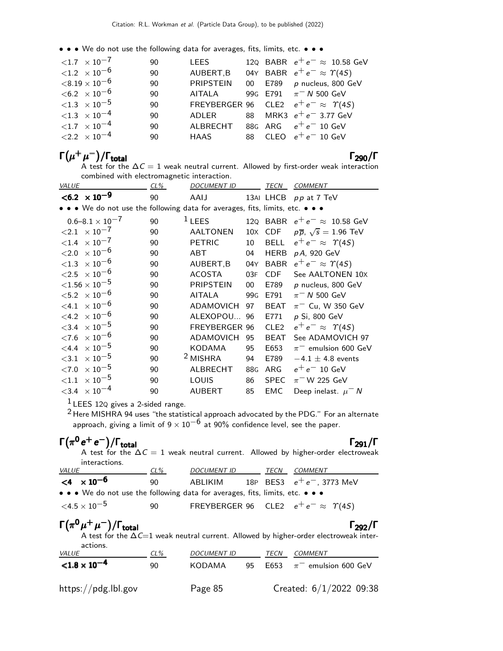• • • We do not use the following data for averages, fits, limits, etc. • • •

| ${1.7 \times 10^{-7}}$               | -90 | LEES                                         |  | 120 BABR $e^+e^- \approx 10.58$ GeV              |
|--------------------------------------|-----|----------------------------------------------|--|--------------------------------------------------|
| $< 1.2 \times 10^{-6}$               | 90  | AUBERT, B                                    |  | 04Y BABR $e^+e^- \approx \Upsilon(4S)$           |
| ${<}8.19\times10^{-6}$               | 90  | PRIPSTEIN                                    |  | 00 E789 p nucleus, 800 GeV                       |
| $< 6.2 \times 10^{-6}$               | 90  | AITALA 99G E791 $\pi$ <sup>-</sup> N 500 GeV |  |                                                  |
| ${<}1.3 \times 10^{-5}$              | 90  |                                              |  | FREYBERGER 96 CLE2 $e^+e^- \approx \Upsilon(4S)$ |
| $< 1.3 \times 10^{-4}$               | 90  | ADLER                                        |  | 88 MRK3 $e^+e^-$ 3.77 GeV                        |
| $\langle 1.7 \times 10^{-4} \rangle$ | 90  | ALBRECHT 88G ARG $e^+e^-$ 10 GeV             |  |                                                  |
| $\langle 2.2 \times 10^{-4} \rangle$ | 90  | <b>HAAS</b>                                  |  | 88 CLEO $e^+e^-$ 10 GeV                          |

# $\Gamma(\mu^+\mu^-)/\Gamma_{\rm total}$  Γ<sub>290</sub>/Γ

A test for the  $\Delta\mathcal{C}=1$  weak neutral current. Allowed by first-order weak interaction combined with electromagnetic interaction.

| <b>VALUE</b>                                                                  | $CL\%$ | <b>DOCUMENT ID</b>   |                 | <b>TECN</b>      | <b>COMMENT</b>                          |
|-------------------------------------------------------------------------------|--------|----------------------|-----------------|------------------|-----------------------------------------|
| $< 6.2 \times 10^{-9}$                                                        | 90     | AAIJ                 |                 |                  | 13AI LHCB pp at 7 TeV                   |
| • • • We do not use the following data for averages, fits, limits, etc. • • • |        |                      |                 |                  |                                         |
| $0.6 - 8.1 \times 10^{-7}$                                                    | 90     | $1$ LEES             |                 |                  | 120 BABR $e^+e^- \approx 10.58$ GeV     |
| $\langle 2.1 \times 10^{-7}$                                                  | 90     | <b>AALTONEN</b>      | $10\times$      | <b>CDF</b>       | $p\overline{p}$ , $\sqrt{s} = 1.96$ TeV |
| $\times$ 10 $^{-7}$<br>${<}1.4$                                               | 90     | <b>PETRIC</b>        | 10              | <b>BELL</b>      | $e^+e^- \approx \Upsilon(4S)$           |
| $\times$ 10 $^{-6}$<br>${<}2.0$                                               | 90     | ABT                  | 04              | <b>HERB</b>      | p A, 920 GeV                            |
| ${<}1.3 \times 10^{-6}$                                                       | 90     | AUBERT, B            | 04Y             | <b>BABR</b>      | $e^+e^- \approx \Upsilon(4S)$           |
| ${<}2.5 \times 10^{-6}$                                                       | 90     | <b>ACOSTA</b>        | 03F             | <b>CDF</b>       | See AALTONEN 10X                        |
| ${<}1.56\times10^{-5}$                                                        | 90     | <b>PRIPSTEIN</b>     | 00              | E789             | p nucleus, 800 GeV                      |
| $<\!\!5.2\;\times10^{-6}$                                                     | 90     | <b>AITALA</b>        | 99 <sub>G</sub> | E791             | $\pi$ <sup>-</sup> N 500 GeV            |
| $\times$ 10 $^{-6}$<br>$<$ 4.1                                                | 90     | <b>ADAMOVICH</b>     | 97              | <b>BEAT</b>      | $\pi^-$ Cu, W 350 GeV                   |
| $< 4.2 \times 10^{-6}$                                                        | 90     | ALEXOPOU 96          |                 | E771             | p Si, 800 GeV                           |
| $\times$ 10 $^{-5}$<br>< 3.4                                                  | 90     | <b>FREYBERGER 96</b> |                 | CLE <sub>2</sub> | $e^+e^- \approx \Upsilon(4S)$           |
| $\times$ 10 $^{-6}$<br>${<}7.6$                                               | 90     | ADAMOVICH            | 95              | <b>BEAT</b>      | See ADAMOVICH 97                        |
| $\times$ 10 $^{-5}$<br>$<$ 4.4                                                | 90     | <b>KODAMA</b>        | 95              | E653             | $\pi^-$ emulsion 600 GeV                |
| $\times$ 10 $^{-5}$<br>${<}3.1$                                               | 90     | <sup>2</sup> MISHRA  | 94              | E789             | $-4.1 \pm 4.8$ events                   |
| $\times$ 10 $^{-5}$<br>< 7.0                                                  | 90     | <b>ALBRECHT</b>      | 88G             | ARG              | $e^+e^-$ 10 GeV                         |
| $\times$ 10 $^{-5}$<br>${<}1.1$                                               | 90     | LOUIS                | 86              | <b>SPEC</b>      | $\pi$ <sup>-</sup> W 225 GeV            |
| $\times$ 10 $^{-4}$<br>${<}3.4$                                               | 90     | <b>AUBERT</b>        | 85              | <b>EMC</b>       | Deep inelast. $\mu$ <sup>-</sup> N      |

 $1$  LEES 12Q gives a 2-sided range.

 $2$  Here MISHRA 94 uses "the statistical approach advocated by the PDG." For an alternate approach, giving a limit of 9  $\times$   $10^{-6}$  at 90% confidence level, see the paper.

# $\Gamma(\pi^0\,\text{e}^+\,\text{e}^-)/\Gamma_\mathrm{total}$  Γ<sub>291</sub>/Γ

| $\mathsf{I}(\pi^{\circ}e^+e^-)/\mathsf{I}_{\text{total}}$                     |     |                    |      | l 291/l<br>A test for the $\Delta C = 1$ weak neutral current. Allowed by higher-order electroweak |
|-------------------------------------------------------------------------------|-----|--------------------|------|----------------------------------------------------------------------------------------------------|
| interactions.                                                                 |     |                    |      |                                                                                                    |
| <i>VALUE</i>                                                                  | CL% | <i>DOCUMENT ID</i> | TECN | COMMENT                                                                                            |
| $<$ 4 $\times$ 10 <sup>-6</sup>                                               | 90  | ABLIKIM            |      | 18P BES3 $e^+e^-$ , 3773 MeV                                                                       |
| • • • We do not use the following data for averages, fits, limits, etc. • • • |     |                    |      |                                                                                                    |
| $<$ 4.5 $\times$ 10 $^{-5}$                                                   | 90  |                    |      | FREYBERGER 96 CLE2 $e^+e^- \approx \Upsilon(4S)$                                                   |
|                                                                               |     |                    |      |                                                                                                    |

 $\Gamma(\pi^0\mu^+\mu^-)/\Gamma_{\rm total}$  Γ<sub>292</sub>/Γ A test for the  $\Delta\mathit{C}{=}\mathit{1}$  weak neutral current. Allowed by higher-order electroweak interactions.

| accions.<br><i>VALUE</i> | CL% | <b>DOCUMENT ID</b> |     | TECN | COMMENT                       |
|--------------------------|-----|--------------------|-----|------|-------------------------------|
| ${<}1.8\times10^{-4}$    | 90  | KODAMA             | 95. |      | E653 $\pi^-$ emulsion 600 GeV |
| https://pdg.lbl.gov      |     | Page 85            |     |      | Created: $6/1/2022$ 09:38     |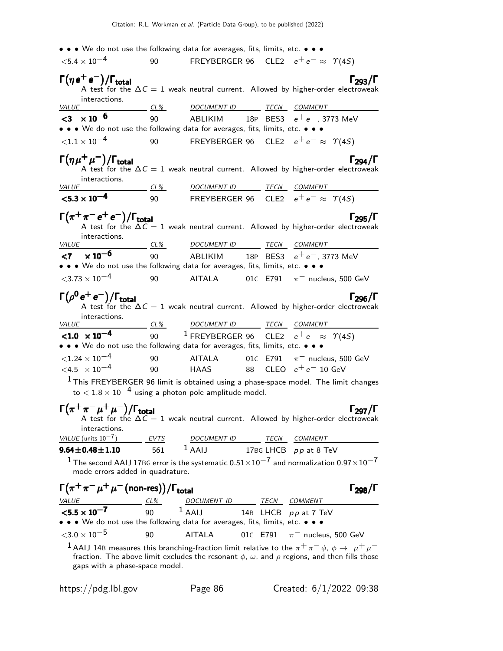| • • • We do not use the following data for averages, fits, limits, etc. • • •                                                                                                                                                         |                 |                                                                  |          |                                   |                       |
|---------------------------------------------------------------------------------------------------------------------------------------------------------------------------------------------------------------------------------------|-----------------|------------------------------------------------------------------|----------|-----------------------------------|-----------------------|
| ${<}5.4\times10^{-4}$                                                                                                                                                                                                                 | 90              | FREYBERGER 96 CLE2 $e^+e^- \approx \Upsilon(4S)$                 |          |                                   |                       |
| $\Gamma(\eta e^+e^-)/\Gamma_{\rm total}$<br>A test for the $\Delta C = 1$ weak neutral current. Allowed by higher-order electroweak<br>interactions.                                                                                  |                 |                                                                  |          |                                   | $\Gamma_{293}/\Gamma$ |
| <i>VALUE</i>                                                                                                                                                                                                                          |                 | <u>CL% DOCUMENT ID TECN COMMENT</u>                              |          |                                   |                       |
| $<$ 3 $\times$ 10 <sup>-6</sup><br>• • • We do not use the following data for averages, fits, limits, etc. • • •                                                                                                                      |                 | 90 ABLIKIM 18P BES3 $e^+e^-$ , 3773 MeV                          |          |                                   |                       |
| ${<}1.1\times10^{-4}$                                                                                                                                                                                                                 | 90              | FREYBERGER 96 CLE2 $e^+e^- \approx \Upsilon(4S)$                 |          |                                   |                       |
| $\Gamma(\eta\mu^+\mu^-)/\Gamma_{\rm total}$<br>A test for the $\Delta C = 1$ weak neutral current. Allowed by higher-order electroweak<br>interactions.                                                                               |                 |                                                                  |          |                                   | Гэод /Г               |
| <i>VALUE</i>                                                                                                                                                                                                                          |                 | <u>CL% DOCUMENT ID TECN COMMENT</u>                              |          |                                   |                       |
| $< 5.3 \times 10^{-4}$                                                                                                                                                                                                                |                 | 90 FREYBERGER 96 CLE2 $e^+e^- \approx \Upsilon(4S)$              |          |                                   |                       |
| $\Gamma(\pi^+\pi^-e^+e^-)/\Gamma_{\rm total}$<br>A test for the $\Delta C = 1$ weak neutral current. Allowed by higher-order electroweak<br>interactions.                                                                             |                 |                                                                  |          |                                   | $\Gamma_{295}/\Gamma$ |
| <u>VALUE</u>                                                                                                                                                                                                                          |                 | <u>CL% DOCUMENT ID TECN COMMENT</u>                              |          |                                   |                       |
| $< 7 \times 10^{-6}$                                                                                                                                                                                                                  |                 | 90 ABLIKIM 18P BES3 $e^+e^-$ , 3773 MeV                          |          |                                   |                       |
| • • • We do not use the following data for averages, fits, limits, etc. • • •                                                                                                                                                         |                 |                                                                  |          |                                   |                       |
| $<$ 3.73 $\times$ 10 <sup>-4</sup>                                                                                                                                                                                                    | 90              | <b>AITALA</b>                                                    |          | 01C E791 $\pi^-$ nucleus, 500 GeV |                       |
| $\Gamma(\rho^0 e^+ e^-)/\Gamma_{\rm total}$<br>A test for the $\Delta C = 1$ weak neutral current. Allowed by higher-order electroweak<br>interactions.<br><i>VALUE</i>                                                               |                 | <u>CL% DOCUMENT ID TECN COMMENT</u>                              |          |                                   | Гээг/Г                |
| $< 1.0 \times 10^{-4}$                                                                                                                                                                                                                |                 | 90 <sup>1</sup> FREYBERGER 96 CLE2 $e^+e^- \approx \Upsilon(45)$ |          |                                   |                       |
| • • • We do not use the following data for averages, fits, limits, etc. • • •                                                                                                                                                         |                 |                                                                  |          |                                   |                       |
| ${<}1.24 \times 10^{-4}$                                                                                                                                                                                                              | 90              | AITALA 01C E791 $\pi^-$ nucleus, 500 GeV                         |          |                                   |                       |
| $< 4.5 \times 10^{-4}$                                                                                                                                                                                                                | 90              | HAAS 88 CLEO $e^+e^-$ 10 GeV                                     |          |                                   |                       |
| $1$ This FREYBERGER 96 limit is obtained using a phase-space model. The limit changes<br>to $< 1.8 \times 10^{-4}$ using a photon pole amplitude model.                                                                               |                 |                                                                  |          |                                   |                       |
| $\Gamma(\pi^+\pi^-\mu^+\mu^-)/\Gamma_{\rm total}$<br>A test for the $\Delta C = 1$ weak neutral current. Allowed by higher-order electroweak<br>interactions.                                                                         |                 |                                                                  |          |                                   | $\Gamma_{297}/\Gamma$ |
| VALUE (units $10^{-7}$ )                                                                                                                                                                                                              | EVTS            | DOCUMENT ID TECN COMMENT<br>$1$ AALI                             |          |                                   |                       |
| $9.64 \pm 0.48 \pm 1.10$                                                                                                                                                                                                              | 561             |                                                                  |          | 17BG LHCB pp at 8 TeV             |                       |
| $^1$ The second AAIJ 17BG error is the systematic 0.51 $\times$ 10 $^{-7}$ and normalization 0.97 $\times$ 10 $^{-7}$<br>mode errors added in quadrature.                                                                             |                 |                                                                  |          |                                   |                       |
| $\Gamma(\pi^+\pi^-\mu^+\mu^-$ (non-res))/ $\Gamma_{\rm total}$<br>$VALUE$ $CL\%$                                                                                                                                                      |                 | DOCUMENT ID TECN COMMENT                                         |          |                                   | $\Gamma_{298}/\Gamma$ |
| $< 5.5 \times 10^{-7}$                                                                                                                                                                                                                | 90 <sup>°</sup> | $1$ AAIJ 14B LHCB pp at 7 TeV                                    |          |                                   |                       |
| • • • We do not use the following data for averages, fits, limits, etc. • • •                                                                                                                                                         |                 |                                                                  |          |                                   |                       |
| ${<}3.0\times10^{-5}$                                                                                                                                                                                                                 | 90              | <b>AITALA</b>                                                    | 01C E791 | $\pi^-$ nucleus, 500 GeV          |                       |
| <sup>1</sup> AAIJ 14B measures this branching-fraction limit relative to the $\pi^+\pi^ \phi$ , $\phi \to \mu^+\mu^-$<br>fraction. The above limit excludes the resonant $\phi$ , $\omega$ , and $\rho$ regions, and then fills those |                 |                                                                  |          |                                   |                       |

gaps with a phase-space model.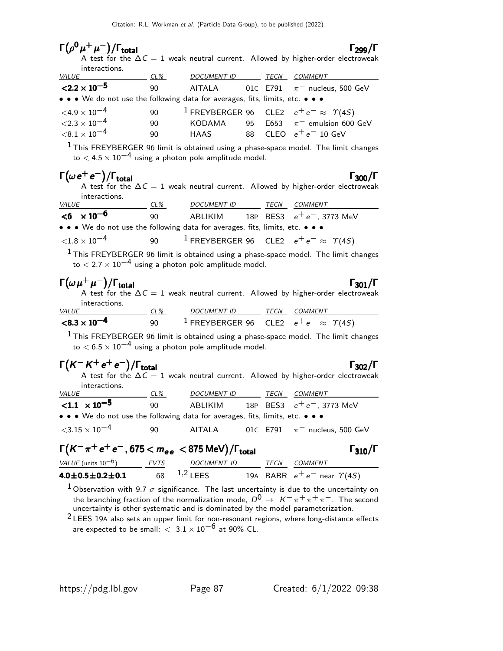| $\Gamma(\rho^0\mu^+\mu^-)/\Gamma_{\rm total}$                                 |     |                          |             | $\Gamma_{299}/\Gamma$                                                                                                  |
|-------------------------------------------------------------------------------|-----|--------------------------|-------------|------------------------------------------------------------------------------------------------------------------------|
| interactions.                                                                 |     |                          |             | A test for the $\Delta C = 1$ weak neutral current. Allowed by higher-order electroweak                                |
| <b>VALUE</b>                                                                  | CL% | DOCUMENT ID TECN COMMENT |             |                                                                                                                        |
| $<$ 2.2 $\times$ 10 <sup>-5</sup>                                             | 90  | AITALA                   |             | 01C E791 $\pi^-$ nucleus, 500 GeV                                                                                      |
| • • • We do not use the following data for averages, fits, limits, etc. • • • |     |                          |             |                                                                                                                        |
| $<$ 4.9 $\times$ 10 <sup>-4</sup>                                             | 90  |                          |             | <sup>1</sup> FREYBERGER 96 CLE2 $e^+e^- \approx \Upsilon(45)$                                                          |
| ${<}2.3\times10^{-4}$                                                         | 90  | KODAMA                   |             | 95 E653 $\pi^-$ emulsion 600 GeV                                                                                       |
| ${<}8.1\times10^{-4}$                                                         | 90  | <b>HAAS</b>              |             | 88 $\,$ CLEO $\,$ $\mathrm{e^{+}e^{-}}$ 10 GeV                                                                         |
|                                                                               |     |                          |             | <sup>1</sup> This FREYBERGER 96 limit is obtained using a phase-space model. The limit changes                         |
| to $< 4.5 \times 10^{-4}$ using a photon pole amplitude model.                |     |                          |             |                                                                                                                        |
| $\Gamma(\omega e^+e^-)/\Gamma_{\rm total}$<br>interactions.                   |     |                          |             | $\Gamma_{300}/\Gamma$<br>A test for the $\Delta C = 1$ weak neutral current. Allowed by higher-order electroweak       |
| <b>VALUE</b>                                                                  |     |                          |             | $\underbrace{\text{CL\%}}_{90}$ DOCUMENT ID TECN COMMENT<br>90 ABLIKIM 18P BES3 $e^+e^-,$ 3773 MeV                     |
| $<$ 6 $\times$ 10 <sup>-6</sup>                                               |     |                          |             |                                                                                                                        |
| • • • We do not use the following data for averages, fits, limits, etc. • • • |     |                          |             |                                                                                                                        |
| ${<}1.8\times10^{-4}$                                                         | 90  |                          |             | $^{-1}$ FREYBERGER 96 CLE2 $e^+e^- \approx \Upsilon(4S)$                                                               |
| to $< 2.7 \times 10^{-4}$ using a photon pole amplitude model.                |     |                          |             | $^1$ This FREYBERGER 96 limit is obtained using a phase-space model. The limit changes                                 |
| $\Gamma(\omega \mu^+ \mu^-)/\Gamma_{\rm total}$<br>interactions.              |     |                          |             | $\Gamma_{301}/\Gamma$<br>A test for the $\Delta C = 1$ weak neutral current. Allowed by higher-order electroweak       |
| <u>VALUE</u>                                                                  |     |                          |             |                                                                                                                        |
| $< 8.3 \times 10^{-4}$                                                        |     |                          |             | $\underbrace{CL\%}_{90}$ DOCUMENT ID TECN COMMENT<br>$\frac{TL\%}{1}$ FREYBERGER 96 CLE2 $e^+e^- \approx \Upsilon(4S)$ |
| to $< 6.5 \times 10^{-4}$ using a photon pole amplitude model.                |     |                          |             | $^1$ This FREYBERGER 96 limit is obtained using a phase-space model. The limit changes                                 |
| $\Gamma(K^-K^+e^+e^-)/\Gamma_{\rm total}$<br>interactions.                    |     |                          |             | Г302/Г<br>A test for the $\Delta C = 1$ weak neutral current. Allowed by higher-order electroweak                      |
| <i>VALUE</i>                                                                  | CL% | DOCUMENT ID              |             | TECN COMMENT                                                                                                           |
| $< 1.1 \times 10^{-5}$                                                        | 90  | ABLIKIM                  |             | 18P BES3 $e^+e^-$ , 3773 MeV                                                                                           |
| • • • We do not use the following data for averages, fits, limits, etc. • • • |     |                          |             |                                                                                                                        |
| $<$ 3.15 $\times$ 10 $^{-4}$                                                  | 90  | <b>AITALA</b>            |             | 01C E791 $\pi^-$ nucleus, 500 GeV                                                                                      |
| $\Gamma(K^-\pi^+e^+e^-$ , 675 $< m_{ee} <$ 875 MeV)/ $\Gamma_{\rm total}$     |     |                          |             | $\Gamma_{310}/\Gamma$                                                                                                  |
| $VALUE$ (units $10^{-6}$ )<br>EVTS                                            |     | DOCUMENT ID              | <b>TECN</b> | COMMENT                                                                                                                |
| $4.0\pm0.5\pm0.2\pm0.1$                                                       | 68  |                          |             | 1,2 LEES 19A BABR $e^+e^-$ near $\gamma(4S)$                                                                           |

<sup>1</sup> Observation with 9.7  $\sigma$  significance. The last uncertainty is due to the uncertainty on the branching fraction of the normalization mode,  $D^0 \rightarrow \ K^- \pi^+ \pi^+ \pi^-$ . The second<br>uncertainty is other systematic and is dominated by the model parameterization.

2 LEES 19<sup>A</sup> also sets an upper limit for non-resonant regions, where long-distance effects are expected to be small:  $< 3.1 \times 10^{-6}$  at 90% CL.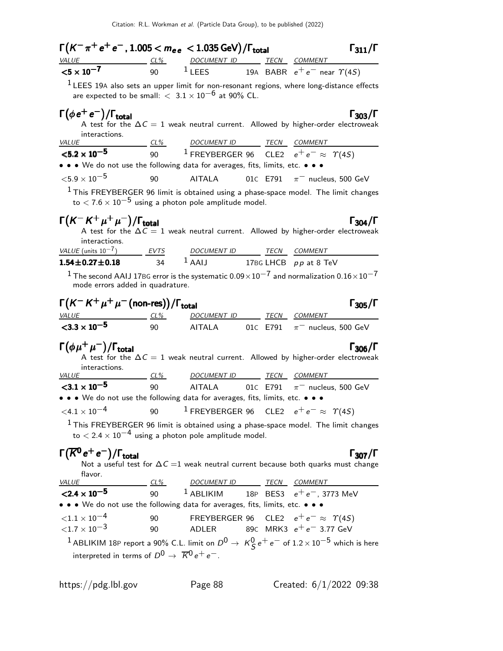| $\Gamma(K^-\pi^+e^+e^-, 1.005 < m_{ee} < 1.035 \,\text{GeV})/\Gamma_{\text{total}}$                                                                                                                                                                                                                                         |          |                                     |  | $\Gamma_{311}/\Gamma$                                                                                               |
|-----------------------------------------------------------------------------------------------------------------------------------------------------------------------------------------------------------------------------------------------------------------------------------------------------------------------------|----------|-------------------------------------|--|---------------------------------------------------------------------------------------------------------------------|
|                                                                                                                                                                                                                                                                                                                             |          |                                     |  |                                                                                                                     |
| $\frac{VALUE}{5 \times 10^{-7}}$ $\frac{CL\%}{90}$ $\frac{DOCUMENT ID}{1 \text{LEES}}$ $\frac{TECN}{19A}$ $\frac{COMMENT}{BABR}$ $e^+e^-$ near $\Upsilon(4S)$                                                                                                                                                               |          |                                     |  |                                                                                                                     |
|                                                                                                                                                                                                                                                                                                                             |          |                                     |  | $1$ LEES 19A also sets an upper limit for non-resonant regions, where long-distance effects                         |
| are expected to be small: $< 3.1 \times 10^{-6}$ at 90% CL.                                                                                                                                                                                                                                                                 |          |                                     |  |                                                                                                                     |
| $\Gamma(\phi e^+e^-)/\Gamma_{\rm total}$<br>interactions.                                                                                                                                                                                                                                                                   |          |                                     |  | $\Gamma_{303}/\Gamma$<br>A test for the $\Delta C = 1$ weak neutral current. Allowed by higher-order electroweak    |
| <i>VALUE</i>                                                                                                                                                                                                                                                                                                                |          | <u>CL% DOCUMENT ID TECN COMMENT</u> |  |                                                                                                                     |
| ${<}5.2 \times 10^{-5}$                                                                                                                                                                                                                                                                                                     |          |                                     |  | 90 $1$ FREYBERGER 96 CLE2 $e^+e^- \approx \varUpsilon(4S)$                                                          |
| • • • We do not use the following data for averages, fits, limits, etc. • • •                                                                                                                                                                                                                                               |          |                                     |  |                                                                                                                     |
| ${<}5.9\times10^{-5}$                                                                                                                                                                                                                                                                                                       | 90       | <b>AITALA</b>                       |  | 01C E791 $\pi^-$ nucleus, 500 GeV                                                                                   |
| to $< 7.6 \times 10^{-5}$ using a photon pole amplitude model.                                                                                                                                                                                                                                                              |          |                                     |  | $1$ This FREYBERGER 96 limit is obtained using a phase-space model. The limit changes                               |
| $\Gamma(K^-K^+\mu^+\mu^-)/\Gamma_{\rm total}$<br>interactions.                                                                                                                                                                                                                                                              |          |                                     |  | $\Gamma_{304}/\Gamma$<br>A test for the $\Delta C = 1$ weak neutral current. Allowed by higher-order electroweak    |
| $\frac{VALUE \text{ (units 10}^{-7})}{1.54 \pm 0.27 \pm 0.18}$ $\frac{EVTS}{34}$ $\frac{DOCUMENT ID}{1.54 \pm 0.27 \pm 0.18}$ $\frac{TECN}{1.54 \pm 0.27 \pm 0.18}$ $\frac{EVTS}{1.54 \pm 0.27 \pm 0.18}$ $\frac{VATUE}{1.54 \pm 0.27 \pm 0.18}$ $\frac{EVTS}{1.54 \pm 0.27 \pm 0.18}$ $\frac{VATUE}{1.54 \pm 0.27 \pm 0.1$ |          |                                     |  |                                                                                                                     |
|                                                                                                                                                                                                                                                                                                                             |          |                                     |  |                                                                                                                     |
| mode errors added in quadrature.                                                                                                                                                                                                                                                                                            |          |                                     |  | $^1$ The second AAIJ 17BG error is the systematic $0.09\times10^{-7}$ and normalization $0.16\times10^{-7}$         |
| $\Gamma(K^-K^+\mu^+\mu^-$ (non-res))/ $\Gamma_{\rm total}$                                                                                                                                                                                                                                                                  |          |                                     |  | $\Gamma_{305}/\Gamma$                                                                                               |
| $\frac{VALUE}{23.3 \times 10^{-5}}$ $\frac{CL\%}{90}$ $\frac{DOCUMENT ID}{AITALA}$ $\frac{TECN}{01C}$ $\frac{COMMENT}{\pi^{-}}$ nucleus<br>$<$ 3.3 $\times$ 10 <sup>-5</sup>                                                                                                                                                |          |                                     |  | AITALA 01C E791 $\pi^-$ nucleus, 500 GeV                                                                            |
| $\Gamma(\phi\mu^+\mu^-)/\Gamma_{\rm total}$<br>interactions.<br>$VALUE$ CL%                                                                                                                                                                                                                                                 |          | DOCUMENT ID TECN COMMENT            |  | $\Gamma_{306}/\Gamma$<br>A test for the $\Delta C = 1$ weak neutral current. Allowed by higher-order electroweak    |
| ${<}3.1 \times 10^{-5}$                                                                                                                                                                                                                                                                                                     | 90       |                                     |  | AITALA $01C$ E791 $\pi^-$ nucleus, 500 GeV                                                                          |
| • • • We do not use the following data for averages, fits, limits, etc. • • •                                                                                                                                                                                                                                               |          |                                     |  |                                                                                                                     |
| $\langle 4.1 \times 10^{-4} \rangle$ 90 1 FREYBERGER 96 CLE2 $e^+e^- \approx \gamma(45)$                                                                                                                                                                                                                                    |          |                                     |  |                                                                                                                     |
| to $< 2.4 \times 10^{-4}$ using a photon pole amplitude model.                                                                                                                                                                                                                                                              |          |                                     |  | $1$ This FREYBERGER 96 limit is obtained using a phase-space model. The limit changes                               |
| $\Gamma(\overline{K}^0 e^+ e^-)/\Gamma_{\rm total}$<br>flavor.                                                                                                                                                                                                                                                              |          |                                     |  | $\Gamma_{307}/\Gamma$<br>Not a useful test for $\Delta C = 1$ weak neutral current because both quarks must change  |
| VALUE                                                                                                                                                                                                                                                                                                                       | CL%      | DOCUMENT ID TECN COMMENT            |  |                                                                                                                     |
| $<$ 2.4 $\times$ 10 <sup>-5</sup><br>• • • We do not use the following data for averages, fits, limits, etc. • • •                                                                                                                                                                                                          | 90       |                                     |  | <sup>1</sup> ABLIKIM 18P BES3 $e^+e^-$ , 3773 MeV                                                                   |
| ${<}1.1\times10^{-4}$<br>${<}1.7\times10^{-3}$                                                                                                                                                                                                                                                                              | 90<br>90 | ADLER                               |  | FREYBERGER 96 CLE2 $e^+e^- \approx \Upsilon(45)$<br>89c MRK3 $e^+e^-$ 3.77 GeV                                      |
|                                                                                                                                                                                                                                                                                                                             |          |                                     |  | $^1$ ABLIKIM 18P report a 90% C.L. limit on $D^0\rightarrow\ K^0_S\,e^+\,e^-\,$ of $1.2\times10^{-5}$ which is here |
| interpreted in terms of $D^0 \rightarrow \overline{K}^0 e^+ e^-$ .                                                                                                                                                                                                                                                          |          |                                     |  |                                                                                                                     |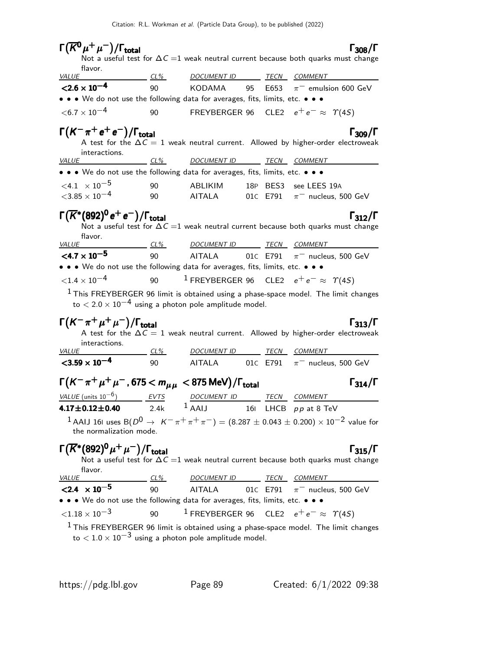| $\Gamma(\overline{K^0}\mu^+\mu^-)/\Gamma_{\rm total}$                                                   |        |                                            |    |      | $\Gamma_{308}/\Gamma$                                                                                              |
|---------------------------------------------------------------------------------------------------------|--------|--------------------------------------------|----|------|--------------------------------------------------------------------------------------------------------------------|
|                                                                                                         |        |                                            |    |      | Not a useful test for $\Delta C = 1$ weak neutral current because both quarks must change                          |
| flavor.<br><b>VALUE</b>                                                                                 | $CL\%$ | DOCUMENT ID TECN COMMENT                   |    |      |                                                                                                                    |
| $< 2.6 \times 10^{-4}$                                                                                  | 90     | KODAMA                                     | 95 | E653 | $\pi^-$ emulsion 600 GeV                                                                                           |
| • • • We do not use the following data for averages, fits, limits, etc. • • •                           |        |                                            |    |      |                                                                                                                    |
| $<$ 6.7 $\times$ 10 <sup>-4</sup>                                                                       | 90     |                                            |    |      | FREYBERGER 96 CLE2 $e^+e^- \approx \Upsilon(4S)$                                                                   |
| $\Gamma(K^-\pi^+e^+e^-)/\Gamma_{\rm total}$                                                             |        |                                            |    |      | $\Gamma_{309}/\Gamma$                                                                                              |
|                                                                                                         |        |                                            |    |      | A test for the $\Delta C = 1$ weak neutral current. Allowed by higher-order electroweak                            |
| interactions.<br><u>VALUE</u>                                                                           | $CL\%$ | <b>DOCUMENT ID</b>                         |    |      | <u>TECN COMMENT</u>                                                                                                |
| • • • We do not use the following data for averages, fits, limits, etc. • • •                           |        |                                            |    |      |                                                                                                                    |
| $\leq 4.1 \times 10^{-5}$                                                                               | 90     | ABLIKIM                                    |    |      | 18P BES3 see LEES 19A                                                                                              |
| $<$ 3.85 $\times$ 10 $^{-4}$                                                                            | 90     | <b>AITALA</b>                              |    |      | 01C E791 $\pi^-$ nucleus, 500 GeV                                                                                  |
| $\Gamma(\overline{K}^*(892)^0 \, e^+ \, e^-)/\Gamma_{\rm total}$                                        |        |                                            |    |      | $\Gamma_{312}/\Gamma$                                                                                              |
|                                                                                                         |        |                                            |    |      | Not a useful test for $\Delta C = 1$ weak neutral current because both quarks must change                          |
| tlavor.<br><i>VALUE</i>                                                                                 | $CL\%$ | <u>DOCUMENT ID _______ TECN __ COMMENT</u> |    |      |                                                                                                                    |
| $\leq 4.7 \times 10^{-5}$                                                                               | 90     |                                            |    |      | AITALA $01C$ E791 $\pi^-$ nucleus, 500 GeV                                                                         |
| • • • We do not use the following data for averages, fits, limits, etc. • • •                           |        |                                            |    |      |                                                                                                                    |
| ${<}1.4\times10^{-4}$                                                                                   | 90     |                                            |    |      | <sup>1</sup> FREYBERGER 96 CLE2 $e^+e^- \approx \Upsilon(45)$                                                      |
| to $< 2.0 \times 10^{-4}$ using a photon pole amplitude model.                                          |        |                                            |    |      | $1$ This FREYBERGER 96 limit is obtained using a phase-space model. The limit changes                              |
|                                                                                                         |        |                                            |    |      |                                                                                                                    |
| $\Gamma(K^-\pi^+\mu^+\mu^-)/\Gamma_{\rm total}$                                                         |        |                                            |    |      | $\Gamma_{313}/\Gamma$<br>A test for the $\Delta C = 1$ weak neutral current. Allowed by higher-order electroweak   |
| interactions.                                                                                           |        |                                            |    |      |                                                                                                                    |
| <i>VALUE</i>                                                                                            | $CL\%$ | <u>DOCUMENT ID ______ TECN __ COMMENT </u> |    |      |                                                                                                                    |
| $<$ 3.59 $\times$ 10 <sup>-4</sup>                                                                      | 90     |                                            |    |      | AITALA $01$ C E791 $\pi^-$ nucleus, 500 GeV                                                                        |
| $\Gamma(K^-\pi^+\mu^+\mu^-$ , 675 $< m_{\mu\mu} <$ 875 MeV)/ $\Gamma_{\rm total}$                       |        |                                            |    |      | $\Gamma_{314}/\Gamma$                                                                                              |
| VALUE (units $10^{-6}$ )                                                                                |        | DOCUMENT ID                                |    |      | TECN COMMENT                                                                                                       |
| $4.17 \pm 0.12 \pm 0.40$                                                                                | 2.4k   | $1$ AAIJ 161 LHCB $pp$ at 8 TeV            |    |      |                                                                                                                    |
|                                                                                                         |        |                                            |    |      | <sup>1</sup> AAIJ 161 uses B( $D^0 \to K^-\pi^+\pi^+\pi^-)=(8.287\pm0.043\pm0.200)\times10^{-2}$ value for         |
| the normalization mode.                                                                                 |        |                                            |    |      |                                                                                                                    |
| $\Gamma(\overline{K}^*(892)^0 \mu^+ \mu^-)/\Gamma_{\rm total}$                                          |        |                                            |    |      | $\Gamma_{315}/\Gamma$<br>Not a useful test for $\Delta C = 1$ weak neutral current because both quarks must change |
| flavor.                                                                                                 |        |                                            |    |      |                                                                                                                    |
| <i>VALUE</i>                                                                                            | $CL\%$ | DOCUMENT ID TECN COMMENT                   |    |      |                                                                                                                    |
| $< 2.4 \times 10^{-5}$<br>• • • We do not use the following data for averages, fits, limits, etc. • • • |        | 90 AITALA                                  |    |      | 01C E791 $\pi^-$ nucleus, 500 GeV                                                                                  |
| ${<}1.18\times10^{-3}$                                                                                  | 90     |                                            |    |      | <sup>1</sup> FREYBERGER 96 CLE2 $e^+e^- \approx \Upsilon(45)$                                                      |
|                                                                                                         |        |                                            |    |      | <sup>1</sup> This FREYBERGER 96 limit is obtained using a phase-space model. The limit changes                     |
|                                                                                                         |        |                                            |    |      |                                                                                                                    |

to  $< 1.0 \times 10^{-3}$  using a photon pole amplitude model.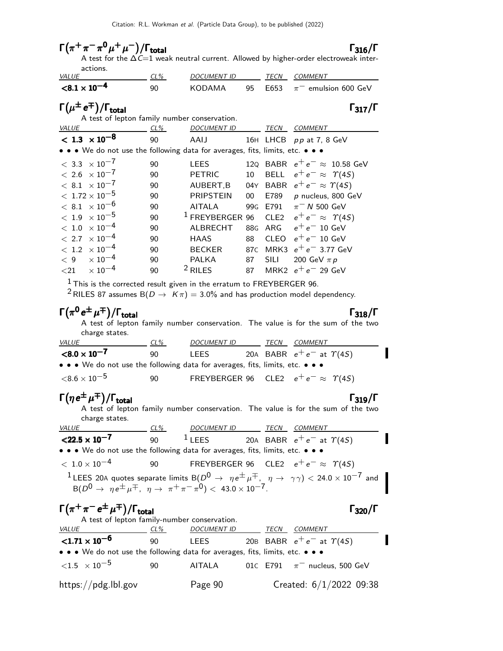$\Gamma(\pi^+\pi^-\pi^0\mu^+\mu^-)/\Gamma_{\rm total}$  Γ<sub>316</sub>/Γ total and  $\frac{1316}{1}$ A test for the  $\Delta\mathit{C}{=}\mathit{1}$  weak neutral current. Allowed by higher-order electroweak interactions.<br>*VALUE* CL% DOCUMENT ID TECN COMMENT  $< 8.1 \times 10^{-4}$ 90 KODAMA 95 E653  $\pi^-$  emulsion 600 GeV  $\Gamma(\mu^{\pm}e^{\mp})/\Gamma_{\rm total}$  Γ<sub>317</sub>/Γ A test of lepton family number conservation. VALUE CL% DOCUMENT ID TECN COMMENT  $<$  1.3  $\times$  10<sup>-8</sup> 90 AAIJ 16H LHCB pp at 7, 8 GeV • • • We do not use the following data for averages, fits, limits, etc. • • •  $< 3.3 \times 10^{-7}$  90 LEES 12Q BABR  $e^+e^- \approx 10.58$  GeV<br> $< 2.6 \times 10^{-7}$  90 PETRIC 10 BELL  $e^+e^- \approx \gamma(45)$  $< 2.6 \times 10^{-7}$  90 PETRIC 10 BELL  $e^+e^- \approx \ \varUpsilon(4S) \ < \ 8.1 \ \times 10^{-7}$  90 AUBERT,B 04Y BABR  $e^+e^- \approx \ \varUpsilon(4S)$  $< 8.1\ \times 10^{-7}$  90 AUBERT,B 04Y BABR  $e^+ \, e^- \approx \, \varUpsilon(4S) \ < 1.72 \times 10^{-5}$  90 PRIPSTEIN 00 E789  $\rho$  nucleus, 800 G 90 PRIPSTEIN 00 E789 p nucleus, 800 GeV<br>90 AITALA 99G E791  $\pi^- N$  500 GeV  $< 8.1 \times 10^{-6}$  90 AITALA 99<br> $< 1.9 \times 10^{-5}$  90  $^1$  FREYBERGER 96 <sup>&</sup>lt; <sup>1</sup>.<sup>9</sup> <sup>×</sup> <sup>10</sup>−<sup>5</sup> <sup>90</sup> <sup>1</sup> FREYBERGER 96 CLE2 <sup>e</sup><sup>+</sup> <sup>e</sup><sup>−</sup> <sup>≈</sup> <sup>Υ</sup>(4S)  $< 1.0 \times 10^{-4}$  90 ALBRECHT 88<br> $< 2.7 \times 10^{-4}$  90 HAAS 88  $< 2.7 \ \times 10^{-4}$  90 HAAS 88 CLEO  $e^+ \, e^-\,$  10 GeV  $< 1.2 \ \times 10^{-4}$  90 BECKER 87c MRK3  $e^+ \, e^-\,$  3.77 Ge  $< 1.2$   $\times$   $10^{-4}$  90 BECKER 87c MRK3  $e^+e^-\,$  3.77 GeV<br>  $< 9$   $\times$   $10^{-4}$  90 PALKA 87 SILI 200 GeV π ρ  $< 9$   $\times 10^{-4}$  90 PALKA 87 SILI 200 GeV  $\pi p$  $<$ 21  $\times\,10^{-4}$  90  $^2$  RILES 87 MRK2  $e^+$   $e^-$  29 GeV  $1$  This is the corrected result given in the erratum to FREYBERGER 96. <sup>2</sup> RILES 87 assumes B( $D \rightarrow K \pi$ ) = 3.0% and has production model dependency.  $\Gamma(\pi^0\,e^{\pm}\,\mu^{\mp})/\Gamma_{\rm total}$ total and total and the set of  $\sim$  1 318/1  $\sim$ A test of lepton family number conservation. The value is for the sum of the two charge states.<br>VALUE CL% DOCUMENT ID TECN COMMENT  ${<}8.0\times10^{-7}$ 90 LEES 20A BABR  $e^+e^-$  at  $\gamma(4S)$ • • • We do not use the following data for averages, fits, limits, etc. • • •  $<$ 8.6 × 10<sup>-5</sup> 90 FREYBERGER 96 CLE2  $e^+e^- \approx \Upsilon(45)$  $\Gamma(\eta e^{\pm}\mu^{\mp})/\Gamma_{\rm total}$  Γ<sub>319</sub>/Γ total319 A test of lepton family number conservation. The value is for the sum of the two charge states. VALUE CL% DOCUMENT ID TECN COMMENT 90 <sup>1</sup> LEES 20A BABR  $e^+e^-$  at  $\gamma(4S)$ I  $<$ 22.5  $\times$  10 $^{-7}$ • • • We do not use the following data for averages, fits, limits, etc. • • •  $< 1.0 \times 10^{-4}$  90 FREYBERGER 96 CLE2  $e^+e^- \approx \Upsilon(45)$ <sup>1</sup> LEES 20A quotes separate limits B( $D^0 \rightarrow \eta e^{\pm} \mu^{\mp}$ ,  $\eta \rightarrow \gamma \gamma$ ) < 24.0 × 10<sup>-7</sup> and  $B(D^0 \to \eta e^{\pm} \mu^{\mp}, \eta \to \pi^+ \pi^- \pi^0) < 43.0 \times 10^{-7}.$  $\Gamma(\pi^+\pi^-e^{\pm}\mu^{\mp})/\Gamma_{\rm total}$  Γ<sub>320</sub>/Γ A test of lepton family-number conservation. VALUE CL% DOCUMENT ID TECN COMMENT  ${<}1.71\times10^{-6}$ 90 LEES 20B BABR  $e^+e^-$  at  $\Upsilon(4S)$ • • • We do not use the following data for averages, fits, limits, etc. • • •  $\langle 1.5 \times 10^{-5}$  90 AITALA 01C E791  $\pi^-$  nucleus, 500 GeV https://pdg.lbl.gov Page 90 Created: 6/1/2022 09:38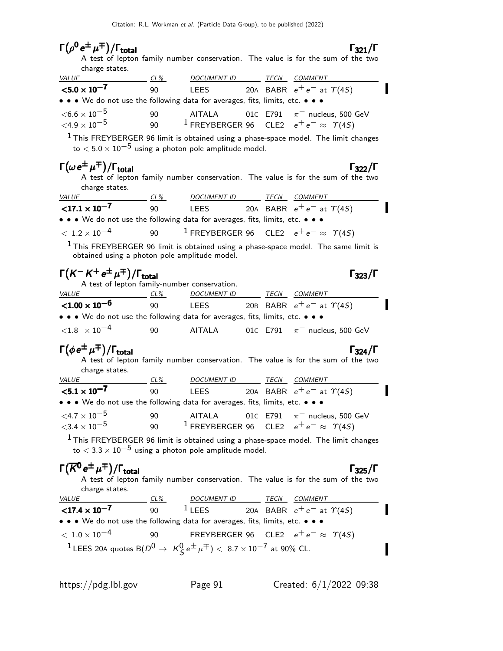| $\Gamma(\rho^0 e^{\pm} \mu^{\mp})/\Gamma_{\rm total}$                                                                            |        |                                                                                                                                                                           |  | $\Gamma_{321}/\Gamma$                                                                                     |
|----------------------------------------------------------------------------------------------------------------------------------|--------|---------------------------------------------------------------------------------------------------------------------------------------------------------------------------|--|-----------------------------------------------------------------------------------------------------------|
|                                                                                                                                  |        |                                                                                                                                                                           |  | A test of lepton family number conservation. The value is for the sum of the two                          |
| charge states.<br><b>VALUE</b>                                                                                                   | CL%    | DOCUMENT ID                                                                                                                                                               |  | TECN COMMENT                                                                                              |
| $<$ 5.0 $\times$ 10 <sup>-7</sup>                                                                                                | 90     | LEES                                                                                                                                                                      |  | 20A BABR $e^+e^-$ at $\Upsilon(4S)$                                                                       |
| • • • We do not use the following data for averages, fits, limits, etc. • • •                                                    |        |                                                                                                                                                                           |  |                                                                                                           |
| ${<}6.6\times10^{-5}$                                                                                                            | 90     | AITALA                                                                                                                                                                    |  | 01C E791 $\pi^-$ nucleus, 500 GeV                                                                         |
| ${<}4.9\times10^{-5}$                                                                                                            |        |                                                                                                                                                                           |  | 90 <sup>1</sup> FREYBERGER 96 CLE2 $e^+e^- \approx \Upsilon(45)$                                          |
|                                                                                                                                  |        |                                                                                                                                                                           |  | $1$ This FREYBERGER 96 limit is obtained using a phase-space model. The limit changes                     |
| to $< 5.0 \times 10^{-5}$ using a photon pole amplitude model.                                                                   |        |                                                                                                                                                                           |  |                                                                                                           |
| $\Gamma(\omega e^{\pm} \mu^{\mp})/\Gamma_{\text{total}}$<br>charge states.                                                       |        |                                                                                                                                                                           |  | $\Gamma_{322}/\Gamma$<br>A test of lepton family number conservation. The value is for the sum of the two |
| <i>VALUE</i>                                                                                                                     | $CL\%$ | DOCUMENT ID TECN COMMENT                                                                                                                                                  |  |                                                                                                           |
| ${17.1 \times 10^{-7}}$                                                                                                          | 90     | <b>LEES</b>                                                                                                                                                               |  | 20A BABR $e^+e^-$ at $\Upsilon(4S)$                                                                       |
| • • • We do not use the following data for averages, fits, limits, etc. • • •                                                    |        |                                                                                                                                                                           |  |                                                                                                           |
| $< 1.2 \times 10^{-4}$                                                                                                           |        |                                                                                                                                                                           |  | 90 <sup>1</sup> FREYBERGER 96 CLE2 $e^+e^- \approx \Upsilon(45)$                                          |
| obtained using a photon pole amplitude model.                                                                                    |        |                                                                                                                                                                           |  | $1$ This FREYBERGER 96 limit is obtained using a phase-space model. The same limit is                     |
| $\Gamma(K^-K^+e^{\pm}\mu^{\mp})/\Gamma_{\rm total}$                                                                              |        | A test of lepton family-number conservation.                                                                                                                              |  | $\Gamma_{323}/\Gamma$                                                                                     |
| <b>VALUE</b>                                                                                                                     | $CL\%$ | <u>DOCUMENT ID</u>                                                                                                                                                        |  | TECN COMMENT                                                                                              |
|                                                                                                                                  |        |                                                                                                                                                                           |  |                                                                                                           |
| $< 1.00 \times 10^{-6}$                                                                                                          | 90     |                                                                                                                                                                           |  | LEES 20B BABR $e^+e^-$ at $\Upsilon(4S)$                                                                  |
| • • • We do not use the following data for averages, fits, limits, etc. • • •                                                    |        |                                                                                                                                                                           |  |                                                                                                           |
| $<$ 1.8 $\times$ 10 $^{-4}$                                                                                                      | 90     | AITALA                                                                                                                                                                    |  | 01 $\epsilon$ E791 $\pi^-$ nucleus, 500 GeV                                                               |
| $\Gamma(\phi e^{\pm} \mu^{\mp})/\Gamma_{\text{total}}$<br>charge states.                                                         |        |                                                                                                                                                                           |  | $\Gamma_{324}/\Gamma$<br>A test of lepton family number conservation. The value is for the sum of the two |
| <i>VALUE</i>                                                                                                                     | CL%    | DOCUMENT ID                                                                                                                                                               |  | TECN COMMENT                                                                                              |
| $< 5.1 \times 10^{-7}$                                                                                                           | 90     | <b>LEES</b>                                                                                                                                                               |  | 20A BABR $e^+e^-$ at $\Upsilon(4S)$                                                                       |
| • • • We do not use the following data for averages, fits, limits, etc. • • •                                                    |        |                                                                                                                                                                           |  |                                                                                                           |
| ${<}4.7\times10^{-5}$                                                                                                            | 90     | <b>AITALA</b>                                                                                                                                                             |  | 01C E791 $\pi^-$ nucleus, 500 GeV                                                                         |
| ${<}3.4\times10^{-5}$                                                                                                            | 90     |                                                                                                                                                                           |  | <sup>1</sup> FREYBERGER 96 CLE2 $e^+e^- \approx \Upsilon(45)$                                             |
|                                                                                                                                  |        |                                                                                                                                                                           |  | $1$ This FREYBERGER 96 limit is obtained using a phase-space model. The limit changes                     |
| to $< 3.3 \times 10^{-5}$ using a photon pole amplitude model.                                                                   |        |                                                                                                                                                                           |  |                                                                                                           |
| $\Gamma(\overline{K}^0e^{\pm}\mu^{\mp})/\Gamma_{\rm total}$<br>charge states.                                                    |        |                                                                                                                                                                           |  | $\Gamma_{325}/\Gamma$<br>A test of lepton family number conservation. The value is for the sum of the two |
| <u>VALUE</u>                                                                                                                     |        |                                                                                                                                                                           |  |                                                                                                           |
| $<$ 17.4 $\times$ 10 <sup>-7</sup>                                                                                               | 90     | $\begin{array}{cccccc}\n & \textit{DCUMENT ID} & \textit{TECN} & \textit{COMMENT} \\ \hline\n1 \text{LEES} & 20 \text{A} & \text{BABR} & e^+e^- & \text{at}\n\end{array}$ |  | 20A BABR $e^+e^-$ at $\Upsilon(4S)$                                                                       |
| • • We do not use the following data for averages, fits, limits, etc. • • •                                                      |        |                                                                                                                                                                           |  |                                                                                                           |
| $<\,1.0\times10^{-4}$<br><sup>1</sup> LEES 20A quotes B( $D^0 \to K^0_S e^{\pm} \mu^{\mp}$ ) < 8.7 × 10 <sup>-7</sup> at 90% CL. | 90     |                                                                                                                                                                           |  | FREYBERGER 96 CLE2 $e^+e^- \approx \Upsilon(45)$                                                          |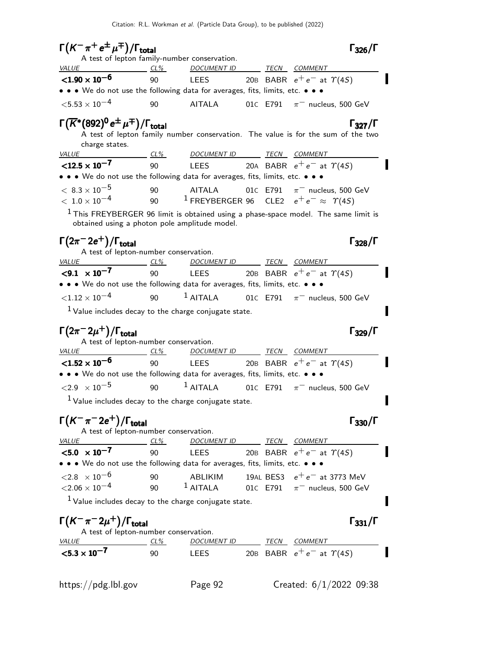$\Gamma(K^-\pi^+e^{\pm}\mu^{\mp})/\Gamma_{\text{total}}$  [326/ $\Gamma$  $\Gamma_{326}/\Gamma$ A test of lepton family-number conservation. VALUE CL% DOCUMENT ID TECN COMMENT  $<$ 1.90  $\times$  10 $^{-6}$ 90 LEES 20B BABR  $e^+e^-$  at  $\Upsilon(4S)$ • • • We do not use the following data for averages, fits, limits, etc. • • •  $<$  5.53  $\times$  10<sup>-4</sup> 90 AITALA 01C E791  $\pi^-$  nucleus, 500 GeV  $\Gamma(\overline{K}^*(892)^0 e^{\pm} \mu^{\mp})/\Gamma_{\text{total}}$  Γ<sub>327</sub>/Γ  $\Gamma_{327}/\Gamma$ A test of lepton family number conservation. The value is for the sum of the two charge states. VALUE CL% DOCUMENT ID TECN COMMENT  $<$ 12.5  $\times$  10<sup>-7</sup> 90 LEES 20A BABR  $e^+e^-$  at  $\gamma(4S)$ • • • We do not use the following data for averages, fits, limits, etc. • • •  $< 8.3 \times 10^{-5}$  90 AITALA 01C E791  $\pi^-$  nucleus, 500 GeV<br>  $< 1.0 \times 10^{-4}$  90 1 FREYBERGER 96 CLE2  $e^+e^- \approx \gamma(45)$ <sup>1</sup> FREYBERGER 96 CLE2  $e^+e^- \approx \Upsilon(4S)$  $<sup>1</sup>$  This FREYBERGER 96 limit is obtained using a phase-space model. The same limit is</sup> obtained using a photon pole amplitude model.  $\Gamma(2\pi^- 2e^+) / \Gamma_{\text{total}}$  Γ<sub>328</sub>/Γ  $^{+})/\Gamma_{\rm total}$ Γ<sub>328</sub>/Γ A test of lepton-number conservation. VALUE CL<sup>%</sup> DOCUMENT ID TECN COMMENT  $< 9.1 \times 10^{-7}$ 90 LEES 20B BABR  $e^+e^-$  at  $\Upsilon(4S)$ • • • We do not use the following data for averages, fits, limits, etc. • • •  $\langle 1.12 \times 10^{-4}$  90 <sup>1</sup> AITALA 01C E791  $\pi^-$  nucleus, 500 GeV  $1$  Value includes decay to the charge conjugate state. П  $\Gamma(2\pi^- 2\mu^+)$ /Γ<sub>total</sub> Γ<sub>329</sub>/Γ A test of lepton-number conservation. VALUE CL% DOCUMENT ID TECN COMMENT  $<$ 1.52  $\times$  10 $^{-6}$ 90 LEES 20B BABR  $e^+e^-$  at  $\Upsilon(4S)$ • • • We do not use the following data for averages, fits, limits, etc. • • •  $\langle 2.9 \times 10^{-5}$  90 1 AITALA 01C E791  $\pi^-$  nucleus, 500 GeV  $<sup>1</sup>$  Value includes decay to the charge conjugate state.</sup>  $\Gamma(K^-\pi^- 2e^+) / \Gamma_{\text{total}}$  Γ<sub>330</sub>/Γ A test of lepton-number conservation. VALUE CL<sup>%</sup> DOCUMENT ID TECN COMMENT  $< 5.0 \times 10^{-7}$ 90 LEES 20B BABR  $e^+e^-$  at  $\gamma(4S)$ • • • We do not use the following data for averages, fits, limits, etc. • • •  $<$ 2.8  $\times$  10<sup>−6</sup> 90 ABLIKIM 19AL BES3  $e^+e^-$  at 3773 MeV<br> $<$ 2.06  $\times$  10<sup>−4</sup> 90 <sup>1</sup> AITALA 01c E791  $\pi^-$  nucleus, 500 GeV  $\pi^-$  nucleus, 500 GeV  $<sup>1</sup>$  Value includes decay to the charge conjugate state.</sup>  $\Gamma(K^-\pi^-2\mu^+)/\Gamma_{\rm total}$  Γ<sub>331</sub>/Γ  $^{+})$ /Γ<sub>total</sub>Γ <sub>331</sub>/Γ total $\qquad \qquad$   $\qquad \qquad$   $\qquad$   $\qquad$   $\qquad$   $\qquad$   $\qquad$   $\qquad$   $\qquad$   $\qquad$   $\qquad$   $\qquad$   $\qquad$   $\qquad$   $\qquad$   $\qquad$   $\qquad$   $\qquad$   $\qquad$   $\qquad$   $\qquad$   $\qquad$   $\qquad$   $\qquad$   $\qquad$   $\qquad$   $\qquad$   $\qquad$   $\qquad$   $\qquad$   $\qquad$   $\qquad$   $\qquad$   $\qquad$   $\qquad$  A test of lepton-number conservation. VALUE CL<sup>%</sup> DOCUMENT ID TECN COMMENT  $<$  5.3  $\times$  10<sup>-7</sup> 90 LEES 20B BABR  $e^+e^-$  at  $\gamma(4S)$ 

https://pdg.lbl.gov Page 92 Created: 6/1/2022 09:38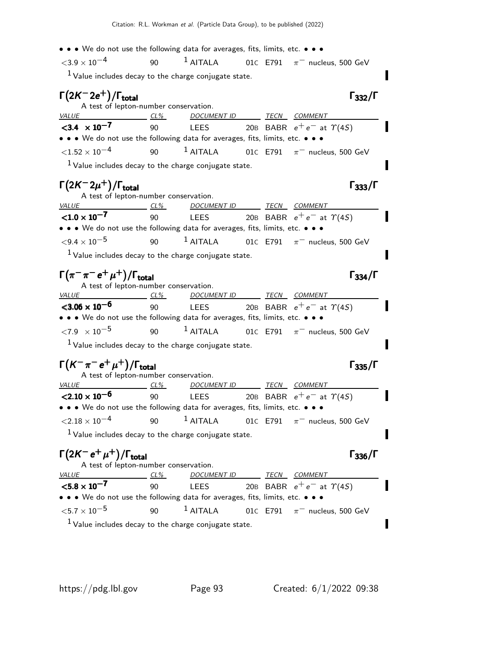• • • We do not use the following data for averages, fits, limits, etc. • • •  $<$ 3.9  $\times$  10<sup>-4</sup> 90 <sup>1</sup> AITALA 01C E791  $\pi^-$  nucleus, 500 GeV  $1$  Value includes decay to the charge conjugate state.  $\Gamma(2K^-2e^+)/\Gamma_{\text{total}}$  Γ<sub>332</sub>/Γ  $\Gamma$ <sub>total</sub>Γ $_{332}/\Gamma$ A test of lepton-number conservation. VALUE CL<sup>%</sup> DOCUMENT ID TECN COMMENT  $<$ 3.4  $\times$  10<sup>-7</sup> 90 LEES 20B BABR  $e^+e^-$  at  $\gamma(4S)$ • • • We do not use the following data for averages, fits, limits, etc. • • •  $\langle 1.52 \times 10^{-4}$  90 1 AITALA 01C E791  $\pi^-$  nucleus, 500 GeV  $1$  Value includes decay to the charge conjugate state.  $\Gamma(2K^-2\mu^+)$ /Γ<sub>total</sub>Γ333/Γ A test of lepton-number conservation.<br>VALUE CL% DOCUMENT ID CL% DOCUMENT ID TECN COMMENT  ${<}1.0 \times 10^{-7}$ 90 LEES 20B BABR  $e^+e^-$  at  $\gamma(4S)$ • • • We do not use the following data for averages, fits, limits, etc. • • •  $\langle 9.4 \times 10^{-5}$  90 <sup>1</sup> AITALA 01C E791  $\pi^-$  nucleus, 500 GeV  $<sup>1</sup>$  Value includes decay to the charge conjugate state.</sup>  $\Gamma(\pi^-\pi^-e^+\mu^+)/\Gamma_{\rm total}$  Γ<sub>334</sub>/Γ A test of lepton-number conservation. VALUE CL% DOCUMENT ID TECN COMMENT  $<$ 3.06  $\times$  10 $^{-6}$ 90 LEES 20B BABR  $e^+e^-$  at  $\gamma(4S)$ • • • We do not use the following data for averages, fits, limits, etc. • • •  $\langle 7.9 \times 10^{-5}$  90 1 AITALA 01C E791  $\pi^-$  nucleus, 500 GeV  $<sup>1</sup>$  Value includes decay to the charge conjugate state.</sup> I  $\Gamma(K^-\pi^-e^+\mu^+)/\Gamma_{\text{total}}$  Γ<sub>335</sub>/Γ A test of lepton-number conservation.<br>VALUE CL% DOCUM CL% DOCUMENT ID TECN COMMENT  $<$ 2.10  $\times$  10<sup>-6</sup> 90 LEES 20B BABR  $e^+e^-$  at  $\Upsilon(4S)$ • • • We do not use the following data for averages, fits, limits, etc. • • •  $\langle 2.18 \times 10^{-4}$  90 1 AITALA 01C E791  $\pi^-$  nucleus, 500 GeV  $<sup>1</sup>$  Value includes decay to the charge conjugate state.</sup> Π  $\Gamma(2K^-e^+\mu^+)/\Gamma_{\text{total}}$  Γ<sub>336</sub>/Γ A test of lepton-number conservation. VALUE CL<sup>%</sup> DOCUMENT ID TECN COMMENT  ${<}5.8\times10^{-7}$ 90 LEES 20B BABR  $e^+e^-$  at  $\gamma(4S)$ • • • We do not use the following data for averages, fits, limits, etc. • • •  $<$  5.7  $\times$  10 $^{-5}$  90  $^{-1}$  AITALA 01 $\rm{C}$  E791  $\rm{\pi}^{-}$  nucleus, 500 GeV П

 $<sup>1</sup>$  Value includes decay to the charge conjugate state.</sup>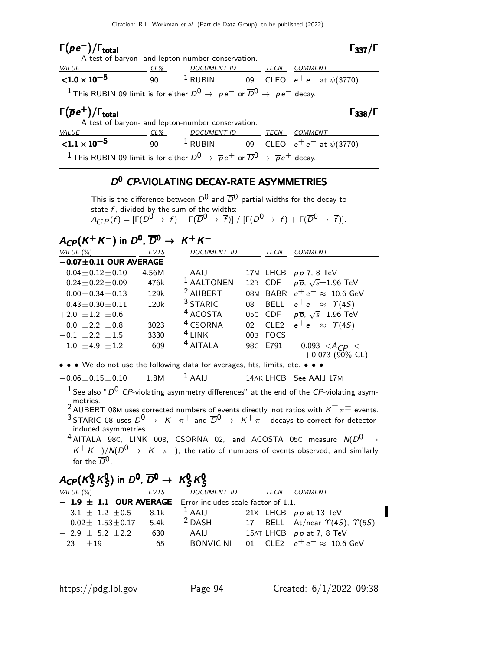# Γ $(\rho e^-)/\Gamma_{\rm total}$  Γ $_{337}/\Gamma$

| total | $\Gamma_{337}/\Gamma$ |
|-------|-----------------------|
|       |                       |

|                                                                                                                   |        | A test of baryon- and lepton-number conservation. |  |                                                     |
|-------------------------------------------------------------------------------------------------------------------|--------|---------------------------------------------------|--|-----------------------------------------------------|
| <i>VALUE</i>                                                                                                      | $CL\%$ | DOCUMENT ID TECN COMMENT                          |  |                                                     |
| ${<}1.0\times10^{-5}$                                                                                             | 90     |                                                   |  | <sup>1</sup> RUBIN 09 CLEO $e^+e^-$ at $\psi(3770)$ |
| <sup>1</sup> This RUBIN 09 limit is for either $D^0 \rightarrow pe^-$ or $\overline{D}^0 \rightarrow pe^-$ decay. |        |                                                   |  |                                                     |

| $\Gamma(\overline{\rho} e^+)/\Gamma_{\rm total}$                                                                                        |        | A test of baryon- and lepton-number conservation. |      | $\Gamma_{338}/\Gamma$            |
|-----------------------------------------------------------------------------------------------------------------------------------------|--------|---------------------------------------------------|------|----------------------------------|
| <i>VALUE</i>                                                                                                                            | $CL\%$ | <i>DOCUMENT ID</i>                                | TECN | COMMENT                          |
| ${1.1 \times 10^{-5}}$                                                                                                                  | 90     | $^1$ RUBIN                                        |      | 09 CLEO $e^+e^-$ at $\psi(3770)$ |
| <sup>1</sup> This RUBIN 09 limit is for either $D^0 \rightarrow \overline{p}e^+$ or $\overline{D}^0 \rightarrow \overline{p}e^+$ decay. |        |                                                   |      |                                  |

#### D<sup>0</sup> CP-VIOLATING DECAY-RATE ASYMMETRIES

This is the difference between  $D^0$  and  $\overline{D}^0$  partial widths for the decay to state  $f$ , divided by the sum of the widths:  $A_{CP} (f) = [\Gamma(D^0 \rightarrow f) - \Gamma(\overline{D}^0 \rightarrow \overline{f})] / [\Gamma(D^0 \rightarrow f) + \Gamma(\overline{D}^0 \rightarrow \overline{f})] .$ 

# $A_\text{CP}(K^+K^-)$  in  $D^0$ ,  $\overline{D}{}^0\to~K^+K^-$

| VALUE $(\%)$                 | <b>EVTS</b> | <b>DOCUMENT ID</b>    |                 | <b>TECN</b>      | <b>COMMENT</b>                         |
|------------------------------|-------------|-----------------------|-----------------|------------------|----------------------------------------|
| $-0.07 \pm 0.11$ OUR AVERAGE |             |                       |                 |                  |                                        |
| $0.04 \pm 0.12 \pm 0.10$     | 4.56M       | AAIJ                  |                 |                  | 17M LHCB pp 7, 8 TeV                   |
| $-0.24 \pm 0.22 \pm 0.09$    | 476k        | <sup>1</sup> AALTONEN |                 | 12B CDF          | $p\overline{p}$ , $\sqrt{s}$ =1.96 TeV |
| $0.00 \pm 0.34 \pm 0.13$     | 129k        | <sup>2</sup> AUBERT   |                 |                  | 08M BABR $e^+e^- \approx 10.6$ GeV     |
| $-0.43 \pm 0.30 \pm 0.11$    | 120k        | <sup>3</sup> STARIC   | 08              |                  | BELL $e^+e^- \approx \Upsilon(4S)$     |
| $+2.0 \pm 1.2 \pm 0.6$       |             | <sup>4</sup> ACOSTA   |                 | 05C CDF          | $p\overline{p}$ , $\sqrt{s}$ =1.96 TeV |
| $0.0 \pm 2.2 \pm 0.8$        | 3023        | <sup>4</sup> CSORNA   | 02 <sup>2</sup> | CLE <sub>2</sub> | $e^+e^- \approx \Upsilon(4S)$          |
| $-0.1 \pm 2.2 \pm 1.5$       | 3330        | $4$ LINK              | 00B             | <b>FOCS</b>      |                                        |
| $-1.0 \pm 4.9 \pm 1.2$       | 609         | <sup>4</sup> AITALA   |                 | 98C E791         | $-0.093 < A_{CP} <$                    |
|                              |             |                       |                 |                  | $+0.073$ (90% CL)                      |

• • • We do not use the following data for averages, fits, limits, etc. • • •

 $-0.06 \pm 0.15 \pm 0.10$  1.8M  $^1$  AAIJ 14AK LHCB See AAIJ 17M

- <sup>1</sup> See also "  $D^0$  CP-violating asymmetry differences" at the end of the CP-violating asymmetries.<br><sup>2</sup> AUBERT 08M uses corrected numbers of events directly, not ratios with  $K^{\mp}\pi^{\pm}$  events.
- <sup>3</sup> STARIC 08 uses  $D^0 \rightarrow K^-\pi^+$  and  $\overline{D}^0 \rightarrow K^+\pi^-$  decays to correct for detectorinduced asymmetries.
- $4$  AITALA 98c, LINK 00B, CSORNA 02, and ACOSTA 05c measure  $N(D^0 \rightarrow$  $K^+ K^-)/N(D^0 \rightarrow K^-\pi^+)$ , the ratio of numbers of events observed, and similarly for the  $\overline{D}^0$ .

#### $A_\mathsf{CP}$ (K $_\mathsf{S}^0$  $^{\mathsf{0}}_{\mathsf{S}}\kappa^{\mathsf{0}}_{\mathsf{S}}$  $(S^0_S)$  in  $D^0$ ,  $\overline{D}{}^0 \rightarrow K^0_S$  $^{\mathsf{0}}_{\mathsf{S}}\kappa^{\mathsf{0}}_{\mathsf{S}}$  $A_{\text{CP}}(\textit{K}^0_S\textit{K}^0_S)$  in  $D^0$ ,  $\overline{D}{}^0\rightarrow\textit{K}^0_S\textit{K}^0_S$

| VALUE (%)                                                      | EVTS | <i>DOCUMENT ID</i> | TECN | <i>COMMENT</i>                                  |
|----------------------------------------------------------------|------|--------------------|------|-------------------------------------------------|
| $-1.9 \pm 1.1$ OUR AVERAGE Error includes scale factor of 1.1. |      |                    |      |                                                 |
| $-3.1 \pm 1.2 \pm 0.5$                                         | 8.1k | $1$ AAIJ           |      | 21 $\times$ LHCB pp at 13 TeV                   |
| $-$ 0.02 $\pm$ 1.53 $\pm$ 0.17                                 | 5.4k | $2$ DASH           |      | 17 BELL At/near $\Upsilon(4S)$ , $\Upsilon(5S)$ |
| $-2.9 + 5.2 + 2.2$                                             | 630  | AAIJ               |      | 15AT LHCB $pp$ at 7, 8 TeV                      |
| $-23 + 19$                                                     | 65   | <b>BONVICINI</b>   |      | 01 CLE2 $e^+e^- \approx 10.6$ GeV               |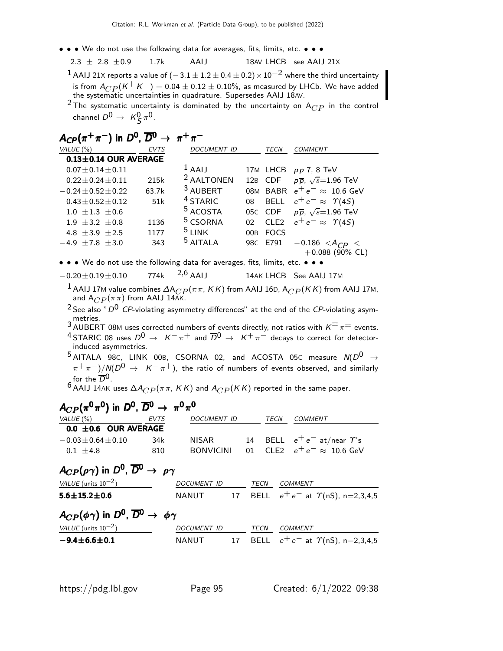- • We do not use the following data for averages, fits, limits, etc. •
	- $2.3 \pm 2.8 \pm 0.9$  1.7k AAIJ 18AV LHCB see AAIJ 21X
	- <sup>1</sup> AAIJ 21X reports a value of  $(-3.1 \pm 1.2 \pm 0.4 \pm 0.2) \times 10^{-2}$  where the third uncertainty is from  $A_{CP} (K^+ K^-) = 0.04 \pm 0.12 \pm 0.10$ %, as measured by LHCb. We have added the systematic uncertainties in quadrature. Supersedes AAIJ 18AV.
	- <sup>2</sup> The systematic uncertainty is dominated by the uncertainty on  $A_{CP}$  in the control channel  $D^0\,\rightarrow\,\, \mathcal{K}^0_S\,\pi^0.$

| $A_{\mathsf{CP}}(\pi^+\pi^-)$ in $D^0$ , $\overline{D}{}^0 \rightarrow \pi^+\pi^-$                               |             |                       |                 |                  |                                        |  |  |
|------------------------------------------------------------------------------------------------------------------|-------------|-----------------------|-----------------|------------------|----------------------------------------|--|--|
| VALUE $(\% )$                                                                                                    | <b>EVTS</b> | <b>DOCUMENT ID</b>    |                 | TECN             | <b>COMMENT</b>                         |  |  |
| $0.13 \pm 0.14$ OUR AVERAGE                                                                                      |             |                       |                 |                  |                                        |  |  |
| $0.07 \pm 0.14 \pm 0.11$                                                                                         |             | $1$ AAIJ              |                 | 17M LHCB         | $pp$ 7, 8 TeV                          |  |  |
| $0.22 + 0.24 + 0.11$                                                                                             | 215k        | <sup>2</sup> AALTONEN | 12B             | CDF              | $p\overline{p}$ , $\sqrt{s}$ =1.96 TeV |  |  |
| $-0.24 + 0.52 + 0.22$                                                                                            | 63.7k       | <sup>3</sup> AUBERT   | <b>M80</b>      | <b>BABR</b>      | $e^+e^- \approx 10.6$ GeV              |  |  |
| $0.43 + 0.52 + 0.12$                                                                                             | 51k         | <sup>4</sup> STARIC   | 08              | <b>BELL</b>      | $e^+e^- \approx \Upsilon(4S)$          |  |  |
| $1.0 + 1.3 + 0.6$                                                                                                |             | <sup>5</sup> ACOSTA   |                 | 05C CDF          | $p\overline{p}$ , $\sqrt{s}$ =1.96 TeV |  |  |
| $1.9 + 3.2 + 0.8$                                                                                                | 1136        | <sup>5</sup> CSORNA   | 02              | CLE <sub>2</sub> | $e^+e^- \approx \Upsilon(4S)$          |  |  |
| $4.8 + 3.9 + 2.5$                                                                                                | 1177        | $5$ LINK              | 00 <sub>B</sub> | <b>FOCS</b>      |                                        |  |  |
| $-4.9 \pm 7.8 \pm 3.0$                                                                                           | 343         | <sup>5</sup> AITALA   |                 | 98C E791         | $-0.186 < A_{CP} <$                    |  |  |
|                                                                                                                  |             |                       |                 |                  | $+0.088$ (90% CL)                      |  |  |
| $\bullet$ $\bullet$ M/e do not use the following data for averages fits limits etc $\bullet$ $\bullet$ $\bullet$ |             |                       |                 |                  |                                        |  |  |

do not use the following data for averages, fits, limits, etc.  $\bullet \bullet \bullet$ 

- $-0.20 \pm 0.19 \pm 0.10$  774k  $2,6$  AAIJ 14AK LHCB See AAIJ 17M
	- $^{-1}$  AAIJ 17M value combines  $\Delta {\sf A}_{CP}(\pi\pi,KK)$  from AAIJ 16D,  ${\sf A}_{CP}(KK)$  from AAIJ 17M, and  $A_{CP}(\pi \pi)$  from AAIJ 14AK.
	- <sup>2</sup> See also "  $D^0$  CP-violating asymmetry differences" at the end of the CP-violating asymmetries.
	- 3 AUBERT 08M uses corrected numbers of events directly, not ratios with  $K^{\pm} \pi^{\pm}$  events. 4 STARIC 08 uses  $D^0 \rightarrow K^-\pi^+$  and  $\overline{D}^0 \rightarrow K^+\pi^-$  decays to correct for detectorinduced asymmetries.
	- $5$  AITALA 98c, LINK 00B, CSORNA 02, and ACOSTA 05c measure  $N(D^0 \rightarrow$  $(\pi^+\pi^-)/N(D^0 \rightarrow K^-\pi^+)$ , the ratio of numbers of events observed, and similarly for the  $\overline{D}^0$ .

 $6$  AAIJ 14AK uses  $\Delta A_{CP}(\pi \pi, K K)$  and  $A_{CP}(K K)$  reported in the same paper.

### $A_{CP}(\pi^0 \pi^0)$  in  $D^0$ ,  $\overline{D}{}^0 \rightarrow \pi^0 \pi^0$

| VALUE (%)                 | EVTS | DOCUMENT ID | TECN | COMMENT                              |
|---------------------------|------|-------------|------|--------------------------------------|
| 0.0 $\pm$ 0.6 OUR AVERAGE |      |             |      |                                      |
| $-0.03 \pm 0.64 \pm 0.10$ | 34k  | NISAR       |      | 14 BELL $e^+e^-$ at/near $\gamma$ 's |
| $0.1 + 4.8$               | 810. | BONVICINI   |      | 01 CLE2 $e^+e^- \approx 10.6$ GeV    |

### $A_{CP}(\rho \gamma)$  in  $D^0$ ,  $\overline{D}{}^0 \rightarrow \ \rho \gamma$

| VALUE (units $10^{-2}$ )                                                    | <i>DOCUMENT ID</i> | TECN | <i>COMMENT</i>                                 |
|-----------------------------------------------------------------------------|--------------------|------|------------------------------------------------|
| $5.6 \pm 15.2 \pm 0.6$                                                      | NANUT              |      | 17 BELL $e^+e^-$ at $\Upsilon$ (nS), n=2,3,4,5 |
| $A_{CP}(\phi \gamma)$ in $D^0$ , $\overline{D}{}^0 \rightarrow \phi \gamma$ |                    |      |                                                |

| <i>VALUE</i> (units $10^{-2}$ ) | DOCUMENT ID |  | <i>TECN COMMENT</i>                            |
|---------------------------------|-------------|--|------------------------------------------------|
| $-9.4\!\pm\!6.6\!\pm\!0.1$      | NANUT       |  | 17 BELL $e^+e^-$ at $\Upsilon$ (nS), n=2,3,4,5 |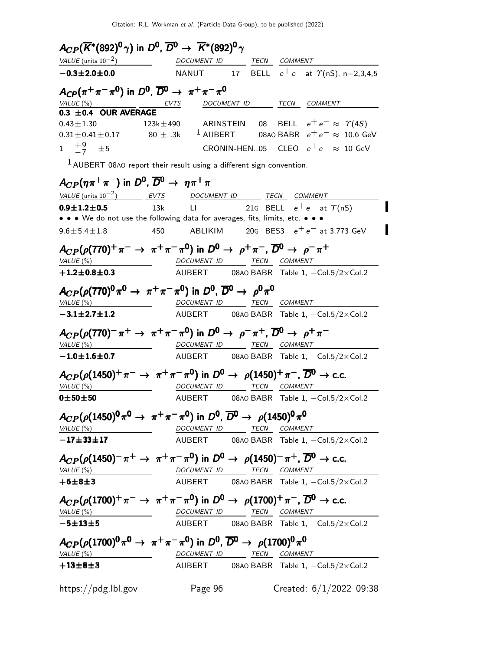| $A_{CP}(\overline{K}^*(892)^0\gamma)$ in $D^0$ , $\overline{D}{}^0\to\ \overline{K}^*(892)^0\gamma$                                               |                                 |  |                                                                                                                    |  |
|---------------------------------------------------------------------------------------------------------------------------------------------------|---------------------------------|--|--------------------------------------------------------------------------------------------------------------------|--|
| VALUE (units $10^{-2}$ )                                                                                                                          | DOCUMENT ID TECN COMMENT        |  |                                                                                                                    |  |
| $-0.3 \pm 2.0 \pm 0.0$                                                                                                                            |                                 |  | NANUT 17 BELL $e^+e^-$ at $\Upsilon$ (nS), n=2,3,4,5                                                               |  |
| $A_{CP}(\pi^+\pi^-\pi^0)$ in $D^0$ , $\overline{D}{}^0 \to \pi^+\pi^-\pi^0$                                                                       |                                 |  |                                                                                                                    |  |
| $\frac{$ VALUE (%)<br><b>0.3 ±0.4 OUR AVERAGE</b>                                                                                                 | <u>EVTS</u>                     |  | DOCUMENT ID TECN COMMENT                                                                                           |  |
|                                                                                                                                                   |                                 |  |                                                                                                                    |  |
|                                                                                                                                                   |                                 |  | $0.43 \pm 1.30$ 123k $\pm$ 490 ARINSTEIN 08 BELL $e^+e^- \approx \Upsilon(4S)$                                     |  |
|                                                                                                                                                   |                                 |  | $0.31\pm0.41\pm0.17$ $80\,\pm\, .3$ k $^{\text{1}}$ AUBERT $\qquad$ 08A0 BABR $\,$ e $^+$ e $^ \approx\,$ 10.6 GeV |  |
| $1 \quad \frac{+9}{-7} \quad \pm 5$                                                                                                               |                                 |  | <code>CRONIN-HEN05 CLEO</code> $e^+e^- \approx 10$ GeV                                                             |  |
| $1$ AUBERT 08AO report their result using a different sign convention.                                                                            |                                 |  |                                                                                                                    |  |
| $A_{CP}(\eta \pi^+ \pi^-)$ in $D^0$ , $\overline{D}{}^0 \rightarrow \eta \pi^+ \pi^-$                                                             |                                 |  |                                                                                                                    |  |
| $VALUE$ (units $10^{-2}$ ) EVTS DOCUMENT ID TECN COMMENT                                                                                          |                                 |  |                                                                                                                    |  |
| $0.9 \pm 1.2 \pm 0.5$                                                                                                                             | 13k                             |  | LI 21G BELL $e^+e^-$ at $\Upsilon(nS)$                                                                             |  |
| • • • We do not use the following data for averages, fits, limits, etc. • • •                                                                     |                                 |  |                                                                                                                    |  |
| $9.6 \pm 5.4 \pm 1.8$                                                                                                                             | 450                             |  | ABLIKIM 20G BES3 $e^+e^-$ at 3.773 GeV                                                                             |  |
| $A_{CP}(\rho(770)^+\pi^- \rightarrow \pi^+\pi^-\pi^0)$ in $D^0 \rightarrow \rho^+\pi^-$ , $\overline{D}{}^0 \rightarrow \rho^-\pi^+$              |                                 |  |                                                                                                                    |  |
| VALUE(%)                                                                                                                                          |                                 |  | DOCUMENT ID TECN COMMENT                                                                                           |  |
| $+1.2 \!\pm\! 0.8 \!\pm\! 0.3$                                                                                                                    |                                 |  | AUBERT 08A0 BABR Table 1, -Col.5/2×Col.2                                                                           |  |
| $A_{CP}(\rho(770)^{0}\pi^{0} \rightarrow \pi^{+}\pi^{-}\pi^{0})$ in $D^{0}$ , $\overline{D}^{0} \rightarrow \rho^{0}\pi^{0}$                      |                                 |  |                                                                                                                    |  |
| VALU E (%)                                                                                                                                        |                                 |  | DOCUMENT ID TECN COMMENT                                                                                           |  |
| $-3.1 \pm 2.7 \pm 1.2$                                                                                                                            |                                 |  | AUBERT 08A0 BABR Table 1, -Col.5/2×Col.2                                                                           |  |
|                                                                                                                                                   |                                 |  |                                                                                                                    |  |
| $A_{CP}(\rho(770)^-\pi^+\rightarrow \pi^+\pi^-\pi^0)$ in $D^0\rightarrow \rho^-\pi^+$ , $\overline{D}{}^0\rightarrow \rho^+\pi^-$                 |                                 |  |                                                                                                                    |  |
| VALUE (%)                                                                                                                                         |                                 |  | DOCUMENT ID TECN COMMENT                                                                                           |  |
| $-1.0$ $\pm$ 1.6 $\pm$ 0.7                                                                                                                        |                                 |  | AUBERT 08A0 BABR Table 1, $-Col.5/2 \times Col.2$                                                                  |  |
| $A_{CP}(\rho(1450)^{+}\pi^{-} \to \pi^{+}\pi^{-}\pi^{0})$ in $D^{0} \to \rho(1450)^{+}\pi^{-}$ , $\overline{D}^{0} \to$ c.c.                      |                                 |  |                                                                                                                    |  |
| VALU E (%)                                                                                                                                        |                                 |  | DOCUMENT ID TECN COMMENT                                                                                           |  |
| $0 + 50 + 50$                                                                                                                                     |                                 |  |                                                                                                                    |  |
|                                                                                                                                                   |                                 |  | AUBERT 08AO BABR Table 1, -Col.5/2×Col.2                                                                           |  |
| $A_{CP}(\rho(1450)^{0}\pi^{0}\rightarrow\ \pi^{+}\pi^{-}\pi^{0})$ in $D^{0}$ , $\overline{D}^{0}\rightarrow\ \rho(1450)^{0}\pi^{0}$               |                                 |  |                                                                                                                    |  |
|                                                                                                                                                   |                                 |  | VALUE (%) DOCUMENT ID TECN COMMENT                                                                                 |  |
| $-17 + 33 + 17$                                                                                                                                   |                                 |  | AUBERT 08A0 BABR Table 1, $-Col.5/2 \times Col.2$                                                                  |  |
|                                                                                                                                                   |                                 |  |                                                                                                                    |  |
| $A_{CP}(\rho(1450)^{-}\pi^{+}\rightarrow \pi^{+}\pi^{-}\pi^{0})$ in $D^{0}\rightarrow \rho(1450)^{-}\pi^{+}$ , $\overline{D}^{0}\rightarrow$ c.c. |                                 |  |                                                                                                                    |  |
|                                                                                                                                                   |                                 |  | VALUE (%) DOCUMENT ID TECN COMMENT                                                                                 |  |
| $+6 + 8 + 3$                                                                                                                                      |                                 |  | AUBERT 08A0 BABR Table 1, $-Col.5/2 \times Col.2$                                                                  |  |
| $A_{CP}(\rho(1700)^+\pi^-\rightarrow \pi^+\pi^-\pi^0)$ in $D^0\rightarrow \rho(1700)^+\pi^-,$ $\overline{D}{}^0\rightarrow$ c.c.                  |                                 |  |                                                                                                                    |  |
|                                                                                                                                                   |                                 |  |                                                                                                                    |  |
| $-5 + 13 + 5$                                                                                                                                     |                                 |  | VALUE (%) DOCUMENT ID TECN COMMENT<br>AUBERT 08AO BABR Table 1, -Col.5/2×Col.2                                     |  |
|                                                                                                                                                   |                                 |  |                                                                                                                    |  |
| $A_{CP}(\rho(1700)^{0}\pi^{0}\rightarrow\ \pi^{+}\pi^{-}\pi^{0})$ in $D^{0}$ , $\overline{D}{}^{0}\rightarrow\ \rho(1700)^{0}\pi^{0}$             |                                 |  |                                                                                                                    |  |
| VALUE (%)                                                                                                                                         | <u>DOCUMENT ID TECN COMMENT</u> |  |                                                                                                                    |  |
| $+13\pm8\pm3$                                                                                                                                     |                                 |  | AUBERT 08A0 BABR Table 1, -Col.5/2×Col.2                                                                           |  |
|                                                                                                                                                   |                                 |  |                                                                                                                    |  |
|                                                                                                                                                   |                                 |  | Created: $6/1/2022$ 09:38                                                                                          |  |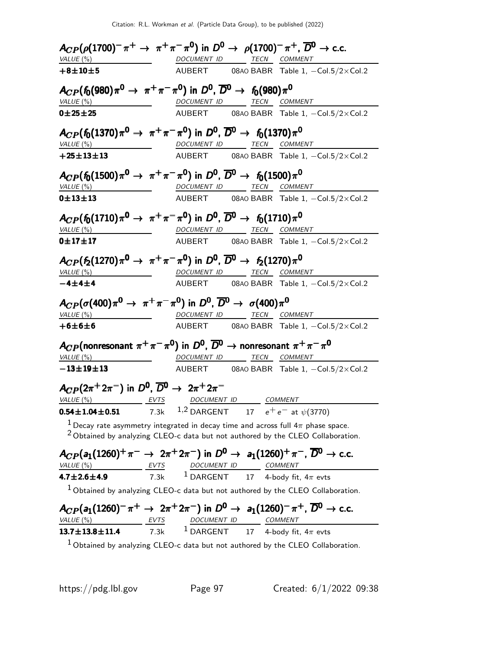|                                                                                                                                                                                                                |                          | $A_{CP}(\rho(1700)^{-}\pi^{+}\to \pi^{+}\pi^{-}\pi^{0})$ in $D^{0}\to \rho(1700)^{-}\pi^{+}$ , $\overline{D}^{0}\to$ c.c.                                                           |
|----------------------------------------------------------------------------------------------------------------------------------------------------------------------------------------------------------------|--------------------------|-------------------------------------------------------------------------------------------------------------------------------------------------------------------------------------|
| VALUE(%)                                                                                                                                                                                                       |                          | DOCUMENT ID TECN COMMENT                                                                                                                                                            |
| $+8 + 10 + 5$                                                                                                                                                                                                  |                          | AUBERT 08AO BABR Table 1, -Col.5/2×Col.2                                                                                                                                            |
| $A_{CP}(f_0(980)\pi^0 \to \pi^+\pi^-\pi^0)$ in $D^0$ , $\overline{D}^0 \to f_0(980)\pi^0$                                                                                                                      |                          |                                                                                                                                                                                     |
| VALUE(%)                                                                                                                                                                                                       | DOCUMENT ID TECN COMMENT |                                                                                                                                                                                     |
| 0 ± 25 ± 25                                                                                                                                                                                                    |                          | AUBERT 08A0 BABR Table 1, -Col.5/2×Col.2                                                                                                                                            |
| $A_{CP}(f_0(1370)\pi^0 \to \pi^+\pi^-\pi^0)$ in $D^0$ , $\overline{D}^0 \to f_0(1370)\pi^0$                                                                                                                    |                          |                                                                                                                                                                                     |
| VALUE (%) MOCUMENT ID TECN COMMENT                                                                                                                                                                             |                          |                                                                                                                                                                                     |
| $+25 \pm 13 \pm 13$                                                                                                                                                                                            |                          | AUBERT 08AO BABR Table 1, -Col.5/2×Col.2                                                                                                                                            |
| $A_{CP}(f_0(1500)\pi^0 \to \pi^+\pi^-\pi^0)$ in $D^0$ , $\overline{D}^0 \to f_0(1500)\pi^0$                                                                                                                    |                          |                                                                                                                                                                                     |
| VALUE(%)                                                                                                                                                                                                       | DOCUMENT ID TECN COMMENT |                                                                                                                                                                                     |
| $0 + 13 + 13$                                                                                                                                                                                                  |                          | AUBERT 08AO BABR Table 1, -Col.5/2×Col.2                                                                                                                                            |
| $A_{CP}(f_0(1710)\pi^0 \to \pi^+\pi^-\pi^0)$ in $D^0$ , $\overline{D}^0 \to f_0(1710)\pi^0$                                                                                                                    |                          |                                                                                                                                                                                     |
| $VALUE$ $\left(\% \right)$                                                                                                                                                                                     | DOCUMENT ID TECN COMMENT |                                                                                                                                                                                     |
| 0±17±17                                                                                                                                                                                                        |                          | AUBERT 08A0 BABR Table 1, -Col.5/2×Col.2                                                                                                                                            |
| $A_{CP}(f_2(1270)\pi^0 \to \pi^+\pi^-\pi^0)$ in $D^0$ , $\overline{D}^0 \to f_2(1270)\pi^0$                                                                                                                    |                          |                                                                                                                                                                                     |
| VALUE(%)                                                                                                                                                                                                       | DOCUMENT ID TECN COMMENT |                                                                                                                                                                                     |
| $-4 + 4 + 4$                                                                                                                                                                                                   |                          | AUBERT 08AO BABR Table 1, -Col.5/2×Col.2                                                                                                                                            |
| $A_{CP}(\sigma(400)\pi^0 \rightarrow \pi^+\pi^-\pi^0)$ in $D^0$ , $\overline{D}^0 \rightarrow \sigma(400)\pi^0$                                                                                                |                          |                                                                                                                                                                                     |
| VALUE (%)                                                                                                                                                                                                      | DOCUMENT ID TECN COMMENT |                                                                                                                                                                                     |
| $+6±6±6$                                                                                                                                                                                                       |                          | AUBERT 08AO BABR Table 1, -Col.5/2×Col.2                                                                                                                                            |
| $A_{CP}$ (nonresonant $\pi^+\pi^-\pi^0$ ) in $D^0$ , $\overline{D}^0$ $\rightarrow$ nonresonant $\pi^+\pi^-\pi^0$                                                                                              |                          |                                                                                                                                                                                     |
| VALUE(%)                                                                                                                                                                                                       | DOCUMENT ID TECN COMMENT |                                                                                                                                                                                     |
| $-13 \pm 19 \pm 13$                                                                                                                                                                                            |                          | AUBERT 08A0 BABR Table $1, -\text{Col.}5/2 \times \text{Col.}2$                                                                                                                     |
| $A_{CP}(2\pi^+ 2\pi^-)$ in $D^0$ , $\overline{D^0} \rightarrow 2\pi^+ 2\pi^-$                                                                                                                                  |                          |                                                                                                                                                                                     |
| $\frac{\textit{VALUE}(%)}{\textbf{0.54} \pm 1.04 \pm 0.51}$ EVTS DOCUMENT ID COMMENT<br>7.3k 1,2 DARGENT 17 $e^+e^-$ at $\psi(3770)$                                                                           |                          |                                                                                                                                                                                     |
|                                                                                                                                                                                                                |                          |                                                                                                                                                                                     |
|                                                                                                                                                                                                                |                          | <sup>1</sup> Decay rate asymmetry integrated in decay time and across full $4\pi$ phase space.<br>$2$ Obtained by analyzing CLEO-c data but not authored by the CLEO Collaboration. |
|                                                                                                                                                                                                                |                          | $A_{CP}(a_1(1260)^+\pi^- \to 2\pi^+2\pi^-)$ in $D^0 \to a_1(1260)^+\pi^-$ , $\overline{D}^0 \to$ c.c.                                                                               |
| $\underbrace{17 \pm 2.6 \pm 4.9}_{\text{A.7} \pm 2.6 \pm 4.9}$ $\underbrace{FVTS}_{\text{TX}}$ $\underbrace{100 \text{CUMENT}}_{\text{DARGENT}}$ $\underbrace{100 \text{CUMENT}}_{\text{A.7} \pm 2.6 \pm 4.9}$ |                          |                                                                                                                                                                                     |
|                                                                                                                                                                                                                |                          |                                                                                                                                                                                     |
|                                                                                                                                                                                                                |                          | $1$ Obtained by analyzing CLEO-c data but not authored by the CLEO Collaboration.                                                                                                   |
|                                                                                                                                                                                                                |                          | $A_{CP}(a_1(1260)^{-}\pi^{+} \to 2\pi^{+}2\pi^{-})$ in $D^{0} \to a_1(1260)^{-}\pi^{+}$ , $\overline{D}^{0} \to$ c.c.                                                               |
| $\underbrace{NALUE(%)}$ EVTS DOCUMENT ID COMMENT<br>13.7±13.8±11.4 7.3k 1 DARGENT 17 4-body fit, 4 $\pi$ evts                                                                                                  |                          |                                                                                                                                                                                     |
|                                                                                                                                                                                                                |                          |                                                                                                                                                                                     |
|                                                                                                                                                                                                                |                          | $1$ Obtained by analyzing CLEO-c data but not authored by the CLEO Collaboration.                                                                                                   |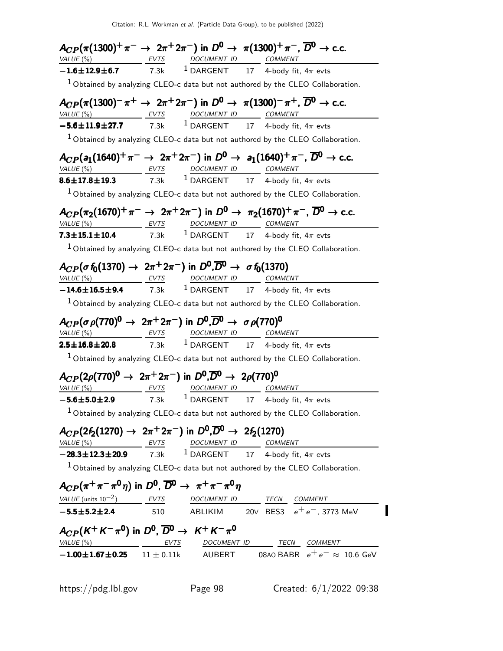|                                                                                             | $A_{CP}(\pi(1300)^+\pi^- \to 2\pi^+2\pi^-)$ in $D^0 \to \pi(1300)^+\pi^-$ , $\overline{D}^0 \to$ c.c.                                                                                                                               |                                                                                     |
|---------------------------------------------------------------------------------------------|-------------------------------------------------------------------------------------------------------------------------------------------------------------------------------------------------------------------------------------|-------------------------------------------------------------------------------------|
|                                                                                             | $\underbrace{VALUE(%)}_{\text{-.1.6}\pm\text{12.9}\pm\text{6.7}}$ EVTS $\underbrace{DVTS}_{\text{7.3k}}$ $\underbrace{DOCUMENT \quad ID}_{\text{DARGENT}}$ COMMENT<br>$\underbrace{COMMENT}_{\text{4-body fit, }4\pi \text{ evts}}$ |                                                                                     |
|                                                                                             |                                                                                                                                                                                                                                     |                                                                                     |
|                                                                                             | $1$ Obtained by analyzing CLEO-c data but not authored by the CLEO Collaboration.                                                                                                                                                   |                                                                                     |
|                                                                                             | $A_{CP}(\pi(1300)^{-}\pi^{+}\to 2\pi^{+}2\pi^{-})$ in $D^{0}\to \pi(1300)^{-}\pi^{+}$ , $\overline{D}^{0}\to$ c.c.                                                                                                                  |                                                                                     |
| VALUE (%) EVTS                                                                              | DOCUMENT ID COMMENT                                                                                                                                                                                                                 |                                                                                     |
|                                                                                             | $-5.6 \pm 11.9 \pm 27.7$ 7.3k <sup>1</sup> DARGENT 17 4-body fit, 4 $\pi$ evts                                                                                                                                                      |                                                                                     |
|                                                                                             | $1$ Obtained by analyzing CLEO-c data but not authored by the CLEO Collaboration.                                                                                                                                                   |                                                                                     |
|                                                                                             | $A_{CP}(a_1(1640)^+\pi^- \to 2\pi^+2\pi^-)$ in $D^0 \to a_1(1640)^+\pi^-$ , $\overline{D}^0 \to$ c.c.<br>VALUE (%) EVTS DOCUMENT ID COMMENT                                                                                         |                                                                                     |
| $8.6 \pm 17.8 \pm 19.3$                                                                     | 7.3k $^1$ DARGENT $^1$ 17 $^4$ -body fit, 4 $\pi$ evts                                                                                                                                                                              |                                                                                     |
|                                                                                             |                                                                                                                                                                                                                                     |                                                                                     |
|                                                                                             | $1$ Obtained by analyzing CLEO-c data but not authored by the CLEO Collaboration.                                                                                                                                                   |                                                                                     |
|                                                                                             | $A_{CP}(\pi_2(1670)^+\pi^- \to 2\pi^+2\pi^-)$ in $D^0 \to \pi_2(1670)^+\pi^-$ , $\overline{D}^0 \to$ c.c.                                                                                                                           |                                                                                     |
|                                                                                             | VALUE (%) EVTS DOCUMENT ID COMMENT                                                                                                                                                                                                  |                                                                                     |
| $7.3 \pm 15.1 \pm 10.4$ 7.3k                                                                | <sup>1</sup> DARGENT 17 4-body fit, $4\pi$ evts                                                                                                                                                                                     |                                                                                     |
|                                                                                             | $1$ Obtained by analyzing CLEO-c data but not authored by the CLEO Collaboration.                                                                                                                                                   |                                                                                     |
|                                                                                             | $A_{CP}(\sigma f_0(1370) \to 2\pi^+ 2\pi^-)$ in $D^0, \overline{D^0} \to \sigma f_0(1370)$                                                                                                                                          |                                                                                     |
|                                                                                             | VALUE (%) EVTS DOCUMENT ID COMMENT                                                                                                                                                                                                  |                                                                                     |
|                                                                                             | $-14.6 \pm 16.5 \pm 9.4$ 7.3k <sup>1</sup> DARGENT 17 4-body fit, 4 $\pi$ evts                                                                                                                                                      |                                                                                     |
|                                                                                             | $1$ Obtained by analyzing CLEO-c data but not authored by the CLEO Collaboration.                                                                                                                                                   |                                                                                     |
|                                                                                             |                                                                                                                                                                                                                                     |                                                                                     |
|                                                                                             | $A_{CP}(\sigma \rho (770)^0 \rightarrow 2\pi^+ 2\pi^-)$ in $D^0, \overline{D}{}^0 \rightarrow \sigma \rho (770)^0$<br>VALUE (%) EVTS DOCUMENT ID COMMENT                                                                            |                                                                                     |
|                                                                                             | <b>2.5±16.8±20.8</b> 7.3k <sup>1</sup> DARGENT 17 4-body fit, $4\pi$ evts                                                                                                                                                           |                                                                                     |
|                                                                                             |                                                                                                                                                                                                                                     |                                                                                     |
|                                                                                             | $1$ Obtained by analyzing CLEO-c data but not authored by the CLEO Collaboration.                                                                                                                                                   |                                                                                     |
|                                                                                             | $A_{CP}(2\rho(770)^0 \rightarrow 2\pi^+ 2\pi^-)$ in $D^0, \overline{D}{}^0 \rightarrow 2\rho(770)^0$                                                                                                                                |                                                                                     |
|                                                                                             | VALUE (%) THE VTS DOCUMENT ID COMMENT                                                                                                                                                                                               |                                                                                     |
|                                                                                             | $-5.6 \pm 5.0 \pm 2.9$ 7.3k <sup>1</sup> DARGENT 17 4-body fit, 4 $\pi$ evts                                                                                                                                                        |                                                                                     |
|                                                                                             | $1$ Obtained by analyzing CLEO-c data but not authored by the CLEO Collaboration.                                                                                                                                                   |                                                                                     |
|                                                                                             | $A_{CP}(2f_2(1270) \rightarrow 2\pi^+ 2\pi^-)$ in $D^0, \overline{D}^0 \rightarrow 2f_2(1270)$                                                                                                                                      |                                                                                     |
|                                                                                             |                                                                                                                                                                                                                                     |                                                                                     |
|                                                                                             | $\frac{\textit{VALUE}(%)}{-28.3 \pm 12.3 \pm 20.9}$ $\frac{\textit{EVTS}}{7.3 \text{k}}$ $\frac{\textit{DOCMENT ID}}{1 \textit{DARGENT}}$ $\frac{\textit{COMMENT}}{4 \textit{-body fit, } 4\pi \textit{evts}}$                      |                                                                                     |
|                                                                                             | $1$ Obtained by analyzing CLEO-c data but not authored by the CLEO Collaboration.                                                                                                                                                   |                                                                                     |
|                                                                                             |                                                                                                                                                                                                                                     |                                                                                     |
| $A_{CP}(\pi^+\pi^-\pi^0\eta)$ in $D^0$ , $\overline{D}{}^0 \rightarrow \pi^+\pi^-\pi^0\eta$ |                                                                                                                                                                                                                                     |                                                                                     |
|                                                                                             |                                                                                                                                                                                                                                     | $VALUE (units 10-2)$ EVTS DOCUMENT ID TECN COMMENT                                  |
|                                                                                             |                                                                                                                                                                                                                                     | $-5.5\pm5.2\pm2.4$ 510 ABLIKIM 20V BES3 $e^+e^-$ , 3773 MeV                         |
| $A_{CP}(K^+K^-\pi^0)$ in $D^0$ , $\overline{D}{}^0 \rightarrow K^+K^-\pi^0$                 |                                                                                                                                                                                                                                     |                                                                                     |
|                                                                                             |                                                                                                                                                                                                                                     | $VALUE (%)$ EVTS DOCUMENT ID TECN COMMENT                                           |
|                                                                                             |                                                                                                                                                                                                                                     | $-1.00 \pm 1.67 \pm 0.25$ 11 $\pm$ 0.11k AUBERT 08A0 BABR $e^+e^- \approx 10.6$ GeV |
|                                                                                             |                                                                                                                                                                                                                                     |                                                                                     |
|                                                                                             |                                                                                                                                                                                                                                     |                                                                                     |
| https://pdg.lbl.gov                                                                         | Page 98                                                                                                                                                                                                                             | Created: $6/1/2022$ 09:38                                                           |
|                                                                                             |                                                                                                                                                                                                                                     |                                                                                     |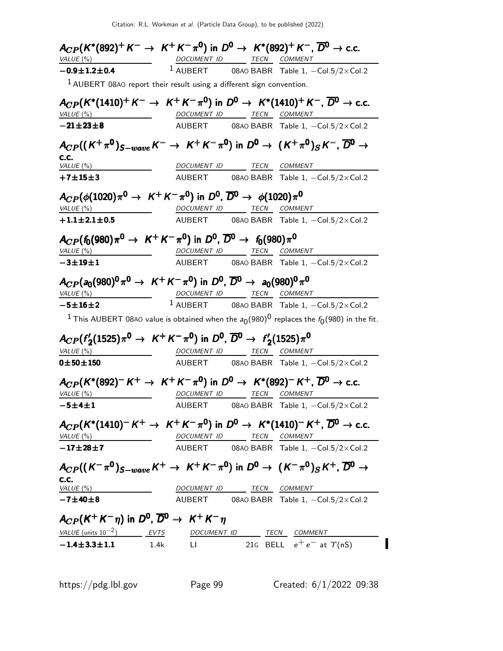| $A_{CP}(K^*(892)^+ K^- \to K^+ K^- \pi^0)$ in $D^0 \to K^*(892)^+ K^-$ , $\overline{D}{}^0 \to$ c.c.<br>VALUE (%)                                            | DOCUMENT ID TECN COMMENT |                          |                                                                                                           |
|--------------------------------------------------------------------------------------------------------------------------------------------------------------|--------------------------|--------------------------|-----------------------------------------------------------------------------------------------------------|
| $-0.9 \pm 1.2 \pm 0.4$                                                                                                                                       |                          |                          | $1$ AUBERT 08A0 BABR Table 1, $-Col.5/2 \times Col.2$                                                     |
| $1$ AUBERT 08AO report their result using a different sign convention.                                                                                       |                          |                          |                                                                                                           |
|                                                                                                                                                              |                          |                          |                                                                                                           |
| $A_{CP}(K^*(1410)^+ K^- \to K^+ K^- \pi^0)$ in $D^0 \to K^*(1410)^+ K^-$ , $\overline{D}{}^0 \to$ c.c.                                                       |                          |                          |                                                                                                           |
| VALUE(%)                                                                                                                                                     |                          | DOCUMENT ID TECN COMMENT |                                                                                                           |
| $-21 \pm 23 \pm 8$                                                                                                                                           |                          |                          | AUBERT 08A0 BABR Table 1, $-Col.5/2 \times Col.2$                                                         |
| $A_{CP}((K^+\pi^0)_{S-wave}K^-\rightarrow K^+K^-\pi^0)$ in $D^0\rightarrow (K^+\pi^0)_SK^-, \overline{D}^0\rightarrow$                                       |                          |                          |                                                                                                           |
| C.C.<br>VALUE (%)                                                                                                                                            |                          | DOCUMENT ID TECN COMMENT |                                                                                                           |
| $+7 + 15 + 3$                                                                                                                                                |                          |                          | AUBERT 08AO BABR Table 1, -Col.5/2×Col.2                                                                  |
|                                                                                                                                                              |                          |                          |                                                                                                           |
| $A_{CP}(\phi(1020)\pi^0 \to K^+K^-\pi^0)$ in $D^0$ , $\overline{D}^0 \to \phi(1020)\pi^0$                                                                    |                          |                          |                                                                                                           |
| VALUE(%)                                                                                                                                                     |                          | DOCUMENT ID TECN COMMENT |                                                                                                           |
| $+1.1 \pm 2.1 \pm 0.5$                                                                                                                                       |                          |                          | AUBERT 08AO BABR Table 1, -Col.5/2×Col.2                                                                  |
| $A_{CP}(f_0(980)\pi^0 \to K^+K^-\pi^0)$ in $D^0$ , $\overline{D}^0 \to f_0(980)\pi^0$                                                                        |                          |                          |                                                                                                           |
| VALUE(%)                                                                                                                                                     |                          | DOCUMENT ID TECN COMMENT |                                                                                                           |
| $-3 + 19 + 1$                                                                                                                                                |                          |                          | AUBERT 08A0 BABR Table 1, -Col.5/2xCol.2                                                                  |
| $A_{CP}(a_0(980)^0 \pi^0 \to K^+ K^- \pi^0)$ in $D^0$ , $\overline{D}^0 \to a_0(980)^0 \pi^0$                                                                |                          |                          |                                                                                                           |
| VALUE (%)                                                                                                                                                    |                          | DOCUMENT ID TECN COMMENT |                                                                                                           |
| $-5±16±2$                                                                                                                                                    |                          |                          | $1$ AUBERT 08A0 BABR Table 1, $-Col.5/2 \times Col.2$                                                     |
|                                                                                                                                                              |                          |                          | <sup>1</sup> This AUBERT 08A0 value is obtained when the $a_0(980)^0$ replaces the $f_0(980)$ in the fit. |
| $A_{CP}(f_2'(1525)\pi^0 \to K^+K^-\pi^0)$ in $D^0$ , $\overline{D}^0 \to f_2'(1525)\pi^0$                                                                    |                          |                          |                                                                                                           |
| VALUE (%)                                                                                                                                                    |                          | DOCUMENT ID TECN COMMENT |                                                                                                           |
| 0 ± 50 ± 150                                                                                                                                                 |                          |                          | AUBERT 08A0 BABR Table 1, $-Col.5/2 \times Col.2$                                                         |
| $A_{CP}(K^*(892)^- K^+ \to K^+ K^- \pi^0)$ in $D^0 \to K^*(892)^- K^+$ , $\overline{D}{}^0 \to$ c.c.<br>VALUE (%)                                            | DOCUMENT ID              |                          | TECN COMMENT                                                                                              |
| $-5 + 4 + 1$                                                                                                                                                 |                          |                          | AUBERT 08AO BABR Table 1, -Col.5/2×Col.2                                                                  |
|                                                                                                                                                              |                          |                          |                                                                                                           |
| $A_{CP}(K^*(1410)^{-}K^{+} \to K^{+}K^{-}\pi^{0})$ in $D^{0} \to K^*(1410)^{-}K^{+}$ , $\overline{D}^{0} \to$ c.c.                                           |                          |                          |                                                                                                           |
| VALUE $(%)$                                                                                                                                                  |                          | DOCUMENT ID TECN COMMENT |                                                                                                           |
| $-17\pm 28\pm 7$                                                                                                                                             |                          |                          | AUBERT 08A0 BABR Table 1, -Col.5/2×Col.2                                                                  |
| $A_{CP}((K^-\pi^0)_{S-wave}K^+\rightarrow K^+K^-\pi^0)$ in $D^0\rightarrow (K^-\pi^0)_SK^+$ , $\overline{D^0}\rightarrow$                                    |                          |                          |                                                                                                           |
| C.C.<br>VALUE (%)                                                                                                                                            |                          | DOCUMENT ID TECN COMMENT |                                                                                                           |
| $-7 + 40 + 8$                                                                                                                                                |                          |                          | AUBERT 08A0 BABR Table 1, -Col.5/2×Col.2                                                                  |
|                                                                                                                                                              |                          |                          |                                                                                                           |
|                                                                                                                                                              |                          |                          |                                                                                                           |
|                                                                                                                                                              |                          |                          |                                                                                                           |
| $A_{CP}(K^+K^-\eta)$ in $D^0$ , $\overline{D}^0 \rightarrow K^+K^-\eta$<br>$VALUE (units 10-2)$ EVTS DOCUMENT ID TECN COMMENT<br>$-1.4 \pm 3.3 \pm 1.1$ 1.4k |                          |                          | LI 21G BELL $e^+e^-$ at $\gamma$ (nS)                                                                     |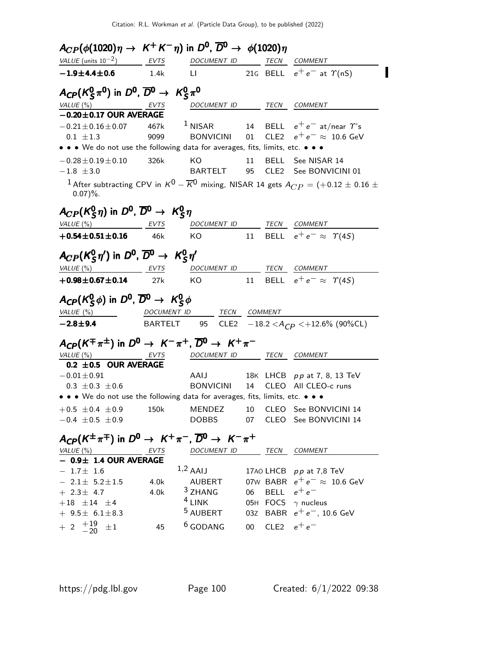| $A_{CP}(\phi(1020)\eta \rightarrow K^+K^-\eta)$ in $D^0$ , $\overline{D}^0 \rightarrow \phi(1020)\eta$     |      |                                      |                  |                                                                                                                         |
|------------------------------------------------------------------------------------------------------------|------|--------------------------------------|------------------|-------------------------------------------------------------------------------------------------------------------------|
| VALUE (units $10^{-2}$ ) EVTS                                                                              |      | DOCUMENT ID                          |                  | TECN COMMENT                                                                                                            |
| $-1.9 \pm 4.4 \pm 0.6$                                                                                     | 1.4k |                                      |                  | LI 21G BELL $e^+e^-$ at $\Upsilon(nS)$                                                                                  |
| $A_{\text{CP}}(K_S^0 \pi^0)$ in $D^0$ , $\overline{D}^0 \rightarrow K_S^0 \pi^0$                           |      |                                      |                  |                                                                                                                         |
| $VALUE(%)$ EVTS                                                                                            |      | DOCUMENT ID TECN COMMENT             |                  |                                                                                                                         |
| $-0.20 \pm 0.17$ OUR AVERAGE                                                                               |      |                                      |                  |                                                                                                                         |
| $-0.21 \pm 0.16 \pm 0.07$ 467k 1 NISAR 14 BELL $e^+e^-$ at/near $\gamma$ 's                                |      |                                      |                  |                                                                                                                         |
| $0.1 \pm 1.3$                                                                                              | 9099 |                                      |                  | BONVICINI 01 CLE2 $e^+e^- \approx 10.6$ GeV                                                                             |
| • • • We do not use the following data for averages, fits, limits, etc. • • •                              |      |                                      |                  |                                                                                                                         |
| $-0.28 \pm 0.19 \pm 0.10$                                                                                  | 326k | <b>KO</b>                            |                  | 11 BELL See NISAR 14                                                                                                    |
| $-1.8 \pm 3.0$                                                                                             |      | BARTELT                              |                  | 95 CLE2 See BONVICINI 01                                                                                                |
| $0.07$ %.                                                                                                  |      |                                      |                  | <sup>1</sup> After subtracting CPV in $K^0$ – $\overline{K}^0$ mixing, NISAR 14 gets $A_{CP}$ = (+0.12 $\pm$ 0.16 $\pm$ |
| $A_{CP}(K_S^0 \eta)$ in $D^0$ , $\overline{D}^0 \rightarrow K_S^0 \eta$                                    |      |                                      |                  |                                                                                                                         |
| VALUE (%) EVTS                                                                                             |      | DOCUMENT ID TECN COMMENT             |                  |                                                                                                                         |
| $+0.54 \pm 0.51 \pm 0.16$ 46k                                                                              |      | KO                                   |                  | 11 BELL $e^+e^- \approx \Upsilon(45)$                                                                                   |
| $A_{CP}(K_S^0 \eta')$ in $D^0$ , $\overline{D}{}^0 \rightarrow K_S^0 \eta'$                                |      |                                      |                  |                                                                                                                         |
| VALUE (%) EVTS                                                                                             |      | DOCUMENT ID TECN COMMENT             |                  |                                                                                                                         |
| $+0.98 \pm 0.67 \pm 0.14$ 27k                                                                              |      |                                      |                  | KO $11$ BELL $e^+e^- \approx \Upsilon(4S)$                                                                              |
| $A_{\text{CP}}(K_{\text{S}}^0\phi)$ in $D^0$ , $\overline{D}^0 \rightarrow K_{\text{S}}^0\phi$<br>VALUE(%) |      | DOCUMENT ID TECN COMMENT             |                  |                                                                                                                         |
| <b>-2.8±9.4</b> BARTELT 95 CLE2 $-18.2 < A_{CP} < +12.6\%$ (90%CL)                                         |      |                                      |                  |                                                                                                                         |
| $A_{CP}(K^{\pm}\pi^{\pm})$ in $D^0 \rightarrow K^-\pi^+$ , $\overline{D}{}^0 \rightarrow K^+\pi^-$         |      |                                      |                  |                                                                                                                         |
| $VALUE(%)$ EVTS                                                                                            |      | DOCUMENT ID _______ TECN ___ COMMENT |                  |                                                                                                                         |
| 0.2 $\pm$ 0.5 OUR AVERAGE                                                                                  |      |                                      |                  |                                                                                                                         |
| $-0.01 \pm 0.91$                                                                                           |      | AAIJ                                 |                  | 18K LHCB pp at 7, 8, 13 TeV                                                                                             |
| $0.3 \pm 0.3 \pm 0.6$                                                                                      |      | BONVICINI<br>BONVICINI               |                  | 14 CLEO All CLEO-c runs                                                                                                 |
| • • • We do not use the following data for averages, fits, limits, etc. • • •                              |      |                                      |                  |                                                                                                                         |
| $+0.5 \pm 0.4 \pm 0.9$ 150k MENDEZ 10 CLEO See BONVICINI 14                                                |      |                                      |                  |                                                                                                                         |
| $-0.4 \pm 0.5 \pm 0.9$                                                                                     |      |                                      |                  | DOBBS 07 CLEO See BONVICINI 14                                                                                          |
| $A_{CP}(K^{\pm}\pi^{\mp})$ in $D^0 \rightarrow K^+\pi^-$ , $\overline{D}{}^0 \rightarrow K^-\pi^+$         |      |                                      |                  |                                                                                                                         |
|                                                                                                            |      | DOCUMENT ID TECN COMMENT             |                  |                                                                                                                         |
| $\frac{VALUE (%)}{- 0.9 \pm 1.4 \text{ OUR AVERAGE}}$                                                      |      |                                      |                  |                                                                                                                         |
| $-1.7 \pm 1.6$                                                                                             |      | $1,2$ AAIJ                           |                  | 17AO LHCB pp at 7,8 TeV                                                                                                 |
| $-2.1\pm 5.2\pm 1.5$ 4.0k                                                                                  |      | AUBERT                               |                  | 07W BABR $e^+e^- \approx 10.6$ GeV                                                                                      |
| $+ 2.3 \pm 4.7$                                                                                            | 4.0k | $3$ ZHANG                            | 06 BELL $e^+e^-$ |                                                                                                                         |
| $+18$ $\pm 14$ $\pm 4$                                                                                     |      | $4$ LINK                             |                  | 05H FOCS $\gamma$ nucleus                                                                                               |
| $+ 9.5 \pm 6.1 \pm 8.3$                                                                                    |      | <sup>5</sup> AUBERT                  |                  | 03Z BABR $e^+e^-$ , 10.6 GeV                                                                                            |
| $+ 2 \begin{array}{c} +19 \\ -20 \end{array}$<br>$\pm 1$                                                   | 45   | <sup>6</sup> GODANG                  | 00 CLE2 $e^+e^-$ |                                                                                                                         |

 $\blacksquare$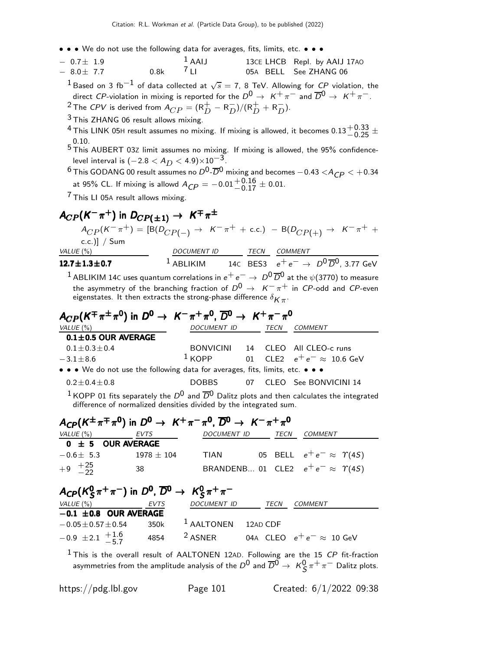• • • We do not use the following data for averages, fits, limits, etc. • • •

| $-0.7 + 1.9$ |      | $1$ AAIJ       | 13CE LHCB Repl. by AAIJ 17AO |
|--------------|------|----------------|------------------------------|
| $-8.0 + 7.7$ | 0.8k | $\frac{7}{11}$ | 05A BELL See ZHANG 06        |

 $^1$ Based on 3 fb $^{-1}$  of data collected at  $\sqrt{s} =$  7, 8 TeV. Allowing for  ${\it CP}$  violation, the direct CP-violation in mixing is reported for the  $D^0 \to K^+ \pi^-$  and  $\overline{D}^0 \to K^+ \pi^-$ .

<sup>2</sup> The CPV is derived from  $A_{CP} = (R_D^+ - R_D^-)/(R_D^+ + R_D^-)$ .

3 This ZHANG 06 result allows mixing.

<sup>4</sup> This LINK 05H result assumes no mixing. If mixing is allowed, it becomes  $0.13^{+0.33}_{-0.25}$   $\pm$  $\frac{0.101}{0.25}$  + 1 nis Linn ush result assumes no mixing. It mixing is allowed, it becomes 0.13  $\pm$  0.25  $\pm$ <br>0.10.<br>5 This AUBERT 03Z limit assumes no mixing. If mixing is allowed, the 95% confidence-

level interval is  $(-2.8 < A_D < 4.9) \times 10^{-3}$ .

 $^6$  This GODANG 00 result assumes no  $D^0$ - $\overline{D}^0$  mixing and becomes  $-0.43 < A_{CP} < +0.34$ at 95% CL. If mixing is allowd  $A_{\text{CP}} = -0.01^{+0.16}_{-0.17} \pm 0.01$ .

 $7$  This LI 05A result allows mixing.

# $A_{CP}$ (K<sup>-</sup> $\pi^+$ ) in  $D_{CP(\pm1)} \rightarrow K^{\mp} \pi^{\pm}$

 $A_{CP}(K^-\pi^+) = [B(D_{CP(-)} \rightarrow K^-\pi^+ + \text{c.c.}) - B(D_{CP(+)} \rightarrow K^-\pi^+ +$ c.c.)] / Sum VALUE (%) DOCUMENT ID TECN COMMENT 12.7±1.3±0.7 <sup>1</sup> ABLIKIM 14C BES3  $e^+e^-$  →  $D^0\overline{D}^0$ , 3.77 GeV <sup>1</sup> ABLIKIM 14C uses quantum correlations in  $e^+e^- \to D^0\overline{D}^0$  at the  $\psi(3770)$  to measure

the asymmetry of the branching fraction of  $D^0 \rightarrow K^-\pi^+$  in  $C P$ -odd and  $C P$ -even eigenstates. It then extracts the strong-phase difference  $\delta_{\pmb{K}\pi^+}$ 

| $A_{CP}(K^{\pm}\pi^{\pm}\pi^{0})$ in $D^{0} \rightarrow K^{-}\pi^{+}\pi^{0}$ , $\overline{D}^{0} \rightarrow K^{+}\pi^{-}\pi^{0}$                                                        |                    |             |                                   |
|------------------------------------------------------------------------------------------------------------------------------------------------------------------------------------------|--------------------|-------------|-----------------------------------|
| VALUE $(\% )$                                                                                                                                                                            | <b>DOCUMENT ID</b> | <b>TECN</b> | <b>COMMENT</b>                    |
| $0.1 \pm 0.5$ OUR AVERAGE                                                                                                                                                                |                    |             |                                   |
| $0.1 \pm 0.3 \pm 0.4$                                                                                                                                                                    |                    |             | BONVICINI 14 CLEO All CLEO-c runs |
| $-3.1 \pm 8.6$                                                                                                                                                                           | $1$ KOPP           |             | 01 CLE2 $e^+e^- \approx 10.6$ GeV |
| • • • We do not use the following data for averages, fits, limits, etc. • • •                                                                                                            |                    |             |                                   |
| $0.2 \pm 0.4 \pm 0.8$                                                                                                                                                                    | DOBBS              |             | 07 CLEO See BONVICINI 14          |
| <sup>1</sup> KOPP 01 fits separately the $D^0$ and $\overline{D}^0$ Dalitz plots and then calculates the integrated<br>difference of normalized densities divided by the integrated sum. |                    |             |                                   |

| $A_{CP}(K^{\pm}\pi^{\mp}\pi^{\prime})$ in $D^0 \rightarrow K^+\pi^-\pi^{\prime}$ , $\overline{D}^0 \rightarrow K^-\pi^+\pi^{\prime}$ |      |                       |          |                                                       |
|--------------------------------------------------------------------------------------------------------------------------------------|------|-----------------------|----------|-------------------------------------------------------|
| VALUE $(\% )$                                                                                                                        | EVTS | <b>DOCUMENT ID</b>    | TECN     | COMMENT                                               |
| $0 \pm 5$ OUR AVERAGE                                                                                                                |      |                       |          |                                                       |
| $-0.6 \pm 5.3$                                                                                                                       |      | $1978 \pm 104$ TIAN   |          | 05 BELL $e^+e^- \approx \Upsilon(4S)$                 |
| $+9$ $+25$<br>-25                                                                                                                    | 38   |                       |          | BRANDENB 01 CLE2 $e^+e^- \approx \Upsilon(4S)$        |
| $A_{CP}(K_S^0 \pi^+ \pi^-)$ in $D^0$ , $\overline{D}{}^0 \rightarrow K_S^0 \pi^+ \pi^-$<br>VALUE $(\%)$                              | EVTS | <b>DOCUMENT ID</b>    | TECN     | COMMENT                                               |
| $-0.1 \pm 0.8$ OUR AVERAGE                                                                                                           |      |                       |          |                                                       |
| $-0.05 + 0.57 + 0.54$                                                                                                                | 350k | <sup>1</sup> AALTONEN | 12AD CDF |                                                       |
| $-0.9 \pm 2.1 +^{1.6}_{-5.7}$                                                                                                        | 4854 | <sup>2</sup> ASNER    |          | 04A CLEO $e^+ \, e^- \approx \, 10 \,\, \mathrm{GeV}$ |

 $1$ This is the overall result of AALTONEN 12AD. Following are the 15  $CP$  fit-fraction asymmetries from the amplitude analysis of the  $D^0$  and  $\overline{D}{}^0\to~\mathcal{K}^0_S\pi^+\pi^-$  Dalitz plots.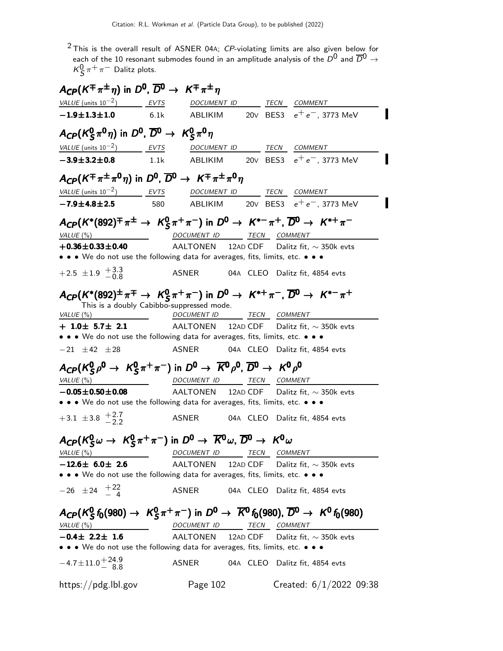$2$  This is the overall result of ASNER 04A;  $CP$ -violating limits are also given below for each of the 10 resonant submodes found in an amplitude analysis of the  $D^0$  and  $\overline{D}{}^0\to\overline{D}{}^0$  $\kappa_S^0 \pi^+ \pi^-$  Dalitz plots.

| $A_{CP}(K^{\pm}\pi^{\pm}\eta)$ in $D^0$ , $\overline{D}{}^0 \rightarrow K^{\mp}\pi^{\pm}\eta$                                                                                                                                                                                                                               |      |                          |  |                                                |
|-----------------------------------------------------------------------------------------------------------------------------------------------------------------------------------------------------------------------------------------------------------------------------------------------------------------------------|------|--------------------------|--|------------------------------------------------|
| $VALUE$ (units $10^{-2}$ ) EVTS                                                                                                                                                                                                                                                                                             |      |                          |  | DOCUMENT ID TECN COMMENT                       |
| $-1.9 \pm 1.3 \pm 1.0$ 6.1k                                                                                                                                                                                                                                                                                                 |      |                          |  |                                                |
| $A_{CP}(K_S^0 \pi^0 \eta)$ in $D^0$ , $\overline{D}{}^0 \rightarrow K_S^0 \pi^0 \eta$                                                                                                                                                                                                                                       |      |                          |  |                                                |
| VALUE (units $10^{-2}$ ) EVTS                                                                                                                                                                                                                                                                                               |      | DOCUMENT ID TECN COMMENT |  |                                                |
| $-3.9 \pm 3.2 \pm 0.8$                                                                                                                                                                                                                                                                                                      | 1.1k |                          |  |                                                |
| $A_{CP}(K^{\pm}\pi^{\pm}\pi^{0}\eta)$ in $D^{0}$ , $\overline{D}^{0} \rightarrow K^{\mp}\pi^{\pm}\pi^{0}\eta$                                                                                                                                                                                                               |      |                          |  |                                                |
| VALUE (units $10^{-2}$ ) EVTS                                                                                                                                                                                                                                                                                               |      | DOCUMENT ID TECN COMMENT |  |                                                |
| $-7.9 \pm 4.8 \pm 2.5$                                                                                                                                                                                                                                                                                                      | 580  |                          |  |                                                |
| $A_{CP}(K^*(892)^{\mp} \pi^{\pm} \to K_S^0 \pi^+ \pi^-)$ in $D^0 \to K^{*-} \pi^+$ , $\overline{D}^0 \to K^{*+} \pi^-$                                                                                                                                                                                                      |      |                          |  |                                                |
| VALUE (%)                                                                                                                                                                                                                                                                                                                   |      | DOCUMENT ID TECN COMMENT |  |                                                |
| $+0.36 \pm 0.33 \pm 0.40$                                                                                                                                                                                                                                                                                                   |      |                          |  | AALTONEN 12AD CDF Dalitz fit, $\sim$ 350k evts |
| • • • We do not use the following data for averages, fits, limits, etc. • • •                                                                                                                                                                                                                                               |      |                          |  |                                                |
| $+2.5 \pm 1.9 \pm 3.3$                                                                                                                                                                                                                                                                                                      |      |                          |  | ASNER 04A CLEO Dalitz fit, 4854 evts           |
| $A_{CP}(K^*(892)^{\pm} \pi^{\mp} \rightarrow K_S^0 \pi^+ \pi^-)$ in $D^0 \rightarrow K^{*+} \pi^-$ , $\overline{D}^0 \rightarrow K^{*-} \pi^+$<br>This is a doubly Cabibbo-suppressed mode.<br>VALUE $(\%)$<br>$+$ 1.0 $\pm$ 5.7 $\pm$ 2.1<br>• • • We do not use the following data for averages, fits, limits, etc. • • • |      | DOCUMENT ID TECN COMMENT |  | AALTONEN 12AD CDF Dalitz fit, $\sim$ 350k evts |
| $-21 \pm 42 \pm 28$                                                                                                                                                                                                                                                                                                         |      |                          |  | ASNER 04A CLEO Dalitz fit, 4854 evts           |
| $A_{CP}(K_S^0\rho^0 \to K_S^0\pi^+\pi^-)$ in $D^0 \to \overline{K}^0\rho^0$ , $\overline{D}^0 \to K^0\rho^0$                                                                                                                                                                                                                |      |                          |  |                                                |
| VALUE $(\%)$                                                                                                                                                                                                                                                                                                                |      | DOCUMENT ID TECN COMMENT |  |                                                |
| $-0.05 \pm 0.50 \pm 0.08$                                                                                                                                                                                                                                                                                                   |      |                          |  | AALTONEN 12AD CDF Dalitz fit, $\sim$ 350k evts |
| • • • We do not use the following data for averages, fits, limits, etc. • • •                                                                                                                                                                                                                                               |      |                          |  |                                                |
| $+3.1 \pm 3.8 \pm 2.7$                                                                                                                                                                                                                                                                                                      |      |                          |  |                                                |
| $A_{CP}(K_S^0 \omega \to K_S^0 \pi^+ \pi^-)$ in $D^0 \to \overline{K}{}^0 \omega$ , $\overline{D}{}^0 \to K^0 \omega$                                                                                                                                                                                                       |      |                          |  |                                                |
| VALUE (%)                                                                                                                                                                                                                                                                                                                   |      |                          |  | DOCUMENT ID TECN COMMENT                       |
| $-12.6\pm$ 6.0 $\pm$ 2.6                                                                                                                                                                                                                                                                                                    |      | AALTONEN                 |  | 12AD CDF Dalitz fit, $\sim$ 350k evts          |
| • • • We do not use the following data for averages, fits, limits, etc. • • •                                                                                                                                                                                                                                               |      |                          |  |                                                |
| $-26 \pm 24 + 22$                                                                                                                                                                                                                                                                                                           |      | ASNER                    |  | 04A CLEO Dalitz fit, 4854 evts                 |
| $A_{CP}(K_S^0 f_0(980) \to K_S^0 \pi^+ \pi^-)$ in $D^0 \to \overline{K}^0 f_0(980)$ , $\overline{D}^0 \to K^0 f_0(980)$                                                                                                                                                                                                     |      |                          |  |                                                |
| VALUE(%)                                                                                                                                                                                                                                                                                                                    |      | DOCUMENT ID TECN COMMENT |  |                                                |
| $-0.4\pm 2.2\pm 1.6$                                                                                                                                                                                                                                                                                                        |      |                          |  | AALTONEN 12AD CDF Dalitz fit, $\sim$ 350k evts |
| • • • We do not use the following data for averages, fits, limits, etc. • • •                                                                                                                                                                                                                                               |      |                          |  |                                                |
| $-4.7 \pm 11.0 \pm 24.9 \atop -8.8$                                                                                                                                                                                                                                                                                         |      | ASNER                    |  | 04A CLEO Dalitz fit, 4854 evts                 |
| https://pdg.lbl.gov                                                                                                                                                                                                                                                                                                         |      | Page 102                 |  | Created: $6/1/2022$ 09:38                      |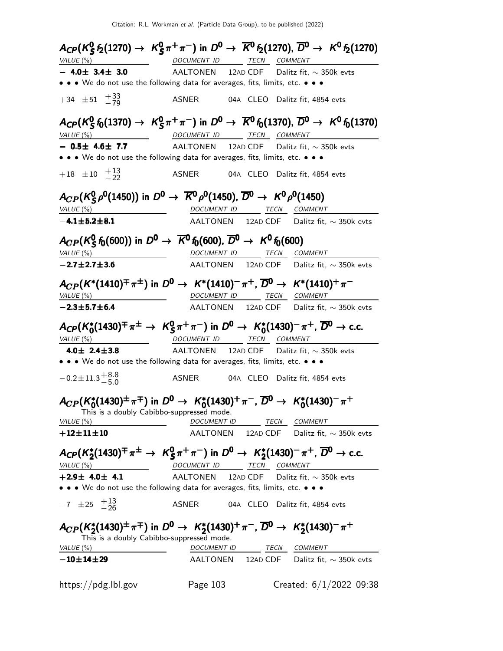|                                                        | $A_{CP}(K_S^0 f_2(1270) \to K_S^0 \pi^+ \pi^-)$ in $D^0 \to \overline{K}^0 f_2(1270)$ , $\overline{D}^0 \to K^0 f_2(1270)$                              |
|--------------------------------------------------------|---------------------------------------------------------------------------------------------------------------------------------------------------------|
| VALUE (%)                                              | DOCUMENT ID TECN COMMENT                                                                                                                                |
| $-$ 4.0 $\pm$ 3.4 $\pm$ 3.0                            | AALTONEN 12AD CDF Dalitz fit, $\sim$ 350k evts                                                                                                          |
|                                                        | • • • We do not use the following data for averages, fits, limits, etc. • • •                                                                           |
| $+34 \pm 51 + \frac{33}{79}$                           | ASNER<br>04A CLEO Dalitz fit, 4854 evts                                                                                                                 |
|                                                        | $A_{\text{CP}}(K_S^0 f_0(1370) \to K_S^0 \pi^+ \pi^-)$ in $D^0 \to \overline{K}^0 f_0(1370)$ , $\overline{D}^0 \to K^0 f_0(1370)$                       |
| VALUE $(\%)$<br>$-$ 0.5 $\pm$ 4.6 $\pm$ 7.7            | DOCUMENT ID TECN COMMENT<br>AALTONEN 12AD CDF Dalitz fit, $\sim$ 350k evts                                                                              |
|                                                        | • • • We do not use the following data for averages, fits, limits, etc. • • •                                                                           |
|                                                        |                                                                                                                                                         |
| $+18$ $\pm 10$ $+13$<br>-22                            | ASNER<br>04A CLEO Dalitz fit, 4854 evts                                                                                                                 |
|                                                        | $A_{CP}(K_S^0 \rho^0(1450))$ in $D^0 \to \overline{K}^0 \rho^0(1450)$ , $\overline{D}^0 \to K^0 \rho^0(1450)$                                           |
|                                                        |                                                                                                                                                         |
| VALUE(%)<br>$-4.1 \pm 5.2 \pm 8.1$                     | DOCUMENT ID TECN<br>COMMENT                                                                                                                             |
|                                                        | AALTONEN 12AD CDF Dalitz fit, $\sim$ 350k evts                                                                                                          |
|                                                        | $A_{CP}(K_S^0 f_0(600))$ in $D^0 \to \overline{K}^0 f_0(600)$ , $\overline{D}^0 \to K^0 f_0(600)$                                                       |
| VALUE (%)                                              | DOCUMENT ID TECN COMMENT                                                                                                                                |
| $-2.7 \pm 2.7 \pm 3.6$                                 | AALTONEN 12AD CDF Dalitz fit, $\sim$ 350k evts                                                                                                          |
|                                                        |                                                                                                                                                         |
| VALUE (%)                                              | $A_{CP}(K^*(1410)^{\pm} \pi^{\pm})$ in $D^0 \to K^*(1410)^{-} \pi^+$ , $\overline{D}^0 \to K^*(1410)^{+} \pi^-$<br>DOCUMENT ID TECN COMMENT             |
| $-2.3 \pm 5.7 \pm 6.4$                                 | AALTONEN 12AD CDF Dalitz fit, $\sim$ 350k evts                                                                                                          |
| VALUE(%)                                               | $A_{CP}(K_0^*(1430)^{\mp} \pi^{\pm} \to K_S^0 \pi^+ \pi^-)$ in $D^0 \to K_0^*(1430)^{-} \pi^+$ , $\overline{D}^0 \to$ c.c.<br>DOCUMENT ID TECN COMMENT  |
| 4.0 $\pm$ 2.4 $\pm$ 3.8                                | AALTONEN 12AD CDF Dalitz fit, $\sim$ 350k evts<br>• • • We do not use the following data for averages, fits, limits, etc. • • •                         |
|                                                        |                                                                                                                                                         |
| $-0.2 \pm 11.3 \pm 8.8$                                |                                                                                                                                                         |
| This is a doubly Cabibbo-suppressed mode.<br>VALUE (%) | $A_{CP}(K_0^*(1430)^{\pm} \pi^{\mp})$ in $D^0 \to K_0^*(1430)^+ \pi^-$ , $\overline{D}^0 \to K_0^*(1430)^- \pi^+$<br><i>DOCUMENT ID</i><br>TECN COMMENT |
| $+12 \pm 11 \pm 10$                                    | AALTONEN 12AD CDF Dalitz fit, $\sim$ 350k evts                                                                                                          |
|                                                        |                                                                                                                                                         |
|                                                        | $A_{\text{CP}}(K_2^*(1430)^{\text{+}}\pi^{\pm}\to K_S^0\pi^+\pi^-)$ in $D^0\to K_2^*(1430)^-\pi^+$ , $\overline{D}^0\to$ c.c.                           |
| VALUE(%)                                               | <b>TECN</b><br>DOCUMENT ID<br>COMMENT                                                                                                                   |
| $+2.9\pm 4.0\pm 4.1$                                   | AALTONEN<br>12AD CDF<br>Dalitz fit, $\sim$ 350k evts                                                                                                    |
|                                                        | • • • We do not use the following data for averages, fits, limits, etc. • • •                                                                           |
|                                                        |                                                                                                                                                         |
| $-7 \pm 25 + 13 \atop -26$                             | ASNER<br>04A CLEO Dalitz fit, 4854 evts                                                                                                                 |
| This is a doubly Cabibbo-suppressed mode.              | $A_{CP}(K_2^*(1430)^{\pm} \pi^{\mp})$ in $D^0 \to K_2^*(1430)^+ \pi^-$ , $\overline{D}^0 \to K_2^*(1430)^- \pi^+$                                       |
| VALUE (%)                                              | DOCUMENT ID<br>COMMENT<br>TECN                                                                                                                          |
| $-10\!\pm\!14\!\pm\!29$                                | AALTONEN 12AD CDF Dalitz fit, $\sim$ 350k evts                                                                                                          |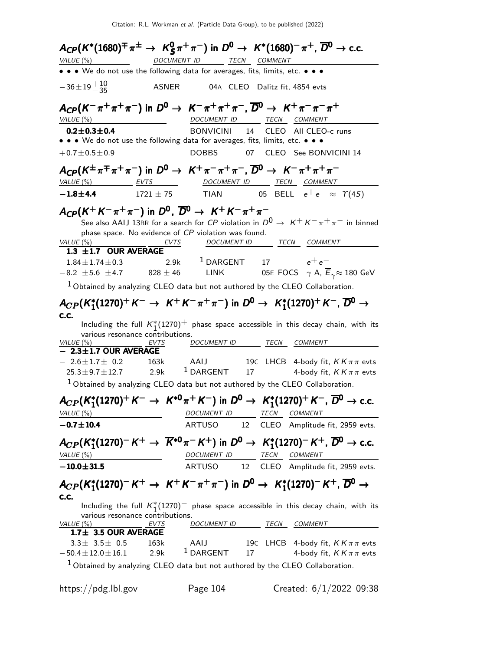|                                                                                                                                               |                   |                                                     |    |      | $A_{CP}(K^*(1680)^{\mp} \pi^{\pm} \rightarrow K_S^0 \pi^+ \pi^-)$ in $D^0 \rightarrow K^*(1680)^{-} \pi^+$ , $\overline{D}^0 \rightarrow$ c.c.                                                                                                 |
|-----------------------------------------------------------------------------------------------------------------------------------------------|-------------------|-----------------------------------------------------|----|------|------------------------------------------------------------------------------------------------------------------------------------------------------------------------------------------------------------------------------------------------|
| VALUE $($ %)                                                                                                                                  | DOCUMENT ID       | TECN COMMENT                                        |    |      |                                                                                                                                                                                                                                                |
| • • • We do not use the following data for averages, fits, limits, etc. • • •                                                                 |                   |                                                     |    |      |                                                                                                                                                                                                                                                |
| $-36\pm 19\frac{+10}{-35}$                                                                                                                    | <b>ASNER</b>      | 04A CLEO Dalitz fit, 4854 evts                      |    |      |                                                                                                                                                                                                                                                |
| $A_{CP}(K^-\pi^+\pi^+\pi^-)$ in $D^0 \to K^-\pi^+\pi^+\pi^-$ , $\overline{D}{}^0 \to K^+\pi^-\pi^-\pi^+$<br>VALUE (%)                         |                   | DOCUMENT ID                                         |    |      | TECN COMMENT                                                                                                                                                                                                                                   |
| $0.2 \pm 0.3 \pm 0.4$                                                                                                                         |                   | BONVICINI                                           | 14 |      | CLEO All CLEO-c runs                                                                                                                                                                                                                           |
| • • • We do not use the following data for averages, fits, limits, etc. • • •                                                                 |                   |                                                     |    |      |                                                                                                                                                                                                                                                |
| $+0.7 \pm 0.5 \pm 0.9$                                                                                                                        |                   | <b>DOBBS</b>                                        | 07 |      | CLEO See BONVICINI 14                                                                                                                                                                                                                          |
| $A_{\mathsf{CP}}(K^{\pm}\pi^{\mp}\pi^{+}\pi^{-})$ in $D^0 \rightarrow K^+\pi^-\pi^+\pi^-$ , $\overline{D}{}^0 \rightarrow K^-\pi^+\pi^+\pi^-$ |                   |                                                     |    |      |                                                                                                                                                                                                                                                |
| $VALUE(%)$ EVTS                                                                                                                               |                   | DOCUMENT ID TECN COMMENT                            |    |      |                                                                                                                                                                                                                                                |
| $-1.8 + 4.4$                                                                                                                                  |                   |                                                     |    |      | 1721 ± 75 TIAN 05 BELL $e^+e^- \approx \Upsilon(4S)$                                                                                                                                                                                           |
| $A_{CP}(K^+K^-\pi^+\pi^-)$ in $D^0$ , $\overline{D}{}^0 \rightarrow K^+K^-\pi^+\pi^-$<br>VALUE (%)<br>1.3 $\pm$ 1.7 OUR AVERAGE               | EVTS              | phase space. No evidence of CP violation was found. |    |      | See also AAIJ 13BR for a search for ${\it CP}$ violation in ${\it D}^0 \rightarrow \ {\it K}^+ {\it K}^- \pi^+ \pi^-$ in binned<br>DOCUMENT ID TECN COMMENT                                                                                    |
| $1.84 \pm 1.74 \pm 0.3$<br>$-8.2 \pm 5.6 \pm 4.7$                                                                                             | $828 \pm 46$ LINK | 2.9k <sup>1</sup> DARGENT                           |    |      | 17 $e^+e^-$<br>05E FOCS $\gamma$ A, $\overline{E}_{\gamma} \approx 180$ GeV                                                                                                                                                                    |
| <sup>1</sup> Obtained by analyzing CLEO data but not authored by the CLEO Collaboration.                                                      |                   |                                                     |    |      |                                                                                                                                                                                                                                                |
| C.C.<br>various resonance contributions.<br>VALUE $(\%)$<br>$-$ 2.3 $\pm$ 1.7 OUR AVERAGE<br>$-2.6 \pm 1.7 \pm 0.2$                           | 163k              | DOCUMENT ID TECN COMMENT<br>AAIJ                    |    |      | $A_{CP}(K_1^*(1270)^+ K^- \to K^+ K^- \pi^+ \pi^-)$ in $D^0 \to K_1^*(1270)^+ K^-$ , $\overline{D}{}^0 \to$<br>Including the full $K_1^*(1270)^+$ phase space accessible in this decay chain, with its<br>19C LHCB 4-body fit, $KK\pi\pi$ evts |
| $25.3 \pm 9.7 \pm 12.7$                                                                                                                       | 2.9k              | $^1$ DARGENT                                        | 17 |      | 4-body fit, $KK\pi\pi$ evts                                                                                                                                                                                                                    |
| $1$ Obtained by analyzing CLEO data but not authored by the CLEO Collaboration.                                                               |                   |                                                     |    |      |                                                                                                                                                                                                                                                |
|                                                                                                                                               |                   |                                                     |    |      | $A_{CP}(K_1^*(1270)^+ K^- \to K^{*0}\pi^+ K^-)$ in $D^0 \to K_1^*(1270)^+ K^-$ , $\overline{D}^0 \to$ c.c.                                                                                                                                     |
| VALUE (%)                                                                                                                                     |                   | DOCUMENT ID                                         |    | TECM | COMMENT                                                                                                                                                                                                                                        |
| $-0.7 \pm 10.4$                                                                                                                               |                   | <b>ARTUSO</b>                                       | 12 |      | CLEO Amplitude fit, 2959 evts.                                                                                                                                                                                                                 |
| VALUE $(%)$                                                                                                                                   |                   | DOCUMENT ID TECN COMMENT                            |    |      | $A_{CP}(K_1^*(1270)^- K^+ \to \overline{K}^{*0}\pi^- K^+)$ in $D^0 \to K_1^*(1270)^- K^+$ , $\overline{D}^0 \to$ c.c.                                                                                                                          |
| $-10.0 \pm 31.5$                                                                                                                              |                   | ARTUSO 12                                           |    |      | CLEO Amplitude fit, 2959 evts.                                                                                                                                                                                                                 |
| C.C.<br>various resonance contributions.<br>VALUE (%)<br>1.7± 3.5 OUR AVERAGE                                                                 | EVTS              | DOCUMENT ID TECN                                    |    |      | $A_{CP}(K_1^*(1270)^-K^+ \to K^+K^-\pi^+\pi^-)$ in $D^0 \to K_1^*(1270)^-K^+$ , $\overline{D}{}^0 \to$<br>Including the full $K_1^*(1270)^-$ phase space accessible in this decay chain, with its<br>COMMENT                                   |
| $3.3 \pm 3.5 \pm 0.5$<br>$-50.4 \pm 12.0 \pm 16.1$ 2.9k<br>$1$ Obtained by analyzing CLEO data but not authored by the CLEO Collaboration.    | 163k              | AAIJ<br>$^1$ DARGENT                                | 17 |      | 19C LHCB 4-body fit, $KK\pi\pi$ evts<br>4-body fit, $KK\pi\pi$ evts                                                                                                                                                                            |
|                                                                                                                                               |                   |                                                     |    |      |                                                                                                                                                                                                                                                |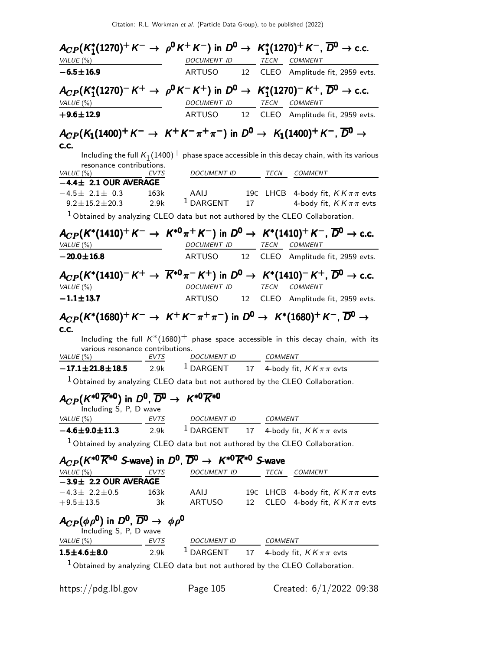| $A_{CP}(K_1^*(1270)^+ K^- \to \rho^0 K^+ K^-)$ in $D^0 \to K_1^*(1270)^+ K^-$ , $\overline{D}{}^0 \to$ c.c.                                                                                         |                                                                                                              |           |                |                                                                      |                             |
|-----------------------------------------------------------------------------------------------------------------------------------------------------------------------------------------------------|--------------------------------------------------------------------------------------------------------------|-----------|----------------|----------------------------------------------------------------------|-----------------------------|
| VALUE(%)                                                                                                                                                                                            | DOCUMENT ID TECN COMMENT                                                                                     |           |                |                                                                      |                             |
| $-6.5 \pm 16.9$                                                                                                                                                                                     | ARTUSO 12 CLEO Amplitude fit, 2959 evts.                                                                     |           |                |                                                                      |                             |
| $A_{CP}(K_1^*(1270)^- K^+ \to \rho^0 K^- K^+)$ in $D^0 \to K_1^*(1270)^- K^+$ , $\overline{D}^0 \to$ c.c.                                                                                           |                                                                                                              |           |                |                                                                      |                             |
| VALUE (%)                                                                                                                                                                                           | DOCUMENT ID TECN COMMENT                                                                                     |           |                |                                                                      |                             |
| $+9.6 \pm 12.9$                                                                                                                                                                                     | ARTUSO                                                                                                       |           |                | 12 CLEO Amplitude fit, 2959 evts.                                    |                             |
| $A_{CP}(K_1(1400)^+ K^- \to K^+ K^- \pi^+ \pi^-)$ in $D^0 \to K_1(1400)^+ K^-$ , $\overline{D}{}^0 \to$<br>c.c.<br>resonance contributions.                                                         | Including the full $K_1(1400)^+$ phase space accessible in this decay chain, with its various                |           |                |                                                                      |                             |
| VALUE (%)<br>EVTS<br>$-4.4 \pm 2.1$ OUR AVERAGE                                                                                                                                                     | DOCUMENT ID TECN COMMENT                                                                                     |           |                |                                                                      |                             |
| 163k<br>$-4.5\pm$ 2.1 $\pm$ 0.3<br>$9.2 \pm 15.2 \pm 20.3$ 2.9k                                                                                                                                     | AAIJ<br>$1$ DARGENT                                                                                          | 17        |                | 19C LHCB 4-body fit, $KK\pi\pi$ evts                                 | 4-body fit, $KK\pi\pi$ evts |
| <sup>1</sup> Obtained by analyzing CLEO data but not authored by the CLEO Collaboration.                                                                                                            |                                                                                                              |           |                |                                                                      |                             |
| $A_{CP}(K^*(1410)^+ K^- \to K^{*0}\pi^+ K^-)$ in $D^0 \to K^*(1410)^+ K^-$ , $\overline{D}{}^0 \to$ c.c.<br>VALUE $(\%)$                                                                            | DOCUMENT ID TECN COMMENT                                                                                     |           |                |                                                                      |                             |
| $-20.0 \pm 16.8$                                                                                                                                                                                    | ARTUSO 12 CLEO Amplitude fit, 2959 evts.                                                                     |           |                |                                                                      |                             |
| $A_{CP}(K^*(1410)^{-}K^{+} \to \overline{K}^{*0}\pi^{-}K^{+})$ in $D^{0} \to K^*(1410)^{-}K^{+}$ , $\overline{D}^{0} \to$ c.c.<br>VALUE (%)                                                         | DOCUMENT ID TECN COMMENT                                                                                     |           |                |                                                                      |                             |
| $-1.1 \pm 13.7$                                                                                                                                                                                     | ARTUSO 12 CLEO Amplitude fit, 2959 evts.                                                                     |           |                |                                                                      |                             |
| $A_{CP}(K^*(1680)^+ K^- \rightarrow K^+ K^- \pi^+ \pi^-)$ in $D^0 \rightarrow K^*(1680)^+ K^-$ , $\overline{D}{}^0 \rightarrow$<br>C.C.<br>various resonance contributions.<br>VALUE $(\%)$<br>EVTS | Including the full $K^*(1680)^+$ phase space accessible in this decay chain, with its<br>DOCUMENT ID COMMENT |           |                |                                                                      |                             |
| $-17.1 \pm 21.8 \pm 18.5$ 2.9k <sup>1</sup> DARGENT 17 4-body fit, $KK \pi \pi$ evts                                                                                                                |                                                                                                              |           |                |                                                                      |                             |
| $1$ Obtained by analyzing CLEO data but not authored by the CLEO Collaboration.                                                                                                                     |                                                                                                              |           |                |                                                                      |                             |
| $A_{CP}(K^{*0}\overline{K}^{*0})$ in $D^0$ , $\overline{D}^0 \rightarrow K^{*0}\overline{K}^{*0}$<br>Including S, P, D wave                                                                         |                                                                                                              |           |                |                                                                      |                             |
| VALUE (%)<br>EVTS                                                                                                                                                                                   | DOCUMENT ID                                                                                                  |           | <b>COMMENT</b> |                                                                      |                             |
| $-4.6 \pm 9.0 \pm 11.3$<br>2.9k                                                                                                                                                                     | $1$ DARGENT                                                                                                  |           |                | 17 4-body fit, $KK\pi\pi$ evts                                       |                             |
| $1$ Obtained by analyzing CLEO data but not authored by the CLEO Collaboration.                                                                                                                     |                                                                                                              |           |                |                                                                      |                             |
| $A_{CP}(K^{*0}\overline{K}^{*0}$ S-wave) in $D^0$ , $\overline{D}^0\rightarrow K^{*0}\overline{K}^{*0}$ S-wave<br>VALUE (%)<br>EVTS                                                                 | DOCUMENT ID                                                                                                  |           | TECN           | <b>COMMENT</b>                                                       |                             |
| $-3.9\pm 2.2$ OUR AVERAGE                                                                                                                                                                           |                                                                                                              |           |                |                                                                      |                             |
| $-4.3\pm 2.2\pm 0.5$<br>163k<br>$+9.5 \pm 13.5$                                                                                                                                                     | AAIJ<br>3k<br><b>ARTUSO</b>                                                                                  | 19c<br>12 |                | LHCB 4-body fit, $KK\pi\pi$ evts<br>CLEO 4-body fit, $KK\pi\pi$ evts |                             |
| $A_{CP}(\phi \rho^0)$ in $D^0$ , $\overline{D}{}^0 \rightarrow \phi \rho^0$<br>Including S, P, D wave                                                                                               |                                                                                                              |           |                |                                                                      |                             |
| VALUE (%)<br><b>EVTS</b>                                                                                                                                                                            | DOCUMENT ID COMMENT                                                                                          |           |                |                                                                      |                             |
| 2.9k<br>$1.5 \pm 4.6 \pm 8.0$                                                                                                                                                                       | $1$ DARGENT                                                                                                  |           |                | 17 4-body fit, $KK\pi\pi$ evts                                       |                             |
| $1$ Obtained by analyzing CLEO data but not authored by the CLEO Collaboration.                                                                                                                     |                                                                                                              |           |                |                                                                      |                             |

https://pdg.lbl.gov Page 105 Created: 6/1/2022 09:38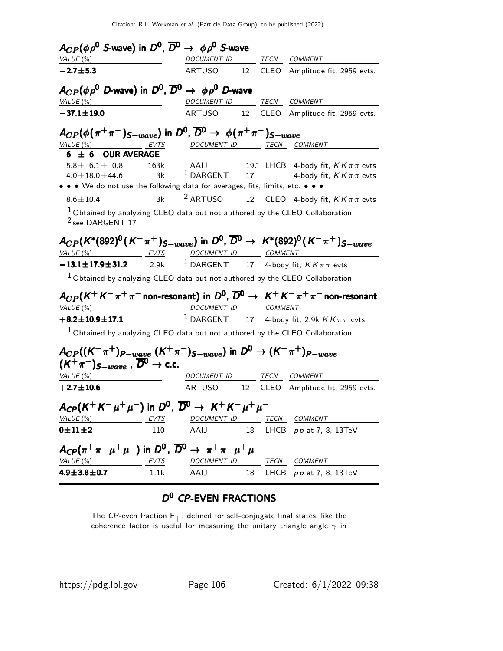| $A_{CP}(\phi \rho^0)$ S-wave) in $D^0$ , $\overline{D}^0 \rightarrow \phi \rho^0$ S-wave                  |      |                          |    |                                                                                                               |
|-----------------------------------------------------------------------------------------------------------|------|--------------------------|----|---------------------------------------------------------------------------------------------------------------|
| VALUE (%)                                                                                                 |      | DOCUMENT ID TECN COMMENT |    |                                                                                                               |
| $-2.7 + 5.3$                                                                                              |      | ARTUSO                   | 12 | CLEO Amplitude fit, 2959 evts.                                                                                |
| $A_{CP}(\phi \rho^0$ D-wave) in $D^0$ , $\overline{D}{}^0 \rightarrow \phi \rho^0$ D-wave                 |      |                          |    |                                                                                                               |
| VALUE (%)                                                                                                 |      | DOCUMENT ID TECN COMMENT |    |                                                                                                               |
| $-37.1 \pm 19.0$                                                                                          |      | ARTUSO 12                |    | CLEO Amplitude fit, 2959 evts.                                                                                |
| $A_{CP}(\phi(\pi^+\pi^-)_{S-wave})$ in $D^0$ , $\overline{D}^0 \rightarrow \phi(\pi^+\pi^-)_{S-wave}$     |      |                          |    |                                                                                                               |
| VALUE (%) EVTS                                                                                            |      | DOCUMENT ID TECN COMMENT |    |                                                                                                               |
| $6 \pm 6$ OUR AVERAGE                                                                                     |      |                          |    |                                                                                                               |
|                                                                                                           |      |                          |    | $5.8\pm$ 6.1 ± 0.8 163k AAIJ 19C LHCB 4-body fit, $KK\pi\pi$ evts<br>1 DARGENT 17 4-body fit, $KK\pi\pi$ evts |
| $-4.0 \pm 18.0 \pm 44.6$<br>• • • We do not use the following data for averages, fits, limits, etc. • • • | 3k   |                          |    |                                                                                                               |
| $-8.6 \pm 10.4$                                                                                           | 3k   | <sup>2</sup> ARTUSO      |    | 12 CLEO 4-body fit, $KK\pi\pi$ evts                                                                           |
| $1$ Obtained by analyzing CLEO data but not authored by the CLEO Collaboration.                           |      |                          |    |                                                                                                               |
| <sup>2</sup> see DARGENT 17                                                                               |      |                          |    |                                                                                                               |
|                                                                                                           |      |                          |    | $A_{CP}(K^*(892)^0(K^-\pi^+)_{S-wave})$ in $D^0$ , $\overline{D}^0 \to K^*(892)^0(K^-\pi^+)_{S-wave}$         |
| VALUE (%) EVTS DOCUMENT ID COMMENT                                                                        |      |                          |    |                                                                                                               |
| $-13.1 \pm 17.9 \pm 31.2$ 2.9k <sup>1</sup> DARGENT 17 4-body fit, $KK \pi \pi$ evts                      |      |                          |    |                                                                                                               |
| $1$ Obtained by analyzing CLEO data but not authored by the CLEO Collaboration.                           |      |                          |    |                                                                                                               |
|                                                                                                           |      |                          |    | $A_{CP}(K^+K^-\pi^+\pi^-$ non-resonant) in $D^0$ , $\overline{D}^0 \rightarrow K^+K^-\pi^+\pi^-$ non-resonant |
| VALUE (%)                                                                                                 |      |                          |    |                                                                                                               |
| $+8.2 \pm 10.9 \pm 17.1$                                                                                  |      |                          |    | $\frac{DOCUMENT ID}{1 \text{ DARGENT}} \frac{COMMENT}{17}$ 4-body fit, 2.9k $KK\pi\pi$ evts                   |
| $^1$ Obtained by analyzing CLEO data but not authored by the CLEO Collaboration.                          |      |                          |    |                                                                                                               |
| $A_{CP}((K^-\pi^+)_{P-wave}$ $(K^+\pi^-)_{S-wave})$ in $D^0 \to (K^-\pi^+)_{P-wave}$                      |      |                          |    |                                                                                                               |
| $(K^+\pi^-)_{S-wave}$ , $\overline{D}^0 \rightarrow$ c.c.                                                 |      |                          |    |                                                                                                               |
| VALUE(%)                                                                                                  |      | DOCUMENT ID TECN COMMENT |    |                                                                                                               |
| $+2.7 \pm 10.6$                                                                                           |      |                          |    | ARTUSO 12 CLEO Amplitude fit, 2959 evts.                                                                      |
| $A_{\mathsf{CP}}(K^+K^-\mu^+\mu^-)$ in $D^0$ , $\overline{D}{}^0 \rightarrow K^+K^-\mu^+\mu^-$            |      |                          |    |                                                                                                               |
| <u>VALUE (%)</u>                                                                                          | EVTS | DOCUMENT ID              |    | TECN COMMENT                                                                                                  |
| $0\pm11\pm2$                                                                                              | 110  | AAIJ                     |    | 181 LHCB pp at 7, 8, 13TeV                                                                                    |
| $A_{CP}(\pi^+\pi^-\mu^+\mu^-)$ in $D^0$ , $\overline{D}{}^0 \to \pi^+\pi^-\mu^+\mu^-$                     |      |                          |    |                                                                                                               |
| VALUE (%) EVTS                                                                                            |      | DOCUMENT ID TECN COMMENT |    |                                                                                                               |
| $4.9 \pm 3.8 \pm 0.7$                                                                                     | 1.1k | AAIJ                     |    | 181 LHCB pp at 7, 8, 13TeV                                                                                    |

### D<sup>0</sup> CP-EVEN FRACTIONS

The  ${\it CP}$ -even fraction  ${\sf F}_+,$  defined for self-conjugate final states, like the coherence factor is useful for measuring the unitary triangle angle  $\gamma$  in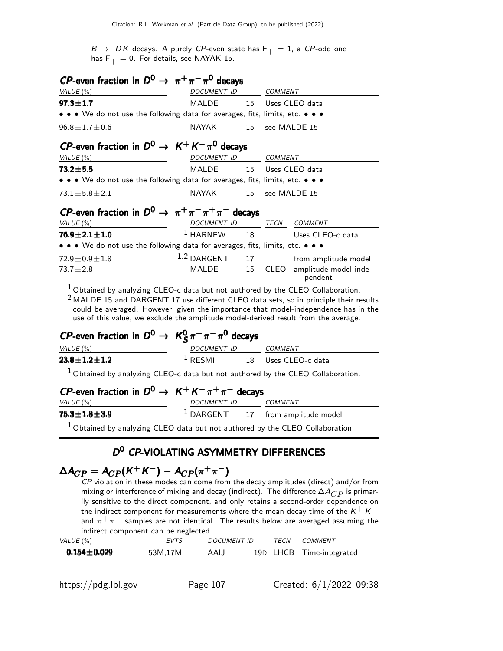$B \to D K$  decays. A purely CP-even state has  $F_+ = 1$ , a CP-odd one has  $F_+ = 0$ . For details, see NAYAK 15.

| <i>CP</i> -even fraction in $D^0 \rightarrow \pi^+\pi^-\pi^0$ decays                                                                                                                                                                                                                                                                                      |                                                                               |    |                                       |                                       |  |  |  |
|-----------------------------------------------------------------------------------------------------------------------------------------------------------------------------------------------------------------------------------------------------------------------------------------------------------------------------------------------------------|-------------------------------------------------------------------------------|----|---------------------------------------|---------------------------------------|--|--|--|
| VALUE (%)                                                                                                                                                                                                                                                                                                                                                 | DOCUMENT ID                                                                   |    | <b>COMMENT</b>                        |                                       |  |  |  |
| $97.3 \pm 1.7$                                                                                                                                                                                                                                                                                                                                            | MALDE                                                                         | 15 | Uses CLEO data                        |                                       |  |  |  |
|                                                                                                                                                                                                                                                                                                                                                           | • • • We do not use the following data for averages, fits, limits, etc. • • • |    |                                       |                                       |  |  |  |
| $96.8 \pm 1.7 \pm 0.6$                                                                                                                                                                                                                                                                                                                                    | <b>NAYAK</b><br>15                                                            |    | see MALDE 15                          |                                       |  |  |  |
| CP-even fraction in $D^0 \rightarrow K^+ K^- \pi^0$ decays                                                                                                                                                                                                                                                                                                |                                                                               |    |                                       |                                       |  |  |  |
| VALUE (%)                                                                                                                                                                                                                                                                                                                                                 | DOCUMENT ID                                                                   |    |                                       | <b>COMMENT</b>                        |  |  |  |
| $73.2 \pm 5.5$                                                                                                                                                                                                                                                                                                                                            | <b>MALDE</b>                                                                  | 15 |                                       | Uses CLEO data                        |  |  |  |
| • • • We do not use the following data for averages, fits, limits, etc. • • •                                                                                                                                                                                                                                                                             |                                                                               |    |                                       |                                       |  |  |  |
| $73.1 \pm 5.8 \pm 2.1$                                                                                                                                                                                                                                                                                                                                    | <b>NAYAK</b>                                                                  | 15 | see MALDE 15                          |                                       |  |  |  |
| <i>CP</i> -even fraction in $D^0 \rightarrow \pi^+ \pi^- \pi^+ \pi^-$ decays                                                                                                                                                                                                                                                                              |                                                                               |    |                                       |                                       |  |  |  |
| VALUE (%)                                                                                                                                                                                                                                                                                                                                                 | DOCUMENT ID                                                                   |    |                                       | TECN COMMENT                          |  |  |  |
| $76.9 \pm 2.1 \pm 1.0$                                                                                                                                                                                                                                                                                                                                    | $1$ HARNEW                                                                    | 18 |                                       | Uses CLEO-c data                      |  |  |  |
| • • • We do not use the following data for averages, fits, limits, etc. • • •                                                                                                                                                                                                                                                                             |                                                                               |    |                                       |                                       |  |  |  |
| $72.9 \pm 0.9 \pm 1.8$                                                                                                                                                                                                                                                                                                                                    | $1,2$ DARGENT                                                                 | 17 |                                       | from amplitude model                  |  |  |  |
| $73.7 \pm 2.8$                                                                                                                                                                                                                                                                                                                                            | <b>MALDE</b>                                                                  | 15 |                                       | CLEO amplitude model inde-<br>pendent |  |  |  |
| $1$ Obtained by analyzing CLEO-c data but not authored by the CLEO Collaboration.<br>$2$ MALDE 15 and DARGENT 17 use different CLEO data sets, so in principle their results<br>could be averaged. However, given the importance that model-independence has in the<br>use of this value, we exclude the amplitude model-derived result from the average. |                                                                               |    |                                       |                                       |  |  |  |
| <i>CP</i> -even fraction in $D^0 \rightarrow K_S^0 \pi^+ \pi^- \pi^0$ decays                                                                                                                                                                                                                                                                              |                                                                               |    |                                       |                                       |  |  |  |
| VALUE (%)                                                                                                                                                                                                                                                                                                                                                 | DOCUMENT ID COMMENT<br>1 RESMI 18 Uses CLEC                                   |    |                                       |                                       |  |  |  |
| $23.8 \pm 1.2 \pm 1.2$                                                                                                                                                                                                                                                                                                                                    |                                                                               |    |                                       | Uses CLEO-c data                      |  |  |  |
| $1$ Obtained by analyzing CLEO-c data but not authored by the CLEO Collaboration.                                                                                                                                                                                                                                                                         |                                                                               |    |                                       |                                       |  |  |  |
| <i>CP</i> -even fraction in $D^0 \rightarrow K^+ K^- \pi^+ \pi^-$ decays<br>VALUE (%)                                                                                                                                                                                                                                                                     | DOCUMENT ID COMMENT                                                           |    |                                       |                                       |  |  |  |
| $75.3 \pm 1.8 \pm 3.9$                                                                                                                                                                                                                                                                                                                                    |                                                                               |    | $1$ DARGENT $17$ from amplitude model |                                       |  |  |  |
|                                                                                                                                                                                                                                                                                                                                                           |                                                                               |    |                                       |                                       |  |  |  |
| $1$ Obtained by analyzing CLEO data but not authored by the CLEO Collaboration.                                                                                                                                                                                                                                                                           |                                                                               |    |                                       |                                       |  |  |  |
|                                                                                                                                                                                                                                                                                                                                                           |                                                                               |    |                                       |                                       |  |  |  |

#### D<sup>0</sup> CP-VIOLATING ASYMMETRY DIFFERENCES

# $\Delta A_{CP} = A_{CP} (K^+ K^-) - A_{CP} (\pi^+ \pi^-)$

 $\overline{CP}$  violation in these modes can come from the decay amplitudes (direct) and/or from mixing or interference of mixing and decay (indirect). The difference  $\Delta A_{CP}$  is primarily sensitive to the direct component, and only retains a second-order dependence on the indirect component for measurements where the mean decay time of the  $K^+ K^$ and  $\pi^+ \pi^-$  samples are not identical. The results below are averaged assuming the indirect component can be neglected.

| VALUE (%)          | <b>EVTS</b> | <i>DOCUMENT ID</i> | TECN | <i>COMMENT</i>           |
|--------------------|-------------|--------------------|------|--------------------------|
| $-0.154 \pm 0.029$ | 53M,17M     | AAIJ               |      | 19D LHCB Time-integrated |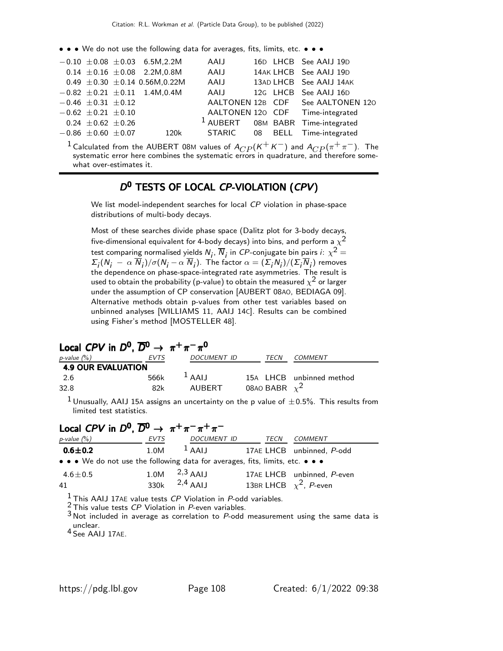• • • We do not use the following data for averages, fits, limits, etc. • • •

|                           | $-0.10 \pm 0.08 \pm 0.03$ 6.5M, 2.2M   | AAIJ |  | 16D LHCB See AAIJ 19D                        |
|---------------------------|----------------------------------------|------|--|----------------------------------------------|
|                           | $0.14 \pm 0.16 \pm 0.08$ 2.2M,0.8M     | AAIJ |  | 14AK LHCB See AAIJ 19D                       |
|                           | 0.49 $\pm$ 0.30 $\pm$ 0.14 0.56M,0.22M | AAIJ |  | 13AD LHCB See AAIJ 14AK                      |
|                           | $-0.82 \pm 0.21 \pm 0.11$ 1.4M,0.4M    |      |  | AAIJ 12G LHCB See AAIJ 16D                   |
| $-0.46 \pm 0.31 \pm 0.12$ |                                        |      |  | AALTONEN 12B CDF See AALTONEN 120            |
| $-0.62 \pm 0.21 \pm 0.10$ |                                        |      |  | AALTONEN 120 CDF Time-integrated             |
| $0.24 \pm 0.62 \pm 0.26$  |                                        |      |  | <sup>1</sup> AUBERT 08M BABR Time-integrated |
| $-0.86 \pm 0.60 \pm 0.07$ | 120k                                   |      |  | STARIC 08 BELL Time-integrated               |
|                           |                                        |      |  |                                              |

 $^1$  Calculated from the AUBERT 08M values of  $A_{CP}$ ( $K^+ K^-$ ) and  $A_{CP}$ ( $\pi^+ \pi^-$ ). The systematic error here combines the systematic errors in quadrature, and therefore somewhat over-estimates it.

### D<sup>0</sup> TESTS OF LOCAL CP-VIOLATION (CPV)

We list model-independent searches for local CP violation in phase-space distributions of multi-body decays.

Most of these searches divide phase space (Dalitz plot for 3-body decays, five-dimensional equivalent for 4-body decays) into bins, and perform a  $\chi^2$ test comparing normalised yields  $N_j$ ,  $\overline{N}_j$  in  ${\it CP}$ -conjugate bin pairs  $i\colon \chi^2=1$  $\Sigma_j(N_j - \alpha N_j)/\sigma(N_j - \alpha N_j)$ . The factor  $\alpha = (\Sigma_j N_j)/(\Sigma_j N_j)$  removes the dependence on phase-space-integrated rate asymmetries. The result is used to obtain the probability (p-value) to obtain the measured  $\chi^2$  or larger under the assumption of CP conservation [AUBERT 08AO, BEDIAGA 09]. Alternative methods obtain p-values from other test variables based on unbinned analyses [WILLIAMS 11, AAIJ 14C]. Results can be combined using Fisher's method [MOSTELLER 48].

| Local CPV in $D^0$ , $\overline{D}{}^0 \rightarrow \pi^+ \pi^- \pi^0$ |      |             |                    |                          |  |  |  |
|-----------------------------------------------------------------------|------|-------------|--------------------|--------------------------|--|--|--|
| p-value $(\%)$                                                        | EVTS | DOCUMENT ID | TECN               | COMMENT                  |  |  |  |
| <b>4.9 OUR EVALUATION</b>                                             |      |             |                    |                          |  |  |  |
| -2.6                                                                  | 566k | $1$ AAIJ    |                    | 15A LHCB unbinned method |  |  |  |
| 32.8                                                                  | 82k  | AUBERT      | 08AO BABR $\chi^2$ |                          |  |  |  |
|                                                                       |      |             |                    |                          |  |  |  |

<sup>1</sup> Unusually, AAIJ 15A assigns an uncertainty on the p value of  $\pm 0.5$ %. This results from limited test statistics.

| Local CPV in $D^0$ , $\overline{D}{}^0 \rightarrow \pi^+ \pi^- \pi^+ \pi^-$   |      |                                             |  |      |                                                                   |  |  |
|-------------------------------------------------------------------------------|------|---------------------------------------------|--|------|-------------------------------------------------------------------|--|--|
| $p$ -value $(\%)$                                                             | EVTS | DOCUMENT ID                                 |  | TECN | COMMENT                                                           |  |  |
| $0.6 \pm 0.2$                                                                 | 1.0M | <sup>1</sup> AAIJ 17AE LHCB unbinned, P-odd |  |      |                                                                   |  |  |
| • • • We do not use the following data for averages, fits, limits, etc. • • • |      |                                             |  |      |                                                                   |  |  |
| 4.6 $\pm$ 0.5<br>41                                                           |      | 1.0M $^{2,3}$ AAIJ<br>330k $^{2,4}$ AAIJ    |  |      | 17AE LHCB unbinned, P-even<br>13BR LHCB $\chi^2$ , <i>P</i> -even |  |  |

 $<sup>1</sup>$  This AAIJ 17AE value tests CP Violation in P-odd variables.</sup>

<sup>2</sup> This value tests *CP* Violation in *P*-even variables.

3 Not included in average as correlation to P-odd measurement using the same data is unclear. 4 See AAIJ 17AE.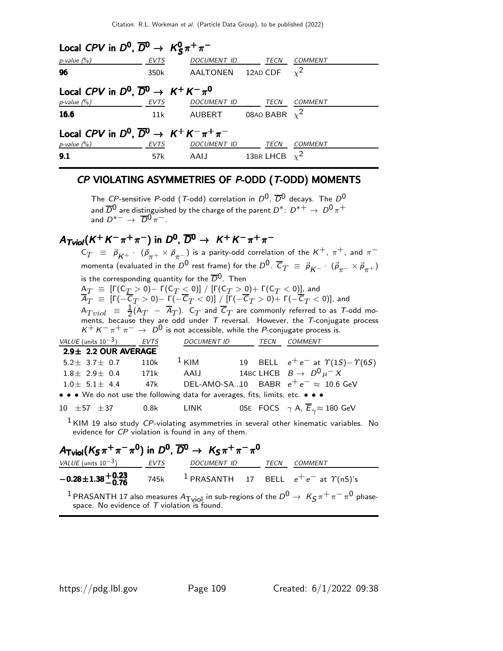| Local CPV in $D^0$ , $\overline{D}{}^0 \rightarrow K_S^0 \pi^+ \pi^-$   |             |                            |                    |         |  |  |
|-------------------------------------------------------------------------|-------------|----------------------------|--------------------|---------|--|--|
| $p$ -value $(\%)$                                                       | <b>EVTS</b> | <i>DOCUMENT ID</i>         | <b>TECN</b>        | COMMENT |  |  |
| 96                                                                      | 350k        | AALTONEN 12AD CDF $\chi^2$ |                    |         |  |  |
| Local CPV in $D^0$ , $\overline{D}^0 \rightarrow K^+ K^- \pi^0$         |             |                            |                    |         |  |  |
| $p$ -value $(\%)$                                                       | EVTS        | <i>DOCUMENT ID</i>         | TECN               | COMMENT |  |  |
| 16.6                                                                    | 11k         | AUBERT 08AO BABR $\chi^2$  |                    |         |  |  |
| Local CPV in $D^0$ , $\overline{D}{}^0 \rightarrow K^+ K^- \pi^+ \pi^-$ |             |                            |                    |         |  |  |
| $p$ -value $(\%)$                                                       | EVTS        | DOCUMENT ID                | <b>TECN</b>        | COMMENT |  |  |
| 9.1                                                                     | 57k         | AAIJ                       | 13BR LHCB $\chi^2$ |         |  |  |

#### CP VIOLATING ASYMMETRIES OF P-ODD (T-ODD) MOMENTS

The CP-sensitive P-odd (T-odd) correlation in  $D^0$ ,  $\overline{D}^0$  decays. The  $D^0$ and  $\overline{D}^0$  are distinguished by the charge of the parent  $D^*$ :  $D^{*+} \rightarrow D^0 \pi^+$ and  $D^{*-} \rightarrow \overline{D}^0 \pi^-$ .

# $A_{Tviol}(K^+K^-\pi^+\pi^-)$  in  $D^0$ ,  $\overline{D}{}^0\to~K^+K^-\pi^+\pi^-$

 $\mathsf{C}_T \;\; \equiv \;\; \vec{p}^{}_{K^+} \cdot \; (\vec{p}^{}_{\pi^+} \times \vec{p}^{}_{\pi^-})$  is a parity-odd correlation of the  $K^+$ ,  $\pi^+$ , and  $\pi^$ momenta (evaluated in the  $D^0$  rest frame) for the  $D^0.$   $\overline{C}_T~\equiv~\vec{\rho} _{\cal K^-}\cdot~(\vec{\rho} _{\pi^-}\times\vec{\rho} _{\pi^+})$ is the corresponding quantity for the  $\overline{D}^0$ . Then  ${\sf A}_T~\equiv~[{\sf \Gamma}({\sf C}_T>0)-{\sf \Gamma}({\sf C}_T\le 0)]~/~[{\sf \Gamma}({\sf C}_T>0)+{\sf \Gamma}({\sf C}_T< 0)]$  , and  $A_T~\equiv~[\Gamma(-\mathcal{C}_T>0)-\Gamma(-\mathcal{C}_T<0)]~/~[\Gamma(-\mathcal{C}_T>0)+\Gamma(-\mathcal{C}_T<0)]$ , and  $\mathsf{A}_{Tviol}$   $\equiv$   $\frac{1}{2}$  $\frac{1}{2}$ (A $_T$  – A $_T$ ). C $_T$  and C $_T$  are commonly referred to as T-odd moments, because they are odd under  $T$  reversal. However, the  $T$ -conjugate process  $K^+ K^- \pi^+ \pi^- \rightarrow D^0$  is not accessible, while the *P*-conjugate process is.<br>VALUE (units 10<sup>-3</sup>) EVTS DOCUMENT ID TECN COMMENT TECN COMMENT  $2.9\pm 2.2$  OUR AVERAGE  $5.2± 3.7± 0.7$  110k <sup>1</sup> KIM 19 BELL  $e^+e^-$  at  $\Upsilon(1S) - \Upsilon(6S)$ <br>  $1.8± 2.9± 0.4$  171k AAIJ 14BC LHCB  $B \to D^0\mu^- X$  $1.8\pm 2.9\pm 0.4$  171k AAIJ 14BC LHCB  $B \to D^{0} \mu^{-} X$ <br> $1.0\pm 5.1\pm 4.4$  47k DEL-AMO-SA..10 BABR  $e^{+}e^{-} \approx 10.6$ DEL-AMO-SA..10 BABR  $e^+e^- \approx 10.6$  GeV • • • We do not use the following data for averages, fits, limits, etc. • • • 10  $\pm$  57  $\pm$  37 0.8k LINK 05E FOCS  $\gamma$  A,  $\overline{E}_{\gamma}$   $\approx$  180 GeV  $1$  KIM 19 also study CP-violating asymmetries in several other kinematic variables. No evidence for CP violation is found in any of them.

#### $A_\mathsf{Tviol} (K_S \pi^+ \pi^- \pi^0)$  in  $D^0$ ,  $\overline{D}{}^0 \to~\overline{K_S} \pi^+ \pi^- \pi^0$ VALUE (units  $10^{-3}$ ) EVTS DOCUMENT ID TECN COMMENT −0.28±1.38+0.<sup>23</sup> <sup>−</sup>0.<sup>76</sup> <sup>−</sup>0.28±1.38+0.<sup>23</sup> 745k  $\frac{1}{2}$  PRASANTH 17 BELL  $e^+e^-$  at  $\gamma$ (nS)'s  $^1$  PRASANTH 17 also measures  $A_{\sf{Tviol}}$  in sub-regions of the  $D^0 \rightarrow K_S \pi^+ \pi^- \pi^0$  phasespace. No evidence of  $T$  violation is found.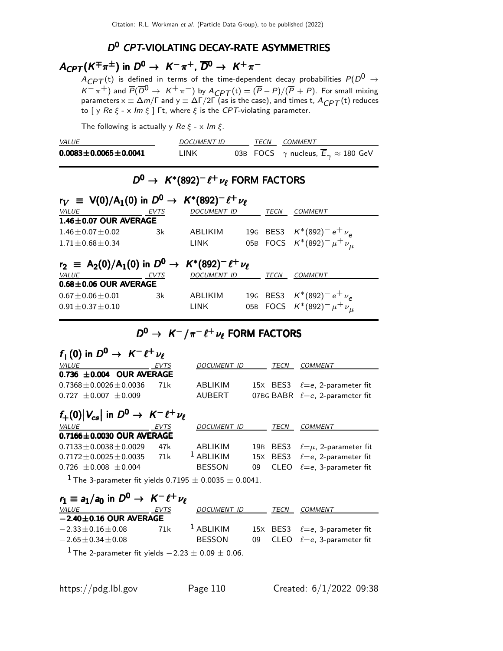### D<sup>0</sup> CPT-VIOLATING DECAY-RATE ASYMMETRIES

# $A_{CPT}(K^{\mp}\pi^{\pm})$  in  $D^{0} \rightarrow K^{-}\pi^{+}$ ,  $\overline{D}^{0} \rightarrow K^{+}\pi^{-}$

 $A_{CPT}(t)$  is defined in terms of the time-dependent decay probabilities  $P(D^0 \rightarrow$  $K^-\pi^+$ ) and  $\overline{P}(\overline{D}^0\to~K^+\pi^-)$  by  $A_{\it{CPT}}(\mathrm{t})=(\overline{P}-P)/(\overline{P}+P).$  For small mixing parameters  $\times\equiv\Delta m/\Gamma$  and  $\sqrt{2}=\Delta\Gamma/2\Gamma$  (as is the case), and times t,  $A_{\text{\textit{CPT}}}(\text{t})$  reduces to [ y Re  $\xi$  - x Im  $\xi$  ]  $\Gamma$ t, where  $\xi$  is the CPT-violating parameter.

The following is actually y  $Re \xi - x Im \xi$ .

| <i>VALUE</i>                   | <b>DOCUMENT ID</b> | TFCN | <i>COMMENT</i>                                          |
|--------------------------------|--------------------|------|---------------------------------------------------------|
| $0.0083 \pm 0.0065 \pm 0.0041$ | I INK              |      | 03B FOCS $\gamma$ nucleus, $E_{\gamma} \approx 180$ GeV |

# $D^0$  → K\*(892)<sup>-</sup>  $\ell^+ \nu_\ell$  FORM FACTORS

| $r_V \equiv V(0)/A_1(0)$ in $D^0 \rightarrow K^*(892)^{-} \ell^{+} \nu_{\ell}$          |             |                    |  |      |                                                                        |  |  |
|-----------------------------------------------------------------------------------------|-------------|--------------------|--|------|------------------------------------------------------------------------|--|--|
| VALUE                                                                                   | <b>EVTS</b> | <b>DOCUMENT ID</b> |  | TECN | <b>COMMENT</b>                                                         |  |  |
| $1.46 \pm 0.07$ OUR AVERAGE                                                             |             |                    |  |      |                                                                        |  |  |
| $1.46 + 0.07 + 0.02$                                                                    | 3k          | ABLIKIM            |  |      | 19G BES3 $K^*(892)^- e^+ \nu_e$                                        |  |  |
| $1.71 + 0.68 + 0.34$                                                                    |             | LINK               |  |      | 05B FOCS $K^*(892)^- \mu^+ \nu_{\mu}$                                  |  |  |
| $r_2$ = A <sub>2</sub> (0)/A <sub>1</sub> (0) in $D^0 \to K^*(892)^- \ell^+ \nu_{\ell}$ |             |                    |  |      |                                                                        |  |  |
|                                                                                         |             |                    |  |      |                                                                        |  |  |
| VALUE                                                                                   | <b>EVTS</b> | <b>DOCUMENT ID</b> |  | TECN | <b>COMMENT</b>                                                         |  |  |
| $0.68 \pm 0.06$ OUR AVERAGE                                                             |             |                    |  |      |                                                                        |  |  |
| $0.67 + 0.06 + 0.01$                                                                    | 3k          | ABLIKIM            |  |      | 19G BES3 $K^*(892)^- e^+ \nu_e$<br>05B FOCS $K^*(892)^- \mu^+ \nu_\mu$ |  |  |

# $D^0 \rightarrow K^-/\pi^- \ell^+ \nu_{\ell}$  form factors

| $f_+(0)$ in $D^0 \rightarrow K^- \ell^+ \nu_\ell$                         |      |                      |     |                  |                                        |
|---------------------------------------------------------------------------|------|----------------------|-----|------------------|----------------------------------------|
| VALUE                                                                     | EVTS | DOCUMENT ID          |     | TECN             | <b>COMMENT</b>                         |
| 0.736 $\pm$ 0.004 OUR AVERAGE                                             |      |                      |     |                  |                                        |
| $0.7368 \pm 0.0026 \pm 0.0036$                                            | 71k  | ABLIKIM              |     |                  | 15X BES3 $\ell = e$ , 2-parameter fit  |
| $0.727 \pm 0.007 \pm 0.009$                                               |      | AUBERT               |     |                  | 07BG BABR $\ell = e$ , 2-parameter fit |
| $f_+(0) V_{cs} $ in $D^0 \rightarrow K^- \ell^+ \nu_\ell$                 |      |                      |     |                  |                                        |
| <b>VALUE</b>                                                              | EVTS | DOCUMENT ID          |     | TECN             | <b>COMMENT</b>                         |
| $0.7166 \pm 0.0030$ OUR AVERAGE                                           |      |                      |     |                  |                                        |
| $0.7133 \pm 0.0038 \pm 0.0029$                                            | 47k  | ABLIKIM              | 19B | BES <sub>3</sub> | $\ell = \mu$ , 2-parameter fit         |
| $0.7172 + 0.0025 + 0.0035$                                                | 71k  | <sup>1</sup> ABLIKIM |     | 15X BES3         | $\ell = e$ , 2-parameter fit           |
| $0.726 + 0.008 + 0.004$                                                   |      | <b>BESSON</b>        | 09  | CLEO             | $\ell = e$ . 3-parameter fit           |
| <sup>1</sup> The 3-parameter fit yields 0.7195 $\pm$ 0.0035 $\pm$ 0.0041. |      |                      |     |                  |                                        |
| $r_1 \equiv a_1/a_0$ in $D^0 \rightarrow K^- \ell^+ \nu_\ell$             |      |                      |     |                  |                                        |
| <i>VALUE</i>                                                              | EVTS | <i>DOCUMENT ID</i>   |     | TECN             | <b>COMMENT</b>                         |

|                              |     | -----------                                                                                                     |  | -------------                              |
|------------------------------|-----|-----------------------------------------------------------------------------------------------------------------|--|--------------------------------------------|
| $-2.40 \pm 0.16$ OUR AVERAGE |     |                                                                                                                 |  |                                            |
| $-2.33 \pm 0.16 \pm 0.08$    | 71k | $\frac{1}{2}$ ABLIKIM                                                                                           |  | 15X BES3 $\ell = e$ , 3-parameter fit      |
| $-2.65 \pm 0.34 \pm 0.08$    |     | <b>BESSON</b>                                                                                                   |  | 09 $CLEO \quad \ell = e$ , 3-parameter fit |
| $1 - \cdot$                  |     | the contract of the contract of the contract of the contract of the contract of the contract of the contract of |  |                                            |

<sup>1</sup> The 2-parameter fit yields  $-2.23 \pm 0.09 \pm 0.06$ .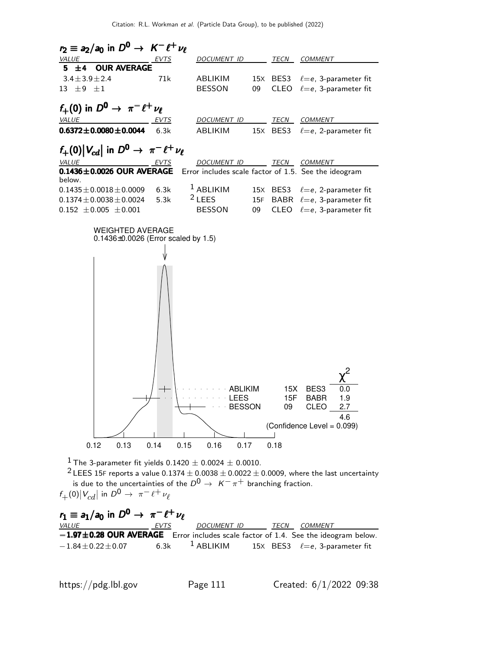

<sup>1</sup> The 3-parameter fit yields  $0.1420 \pm 0.0024 \pm 0.0010$ .

 $2$  LEES 15F reports a value 0.1374  $\pm$  0.0038  $\pm$  0.0022  $\pm$  0.0009, where the last uncertainty is due to the uncertainties of the  $D^0 \rightarrow K^-\pi^+$  branching fraction.  $f_+(0)|V_{cd}|$  in  $D^0 \to \pi^- \ell^+ \nu_\ell$ 

| $r_1 \equiv a_1/a_0$ in $D^0 \rightarrow \pi^- \ell^+ \nu_\ell$                        |      |             |      |                                                                 |
|----------------------------------------------------------------------------------------|------|-------------|------|-----------------------------------------------------------------|
| <i>VALUE</i>                                                                           | EVTS | DOCUMENT ID | TECN | <i>COMMENT</i>                                                  |
| $-1.97\pm0.28$ OUR AVERAGE Error includes scale factor of 1.4. See the ideogram below. |      |             |      |                                                                 |
| $-1.84\!\pm\!0.22\!\pm\!0.07$                                                          |      |             |      | 6.3k <sup>1</sup> ABLIKIM 15X BES3 $\ell = e$ , 3-parameter fit |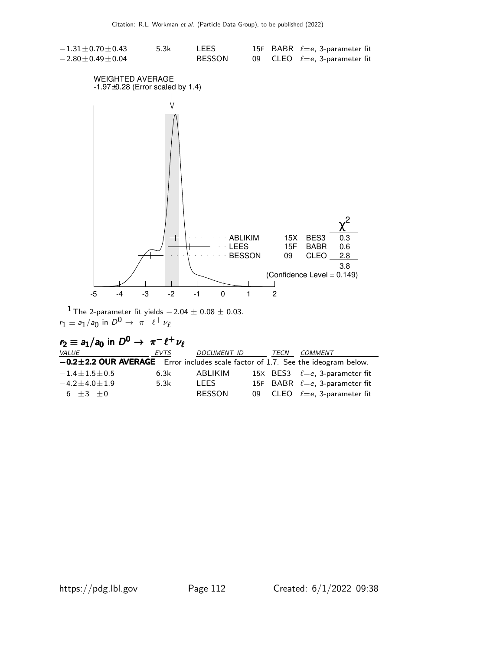

<sup>1</sup> The 2-parameter fit yields  $-2.04 \pm 0.08 \pm 0.03$ .  $r_1 \equiv a_1/a_0$  in  $D^0 \rightarrow \pi^- \ell^+ \nu_\ell$ 

| $r_2 \equiv a_1/a_0$ in $D^0 \rightarrow \pi^- \ell^+ \nu_\ell$                        |      |               |      |                                       |
|----------------------------------------------------------------------------------------|------|---------------|------|---------------------------------------|
| <b>VALUE</b>                                                                           | EVTS | DOCUMENT ID   | TECN | COMMENT                               |
| $-0.2 \pm 2.2$ OUR AVERAGE Error includes scale factor of 1.7. See the ideogram below. |      |               |      |                                       |
| $-1.4 \pm 1.5 \pm 0.5$                                                                 | 6.3k | ABLIKIM       |      | 15X BES3 $\ell = e$ , 3-parameter fit |
| $-4.2 \pm 4.0 \pm 1.9$                                                                 | 5.3k | <b>LEES</b>   |      | 15F BABR $\ell = e$ , 3-parameter fit |
| $6 + 3 + 0$                                                                            |      | <b>BESSON</b> |      | 09 CLEO $\ell = e$ , 3-parameter fit  |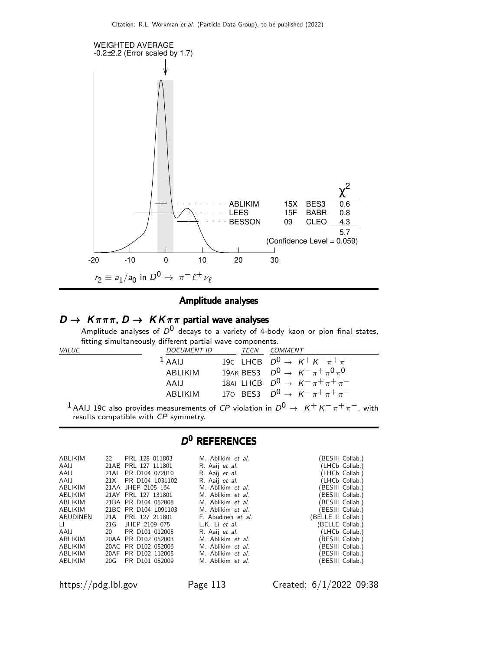

### Amplitude analyses

### $D \to K \pi \pi \pi$ ,  $D \to K K \pi \pi$  partial wave analyses

Amplitude analyses of  $D^0$  decays to a variety of 4-body kaon or pion final states, fitting simultaneously different partial wave components.

| <i>VALUE</i> | <b>DOCUMENT ID</b> | TECN | COMMENT                                        |
|--------------|--------------------|------|------------------------------------------------|
|              | $\frac{1}{2}$ AALL |      | 19C LHCB $D^0 \rightarrow K^+ K^- \pi^+ \pi^-$ |
|              | ARI IKIM           |      | 19AK BES3 $D^0 \to K^- \pi^+ \pi^0 \pi^0$      |
|              | AALI               |      | 18AI LHCB $D^0 \rightarrow K^-\pi^+\pi^+\pi^-$ |
|              | ARI IKIM           |      | 170 BES3 $D^0 \to K^-\pi^+\pi^+\pi^-$          |
|              |                    |      |                                                |

<sup>1</sup> AAIJ 19C also provides measurements of CP violation in  $D^0 \rightarrow K^+ K^- \pi^+ \pi^-$ , with results compatible with CP symmetry.

### D<sup>0</sup> REFERENCES

| ABLIKIM  |      | 22 PRL 128 011803    | M. Ablikim et al.     | (BESIII Collab.)   |
|----------|------|----------------------|-----------------------|--------------------|
| AAIJ     |      | 21AB PRL 127 111801  | R. Aaij <i>et al.</i> | (LHCb Collab.)     |
| AAIJ     |      | 21AI PR D104 072010  | R. Aaij et al.        | (LHCb Collab.)     |
| AAIJ     |      | 21X PR D104 L031102  | R. Aaij et al.        | (LHCb Collab.)     |
| ABLIKIM  |      | 21AA JHEP 2105 164   | M. Ablikim et al.     | (BESIII Collab.)   |
| ABLIKIM  |      | 21AY PRL 127 131801  | M. Ablikim et al.     | (BESIII Collab.)   |
| ABLIKIM  |      | 21BA PR D104 052008  | M. Ablikim et al.     | (BESIII Collab.)   |
| ABLIKIM  |      | 21BC PR D104 L091103 | M. Ablikim et al.     | (BESIII Collab.)   |
| ABUDINEN | 21 A | PRL 127 211801       | F. Abudinen et al.    | (BELLE II Collab.) |
| LL.      |      | 21G JHEP 2109 075    | L.K. Li et al.        | (BELLE Collab.)    |
| AAIJ     | 20   | PR D101 012005       | R. Aaij et al.        | (LHCb Collab.)     |
| ABLIKIM  |      | 20AA PR D102 052003  | M. Ablikim et al.     | (BESIII Collab.)   |
| ABLIKIM  |      | 20AC PR D102 052006  | M. Ablikim et al.     | (BESIII Collab.)   |
| ABLIKIM  |      | 20AF PR D102 112005  | M. Ablikim et al.     | (BESIII Collab.)   |
| ABLIKIM  |      | 20G PR D101 052009   | M. Ablikim et al.     | (BESIII Collab.)   |
|          |      |                      |                       |                    |

https://pdg.lbl.gov Page 113 Created: 6/1/2022 09:38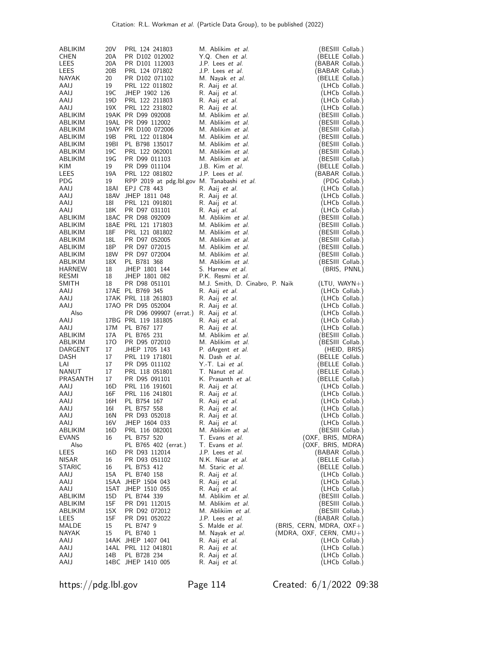| ABLIKIM         | 20 V                  | PRL 124 241803                              | M. Ablikim et al.                       | (BESIII Collab.)                   |
|-----------------|-----------------------|---------------------------------------------|-----------------------------------------|------------------------------------|
| <b>CHEN</b>     | 20A                   | PR D102 012002                              | Y.Q. Chen et al.                        | (BELLE Collab.)                    |
| LEES            | 20A                   | PR D101 112003                              | J.P. Lees et al.                        | (BABAR Collab.)                    |
| LEES<br>NAYAK   | 20 <sub>B</sub><br>20 | PRL 124 071802<br>PR D102 071102            | J.P. Lees et al.<br>M. Nayak et al.     | (BABAR Collab.)<br>(BELLE Collab.) |
| AAIJ            | 19                    | PRL 122 011802                              | R. Aaij et al.                          | (LHCb Collab.)                     |
| AAIJ            | 19C                   | JHEP 1902 126                               | R. Aaij et al.                          | (LHCb Collab.)                     |
| AAIJ            | 19D                   | PRL 122 211803                              | R. Aaij et al.                          | (LHCb Collab.)                     |
| AAIJ            | 19X                   | PRL 122 231802                              | R. Aaij et al.                          | (LHCb Collab.)                     |
| ABLIKIM         |                       | 19AK PR D99 092008                          | M. Ablikim et al.                       | (BESIII Collab.)                   |
| ABLIKIM         |                       | 19AL PR D99 112002                          | M. Ablikim et al.                       | (BESIII Collab.)                   |
| ABLIKIM         |                       | 19AY PR D100 072006                         | M. Ablikim et al.                       | (BESIII Collab.)                   |
| ABLIKIM         | 19B                   | PRL 122 011804                              | M. Ablikim et al.                       | (BESIII Collab.)                   |
| ABLIKIM         | 19BI                  | PL B798 135017                              | M. Ablikim et al.                       | (BESIII Collab.)                   |
| ABLIKIM         | 19C                   | PRL 122 062001                              | M. Ablikim et al.                       | (BESIII Collab.)                   |
| ABLIKIM         | 19G                   | PR D99 011103                               | M. Ablikim et al.                       | (BESIII Collab.)                   |
| <b>KIM</b>      | 19                    | PR D99 011104                               | J.B. Kim et al.                         | (BELLE Collab.)                    |
| LEES            | 19A                   | PRL 122 081802                              | J.P. Lees et al.                        | (BABAR Collab.)                    |
| <b>PDG</b>      | 19                    | RPP 2019 at pdg.lbl.gov M. Tanabashi et al. |                                         | (PDG Collab.)                      |
| AAIJ            | 18AI                  | EPJ C78 443                                 | R. Aaij et al.                          | (LHCb Collab.)                     |
| AAIJ            |                       | 18AV JHEP 1811 048                          | R. Aaij et al.                          | (LHCb Collab.)                     |
| AAIJ            | 18I                   | PRL 121 091801                              | R. Aaij et al.                          | (LHCb Collab.)                     |
| AAIJ            | 18K                   | PR D97 031101                               | R. Aaij et al.                          | (LHCb Collab.)                     |
| ABLIKIM         |                       | 18AC PR D98 092009                          | M. Ablikim et al.                       | (BESIII Collab.)                   |
| ABLIKIM         |                       | 18AE PRL 121 171803                         | M. Ablikim et al.                       | (BESIII Collab.)                   |
| ABLIKIM         | 18F                   | PRL 121 081802                              | M. Ablikim et al.                       | (BESIII Collab.)                   |
| ABLIKIM         | 18L                   | PR D97 052005                               | M. Ablikim et al.                       | (BESIII Collab.)                   |
| ABLIKIM         | 18P                   | PR D97 072015                               | M. Ablikim et al.                       | (BESIII Collab.)                   |
| ABLIKIM         | 18W                   | PR D97 072004                               | M. Ablikim et al.                       | (BESIII Collab.)                   |
| ABLIKIM         | 18X                   | PL B781 368                                 | M. Ablikim et al.                       | (BESIII Collab.)                   |
| HARNEW          | 18                    | JHEP 1801 144                               | S. Harnew et al.                        | (BRIS, PNNL)                       |
| RESMI           | 18                    | JHEP 1801 082                               | P.K. Resmi et al.                       |                                    |
| SMITH           | 18                    | PR D98 051101                               | M.J. Smith, D. Cinabro, P. Naik         | $(LTU, WAYN+)$                     |
| AAIJ            |                       | 17AE PL B769 345                            | R. Aaij et al.                          | (LHCb Collab.)                     |
| AAIJ            |                       | 17AK PRL 118 261803                         | R. Aaij et al.                          | (LHCb Collab.)                     |
| AAIJ            |                       | 17AO PR D95 052004                          | R. Aaij et al.                          | (LHCb Collab.)                     |
| Also            |                       | PR D96 099907 (errat.) R. Aaij et al.       |                                         | (LHCb Collab.)                     |
| AAIJ            | 17M                   | 17BG PRL 119 181805                         | R. Aaij et al.                          | (LHCb Collab.)                     |
| AAIJ<br>ABLIKIM | 17A                   | PL B767 177<br>PL B765 231                  | R. Aaij et al.<br>M. Ablikim et al.     | (LHCb Collab.)<br>(BESIII Collab.) |
| ABLIKIM         | 170                   | PR D95 072010                               | M. Ablikim et al.                       | (BESIII Collab.)                   |
| DARGENT         | 17                    | JHEP 1705 143                               | P. dArgent et al.                       | (HEID, BRIS)                       |
| DASH            | 17                    | PRL 119 171801                              | N. Dash et al.                          | (BELLE Collab.)                    |
| LAI             | 17                    | PR D95 011102                               | Y .- T. Lai et al.                      | (BELLE Collab.)                    |
| NANUT           | 17                    | PRL 118 051801                              | T. Nanut et al.                         | (BELLE Collab.)                    |
| PRASANTH        | 17                    | PR D95 091101                               | K. Prasanth et al.                      | (BELLE Collab.)                    |
| AAIJ            | 16D                   | PRL 116 191601                              | R. Aaij et al.                          | (LHCb Collab.)                     |
| AAIJ            | 16F                   | PRL 116 241801                              | R. Aaij <i>et al.</i>                   | (LHCb Collab.)                     |
| AAIJ            | 16H                   |                                             |                                         |                                    |
|                 |                       |                                             |                                         |                                    |
| AAIJ            | 16I                   | PL B754 167<br>PL B757 558                  | R. Aaij et al.                          | (LHCb Collab.)<br>(LHCb Collab.)   |
|                 |                       |                                             | R. Aaij et al.                          |                                    |
| AAIJ            | 16N<br>16V            | PR D93 052018<br>JHEP 1604 033              | R. Aaij et al.<br>R. Aaij <i>et al.</i> | (LHCb Collab.)<br>(LHCb Collab.)   |
| AAIJ<br>ABLIKIM | 16D                   | PRL 116 082001                              | M. Ablikim et al.                       | (BESIII Collab.)                   |
| EVANS           | 16                    | PL B757 520                                 | T. Evans et al.                         | (OXF, BRIS, MDRA)                  |
| Also            |                       | PL B765 402 (errat.)                        | T. Evans et al.                         | (OXF, BRIS, MDRA)                  |
| LEES            | 16D                   | PR D93 112014                               | J.P. Lees et al.                        | (BABAR Collab.)                    |
| <b>NISAR</b>    | 16                    | PR D93 051102                               | N.K. Nisar et al.                       | (BELLE Collab.)                    |
| <b>STARIC</b>   | 16                    | PL B753 412                                 | M. Staric et al.                        | (BELLE Collab.)                    |
| AAIJ            | 15A                   | PL B740 158                                 | R. Aaij <i>et al.</i>                   | (LHCb Collab.)                     |
| AAIJ            |                       | 15AA JHEP 1504 043                          | R. Aaij <i>et al.</i>                   | (LHCb Collab.)                     |
| AAIJ            | 15AT                  | JHEP 1510 055                               | R. Aaij <i>et al.</i>                   | (LHCb Collab.)                     |
| ABLIKIM         | 15D                   | PL B744 339                                 | M. Ablikim et al.                       | (BESIII Collab.)                   |
| ABLIKIM         | 15F                   | PR D91 112015                               | M. Ablikim et al.                       | (BESIII Collab.)                   |
| ABLIKIM         | 15X                   | PR D92 072012                               | M. Ablikiim et al.                      | (BESIII Collab.)                   |
| LEES            | 15F                   | PR D91 052022                               | J.P. Lees et al.                        | (BABAR Collab.)                    |
| MALDE           | 15                    | PL B747 9                                   | S. Malde <i>et al.</i>                  | (BRIS, CERN, MDRA, OXF+)           |
| NAYAK           | 15                    | PL B740 1                                   | M. Nayak et al.                         | (MDRA, OXF, CERN, $CMU+$ )         |
| AAIJ            |                       | 14AK JHEP 1407 041                          | R. Aaij <i>et al.</i>                   | (LHCb Collab.)                     |
| AAIJ            |                       | 14AL PRL 112 041801                         | R. Aaij et al.                          | (LHCb Collab.)                     |
| AAIJ<br>AAIJ    | 14B                   | PL B728 234<br>14BC JHEP 1410 005           | R. Aaij et al.<br>R. Aaij <i>et al.</i> | (LHCb Collab.)<br>(LHCb Collab.)   |

https://pdg.lbl.gov Page 114 Created: 6/1/2022 09:38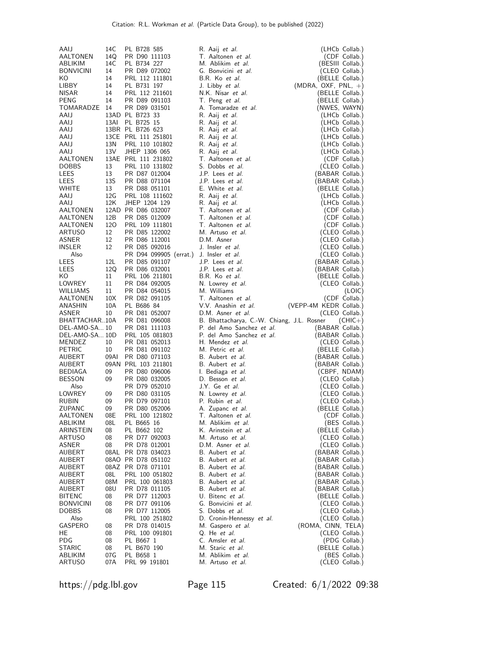| AAIJ                     | 14C             | PL B728 585                    | R. Aaij <i>et al.</i>                          | (LHCb Collab.)                     |
|--------------------------|-----------------|--------------------------------|------------------------------------------------|------------------------------------|
| AALTONEN                 | 14Q             | PR D90 111103                  | T. Aaltonen et al.                             | (CDF Collab.)                      |
| ABLIKIM                  | 14C             | PL B734 227                    | M. Ablikim et al.                              | (BESIII Collab.)                   |
| <b>BONVICINI</b>         | 14              | PR D89 072002                  | G. Bonvicini et al.                            | (CLEO Collab.)                     |
| KO.                      | 14              | PRL 112 111801                 | B.R. Ko et al.                                 | (BELLE Collab.)                    |
| LIBBY                    | 14              | PL B731 197                    | J. Libby et al.                                | $(MDRA, OXF, PNL, +)$              |
| <b>NISAR</b>             | 14              | PRL 112 211601                 | N.K. Nisar et al.                              | (BELLE Collab.)                    |
| PENG                     | 14              | PR D89 091103                  | T. Peng et al.                                 | (BELLE Collab.)                    |
| TOMARADZE 14             |                 | PR D89 031501                  | A. Tomaradze et al.                            | (NWES, WAYN)                       |
| AAIJ<br>AAIJ             | 13AI            | 13AD PL B723 33<br>PL B725 15  | R. Aaij <i>et al.</i><br>R. Aaij <i>et al.</i> | (LHCb Collab.)<br>(LHCb Collab.)   |
| AAIJ                     |                 | 13BR PL B726 623               | R. Aaij et al.                                 | (LHCb Collab.)                     |
| AAIJ                     |                 | 13CE PRL 111 251801            | R. Aaij et al.                                 | (LHCb Collab.)                     |
| AAIJ                     | 13 <sub>N</sub> | PRL 110 101802                 | R. Aaij et al.                                 | (LHCb Collab.)                     |
| AAIJ                     | 13V             | JHEP 1306 065                  | R. Aaij et al.                                 | (LHCb Collab.)                     |
| AALTONEN                 |                 | 13AE PRL 111 231802            | T. Aaltonen et al.                             | (CDF Collab.)                      |
| <b>DOBBS</b>             | 13              | PRL 110 131802                 | S. Dobbs et al.                                | (CLEO Collab.)                     |
| LEES                     | 13              | PR D87 012004                  | J.P. Lees et al.                               | (BABAR Collab.)                    |
| LEES                     | 13S             | PR D88 071104                  | J.P. Lees et al.                               | (BABAR Collab.)                    |
| WHITE                    | 13              | PR D88 051101                  | E. White et al.                                | (BELLE Collab.)                    |
| AAIJ                     | 12G             | PRL 108 111602                 | R. Aaij et al.                                 | (LHCb Collab.)                     |
| AAIJ                     | 12K             | JHEP 1204 129                  | R. Aaij <i>et al.</i>                          | (LHCb Collab.)                     |
| AALTONEN                 |                 | 12AD PR D86 032007             | T. Aaltonen et al.                             | (CDF Collab.)                      |
| AALTONEN                 | 12B             | PR D85 012009                  | T. Aaltonen et al.                             | (CDF Collab.)                      |
| AALTONEN<br>ARTUSO       | 120             | PRL 109 111801                 | T. Aaltonen et al.<br>M. Artuso et al.         | (CDF Collab.)<br>(CLEO Collab.)    |
| ASNER                    | 12<br>12        | PR D85 122002<br>PR D86 112001 | D.M. Asner                                     | (CLEO Collab.)                     |
| <b>INSLER</b>            | 12              | PR D85 092016                  | J. Insler et al.                               | (CLEO Collab.)                     |
| Also                     |                 | PR D94 099905 (errat.)         | J. Insler <i>et al.</i>                        | (CLEO Collab.)                     |
| LEES                     | 12L             | PR D85 091107                  | J.P. Lees et al.                               | (BABAR Collab.)                    |
| LEES                     | 12Q             | PR D86 032001                  | J.P. Lees et al.                               | (BABAR Collab.)                    |
| KO.                      | 11              | PRL 106 211801                 | B.R. Ko et al.                                 | (BELLE Collab.)                    |
| LOWREY                   | 11              | PR D84 092005                  | N. Lowrey et al.                               | (CLEO Collab.)                     |
| WILLIAMS                 | 11              | PR D84 054015                  | M. Williams                                    | (LOIC)                             |
| AALTONEN                 | 10 <sub>X</sub> | PR D82 091105                  | T. Aaltonen et al.                             | (CDF Collab.)                      |
| ANASHIN                  | 10A             | PL B686 84                     | V.V. Anashin et al.                            | (VEPP-4M KEDR Collab.)             |
| ASNER                    | 10              | PR D81 052007                  | D.M. Asner et al.                              | (CLEO Collab.)                     |
| BHATTACHAR10A            |                 | PR D81 096008                  | B. Bhattacharya, C.-W. Chiang, J.L. Rosner     | $(CHIC+)$                          |
|                          |                 |                                |                                                |                                    |
| DEL-AMO-SA 10            |                 | PR D81 111103                  | P. del Amo Sanchez et al.                      | (BABAR Collab.)                    |
| DEL-AMO-SA 10D           |                 | PRL 105 081803                 | P. del Amo Sanchez et al.                      | (BABAR Collab.)                    |
| MENDEZ                   | 10              | PR D81 052013                  | H. Mendez et al.                               | (CLEO Collab.)                     |
| <b>PETRIC</b>            | 10              | PR D81 091102                  | M. Petric <i>et al.</i>                        | (BELLE Collab.)                    |
| AUBERT                   | 09AI            | PR D80 071103                  | B. Aubert et al.                               | (BABAR Collab.)                    |
| AUBERT                   |                 | 09AN PRL 103 211801            | B. Aubert et al.                               | (BABAR Collab.)                    |
| BEDIAGA                  | 09              | PR D80 096006                  | I. Bediaga et al.                              | (CBPF, NDAM)                       |
| <b>BESSON</b>            | 09              | PR D80 032005                  | D. Besson et al.                               | (CLEO Collab.)                     |
| Also<br>LOWREY           | 09              | PR D79 052010<br>PR D80 031105 | J.Y. Ge <i>et al.</i><br>N. Lowrey et al.      | (CLEO Collab.)                     |
| <b>RUBIN</b>             | 09              | PR D79 097101                  | P. Rubin et al.                                | (CLEO Collab.)<br>(CLEO Collab.)   |
| <b>ZUPANC</b>            | 09              | PR D80 052006                  | A. Zupanc et al.                               | (BELLE Collab.)                    |
| AALTONEN                 | 08E             | PRL 100 121802                 | T. Aaltonen et al.                             | (CDF Collab.)                      |
| ABLIKIM                  | 08L             | PL B665 16                     | M. Ablikim et al.                              | (BES Collab.)                      |
| ARINSTEIN                | 08              | PL B662 102                    | K. Arinstein et al.                            | (BELLE Collab.)                    |
| <b>ARTUSO</b>            | 08              | PR D77 092003                  | M. Artuso et al.                               | (CLEO Collab.)                     |
| ASNER                    | 08              | PR D78 012001                  | D.M. Asner et al.                              | (CLEO Collab.)                     |
| AUBERT                   | 08AL            | PR D78 034023                  | B. Aubert et al.                               | (BABAR Collab.)                    |
| AUBERT                   |                 | 08AO PR D78 051102             | B. Aubert et al.                               | (BABAR Collab.)                    |
| AUBERT                   |                 | 08AZ PR D78 071101             | B. Aubert <i>et al.</i>                        | (BABAR Collab.)                    |
| AUBERT                   | 08L             | PRL 100 051802                 | B. Aubert <i>et al.</i>                        | (BABAR Collab.)                    |
| AUBERT                   | 08M             | PRL 100 061803                 | B. Aubert et al.                               | (BABAR Collab.)                    |
| AUBERT<br>BITENC         | 08U<br>08       | PR D78 011105<br>PR D77 112003 | B. Aubert et al.<br>U. Bitenc et al.           | (BABAR Collab.)<br>(BELLE Collab.) |
| <b>BONVICINI</b>         | 08              | PR D77 091106                  | G. Bonvicini et al.                            | (CLEO Collab.)                     |
| <b>DOBBS</b>             | 08              | PR D77 112005                  | S. Dobbs et al.                                | (CLEO Collab.)                     |
| Also                     |                 | PRL 100 251802                 | D. Cronin-Hennessy et al.                      | (CLEO Collab.)                     |
| GASPERO                  | 08              | PR D78 014015                  | M. Gaspero et al.                              | (ROMA, CINN, TELA)                 |
| HE                       | 08              | PRL 100 091801                 | Q. He et al.                                   | (CLEO Collab.)                     |
| PDG                      | 08              | PL B667 1                      | C. Amsler et al.                               | (PDG Collab.)                      |
| STARIC                   | 08              | PL B670 190                    | M. Staric et al.                               | (BELLE Collab.)                    |
| ABLIKIM<br><b>ARTUSO</b> | 07 G<br>07A     | PL B658 1<br>PRL 99 191801     | M. Ablikim et al.<br>M. Artuso et al.          | (BES Collab.)<br>(CLEO Collab.)    |

https://pdg.lbl.gov Page 115 Created: 6/1/2022 09:38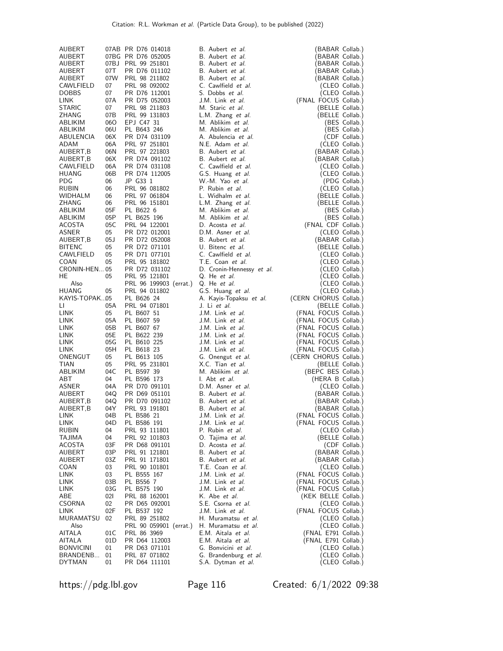| AUBERT                        |           | 07AB PR D76 014018             | B. Aubert et al.                            | (BABAR Collab.)                         |
|-------------------------------|-----------|--------------------------------|---------------------------------------------|-----------------------------------------|
| AUBERT                        |           | 07BG PR D76 052005             | B. Aubert et al.                            | (BABAR Collab.)                         |
| AUBERT                        |           | 07BJ PRL 99 251801             | B. Aubert et al.                            | BABAR Collab.)                          |
| AUBERT                        | 07T       | PR D76 011102                  | B. Aubert et al.                            | (BABAR Collab.)                         |
| AUBERT                        | 07W       | PRL 98 211802                  | B. Aubert et al.                            | (BABAR Collab.)                         |
| CAWLFIELD                     | 07        | PRL 98 092002                  | C. Cawlfield et al.                         | (CLEO Collab.)                          |
| <b>DOBBS</b><br>LINK          | 07<br>07A | PR D76 112001<br>PR D75 052003 | S. Dobbs et al.                             | (CLEO Collab.)                          |
| <b>STARIC</b>                 | 07        | PRL 98 211803                  | J.M. Link et al.<br>M. Staric et al.        | (FNAL FOCUS Collab.)<br>(BELLE Collab.) |
| ZHANG                         | 07B       | PRL 99 131803                  | L.M. Zhang et al.                           | (BELLE Collab.)                         |
| ABLIKIM                       | 06O       | EPJ C47 31                     | M. Ablikim et al.                           | (BES Collab.)                           |
| ABLIKIM                       | 06U       | PL B643 246                    | M. Ablikim et al.                           | (BES Collab.)                           |
| ABULENCIA                     | 06X       | PR D74 031109                  | A. Abulencia et al.                         | (CDF Collab.)                           |
| ADAM                          | 06A       | PRL 97 251801                  | N.E. Adam et al.                            | (CLEO Collab.)                          |
| AUBERT, B                     | 06N       | PRL 97 221803                  | B. Aubert et al.                            | (BABAR Collab.)                         |
| AUBERT,B                      | 06X       | PR D74 091102                  | B. Aubert et al.                            | (BABAR Collab.)                         |
| CAWLFIELD                     | 06A       | PR D74 031108                  | C. Cawlfield et al.                         | (CLEO Collab.)                          |
| HUANG                         | 06B       | PR D74 112005                  | G.S. Huang et al.                           | (CLEO Collab.)                          |
| <b>PDG</b>                    | 06        | JP G33 1                       | W.-M. Yao et al.                            | (PDG Collab.)                           |
| <b>RUBIN</b>                  | 06        | PRL 96 081802                  | P. Rubin et al.                             | (CLEO Collab.)                          |
| WIDHALM<br>ZHANG              | 06<br>06  | PRL 97 061804<br>PRL 96 151801 | L. Widhalm et al.<br>L.M. Zhang et al.      | (BELLE Collab.)<br>(BELLE Collab.)      |
| ABLIKIM                       | 05F       | PL B622 6                      | M. Ablikim et al.                           | (BES Collab.)                           |
| ABLIKIM                       | 05P       | PL B625 196                    | M. Ablikim et al.                           | (BES Collab.)                           |
| ACOSTA                        | 05C       | PRL 94 122001                  | D. Acosta et al.                            | (FNAL CDF Collab.)                      |
| ASNER                         | 05        | PR D72 012001                  | D.M. Asner et al.                           | (CLEO Collab.)                          |
| AUBERT, B                     | 05J       | PR D72 052008                  | B. Aubert et al.                            | (BABAR Collab.)                         |
| <b>BITENC</b>                 | 05        | PR D72 071101                  | U. Bitenc et al.                            | (BELLE Collab.)                         |
| CAWLFIELD                     | 05        | PR D71 077101                  | C. Cawlfield et al.                         | (CLEO Collab.)                          |
| COAN                          | 05        | PRL 95 181802                  | T.E. Coan et al.                            | (CLEO Collab.)                          |
| CRONIN-HEN 05                 |           | PR D72 031102                  | D. Cronin-Hennessy et al.                   | (CLEO Collab.)                          |
| HE                            | 05        | PRL 95 121801                  | Q. He et al.                                | (CLEO Collab.)                          |
| Also                          |           | PRL 96 199903 (errat.)         | Q. He et al.                                | (CLEO Collab.)                          |
| <b>HUANG</b><br>KAYIS-TOPAK05 | 05        | PRL 94 011802<br>PL B626 24    | G.S. Huang et al.                           | (CLEO Collab.)<br>(CERN CHORUS Collab.) |
| LI.                           | 05A       | PRL 94 071801                  | A. Kayis-Topaksu et al.<br>J. Li et al.     | (BELLE Collab.)                         |
| LINK                          | 05        | PL B607 51                     | J.M. Link et al.                            | (FNAL FOCUS Collab.)                    |
| <b>LINK</b>                   | 05A       | PL B607 59                     | J.M. Link et al.                            | (FNAL FOCUS Collab.)                    |
| LINK                          | 05B       | PL B607 67                     | J.M. Link et al.                            | (FNAL FOCUS Collab.)                    |
| LINK                          | 05E       | PL B622 239                    | J.M. Link et al.                            | (FNAL FOCUS Collab.)                    |
| LINK                          | 05G       | PL B610 225                    | J.M. Link et al.                            | (FNAL FOCUS Collab.)                    |
| <b>LINK</b>                   | 05H       | PL B618 23                     | J.M. Link et al.                            | (FNAL FOCUS Collab.)                    |
| ONENGUT                       | 05        | PL B613 105                    | G. Onengut et al.                           | (CERN CHORUS Collab.)                   |
| <b>TIAN</b>                   | 05        | PRL 95 231801                  | X.C. Tian et al.                            | (BELLE Collab.)                         |
| ABLIKIM<br><b>ABT</b>         | 04C       | PL B597 39                     | M. Ablikim et al.                           | (BEPC BES Collab.)                      |
| ASNER                         | 04<br>04A | PL B596 173                    | I. Abt et al.<br>D.M. Asner et al.          | (HERA B Collab.)                        |
| AUBERT                        | 04Q       | PR D70 091101<br>PR D69 051101 | B. Aubert et al.                            | (CLEO Collab.)<br>(BABAR Collab.)       |
| AUBERT, B                     | 04Q       | PR D70 091102                  | B. Aubert et al.                            | (BABAR Collab.)                         |
| AUBERT, B                     | 04Y       | PRL 93 191801                  | B. Aubert et al.                            | (BABAR Collab.)                         |
| <b>LINK</b>                   | 04B       | PL B586 21                     | J.M. Link et al.                            | (FNAL FOCUS Collab.)                    |
| LINK                          | 04D       | PL B586 191                    | J.M. Link et al.                            | (FNAL FOCUS Collab.)                    |
| RUBIN                         | 04        | PRL 93 111801                  | P. Rubin et al.                             | (CLEO Collab.)                          |
| TAJIMA                        | 04        | PRL 92 101803                  | 0. Tajima et al.                            | (BELLE Collab.)                         |
| ACOSTA                        | 03F       | PR D68 091101                  | D. Acosta et al.                            | (CDF Collab.)                           |
| AUBERT                        | 03P       | PRL 91 121801                  | B. Aubert et al.                            | (BABAR Collab.)                         |
| AUBERT                        | 03Z       | PRL 91 171801                  | B. Aubert et al.                            | (BABAR Collab.)                         |
| COAN<br>LINK                  | 03<br>03  | PRL 90 101801<br>PL B555 167   | T.E. Coan et al.<br>J.M. Link et al.        | (CLEO Collab.)<br>(FNAL FOCUS Collab.)  |
| LINK                          | 03B       | PL B556 7                      | J.M. Link et al.                            | (FNAL FOCUS Collab.)                    |
| LINK                          | 03G       | PL B575 190                    | J.M. Link et al.                            | (FNAL FOCUS Collab.)                    |
| ABE                           | 021       | PRL 88 162001                  | K. Abe et al.                               | (KEK BELLE Collab.)                     |
| CSORNA                        | 02        | PR D65 092001                  | S.E. Csorna et al.                          | (CLEO Collab.)                          |
| LINK                          | 02F       | PL B537 192                    | J.M. Link et al.                            | (FNAL FOCUS Collab.)                    |
| MURAMATSU                     |           |                                |                                             |                                         |
|                               | 02        | PRL 89 251802                  | H. Muramatsu et al.                         | (CLEO Collab.)                          |
| Also                          |           | PRL 90 059901 (errat.)         | H. Muramatsu et al.                         | (CLEO Collab.)                          |
| AITALA                        | 01C       | PRL 86 3969                    | E.M. Aitala et al.                          | (FNAL E791 Collab.)                     |
| AITALA                        | 01D       | PR D64 112003                  | E.M. Aitala et al.                          | (FNAL E791 Collab.)                     |
| <b>BONVICINI</b>              | 01        | PR D63 071101                  | G. Bonvicini et al.                         | (CLEO Collab.)                          |
| BRANDENB<br><b>DYTMAN</b>     | 01<br>01  | PRL 87 071802<br>PR D64 111101 | G. Brandenburg et al.<br>S.A. Dytman et al. | (CLEO Collab.)<br>(CLEO Collab.)        |

https://pdg.lbl.gov Page 116 Created: 6/1/2022 09:38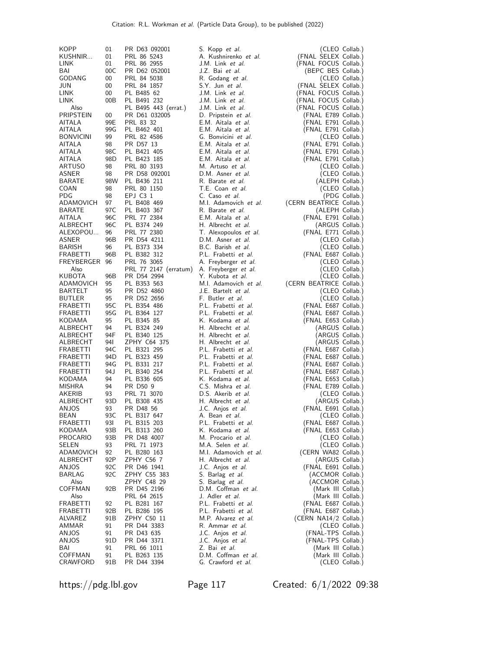| <b>KOPP</b>             | 01         | PR D63 092001              | S. Kopp et al.                               |                                            | (CLEO Collab.) |
|-------------------------|------------|----------------------------|----------------------------------------------|--------------------------------------------|----------------|
| KUSHNIR                 | 01         | PRL 86 5243                | A. Kushnirenko et al.                        | (FNAL SELEX Collab.)                       |                |
| <b>LINK</b>             | 01         | PRL 86 2955                | J.M. Link et al.                             | (FNAL FOCUS Collab.)                       |                |
| BAI                     | 00C        | PR D62 052001              | J.Z. Bai et al.                              | (BEPC BES Collab.)                         |                |
| GODANG                  | 00         | PRL 84 5038                | R. Godang et al.                             |                                            | (CLEO Collab.) |
| JUN                     | $00\,$     | PRL 84 1857                | S.Y. Jun et al.                              | (FNAL SELEX Collab.)                       |                |
| LINK                    | $00\,$     | PL B485 62                 | J.M. Link et al.                             | (FNAL FOCUS Collab.)                       |                |
| LINK                    | 00B        | PL B491 232                | J.M. Link et al.                             | (FNAL FOCUS Collab.)                       |                |
| Also                    |            | PL B495 443 (errat.)       | J.M. Link et al.                             | (FNAL FOCUS Collab.)                       |                |
| PRIPSTEIN               | 00         | PR D61 032005              | D. Pripstein et al.                          | (FNAL E789 Collab.)                        |                |
| AITALA                  | 99E        | PRL 83 32                  | E.M. Aitala et al.                           | (FNAL E791 Collab.)                        |                |
| <b>AITALA</b>           | 99G        | PL B462 401                | E.M. Aitala et al.                           | (FNAL E791 Collab.)                        |                |
| <b>BONVICINI</b>        | 99         | PRL 82 4586                | G. Bonvicini et al.                          | (FNAL E791 Collab.)                        | (CLEO Collab.) |
| AITALA<br>AITALA        | 98<br>98C  | PR D57 13<br>PL B421 405   | E.M. Aitala et al.<br>E.M. Aitala et al.     | (FNAL E791 Collab.)                        |                |
| AITALA                  | 98D        | PL B423 185                | E.M. Aitala et al.                           | (FNAL E791 Collab.)                        |                |
| ARTUSO                  | 98         | PRL 80 3193                | M. Artuso et al.                             |                                            | (CLEO Collab.) |
| ASNER                   | 98         | PR D58 092001              | D.M. Asner et al.                            |                                            | (CLEO Collab.) |
| BARATE                  | 98W        | PL B436 211                | R. Barate et al.                             | (ALEPH Collab.)                            |                |
| COAN                    | 98         | PRL 80 1150                | T.E. Coan et al.                             |                                            | (CLEO Collab.) |
| <b>PDG</b>              | 98         | EPJ C3 1                   | C. Caso et al.                               |                                            | (PDG Collab.)  |
| ADAMOVICH               | 97         | PL B408 469                | M.I. Adamovich et al.                        | (CERN BEATRICE Collab.)                    |                |
| <b>BARATE</b>           | 97C        | PL B403 367                | R. Barate et al.                             | (ALEPH Collab.)                            |                |
| AITALA                  | 96C        | PRL 77 2384                | E.M. Aitala et al.                           | (FNAL E791 Collab.)                        |                |
| ALBRECHT                | 96C        | PL B374 249                | H. Albrecht et al.                           | (ARGUS Collab.)                            |                |
| ALEXOPOU                | 96         | PRL 77 2380                | T. Alexopoulos et al.                        | (FNAL E771 Collab.)                        |                |
| ASNER                   | 96B        | PR D54 4211                | D.M. Asner et al.                            |                                            | (CLEO Collab.) |
| <b>BARISH</b>           | 96         | PL B373 334                | B.C. Barish et al.                           |                                            | (CLEO Collab.) |
| FRABETTI                | 96B        | PL B382 312                | P.L. Frabetti et al.                         | (FNAL E687 Collab.)                        |                |
| FREYBERGER 96           |            | PRL 76 3065                | A. Freyberger et al.                         |                                            | (CLEO Collab.) |
| Also                    |            | PRL 77 2147 (erratum)      | A. Freyberger et al.                         |                                            | (CLEO Collab.) |
| <b>KUBOTA</b>           | 96B        | PR D54 2994                | Y. Kubota et al.                             |                                            | (CLEO Collab.) |
| ADAMOVICH               | 95         | PL B353 563                | M.I. Adamovich et al.                        | (CERN BEATRICE Collab.)                    |                |
| BARTELT                 | 95         | PR D52 4860                | J.E. Bartelt et al.                          |                                            | (CLEO Collab.) |
| <b>BUTLER</b>           | 95         | PR D52 2656                | F. Butler <i>et al.</i>                      |                                            | (CLEO Collab.) |
| FRABETTI<br>FRABETTI    | 95C<br>95G | PL B354 486<br>PL B364 127 | P.L. Frabetti et al.<br>P.L. Frabetti et al. | (FNAL E687 Collab.)<br>(FNAL E687 Collab.) |                |
| KODAMA                  | 95         | PL B345 85                 | K. Kodama et al.                             | (FNAL E653 Collab.)                        |                |
| ALBRECHT                | 94         | PL B324 249                | H. Albrecht et al.                           | (ARGUS Collab.)                            |                |
| ALBRECHT                | 94F        | PL B340 125                | H. Albrecht et al.                           | (ARGUS Collab.)                            |                |
| ALBRECHT                | 94I        | ZPHY C64 375               | H. Albrecht et al.                           | (ARGUS Collab.)                            |                |
| FRABETTI                | 94C        | PL B321 295                | P.L. Frabetti et al.                         | (FNAL E687 Collab.)                        |                |
| FRABETTI                | 94D        | PL B323 459                | P.L. Frabetti et al.                         | (FNAL E687 Collab.)                        |                |
| FRABETTI                | 94G        | PL B331 217                | P.L. Frabetti et al.                         | (FNAL E687 Collab.)                        |                |
| <b>FRABETTI</b>         | 94 J       | PL B340 254                | P.L. Frabetti et al.                         | (FNAL E687 Collab.)                        |                |
| KODAMA                  | 94         | PL B336 605                | K. Kodama et al.                             | (FNAL E653 Collab.)                        |                |
| <b>MISHRA</b>           | 94         | PR D50 9                   | C.S. Mishra et al.                           | (FNAL E789 Collab.)                        |                |
| AKERIB                  | 93         | PRL 71 3070                | D.S. Akerib et al.                           |                                            | (CLEO Collab.) |
| ALBRECHT                | 93D        | PL B308 435                | H. Albrecht et al.                           | (ARGUS Collab.)                            |                |
| ANJOS                   | 93         | PR D48 56                  | J.C. Anjos et al.                            | (FNAL E691 Collab.)                        |                |
| BEAN<br><b>FRABETTI</b> | 93C<br>93I | PL B317 647                | A. Bean et al.<br>P.L. Frabetti et al.       | (CLEO Collab.)                             |                |
| KODAMA                  | 93B        | PL B315 203<br>PL B313 260 | K. Kodama et al.                             | (FNAL E687 Collab.)<br>(FNAL E653 Collab.) |                |
| PROCARIO                | 93B        | PR D48 4007                | M. Procario et al.                           |                                            | (CLEO Collab.) |
| SELEN                   | 93         | PRL 71 1973                | M.A. Selen et al.                            |                                            | (CLEO Collab.) |
| ADAMOVICH               | 92         | PL B280 163                | M.I. Adamovich et al.                        | (CERN WA82 Collab.)                        |                |
| ALBRECHT                | 92P        | ZPHY C56 7                 | H. Albrecht et al.                           | (ARGUS Collab.)                            |                |
| ANJOS                   | 92C        | PR D46 1941                | J.C. Anjos et al.                            | (FNAL E691 Collab.)                        |                |
| <b>BARLAG</b>           | 92C        | ZPHY C55 383               | S. Barlag et al.                             | (ACCMOR Collab.)                           |                |
| Also                    |            | ZPHY C48 29                | S. Barlag et al.                             | (ACCMOR Collab.)                           |                |
| COFFMAN                 | 92B        | PR D45 2196                | D.M. Coffman et al.                          | (Mark III Collab.)                         |                |
| Also                    |            | PRL 64 2615                | J. Adler <i>et al.</i>                       | (Mark III Collab.)                         |                |
| FRABETTI                | 92         | PL B281 167                | P.L. Frabetti et al.                         | (FNAL E687 Collab.)                        |                |
| FRABETTI                | 92B        | PL B286 195                | P.L. Frabetti et al.                         | (FNAL E687 Collab.)                        |                |
| ALVAREZ                 | 91 B       | ZPHY C50 11                | M.P. Alvarez et al.                          | (CERN NA14/2 Collab.)                      |                |
| AMMAR<br>ANJOS          | 91<br>91   | PR D44 3383<br>PR D43 635  | R. Ammar et al.<br>J.C. Anjos et al.         | (FNAL-TPS Collab.)                         | (CLEO Collab.) |
| ANJOS                   | 91 D       | PR D44 3371                | J.C. Anjos et al.                            | (FNAL-TPS Collab.)                         |                |
| BAI                     | 91         | PRL 66 1011                | Z. Bai et al.                                | (Mark III Collab.)                         |                |
| COFFMAN                 | 91         | PL B263 135                | D.M. Coffman et al.                          | (Mark III Collab.)                         |                |
| CRAWFORD                | 91 B       | PR D44 3394                | G. Crawford et al.                           |                                            | (CLEO Collab.) |

https://pdg.lbl.gov Page 117 Created: 6/1/2022 09:38